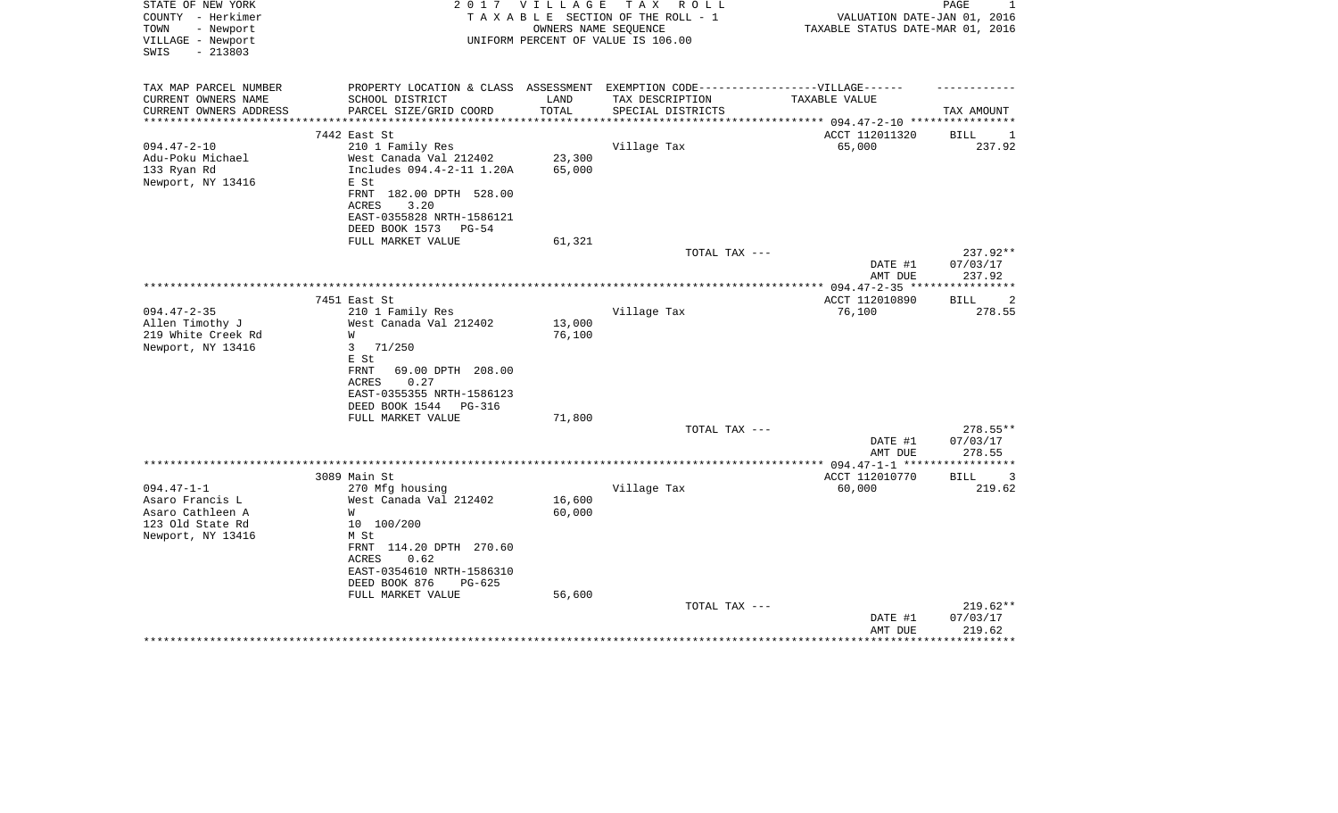| PROPERTY LOCATION & CLASS ASSESSMENT EXEMPTION CODE-----------------VILLAGE------<br>SCHOOL DISTRICT<br>LAND<br>TAX DESCRIPTION<br>TAXABLE VALUE<br>TOTAL<br>TAX AMOUNT<br>PARCEL SIZE/GRID COORD<br>SPECIAL DISTRICTS<br>**********************<br>ACCT 112011320<br>7442 East St<br>BILL<br>1<br>$094.47 - 2 - 10$<br>Village Tax<br>65,000<br>237.92<br>210 1 Family Res<br>23,300<br>Adu-Poku Michael<br>West Canada Val 212402<br>133 Ryan Rd<br>Includes 094.4-2-11 1.20A<br>65,000<br>Newport, NY 13416<br>E St<br>FRNT 182.00 DPTH 528.00<br>3.20<br><b>ACRES</b><br>EAST-0355828 NRTH-1586121<br>DEED BOOK 1573<br>$PG-54$<br>FULL MARKET VALUE<br>61,321<br>237.92**<br>TOTAL TAX ---<br>DATE #1<br>07/03/17<br>237.92<br>AMT DUE<br>7451 East St<br>ACCT 112010890<br><b>BILL</b><br>2<br>$094.47 - 2 - 35$<br>210 1 Family Res<br>Village Tax<br>76,100<br>278.55<br>13,000<br>Allen Timothy J<br>West Canada Val 212402<br>219 White Creek Rd<br>W<br>76,100<br>71/250<br>Newport, NY 13416<br>3<br>E St<br>FRNT<br>69.00 DPTH 208.00<br>ACRES<br>0.27<br>EAST-0355355 NRTH-1586123<br>DEED BOOK 1544<br>PG-316<br>FULL MARKET VALUE<br>71,800<br>278.55**<br>TOTAL TAX ---<br>DATE #1<br>07/03/17<br>AMT DUE<br>278.55<br>***********<br>3089 Main St<br>ACCT 112010770<br>3<br>BILL<br>219.62<br>$094.47 - 1 - 1$<br>270 Mfg housing<br>Village Tax<br>60,000<br>West Canada Val 212402<br>16,600<br>Asaro Francis L<br>60,000<br>W<br>10 100/200<br>M St<br>FRNT 114.20 DPTH 270.60<br>ACRES<br>0.62<br>EAST-0354610 NRTH-1586310<br>DEED BOOK 876<br>$PG-625$<br>56,600<br>FULL MARKET VALUE<br>$219.62**$<br>TOTAL TAX --- | STATE OF NEW YORK<br>COUNTY - Herkimer<br>TOWN<br>- Newport<br>VILLAGE - Newport<br>$-213803$<br>SWIS | 2 0 1 7 | V I L L A G E | T A X<br>R O L L<br>TAXABLE SECTION OF THE ROLL - 1<br>OWNERS NAME SEOUENCE<br>UNIFORM PERCENT OF VALUE IS 106.00 | VALUATION DATE-JAN 01, 2016<br>TAXABLE STATUS DATE-MAR 01, 2016 | PAGE<br>1 |
|----------------------------------------------------------------------------------------------------------------------------------------------------------------------------------------------------------------------------------------------------------------------------------------------------------------------------------------------------------------------------------------------------------------------------------------------------------------------------------------------------------------------------------------------------------------------------------------------------------------------------------------------------------------------------------------------------------------------------------------------------------------------------------------------------------------------------------------------------------------------------------------------------------------------------------------------------------------------------------------------------------------------------------------------------------------------------------------------------------------------------------------------------------------------------------------------------------------------------------------------------------------------------------------------------------------------------------------------------------------------------------------------------------------------------------------------------------------------------------------------------------------------------------------------------------------------------------------------------------------------------------------------|-------------------------------------------------------------------------------------------------------|---------|---------------|-------------------------------------------------------------------------------------------------------------------|-----------------------------------------------------------------|-----------|
|                                                                                                                                                                                                                                                                                                                                                                                                                                                                                                                                                                                                                                                                                                                                                                                                                                                                                                                                                                                                                                                                                                                                                                                                                                                                                                                                                                                                                                                                                                                                                                                                                                              | TAX MAP PARCEL NUMBER<br>CURRENT OWNERS NAME                                                          |         |               |                                                                                                                   |                                                                 |           |
|                                                                                                                                                                                                                                                                                                                                                                                                                                                                                                                                                                                                                                                                                                                                                                                                                                                                                                                                                                                                                                                                                                                                                                                                                                                                                                                                                                                                                                                                                                                                                                                                                                              | CURRENT OWNERS ADDRESS                                                                                |         |               |                                                                                                                   |                                                                 |           |
|                                                                                                                                                                                                                                                                                                                                                                                                                                                                                                                                                                                                                                                                                                                                                                                                                                                                                                                                                                                                                                                                                                                                                                                                                                                                                                                                                                                                                                                                                                                                                                                                                                              |                                                                                                       |         |               |                                                                                                                   |                                                                 |           |
|                                                                                                                                                                                                                                                                                                                                                                                                                                                                                                                                                                                                                                                                                                                                                                                                                                                                                                                                                                                                                                                                                                                                                                                                                                                                                                                                                                                                                                                                                                                                                                                                                                              |                                                                                                       |         |               |                                                                                                                   |                                                                 |           |
|                                                                                                                                                                                                                                                                                                                                                                                                                                                                                                                                                                                                                                                                                                                                                                                                                                                                                                                                                                                                                                                                                                                                                                                                                                                                                                                                                                                                                                                                                                                                                                                                                                              |                                                                                                       |         |               |                                                                                                                   |                                                                 |           |
|                                                                                                                                                                                                                                                                                                                                                                                                                                                                                                                                                                                                                                                                                                                                                                                                                                                                                                                                                                                                                                                                                                                                                                                                                                                                                                                                                                                                                                                                                                                                                                                                                                              |                                                                                                       |         |               |                                                                                                                   |                                                                 |           |
|                                                                                                                                                                                                                                                                                                                                                                                                                                                                                                                                                                                                                                                                                                                                                                                                                                                                                                                                                                                                                                                                                                                                                                                                                                                                                                                                                                                                                                                                                                                                                                                                                                              |                                                                                                       |         |               |                                                                                                                   |                                                                 |           |
|                                                                                                                                                                                                                                                                                                                                                                                                                                                                                                                                                                                                                                                                                                                                                                                                                                                                                                                                                                                                                                                                                                                                                                                                                                                                                                                                                                                                                                                                                                                                                                                                                                              |                                                                                                       |         |               |                                                                                                                   |                                                                 |           |
|                                                                                                                                                                                                                                                                                                                                                                                                                                                                                                                                                                                                                                                                                                                                                                                                                                                                                                                                                                                                                                                                                                                                                                                                                                                                                                                                                                                                                                                                                                                                                                                                                                              |                                                                                                       |         |               |                                                                                                                   |                                                                 |           |
|                                                                                                                                                                                                                                                                                                                                                                                                                                                                                                                                                                                                                                                                                                                                                                                                                                                                                                                                                                                                                                                                                                                                                                                                                                                                                                                                                                                                                                                                                                                                                                                                                                              |                                                                                                       |         |               |                                                                                                                   |                                                                 |           |
|                                                                                                                                                                                                                                                                                                                                                                                                                                                                                                                                                                                                                                                                                                                                                                                                                                                                                                                                                                                                                                                                                                                                                                                                                                                                                                                                                                                                                                                                                                                                                                                                                                              |                                                                                                       |         |               |                                                                                                                   |                                                                 |           |
|                                                                                                                                                                                                                                                                                                                                                                                                                                                                                                                                                                                                                                                                                                                                                                                                                                                                                                                                                                                                                                                                                                                                                                                                                                                                                                                                                                                                                                                                                                                                                                                                                                              |                                                                                                       |         |               |                                                                                                                   |                                                                 |           |
|                                                                                                                                                                                                                                                                                                                                                                                                                                                                                                                                                                                                                                                                                                                                                                                                                                                                                                                                                                                                                                                                                                                                                                                                                                                                                                                                                                                                                                                                                                                                                                                                                                              |                                                                                                       |         |               |                                                                                                                   |                                                                 |           |
|                                                                                                                                                                                                                                                                                                                                                                                                                                                                                                                                                                                                                                                                                                                                                                                                                                                                                                                                                                                                                                                                                                                                                                                                                                                                                                                                                                                                                                                                                                                                                                                                                                              |                                                                                                       |         |               |                                                                                                                   |                                                                 |           |
|                                                                                                                                                                                                                                                                                                                                                                                                                                                                                                                                                                                                                                                                                                                                                                                                                                                                                                                                                                                                                                                                                                                                                                                                                                                                                                                                                                                                                                                                                                                                                                                                                                              |                                                                                                       |         |               |                                                                                                                   |                                                                 |           |
|                                                                                                                                                                                                                                                                                                                                                                                                                                                                                                                                                                                                                                                                                                                                                                                                                                                                                                                                                                                                                                                                                                                                                                                                                                                                                                                                                                                                                                                                                                                                                                                                                                              |                                                                                                       |         |               |                                                                                                                   |                                                                 |           |
|                                                                                                                                                                                                                                                                                                                                                                                                                                                                                                                                                                                                                                                                                                                                                                                                                                                                                                                                                                                                                                                                                                                                                                                                                                                                                                                                                                                                                                                                                                                                                                                                                                              |                                                                                                       |         |               |                                                                                                                   |                                                                 |           |
|                                                                                                                                                                                                                                                                                                                                                                                                                                                                                                                                                                                                                                                                                                                                                                                                                                                                                                                                                                                                                                                                                                                                                                                                                                                                                                                                                                                                                                                                                                                                                                                                                                              |                                                                                                       |         |               |                                                                                                                   |                                                                 |           |
|                                                                                                                                                                                                                                                                                                                                                                                                                                                                                                                                                                                                                                                                                                                                                                                                                                                                                                                                                                                                                                                                                                                                                                                                                                                                                                                                                                                                                                                                                                                                                                                                                                              |                                                                                                       |         |               |                                                                                                                   |                                                                 |           |
|                                                                                                                                                                                                                                                                                                                                                                                                                                                                                                                                                                                                                                                                                                                                                                                                                                                                                                                                                                                                                                                                                                                                                                                                                                                                                                                                                                                                                                                                                                                                                                                                                                              |                                                                                                       |         |               |                                                                                                                   |                                                                 |           |
|                                                                                                                                                                                                                                                                                                                                                                                                                                                                                                                                                                                                                                                                                                                                                                                                                                                                                                                                                                                                                                                                                                                                                                                                                                                                                                                                                                                                                                                                                                                                                                                                                                              |                                                                                                       |         |               |                                                                                                                   |                                                                 |           |
|                                                                                                                                                                                                                                                                                                                                                                                                                                                                                                                                                                                                                                                                                                                                                                                                                                                                                                                                                                                                                                                                                                                                                                                                                                                                                                                                                                                                                                                                                                                                                                                                                                              |                                                                                                       |         |               |                                                                                                                   |                                                                 |           |
|                                                                                                                                                                                                                                                                                                                                                                                                                                                                                                                                                                                                                                                                                                                                                                                                                                                                                                                                                                                                                                                                                                                                                                                                                                                                                                                                                                                                                                                                                                                                                                                                                                              |                                                                                                       |         |               |                                                                                                                   |                                                                 |           |
|                                                                                                                                                                                                                                                                                                                                                                                                                                                                                                                                                                                                                                                                                                                                                                                                                                                                                                                                                                                                                                                                                                                                                                                                                                                                                                                                                                                                                                                                                                                                                                                                                                              |                                                                                                       |         |               |                                                                                                                   |                                                                 |           |
|                                                                                                                                                                                                                                                                                                                                                                                                                                                                                                                                                                                                                                                                                                                                                                                                                                                                                                                                                                                                                                                                                                                                                                                                                                                                                                                                                                                                                                                                                                                                                                                                                                              |                                                                                                       |         |               |                                                                                                                   |                                                                 |           |
|                                                                                                                                                                                                                                                                                                                                                                                                                                                                                                                                                                                                                                                                                                                                                                                                                                                                                                                                                                                                                                                                                                                                                                                                                                                                                                                                                                                                                                                                                                                                                                                                                                              |                                                                                                       |         |               |                                                                                                                   |                                                                 |           |
|                                                                                                                                                                                                                                                                                                                                                                                                                                                                                                                                                                                                                                                                                                                                                                                                                                                                                                                                                                                                                                                                                                                                                                                                                                                                                                                                                                                                                                                                                                                                                                                                                                              |                                                                                                       |         |               |                                                                                                                   |                                                                 |           |
|                                                                                                                                                                                                                                                                                                                                                                                                                                                                                                                                                                                                                                                                                                                                                                                                                                                                                                                                                                                                                                                                                                                                                                                                                                                                                                                                                                                                                                                                                                                                                                                                                                              |                                                                                                       |         |               |                                                                                                                   |                                                                 |           |
|                                                                                                                                                                                                                                                                                                                                                                                                                                                                                                                                                                                                                                                                                                                                                                                                                                                                                                                                                                                                                                                                                                                                                                                                                                                                                                                                                                                                                                                                                                                                                                                                                                              |                                                                                                       |         |               |                                                                                                                   |                                                                 |           |
|                                                                                                                                                                                                                                                                                                                                                                                                                                                                                                                                                                                                                                                                                                                                                                                                                                                                                                                                                                                                                                                                                                                                                                                                                                                                                                                                                                                                                                                                                                                                                                                                                                              |                                                                                                       |         |               |                                                                                                                   |                                                                 |           |
|                                                                                                                                                                                                                                                                                                                                                                                                                                                                                                                                                                                                                                                                                                                                                                                                                                                                                                                                                                                                                                                                                                                                                                                                                                                                                                                                                                                                                                                                                                                                                                                                                                              |                                                                                                       |         |               |                                                                                                                   |                                                                 |           |
|                                                                                                                                                                                                                                                                                                                                                                                                                                                                                                                                                                                                                                                                                                                                                                                                                                                                                                                                                                                                                                                                                                                                                                                                                                                                                                                                                                                                                                                                                                                                                                                                                                              |                                                                                                       |         |               |                                                                                                                   |                                                                 |           |
|                                                                                                                                                                                                                                                                                                                                                                                                                                                                                                                                                                                                                                                                                                                                                                                                                                                                                                                                                                                                                                                                                                                                                                                                                                                                                                                                                                                                                                                                                                                                                                                                                                              | Asaro Cathleen A                                                                                      |         |               |                                                                                                                   |                                                                 |           |
|                                                                                                                                                                                                                                                                                                                                                                                                                                                                                                                                                                                                                                                                                                                                                                                                                                                                                                                                                                                                                                                                                                                                                                                                                                                                                                                                                                                                                                                                                                                                                                                                                                              | 123 Old State Rd                                                                                      |         |               |                                                                                                                   |                                                                 |           |
|                                                                                                                                                                                                                                                                                                                                                                                                                                                                                                                                                                                                                                                                                                                                                                                                                                                                                                                                                                                                                                                                                                                                                                                                                                                                                                                                                                                                                                                                                                                                                                                                                                              | Newport, NY 13416                                                                                     |         |               |                                                                                                                   |                                                                 |           |
|                                                                                                                                                                                                                                                                                                                                                                                                                                                                                                                                                                                                                                                                                                                                                                                                                                                                                                                                                                                                                                                                                                                                                                                                                                                                                                                                                                                                                                                                                                                                                                                                                                              |                                                                                                       |         |               |                                                                                                                   |                                                                 |           |
|                                                                                                                                                                                                                                                                                                                                                                                                                                                                                                                                                                                                                                                                                                                                                                                                                                                                                                                                                                                                                                                                                                                                                                                                                                                                                                                                                                                                                                                                                                                                                                                                                                              |                                                                                                       |         |               |                                                                                                                   |                                                                 |           |
|                                                                                                                                                                                                                                                                                                                                                                                                                                                                                                                                                                                                                                                                                                                                                                                                                                                                                                                                                                                                                                                                                                                                                                                                                                                                                                                                                                                                                                                                                                                                                                                                                                              |                                                                                                       |         |               |                                                                                                                   |                                                                 |           |
|                                                                                                                                                                                                                                                                                                                                                                                                                                                                                                                                                                                                                                                                                                                                                                                                                                                                                                                                                                                                                                                                                                                                                                                                                                                                                                                                                                                                                                                                                                                                                                                                                                              |                                                                                                       |         |               |                                                                                                                   |                                                                 |           |
|                                                                                                                                                                                                                                                                                                                                                                                                                                                                                                                                                                                                                                                                                                                                                                                                                                                                                                                                                                                                                                                                                                                                                                                                                                                                                                                                                                                                                                                                                                                                                                                                                                              |                                                                                                       |         |               |                                                                                                                   |                                                                 |           |
|                                                                                                                                                                                                                                                                                                                                                                                                                                                                                                                                                                                                                                                                                                                                                                                                                                                                                                                                                                                                                                                                                                                                                                                                                                                                                                                                                                                                                                                                                                                                                                                                                                              |                                                                                                       |         |               |                                                                                                                   |                                                                 |           |
| DATE #1<br>07/03/17                                                                                                                                                                                                                                                                                                                                                                                                                                                                                                                                                                                                                                                                                                                                                                                                                                                                                                                                                                                                                                                                                                                                                                                                                                                                                                                                                                                                                                                                                                                                                                                                                          |                                                                                                       |         |               |                                                                                                                   |                                                                 |           |
| 219.62<br>AMT DUE<br>********                                                                                                                                                                                                                                                                                                                                                                                                                                                                                                                                                                                                                                                                                                                                                                                                                                                                                                                                                                                                                                                                                                                                                                                                                                                                                                                                                                                                                                                                                                                                                                                                                |                                                                                                       |         |               |                                                                                                                   |                                                                 |           |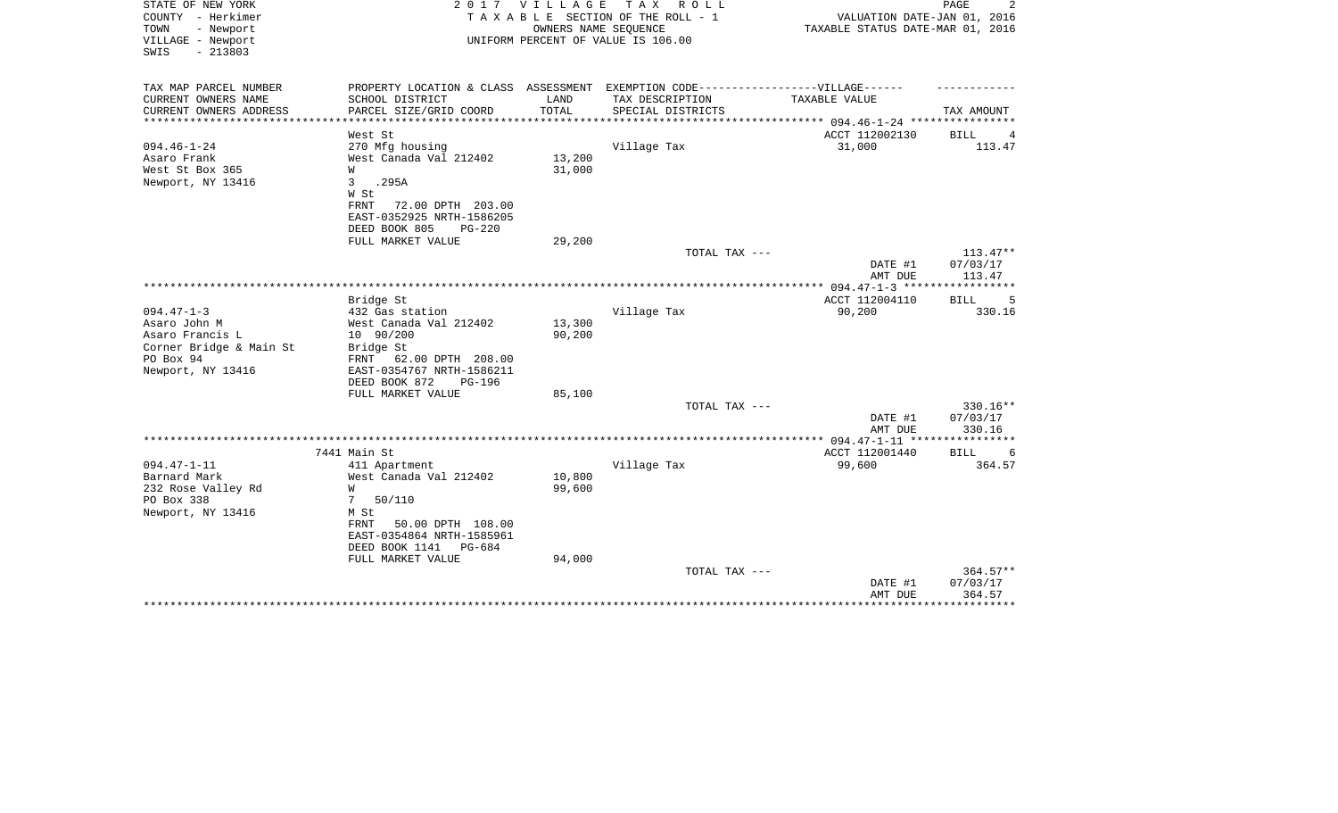| STATE OF NEW YORK<br>COUNTY - Herkimer<br>TOWN<br>- Newport<br>VILLAGE - Newport<br>$-213803$<br>SWIS | 2017                                                        | V I L L A G E | T A X<br>R O L L<br>TAXABLE SECTION OF THE ROLL - 1<br>OWNERS NAME SEQUENCE<br>UNIFORM PERCENT OF VALUE IS 106.00 | VALUATION DATE-JAN 01, 2016<br>TAXABLE STATUS DATE-MAR 01, 2016 | PAGE                       |
|-------------------------------------------------------------------------------------------------------|-------------------------------------------------------------|---------------|-------------------------------------------------------------------------------------------------------------------|-----------------------------------------------------------------|----------------------------|
| TAX MAP PARCEL NUMBER<br>CURRENT OWNERS NAME                                                          | PROPERTY LOCATION & CLASS ASSESSMENT<br>SCHOOL DISTRICT     | LAND          | EXEMPTION CODE------------------VILLAGE------<br>TAX DESCRIPTION                                                  | TAXABLE VALUE                                                   |                            |
| CURRENT OWNERS ADDRESS                                                                                | PARCEL SIZE/GRID COORD                                      | TOTAL         | SPECIAL DISTRICTS                                                                                                 |                                                                 | TAX AMOUNT                 |
| *********************                                                                                 | ***********************                                     |               |                                                                                                                   |                                                                 |                            |
|                                                                                                       | West St                                                     |               |                                                                                                                   | ACCT 112002130                                                  | <b>BILL</b><br>4           |
| $094.46 - 1 - 24$                                                                                     | 270 Mfg housing                                             |               | Village Tax                                                                                                       | 31,000                                                          | 113.47                     |
| Asaro Frank                                                                                           | West Canada Val 212402                                      | 13,200        |                                                                                                                   |                                                                 |                            |
| West St Box 365                                                                                       | W<br>.295A<br>3                                             | 31,000        |                                                                                                                   |                                                                 |                            |
| Newport, NY 13416                                                                                     | W St                                                        |               |                                                                                                                   |                                                                 |                            |
|                                                                                                       | 72.00 DPTH 203.00<br>FRNT                                   |               |                                                                                                                   |                                                                 |                            |
|                                                                                                       | EAST-0352925 NRTH-1586205                                   |               |                                                                                                                   |                                                                 |                            |
|                                                                                                       | DEED BOOK 805<br>$PG-220$                                   |               |                                                                                                                   |                                                                 |                            |
|                                                                                                       | FULL MARKET VALUE                                           | 29,200        |                                                                                                                   |                                                                 |                            |
|                                                                                                       |                                                             |               | TOTAL TAX ---                                                                                                     |                                                                 | $113.47**$                 |
|                                                                                                       |                                                             |               |                                                                                                                   | DATE #1<br>AMT DUE                                              | 07/03/17<br>113.47         |
|                                                                                                       |                                                             |               |                                                                                                                   | ***** 094.47-1-3 *****                                          | * * * * * * * * *          |
|                                                                                                       | Bridge St                                                   |               |                                                                                                                   | ACCT 112004110                                                  | <b>BILL</b><br>5           |
| $094.47 - 1 - 3$                                                                                      | 432 Gas station                                             |               | Village Tax                                                                                                       | 90,200                                                          | 330.16                     |
| Asaro John M                                                                                          | West Canada Val 212402                                      | 13,300        |                                                                                                                   |                                                                 |                            |
| Asaro Francis L                                                                                       | 10 90/200                                                   | 90,200        |                                                                                                                   |                                                                 |                            |
| Corner Bridge & Main St                                                                               | Bridge St                                                   |               |                                                                                                                   |                                                                 |                            |
| PO Box 94                                                                                             | FRNT 62.00 DPTH 208.00                                      |               |                                                                                                                   |                                                                 |                            |
| Newport, NY 13416                                                                                     | EAST-0354767 NRTH-1586211<br>DEED BOOK 872<br><b>PG-196</b> |               |                                                                                                                   |                                                                 |                            |
|                                                                                                       | FULL MARKET VALUE                                           | 85,100        |                                                                                                                   |                                                                 |                            |
|                                                                                                       |                                                             |               | TOTAL TAX ---                                                                                                     |                                                                 | 330.16**                   |
|                                                                                                       |                                                             |               |                                                                                                                   | DATE #1                                                         | 07/03/17                   |
|                                                                                                       |                                                             |               |                                                                                                                   | AMT DUE                                                         | 330.16                     |
|                                                                                                       |                                                             |               |                                                                                                                   |                                                                 |                            |
| $094.47 - 1 - 11$                                                                                     | 7441 Main St<br>411 Apartment                               |               | Village Tax                                                                                                       | ACCT 112001440<br>99,600                                        | <b>BILL</b><br>6<br>364.57 |
| Barnard Mark                                                                                          | West Canada Val 212402                                      | 10,800        |                                                                                                                   |                                                                 |                            |
| 232 Rose Valley Rd                                                                                    | W                                                           | 99,600        |                                                                                                                   |                                                                 |                            |
| PO Box 338                                                                                            | 50/110<br>7                                                 |               |                                                                                                                   |                                                                 |                            |
| Newport, NY 13416                                                                                     | M St                                                        |               |                                                                                                                   |                                                                 |                            |
|                                                                                                       | 50.00 DPTH 108.00<br>FRNT                                   |               |                                                                                                                   |                                                                 |                            |
|                                                                                                       | EAST-0354864 NRTH-1585961                                   |               |                                                                                                                   |                                                                 |                            |
|                                                                                                       | DEED BOOK 1141<br>PG-684                                    |               |                                                                                                                   |                                                                 |                            |
|                                                                                                       | FULL MARKET VALUE                                           | 94,000        | TOTAL TAX ---                                                                                                     |                                                                 | $364.57**$                 |
|                                                                                                       |                                                             |               |                                                                                                                   | DATE #1                                                         | 07/03/17                   |
|                                                                                                       |                                                             |               |                                                                                                                   | AMT DUE                                                         | 364.57                     |
|                                                                                                       |                                                             |               |                                                                                                                   |                                                                 |                            |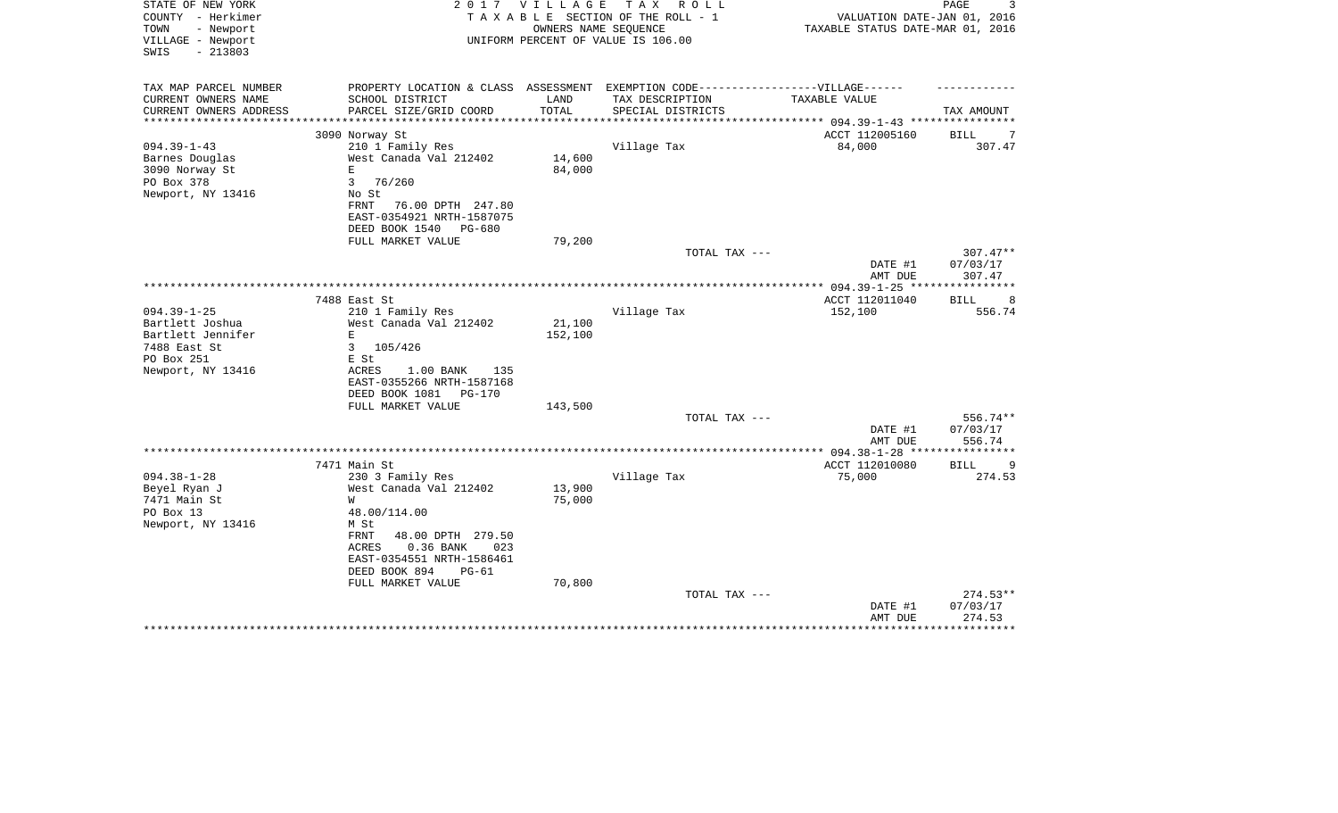| STATE OF NEW YORK<br>COUNTY - Herkimer<br>TOWN<br>- Newport<br>VILLAGE - Newport<br>$-213803$<br>SWIS | 2 0 1 7                                       | VILLAGE<br>OWNERS NAME SEQUENCE | T A X<br>R O L L<br>TAXABLE SECTION OF THE ROLL - 1<br>UNIFORM PERCENT OF VALUE IS 106.00           | VALUATION DATE-JAN 01, 2016<br>TAXABLE STATUS DATE-MAR 01, 2016 | PAGE                       |
|-------------------------------------------------------------------------------------------------------|-----------------------------------------------|---------------------------------|-----------------------------------------------------------------------------------------------------|-----------------------------------------------------------------|----------------------------|
|                                                                                                       |                                               |                                 |                                                                                                     |                                                                 |                            |
| TAX MAP PARCEL NUMBER<br>CURRENT OWNERS NAME                                                          | SCHOOL DISTRICT                               | LAND                            | PROPERTY LOCATION & CLASS ASSESSMENT EXEMPTION CODE----------------VILLAGE------<br>TAX DESCRIPTION | TAXABLE VALUE                                                   |                            |
| CURRENT OWNERS ADDRESS<br>******************                                                          | PARCEL SIZE/GRID COORD                        | TOTAL<br>* * * * * * * * * * *  | SPECIAL DISTRICTS                                                                                   |                                                                 | TAX AMOUNT                 |
|                                                                                                       | 3090 Norway St                                |                                 |                                                                                                     | ACCT 112005160                                                  | BILL<br>7                  |
| $094.39 - 1 - 43$                                                                                     | 210 1 Family Res                              |                                 | Village Tax                                                                                         | 84,000                                                          | 307.47                     |
| Barnes Douglas                                                                                        | West Canada Val 212402                        | 14,600                          |                                                                                                     |                                                                 |                            |
| 3090 Norway St                                                                                        | E.                                            | 84,000                          |                                                                                                     |                                                                 |                            |
| PO Box 378                                                                                            | 3<br>76/260                                   |                                 |                                                                                                     |                                                                 |                            |
| Newport, NY 13416                                                                                     | No St                                         |                                 |                                                                                                     |                                                                 |                            |
|                                                                                                       | FRNT<br>76.00 DPTH 247.80                     |                                 |                                                                                                     |                                                                 |                            |
|                                                                                                       | EAST-0354921 NRTH-1587075                     |                                 |                                                                                                     |                                                                 |                            |
|                                                                                                       | DEED BOOK 1540<br>PG-680<br>FULL MARKET VALUE | 79,200                          |                                                                                                     |                                                                 |                            |
|                                                                                                       |                                               |                                 | TOTAL TAX ---                                                                                       |                                                                 | $307.47**$                 |
|                                                                                                       |                                               |                                 |                                                                                                     | DATE #1                                                         | 07/03/17                   |
|                                                                                                       |                                               |                                 |                                                                                                     | AMT DUE                                                         | 307.47                     |
|                                                                                                       |                                               |                                 |                                                                                                     |                                                                 |                            |
|                                                                                                       | 7488 East St                                  |                                 |                                                                                                     | ACCT 112011040                                                  | -8<br><b>BILL</b>          |
| $094.39 - 1 - 25$                                                                                     | 210 1 Family Res                              |                                 | Village Tax                                                                                         | 152,100                                                         | 556.74                     |
| Bartlett Joshua                                                                                       | West Canada Val 212402                        | 21,100                          |                                                                                                     |                                                                 |                            |
| Bartlett Jennifer                                                                                     | E                                             | 152,100                         |                                                                                                     |                                                                 |                            |
| 7488 East St<br>PO Box 251                                                                            | $\mathbf{3}$<br>105/426<br>E St               |                                 |                                                                                                     |                                                                 |                            |
| Newport, NY 13416                                                                                     | ACRES<br>$1.00$ BANK<br>135                   |                                 |                                                                                                     |                                                                 |                            |
|                                                                                                       | EAST-0355266 NRTH-1587168                     |                                 |                                                                                                     |                                                                 |                            |
|                                                                                                       | DEED BOOK 1081 PG-170                         |                                 |                                                                                                     |                                                                 |                            |
|                                                                                                       | FULL MARKET VALUE                             | 143,500                         |                                                                                                     |                                                                 |                            |
|                                                                                                       |                                               |                                 | TOTAL TAX ---                                                                                       |                                                                 | 556.74**                   |
|                                                                                                       |                                               |                                 |                                                                                                     | DATE #1                                                         | 07/03/17                   |
|                                                                                                       |                                               |                                 |                                                                                                     | AMT DUE                                                         | 556.74                     |
|                                                                                                       |                                               |                                 |                                                                                                     | ***** 094.38-1-28 **                                            |                            |
| $094.38 - 1 - 28$                                                                                     | 7471 Main St<br>230 3 Family Res              |                                 | Village Tax                                                                                         | ACCT 112010080<br>75,000                                        | 9<br><b>BILL</b><br>274.53 |
| Beyel Ryan J                                                                                          | West Canada Val 212402                        | 13,900                          |                                                                                                     |                                                                 |                            |
| 7471 Main St                                                                                          | W                                             | 75,000                          |                                                                                                     |                                                                 |                            |
| PO Box 13                                                                                             | 48.00/114.00                                  |                                 |                                                                                                     |                                                                 |                            |
| Newport, NY 13416                                                                                     | M St                                          |                                 |                                                                                                     |                                                                 |                            |
|                                                                                                       | FRNT<br>48.00 DPTH 279.50                     |                                 |                                                                                                     |                                                                 |                            |
|                                                                                                       | 0.36 BANK<br>ACRES<br>023                     |                                 |                                                                                                     |                                                                 |                            |
|                                                                                                       | EAST-0354551 NRTH-1586461                     |                                 |                                                                                                     |                                                                 |                            |
|                                                                                                       | DEED BOOK 894<br>$PG-61$                      |                                 |                                                                                                     |                                                                 |                            |
|                                                                                                       | FULL MARKET VALUE                             | 70,800                          |                                                                                                     |                                                                 |                            |
|                                                                                                       |                                               |                                 | TOTAL TAX ---                                                                                       | DATE #1                                                         | $274.53**$<br>07/03/17     |
|                                                                                                       |                                               |                                 |                                                                                                     | AMT DUE                                                         | 274.53                     |
|                                                                                                       |                                               |                                 |                                                                                                     |                                                                 |                            |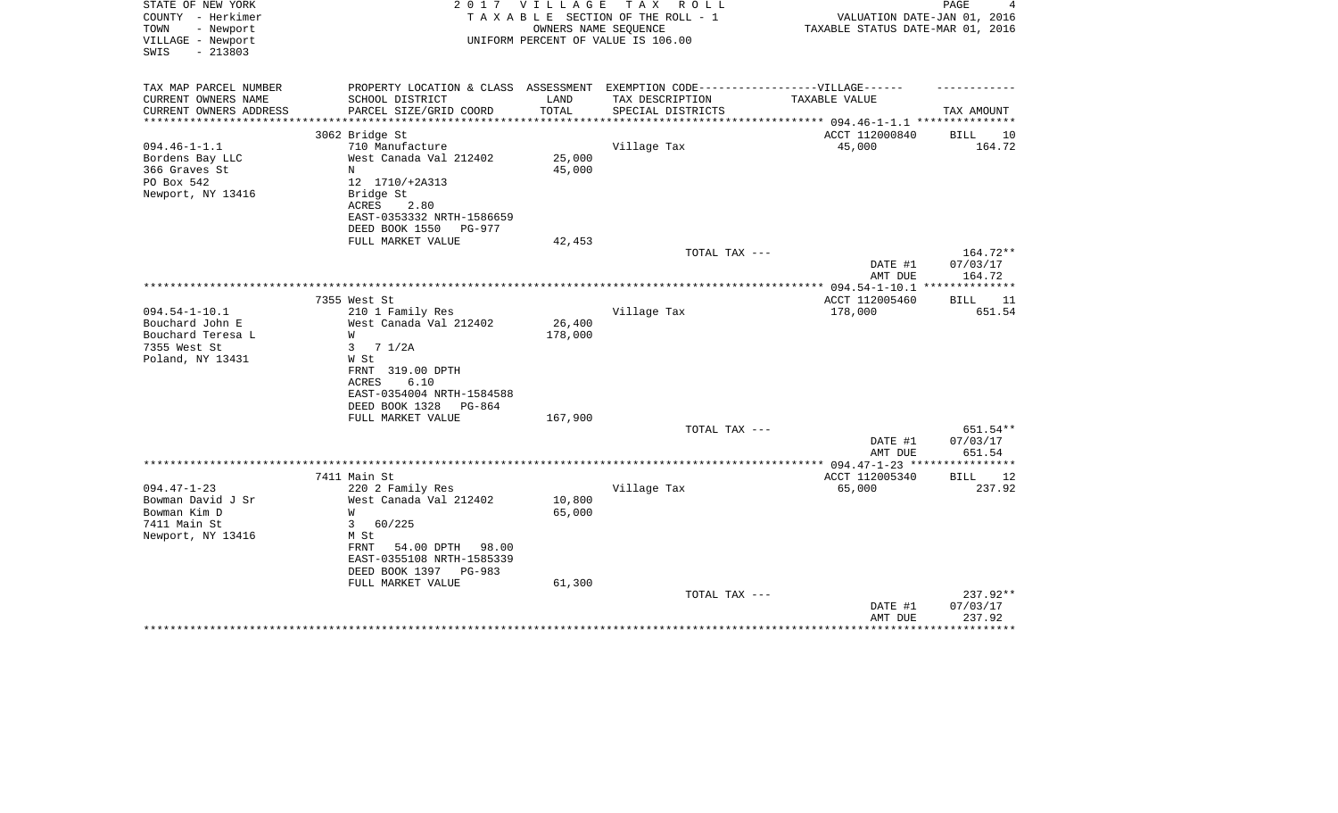| STATE OF NEW YORK<br>COUNTY - Herkimer<br>- Newport<br>TOWN<br>VILLAGE - Newport<br>$-213803$<br>SWIS | 2017                                                                                                                           | <b>VILLAGE</b><br>OWNERS NAME SEOUENCE | тах<br>R O L L<br>TAXABLE SECTION OF THE ROLL - 1<br>UNIFORM PERCENT OF VALUE IS 106.00 | VALUATION DATE-JAN 01, 2016<br>TAXABLE STATUS DATE-MAR 01, 2016 | PAGE                             |
|-------------------------------------------------------------------------------------------------------|--------------------------------------------------------------------------------------------------------------------------------|----------------------------------------|-----------------------------------------------------------------------------------------|-----------------------------------------------------------------|----------------------------------|
| TAX MAP PARCEL NUMBER<br>CURRENT OWNERS NAME<br>CURRENT OWNERS ADDRESS                                | PROPERTY LOCATION & CLASS ASSESSMENT EXEMPTION CODE-----------------VILLAGE------<br>SCHOOL DISTRICT<br>PARCEL SIZE/GRID COORD | LAND<br>TOTAL                          | TAX DESCRIPTION<br>SPECIAL DISTRICTS                                                    | TAXABLE VALUE                                                   | TAX AMOUNT                       |
| **********************                                                                                |                                                                                                                                |                                        |                                                                                         |                                                                 |                                  |
| $094.46 - 1 - 1.1$<br>Bordens Bay LLC<br>366 Graves St                                                | 3062 Bridge St<br>710 Manufacture<br>West Canada Val 212402<br>N                                                               | 25,000<br>45,000                       | Village Tax                                                                             | ACCT 112000840<br>45,000                                        | BILL<br>10<br>164.72             |
| PO Box 542<br>Newport, NY 13416                                                                       | 12 1710/+2A313<br>Bridge St<br>ACRES<br>2.80<br>EAST-0353332 NRTH-1586659<br>DEED BOOK 1550<br>PG-977<br>FULL MARKET VALUE     | 42,453                                 |                                                                                         |                                                                 |                                  |
|                                                                                                       |                                                                                                                                |                                        | TOTAL TAX ---                                                                           | DATE #1<br>AMT DUE                                              | 164.72**<br>07/03/17<br>164.72   |
|                                                                                                       |                                                                                                                                |                                        |                                                                                         |                                                                 |                                  |
| $094.54 - 1 - 10.1$<br>Bouchard John E<br>Bouchard Teresa L<br>7355 West St<br>Poland, NY 13431       | 7355 West St<br>210 1 Family Res<br>West Canada Val 212402<br>W<br>71/2A<br>3<br>W St<br>FRNT 319.00 DPTH<br>6.10<br>ACRES     | 26,400<br>178,000                      | Village Tax                                                                             | ACCT 112005460<br>178,000                                       | BILL<br>11<br>651.54             |
|                                                                                                       | EAST-0354004 NRTH-1584588<br>DEED BOOK 1328<br>PG-864<br>FULL MARKET VALUE                                                     | 167,900                                | TOTAL TAX ---                                                                           |                                                                 | 651.54**<br>07/03/17             |
|                                                                                                       |                                                                                                                                |                                        |                                                                                         | DATE #1<br>AMT DUE                                              | 651.54                           |
|                                                                                                       |                                                                                                                                |                                        |                                                                                         |                                                                 |                                  |
| $094.47 - 1 - 23$                                                                                     | 7411 Main St<br>220 2 Family Res                                                                                               |                                        | Village Tax                                                                             | ACCT 112005340<br>65,000                                        | 12<br>BILL<br>237.92             |
| Bowman David J Sr<br>Bowman Kim D<br>7411 Main St<br>Newport, NY 13416                                | West Canada Val 212402<br>W<br>60/225<br>3<br>M St                                                                             | 10,800<br>65,000                       |                                                                                         |                                                                 |                                  |
|                                                                                                       | 54.00 DPTH<br>98.00<br>FRNT<br>EAST-0355108 NRTH-1585339<br>DEED BOOK 1397<br>PG-983<br>FULL MARKET VALUE                      | 61,300                                 |                                                                                         |                                                                 |                                  |
|                                                                                                       |                                                                                                                                |                                        | TOTAL TAX ---                                                                           | DATE #1<br>AMT DUE                                              | $237.92**$<br>07/03/17<br>237.92 |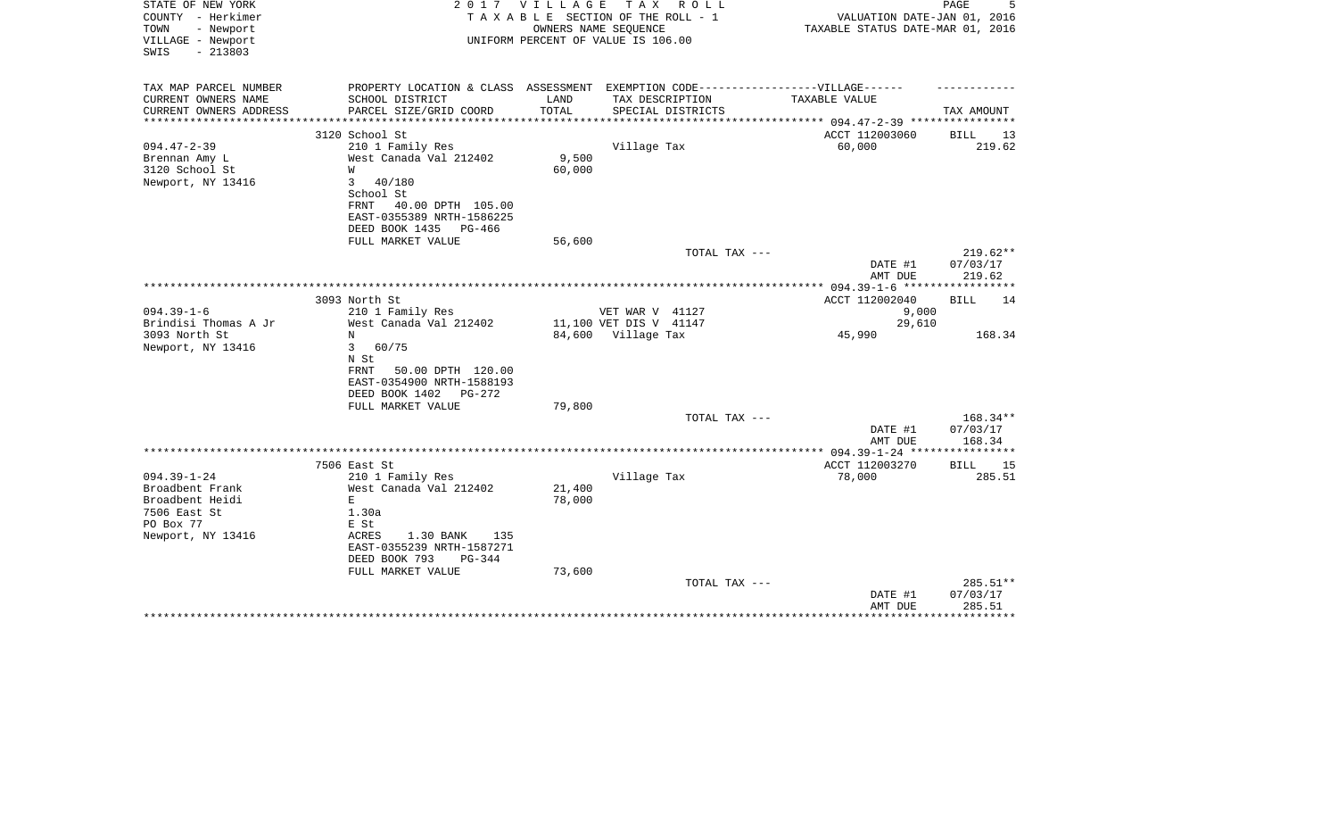| STATE OF NEW YORK<br>COUNTY - Herkimer<br>TOWN<br>- Newport<br>VILLAGE - Newport<br>$-213803$<br>SWIS | 2017                                                                              | VILLAGE            | T A X<br>R O L L<br>TAXABLE SECTION OF THE ROLL - 1<br>OWNERS NAME SEQUENCE<br>UNIFORM PERCENT OF VALUE IS 106.00 | VALUATION DATE-JAN 01, 2016<br>TAXABLE STATUS DATE-MAR 01, 2016 | PAGE               |
|-------------------------------------------------------------------------------------------------------|-----------------------------------------------------------------------------------|--------------------|-------------------------------------------------------------------------------------------------------------------|-----------------------------------------------------------------|--------------------|
| TAX MAP PARCEL NUMBER                                                                                 | PROPERTY LOCATION & CLASS ASSESSMENT EXEMPTION CODE-----------------VILLAGE------ |                    |                                                                                                                   |                                                                 |                    |
| CURRENT OWNERS NAME<br>CURRENT OWNERS ADDRESS                                                         | SCHOOL DISTRICT<br>PARCEL SIZE/GRID COORD                                         | LAND<br>TOTAL      | TAX DESCRIPTION                                                                                                   | TAXABLE VALUE                                                   |                    |
| *************                                                                                         |                                                                                   | ****************** | SPECIAL DISTRICTS                                                                                                 | *************** 094.47-2-39 **********                          | TAX AMOUNT         |
|                                                                                                       | 3120 School St                                                                    |                    |                                                                                                                   | ACCT 112003060                                                  | <b>BILL</b><br>13  |
| $094.47 - 2 - 39$                                                                                     | 210 1 Family Res                                                                  |                    | Village Tax                                                                                                       | 60,000                                                          | 219.62             |
| Brennan Amy L                                                                                         | West Canada Val 212402                                                            | 9,500              |                                                                                                                   |                                                                 |                    |
| 3120 School St                                                                                        | W                                                                                 | 60,000             |                                                                                                                   |                                                                 |                    |
| Newport, NY 13416                                                                                     | 3<br>40/180<br>School St                                                          |                    |                                                                                                                   |                                                                 |                    |
|                                                                                                       | FRNT<br>40.00 DPTH 105.00                                                         |                    |                                                                                                                   |                                                                 |                    |
|                                                                                                       | EAST-0355389 NRTH-1586225                                                         |                    |                                                                                                                   |                                                                 |                    |
|                                                                                                       | DEED BOOK 1435<br>$PG-466$                                                        |                    |                                                                                                                   |                                                                 |                    |
|                                                                                                       | FULL MARKET VALUE                                                                 | 56,600             |                                                                                                                   |                                                                 |                    |
|                                                                                                       |                                                                                   |                    | TOTAL TAX ---                                                                                                     |                                                                 | $219.62**$         |
|                                                                                                       |                                                                                   |                    |                                                                                                                   | DATE #1                                                         | 07/03/17           |
|                                                                                                       |                                                                                   |                    |                                                                                                                   | AMT DUE                                                         | 219.62             |
|                                                                                                       | 3093 North St                                                                     |                    |                                                                                                                   | ACCT 112002040                                                  | BILL<br>14         |
| $094.39 - 1 - 6$                                                                                      | 210 1 Family Res                                                                  |                    | VET WAR V 41127                                                                                                   | 9,000                                                           |                    |
| Brindisi Thomas A Jr                                                                                  | West Canada Val 212402                                                            |                    | 11,100 VET DIS V 41147                                                                                            | 29,610                                                          |                    |
| 3093 North St                                                                                         | N                                                                                 |                    | 84,600 Village Tax                                                                                                | 45,990                                                          | 168.34             |
| Newport, NY 13416                                                                                     | $\mathbf{3}$<br>60/75                                                             |                    |                                                                                                                   |                                                                 |                    |
|                                                                                                       | N St                                                                              |                    |                                                                                                                   |                                                                 |                    |
|                                                                                                       | 50.00 DPTH 120.00<br>FRNT<br>EAST-0354900 NRTH-1588193                            |                    |                                                                                                                   |                                                                 |                    |
|                                                                                                       | DEED BOOK 1402<br>PG-272                                                          |                    |                                                                                                                   |                                                                 |                    |
|                                                                                                       | FULL MARKET VALUE                                                                 | 79,800             |                                                                                                                   |                                                                 |                    |
|                                                                                                       |                                                                                   |                    | TOTAL TAX ---                                                                                                     |                                                                 | $168.34**$         |
|                                                                                                       |                                                                                   |                    |                                                                                                                   | DATE #1                                                         | 07/03/17           |
|                                                                                                       |                                                                                   |                    |                                                                                                                   | AMT DUE                                                         | 168.34             |
|                                                                                                       | 7506 East St                                                                      |                    |                                                                                                                   | ACCT 112003270                                                  | BILL<br>15         |
| $094.39 - 1 - 24$                                                                                     | 210 1 Family Res                                                                  |                    | Village Tax                                                                                                       | 78,000                                                          | 285.51             |
| Broadbent Frank                                                                                       | West Canada Val 212402                                                            | 21,400             |                                                                                                                   |                                                                 |                    |
| Broadbent Heidi                                                                                       | $\mathbf E$                                                                       | 78,000             |                                                                                                                   |                                                                 |                    |
| 7506 East St                                                                                          | 1.30a                                                                             |                    |                                                                                                                   |                                                                 |                    |
| PO Box 77                                                                                             | E St                                                                              |                    |                                                                                                                   |                                                                 |                    |
| Newport, NY 13416                                                                                     | 1.30 BANK<br>ACRES<br>135<br>EAST-0355239 NRTH-1587271                            |                    |                                                                                                                   |                                                                 |                    |
|                                                                                                       | DEED BOOK 793<br>$PG-344$                                                         |                    |                                                                                                                   |                                                                 |                    |
|                                                                                                       | FULL MARKET VALUE                                                                 | 73,600             |                                                                                                                   |                                                                 |                    |
|                                                                                                       |                                                                                   |                    | TOTAL TAX ---                                                                                                     |                                                                 | 285.51**           |
|                                                                                                       |                                                                                   |                    |                                                                                                                   | DATE #1                                                         | 07/03/17           |
|                                                                                                       |                                                                                   |                    |                                                                                                                   | AMT DUE                                                         | 285.51<br>******** |
|                                                                                                       |                                                                                   |                    |                                                                                                                   |                                                                 |                    |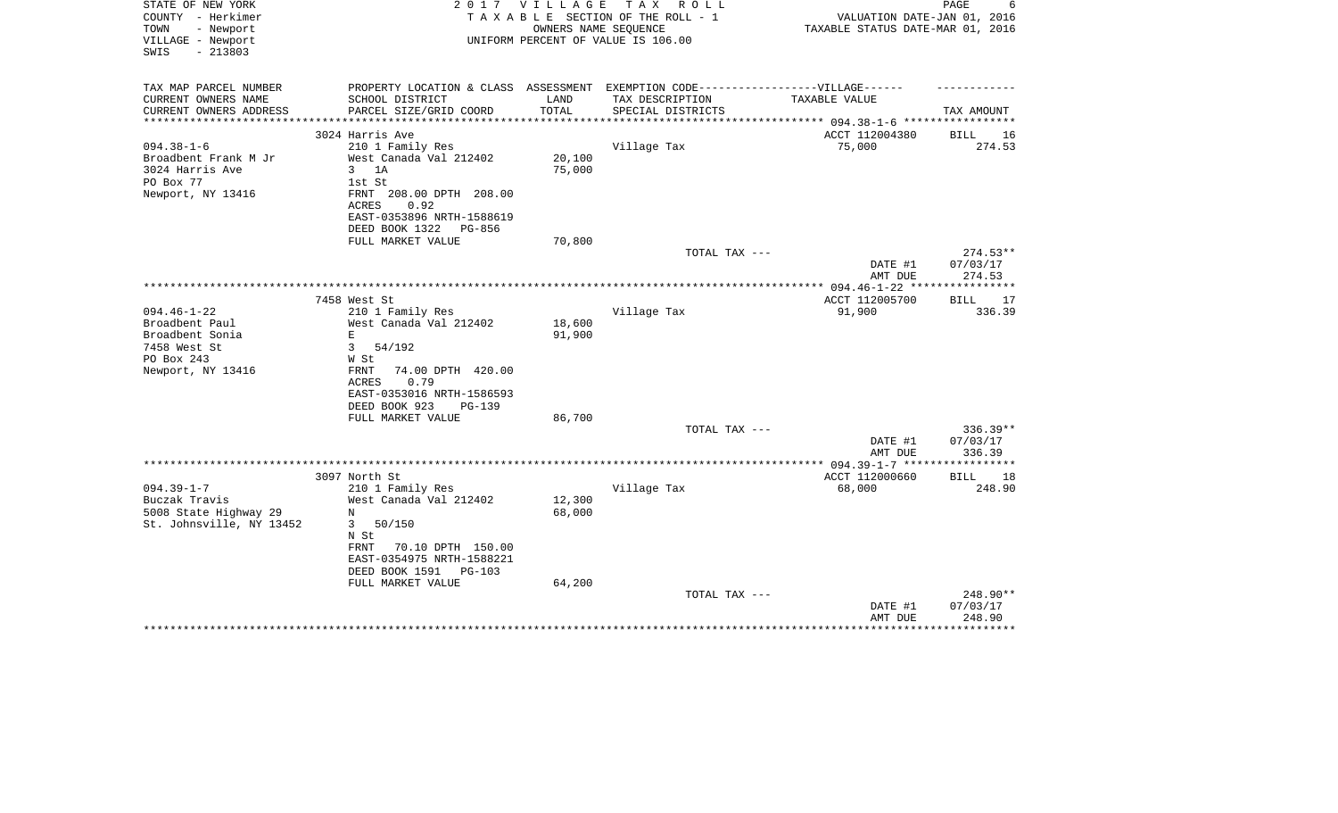| STATE OF NEW YORK<br>COUNTY - Herkimer<br>- Newport<br>TOWN<br>VILLAGE - Newport<br>$-213803$<br>SWIS | 2017                                                                             | <b>VILLAGE</b> | T A X<br>R O L L<br>TAXABLE SECTION OF THE ROLL - 1<br>OWNERS NAME SEOUENCE<br>UNIFORM PERCENT OF VALUE IS 106.00 | VALUATION DATE-JAN 01, 2016<br>TAXABLE STATUS DATE-MAR 01, 2016 | PAGE<br>6          |
|-------------------------------------------------------------------------------------------------------|----------------------------------------------------------------------------------|----------------|-------------------------------------------------------------------------------------------------------------------|-----------------------------------------------------------------|--------------------|
| TAX MAP PARCEL NUMBER                                                                                 | PROPERTY LOCATION & CLASS ASSESSMENT EXEMPTION CODE----------------VILLAGE------ |                |                                                                                                                   |                                                                 |                    |
| CURRENT OWNERS NAME                                                                                   | SCHOOL DISTRICT                                                                  | LAND           | TAX DESCRIPTION                                                                                                   | TAXABLE VALUE                                                   |                    |
| CURRENT OWNERS ADDRESS<br>**********************                                                      | PARCEL SIZE/GRID COORD                                                           | TOTAL          | SPECIAL DISTRICTS                                                                                                 |                                                                 | TAX AMOUNT         |
|                                                                                                       | 3024 Harris Ave                                                                  |                |                                                                                                                   | ACCT 112004380                                                  | 16<br>BILL         |
| $094.38 - 1 - 6$                                                                                      | 210 1 Family Res                                                                 |                | Village Tax                                                                                                       | 75,000                                                          | 274.53             |
| Broadbent Frank M Jr                                                                                  | West Canada Val 212402                                                           | 20,100         |                                                                                                                   |                                                                 |                    |
| 3024 Harris Ave                                                                                       | 1A<br>3                                                                          | 75,000         |                                                                                                                   |                                                                 |                    |
| PO Box 77                                                                                             | 1st St                                                                           |                |                                                                                                                   |                                                                 |                    |
| Newport, NY 13416                                                                                     | 208.00 DPTH 208.00<br>FRNT<br>ACRES<br>0.92                                      |                |                                                                                                                   |                                                                 |                    |
|                                                                                                       | EAST-0353896 NRTH-1588619<br>DEED BOOK 1322<br>PG-856                            |                |                                                                                                                   |                                                                 |                    |
|                                                                                                       | FULL MARKET VALUE                                                                | 70,800         |                                                                                                                   |                                                                 |                    |
|                                                                                                       |                                                                                  |                | TOTAL TAX ---                                                                                                     |                                                                 | 274.53**           |
|                                                                                                       |                                                                                  |                |                                                                                                                   | DATE #1<br>AMT DUE                                              | 07/03/17<br>274.53 |
|                                                                                                       |                                                                                  |                |                                                                                                                   |                                                                 | ***********        |
|                                                                                                       | 7458 West St                                                                     |                |                                                                                                                   | ACCT 112005700                                                  | BILL<br>17         |
| $094.46 - 1 - 22$<br>Broadbent Paul                                                                   | 210 1 Family Res<br>West Canada Val 212402                                       | 18,600         | Village Tax                                                                                                       | 91,900                                                          | 336.39             |
| Broadbent Sonia                                                                                       | E                                                                                | 91,900         |                                                                                                                   |                                                                 |                    |
| 7458 West St                                                                                          | 3<br>54/192                                                                      |                |                                                                                                                   |                                                                 |                    |
| PO Box 243                                                                                            | W St                                                                             |                |                                                                                                                   |                                                                 |                    |
| Newport, NY 13416                                                                                     | 74.00 DPTH 420.00<br>FRNT                                                        |                |                                                                                                                   |                                                                 |                    |
|                                                                                                       | 0.79<br>ACRES                                                                    |                |                                                                                                                   |                                                                 |                    |
|                                                                                                       | EAST-0353016 NRTH-1586593                                                        |                |                                                                                                                   |                                                                 |                    |
|                                                                                                       | DEED BOOK 923<br><b>PG-139</b>                                                   |                |                                                                                                                   |                                                                 |                    |
|                                                                                                       | FULL MARKET VALUE                                                                | 86,700         | TOTAL TAX ---                                                                                                     |                                                                 | 336.39**           |
|                                                                                                       |                                                                                  |                |                                                                                                                   | DATE #1                                                         | 07/03/17           |
|                                                                                                       |                                                                                  |                |                                                                                                                   | AMT DUE                                                         | 336.39             |
|                                                                                                       |                                                                                  |                |                                                                                                                   |                                                                 |                    |
|                                                                                                       | 3097 North St                                                                    |                |                                                                                                                   | ACCT 112000660                                                  | <b>BILL</b><br>18  |
| $094.39 - 1 - 7$                                                                                      | 210 1 Family Res                                                                 |                | Village Tax                                                                                                       | 68,000                                                          | 248.90             |
| Buczak Travis                                                                                         | West Canada Val 212402                                                           | 12,300         |                                                                                                                   |                                                                 |                    |
| 5008 State Highway 29                                                                                 | N<br>3                                                                           | 68,000         |                                                                                                                   |                                                                 |                    |
| St. Johnsville, NY 13452                                                                              | 50/150<br>N St                                                                   |                |                                                                                                                   |                                                                 |                    |
|                                                                                                       | 70.10 DPTH 150.00<br>FRNT                                                        |                |                                                                                                                   |                                                                 |                    |
|                                                                                                       | EAST-0354975 NRTH-1588221                                                        |                |                                                                                                                   |                                                                 |                    |
|                                                                                                       | DEED BOOK 1591<br>PG-103                                                         |                |                                                                                                                   |                                                                 |                    |
|                                                                                                       | FULL MARKET VALUE                                                                | 64,200         |                                                                                                                   |                                                                 |                    |
|                                                                                                       |                                                                                  |                | TOTAL TAX ---                                                                                                     |                                                                 | 248.90**           |
|                                                                                                       |                                                                                  |                |                                                                                                                   | DATE #1                                                         | 07/03/17           |
|                                                                                                       |                                                                                  |                |                                                                                                                   | AMT DUE                                                         | 248.90             |
|                                                                                                       |                                                                                  |                |                                                                                                                   |                                                                 |                    |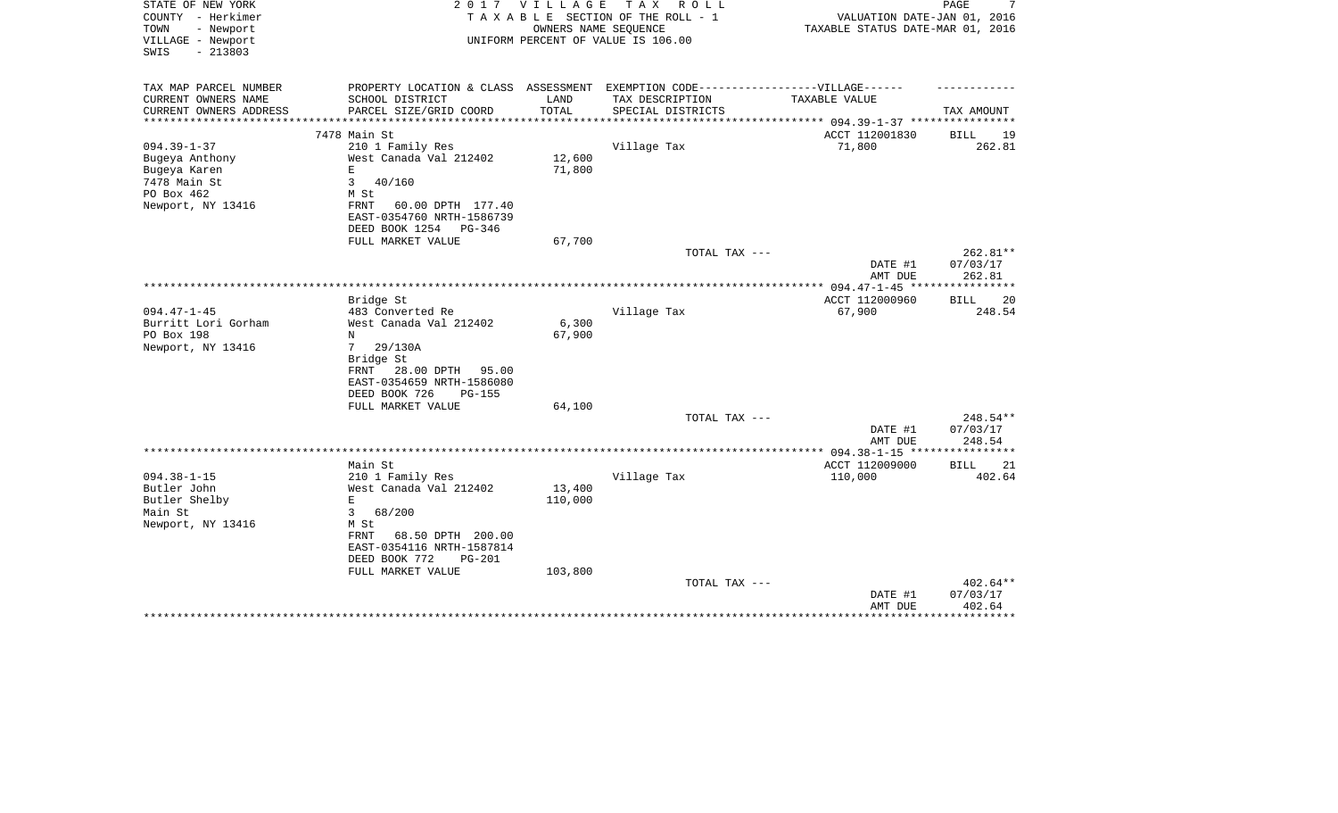| STATE OF NEW YORK<br>COUNTY - Herkimer<br>TOWN<br>- Newport<br>VILLAGE - Newport | 2017                                                                              | <b>VILLAGE</b>       | TAX ROLL<br>TAXABLE SECTION OF THE ROLL - 1<br>OWNERS NAME SEQUENCE<br>UNIFORM PERCENT OF VALUE IS 106.00 | VALUATION DATE-JAN 01, 2016<br>TAXABLE STATUS DATE-MAR 01, 2016 | PAGE<br>7                   |
|----------------------------------------------------------------------------------|-----------------------------------------------------------------------------------|----------------------|-----------------------------------------------------------------------------------------------------------|-----------------------------------------------------------------|-----------------------------|
| $-213803$<br>SWIS                                                                |                                                                                   |                      |                                                                                                           |                                                                 |                             |
| TAX MAP PARCEL NUMBER                                                            | PROPERTY LOCATION & CLASS ASSESSMENT EXEMPTION CODE-----------------VILLAGE------ |                      |                                                                                                           |                                                                 |                             |
| CURRENT OWNERS NAME<br>CURRENT OWNERS ADDRESS                                    | SCHOOL DISTRICT<br>PARCEL SIZE/GRID COORD                                         | LAND<br><b>TOTAL</b> | TAX DESCRIPTION<br>SPECIAL DISTRICTS                                                                      | TAXABLE VALUE                                                   | TAX AMOUNT                  |
|                                                                                  |                                                                                   |                      |                                                                                                           | *********** 094.39-1-37 ************                            |                             |
|                                                                                  | 7478 Main St                                                                      |                      |                                                                                                           | ACCT 112001830                                                  | BILL<br>19                  |
| $094.39 - 1 - 37$                                                                | 210 1 Family Res                                                                  |                      | Village Tax                                                                                               | 71,800                                                          | 262.81                      |
| Bugeya Anthony                                                                   | West Canada Val 212402                                                            | 12,600               |                                                                                                           |                                                                 |                             |
| Bugeya Karen                                                                     | $\mathbf E$                                                                       | 71,800               |                                                                                                           |                                                                 |                             |
| 7478 Main St                                                                     | $\mathbf{3}$<br>40/160                                                            |                      |                                                                                                           |                                                                 |                             |
| PO Box 462<br>Newport, NY 13416                                                  | M St<br>60.00 DPTH 177.40<br>FRNT                                                 |                      |                                                                                                           |                                                                 |                             |
|                                                                                  | EAST-0354760 NRTH-1586739                                                         |                      |                                                                                                           |                                                                 |                             |
|                                                                                  | DEED BOOK 1254<br>PG-346                                                          |                      |                                                                                                           |                                                                 |                             |
|                                                                                  | FULL MARKET VALUE                                                                 | 67,700               |                                                                                                           |                                                                 |                             |
|                                                                                  |                                                                                   |                      | TOTAL TAX ---                                                                                             |                                                                 | 262.81**                    |
|                                                                                  |                                                                                   |                      |                                                                                                           | DATE #1                                                         | 07/03/17                    |
|                                                                                  |                                                                                   |                      |                                                                                                           | AMT DUE                                                         | 262.81                      |
|                                                                                  |                                                                                   |                      |                                                                                                           | *************** 094.47-1-45 *****************                   |                             |
| $094.47 - 1 - 45$                                                                | Bridge St<br>483 Converted Re                                                     |                      | Village Tax                                                                                               | ACCT 112000960<br>67,900                                        | <b>BILL</b><br>20<br>248.54 |
| Burritt Lori Gorham                                                              | West Canada Val 212402                                                            | 6,300                |                                                                                                           |                                                                 |                             |
| PO Box 198                                                                       | N                                                                                 | 67,900               |                                                                                                           |                                                                 |                             |
| Newport, NY 13416                                                                | 7<br>29/130A                                                                      |                      |                                                                                                           |                                                                 |                             |
|                                                                                  | Bridge St                                                                         |                      |                                                                                                           |                                                                 |                             |
|                                                                                  | 28.00 DPTH<br>FRNT<br>95.00                                                       |                      |                                                                                                           |                                                                 |                             |
|                                                                                  | EAST-0354659 NRTH-1586080                                                         |                      |                                                                                                           |                                                                 |                             |
|                                                                                  | DEED BOOK 726<br>$PG-155$                                                         |                      |                                                                                                           |                                                                 |                             |
|                                                                                  | FULL MARKET VALUE                                                                 | 64,100               |                                                                                                           |                                                                 |                             |
|                                                                                  |                                                                                   |                      | TOTAL TAX ---                                                                                             | DATE #1                                                         | 248.54**<br>07/03/17        |
|                                                                                  |                                                                                   |                      |                                                                                                           | AMT DUE                                                         | 248.54                      |
|                                                                                  |                                                                                   |                      |                                                                                                           |                                                                 |                             |
|                                                                                  | Main St                                                                           |                      |                                                                                                           | ACCT 112009000                                                  | <b>BILL</b><br>21           |
| $094.38 - 1 - 15$                                                                | 210 1 Family Res                                                                  |                      | Village Tax                                                                                               | 110,000                                                         | 402.64                      |
| Butler John                                                                      | West Canada Val 212402                                                            | 13,400               |                                                                                                           |                                                                 |                             |
| Butler Shelby                                                                    | $\mathbf E$                                                                       | 110,000              |                                                                                                           |                                                                 |                             |
| Main St                                                                          | $\mathbf{3}$<br>68/200                                                            |                      |                                                                                                           |                                                                 |                             |
| Newport, NY 13416                                                                | M St<br>68.50 DPTH 200.00<br>FRNT                                                 |                      |                                                                                                           |                                                                 |                             |
|                                                                                  | EAST-0354116 NRTH-1587814                                                         |                      |                                                                                                           |                                                                 |                             |
|                                                                                  | DEED BOOK 772<br><b>PG-201</b>                                                    |                      |                                                                                                           |                                                                 |                             |
|                                                                                  | FULL MARKET VALUE                                                                 | 103,800              |                                                                                                           |                                                                 |                             |
|                                                                                  |                                                                                   |                      | TOTAL TAX ---                                                                                             |                                                                 | 402.64**                    |
|                                                                                  |                                                                                   |                      |                                                                                                           | DATE #1                                                         | 07/03/17                    |
|                                                                                  |                                                                                   |                      |                                                                                                           | AMT DUE                                                         | 402.64                      |
|                                                                                  |                                                                                   |                      |                                                                                                           |                                                                 |                             |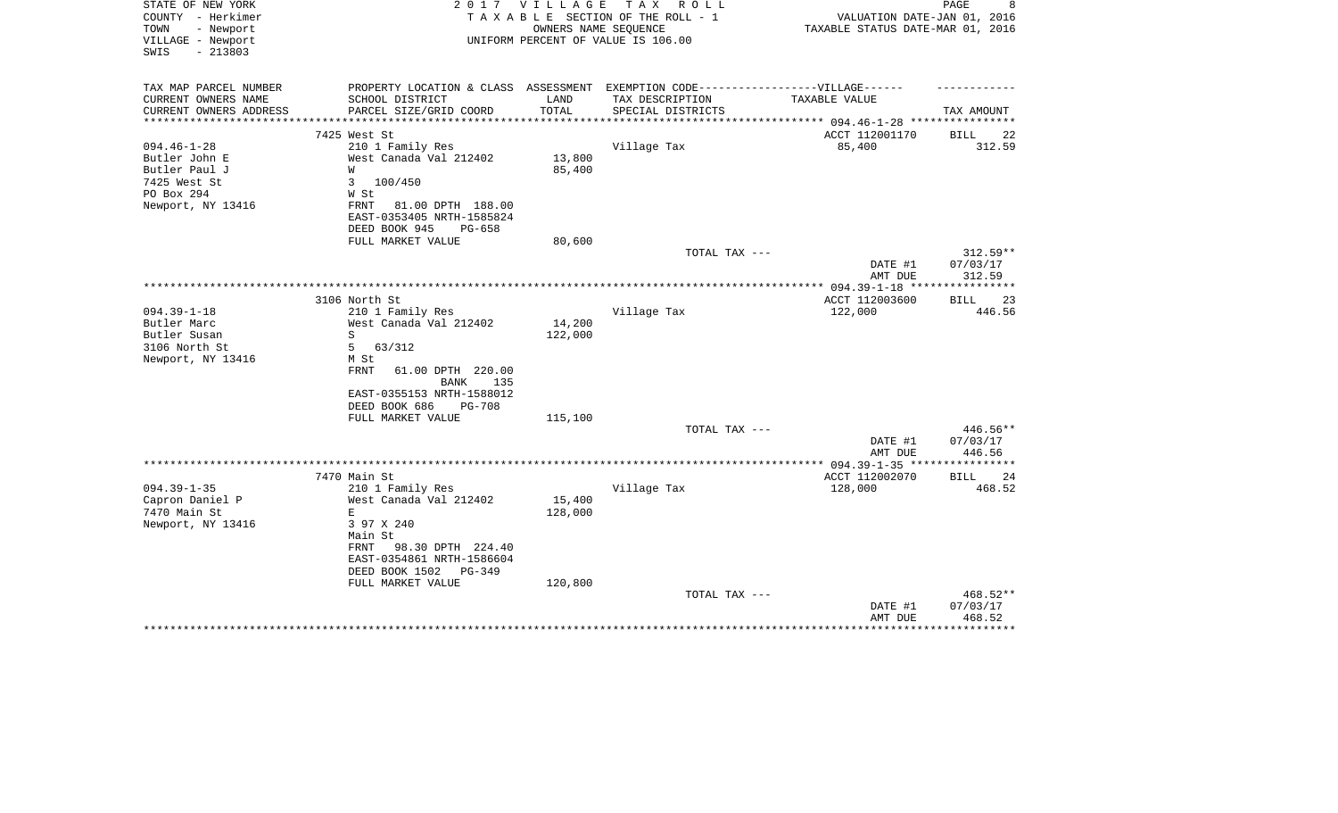| STATE OF NEW YORK<br>COUNTY - Herkimer<br>TOWN<br>- Newport<br>VILLAGE - Newport | 2 0 1 7                                                                           | V I L L A G E | TAX ROLL<br>TAXABLE SECTION OF THE ROLL - 1<br>OWNERS NAME SEQUENCE<br>UNIFORM PERCENT OF VALUE IS 106.00 | VALUATION DATE-JAN 01, 2016<br>TAXABLE STATUS DATE-MAR 01, 2016 | PAGE<br>8            |
|----------------------------------------------------------------------------------|-----------------------------------------------------------------------------------|---------------|-----------------------------------------------------------------------------------------------------------|-----------------------------------------------------------------|----------------------|
| $-213803$<br>SWIS                                                                |                                                                                   |               |                                                                                                           |                                                                 |                      |
| TAX MAP PARCEL NUMBER                                                            | PROPERTY LOCATION & CLASS ASSESSMENT EXEMPTION CODE-----------------VILLAGE------ |               |                                                                                                           |                                                                 |                      |
| CURRENT OWNERS NAME                                                              | SCHOOL DISTRICT                                                                   | LAND          | TAX DESCRIPTION                                                                                           | TAXABLE VALUE                                                   |                      |
| CURRENT OWNERS ADDRESS<br>*******************                                    | PARCEL SIZE/GRID COORD                                                            | TOTAL         | SPECIAL DISTRICTS                                                                                         |                                                                 | TAX AMOUNT           |
| 7425 West St                                                                     |                                                                                   |               |                                                                                                           | ACCT 112001170                                                  | 22<br>BILL           |
| $094.46 - 1 - 28$                                                                | 210 1 Family Res                                                                  |               | Village Tax                                                                                               | 85,400                                                          | 312.59               |
| Butler John E                                                                    | West Canada Val 212402                                                            | 13,800        |                                                                                                           |                                                                 |                      |
| Butler Paul J<br>W                                                               |                                                                                   | 85,400        |                                                                                                           |                                                                 |                      |
| 7425 West St<br>3                                                                | 100/450                                                                           |               |                                                                                                           |                                                                 |                      |
| PO Box 294                                                                       | W St                                                                              |               |                                                                                                           |                                                                 |                      |
| Newport, NY 13416                                                                | FRNT<br>81.00 DPTH 188.00                                                         |               |                                                                                                           |                                                                 |                      |
|                                                                                  | EAST-0353405 NRTH-1585824                                                         |               |                                                                                                           |                                                                 |                      |
|                                                                                  | DEED BOOK 945<br>PG-658<br>FULL MARKET VALUE                                      | 80,600        |                                                                                                           |                                                                 |                      |
|                                                                                  |                                                                                   |               | TOTAL TAX ---                                                                                             |                                                                 | 312.59**             |
|                                                                                  |                                                                                   |               |                                                                                                           | DATE #1                                                         | 07/03/17             |
|                                                                                  |                                                                                   |               |                                                                                                           | AMT DUE                                                         | 312.59               |
|                                                                                  |                                                                                   |               |                                                                                                           | ************** 094.39-1-18 ***                                  |                      |
|                                                                                  | 3106 North St                                                                     |               |                                                                                                           | ACCT 112003600                                                  | 23<br>BILL           |
| $094.39 - 1 - 18$                                                                | 210 1 Family Res                                                                  |               | Village Tax                                                                                               | 122,000                                                         | 446.56               |
| Butler Marc                                                                      | West Canada Val 212402                                                            | 14,200        |                                                                                                           |                                                                 |                      |
| S<br>Butler Susan                                                                |                                                                                   | 122,000       |                                                                                                           |                                                                 |                      |
| 3106 North St<br>5                                                               | 63/312<br>M St                                                                    |               |                                                                                                           |                                                                 |                      |
| Newport, NY 13416                                                                | <b>FRNT</b><br>61.00 DPTH 220.00<br>BANK<br>135                                   |               |                                                                                                           |                                                                 |                      |
|                                                                                  | EAST-0355153 NRTH-1588012                                                         |               |                                                                                                           |                                                                 |                      |
|                                                                                  | DEED BOOK 686<br><b>PG-708</b>                                                    |               |                                                                                                           |                                                                 |                      |
|                                                                                  | FULL MARKET VALUE                                                                 | 115,100       |                                                                                                           |                                                                 |                      |
|                                                                                  |                                                                                   |               | TOTAL TAX ---                                                                                             |                                                                 | 446.56**             |
|                                                                                  |                                                                                   |               |                                                                                                           | DATE #1                                                         | 07/03/17             |
|                                                                                  |                                                                                   |               |                                                                                                           | AMT DUE                                                         | 446.56               |
| 7470 Main St                                                                     |                                                                                   |               |                                                                                                           | ACCT 112002070                                                  | BILL<br>24           |
| $094.39 - 1 - 35$                                                                | 210 1 Family Res                                                                  |               | Village Tax                                                                                               | 128,000                                                         | 468.52               |
| Capron Daniel P                                                                  | West Canada Val 212402                                                            | 15,400        |                                                                                                           |                                                                 |                      |
| 7470 Main St<br>$\mathbf E$                                                      |                                                                                   | 128,000       |                                                                                                           |                                                                 |                      |
| Newport, NY 13416                                                                | 3 97 X 240                                                                        |               |                                                                                                           |                                                                 |                      |
|                                                                                  | Main St                                                                           |               |                                                                                                           |                                                                 |                      |
|                                                                                  | FRNT<br>98.30 DPTH 224.40                                                         |               |                                                                                                           |                                                                 |                      |
|                                                                                  | EAST-0354861 NRTH-1586604                                                         |               |                                                                                                           |                                                                 |                      |
|                                                                                  | DEED BOOK 1502<br>PG-349                                                          |               |                                                                                                           |                                                                 |                      |
|                                                                                  | FULL MARKET VALUE                                                                 | 120,800       |                                                                                                           |                                                                 |                      |
|                                                                                  |                                                                                   |               | TOTAL TAX ---                                                                                             | DATE #1                                                         | 468.52**<br>07/03/17 |
|                                                                                  |                                                                                   |               |                                                                                                           | AMT DUE                                                         | 468.52               |
|                                                                                  |                                                                                   |               |                                                                                                           |                                                                 |                      |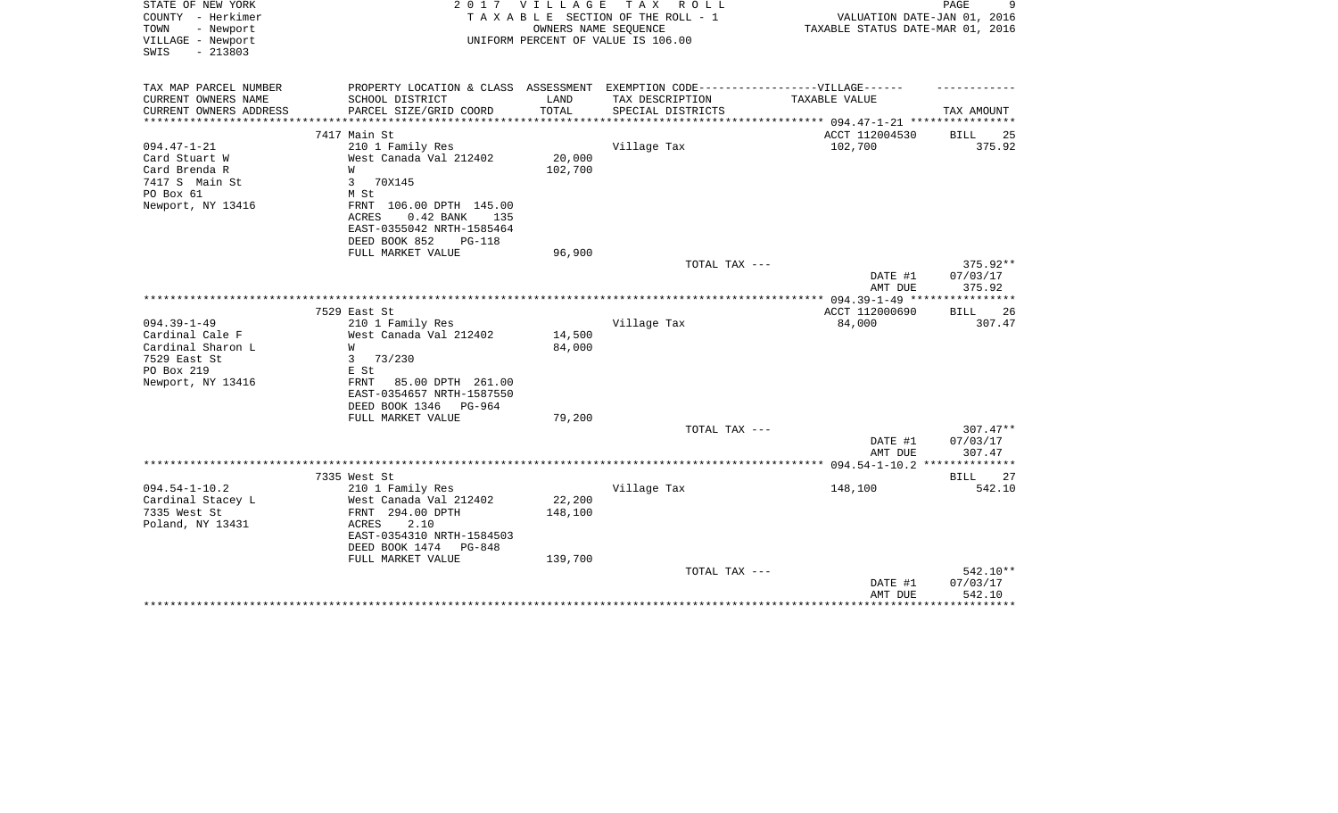| STATE OF NEW YORK<br>COUNTY - Herkimer<br>TOWN<br>- Newport<br>VILLAGE - Newport<br>$-213803$<br>SWIS | 2 0 1 7                                    | <b>VILLAGE</b><br>OWNERS NAME SEQUENCE | T A X<br>R O L L<br>TAXABLE SECTION OF THE ROLL - 1<br>UNIFORM PERCENT OF VALUE IS 106.00            | VALUATION DATE-JAN 01, 2016<br>TAXABLE STATUS DATE-MAR 01, 2016 | 9<br>PAGE         |
|-------------------------------------------------------------------------------------------------------|--------------------------------------------|----------------------------------------|------------------------------------------------------------------------------------------------------|-----------------------------------------------------------------|-------------------|
| TAX MAP PARCEL NUMBER<br>CURRENT OWNERS NAME                                                          | SCHOOL DISTRICT                            | LAND                                   | PROPERTY LOCATION & CLASS ASSESSMENT EXEMPTION CODE-----------------VILLAGE------<br>TAX DESCRIPTION | TAXABLE VALUE                                                   |                   |
| CURRENT OWNERS ADDRESS                                                                                | PARCEL SIZE/GRID COORD                     | TOTAL                                  | SPECIAL DISTRICTS                                                                                    |                                                                 | TAX AMOUNT        |
| ********************                                                                                  |                                            | *************                          |                                                                                                      |                                                                 |                   |
|                                                                                                       | 7417 Main St                               |                                        |                                                                                                      | ACCT 112004530                                                  | 25<br><b>BILL</b> |
| $094.47 - 1 - 21$                                                                                     | 210 1 Family Res                           |                                        | Village Tax                                                                                          | 102,700                                                         | 375.92            |
| Card Stuart W                                                                                         | West Canada Val 212402                     | 20,000                                 |                                                                                                      |                                                                 |                   |
| Card Brenda R                                                                                         | W                                          | 102,700                                |                                                                                                      |                                                                 |                   |
| 7417 S Main St                                                                                        | 3<br>70X145                                |                                        |                                                                                                      |                                                                 |                   |
| PO Box 61<br>Newport, NY 13416                                                                        | M St<br>FRNT 106.00 DPTH 145.00            |                                        |                                                                                                      |                                                                 |                   |
|                                                                                                       | 0.42 BANK<br>ACRES<br>135                  |                                        |                                                                                                      |                                                                 |                   |
|                                                                                                       | EAST-0355042 NRTH-1585464                  |                                        |                                                                                                      |                                                                 |                   |
|                                                                                                       | DEED BOOK 852<br>$PG-118$                  |                                        |                                                                                                      |                                                                 |                   |
|                                                                                                       | FULL MARKET VALUE                          | 96,900                                 |                                                                                                      |                                                                 |                   |
|                                                                                                       |                                            |                                        | TOTAL TAX ---                                                                                        |                                                                 | 375.92**          |
|                                                                                                       |                                            |                                        |                                                                                                      | DATE #1                                                         | 07/03/17          |
|                                                                                                       |                                            |                                        |                                                                                                      | AMT DUE                                                         | 375.92            |
|                                                                                                       | 7529 East St                               |                                        |                                                                                                      | ACCT 112000690                                                  | BILL<br>26        |
| $094.39 - 1 - 49$                                                                                     | 210 1 Family Res                           |                                        | Village Tax                                                                                          | 84,000                                                          | 307.47            |
| Cardinal Cale F                                                                                       | West Canada Val 212402                     | 14,500                                 |                                                                                                      |                                                                 |                   |
| Cardinal Sharon L                                                                                     | W                                          | 84,000                                 |                                                                                                      |                                                                 |                   |
| 7529 East St                                                                                          | 3<br>73/230                                |                                        |                                                                                                      |                                                                 |                   |
| PO Box 219                                                                                            | E St                                       |                                        |                                                                                                      |                                                                 |                   |
| Newport, NY 13416                                                                                     | 85.00 DPTH 261.00<br>FRNT                  |                                        |                                                                                                      |                                                                 |                   |
|                                                                                                       | EAST-0354657 NRTH-1587550                  |                                        |                                                                                                      |                                                                 |                   |
|                                                                                                       | DEED BOOK 1346<br>PG-964                   |                                        |                                                                                                      |                                                                 |                   |
|                                                                                                       | FULL MARKET VALUE                          | 79,200                                 | TOTAL TAX ---                                                                                        |                                                                 | $307.47**$        |
|                                                                                                       |                                            |                                        |                                                                                                      | DATE #1                                                         | 07/03/17          |
|                                                                                                       |                                            |                                        |                                                                                                      | AMT DUE                                                         | 307.47            |
|                                                                                                       |                                            |                                        |                                                                                                      |                                                                 |                   |
|                                                                                                       | 7335 West St                               |                                        |                                                                                                      |                                                                 | <b>BILL</b><br>27 |
| $094.54 - 1 - 10.2$                                                                                   | 210 1 Family Res                           |                                        | Village Tax                                                                                          | 148,100                                                         | 542.10            |
| Cardinal Stacey L                                                                                     | West Canada Val 212402                     | 22,200                                 |                                                                                                      |                                                                 |                   |
| 7335 West St                                                                                          | FRNT 294.00 DPTH                           | 148,100                                |                                                                                                      |                                                                 |                   |
| Poland, NY 13431                                                                                      | 2.10<br>ACRES<br>EAST-0354310 NRTH-1584503 |                                        |                                                                                                      |                                                                 |                   |
|                                                                                                       | DEED BOOK 1474<br><b>PG-848</b>            |                                        |                                                                                                      |                                                                 |                   |
|                                                                                                       | FULL MARKET VALUE                          | 139,700                                |                                                                                                      |                                                                 |                   |
|                                                                                                       |                                            |                                        | TOTAL TAX ---                                                                                        |                                                                 | 542.10**          |
|                                                                                                       |                                            |                                        |                                                                                                      | DATE #1                                                         | 07/03/17          |
|                                                                                                       |                                            |                                        |                                                                                                      | AMT DUE                                                         | 542.10            |
|                                                                                                       |                                            |                                        |                                                                                                      |                                                                 | ********          |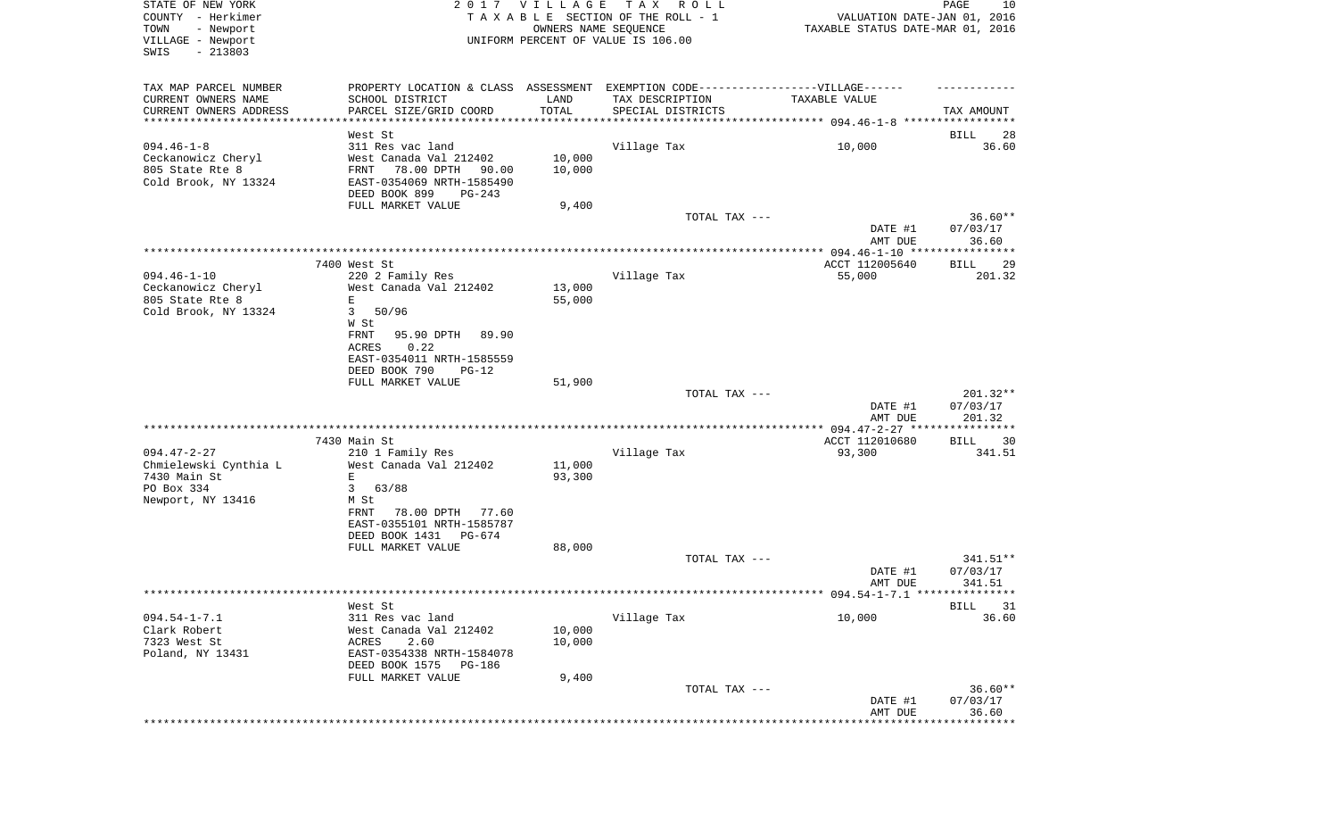| STATE OF NEW YORK<br>COUNTY - Herkimer<br>- Newport<br>TOWN<br>VILLAGE - Newport<br>SWIS<br>$-213803$ |                                                                                  | 2017 VILLAGE<br>OWNERS NAME SEQUENCE | TAX ROLL<br>TAXABLE SECTION OF THE ROLL - 1<br>UNIFORM PERCENT OF VALUE IS 106.00 | VALUATION DATE-JAN 01, 2016<br>TAXABLE STATUS DATE-MAR 01, 2016 | PAGE<br>10            |
|-------------------------------------------------------------------------------------------------------|----------------------------------------------------------------------------------|--------------------------------------|-----------------------------------------------------------------------------------|-----------------------------------------------------------------|-----------------------|
| TAX MAP PARCEL NUMBER                                                                                 | PROPERTY LOCATION & CLASS ASSESSMENT EXEMPTION CODE----------------VILLAGE------ |                                      |                                                                                   |                                                                 |                       |
| CURRENT OWNERS NAME                                                                                   | SCHOOL DISTRICT                                                                  | LAND                                 | TAX DESCRIPTION                                                                   | TAXABLE VALUE                                                   |                       |
| CURRENT OWNERS ADDRESS<br>**********************                                                      | PARCEL SIZE/GRID COORD                                                           | TOTAL                                | SPECIAL DISTRICTS                                                                 |                                                                 | TAX AMOUNT            |
|                                                                                                       | West St                                                                          |                                      |                                                                                   |                                                                 | BILL<br>28            |
| $094.46 - 1 - 8$                                                                                      | 311 Res vac land                                                                 |                                      | Village Tax                                                                       | 10,000                                                          | 36.60                 |
| Ceckanowicz Cheryl                                                                                    | West Canada Val 212402                                                           | 10,000                               |                                                                                   |                                                                 |                       |
| 805 State Rte 8                                                                                       | FRNT<br>78.00 DPTH<br>90.00                                                      | 10,000                               |                                                                                   |                                                                 |                       |
| Cold Brook, NY 13324                                                                                  | EAST-0354069 NRTH-1585490<br>DEED BOOK 899<br>PG-243                             |                                      |                                                                                   |                                                                 |                       |
|                                                                                                       | FULL MARKET VALUE                                                                | 9,400                                |                                                                                   |                                                                 |                       |
|                                                                                                       |                                                                                  |                                      | TOTAL TAX ---                                                                     |                                                                 | $36.60**$             |
|                                                                                                       |                                                                                  |                                      |                                                                                   | DATE #1<br>AMT DUE                                              | 07/03/17<br>36.60     |
|                                                                                                       |                                                                                  |                                      |                                                                                   |                                                                 |                       |
| $094.46 - 1 - 10$                                                                                     | 7400 West St<br>220 2 Family Res                                                 |                                      | Village Tax                                                                       | ACCT 112005640<br>55,000                                        | BILL<br>29<br>201.32  |
| Ceckanowicz Cheryl                                                                                    | West Canada Val 212402                                                           | 13,000                               |                                                                                   |                                                                 |                       |
| 805 State Rte 8                                                                                       | Ε                                                                                | 55,000                               |                                                                                   |                                                                 |                       |
| Cold Brook, NY 13324                                                                                  | 50/96<br>3                                                                       |                                      |                                                                                   |                                                                 |                       |
|                                                                                                       | W St                                                                             |                                      |                                                                                   |                                                                 |                       |
|                                                                                                       | FRNT<br>95.90 DPTH<br>89.90<br>ACRES<br>0.22                                     |                                      |                                                                                   |                                                                 |                       |
|                                                                                                       | EAST-0354011 NRTH-1585559                                                        |                                      |                                                                                   |                                                                 |                       |
|                                                                                                       | DEED BOOK 790<br>$PG-12$                                                         |                                      |                                                                                   |                                                                 |                       |
|                                                                                                       | FULL MARKET VALUE                                                                | 51,900                               |                                                                                   |                                                                 |                       |
|                                                                                                       |                                                                                  |                                      | TOTAL TAX ---                                                                     |                                                                 | 201.32**              |
|                                                                                                       |                                                                                  |                                      |                                                                                   | DATE #1<br>AMT DUE                                              | 07/03/17<br>201.32    |
|                                                                                                       |                                                                                  |                                      |                                                                                   |                                                                 | ***********           |
|                                                                                                       | 7430 Main St                                                                     |                                      |                                                                                   | ACCT 112010680                                                  | 30<br>BILL            |
| $094.47 - 2 - 27$                                                                                     | 210 1 Family Res                                                                 |                                      | Village Tax                                                                       | 93,300                                                          | 341.51                |
| Chmielewski Cynthia L                                                                                 | West Canada Val 212402                                                           | 11,000                               |                                                                                   |                                                                 |                       |
| 7430 Main St<br>PO Box 334                                                                            | E<br>3<br>63/88                                                                  | 93,300                               |                                                                                   |                                                                 |                       |
| Newport, NY 13416                                                                                     | M St                                                                             |                                      |                                                                                   |                                                                 |                       |
|                                                                                                       | 78.00 DPTH<br>FRNT<br>77.60                                                      |                                      |                                                                                   |                                                                 |                       |
|                                                                                                       | EAST-0355101 NRTH-1585787                                                        |                                      |                                                                                   |                                                                 |                       |
|                                                                                                       | DEED BOOK 1431<br>PG-674                                                         |                                      |                                                                                   |                                                                 |                       |
|                                                                                                       | FULL MARKET VALUE                                                                | 88,000                               | TOTAL TAX ---                                                                     |                                                                 | 341.51**              |
|                                                                                                       |                                                                                  |                                      |                                                                                   | DATE #1                                                         | 07/03/17              |
|                                                                                                       |                                                                                  |                                      |                                                                                   | AMT DUE                                                         | 341.51                |
|                                                                                                       |                                                                                  |                                      |                                                                                   |                                                                 |                       |
|                                                                                                       | West St                                                                          |                                      |                                                                                   |                                                                 | BILL<br>31            |
| $094.54 - 1 - 7.1$<br>Clark Robert                                                                    | 311 Res vac land<br>West Canada Val 212402                                       | 10,000                               | Village Tax                                                                       | 10,000                                                          | 36.60                 |
| 7323 West St                                                                                          | 2.60<br>ACRES                                                                    | 10,000                               |                                                                                   |                                                                 |                       |
| Poland, NY 13431                                                                                      | EAST-0354338 NRTH-1584078                                                        |                                      |                                                                                   |                                                                 |                       |
|                                                                                                       | DEED BOOK 1575<br>PG-186                                                         |                                      |                                                                                   |                                                                 |                       |
|                                                                                                       | FULL MARKET VALUE                                                                | 9,400                                |                                                                                   |                                                                 |                       |
|                                                                                                       |                                                                                  |                                      | TOTAL TAX ---                                                                     | DATE #1                                                         | $36.60**$<br>07/03/17 |
|                                                                                                       |                                                                                  |                                      |                                                                                   | AMT DUE                                                         | 36.60                 |
|                                                                                                       |                                                                                  |                                      |                                                                                   |                                                                 |                       |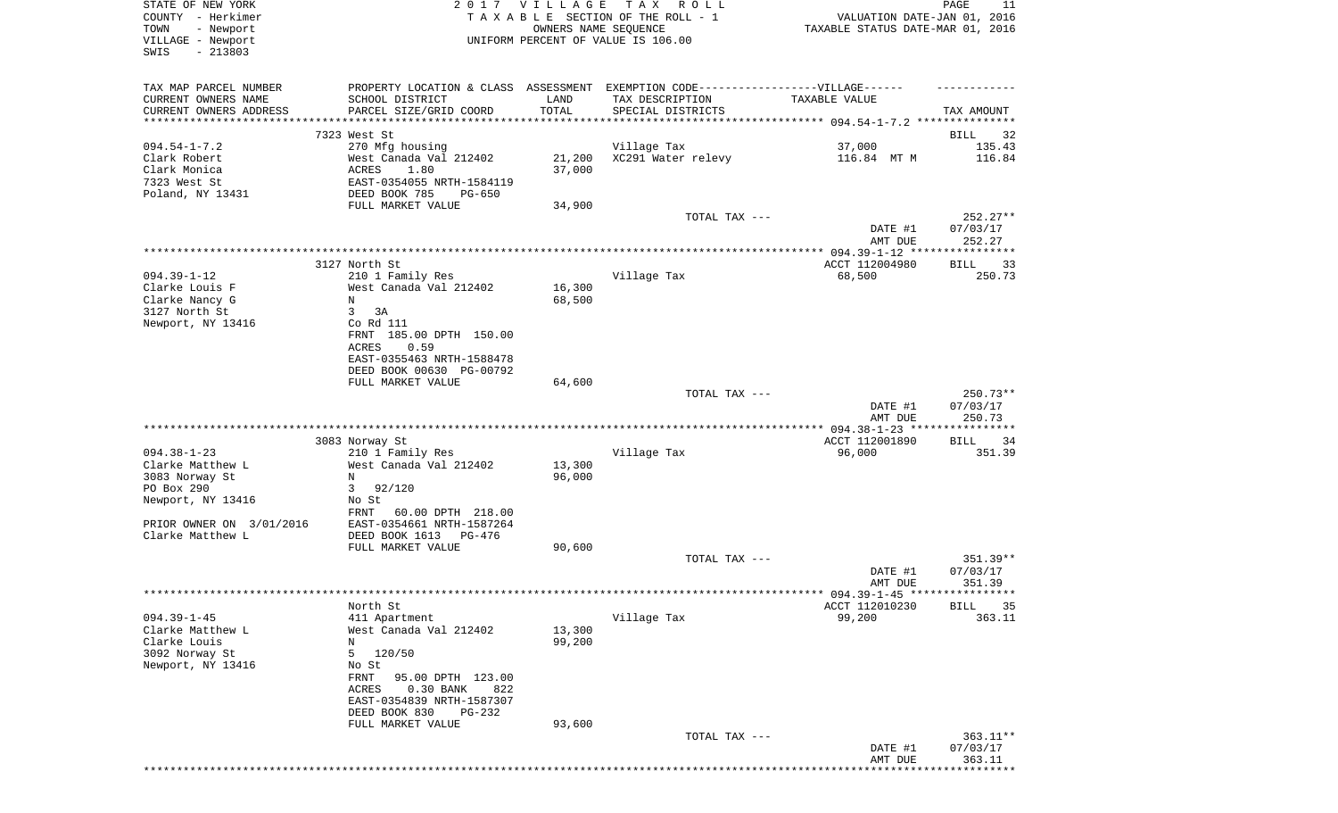| STATE OF NEW YORK<br>COUNTY - Herkimer |                                    | 2017 VILLAGE         | TAX ROLL<br>TAXABLE SECTION OF THE ROLL - 1                                       | VALUATION DATE-JAN 01, 2016            | PAGE<br>11           |
|----------------------------------------|------------------------------------|----------------------|-----------------------------------------------------------------------------------|----------------------------------------|----------------------|
| TOWN<br>- Newport                      |                                    | OWNERS NAME SEQUENCE |                                                                                   | TAXABLE STATUS DATE-MAR 01, 2016       |                      |
| VILLAGE - Newport                      |                                    |                      | UNIFORM PERCENT OF VALUE IS 106.00                                                |                                        |                      |
| $-213803$<br>SWIS                      |                                    |                      |                                                                                   |                                        |                      |
| TAX MAP PARCEL NUMBER                  |                                    |                      | PROPERTY LOCATION & CLASS ASSESSMENT EXEMPTION CODE-----------------VILLAGE------ |                                        |                      |
| CURRENT OWNERS NAME                    | SCHOOL DISTRICT                    | LAND                 | TAX DESCRIPTION                                                                   | TAXABLE VALUE                          |                      |
| CURRENT OWNERS ADDRESS                 | PARCEL SIZE/GRID COORD             | TOTAL                | SPECIAL DISTRICTS                                                                 |                                        | TAX AMOUNT           |
| ********************                   | **************************         | ***********          |                                                                                   |                                        |                      |
|                                        | 7323 West St                       |                      |                                                                                   |                                        | BILL<br>32           |
| $094.54 - 1 - 7.2$                     | 270 Mfg housing                    |                      | Village Tax                                                                       | 37,000                                 | 135.43               |
| Clark Robert                           | West Canada Val 212402             | 21,200               | XC291 Water relevy                                                                | 116.84 MT M                            | 116.84               |
| Clark Monica                           | ACRES<br>1.80                      | 37,000               |                                                                                   |                                        |                      |
| 7323 West St                           | EAST-0354055 NRTH-1584119          |                      |                                                                                   |                                        |                      |
| Poland, NY 13431                       | DEED BOOK 785<br>PG-650            |                      |                                                                                   |                                        |                      |
|                                        | FULL MARKET VALUE                  | 34,900               |                                                                                   |                                        |                      |
|                                        |                                    |                      | TOTAL TAX ---                                                                     |                                        | $252.27**$           |
|                                        |                                    |                      |                                                                                   | DATE #1                                | 07/03/17             |
|                                        |                                    |                      |                                                                                   | AMT DUE                                | 252.27               |
|                                        | 3127 North St                      |                      |                                                                                   | ACCT 112004980                         | BILL<br>33           |
| $094.39 - 1 - 12$                      | 210 1 Family Res                   |                      | Village Tax                                                                       | 68,500                                 | 250.73               |
| Clarke Louis F                         | West Canada Val 212402             | 16,300               |                                                                                   |                                        |                      |
| Clarke Nancy G                         | N                                  | 68,500               |                                                                                   |                                        |                      |
| 3127 North St                          | 3<br>3A                            |                      |                                                                                   |                                        |                      |
| Newport, NY 13416                      | Co Rd 111                          |                      |                                                                                   |                                        |                      |
|                                        | FRNT 185.00 DPTH 150.00            |                      |                                                                                   |                                        |                      |
|                                        | ACRES<br>0.59                      |                      |                                                                                   |                                        |                      |
|                                        | EAST-0355463 NRTH-1588478          |                      |                                                                                   |                                        |                      |
|                                        | DEED BOOK 00630 PG-00792           |                      |                                                                                   |                                        |                      |
|                                        | FULL MARKET VALUE                  | 64,600               |                                                                                   |                                        |                      |
|                                        |                                    |                      | TOTAL TAX ---                                                                     |                                        | 250.73**             |
|                                        |                                    |                      |                                                                                   | DATE #1                                | 07/03/17             |
|                                        |                                    |                      |                                                                                   | AMT DUE                                | 250.73               |
|                                        |                                    |                      |                                                                                   |                                        |                      |
| $094.38 - 1 - 23$                      | 3083 Norway St<br>210 1 Family Res |                      | Village Tax                                                                       | ACCT 112001890<br>96,000               | 34<br>BILL<br>351.39 |
| Clarke Matthew L                       | West Canada Val 212402             | 13,300               |                                                                                   |                                        |                      |
| 3083 Norway St                         | N                                  | 96,000               |                                                                                   |                                        |                      |
| PO Box 290                             | 92/120<br>3                        |                      |                                                                                   |                                        |                      |
| Newport, NY 13416                      | No St                              |                      |                                                                                   |                                        |                      |
|                                        | FRNT<br>60.00 DPTH 218.00          |                      |                                                                                   |                                        |                      |
| PRIOR OWNER ON 3/01/2016               | EAST-0354661 NRTH-1587264          |                      |                                                                                   |                                        |                      |
| Clarke Matthew L                       | DEED BOOK 1613<br>PG-476           |                      |                                                                                   |                                        |                      |
|                                        | FULL MARKET VALUE                  | 90,600               |                                                                                   |                                        |                      |
|                                        |                                    |                      | TOTAL TAX ---                                                                     |                                        | 351.39**             |
|                                        |                                    |                      |                                                                                   | DATE #1                                | 07/03/17             |
|                                        |                                    |                      |                                                                                   | AMT DUE                                | 351.39               |
|                                        |                                    |                      |                                                                                   | ******** 094.39-1-45 ***************** |                      |
|                                        | North St                           |                      |                                                                                   | ACCT 112010230                         | <b>BILL</b><br>35    |
| $094.39 - 1 - 45$                      | 411 Apartment                      |                      | Village Tax                                                                       | 99,200                                 | 363.11               |
| Clarke Matthew L                       | West Canada Val 212402             | 13,300               |                                                                                   |                                        |                      |
| Clarke Louis                           | Ν                                  | 99,200               |                                                                                   |                                        |                      |
| 3092 Norway St                         | 120/50<br>5                        |                      |                                                                                   |                                        |                      |
| Newport, NY 13416                      | No St<br>FRNT<br>95.00 DPTH 123.00 |                      |                                                                                   |                                        |                      |
|                                        | $0.30$ BANK<br>822<br>ACRES        |                      |                                                                                   |                                        |                      |
|                                        | EAST-0354839 NRTH-1587307          |                      |                                                                                   |                                        |                      |
|                                        | DEED BOOK 830<br>PG-232            |                      |                                                                                   |                                        |                      |
|                                        | FULL MARKET VALUE                  | 93,600               |                                                                                   |                                        |                      |
|                                        |                                    |                      | TOTAL TAX ---                                                                     |                                        | 363.11**             |
|                                        |                                    |                      |                                                                                   | DATE #1                                | 07/03/17             |
|                                        |                                    |                      |                                                                                   | AMT DUE                                | 363.11               |
|                                        |                                    |                      |                                                                                   |                                        |                      |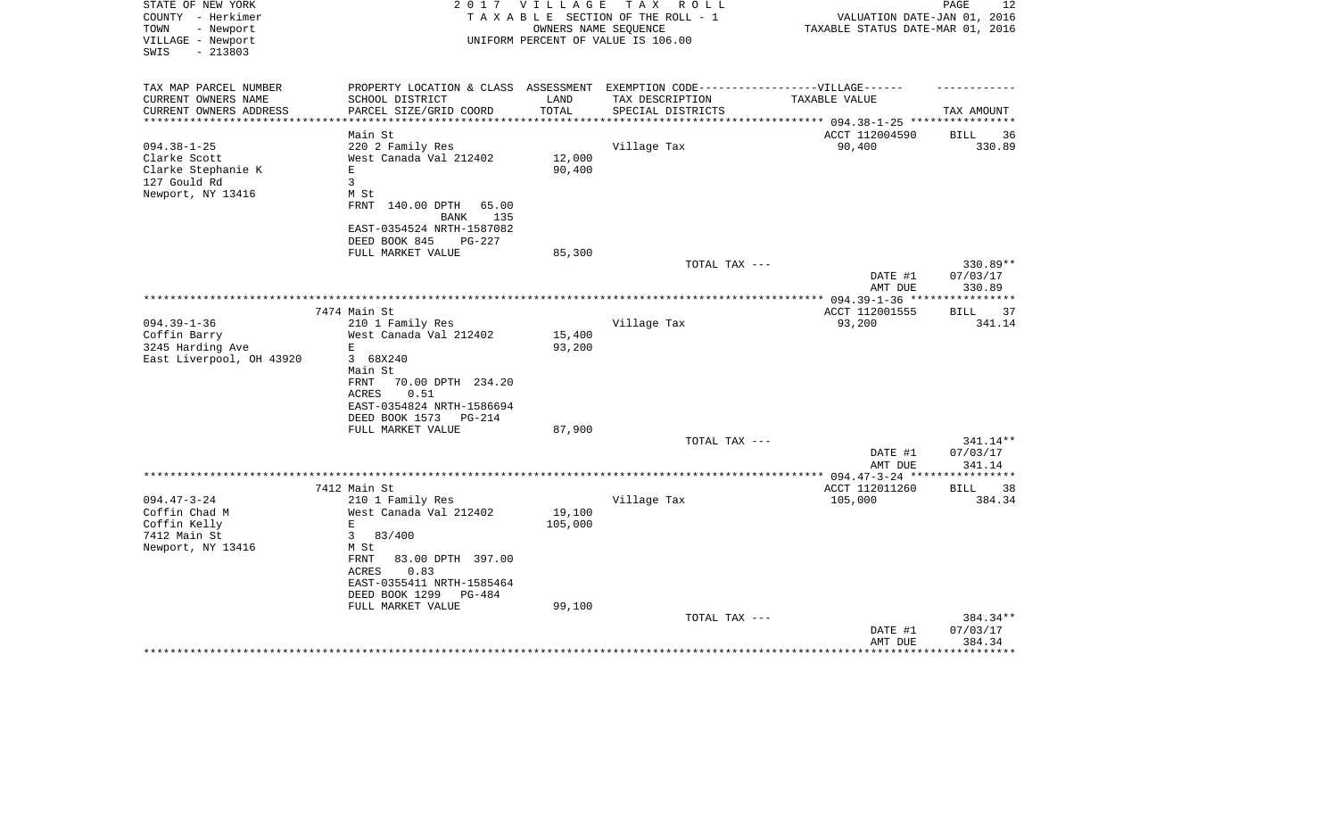| STATE OF NEW YORK<br>COUNTY - Herkimer<br>TOWN<br>- Newport<br>VILLAGE - Newport<br>$-213803$<br>SWIS | 2017                                                                              | <b>VILLAGE</b>   | T A X<br>R O L L<br>TAXABLE SECTION OF THE ROLL - 1<br>OWNERS NAME SEQUENCE<br>UNIFORM PERCENT OF VALUE IS 106.00 | VALUATION DATE-JAN 01, 2016<br>TAXABLE STATUS DATE-MAR 01, 2016 | PAGE<br>12                     |
|-------------------------------------------------------------------------------------------------------|-----------------------------------------------------------------------------------|------------------|-------------------------------------------------------------------------------------------------------------------|-----------------------------------------------------------------|--------------------------------|
| TAX MAP PARCEL NUMBER<br>CURRENT OWNERS NAME<br>CURRENT OWNERS ADDRESS                                | PROPERTY LOCATION & CLASS ASSESSMENT<br>SCHOOL DISTRICT<br>PARCEL SIZE/GRID COORD | LAND<br>TOTAL    | EXEMPTION CODE-----------------VILLAGE------<br>TAX DESCRIPTION<br>SPECIAL DISTRICTS                              | TAXABLE VALUE                                                   | TAX AMOUNT                     |
| **********************                                                                                | ****************************                                                      |                  |                                                                                                                   |                                                                 |                                |
|                                                                                                       | Main St                                                                           |                  |                                                                                                                   | ACCT 112004590                                                  | 36<br>BILL                     |
| $094.38 - 1 - 25$                                                                                     | 220 2 Family Res                                                                  |                  | Village Tax                                                                                                       | 90,400                                                          | 330.89                         |
| Clarke Scott<br>Clarke Stephanie K                                                                    | West Canada Val 212402<br>$\mathbf E$                                             | 12,000<br>90,400 |                                                                                                                   |                                                                 |                                |
| 127 Gould Rd                                                                                          | $\overline{3}$                                                                    |                  |                                                                                                                   |                                                                 |                                |
| Newport, NY 13416                                                                                     | M St                                                                              |                  |                                                                                                                   |                                                                 |                                |
|                                                                                                       | FRNT<br>140.00 DPTH<br>65.00<br>135<br>BANK                                       |                  |                                                                                                                   |                                                                 |                                |
|                                                                                                       | EAST-0354524 NRTH-1587082<br>DEED BOOK 845<br>PG-227                              |                  |                                                                                                                   |                                                                 |                                |
|                                                                                                       | FULL MARKET VALUE                                                                 | 85,300           |                                                                                                                   |                                                                 |                                |
|                                                                                                       |                                                                                   |                  | TOTAL TAX ---                                                                                                     | DATE #1<br>AMT DUE                                              | 330.89**<br>07/03/17<br>330.89 |
|                                                                                                       |                                                                                   |                  |                                                                                                                   |                                                                 | ***********                    |
|                                                                                                       | 7474 Main St                                                                      |                  |                                                                                                                   | ACCT 112001555                                                  | BILL<br>37                     |
| $094.39 - 1 - 36$                                                                                     | 210 1 Family Res                                                                  |                  | Village Tax                                                                                                       | 93,200                                                          | 341.14                         |
| Coffin Barry                                                                                          | West Canada Val 212402<br>E                                                       | 15,400           |                                                                                                                   |                                                                 |                                |
| 3245 Harding Ave<br>East Liverpool, OH 43920                                                          | 3 68X240                                                                          | 93,200           |                                                                                                                   |                                                                 |                                |
|                                                                                                       | Main St                                                                           |                  |                                                                                                                   |                                                                 |                                |
|                                                                                                       | FRNT<br>70.00 DPTH 234.20                                                         |                  |                                                                                                                   |                                                                 |                                |
|                                                                                                       | 0.51<br>ACRES                                                                     |                  |                                                                                                                   |                                                                 |                                |
|                                                                                                       | EAST-0354824 NRTH-1586694                                                         |                  |                                                                                                                   |                                                                 |                                |
|                                                                                                       | DEED BOOK 1573<br>PG-214                                                          |                  |                                                                                                                   |                                                                 |                                |
|                                                                                                       | FULL MARKET VALUE                                                                 | 87,900           |                                                                                                                   |                                                                 |                                |
|                                                                                                       |                                                                                   |                  | TOTAL TAX ---                                                                                                     |                                                                 | 341.14**                       |
|                                                                                                       |                                                                                   |                  |                                                                                                                   | DATE #1<br>AMT DUE                                              | 07/03/17<br>341.14             |
|                                                                                                       | 7412 Main St                                                                      |                  |                                                                                                                   | ACCT 112011260                                                  | 38<br>BILL                     |
| $094.47 - 3 - 24$                                                                                     | 210 1 Family Res                                                                  |                  | Village Tax                                                                                                       | 105,000                                                         | 384.34                         |
| Coffin Chad M                                                                                         | West Canada Val 212402                                                            | 19,100           |                                                                                                                   |                                                                 |                                |
| Coffin Kelly                                                                                          | $\mathbf E$                                                                       | 105,000          |                                                                                                                   |                                                                 |                                |
| 7412 Main St                                                                                          | 3<br>83/400                                                                       |                  |                                                                                                                   |                                                                 |                                |
| Newport, NY 13416                                                                                     | M St                                                                              |                  |                                                                                                                   |                                                                 |                                |
|                                                                                                       | FRNT<br>83.00 DPTH 397.00<br>0.83<br>ACRES                                        |                  |                                                                                                                   |                                                                 |                                |
|                                                                                                       | EAST-0355411 NRTH-1585464                                                         |                  |                                                                                                                   |                                                                 |                                |
|                                                                                                       | DEED BOOK 1299<br>PG-484                                                          |                  |                                                                                                                   |                                                                 |                                |
|                                                                                                       | FULL MARKET VALUE                                                                 | 99,100           |                                                                                                                   |                                                                 |                                |
|                                                                                                       |                                                                                   |                  | TOTAL TAX ---                                                                                                     |                                                                 | 384.34**                       |
|                                                                                                       |                                                                                   |                  |                                                                                                                   | DATE #1<br>AMT DUE                                              | 07/03/17<br>384.34             |
|                                                                                                       |                                                                                   |                  |                                                                                                                   |                                                                 | ********                       |
|                                                                                                       |                                                                                   |                  |                                                                                                                   |                                                                 |                                |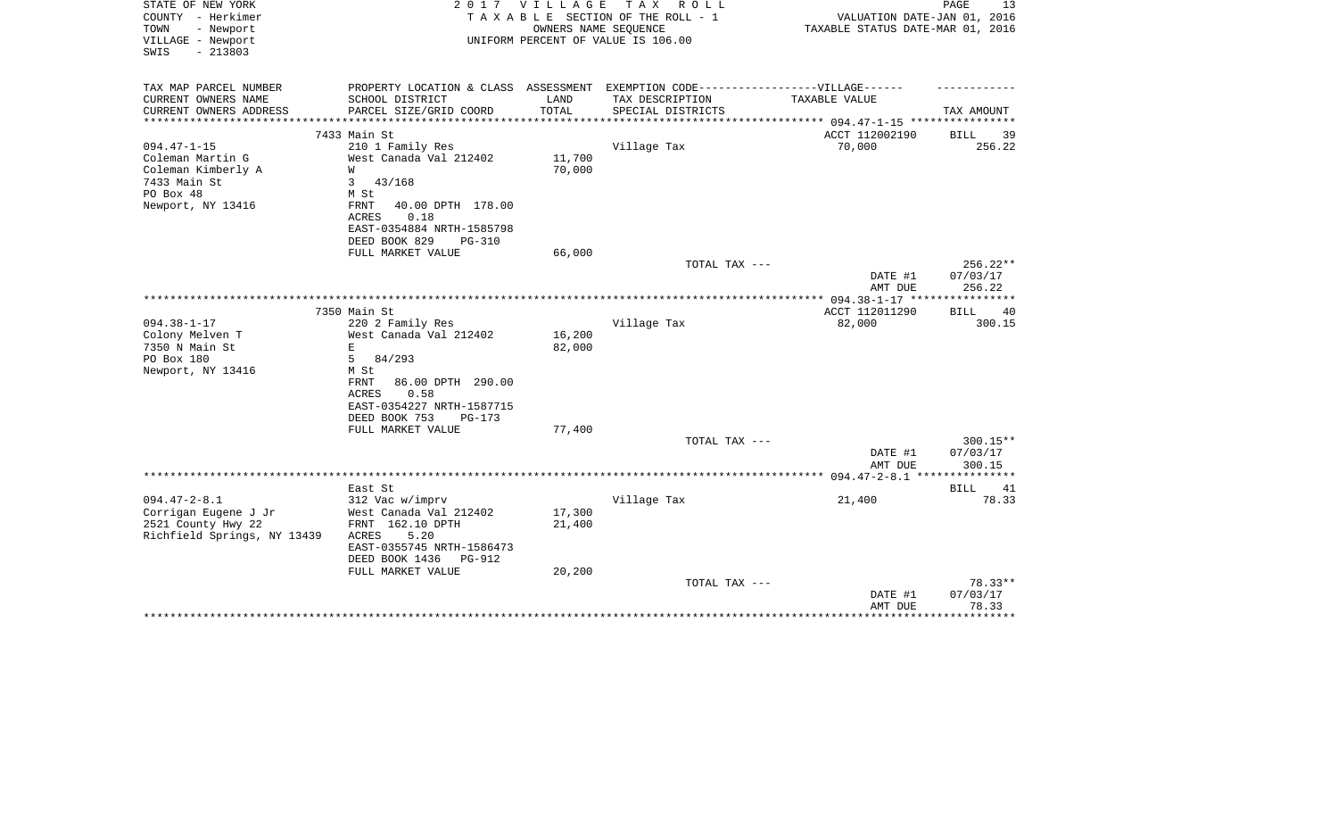| STATE OF NEW YORK<br>COUNTY - Herkimer<br>- Newport<br>TOWN<br>VILLAGE - Newport<br>$-213803$<br>SWIS | 2017                                       | VILLAGE<br>OWNERS NAME SEQUENCE | T A X<br>R O L L<br>TAXABLE SECTION OF THE ROLL - 1<br>UNIFORM PERCENT OF VALUE IS 106.00 | VALUATION DATE-JAN 01, 2016<br>TAXABLE STATUS DATE-MAR 01, 2016 | PAGE<br>13             |
|-------------------------------------------------------------------------------------------------------|--------------------------------------------|---------------------------------|-------------------------------------------------------------------------------------------|-----------------------------------------------------------------|------------------------|
|                                                                                                       |                                            |                                 |                                                                                           |                                                                 |                        |
| TAX MAP PARCEL NUMBER                                                                                 |                                            |                                 | PROPERTY LOCATION & CLASS ASSESSMENT EXEMPTION CODE----------------VILLAGE------          |                                                                 |                        |
| CURRENT OWNERS NAME<br>CURRENT OWNERS ADDRESS                                                         | SCHOOL DISTRICT<br>PARCEL SIZE/GRID COORD  | LAND<br>TOTAL                   | TAX DESCRIPTION<br>SPECIAL DISTRICTS                                                      | TAXABLE VALUE                                                   | TAX AMOUNT             |
|                                                                                                       | 7433 Main St                               |                                 |                                                                                           | ACCT 112002190                                                  | BILL<br>39             |
| $094.47 - 1 - 15$                                                                                     | 210 1 Family Res                           |                                 | Village Tax                                                                               | 70,000                                                          | 256.22                 |
| Coleman Martin G                                                                                      | West Canada Val 212402                     | 11,700                          |                                                                                           |                                                                 |                        |
| Coleman Kimberly A<br>7433 Main St                                                                    | W<br>43/168<br>3                           | 70,000                          |                                                                                           |                                                                 |                        |
| PO Box 48                                                                                             | M St                                       |                                 |                                                                                           |                                                                 |                        |
| Newport, NY 13416                                                                                     | 40.00 DPTH 178.00<br>FRNT<br>ACRES<br>0.18 |                                 |                                                                                           |                                                                 |                        |
|                                                                                                       | EAST-0354884 NRTH-1585798                  |                                 |                                                                                           |                                                                 |                        |
|                                                                                                       | DEED BOOK 829<br><b>PG-310</b>             |                                 |                                                                                           |                                                                 |                        |
|                                                                                                       | FULL MARKET VALUE                          | 66,000                          |                                                                                           |                                                                 |                        |
|                                                                                                       |                                            |                                 | TOTAL TAX ---                                                                             | DATE #1                                                         | $256.22**$<br>07/03/17 |
|                                                                                                       |                                            |                                 |                                                                                           | AMT DUE                                                         | 256.22                 |
|                                                                                                       |                                            |                                 |                                                                                           |                                                                 |                        |
|                                                                                                       | 7350 Main St                               |                                 |                                                                                           | ACCT 112011290                                                  | <b>BILL</b><br>40      |
| $094.38 - 1 - 17$                                                                                     | 220 2 Family Res                           |                                 | Village Tax                                                                               | 82,000                                                          | 300.15                 |
| Colony Melven T                                                                                       | West Canada Val 212402                     | 16,200                          |                                                                                           |                                                                 |                        |
| 7350 N Main St<br>PO Box 180                                                                          | E<br>5<br>84/293                           | 82,000                          |                                                                                           |                                                                 |                        |
| Newport, NY 13416                                                                                     | M St                                       |                                 |                                                                                           |                                                                 |                        |
|                                                                                                       | FRNT<br>86.00 DPTH 290.00                  |                                 |                                                                                           |                                                                 |                        |
|                                                                                                       | ACRES<br>0.58                              |                                 |                                                                                           |                                                                 |                        |
|                                                                                                       | EAST-0354227 NRTH-1587715                  |                                 |                                                                                           |                                                                 |                        |
|                                                                                                       | DEED BOOK 753<br>PG-173                    |                                 |                                                                                           |                                                                 |                        |
|                                                                                                       | FULL MARKET VALUE                          | 77,400                          |                                                                                           |                                                                 |                        |
|                                                                                                       |                                            |                                 | TOTAL TAX ---                                                                             | DATE #1                                                         | 300.15**<br>07/03/17   |
|                                                                                                       |                                            |                                 |                                                                                           | AMT DUE                                                         | 300.15                 |
|                                                                                                       |                                            |                                 |                                                                                           |                                                                 | ******                 |
|                                                                                                       | East St                                    |                                 |                                                                                           |                                                                 | BILL<br>41             |
| $094.47 - 2 - 8.1$                                                                                    | 312 Vac w/imprv                            |                                 | Village Tax                                                                               | 21,400                                                          | 78.33                  |
| Corrigan Eugene J Jr                                                                                  | West Canada Val 212402<br>FRNT 162.10 DPTH | 17,300                          |                                                                                           |                                                                 |                        |
| 2521 County Hwy 22<br>Richfield Springs, NY 13439                                                     | ACRES<br>5.20                              | 21,400                          |                                                                                           |                                                                 |                        |
|                                                                                                       | EAST-0355745 NRTH-1586473                  |                                 |                                                                                           |                                                                 |                        |
|                                                                                                       | DEED BOOK 1436<br><b>PG-912</b>            |                                 |                                                                                           |                                                                 |                        |
|                                                                                                       | FULL MARKET VALUE                          | 20,200                          |                                                                                           |                                                                 |                        |
|                                                                                                       |                                            |                                 | TOTAL TAX ---                                                                             |                                                                 | 78.33**                |
|                                                                                                       |                                            |                                 |                                                                                           | DATE #1                                                         | 07/03/17               |
|                                                                                                       |                                            |                                 |                                                                                           | AMT DUE                                                         | 78.33<br>********      |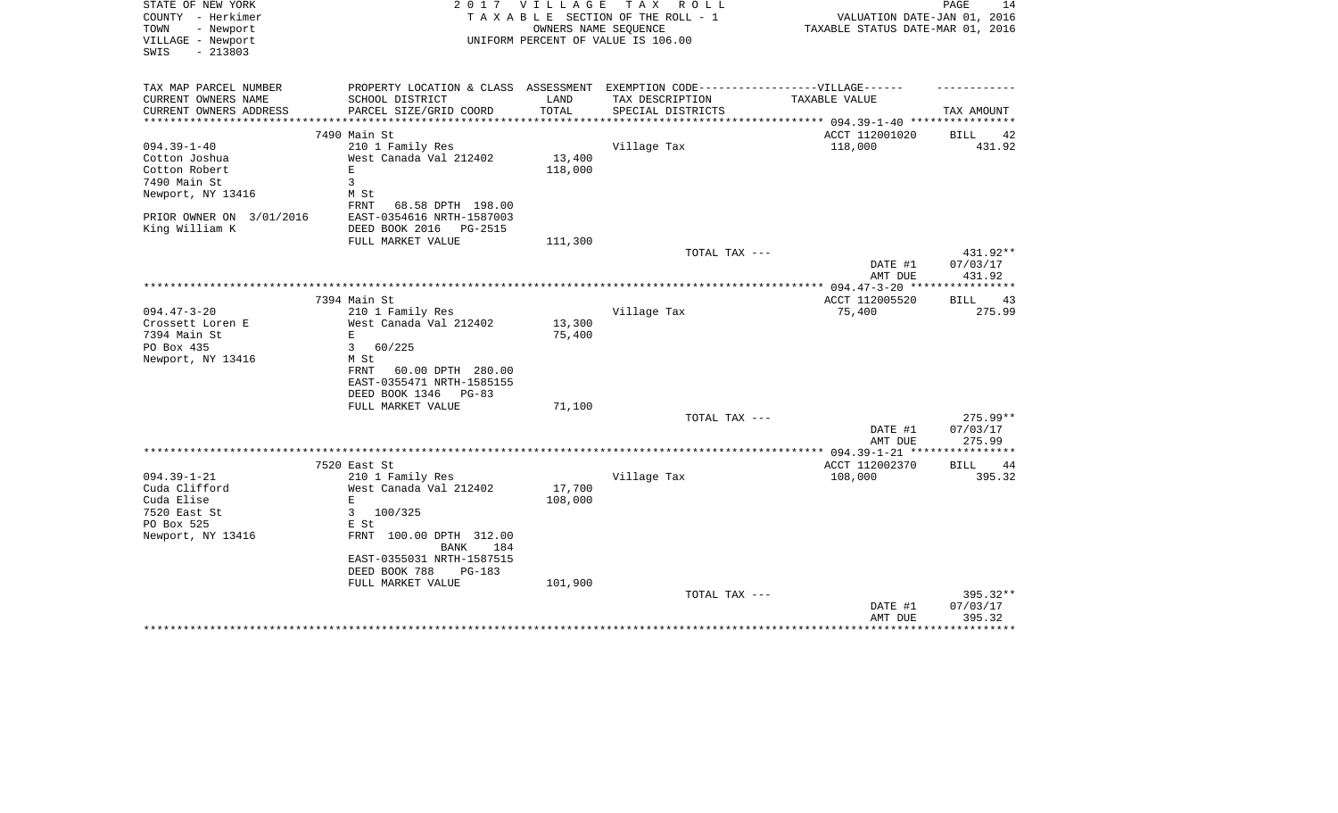| STATE OF NEW YORK<br>COUNTY - Herkimer                      | 2 0 1 7                                                                           | <b>VILLAGE</b>   | T A X<br>R O L L<br>TAXABLE SECTION OF THE ROLL - 1        | VALUATION DATE-JAN 01, 2016      | PAGE<br>14             |
|-------------------------------------------------------------|-----------------------------------------------------------------------------------|------------------|------------------------------------------------------------|----------------------------------|------------------------|
| - Newport<br>TOWN<br>VILLAGE - Newport<br>$-213803$<br>SWIS |                                                                                   |                  | OWNERS NAME SEQUENCE<br>UNIFORM PERCENT OF VALUE IS 106.00 | TAXABLE STATUS DATE-MAR 01, 2016 |                        |
| TAX MAP PARCEL NUMBER                                       | PROPERTY LOCATION & CLASS ASSESSMENT EXEMPTION CODE-----------------VILLAGE------ |                  |                                                            |                                  |                        |
| CURRENT OWNERS NAME                                         | SCHOOL DISTRICT                                                                   | LAND             | TAX DESCRIPTION                                            | TAXABLE VALUE                    |                        |
| CURRENT OWNERS ADDRESS                                      | PARCEL SIZE/GRID COORD                                                            | TOTAL            | SPECIAL DISTRICTS                                          | ********* 094.39-1-40 ****       | TAX AMOUNT             |
|                                                             | 7490 Main St                                                                      |                  |                                                            | ACCT 112001020                   | BILL<br>42             |
| $094.39 - 1 - 40$                                           | 210 1 Family Res                                                                  |                  | Village Tax                                                | 118,000                          | 431.92                 |
| Cotton Joshua                                               | West Canada Val 212402                                                            | 13,400           |                                                            |                                  |                        |
| Cotton Robert                                               | $\mathbf E$                                                                       | 118,000          |                                                            |                                  |                        |
| 7490 Main St                                                | 3                                                                                 |                  |                                                            |                                  |                        |
| Newport, NY 13416                                           | M St<br>FRNT<br>68.58 DPTH 198.00                                                 |                  |                                                            |                                  |                        |
| PRIOR OWNER ON 3/01/2016                                    | EAST-0354616 NRTH-1587003                                                         |                  |                                                            |                                  |                        |
| King William K                                              | DEED BOOK 2016<br>PG-2515<br>FULL MARKET VALUE                                    | 111,300          |                                                            |                                  |                        |
|                                                             |                                                                                   |                  | TOTAL TAX ---                                              |                                  | 431.92**               |
|                                                             |                                                                                   |                  |                                                            | DATE #1<br>AMT DUE               | 07/03/17<br>431.92     |
|                                                             |                                                                                   |                  |                                                            | *** $094.47 - 3 - 20$ ***        |                        |
|                                                             | 7394 Main St                                                                      |                  |                                                            | ACCT 112005520                   | 43<br>BILL             |
| $094.47 - 3 - 20$                                           | 210 1 Family Res                                                                  |                  | Village Tax                                                | 75,400                           | 275.99                 |
| Crossett Loren E<br>7394 Main St                            | West Canada Val 212402<br>E                                                       | 13,300<br>75,400 |                                                            |                                  |                        |
| PO Box 435                                                  | 3<br>60/225                                                                       |                  |                                                            |                                  |                        |
| Newport, NY 13416                                           | M St                                                                              |                  |                                                            |                                  |                        |
|                                                             | 60.00 DPTH 280.00<br>FRNT                                                         |                  |                                                            |                                  |                        |
|                                                             | EAST-0355471 NRTH-1585155                                                         |                  |                                                            |                                  |                        |
|                                                             | DEED BOOK 1346<br>$PG-83$                                                         |                  |                                                            |                                  |                        |
|                                                             | FULL MARKET VALUE                                                                 | 71,100           |                                                            |                                  |                        |
|                                                             |                                                                                   |                  | TOTAL TAX ---                                              | DATE #1                          | 275.99**<br>07/03/17   |
|                                                             |                                                                                   |                  |                                                            | AMT DUE                          | 275.99                 |
|                                                             |                                                                                   |                  |                                                            |                                  |                        |
|                                                             | 7520 East St                                                                      |                  |                                                            | ACCT 112002370                   | <b>BILL</b><br>44      |
| $094.39 - 1 - 21$                                           | 210 1 Family Res                                                                  |                  | Village Tax                                                | 108,000                          | 395.32                 |
| Cuda Clifford                                               | West Canada Val 212402                                                            | 17,700           |                                                            |                                  |                        |
| Cuda Elise<br>7520 East St                                  | E<br>3<br>100/325                                                                 | 108,000          |                                                            |                                  |                        |
| PO Box 525                                                  | E St                                                                              |                  |                                                            |                                  |                        |
| Newport, NY 13416                                           | FRNT 100.00 DPTH 312.00                                                           |                  |                                                            |                                  |                        |
|                                                             | <b>BANK</b><br>184                                                                |                  |                                                            |                                  |                        |
|                                                             | EAST-0355031 NRTH-1587515                                                         |                  |                                                            |                                  |                        |
|                                                             | DEED BOOK 788<br>PG-183                                                           |                  |                                                            |                                  |                        |
|                                                             | FULL MARKET VALUE                                                                 | 101,900          |                                                            |                                  |                        |
|                                                             |                                                                                   |                  | TOTAL TAX ---                                              | DATE #1                          | $395.32**$<br>07/03/17 |
|                                                             |                                                                                   |                  |                                                            | AMT DUE                          | 395.32                 |
|                                                             |                                                                                   |                  |                                                            |                                  |                        |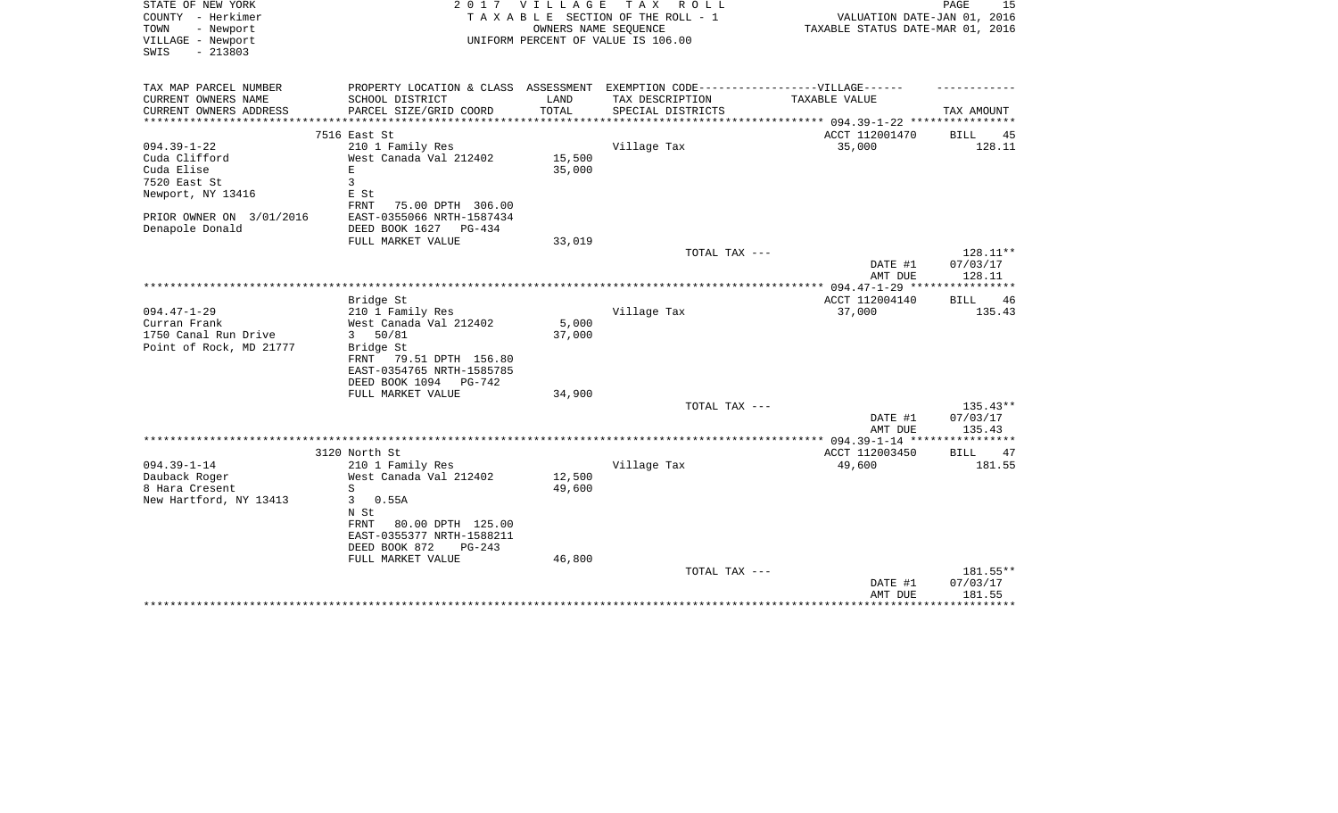| STATE OF NEW YORK<br>COUNTY - Herkimer<br>- Newport<br>TOWN<br>VILLAGE - Newport<br>$-213803$<br>SWIS | 2 0 1 7                                                                                              | <b>VILLAGE</b>   | T A X<br>R O L L<br>TAXABLE SECTION OF THE ROLL - 1<br>OWNERS NAME SEQUENCE<br>UNIFORM PERCENT OF VALUE IS 106.00 | VALUATION DATE-JAN 01, 2016<br>TAXABLE STATUS DATE-MAR 01, 2016 | 15<br>PAGE          |
|-------------------------------------------------------------------------------------------------------|------------------------------------------------------------------------------------------------------|------------------|-------------------------------------------------------------------------------------------------------------------|-----------------------------------------------------------------|---------------------|
|                                                                                                       |                                                                                                      |                  |                                                                                                                   |                                                                 |                     |
| TAX MAP PARCEL NUMBER<br>CURRENT OWNERS NAME                                                          | PROPERTY LOCATION & CLASS ASSESSMENT EXEMPTION CODE-----------------VILLAGE------<br>SCHOOL DISTRICT | LAND             | TAX DESCRIPTION                                                                                                   | TAXABLE VALUE                                                   |                     |
| CURRENT OWNERS ADDRESS                                                                                | PARCEL SIZE/GRID COORD                                                                               | TOTAL            | SPECIAL DISTRICTS                                                                                                 |                                                                 | TAX AMOUNT          |
|                                                                                                       |                                                                                                      |                  |                                                                                                                   |                                                                 |                     |
|                                                                                                       | 7516 East St                                                                                         |                  |                                                                                                                   | ACCT 112001470                                                  | <b>BILL</b><br>45   |
| $094.39 - 1 - 22$                                                                                     | 210 1 Family Res                                                                                     |                  | Village Tax                                                                                                       | 35,000                                                          | 128.11              |
| Cuda Clifford<br>Cuda Elise                                                                           | West Canada Val 212402<br>E.                                                                         | 15,500<br>35,000 |                                                                                                                   |                                                                 |                     |
| 7520 East St                                                                                          | 3                                                                                                    |                  |                                                                                                                   |                                                                 |                     |
| Newport, NY 13416                                                                                     | E St                                                                                                 |                  |                                                                                                                   |                                                                 |                     |
|                                                                                                       | <b>FRNT</b><br>75.00 DPTH 306.00                                                                     |                  |                                                                                                                   |                                                                 |                     |
| PRIOR OWNER ON 3/01/2016                                                                              | EAST-0355066 NRTH-1587434                                                                            |                  |                                                                                                                   |                                                                 |                     |
| Denapole Donald                                                                                       | DEED BOOK 1627<br>$PG-434$                                                                           |                  |                                                                                                                   |                                                                 |                     |
|                                                                                                       | FULL MARKET VALUE                                                                                    | 33,019           |                                                                                                                   |                                                                 |                     |
|                                                                                                       |                                                                                                      |                  | TOTAL TAX ---                                                                                                     |                                                                 | 128.11**            |
|                                                                                                       |                                                                                                      |                  |                                                                                                                   | DATE #1<br>AMT DUE                                              | 07/03/17<br>128.11  |
|                                                                                                       |                                                                                                      |                  |                                                                                                                   |                                                                 |                     |
|                                                                                                       | Bridge St                                                                                            |                  |                                                                                                                   | ACCT 112004140                                                  | BILL<br>46          |
| $094.47 - 1 - 29$                                                                                     | 210 1 Family Res                                                                                     |                  | Village Tax                                                                                                       | 37,000                                                          | 135.43              |
| Curran Frank                                                                                          | West Canada Val 212402                                                                               | 5,000            |                                                                                                                   |                                                                 |                     |
| 1750 Canal Run Drive                                                                                  | 50/81<br>$\overline{3}$                                                                              | 37,000           |                                                                                                                   |                                                                 |                     |
| Point of Rock, MD 21777                                                                               | Bridge St<br>FRNT<br>79.51 DPTH 156.80                                                               |                  |                                                                                                                   |                                                                 |                     |
|                                                                                                       | EAST-0354765 NRTH-1585785                                                                            |                  |                                                                                                                   |                                                                 |                     |
|                                                                                                       | DEED BOOK 1094<br>PG-742                                                                             |                  |                                                                                                                   |                                                                 |                     |
|                                                                                                       | FULL MARKET VALUE                                                                                    | 34,900           |                                                                                                                   |                                                                 |                     |
|                                                                                                       |                                                                                                      |                  | TOTAL TAX ---                                                                                                     |                                                                 | $135.43**$          |
|                                                                                                       |                                                                                                      |                  |                                                                                                                   | DATE #1                                                         | 07/03/17            |
|                                                                                                       |                                                                                                      |                  |                                                                                                                   | AMT DUE                                                         | 135.43              |
|                                                                                                       | 3120 North St                                                                                        |                  |                                                                                                                   | ACCT 112003450                                                  | 47<br><b>BILL</b>   |
| $094.39 - 1 - 14$                                                                                     | 210 1 Family Res                                                                                     |                  | Village Tax                                                                                                       | 49,600                                                          | 181.55              |
| Dauback Roger                                                                                         | West Canada Val 212402                                                                               | 12,500           |                                                                                                                   |                                                                 |                     |
| 8 Hara Cresent                                                                                        | S                                                                                                    | 49,600           |                                                                                                                   |                                                                 |                     |
| New Hartford, NY 13413                                                                                | 3<br>0.55A                                                                                           |                  |                                                                                                                   |                                                                 |                     |
|                                                                                                       | N St                                                                                                 |                  |                                                                                                                   |                                                                 |                     |
|                                                                                                       | 80.00 DPTH 125.00<br>FRNT                                                                            |                  |                                                                                                                   |                                                                 |                     |
|                                                                                                       | EAST-0355377 NRTH-1588211<br>DEED BOOK 872<br>$PG-243$                                               |                  |                                                                                                                   |                                                                 |                     |
|                                                                                                       | FULL MARKET VALUE                                                                                    | 46,800           |                                                                                                                   |                                                                 |                     |
|                                                                                                       |                                                                                                      |                  | TOTAL TAX ---                                                                                                     |                                                                 | 181.55**            |
|                                                                                                       |                                                                                                      |                  |                                                                                                                   | DATE #1                                                         | 07/03/17            |
|                                                                                                       |                                                                                                      |                  |                                                                                                                   | AMT DUE                                                         | 181.55              |
|                                                                                                       |                                                                                                      |                  |                                                                                                                   |                                                                 | * * * * * * * * * * |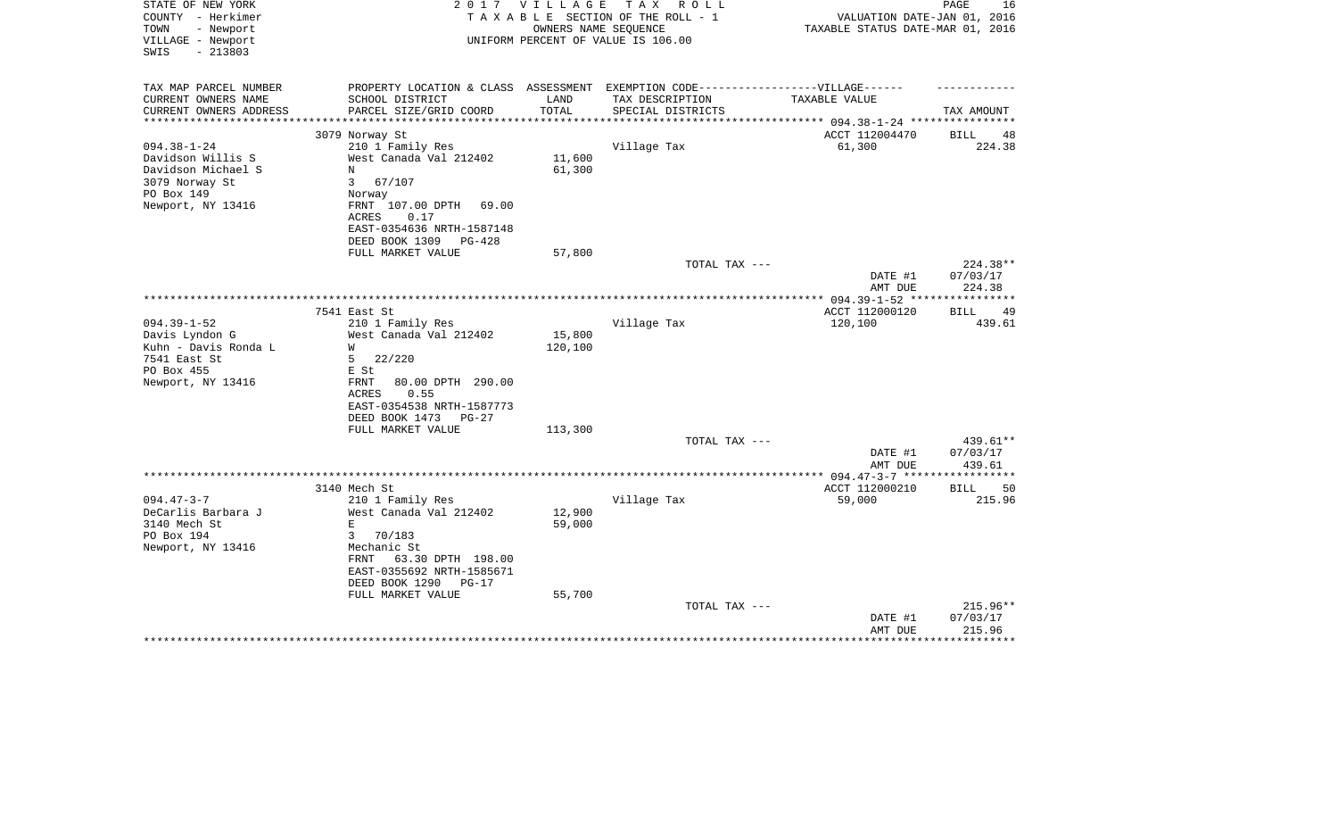| STATE OF NEW YORK<br>COUNTY - Herkimer<br>- Newport<br>TOWN<br>VILLAGE - Newport<br>$-213803$<br>SWIS          | 2 0 1 7                                                                                                                                                              | VILLAGE           | T A X<br>ROLL ROLL<br>TAXABLE SECTION OF THE ROLL - 1<br>OWNERS NAME SEQUENCE<br>UNIFORM PERCENT OF VALUE IS 106.00 | VALUATION DATE-JAN 01, 2016<br>TAXABLE STATUS DATE-MAR 01, 2016 | 16<br>PAGE                       |
|----------------------------------------------------------------------------------------------------------------|----------------------------------------------------------------------------------------------------------------------------------------------------------------------|-------------------|---------------------------------------------------------------------------------------------------------------------|-----------------------------------------------------------------|----------------------------------|
| TAX MAP PARCEL NUMBER<br>CURRENT OWNERS NAME<br>CURRENT OWNERS ADDRESS                                         | PROPERTY LOCATION & CLASS ASSESSMENT EXEMPTION CODE-----------------VILLAGE------<br>SCHOOL DISTRICT<br>PARCEL SIZE/GRID COORD                                       | LAND<br>TOTAL     | TAX DESCRIPTION<br>SPECIAL DISTRICTS                                                                                | TAXABLE VALUE                                                   | TAX AMOUNT                       |
| **********************                                                                                         |                                                                                                                                                                      |                   |                                                                                                                     |                                                                 |                                  |
|                                                                                                                | 3079 Norway St                                                                                                                                                       |                   |                                                                                                                     | ACCT 112004470                                                  | <b>BILL</b><br>48                |
| $094.38 - 1 - 24$<br>Davidson Willis S<br>Davidson Michael S<br>3079 Norway St<br>PO Box 149                   | 210 1 Family Res<br>West Canada Val 212402<br>N<br>67/107<br>3<br>Norway                                                                                             | 11,600<br>61,300  | Village Tax                                                                                                         | 61,300                                                          | 224.38                           |
| Newport, NY 13416                                                                                              | FRNT 107.00 DPTH<br>69.00<br><b>ACRES</b><br>0.17<br>EAST-0354636 NRTH-1587148<br>DEED BOOK 1309<br>PG-428<br>FULL MARKET VALUE                                      | 57,800            |                                                                                                                     |                                                                 |                                  |
|                                                                                                                |                                                                                                                                                                      |                   | TOTAL TAX ---                                                                                                       |                                                                 | 224.38**                         |
|                                                                                                                |                                                                                                                                                                      |                   |                                                                                                                     | DATE #1<br>AMT DUE                                              | 07/03/17<br>224.38               |
|                                                                                                                |                                                                                                                                                                      |                   |                                                                                                                     |                                                                 |                                  |
| $094.39 - 1 - 52$<br>Davis Lyndon G<br>Kuhn - Davis Ronda L<br>7541 East St<br>PO Box 455<br>Newport, NY 13416 | 7541 East St<br>210 1 Family Res<br>West Canada Val 212402<br>W<br>5<br>22/220<br>E St<br>80.00 DPTH 290.00<br>FRNT                                                  | 15,800<br>120,100 | Village Tax                                                                                                         | ACCT 112000120<br>120,100                                       | BILL<br>-49<br>439.61            |
|                                                                                                                | 0.55<br>ACRES<br>EAST-0354538 NRTH-1587773<br>DEED BOOK 1473<br>PG-27<br>FULL MARKET VALUE                                                                           | 113,300           | TOTAL TAX ---                                                                                                       |                                                                 | 439.61**                         |
|                                                                                                                |                                                                                                                                                                      |                   |                                                                                                                     | DATE #1                                                         | 07/03/17                         |
|                                                                                                                |                                                                                                                                                                      |                   |                                                                                                                     | AMT DUE                                                         | 439.61                           |
|                                                                                                                | 3140 Mech St                                                                                                                                                         |                   |                                                                                                                     | ACCT 112000210                                                  | <b>BILL</b><br>50                |
| $094.47 - 3 - 7$<br>DeCarlis Barbara J<br>3140 Mech St<br>PO Box 194<br>Newport, NY 13416                      | 210 1 Family Res<br>West Canada Val 212402<br>E<br>70/183<br>3<br>Mechanic St<br>63.30 DPTH 198.00<br>FRNT<br>EAST-0355692 NRTH-1585671<br>DEED BOOK 1290<br>$PG-17$ | 12,900<br>59,000  | Village Tax                                                                                                         | 59,000                                                          | 215.96                           |
|                                                                                                                | FULL MARKET VALUE                                                                                                                                                    | 55,700            | TOTAL TAX ---                                                                                                       | DATE #1<br>AMT DUE<br>*******************************           | $215.96**$<br>07/03/17<br>215.96 |
|                                                                                                                |                                                                                                                                                                      |                   |                                                                                                                     |                                                                 |                                  |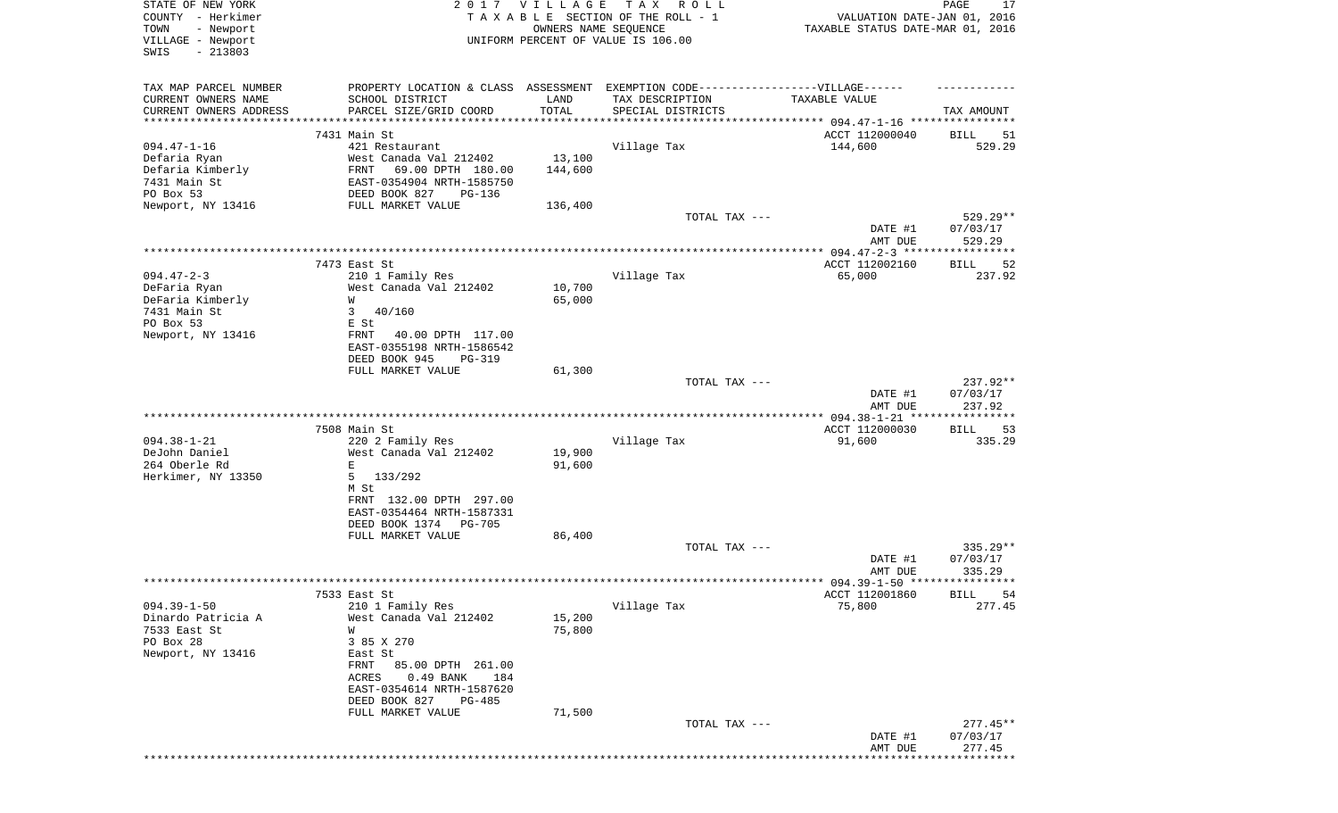| STATE OF NEW YORK         | 2017                            | <b>VILLAGE</b> | T A X<br>R O L L                                                                 |                                          | PAGE<br>17        |
|---------------------------|---------------------------------|----------------|----------------------------------------------------------------------------------|------------------------------------------|-------------------|
| COUNTY - Herkimer         |                                 |                | TAXABLE SECTION OF THE ROLL - 1                                                  | VALUATION DATE-JAN 01, 2016              |                   |
| - Newport<br>TOWN         |                                 |                | OWNERS NAME SEQUENCE                                                             | TAXABLE STATUS DATE-MAR 01, 2016         |                   |
| VILLAGE - Newport         |                                 |                | UNIFORM PERCENT OF VALUE IS 106.00                                               |                                          |                   |
| SWIS<br>$-213803$         |                                 |                |                                                                                  |                                          |                   |
|                           |                                 |                |                                                                                  |                                          |                   |
| TAX MAP PARCEL NUMBER     |                                 |                | PROPERTY LOCATION & CLASS ASSESSMENT EXEMPTION CODE----------------VILLAGE------ |                                          |                   |
| CURRENT OWNERS NAME       | SCHOOL DISTRICT                 | LAND           | TAX DESCRIPTION                                                                  | TAXABLE VALUE                            |                   |
| CURRENT OWNERS ADDRESS    | PARCEL SIZE/GRID COORD          | TOTAL          | SPECIAL DISTRICTS                                                                |                                          | TAX AMOUNT        |
| **********************    | ****************                |                |                                                                                  |                                          |                   |
|                           | 7431 Main St                    |                |                                                                                  | ACCT 112000040                           | BILL<br>51        |
| $094.47 - 1 - 16$         | 421 Restaurant                  |                | Village Tax                                                                      | 144,600                                  | 529.29            |
| Defaria Ryan              | West Canada Val 212402          | 13,100         |                                                                                  |                                          |                   |
| Defaria Kimberly          | FRNT<br>69.00 DPTH 180.00       | 144,600        |                                                                                  |                                          |                   |
| 7431 Main St              | EAST-0354904 NRTH-1585750       |                |                                                                                  |                                          |                   |
| PO Box 53                 | DEED BOOK 827<br>PG-136         |                |                                                                                  |                                          |                   |
| Newport, NY 13416         | FULL MARKET VALUE               | 136,400        |                                                                                  |                                          |                   |
|                           |                                 |                | TOTAL TAX ---                                                                    |                                          | $529.29**$        |
|                           |                                 |                |                                                                                  | DATE #1                                  | 07/03/17          |
|                           |                                 |                |                                                                                  | AMT DUE                                  | 529.29            |
|                           |                                 |                |                                                                                  |                                          |                   |
|                           | 7473 East St                    |                |                                                                                  | ACCT 112002160                           | 52<br>BILL        |
| $094.47 - 2 - 3$          | 210 1 Family Res                |                | Village Tax                                                                      | 65,000                                   | 237.92            |
| DeFaria Ryan              | West Canada Val 212402          | 10,700         |                                                                                  |                                          |                   |
| DeFaria Kimberly          | W                               | 65,000         |                                                                                  |                                          |                   |
| 7431 Main St              | 3<br>40/160                     |                |                                                                                  |                                          |                   |
| PO Box 53                 | E St                            |                |                                                                                  |                                          |                   |
| Newport, NY 13416         | 40.00 DPTH 117.00<br>FRNT       |                |                                                                                  |                                          |                   |
|                           | EAST-0355198 NRTH-1586542       |                |                                                                                  |                                          |                   |
|                           | DEED BOOK 945<br><b>PG-319</b>  |                |                                                                                  |                                          |                   |
|                           | FULL MARKET VALUE               | 61,300         | TOTAL TAX ---                                                                    |                                          | 237.92**          |
|                           |                                 |                |                                                                                  | DATE #1                                  | 07/03/17          |
|                           |                                 |                |                                                                                  | AMT DUE                                  | 237.92            |
|                           |                                 |                |                                                                                  | *********** 094.38-1-21 **************** |                   |
|                           | 7508 Main St                    |                |                                                                                  | ACCT 112000030                           | <b>BILL</b><br>53 |
| $094.38 - 1 - 21$         | 220 2 Family Res                |                | Village Tax                                                                      | 91,600                                   | 335.29            |
| DeJohn Daniel             | West Canada Val 212402          | 19,900         |                                                                                  |                                          |                   |
| 264 Oberle Rd             | E                               | 91,600         |                                                                                  |                                          |                   |
| Herkimer, NY 13350        | 5<br>133/292                    |                |                                                                                  |                                          |                   |
|                           | M St                            |                |                                                                                  |                                          |                   |
|                           | FRNT 132.00 DPTH 297.00         |                |                                                                                  |                                          |                   |
|                           | EAST-0354464 NRTH-1587331       |                |                                                                                  |                                          |                   |
|                           | DEED BOOK 1374<br><b>PG-705</b> |                |                                                                                  |                                          |                   |
|                           | FULL MARKET VALUE               | 86,400         |                                                                                  |                                          |                   |
|                           |                                 |                | TOTAL TAX ---                                                                    |                                          | $335.29**$        |
|                           |                                 |                |                                                                                  | DATE #1                                  | 07/03/17          |
|                           |                                 |                |                                                                                  | AMT DUE                                  | 335.29            |
|                           |                                 |                |                                                                                  |                                          |                   |
|                           | 7533 East St                    |                |                                                                                  | ACCT 112001860                           | 54<br><b>BILL</b> |
| $094.39 - 1 - 50$         | 210 1 Family Res                |                | Village Tax                                                                      | 75,800                                   | 277.45            |
| Dinardo Patricia A        | West Canada Val 212402          | 15,200         |                                                                                  |                                          |                   |
| 7533 East St<br>PO Box 28 | W<br>3 85 X 270                 | 75,800         |                                                                                  |                                          |                   |
| Newport, NY 13416         | East St                         |                |                                                                                  |                                          |                   |
|                           | 85.00 DPTH 261.00<br>FRNT       |                |                                                                                  |                                          |                   |
|                           | 184<br>ACRES<br>0.49 BANK       |                |                                                                                  |                                          |                   |
|                           | EAST-0354614 NRTH-1587620       |                |                                                                                  |                                          |                   |
|                           | DEED BOOK 827<br>PG-485         |                |                                                                                  |                                          |                   |
|                           | FULL MARKET VALUE               | 71,500         |                                                                                  |                                          |                   |
|                           |                                 |                | TOTAL TAX ---                                                                    |                                          | $277.45**$        |
|                           |                                 |                |                                                                                  | DATE #1                                  | 07/03/17          |
|                           |                                 |                |                                                                                  | AMT DUE                                  | 277.45            |
|                           |                                 |                |                                                                                  |                                          |                   |
|                           |                                 |                |                                                                                  |                                          |                   |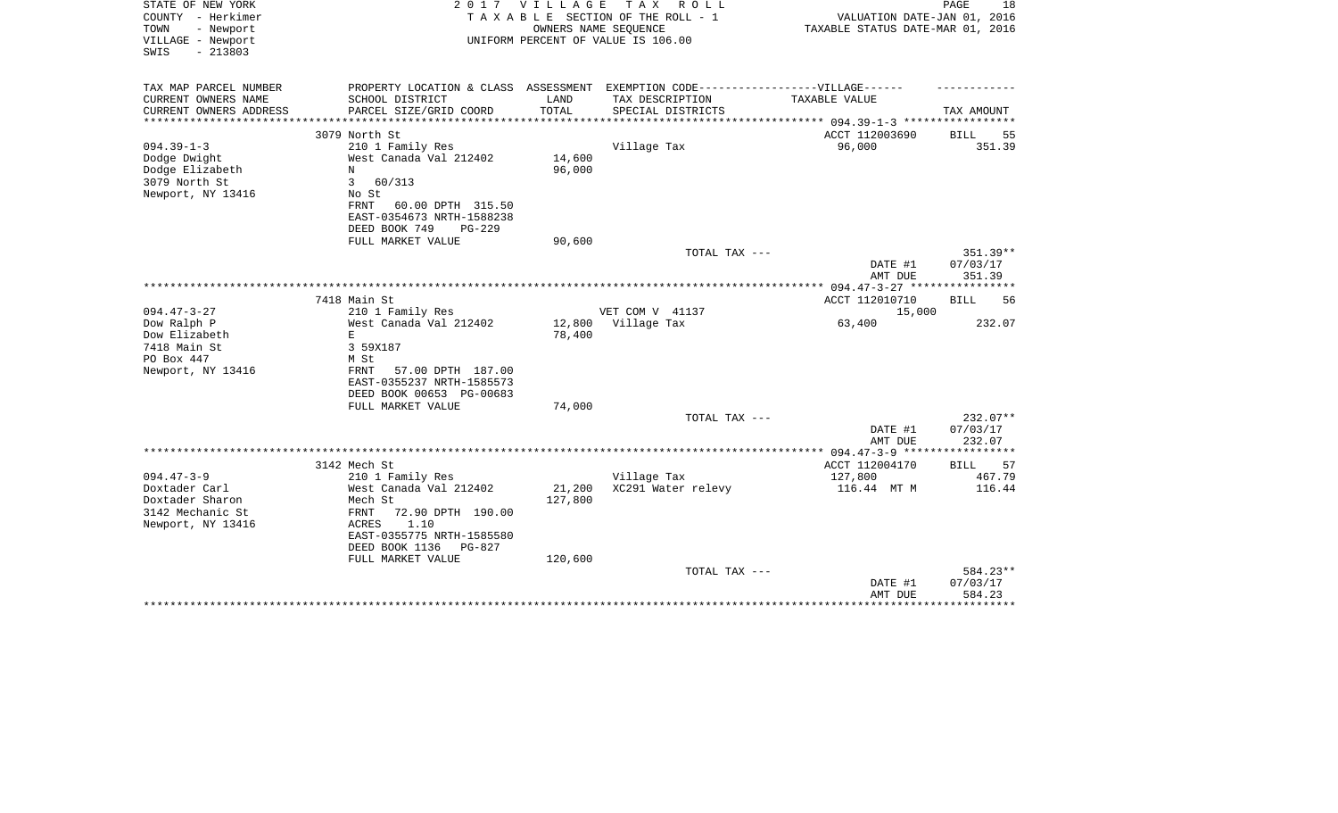| STATE OF NEW YORK<br>COUNTY - Herkimer<br>TOWN<br>- Newport<br>VILLAGE - Newport<br>$-213803$<br>SWIS | 2 0 1 7                                                                           | VILLAGE       | T A X<br>R O L L<br>TAXABLE SECTION OF THE ROLL - 1<br>OWNERS NAME SEQUENCE<br>UNIFORM PERCENT OF VALUE IS 106.00 | VALUATION DATE-JAN 01, 2016<br>TAXABLE STATUS DATE-MAR 01, 2016 | 18<br>PAGE           |
|-------------------------------------------------------------------------------------------------------|-----------------------------------------------------------------------------------|---------------|-------------------------------------------------------------------------------------------------------------------|-----------------------------------------------------------------|----------------------|
| TAX MAP PARCEL NUMBER                                                                                 | PROPERTY LOCATION & CLASS ASSESSMENT EXEMPTION CODE-----------------VILLAGE------ |               |                                                                                                                   |                                                                 |                      |
| CURRENT OWNERS NAME<br>CURRENT OWNERS ADDRESS                                                         | SCHOOL DISTRICT                                                                   | LAND<br>TOTAL | TAX DESCRIPTION<br>SPECIAL DISTRICTS                                                                              | TAXABLE VALUE                                                   |                      |
| **********************                                                                                | PARCEL SIZE/GRID COORD<br>*****************************                           |               |                                                                                                                   |                                                                 | TAX AMOUNT           |
|                                                                                                       | 3079 North St                                                                     |               |                                                                                                                   | ACCT 112003690                                                  | <b>BILL</b><br>55    |
| $094.39 - 1 - 3$                                                                                      | 210 1 Family Res                                                                  |               | Village Tax                                                                                                       | 96,000                                                          | 351.39               |
| Dodge Dwight                                                                                          | West Canada Val 212402                                                            | 14,600        |                                                                                                                   |                                                                 |                      |
| Dodge Elizabeth                                                                                       | N                                                                                 | 96,000        |                                                                                                                   |                                                                 |                      |
| 3079 North St                                                                                         | 3<br>60/313                                                                       |               |                                                                                                                   |                                                                 |                      |
| Newport, NY 13416                                                                                     | No St                                                                             |               |                                                                                                                   |                                                                 |                      |
|                                                                                                       | FRNT<br>60.00 DPTH 315.50                                                         |               |                                                                                                                   |                                                                 |                      |
|                                                                                                       | EAST-0354673 NRTH-1588238<br>DEED BOOK 749<br><b>PG-229</b>                       |               |                                                                                                                   |                                                                 |                      |
|                                                                                                       | FULL MARKET VALUE                                                                 | 90,600        |                                                                                                                   |                                                                 |                      |
|                                                                                                       |                                                                                   |               | TOTAL TAX ---                                                                                                     |                                                                 | 351.39**             |
|                                                                                                       |                                                                                   |               |                                                                                                                   | DATE #1<br>AMT DUE                                              | 07/03/17<br>351.39   |
|                                                                                                       |                                                                                   |               |                                                                                                                   |                                                                 |                      |
|                                                                                                       | 7418 Main St                                                                      |               |                                                                                                                   | ACCT 112010710                                                  | <b>BILL</b><br>56    |
| $094.47 - 3 - 27$                                                                                     | 210 1 Family Res                                                                  |               | VET COM V 41137                                                                                                   | 15,000                                                          |                      |
| Dow Ralph P                                                                                           | West Canada Val 212402                                                            | 12,800        | Village Tax                                                                                                       | 63,400                                                          | 232.07               |
| Dow Elizabeth                                                                                         | Ε                                                                                 | 78,400        |                                                                                                                   |                                                                 |                      |
| 7418 Main St                                                                                          | 3 59X187                                                                          |               |                                                                                                                   |                                                                 |                      |
| PO Box 447<br>Newport, NY 13416                                                                       | M St<br>57.00 DPTH 187.00<br>FRNT                                                 |               |                                                                                                                   |                                                                 |                      |
|                                                                                                       | EAST-0355237 NRTH-1585573                                                         |               |                                                                                                                   |                                                                 |                      |
|                                                                                                       | DEED BOOK 00653 PG-00683                                                          |               |                                                                                                                   |                                                                 |                      |
|                                                                                                       | FULL MARKET VALUE                                                                 | 74,000        |                                                                                                                   |                                                                 |                      |
|                                                                                                       |                                                                                   |               | TOTAL TAX ---                                                                                                     |                                                                 | 232.07**             |
|                                                                                                       |                                                                                   |               |                                                                                                                   | DATE #1                                                         | 07/03/17             |
|                                                                                                       |                                                                                   |               |                                                                                                                   | AMT DUE                                                         | 232.07               |
|                                                                                                       |                                                                                   |               |                                                                                                                   |                                                                 |                      |
| $094.47 - 3 - 9$                                                                                      | 3142 Mech St                                                                      |               |                                                                                                                   | ACCT 112004170                                                  | 57<br>BILL<br>467.79 |
| Doxtader Carl                                                                                         | 210 1 Family Res<br>West Canada Val 212402                                        | 21,200        | Village Tax<br>XC291 Water relevy                                                                                 | 127,800<br>116.44 MT M                                          | 116.44               |
| Doxtader Sharon                                                                                       | Mech St                                                                           | 127,800       |                                                                                                                   |                                                                 |                      |
| 3142 Mechanic St                                                                                      | FRNT<br>72.90 DPTH 190.00                                                         |               |                                                                                                                   |                                                                 |                      |
| Newport, NY 13416                                                                                     | ACRES<br>1.10                                                                     |               |                                                                                                                   |                                                                 |                      |
|                                                                                                       | EAST-0355775 NRTH-1585580                                                         |               |                                                                                                                   |                                                                 |                      |
|                                                                                                       | DEED BOOK 1136<br>PG-827                                                          |               |                                                                                                                   |                                                                 |                      |
|                                                                                                       | FULL MARKET VALUE                                                                 | 120,600       |                                                                                                                   |                                                                 |                      |
|                                                                                                       |                                                                                   |               | TOTAL TAX ---                                                                                                     |                                                                 | 584.23**             |
|                                                                                                       |                                                                                   |               |                                                                                                                   | DATE #1                                                         | 07/03/17             |
|                                                                                                       |                                                                                   |               |                                                                                                                   | AMT DUE                                                         | 584.23<br>********   |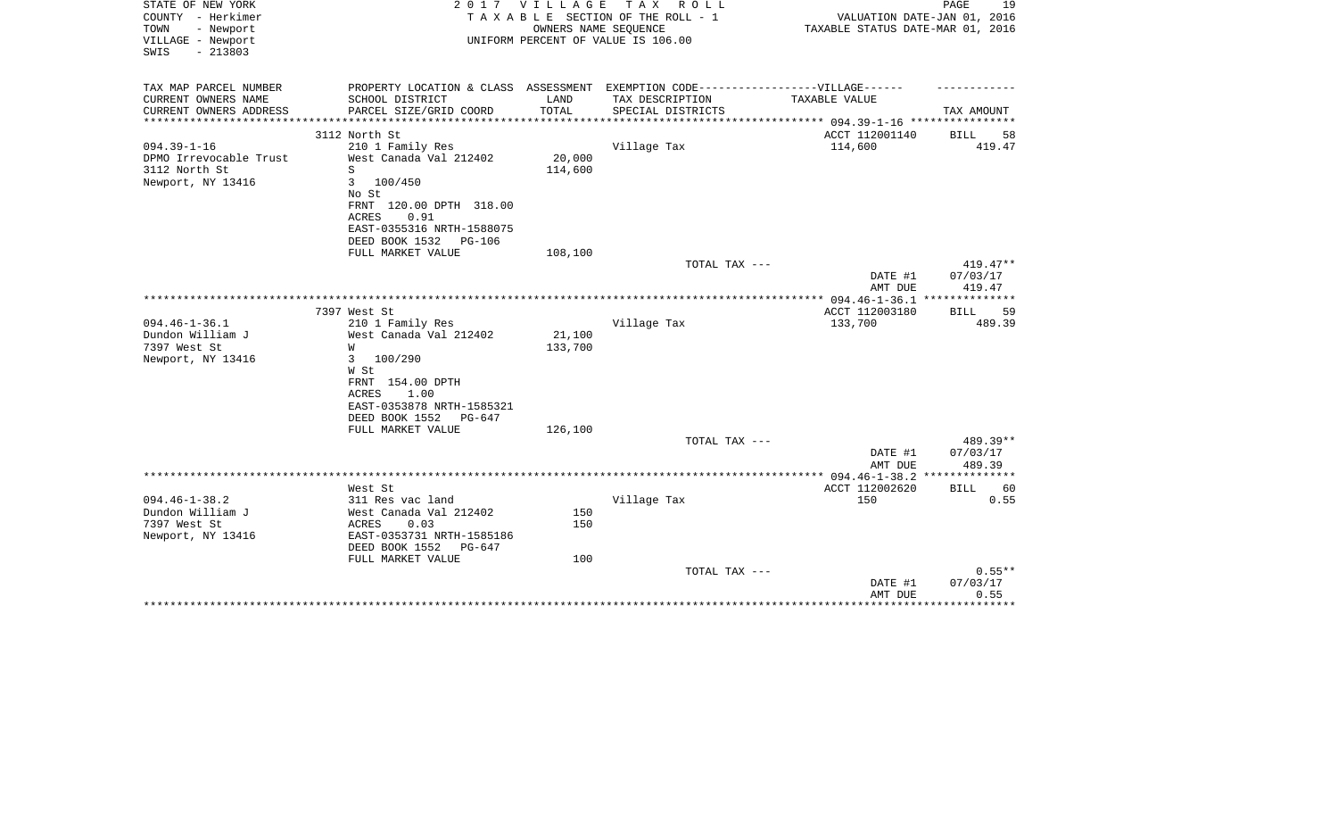| STATE OF NEW YORK<br>COUNTY - Herkimer<br>TOWN<br>- Newport<br>VILLAGE - Newport<br>$-213803$<br>SWIS | 2017                                      | VILLAGE       | T A X<br>R O L L<br>TAXABLE SECTION OF THE ROLL - 1<br>OWNERS NAME SEQUENCE<br>UNIFORM PERCENT OF VALUE IS 106.00 | VALUATION DATE-JAN 01, 2016<br>TAXABLE STATUS DATE-MAR 01, 2016 | PAGE<br>19         |
|-------------------------------------------------------------------------------------------------------|-------------------------------------------|---------------|-------------------------------------------------------------------------------------------------------------------|-----------------------------------------------------------------|--------------------|
| TAX MAP PARCEL NUMBER                                                                                 | PROPERTY LOCATION & CLASS                 | ASSESSMENT    | EXEMPTION CODE------------------VILLAGE------                                                                     |                                                                 |                    |
| CURRENT OWNERS NAME<br>CURRENT OWNERS ADDRESS                                                         | SCHOOL DISTRICT<br>PARCEL SIZE/GRID COORD | LAND<br>TOTAL | TAX DESCRIPTION<br>SPECIAL DISTRICTS                                                                              | TAXABLE VALUE                                                   | TAX AMOUNT         |
| **********************                                                                                | ***************************               |               |                                                                                                                   |                                                                 |                    |
|                                                                                                       | 3112 North St                             |               |                                                                                                                   | ACCT 112001140                                                  | BILL<br>58         |
| $094.39 - 1 - 16$                                                                                     | 210 1 Family Res                          |               | Village Tax                                                                                                       | 114,600                                                         | 419.47             |
| DPMO Irrevocable Trust                                                                                | West Canada Val 212402                    | 20,000        |                                                                                                                   |                                                                 |                    |
| 3112 North St                                                                                         | S                                         | 114,600       |                                                                                                                   |                                                                 |                    |
| Newport, NY 13416                                                                                     | 3<br>100/450                              |               |                                                                                                                   |                                                                 |                    |
|                                                                                                       | No St<br>FRNT 120.00 DPTH 318.00          |               |                                                                                                                   |                                                                 |                    |
|                                                                                                       | <b>ACRES</b><br>0.91                      |               |                                                                                                                   |                                                                 |                    |
|                                                                                                       | EAST-0355316 NRTH-1588075                 |               |                                                                                                                   |                                                                 |                    |
|                                                                                                       | DEED BOOK 1532<br><b>PG-106</b>           |               |                                                                                                                   |                                                                 |                    |
|                                                                                                       | FULL MARKET VALUE                         | 108,100       |                                                                                                                   |                                                                 |                    |
|                                                                                                       |                                           |               | TOTAL TAX ---                                                                                                     |                                                                 | $419.47**$         |
|                                                                                                       |                                           |               |                                                                                                                   | DATE #1<br>AMT DUE                                              | 07/03/17<br>419.47 |
|                                                                                                       |                                           |               |                                                                                                                   | **************** 094.46-1-36.1 ***************                  |                    |
|                                                                                                       | 7397 West St                              |               |                                                                                                                   | ACCT 112003180                                                  | 59<br>BILL         |
| $094.46 - 1 - 36.1$                                                                                   | 210 1 Family Res                          |               | Village Tax                                                                                                       | 133,700                                                         | 489.39             |
| Dundon William J                                                                                      | West Canada Val 212402                    | 21,100        |                                                                                                                   |                                                                 |                    |
| 7397 West St                                                                                          | W                                         | 133,700       |                                                                                                                   |                                                                 |                    |
| Newport, NY 13416                                                                                     | 3<br>100/290                              |               |                                                                                                                   |                                                                 |                    |
|                                                                                                       | W St<br>FRNT 154.00 DPTH                  |               |                                                                                                                   |                                                                 |                    |
|                                                                                                       | <b>ACRES</b><br>1.00                      |               |                                                                                                                   |                                                                 |                    |
|                                                                                                       | EAST-0353878 NRTH-1585321                 |               |                                                                                                                   |                                                                 |                    |
|                                                                                                       | DEED BOOK 1552<br>$PG-647$                |               |                                                                                                                   |                                                                 |                    |
|                                                                                                       | FULL MARKET VALUE                         | 126,100       |                                                                                                                   |                                                                 |                    |
|                                                                                                       |                                           |               | TOTAL TAX ---                                                                                                     |                                                                 | 489.39**           |
|                                                                                                       |                                           |               |                                                                                                                   | DATE #1                                                         | 07/03/17           |
|                                                                                                       |                                           |               |                                                                                                                   | AMT DUE                                                         | 489.39             |
|                                                                                                       | West St                                   |               |                                                                                                                   | ACCT 112002620                                                  | <b>BILL</b><br>60  |
| $094.46 - 1 - 38.2$                                                                                   | 311 Res vac land                          |               | Village Tax                                                                                                       | 150                                                             | 0.55               |
| Dundon William J                                                                                      | West Canada Val 212402                    | 150           |                                                                                                                   |                                                                 |                    |
| 7397 West St                                                                                          | ACRES<br>0.03                             | 150           |                                                                                                                   |                                                                 |                    |
| Newport, NY 13416                                                                                     | EAST-0353731 NRTH-1585186                 |               |                                                                                                                   |                                                                 |                    |
|                                                                                                       | DEED BOOK 1552<br>$PG-647$                |               |                                                                                                                   |                                                                 |                    |
|                                                                                                       | FULL MARKET VALUE                         | 100           |                                                                                                                   |                                                                 | $0.55**$           |
|                                                                                                       |                                           |               | TOTAL TAX ---                                                                                                     | DATE #1                                                         | 07/03/17           |
|                                                                                                       |                                           |               |                                                                                                                   | AMT DUE                                                         | 0.55               |
|                                                                                                       |                                           |               |                                                                                                                   |                                                                 | *******            |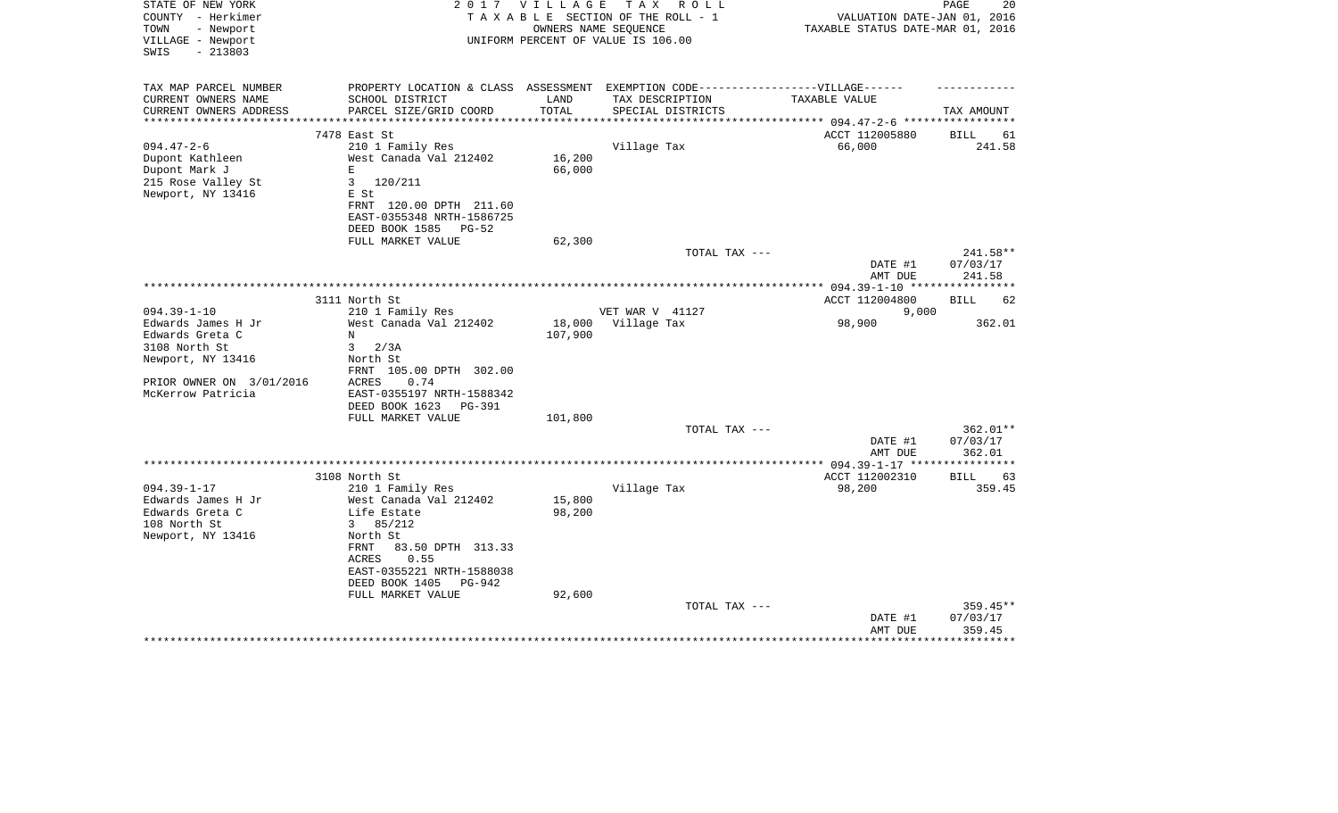| STATE OF NEW YORK<br>COUNTY - Herkimer<br>TOWN<br>- Newport | 2017                                                                              | V I L L A G E | T A X<br>R O L L<br>TAXABLE SECTION OF THE ROLL - 1<br>OWNERS NAME SEQUENCE | VALUATION DATE-JAN 01, 2016<br>TAXABLE STATUS DATE-MAR 01, 2016 | PAGE<br>20         |
|-------------------------------------------------------------|-----------------------------------------------------------------------------------|---------------|-----------------------------------------------------------------------------|-----------------------------------------------------------------|--------------------|
| VILLAGE - Newport<br>$-213803$<br>SWIS                      |                                                                                   |               | UNIFORM PERCENT OF VALUE IS 106.00                                          |                                                                 |                    |
| TAX MAP PARCEL NUMBER                                       | PROPERTY LOCATION & CLASS ASSESSMENT EXEMPTION CODE-----------------VILLAGE------ |               |                                                                             |                                                                 |                    |
| CURRENT OWNERS NAME                                         | SCHOOL DISTRICT                                                                   | LAND          | TAX DESCRIPTION                                                             | TAXABLE VALUE                                                   |                    |
| CURRENT OWNERS ADDRESS                                      | PARCEL SIZE/GRID COORD                                                            | TOTAL         | SPECIAL DISTRICTS                                                           |                                                                 | TAX AMOUNT         |
| **********************                                      |                                                                                   |               |                                                                             |                                                                 |                    |
|                                                             | 7478 East St                                                                      |               |                                                                             | ACCT 112005880                                                  | BILL<br>61         |
| $094.47 - 2 - 6$                                            | 210 1 Family Res                                                                  |               | Village Tax                                                                 | 66,000                                                          | 241.58             |
| Dupont Kathleen                                             | West Canada Val 212402                                                            | 16,200        |                                                                             |                                                                 |                    |
| Dupont Mark J                                               | E                                                                                 | 66,000        |                                                                             |                                                                 |                    |
| 215 Rose Valley St                                          | 3<br>120/211                                                                      |               |                                                                             |                                                                 |                    |
| Newport, NY 13416                                           | E St                                                                              |               |                                                                             |                                                                 |                    |
|                                                             | FRNT 120.00 DPTH 211.60                                                           |               |                                                                             |                                                                 |                    |
|                                                             | EAST-0355348 NRTH-1586725<br>DEED BOOK 1585<br>PG-52                              |               |                                                                             |                                                                 |                    |
|                                                             | FULL MARKET VALUE                                                                 | 62,300        |                                                                             |                                                                 |                    |
|                                                             |                                                                                   |               | TOTAL TAX ---                                                               |                                                                 | 241.58**           |
|                                                             |                                                                                   |               |                                                                             | DATE #1                                                         | 07/03/17           |
|                                                             |                                                                                   |               |                                                                             | AMT DUE                                                         | 241.58             |
|                                                             | ***********                                                                       |               |                                                                             | *********** 094.39-1-10 ******                                  | ********           |
|                                                             | 3111 North St                                                                     |               |                                                                             | ACCT 112004800                                                  | <b>BILL</b><br>62  |
| $094.39 - 1 - 10$                                           | 210 1 Family Res                                                                  |               | VET WAR V 41127                                                             | 9,000                                                           |                    |
| Edwards James H Jr                                          | West Canada Val 212402                                                            | 18,000        | Village Tax                                                                 | 98,900                                                          | 362.01             |
| Edwards Greta C                                             | $_{\rm N}$                                                                        | 107,900       |                                                                             |                                                                 |                    |
| 3108 North St                                               | 3<br>2/3A                                                                         |               |                                                                             |                                                                 |                    |
| Newport, NY 13416                                           | North St                                                                          |               |                                                                             |                                                                 |                    |
|                                                             | FRNT 105.00 DPTH 302.00                                                           |               |                                                                             |                                                                 |                    |
| PRIOR OWNER ON 3/01/2016                                    | ACRES<br>0.74                                                                     |               |                                                                             |                                                                 |                    |
| McKerrow Patricia                                           | EAST-0355197 NRTH-1588342                                                         |               |                                                                             |                                                                 |                    |
|                                                             | DEED BOOK 1623<br>PG-391                                                          |               |                                                                             |                                                                 |                    |
|                                                             | FULL MARKET VALUE                                                                 | 101,800       |                                                                             |                                                                 |                    |
|                                                             |                                                                                   |               | TOTAL TAX ---                                                               |                                                                 | 362.01**           |
|                                                             |                                                                                   |               |                                                                             | DATE #1<br>AMT DUE                                              | 07/03/17<br>362.01 |
|                                                             |                                                                                   |               |                                                                             | ** $094.39 - 1 - 17$ **                                         |                    |
|                                                             | 3108 North St                                                                     |               |                                                                             | ACCT 112002310                                                  | <b>BILL</b><br>63  |
| $094.39 - 1 - 17$                                           | 210 1 Family Res                                                                  |               | Village Tax                                                                 | 98,200                                                          | 359.45             |
| Edwards James H Jr                                          | West Canada Val 212402                                                            | 15,800        |                                                                             |                                                                 |                    |
| Edwards Greta C                                             | Life Estate                                                                       | 98,200        |                                                                             |                                                                 |                    |
| 108 North St                                                | 85/212<br>3                                                                       |               |                                                                             |                                                                 |                    |
| Newport, NY 13416                                           | North St                                                                          |               |                                                                             |                                                                 |                    |
|                                                             | <b>FRNT</b><br>83.50 DPTH 313.33                                                  |               |                                                                             |                                                                 |                    |
|                                                             | ACRES<br>0.55                                                                     |               |                                                                             |                                                                 |                    |
|                                                             | EAST-0355221 NRTH-1588038                                                         |               |                                                                             |                                                                 |                    |
|                                                             | DEED BOOK 1405<br>PG-942                                                          |               |                                                                             |                                                                 |                    |
|                                                             | FULL MARKET VALUE                                                                 | 92,600        |                                                                             |                                                                 |                    |
|                                                             |                                                                                   |               | TOTAL TAX ---                                                               |                                                                 | 359.45**           |
|                                                             |                                                                                   |               |                                                                             | DATE #1                                                         | 07/03/17           |
|                                                             |                                                                                   |               |                                                                             | AMT DUE                                                         | 359.45             |
|                                                             |                                                                                   |               |                                                                             |                                                                 |                    |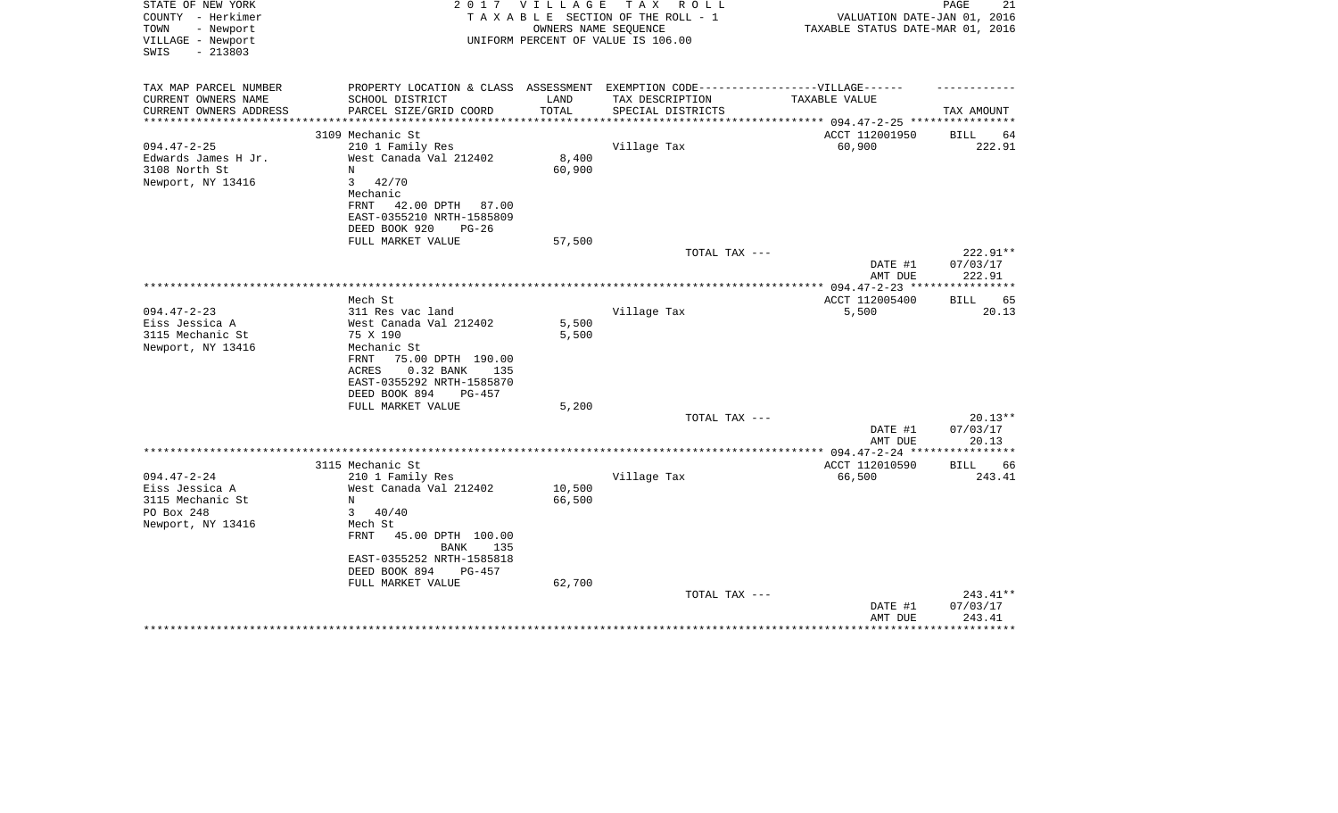| STATE OF NEW YORK<br>COUNTY - Herkimer<br>TOWN<br>- Newport<br>VILLAGE - Newport<br>$-213803$<br>SWIS | 2017                                                                                                                                                                  | V I L L A G E  | T A X<br>R O L L<br>TAXABLE SECTION OF THE ROLL - 1<br>OWNERS NAME SEQUENCE<br>UNIFORM PERCENT OF VALUE IS 106.00 | VALUATION DATE-JAN 01, 2016<br>TAXABLE STATUS DATE-MAR 01, 2016 | PAGE<br>21                  |
|-------------------------------------------------------------------------------------------------------|-----------------------------------------------------------------------------------------------------------------------------------------------------------------------|----------------|-------------------------------------------------------------------------------------------------------------------|-----------------------------------------------------------------|-----------------------------|
| TAX MAP PARCEL NUMBER                                                                                 | PROPERTY LOCATION & CLASS ASSESSMENT EXEMPTION CODE-----------------VILLAGE------                                                                                     |                |                                                                                                                   |                                                                 |                             |
| CURRENT OWNERS NAME                                                                                   | SCHOOL DISTRICT                                                                                                                                                       | LAND           | TAX DESCRIPTION                                                                                                   | TAXABLE VALUE                                                   |                             |
| CURRENT OWNERS ADDRESS<br>**********************                                                      | PARCEL SIZE/GRID COORD                                                                                                                                                | TOTAL          | SPECIAL DISTRICTS                                                                                                 |                                                                 | TAX AMOUNT                  |
|                                                                                                       | 3109 Mechanic St                                                                                                                                                      |                |                                                                                                                   | ACCT 112001950                                                  | <b>BILL</b><br>64           |
| $094.47 - 2 - 25$                                                                                     | 210 1 Family Res                                                                                                                                                      |                | Village Tax                                                                                                       | 60,900                                                          | 222.91                      |
| Edwards James H Jr.                                                                                   | West Canada Val 212402                                                                                                                                                | 8,400          |                                                                                                                   |                                                                 |                             |
| 3108 North St                                                                                         | N                                                                                                                                                                     | 60,900         |                                                                                                                   |                                                                 |                             |
| Newport, NY 13416                                                                                     | $\mathbf{3}$<br>42/70<br>Mechanic<br>FRNT<br>42.00 DPTH 87.00<br>EAST-0355210 NRTH-1585809<br>DEED BOOK 920<br>$PG-26$<br>FULL MARKET VALUE                           | 57,500         |                                                                                                                   |                                                                 |                             |
|                                                                                                       |                                                                                                                                                                       |                | TOTAL TAX ---                                                                                                     |                                                                 | 222.91**                    |
|                                                                                                       |                                                                                                                                                                       |                |                                                                                                                   | DATE #1<br>AMT DUE                                              | 07/03/17<br>222.91          |
|                                                                                                       | Mech St                                                                                                                                                               |                |                                                                                                                   |                                                                 |                             |
| $094.47 - 2 - 23$                                                                                     | 311 Res vac land                                                                                                                                                      |                | Village Tax                                                                                                       | ACCT 112005400<br>5,500                                         | 65<br><b>BILL</b><br>20.13  |
| Eiss Jessica A<br>3115 Mechanic St<br>Newport, NY 13416                                               | West Canada Val 212402<br>75 X 190<br>Mechanic St<br>75.00 DPTH 190.00<br>FRNT<br>ACRES<br>$0.32$ BANK<br>135<br>EAST-0355292 NRTH-1585870<br>DEED BOOK 894<br>PG-457 | 5,500<br>5,500 |                                                                                                                   |                                                                 |                             |
|                                                                                                       | FULL MARKET VALUE                                                                                                                                                     | 5,200          |                                                                                                                   |                                                                 |                             |
|                                                                                                       |                                                                                                                                                                       |                | TOTAL TAX ---                                                                                                     | DATE #1                                                         | $20.13**$<br>07/03/17       |
|                                                                                                       |                                                                                                                                                                       |                |                                                                                                                   | AMT DUE                                                         | 20.13                       |
|                                                                                                       |                                                                                                                                                                       |                |                                                                                                                   |                                                                 |                             |
| $094.47 - 2 - 24$                                                                                     | 3115 Mechanic St<br>210 1 Family Res                                                                                                                                  |                | Village Tax                                                                                                       | ACCT 112010590<br>66,500                                        | <b>BILL</b><br>66<br>243.41 |
| Eiss Jessica A                                                                                        | West Canada Val 212402                                                                                                                                                | 10,500         |                                                                                                                   |                                                                 |                             |
| 3115 Mechanic St                                                                                      | N                                                                                                                                                                     | 66,500         |                                                                                                                   |                                                                 |                             |
| PO Box 248                                                                                            | $\mathbf{3}$<br>40/40                                                                                                                                                 |                |                                                                                                                   |                                                                 |                             |
| Newport, NY 13416                                                                                     | Mech St                                                                                                                                                               |                |                                                                                                                   |                                                                 |                             |
|                                                                                                       | FRNT<br>45.00 DPTH 100.00<br><b>BANK</b><br>135<br>EAST-0355252 NRTH-1585818<br>DEED BOOK 894<br>PG-457<br>FULL MARKET VALUE                                          | 62,700         |                                                                                                                   |                                                                 |                             |
|                                                                                                       |                                                                                                                                                                       |                | TOTAL TAX ---                                                                                                     |                                                                 | 243.41**                    |
|                                                                                                       |                                                                                                                                                                       |                |                                                                                                                   | DATE #1<br>AMT DUE                                              | 07/03/17<br>243.41          |
|                                                                                                       |                                                                                                                                                                       |                |                                                                                                                   |                                                                 |                             |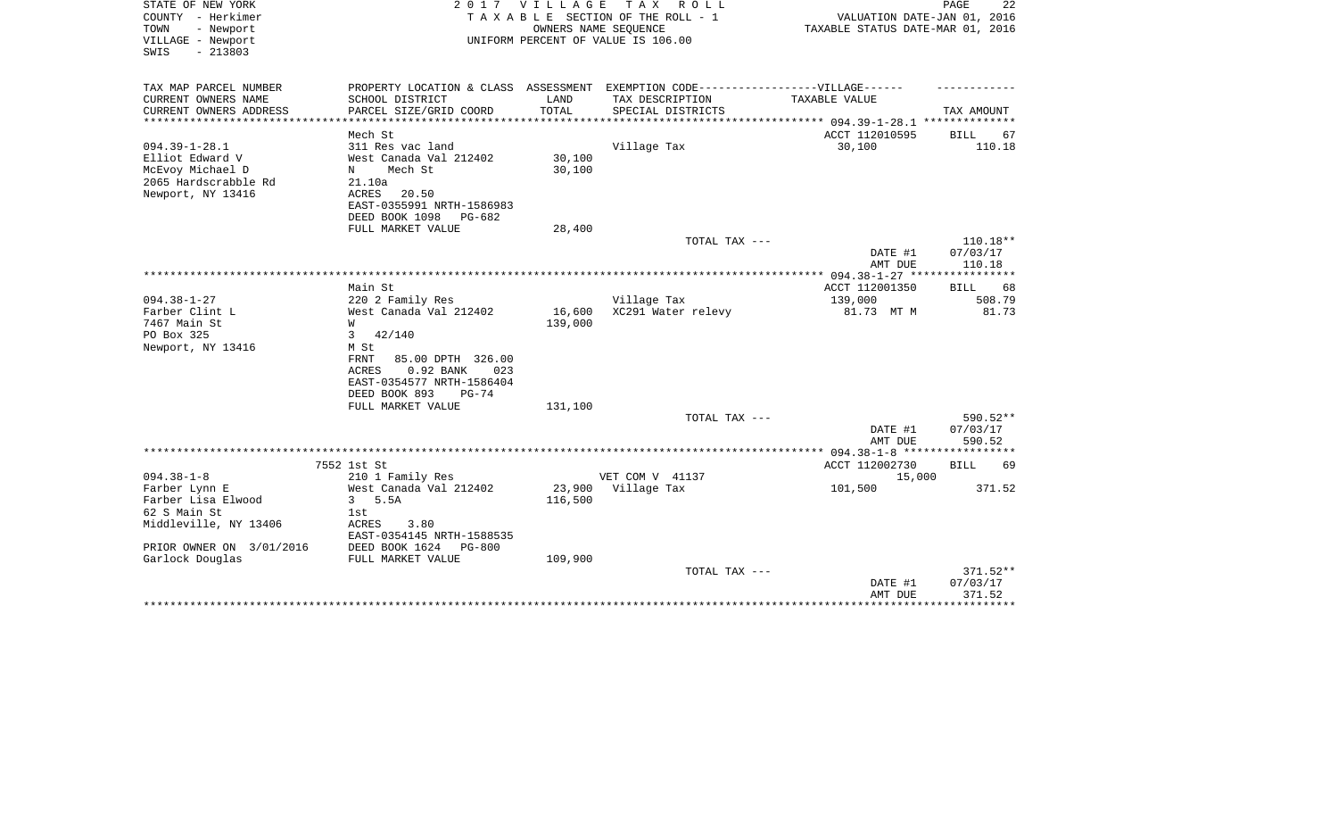| STATE OF NEW YORK<br>COUNTY - Herkimer<br>TOWN<br>- Newport<br>VILLAGE - Newport<br>$-213803$<br>SWIS   | 2 0 1 7                                                                                                                                                               | V I L L A G E     | TAX ROLL<br>TAXABLE SECTION OF THE ROLL - 1<br>OWNERS NAME SEQUENCE<br>UNIFORM PERCENT OF VALUE IS 106.00 | VALUATION DATE-JAN 01, 2016<br>TAXABLE STATUS DATE-MAR 01, 2016 | PAGE<br>22                       |
|---------------------------------------------------------------------------------------------------------|-----------------------------------------------------------------------------------------------------------------------------------------------------------------------|-------------------|-----------------------------------------------------------------------------------------------------------|-----------------------------------------------------------------|----------------------------------|
| TAX MAP PARCEL NUMBER<br>CURRENT OWNERS NAME                                                            | PROPERTY LOCATION & CLASS ASSESSMENT EXEMPTION CODE----------------VILLAGE------<br>SCHOOL DISTRICT                                                                   | LAND              | TAX DESCRIPTION                                                                                           | TAXABLE VALUE                                                   |                                  |
| CURRENT OWNERS ADDRESS                                                                                  | PARCEL SIZE/GRID COORD                                                                                                                                                | TOTAL             | SPECIAL DISTRICTS                                                                                         |                                                                 | TAX AMOUNT                       |
| *********************                                                                                   | ***********************<br>Mech St                                                                                                                                    |                   |                                                                                                           | ACCT 112010595                                                  | <b>BILL</b><br>67                |
| $094.39 - 1 - 28.1$<br>Elliot Edward V<br>McEvoy Michael D<br>2065 Hardscrabble Rd<br>Newport, NY 13416 | 311 Res vac land<br>West Canada Val 212402<br>$_{\rm N}$<br>Mech St<br>21.10a<br>ACRES<br>20.50<br>EAST-0355991 NRTH-1586983<br>DEED BOOK 1098<br>PG-682              | 30,100<br>30,100  | Village Tax                                                                                               | 30,100                                                          | 110.18                           |
|                                                                                                         | FULL MARKET VALUE                                                                                                                                                     | 28,400            |                                                                                                           |                                                                 |                                  |
|                                                                                                         |                                                                                                                                                                       |                   | TOTAL TAX ---                                                                                             | DATE #1<br>AMT DUE                                              | $110.18**$<br>07/03/17<br>110.18 |
|                                                                                                         | Main St                                                                                                                                                               |                   |                                                                                                           | ACCT 112001350                                                  | 68<br>BILL                       |
| $094.38 - 1 - 27$                                                                                       | 220 2 Family Res                                                                                                                                                      |                   | Village Tax                                                                                               | 139,000                                                         | 508.79                           |
| Farber Clint L<br>7467 Main St<br>PO Box 325<br>Newport, NY 13416                                       | West Canada Val 212402<br>W<br>42/140<br>3<br>M St<br>FRNT<br>85.00 DPTH 326.00<br>0.92 BANK<br>ACRES<br>023<br>EAST-0354577 NRTH-1586404<br>DEED BOOK 893<br>$PG-74$ | 16,600<br>139,000 | XC291 Water relevy                                                                                        | 81.73 MT M                                                      | 81.73                            |
|                                                                                                         | FULL MARKET VALUE                                                                                                                                                     | 131,100           |                                                                                                           |                                                                 |                                  |
|                                                                                                         |                                                                                                                                                                       |                   | TOTAL TAX ---                                                                                             | DATE #1<br>AMT DUE                                              | 590.52**<br>07/03/17<br>590.52   |
|                                                                                                         |                                                                                                                                                                       |                   |                                                                                                           |                                                                 |                                  |
|                                                                                                         | 7552 1st St                                                                                                                                                           |                   |                                                                                                           | ACCT 112002730                                                  | <b>BILL</b><br>69                |
| $094.38 - 1 - 8$<br>Farber Lynn E                                                                       | 210 1 Family Res<br>West Canada Val 212402                                                                                                                            | 23,900            | VET COM V 41137<br>Village Tax                                                                            | 15,000<br>101,500                                               | 371.52                           |
| Farber Lisa Elwood                                                                                      | $\mathbf{3}$<br>5.5A                                                                                                                                                  | 116,500           |                                                                                                           |                                                                 |                                  |
| 62 S Main St                                                                                            | 1st                                                                                                                                                                   |                   |                                                                                                           |                                                                 |                                  |
| Middleville, NY 13406                                                                                   | ACRES<br>3.80<br>EAST-0354145 NRTH-1588535                                                                                                                            |                   |                                                                                                           |                                                                 |                                  |
| PRIOR OWNER ON 3/01/2016                                                                                | DEED BOOK 1624<br><b>PG-800</b><br>FULL MARKET VALUE                                                                                                                  | 109,900           |                                                                                                           |                                                                 |                                  |
| Garlock Douglas                                                                                         |                                                                                                                                                                       |                   | TOTAL TAX ---                                                                                             | DATE #1<br>AMT DUE                                              | $371.52**$<br>07/03/17<br>371.52 |
|                                                                                                         |                                                                                                                                                                       |                   |                                                                                                           |                                                                 | ***********                      |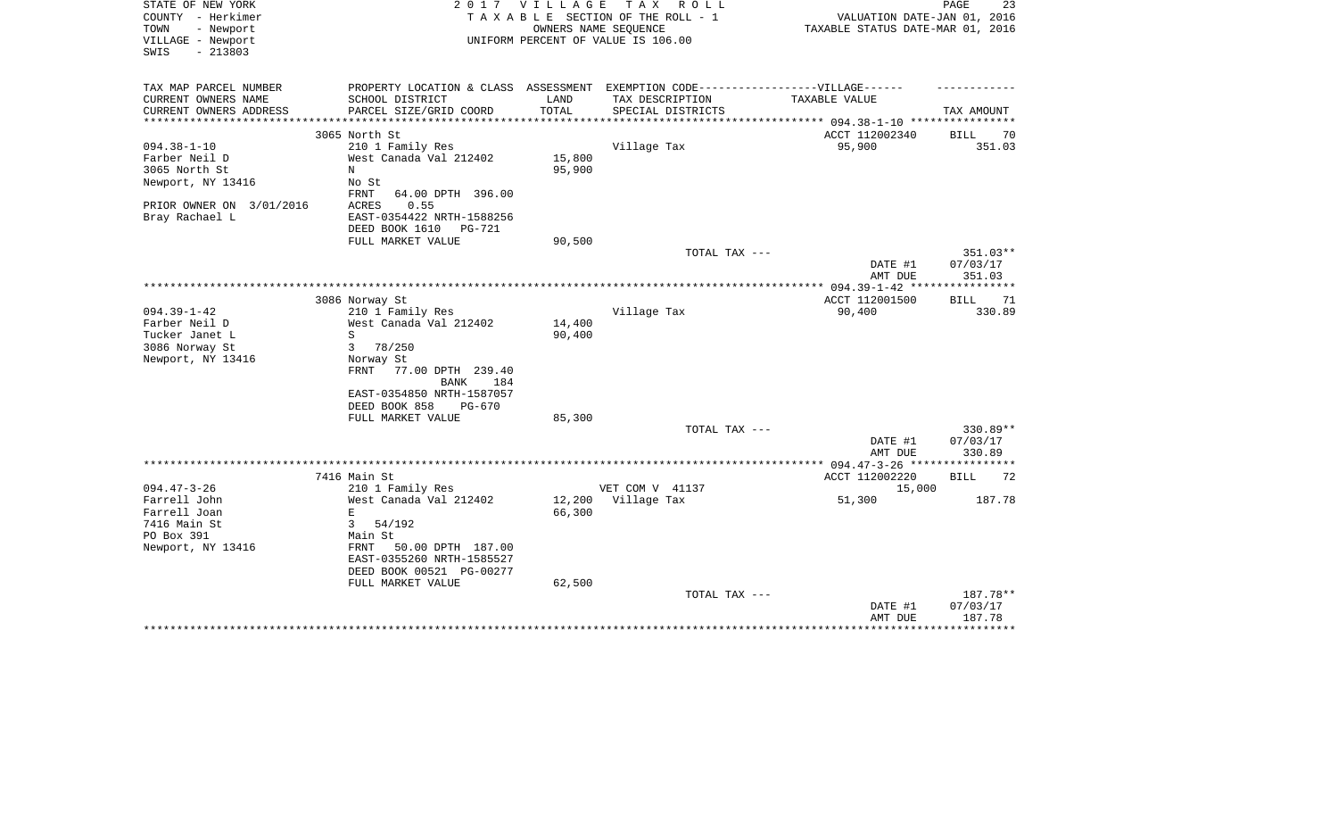| STATE OF NEW YORK<br>COUNTY - Herkimer<br>- Newport<br>TOWN<br>VILLAGE - Newport | 2 0 1 7                                                                          | VILLAGE | T A X<br>R O L L<br>TAXABLE SECTION OF THE ROLL - 1<br>OWNERS NAME SEQUENCE<br>UNIFORM PERCENT OF VALUE IS 106.00 | VALUATION DATE-JAN 01, 2016<br>TAXABLE STATUS DATE-MAR 01, 2016 | PAGE<br>23         |
|----------------------------------------------------------------------------------|----------------------------------------------------------------------------------|---------|-------------------------------------------------------------------------------------------------------------------|-----------------------------------------------------------------|--------------------|
| $-213803$<br>SWIS                                                                |                                                                                  |         |                                                                                                                   |                                                                 |                    |
| TAX MAP PARCEL NUMBER                                                            | PROPERTY LOCATION & CLASS ASSESSMENT EXEMPTION CODE----------------VILLAGE------ |         |                                                                                                                   |                                                                 |                    |
| CURRENT OWNERS NAME                                                              | SCHOOL DISTRICT                                                                  | LAND    | TAX DESCRIPTION                                                                                                   | TAXABLE VALUE                                                   |                    |
| CURRENT OWNERS ADDRESS                                                           | PARCEL SIZE/GRID COORD                                                           | TOTAL   | SPECIAL DISTRICTS                                                                                                 | ********* 094.38-1-10 ****                                      | TAX AMOUNT         |
|                                                                                  | 3065 North St                                                                    |         |                                                                                                                   | ACCT 112002340                                                  | BILL<br>70         |
| $094.38 - 1 - 10$                                                                | 210 1 Family Res                                                                 |         | Village Tax                                                                                                       | 95,900                                                          | 351.03             |
| Farber Neil D                                                                    | West Canada Val 212402                                                           | 15,800  |                                                                                                                   |                                                                 |                    |
| 3065 North St                                                                    | N                                                                                | 95,900  |                                                                                                                   |                                                                 |                    |
| Newport, NY 13416                                                                | No St<br>FRNT<br>64.00 DPTH 396.00                                               |         |                                                                                                                   |                                                                 |                    |
| PRIOR OWNER ON 3/01/2016                                                         | 0.55<br>ACRES                                                                    |         |                                                                                                                   |                                                                 |                    |
| Bray Rachael L                                                                   | EAST-0354422 NRTH-1588256<br>DEED BOOK 1610<br>PG-721                            |         |                                                                                                                   |                                                                 |                    |
|                                                                                  | FULL MARKET VALUE                                                                | 90,500  |                                                                                                                   |                                                                 |                    |
|                                                                                  |                                                                                  |         | TOTAL TAX ---                                                                                                     |                                                                 | 351.03**           |
|                                                                                  |                                                                                  |         |                                                                                                                   | DATE #1                                                         | 07/03/17           |
|                                                                                  |                                                                                  |         |                                                                                                                   | AMT DUE                                                         | 351.03             |
|                                                                                  | 3086 Norway St                                                                   |         |                                                                                                                   | ************ 094.39-1-42 ***<br>ACCT 112001500                  | 71                 |
| $094.39 - 1 - 42$                                                                | 210 1 Family Res                                                                 |         | Village Tax                                                                                                       | 90,400                                                          | BILL<br>330.89     |
| Farber Neil D                                                                    | West Canada Val 212402                                                           | 14,400  |                                                                                                                   |                                                                 |                    |
| Tucker Janet L                                                                   | S                                                                                | 90,400  |                                                                                                                   |                                                                 |                    |
| 3086 Norway St                                                                   | 3<br>78/250                                                                      |         |                                                                                                                   |                                                                 |                    |
| Newport, NY 13416                                                                | Norway St                                                                        |         |                                                                                                                   |                                                                 |                    |
|                                                                                  | FRNT<br>77.00 DPTH 239.40<br><b>BANK</b><br>184                                  |         |                                                                                                                   |                                                                 |                    |
|                                                                                  | EAST-0354850 NRTH-1587057                                                        |         |                                                                                                                   |                                                                 |                    |
|                                                                                  | DEED BOOK 858<br>PG-670                                                          |         |                                                                                                                   |                                                                 |                    |
|                                                                                  | FULL MARKET VALUE                                                                | 85,300  |                                                                                                                   |                                                                 |                    |
|                                                                                  |                                                                                  |         | TOTAL TAX ---                                                                                                     |                                                                 | 330.89**           |
|                                                                                  |                                                                                  |         |                                                                                                                   | DATE #1<br>AMT DUE                                              | 07/03/17<br>330.89 |
|                                                                                  |                                                                                  |         |                                                                                                                   |                                                                 |                    |
|                                                                                  | 7416 Main St                                                                     |         |                                                                                                                   | ACCT 112002220                                                  | <b>BILL</b><br>72  |
| $094.47 - 3 - 26$                                                                | 210 1 Family Res                                                                 |         | VET COM V 41137                                                                                                   | 15,000                                                          |                    |
| Farrell John                                                                     | West Canada Val 212402                                                           | 12,200  | Village Tax                                                                                                       | 51,300                                                          | 187.78             |
| Farrell Joan                                                                     | E                                                                                | 66,300  |                                                                                                                   |                                                                 |                    |
| 7416 Main St                                                                     | 3<br>54/192                                                                      |         |                                                                                                                   |                                                                 |                    |
| PO Box 391                                                                       | Main St                                                                          |         |                                                                                                                   |                                                                 |                    |
| Newport, NY 13416                                                                | FRNT<br>50.00 DPTH 187.00                                                        |         |                                                                                                                   |                                                                 |                    |
|                                                                                  | EAST-0355260 NRTH-1585527                                                        |         |                                                                                                                   |                                                                 |                    |
|                                                                                  | DEED BOOK 00521 PG-00277<br>FULL MARKET VALUE                                    | 62,500  |                                                                                                                   |                                                                 |                    |
|                                                                                  |                                                                                  |         | TOTAL TAX ---                                                                                                     |                                                                 | 187.78**           |
|                                                                                  |                                                                                  |         |                                                                                                                   | DATE #1                                                         | 07/03/17           |
|                                                                                  |                                                                                  |         |                                                                                                                   | AMT DUE                                                         | 187.78             |
|                                                                                  |                                                                                  |         |                                                                                                                   |                                                                 | ************       |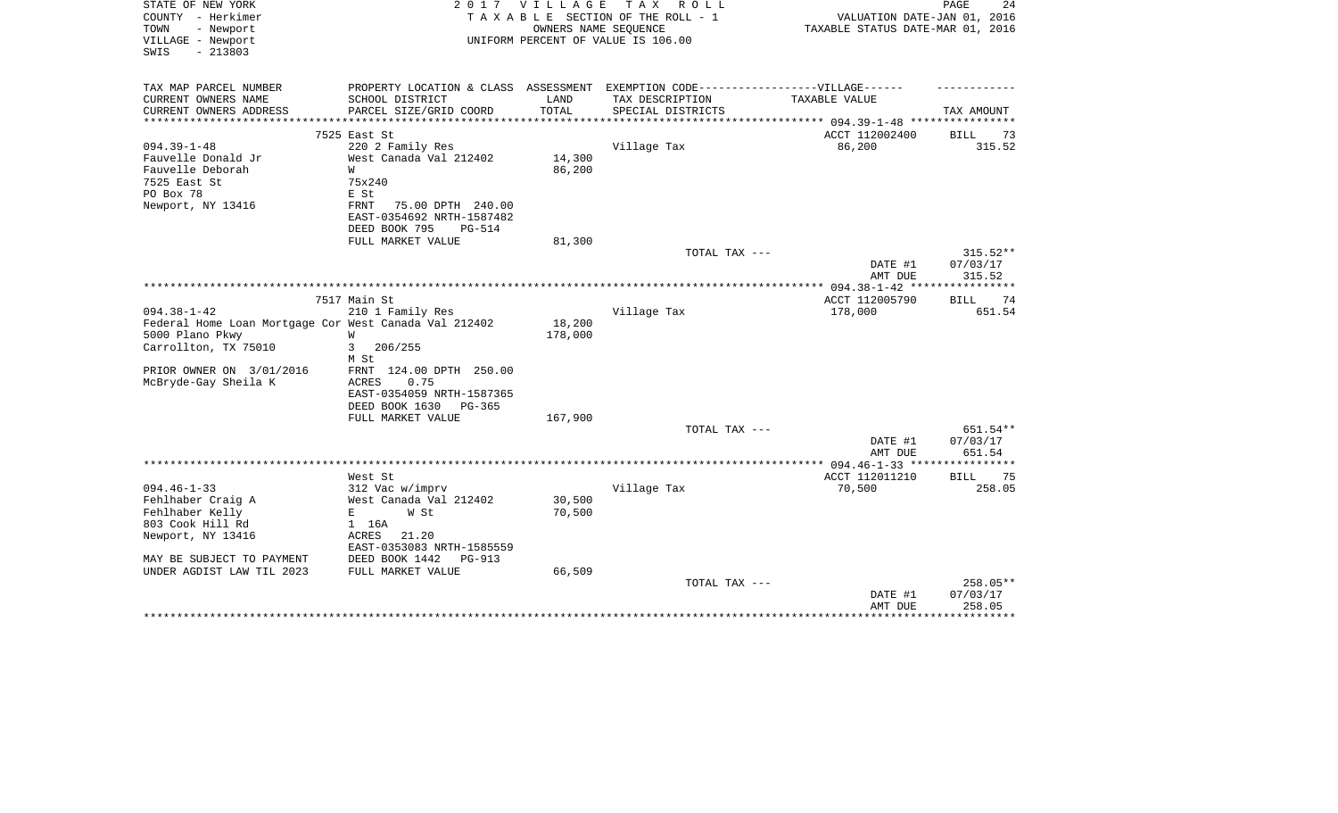| - Newport<br>OWNERS NAME SEQUENCE<br>TAXABLE STATUS DATE-MAR 01, 2016<br>TOWN<br>VILLAGE - Newport<br>UNIFORM PERCENT OF VALUE IS 106.00 |            |
|------------------------------------------------------------------------------------------------------------------------------------------|------------|
| $-213803$<br>SWIS                                                                                                                        |            |
| TAX MAP PARCEL NUMBER<br>PROPERTY LOCATION & CLASS ASSESSMENT EXEMPTION CODE-----------------VILLAGE------                               |            |
| CURRENT OWNERS NAME<br>SCHOOL DISTRICT<br>LAND<br>TAX DESCRIPTION<br>TAXABLE VALUE                                                       |            |
| CURRENT OWNERS ADDRESS<br>PARCEL SIZE/GRID COORD<br>TOTAL<br>SPECIAL DISTRICTS<br>TAX AMOUNT<br>**********************                   |            |
| ACCT 112002400<br>7525 East St<br>BILL                                                                                                   | 73         |
| $094.39 - 1 - 48$<br>220 2 Family Res<br>Village Tax<br>86,200                                                                           | 315.52     |
| Fauvelle Donald Jr<br>West Canada Val 212402<br>14,300                                                                                   |            |
| Fauvelle Deborah<br>86,200<br>W                                                                                                          |            |
| 7525 East St<br>75x240                                                                                                                   |            |
| PO Box 78<br>E St                                                                                                                        |            |
| Newport, NY 13416<br>FRNT<br>75.00 DPTH 240.00<br>EAST-0354692 NRTH-1587482                                                              |            |
| DEED BOOK 795<br><b>PG-514</b>                                                                                                           |            |
| FULL MARKET VALUE<br>81,300                                                                                                              |            |
| TOTAL TAX ---                                                                                                                            | $315.52**$ |
| 07/03/17<br>DATE #1                                                                                                                      |            |
| 315.52<br>AMT DUE                                                                                                                        |            |
|                                                                                                                                          |            |
| 7517 Main St<br>ACCT 112005790<br><b>BILL</b>                                                                                            | 74         |
| $094.38 - 1 - 42$<br>210 1 Family Res<br>Village Tax<br>178,000                                                                          | 651.54     |
| 18,200<br>Federal Home Loan Mortgage Cor West Canada Val 212402                                                                          |            |
| 5000 Plano Pkwy<br>178,000<br>W                                                                                                          |            |
| Carrollton, TX 75010<br>206/255<br>3<br>M St                                                                                             |            |
| PRIOR OWNER ON 3/01/2016<br>124.00 DPTH 250.00<br>FRNT                                                                                   |            |
| McBryde-Gay Sheila K<br>ACRES<br>0.75                                                                                                    |            |
| EAST-0354059 NRTH-1587365                                                                                                                |            |
| DEED BOOK 1630<br>$PG-365$                                                                                                               |            |
| 167,900<br>FULL MARKET VALUE                                                                                                             |            |
| TOTAL TAX ---                                                                                                                            | 651.54**   |
| DATE #1<br>07/03/17<br>AMT DUE<br>651.54                                                                                                 |            |
|                                                                                                                                          |            |
| ACCT 112011210<br>West St<br>BILL                                                                                                        | 75         |
| $094.46 - 1 - 33$<br>312 Vac w/imprv<br>Village Tax<br>70,500                                                                            | 258.05     |
| 30,500<br>Fehlhaber Craig A<br>West Canada Val 212402                                                                                    |            |
| Fehlhaber Kelly<br>70,500<br>E<br>W St                                                                                                   |            |
| 803 Cook Hill Rd<br>1 16A                                                                                                                |            |
| Newport, NY 13416<br>ACRES<br>21.20                                                                                                      |            |
| EAST-0353083 NRTH-1585559                                                                                                                |            |
| MAY BE SUBJECT TO PAYMENT<br>DEED BOOK 1442<br>PG-913                                                                                    |            |
| 66,509<br>UNDER AGDIST LAW TIL 2023<br>FULL MARKET VALUE                                                                                 |            |
| TOTAL TAX ---                                                                                                                            | 258.05**   |
| 07/03/17<br>DATE #1                                                                                                                      |            |
| 258.05<br>AMT DUE                                                                                                                        | ********   |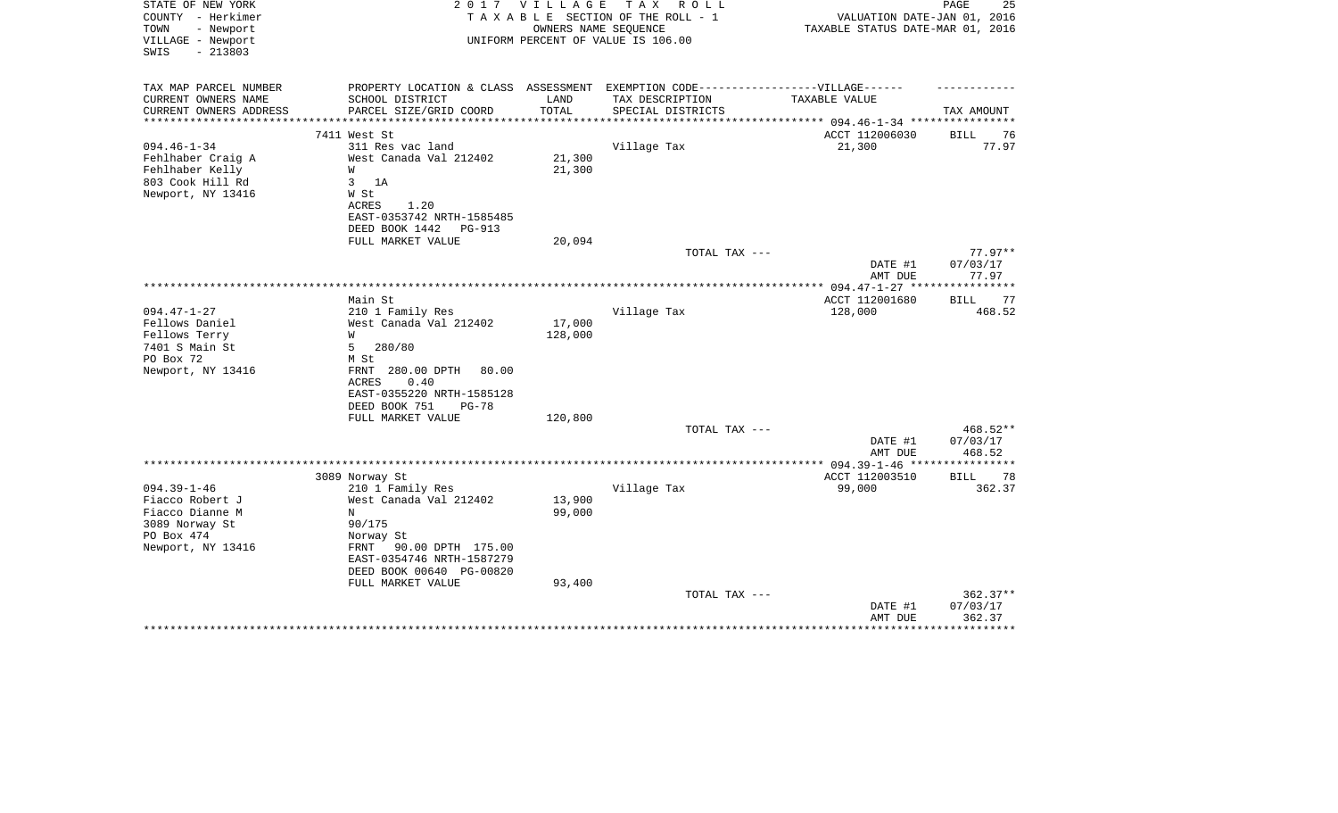| STATE OF NEW YORK<br>COUNTY - Herkimer<br>TOWN<br>- Newport<br>VILLAGE - Newport<br>$-213803$<br>SWIS | 2017                                                  | <b>VILLAGE</b> | T A X<br>R O L L<br>TAXABLE SECTION OF THE ROLL - 1<br>OWNERS NAME SEQUENCE<br>UNIFORM PERCENT OF VALUE IS 106.00 | VALUATION DATE-JAN 01, 2016<br>TAXABLE STATUS DATE-MAR 01, 2016 | PAGE<br>25        |
|-------------------------------------------------------------------------------------------------------|-------------------------------------------------------|----------------|-------------------------------------------------------------------------------------------------------------------|-----------------------------------------------------------------|-------------------|
| TAX MAP PARCEL NUMBER<br>CURRENT OWNERS NAME                                                          | PROPERTY LOCATION & CLASS ASSESSMENT                  |                | EXEMPTION CODE------------------VILLAGE------                                                                     | TAXABLE VALUE                                                   |                   |
| CURRENT OWNERS ADDRESS<br>**********************                                                      | SCHOOL DISTRICT<br>PARCEL SIZE/GRID COORD             | LAND<br>TOTAL  | TAX DESCRIPTION<br>SPECIAL DISTRICTS                                                                              |                                                                 | TAX AMOUNT        |
|                                                                                                       | 7411 West St                                          |                |                                                                                                                   | ACCT 112006030                                                  | 76<br><b>BILL</b> |
| $094.46 - 1 - 34$                                                                                     | 311 Res vac land                                      |                | Village Tax                                                                                                       | 21,300                                                          | 77.97             |
| Fehlhaber Craig A                                                                                     | West Canada Val 212402                                | 21,300         |                                                                                                                   |                                                                 |                   |
| Fehlhaber Kelly                                                                                       | W                                                     | 21,300         |                                                                                                                   |                                                                 |                   |
| 803 Cook Hill Rd                                                                                      | 3<br>1A                                               |                |                                                                                                                   |                                                                 |                   |
| Newport, NY 13416                                                                                     | W St                                                  |                |                                                                                                                   |                                                                 |                   |
|                                                                                                       | ACRES<br>1.20                                         |                |                                                                                                                   |                                                                 |                   |
|                                                                                                       | EAST-0353742 NRTH-1585485                             |                |                                                                                                                   |                                                                 |                   |
|                                                                                                       | DEED BOOK 1442<br>PG-913                              |                |                                                                                                                   |                                                                 |                   |
|                                                                                                       | FULL MARKET VALUE                                     | 20,094         |                                                                                                                   |                                                                 | $77.97**$         |
|                                                                                                       |                                                       |                | TOTAL TAX ---                                                                                                     | DATE #1                                                         | 07/03/17          |
|                                                                                                       |                                                       |                |                                                                                                                   | AMT DUE                                                         | 77.97             |
|                                                                                                       |                                                       |                |                                                                                                                   |                                                                 | ***********       |
|                                                                                                       | Main St                                               |                |                                                                                                                   | ACCT 112001680                                                  | 77<br>BILL        |
| $094.47 - 1 - 27$                                                                                     | 210 1 Family Res                                      |                | Village Tax                                                                                                       | 128,000                                                         | 468.52            |
| Fellows Daniel                                                                                        | West Canada Val 212402                                | 17,000         |                                                                                                                   |                                                                 |                   |
| Fellows Terry                                                                                         | W                                                     | 128,000        |                                                                                                                   |                                                                 |                   |
| 7401 S Main St                                                                                        | 5<br>280/80                                           |                |                                                                                                                   |                                                                 |                   |
| PO Box 72                                                                                             | M St                                                  |                |                                                                                                                   |                                                                 |                   |
| Newport, NY 13416                                                                                     | FRNT 280.00 DPTH<br>80.00                             |                |                                                                                                                   |                                                                 |                   |
|                                                                                                       | <b>ACRES</b><br>0.40                                  |                |                                                                                                                   |                                                                 |                   |
|                                                                                                       | EAST-0355220 NRTH-1585128<br>DEED BOOK 751<br>$PG-78$ |                |                                                                                                                   |                                                                 |                   |
|                                                                                                       | FULL MARKET VALUE                                     | 120,800        |                                                                                                                   |                                                                 |                   |
|                                                                                                       |                                                       |                | TOTAL TAX ---                                                                                                     |                                                                 | 468.52**          |
|                                                                                                       |                                                       |                |                                                                                                                   | DATE #1                                                         | 07/03/17          |
|                                                                                                       |                                                       |                |                                                                                                                   | AMT DUE                                                         | 468.52            |
|                                                                                                       |                                                       |                |                                                                                                                   |                                                                 |                   |
|                                                                                                       | 3089 Norway St                                        |                |                                                                                                                   | ACCT 112003510                                                  | 78<br>BILL        |
| $094.39 - 1 - 46$                                                                                     | 210 1 Family Res                                      |                | Village Tax                                                                                                       | 99,000                                                          | 362.37            |
| Fiacco Robert J                                                                                       | West Canada Val 212402                                | 13,900         |                                                                                                                   |                                                                 |                   |
| Fiacco Dianne M                                                                                       | N                                                     | 99,000         |                                                                                                                   |                                                                 |                   |
| 3089 Norway St                                                                                        | 90/175                                                |                |                                                                                                                   |                                                                 |                   |
| PO Box 474<br>Newport, NY 13416                                                                       | Norway St<br>FRNT                                     |                |                                                                                                                   |                                                                 |                   |
|                                                                                                       | 90.00 DPTH 175.00<br>EAST-0354746 NRTH-1587279        |                |                                                                                                                   |                                                                 |                   |
|                                                                                                       | DEED BOOK 00640 PG-00820                              |                |                                                                                                                   |                                                                 |                   |
|                                                                                                       | FULL MARKET VALUE                                     | 93,400         |                                                                                                                   |                                                                 |                   |
|                                                                                                       |                                                       |                | TOTAL TAX ---                                                                                                     |                                                                 | $362.37**$        |
|                                                                                                       |                                                       |                |                                                                                                                   | DATE #1                                                         | 07/03/17          |
|                                                                                                       |                                                       |                |                                                                                                                   | AMT DUE                                                         | 362.37            |
|                                                                                                       |                                                       |                |                                                                                                                   |                                                                 |                   |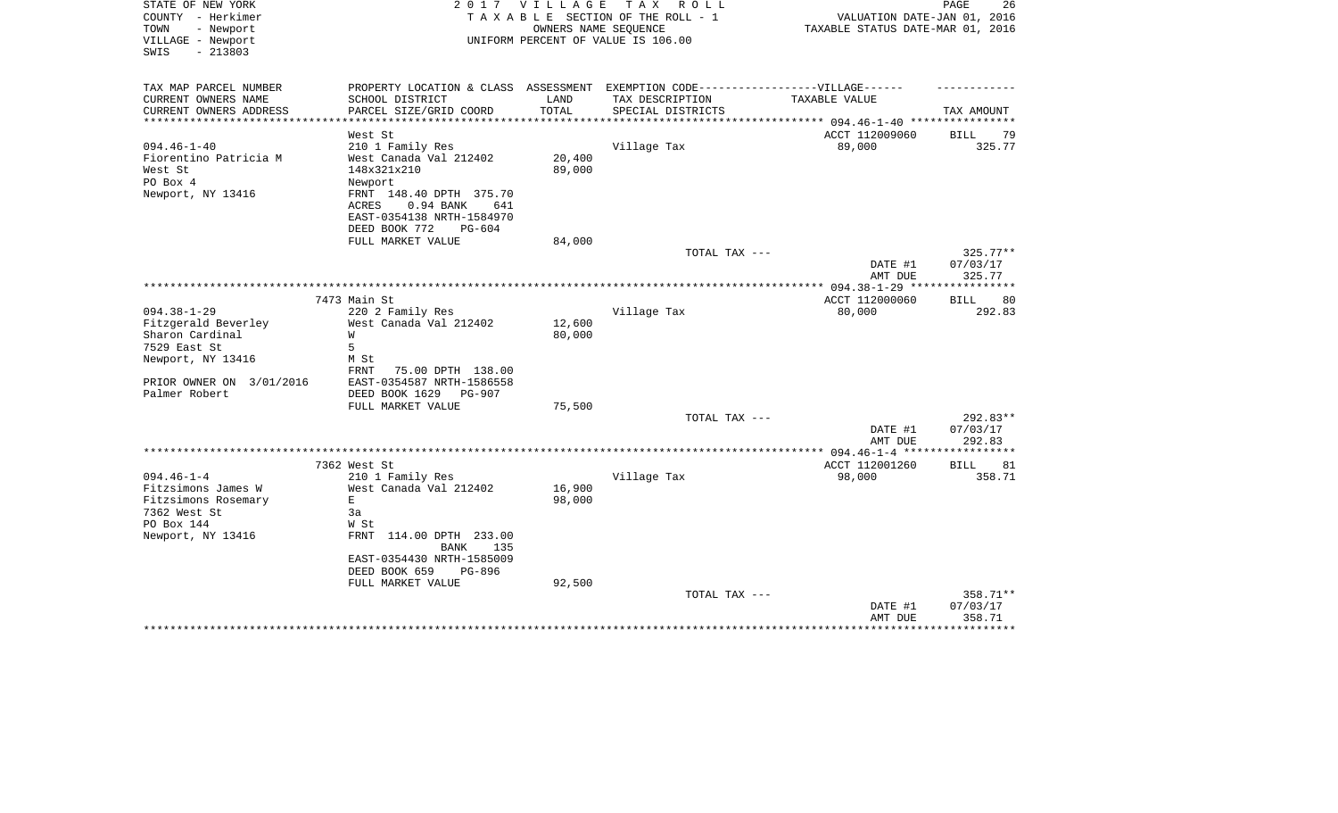| STATE OF NEW YORK<br>COUNTY - Herkimer<br>TOWN<br>- Newport<br>VILLAGE - Newport<br>$-213803$<br>SWIS | 2 0 1 7                                                                           | VILLAGE                 | TAX ROLL<br>TAXABLE SECTION OF THE ROLL - 1<br>OWNERS NAME SEQUENCE<br>UNIFORM PERCENT OF VALUE IS 106.00 | VALUATION DATE-JAN 01, 2016<br>TAXABLE STATUS DATE-MAR 01, 2016 | PAGE<br>26         |
|-------------------------------------------------------------------------------------------------------|-----------------------------------------------------------------------------------|-------------------------|-----------------------------------------------------------------------------------------------------------|-----------------------------------------------------------------|--------------------|
|                                                                                                       |                                                                                   |                         |                                                                                                           |                                                                 |                    |
| TAX MAP PARCEL NUMBER                                                                                 | PROPERTY LOCATION & CLASS ASSESSMENT EXEMPTION CODE-----------------VILLAGE------ |                         |                                                                                                           |                                                                 |                    |
| CURRENT OWNERS NAME                                                                                   | SCHOOL DISTRICT                                                                   | LAND                    | TAX DESCRIPTION                                                                                           | TAXABLE VALUE                                                   |                    |
| CURRENT OWNERS ADDRESS<br>*********************                                                       | PARCEL SIZE/GRID COORD<br>***********************                                 | TOTAL<br>************** | SPECIAL DISTRICTS                                                                                         |                                                                 | TAX AMOUNT         |
|                                                                                                       | West St                                                                           |                         |                                                                                                           | ACCT 112009060                                                  | <b>BILL</b><br>79  |
| $094.46 - 1 - 40$                                                                                     | 210 1 Family Res                                                                  |                         | Village Tax                                                                                               | 89,000                                                          | 325.77             |
| Fiorentino Patricia M                                                                                 | West Canada Val 212402                                                            | 20,400                  |                                                                                                           |                                                                 |                    |
| West St                                                                                               | 148x321x210                                                                       | 89,000                  |                                                                                                           |                                                                 |                    |
| PO Box 4                                                                                              | Newport                                                                           |                         |                                                                                                           |                                                                 |                    |
| Newport, NY 13416                                                                                     | FRNT 148.40 DPTH 375.70<br>ACRES<br>0.94 BANK<br>641<br>EAST-0354138 NRTH-1584970 |                         |                                                                                                           |                                                                 |                    |
|                                                                                                       | DEED BOOK 772<br>$PG-604$                                                         |                         |                                                                                                           |                                                                 |                    |
|                                                                                                       | FULL MARKET VALUE                                                                 | 84,000                  |                                                                                                           |                                                                 |                    |
|                                                                                                       |                                                                                   |                         | TOTAL TAX ---                                                                                             |                                                                 | 325.77**           |
|                                                                                                       |                                                                                   |                         |                                                                                                           | DATE #1<br>AMT DUE                                              | 07/03/17<br>325.77 |
|                                                                                                       |                                                                                   |                         |                                                                                                           |                                                                 | ***********        |
|                                                                                                       | 7473 Main St                                                                      |                         |                                                                                                           | ACCT 112000060                                                  | 80<br>BILL         |
| $094.38 - 1 - 29$                                                                                     | 220 2 Family Res                                                                  |                         | Village Tax                                                                                               | 80,000                                                          | 292.83             |
| Fitzgerald Beverley<br>Sharon Cardinal                                                                | West Canada Val 212402<br>W                                                       | 12,600                  |                                                                                                           |                                                                 |                    |
| 7529 East St                                                                                          | 5                                                                                 | 80,000                  |                                                                                                           |                                                                 |                    |
| Newport, NY 13416                                                                                     | M St                                                                              |                         |                                                                                                           |                                                                 |                    |
|                                                                                                       | FRNT<br>75.00 DPTH 138.00                                                         |                         |                                                                                                           |                                                                 |                    |
| PRIOR OWNER ON 3/01/2016                                                                              | EAST-0354587 NRTH-1586558                                                         |                         |                                                                                                           |                                                                 |                    |
| Palmer Robert                                                                                         | DEED BOOK 1629<br><b>PG-907</b>                                                   |                         |                                                                                                           |                                                                 |                    |
|                                                                                                       | FULL MARKET VALUE                                                                 | 75,500                  |                                                                                                           |                                                                 |                    |
|                                                                                                       |                                                                                   |                         | TOTAL TAX ---                                                                                             |                                                                 | 292.83**           |
|                                                                                                       |                                                                                   |                         |                                                                                                           | DATE #1                                                         | 07/03/17           |
|                                                                                                       | ***********                                                                       |                         |                                                                                                           | AMT DUE                                                         | 292.83<br>******** |
|                                                                                                       | 7362 West St                                                                      |                         |                                                                                                           | *** $094.46 - 1 - 4$ ***<br>ACCT 112001260                      | 81<br><b>BILL</b>  |
| $094.46 - 1 - 4$                                                                                      | 210 1 Family Res                                                                  |                         | Village Tax                                                                                               | 98,000                                                          | 358.71             |
| Fitzsimons James W                                                                                    | West Canada Val 212402                                                            | 16,900                  |                                                                                                           |                                                                 |                    |
| Fitzsimons Rosemary                                                                                   | $\mathbf E$                                                                       | 98,000                  |                                                                                                           |                                                                 |                    |
| 7362 West St                                                                                          | 3a                                                                                |                         |                                                                                                           |                                                                 |                    |
| PO Box 144                                                                                            | W St                                                                              |                         |                                                                                                           |                                                                 |                    |
| Newport, NY 13416                                                                                     | FRNT<br>114.00 DPTH 233.00                                                        |                         |                                                                                                           |                                                                 |                    |
|                                                                                                       | 135<br>BANK                                                                       |                         |                                                                                                           |                                                                 |                    |
|                                                                                                       | EAST-0354430 NRTH-1585009                                                         |                         |                                                                                                           |                                                                 |                    |
|                                                                                                       | DEED BOOK 659<br>PG-896                                                           |                         |                                                                                                           |                                                                 |                    |
|                                                                                                       | FULL MARKET VALUE                                                                 | 92,500                  | TOTAL TAX ---                                                                                             |                                                                 | 358.71**           |
|                                                                                                       |                                                                                   |                         |                                                                                                           | DATE #1                                                         | 07/03/17           |
|                                                                                                       |                                                                                   |                         |                                                                                                           | AMT DUE                                                         | 358.71             |
|                                                                                                       |                                                                                   |                         |                                                                                                           |                                                                 | ************       |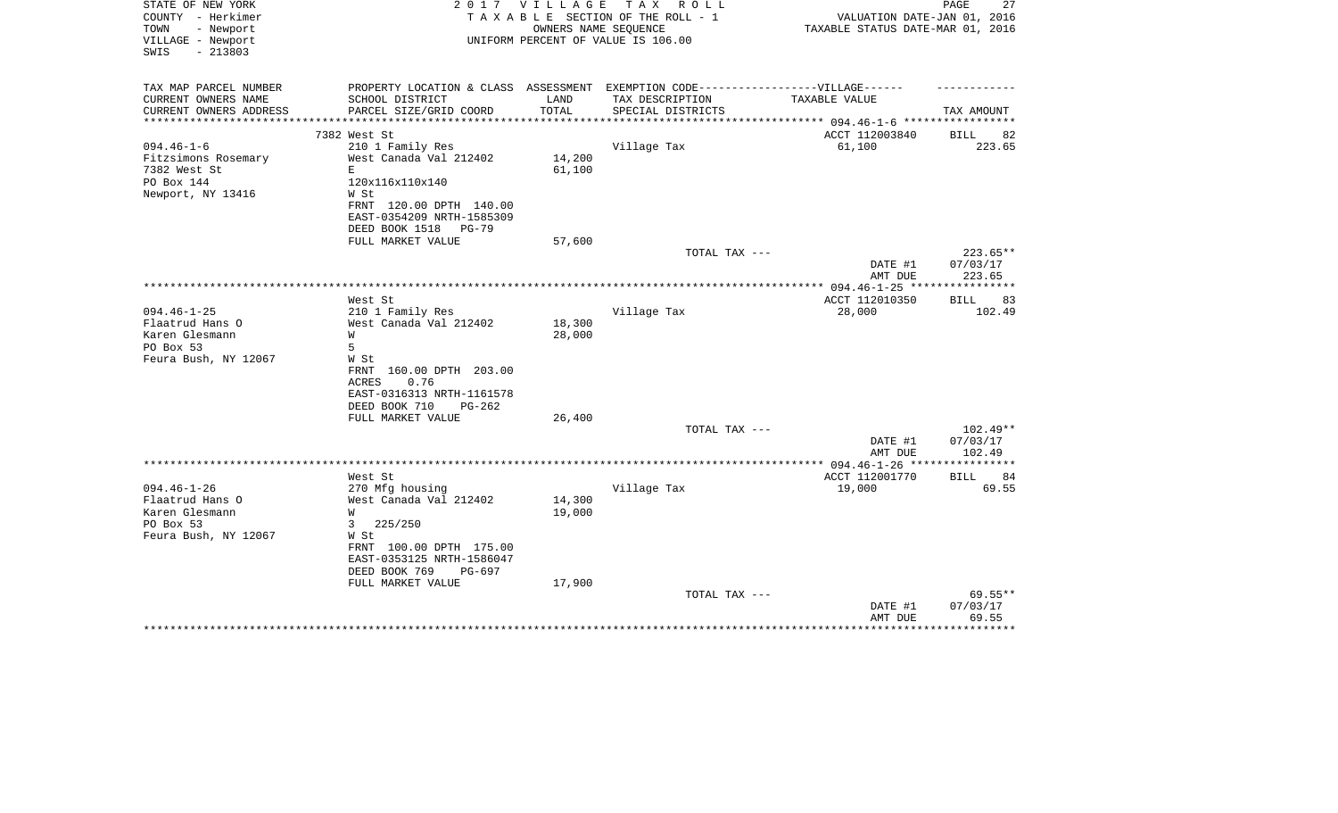| STATE OF NEW YORK<br>COUNTY - Herkimer<br>TOWN<br>- Newport<br>VILLAGE - Newport<br>$-213803$<br>SWIS | 2 0 1 7                                                                          | V I L L A G E | T A X<br>R O L L<br>TAXABLE SECTION OF THE ROLL - 1<br>OWNERS NAME SEQUENCE<br>UNIFORM PERCENT OF VALUE IS 106.00 | VALUATION DATE-JAN 01, 2016<br>TAXABLE STATUS DATE-MAR 01, 2016 | PAGE<br>27                  |
|-------------------------------------------------------------------------------------------------------|----------------------------------------------------------------------------------|---------------|-------------------------------------------------------------------------------------------------------------------|-----------------------------------------------------------------|-----------------------------|
| TAX MAP PARCEL NUMBER                                                                                 | PROPERTY LOCATION & CLASS ASSESSMENT EXEMPTION CODE----------------VILLAGE------ |               |                                                                                                                   |                                                                 |                             |
| CURRENT OWNERS NAME<br>CURRENT OWNERS ADDRESS                                                         | SCHOOL DISTRICT<br>PARCEL SIZE/GRID COORD                                        | LAND<br>TOTAL | TAX DESCRIPTION<br>SPECIAL DISTRICTS                                                                              | TAXABLE VALUE                                                   | TAX AMOUNT                  |
| **********************                                                                                |                                                                                  |               |                                                                                                                   |                                                                 |                             |
| $094.46 - 1 - 6$                                                                                      | 7382 West St<br>210 1 Family Res                                                 |               | Village Tax                                                                                                       | ACCT 112003840<br>61,100                                        | <b>BILL</b><br>82<br>223.65 |
| Fitzsimons Rosemary                                                                                   | West Canada Val 212402                                                           | 14,200        |                                                                                                                   |                                                                 |                             |
| 7382 West St                                                                                          | Е                                                                                | 61,100        |                                                                                                                   |                                                                 |                             |
| PO Box 144                                                                                            | 120x116x110x140                                                                  |               |                                                                                                                   |                                                                 |                             |
| Newport, NY 13416                                                                                     | W St                                                                             |               |                                                                                                                   |                                                                 |                             |
|                                                                                                       | FRNT 120.00 DPTH 140.00                                                          |               |                                                                                                                   |                                                                 |                             |
|                                                                                                       | EAST-0354209 NRTH-1585309                                                        |               |                                                                                                                   |                                                                 |                             |
|                                                                                                       | DEED BOOK 1518<br>PG-79                                                          |               |                                                                                                                   |                                                                 |                             |
|                                                                                                       | FULL MARKET VALUE                                                                | 57,600        | TOTAL TAX ---                                                                                                     |                                                                 | 223.65**                    |
|                                                                                                       |                                                                                  |               |                                                                                                                   | DATE #1<br>AMT DUE                                              | 07/03/17<br>223.65          |
|                                                                                                       |                                                                                  |               |                                                                                                                   |                                                                 |                             |
|                                                                                                       | West St                                                                          |               |                                                                                                                   | ACCT 112010350                                                  | 83<br>BILL                  |
| $094.46 - 1 - 25$                                                                                     | 210 1 Family Res                                                                 |               | Village Tax                                                                                                       | 28,000                                                          | 102.49                      |
| Flaatrud Hans O                                                                                       | West Canada Val 212402                                                           | 18,300        |                                                                                                                   |                                                                 |                             |
| Karen Glesmann<br>PO Box 53                                                                           | W<br>5                                                                           | 28,000        |                                                                                                                   |                                                                 |                             |
| Feura Bush, NY 12067                                                                                  | W St                                                                             |               |                                                                                                                   |                                                                 |                             |
|                                                                                                       | FRNT 160.00 DPTH 203.00                                                          |               |                                                                                                                   |                                                                 |                             |
|                                                                                                       | <b>ACRES</b><br>0.76                                                             |               |                                                                                                                   |                                                                 |                             |
|                                                                                                       | EAST-0316313 NRTH-1161578                                                        |               |                                                                                                                   |                                                                 |                             |
|                                                                                                       | DEED BOOK 710<br>$PG-262$                                                        |               |                                                                                                                   |                                                                 |                             |
|                                                                                                       | FULL MARKET VALUE                                                                | 26,400        |                                                                                                                   |                                                                 |                             |
|                                                                                                       |                                                                                  |               | TOTAL TAX ---                                                                                                     |                                                                 | 102.49**                    |
|                                                                                                       |                                                                                  |               |                                                                                                                   | DATE #1                                                         | 07/03/17                    |
|                                                                                                       |                                                                                  |               |                                                                                                                   | AMT DUE<br>************* 094.46-1-26 *****************          | 102.49                      |
|                                                                                                       | West St                                                                          |               |                                                                                                                   | ACCT 112001770                                                  | 84<br>BILL                  |
| $094.46 - 1 - 26$                                                                                     | 270 Mfg housing                                                                  |               | Village Tax                                                                                                       | 19,000                                                          | 69.55                       |
| Flaatrud Hans O                                                                                       | West Canada Val 212402                                                           | 14,300        |                                                                                                                   |                                                                 |                             |
| Karen Glesmann                                                                                        | W                                                                                | 19,000        |                                                                                                                   |                                                                 |                             |
| PO Box 53                                                                                             | 225/250<br>3                                                                     |               |                                                                                                                   |                                                                 |                             |
| Feura Bush, NY 12067                                                                                  | W St                                                                             |               |                                                                                                                   |                                                                 |                             |
|                                                                                                       | FRNT 100.00 DPTH 175.00                                                          |               |                                                                                                                   |                                                                 |                             |
|                                                                                                       | EAST-0353125 NRTH-1586047<br>DEED BOOK 769<br>PG-697                             |               |                                                                                                                   |                                                                 |                             |
|                                                                                                       | FULL MARKET VALUE                                                                | 17,900        |                                                                                                                   |                                                                 |                             |
|                                                                                                       |                                                                                  |               | TOTAL TAX ---                                                                                                     |                                                                 | $69.55**$                   |
|                                                                                                       |                                                                                  |               |                                                                                                                   | DATE #1                                                         | 07/03/17                    |
|                                                                                                       |                                                                                  |               |                                                                                                                   | AMT DUE                                                         | 69.55                       |
|                                                                                                       |                                                                                  |               |                                                                                                                   |                                                                 | *******                     |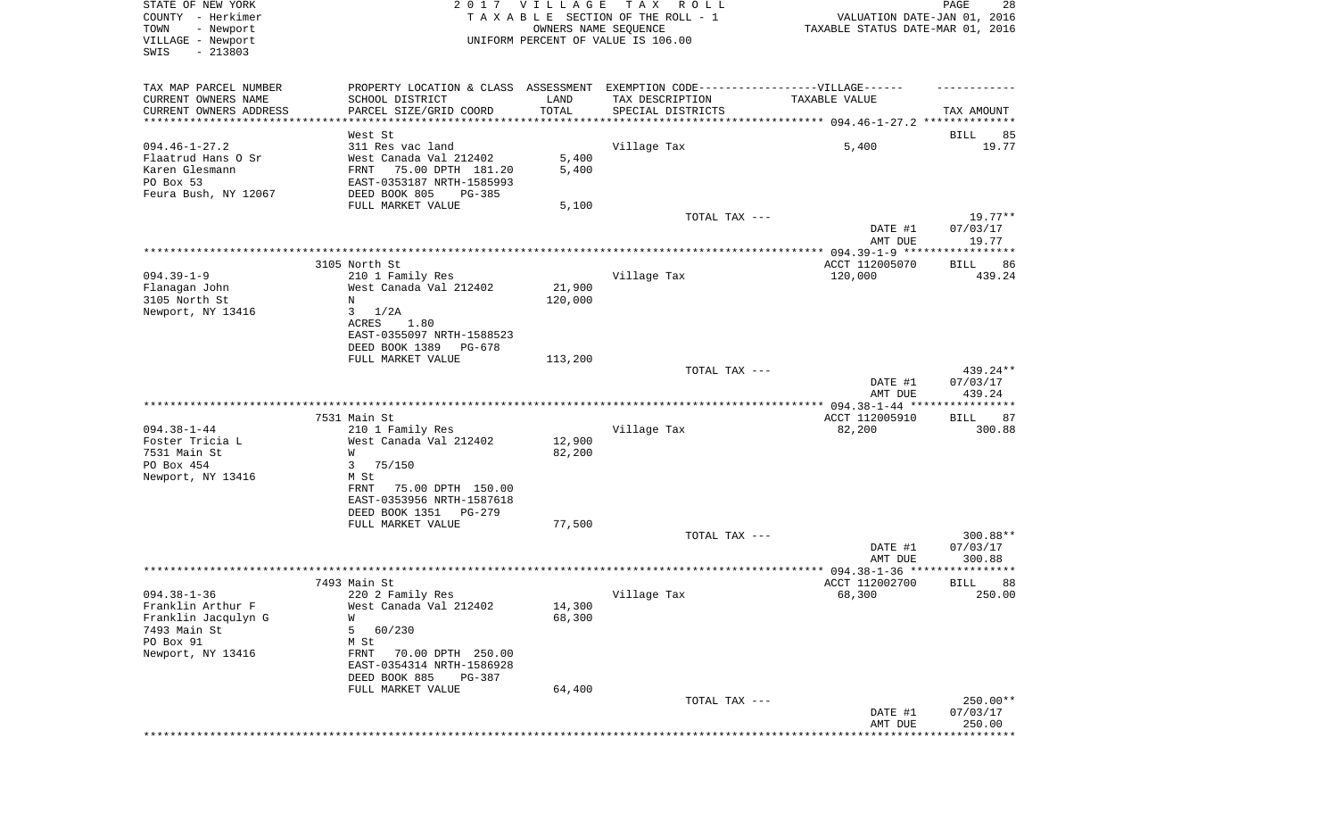| STATE OF NEW YORK<br>COUNTY - Herkimer<br>- Newport<br>TOWN | 2017                                                                              | VILLAGE                        | T A X<br>R O L L<br>TAXABLE SECTION OF THE ROLL - 1<br>OWNERS NAME SEQUENCE | VALUATION DATE-JAN 01, 2016<br>TAXABLE STATUS DATE-MAR 01, 2016 | PAGE<br>28        |
|-------------------------------------------------------------|-----------------------------------------------------------------------------------|--------------------------------|-----------------------------------------------------------------------------|-----------------------------------------------------------------|-------------------|
| VILLAGE - Newport<br>SWIS<br>$-213803$                      |                                                                                   |                                | UNIFORM PERCENT OF VALUE IS 106.00                                          |                                                                 |                   |
| TAX MAP PARCEL NUMBER                                       | PROPERTY LOCATION & CLASS ASSESSMENT EXEMPTION CODE-----------------VILLAGE------ |                                |                                                                             |                                                                 |                   |
| CURRENT OWNERS NAME                                         | SCHOOL DISTRICT                                                                   | LAND                           | TAX DESCRIPTION                                                             | TAXABLE VALUE                                                   |                   |
| CURRENT OWNERS ADDRESS<br>*********************             | PARCEL SIZE/GRID COORD                                                            | TOTAL<br>* * * * * * * * * * * | SPECIAL DISTRICTS                                                           |                                                                 | TAX AMOUNT        |
|                                                             | West St                                                                           |                                |                                                                             |                                                                 | BILL<br>85        |
| $094.46 - 1 - 27.2$                                         | 311 Res vac land                                                                  |                                | Village Tax                                                                 | 5,400                                                           | 19.77             |
| Flaatrud Hans O Sr                                          | West Canada Val 212402                                                            | 5,400                          |                                                                             |                                                                 |                   |
| Karen Glesmann<br>PO Box 53                                 | 75.00 DPTH 181.20<br>FRNT<br>EAST-0353187 NRTH-1585993                            | 5,400                          |                                                                             |                                                                 |                   |
| Feura Bush, NY 12067                                        | DEED BOOK 805<br>PG-385                                                           |                                |                                                                             |                                                                 |                   |
|                                                             | FULL MARKET VALUE                                                                 | 5,100                          |                                                                             |                                                                 |                   |
|                                                             |                                                                                   |                                | TOTAL TAX ---                                                               |                                                                 | $19.77**$         |
|                                                             |                                                                                   |                                |                                                                             | DATE #1<br>AMT DUE                                              | 07/03/17<br>19.77 |
|                                                             |                                                                                   |                                |                                                                             |                                                                 |                   |
|                                                             | 3105 North St                                                                     |                                |                                                                             | ACCT 112005070                                                  | BILL<br>86        |
| $094.39 - 1 - 9$                                            | 210 1 Family Res                                                                  |                                | Village Tax                                                                 | 120,000                                                         | 439.24            |
| Flanagan John<br>3105 North St                              | West Canada Val 212402<br>N                                                       | 21,900<br>120,000              |                                                                             |                                                                 |                   |
| Newport, NY 13416                                           | 3<br>1/2A                                                                         |                                |                                                                             |                                                                 |                   |
|                                                             | <b>ACRES</b><br>1.80                                                              |                                |                                                                             |                                                                 |                   |
|                                                             | EAST-0355097 NRTH-1588523                                                         |                                |                                                                             |                                                                 |                   |
|                                                             | DEED BOOK 1389<br>PG-678<br>FULL MARKET VALUE                                     | 113,200                        |                                                                             |                                                                 |                   |
|                                                             |                                                                                   |                                | TOTAL TAX ---                                                               |                                                                 | 439.24**          |
|                                                             |                                                                                   |                                |                                                                             | DATE #1                                                         | 07/03/17          |
|                                                             |                                                                                   |                                |                                                                             | AMT DUE                                                         | 439.24            |
|                                                             | 7531 Main St                                                                      |                                |                                                                             | ACCT 112005910                                                  | BILL<br>87        |
| $094.38 - 1 - 44$                                           | 210 1 Family Res                                                                  |                                | Village Tax                                                                 | 82,200                                                          | 300.88            |
| Foster Tricia L                                             | West Canada Val 212402                                                            | 12,900                         |                                                                             |                                                                 |                   |
| 7531 Main St                                                | W                                                                                 | 82,200                         |                                                                             |                                                                 |                   |
| PO Box 454<br>Newport, NY 13416                             | 75/150<br>3<br>M St                                                               |                                |                                                                             |                                                                 |                   |
|                                                             | 75.00 DPTH 150.00<br>FRNT                                                         |                                |                                                                             |                                                                 |                   |
|                                                             | EAST-0353956 NRTH-1587618                                                         |                                |                                                                             |                                                                 |                   |
|                                                             | DEED BOOK 1351<br>PG-279<br>FULL MARKET VALUE                                     | 77,500                         |                                                                             |                                                                 |                   |
|                                                             |                                                                                   |                                | TOTAL TAX ---                                                               |                                                                 | 300.88**          |
|                                                             |                                                                                   |                                |                                                                             | DATE #1                                                         | 07/03/17          |
|                                                             |                                                                                   |                                |                                                                             | AMT DUE                                                         | 300.88<br>*****   |
|                                                             | 7493 Main St                                                                      |                                |                                                                             | ******************** 094.38-1-36 ********<br>ACCT 112002700     | 88<br>BILL        |
| $094.38 - 1 - 36$                                           | 220 2 Family Res                                                                  |                                | Village Tax                                                                 | 68,300                                                          | 250.00            |
| Franklin Arthur F                                           | West Canada Val 212402                                                            | 14,300                         |                                                                             |                                                                 |                   |
| Franklin Jacqulyn G                                         | W                                                                                 | 68,300                         |                                                                             |                                                                 |                   |
| 7493 Main St<br>PO Box 91                                   | 5<br>60/230<br>M St                                                               |                                |                                                                             |                                                                 |                   |
| Newport, NY 13416                                           | FRNT<br>70.00 DPTH 250.00                                                         |                                |                                                                             |                                                                 |                   |
|                                                             | EAST-0354314 NRTH-1586928                                                         |                                |                                                                             |                                                                 |                   |
|                                                             | DEED BOOK 885<br>PG-387                                                           |                                |                                                                             |                                                                 |                   |
|                                                             | FULL MARKET VALUE                                                                 | 64,400                         | TOTAL TAX ---                                                               |                                                                 | $250.00**$        |
|                                                             |                                                                                   |                                |                                                                             | DATE #1                                                         | 07/03/17          |
|                                                             |                                                                                   |                                |                                                                             | AMT DUE                                                         | 250.00            |
|                                                             |                                                                                   |                                |                                                                             | *******************************                                 |                   |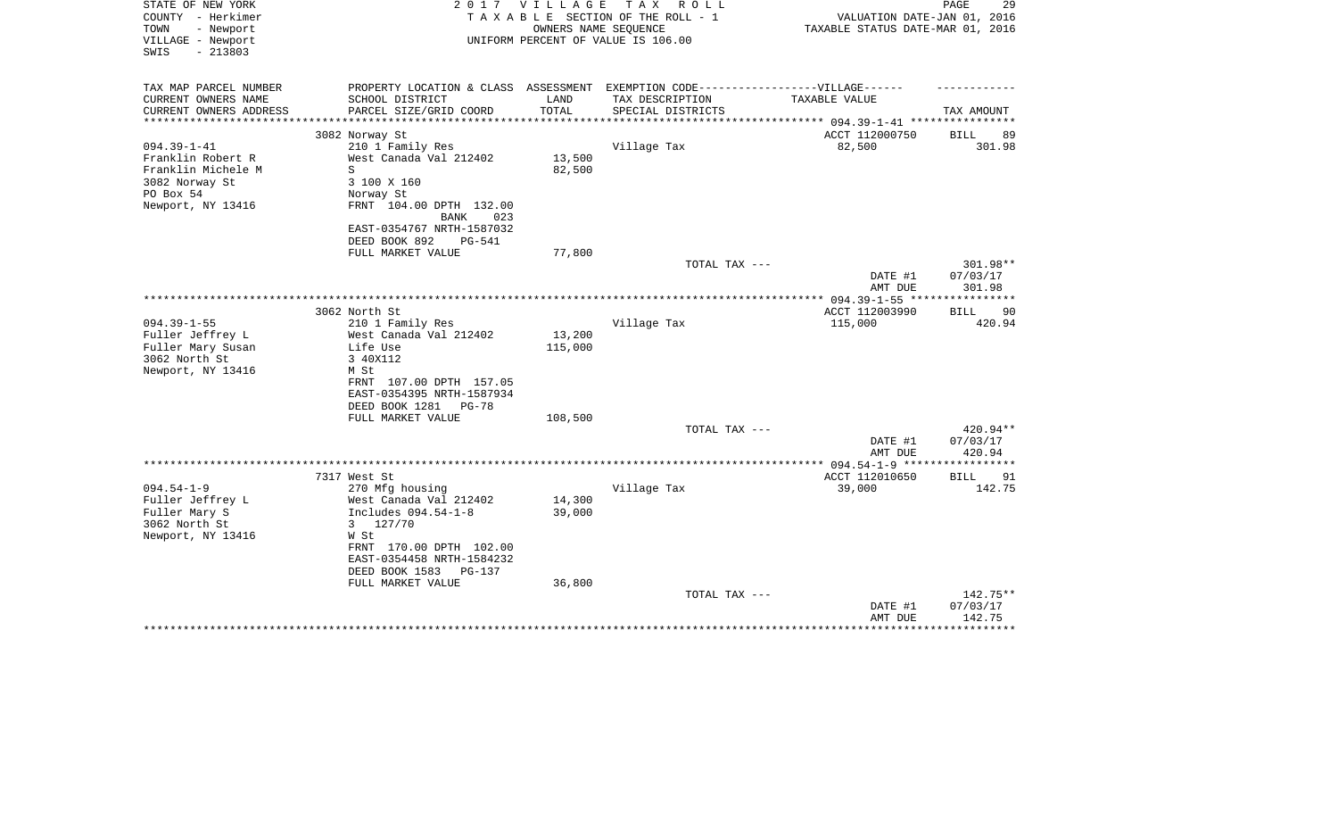| STATE OF NEW YORK<br>COUNTY - Herkimer | 2 0 1 7                                                                           | <b>VILLAGE</b> | T A X<br>R O L L<br>TAXABLE SECTION OF THE ROLL - 1 |                                          | 29<br>PAGE         |
|----------------------------------------|-----------------------------------------------------------------------------------|----------------|-----------------------------------------------------|------------------------------------------|--------------------|
|                                        |                                                                                   |                |                                                     | VALUATION DATE-JAN 01, 2016              |                    |
| TOWN<br>- Newport                      |                                                                                   |                | OWNERS NAME SEQUENCE                                | TAXABLE STATUS DATE-MAR 01, 2016         |                    |
| VILLAGE - Newport                      |                                                                                   |                | UNIFORM PERCENT OF VALUE IS 106.00                  |                                          |                    |
| SWIS<br>$-213803$                      |                                                                                   |                |                                                     |                                          |                    |
| TAX MAP PARCEL NUMBER                  |                                                                                   |                |                                                     |                                          |                    |
|                                        | PROPERTY LOCATION & CLASS ASSESSMENT EXEMPTION CODE-----------------VILLAGE------ |                |                                                     |                                          |                    |
| CURRENT OWNERS NAME                    | SCHOOL DISTRICT                                                                   | LAND           | TAX DESCRIPTION                                     | TAXABLE VALUE                            |                    |
| CURRENT OWNERS ADDRESS                 | PARCEL SIZE/GRID COORD                                                            | TOTAL          | SPECIAL DISTRICTS                                   | ******************* 094.39-1-41 ******** | TAX AMOUNT         |
|                                        | 3082 Norway St                                                                    |                |                                                     | ACCT 112000750                           | <b>BILL</b><br>89  |
| $094.39 - 1 - 41$                      | 210 1 Family Res                                                                  |                | Village Tax                                         | 82,500                                   | 301.98             |
| Franklin Robert R                      | West Canada Val 212402                                                            | 13,500         |                                                     |                                          |                    |
| Franklin Michele M                     | S                                                                                 | 82,500         |                                                     |                                          |                    |
| 3082 Norway St                         | 3 100 X 160                                                                       |                |                                                     |                                          |                    |
| PO Box 54                              | Norway St                                                                         |                |                                                     |                                          |                    |
| Newport, NY 13416                      | FRNT 104.00 DPTH 132.00                                                           |                |                                                     |                                          |                    |
|                                        | BANK<br>023                                                                       |                |                                                     |                                          |                    |
|                                        | EAST-0354767 NRTH-1587032                                                         |                |                                                     |                                          |                    |
|                                        | DEED BOOK 892<br>PG-541                                                           |                |                                                     |                                          |                    |
|                                        | FULL MARKET VALUE                                                                 | 77,800         |                                                     |                                          |                    |
|                                        |                                                                                   |                | TOTAL TAX ---                                       |                                          | 301.98**           |
|                                        |                                                                                   |                |                                                     | DATE #1                                  | 07/03/17           |
|                                        |                                                                                   |                |                                                     | AMT DUE                                  | 301.98             |
|                                        |                                                                                   |                |                                                     |                                          |                    |
|                                        | 3062 North St                                                                     |                |                                                     | ACCT 112003990                           | <b>BILL</b><br>90  |
| $094.39 - 1 - 55$                      | 210 1 Family Res                                                                  |                | Village Tax                                         | 115,000                                  | 420.94             |
| Fuller Jeffrey L                       | West Canada Val 212402                                                            | 13,200         |                                                     |                                          |                    |
| Fuller Mary Susan                      | Life Use                                                                          | 115,000        |                                                     |                                          |                    |
| 3062 North St                          | 3 40X112                                                                          |                |                                                     |                                          |                    |
| Newport, NY 13416                      | M St                                                                              |                |                                                     |                                          |                    |
|                                        | FRNT 107.00 DPTH 157.05                                                           |                |                                                     |                                          |                    |
|                                        | EAST-0354395 NRTH-1587934                                                         |                |                                                     |                                          |                    |
|                                        | DEED BOOK 1281<br>$PG-78$                                                         |                |                                                     |                                          |                    |
|                                        | FULL MARKET VALUE                                                                 | 108,500        |                                                     |                                          |                    |
|                                        |                                                                                   |                | TOTAL TAX ---                                       |                                          | 420.94**           |
|                                        |                                                                                   |                |                                                     | DATE #1                                  | 07/03/17           |
|                                        |                                                                                   |                |                                                     | AMT DUE                                  | 420.94             |
|                                        |                                                                                   |                |                                                     |                                          |                    |
|                                        | 7317 West St                                                                      |                |                                                     | ACCT 112010650                           | 91<br>BILL         |
| $094.54 - 1 - 9$                       | 270 Mfg housing                                                                   |                | Village Tax                                         | 39,000                                   | 142.75             |
| Fuller Jeffrey L                       | West Canada Val 212402                                                            | 14,300         |                                                     |                                          |                    |
| Fuller Mary S                          | Includes 094.54-1-8                                                               | 39,000         |                                                     |                                          |                    |
| 3062 North St                          | 127/70<br>3                                                                       |                |                                                     |                                          |                    |
| Newport, NY 13416                      | W St                                                                              |                |                                                     |                                          |                    |
|                                        | FRNT 170.00 DPTH 102.00                                                           |                |                                                     |                                          |                    |
|                                        | EAST-0354458 NRTH-1584232                                                         |                |                                                     |                                          |                    |
|                                        | DEED BOOK 1583<br>PG-137                                                          |                |                                                     |                                          |                    |
|                                        | FULL MARKET VALUE                                                                 | 36,800         |                                                     |                                          |                    |
|                                        |                                                                                   |                | TOTAL TAX ---                                       |                                          | 142.75**           |
|                                        |                                                                                   |                |                                                     | DATE #1<br>AMT DUE                       | 07/03/17<br>142.75 |
|                                        |                                                                                   |                |                                                     |                                          |                    |
|                                        |                                                                                   |                |                                                     |                                          |                    |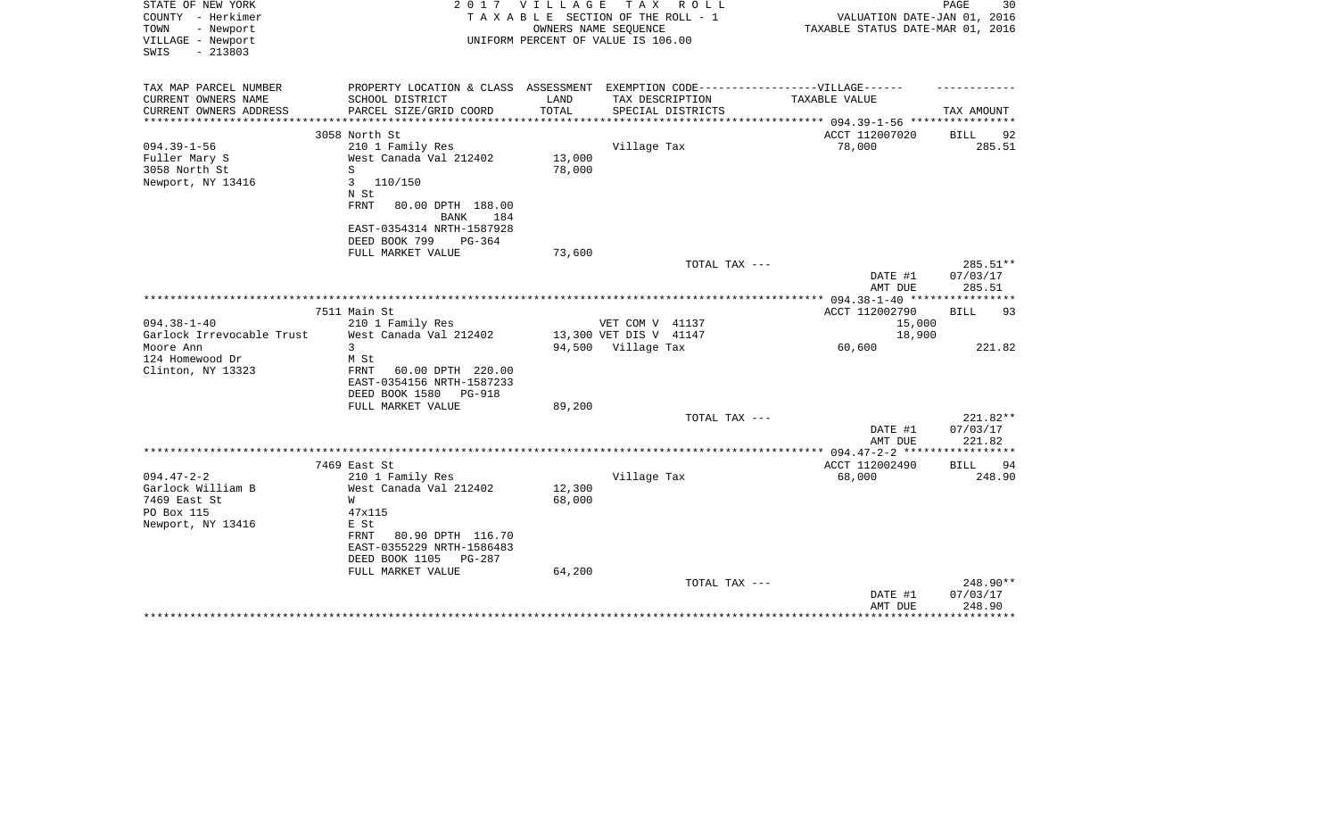| STATE OF NEW YORK<br>COUNTY - Herkimer                      | 2017                                                   | <b>VILLAGE</b> | T A X<br>R O L L<br>TAXABLE SECTION OF THE ROLL - 1                               | VALUATION DATE-JAN 01, 2016                 | 30<br>PAGE        |
|-------------------------------------------------------------|--------------------------------------------------------|----------------|-----------------------------------------------------------------------------------|---------------------------------------------|-------------------|
| - Newport<br>TOWN<br>VILLAGE - Newport<br>$-213803$<br>SWIS |                                                        |                | OWNERS NAME SEQUENCE<br>UNIFORM PERCENT OF VALUE IS 106.00                        | TAXABLE STATUS DATE-MAR 01, 2016            |                   |
| TAX MAP PARCEL NUMBER                                       |                                                        |                | PROPERTY LOCATION & CLASS ASSESSMENT EXEMPTION CODE-----------------VILLAGE------ |                                             |                   |
| CURRENT OWNERS NAME                                         | SCHOOL DISTRICT                                        | LAND           | TAX DESCRIPTION                                                                   | TAXABLE VALUE                               |                   |
| CURRENT OWNERS ADDRESS<br>*****************                 | PARCEL SIZE/GRID COORD<br>***************************  | TOTAL          | SPECIAL DISTRICTS<br>*******************************                              | ***************** 094.39-1-56 ************* | TAX AMOUNT        |
|                                                             | 3058 North St                                          |                |                                                                                   | ACCT 112007020                              | 92<br>BILL        |
| $094.39 - 1 - 56$                                           | 210 1 Family Res                                       |                | Village Tax                                                                       | 78,000                                      | 285.51            |
| Fuller Mary S                                               | West Canada Val 212402                                 | 13,000         |                                                                                   |                                             |                   |
| 3058 North St                                               | S                                                      | 78,000         |                                                                                   |                                             |                   |
| Newport, NY 13416                                           | 3<br>110/150                                           |                |                                                                                   |                                             |                   |
|                                                             | N St                                                   |                |                                                                                   |                                             |                   |
|                                                             | <b>FRNT</b><br>80.00 DPTH 188.00<br><b>BANK</b><br>184 |                |                                                                                   |                                             |                   |
|                                                             | EAST-0354314 NRTH-1587928                              |                |                                                                                   |                                             |                   |
|                                                             | DEED BOOK 799<br>$PG-364$                              |                |                                                                                   |                                             |                   |
|                                                             | FULL MARKET VALUE                                      | 73,600         |                                                                                   |                                             |                   |
|                                                             |                                                        |                | TOTAL TAX ---                                                                     |                                             | 285.51**          |
|                                                             |                                                        |                |                                                                                   | DATE #1                                     | 07/03/17          |
|                                                             |                                                        |                |                                                                                   | AMT DUE                                     | 285.51            |
|                                                             | 7511 Main St                                           |                |                                                                                   | ACCT 112002790                              | <b>BILL</b><br>93 |
| $094.38 - 1 - 40$                                           | 210 1 Family Res                                       |                | VET COM V 41137                                                                   | 15,000                                      |                   |
| Garlock Irrevocable Trust                                   | West Canada Val 212402                                 |                | 13,300 VET DIS V 41147                                                            | 18,900                                      |                   |
| Moore Ann                                                   | 3                                                      |                | 94,500 Village Tax                                                                | 60,600                                      | 221.82            |
| 124 Homewood Dr                                             | M St                                                   |                |                                                                                   |                                             |                   |
| Clinton, NY 13323                                           | FRNT<br>60.00 DPTH 220.00                              |                |                                                                                   |                                             |                   |
|                                                             | EAST-0354156 NRTH-1587233<br>DEED BOOK 1580<br>PG-918  |                |                                                                                   |                                             |                   |
|                                                             | FULL MARKET VALUE                                      | 89,200         |                                                                                   |                                             |                   |
|                                                             |                                                        |                | TOTAL TAX ---                                                                     |                                             | 221.82**          |
|                                                             |                                                        |                |                                                                                   | DATE #1                                     | 07/03/17          |
|                                                             |                                                        |                |                                                                                   | AMT DUE                                     | 221.82            |
|                                                             |                                                        |                |                                                                                   |                                             |                   |
| $094.47 - 2 - 2$                                            | 7469 East St                                           |                |                                                                                   | ACCT 112002490                              | BILL<br>94        |
| Garlock William B                                           | 210 1 Family Res<br>West Canada Val 212402             | 12,300         | Village Tax                                                                       | 68,000                                      | 248.90            |
| 7469 East St                                                | W                                                      | 68,000         |                                                                                   |                                             |                   |
| PO Box 115                                                  | 47x115                                                 |                |                                                                                   |                                             |                   |
| Newport, NY 13416                                           | E St                                                   |                |                                                                                   |                                             |                   |
|                                                             | 80.90 DPTH 116.70<br>FRNT                              |                |                                                                                   |                                             |                   |
|                                                             | EAST-0355229 NRTH-1586483                              |                |                                                                                   |                                             |                   |
|                                                             | DEED BOOK 1105<br><b>PG-287</b>                        |                |                                                                                   |                                             |                   |
|                                                             | FULL MARKET VALUE                                      | 64,200         | TOTAL TAX ---                                                                     |                                             | 248.90**          |
|                                                             |                                                        |                |                                                                                   | DATE #1                                     | 07/03/17          |
|                                                             |                                                        |                |                                                                                   | AMT DUE                                     | 248.90            |
|                                                             |                                                        |                |                                                                                   |                                             | ***********       |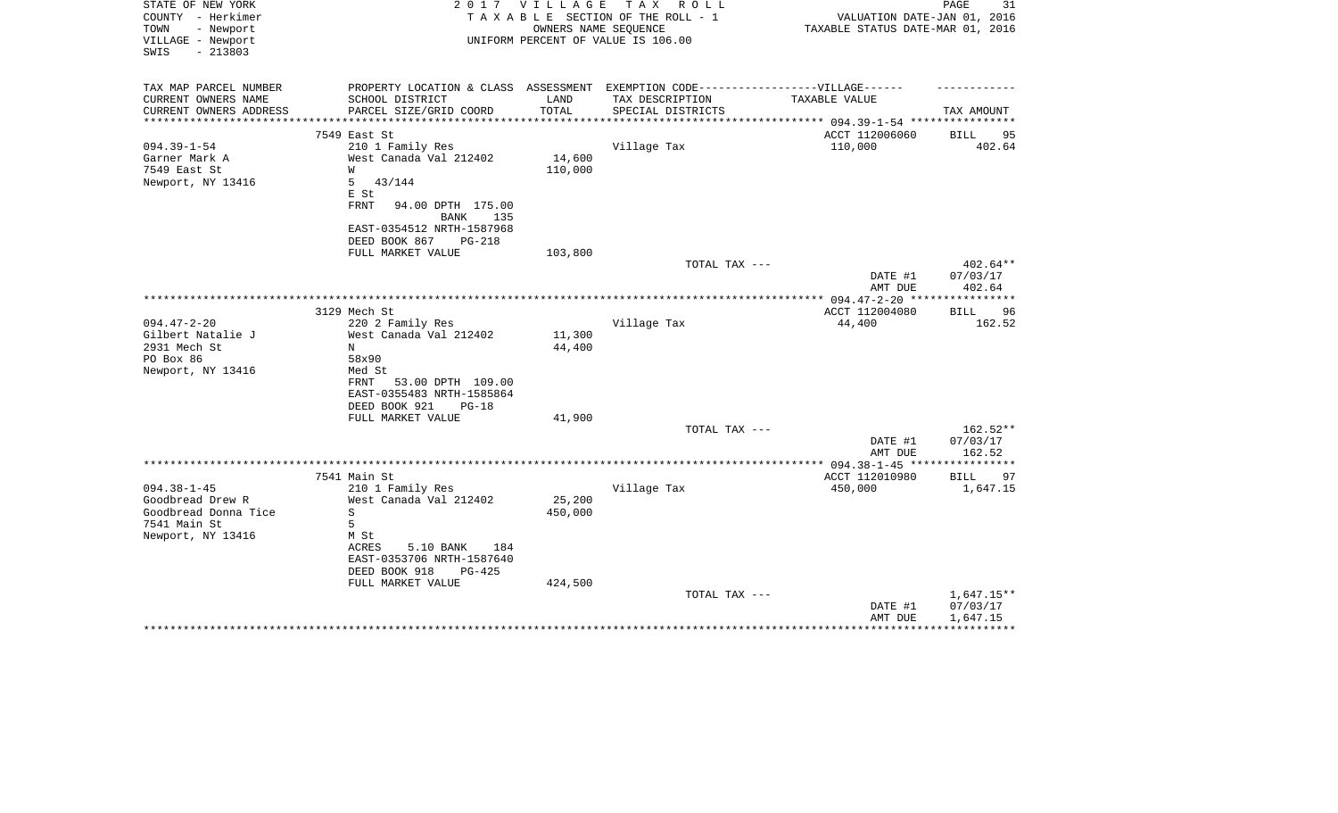| STATE OF NEW YORK<br>COUNTY - Herkimer<br>- Newport<br>TOWN<br>VILLAGE - Newport<br>$-213803$<br>SWIS | 2 0 1 7                                                                           | VILLAGE<br>OWNERS NAME SEQUENCE | TAX ROLL<br>TAXABLE SECTION OF THE ROLL - 1<br>UNIFORM PERCENT OF VALUE IS 106.00 | VALUATION DATE-JAN 01, 2016<br>TAXABLE STATUS DATE-MAR 01, 2016 | 31<br>PAGE                     |
|-------------------------------------------------------------------------------------------------------|-----------------------------------------------------------------------------------|---------------------------------|-----------------------------------------------------------------------------------|-----------------------------------------------------------------|--------------------------------|
| TAX MAP PARCEL NUMBER                                                                                 | PROPERTY LOCATION & CLASS ASSESSMENT EXEMPTION CODE-----------------VILLAGE------ |                                 |                                                                                   |                                                                 |                                |
| CURRENT OWNERS NAME                                                                                   | SCHOOL DISTRICT                                                                   | LAND                            | TAX DESCRIPTION                                                                   | TAXABLE VALUE                                                   |                                |
| CURRENT OWNERS ADDRESS                                                                                | PARCEL SIZE/GRID COORD                                                            | TOTAL<br>************           | SPECIAL DISTRICTS                                                                 | ******************** 094.39-1-54 *********                      | TAX AMOUNT                     |
|                                                                                                       | 7549 East St                                                                      |                                 |                                                                                   | ACCT 112006060                                                  | 95<br><b>BILL</b>              |
| $094.39 - 1 - 54$                                                                                     | 210 1 Family Res                                                                  |                                 | Village Tax                                                                       | 110,000                                                         | 402.64                         |
| Garner Mark A                                                                                         | West Canada Val 212402                                                            | 14,600                          |                                                                                   |                                                                 |                                |
| 7549 East St                                                                                          | W                                                                                 | 110,000                         |                                                                                   |                                                                 |                                |
| Newport, NY 13416                                                                                     | 5<br>43/144                                                                       |                                 |                                                                                   |                                                                 |                                |
|                                                                                                       | E St                                                                              |                                 |                                                                                   |                                                                 |                                |
|                                                                                                       | <b>FRNT</b><br>94.00 DPTH 175.00                                                  |                                 |                                                                                   |                                                                 |                                |
|                                                                                                       | BANK<br>135                                                                       |                                 |                                                                                   |                                                                 |                                |
|                                                                                                       | EAST-0354512 NRTH-1587968                                                         |                                 |                                                                                   |                                                                 |                                |
|                                                                                                       | DEED BOOK 867<br><b>PG-218</b>                                                    |                                 |                                                                                   |                                                                 |                                |
|                                                                                                       | FULL MARKET VALUE                                                                 | 103,800                         |                                                                                   |                                                                 |                                |
|                                                                                                       |                                                                                   |                                 | TOTAL TAX ---                                                                     | DATE #1<br>AMT DUE                                              | 402.64**<br>07/03/17<br>402.64 |
|                                                                                                       |                                                                                   |                                 |                                                                                   |                                                                 |                                |
|                                                                                                       | 3129 Mech St                                                                      |                                 |                                                                                   | ACCT 112004080                                                  | <b>BILL</b><br>96              |
| $094.47 - 2 - 20$                                                                                     | 220 2 Family Res                                                                  |                                 | Village Tax                                                                       | 44,400                                                          | 162.52                         |
| Gilbert Natalie J                                                                                     | West Canada Val 212402                                                            | 11,300                          |                                                                                   |                                                                 |                                |
| 2931 Mech St                                                                                          | N                                                                                 | 44,400                          |                                                                                   |                                                                 |                                |
| PO Box 86                                                                                             | 58x90                                                                             |                                 |                                                                                   |                                                                 |                                |
| Newport, NY 13416                                                                                     | Med St                                                                            |                                 |                                                                                   |                                                                 |                                |
|                                                                                                       | 53.00 DPTH 109.00<br>FRNT<br>EAST-0355483 NRTH-1585864                            |                                 |                                                                                   |                                                                 |                                |
|                                                                                                       | DEED BOOK 921<br>$PG-18$                                                          |                                 |                                                                                   |                                                                 |                                |
|                                                                                                       | FULL MARKET VALUE                                                                 | 41,900                          |                                                                                   |                                                                 |                                |
|                                                                                                       |                                                                                   |                                 | TOTAL TAX ---                                                                     |                                                                 | $162.52**$                     |
|                                                                                                       |                                                                                   |                                 |                                                                                   | DATE #1                                                         | 07/03/17                       |
|                                                                                                       |                                                                                   |                                 |                                                                                   | AMT DUE                                                         | 162.52                         |
|                                                                                                       |                                                                                   |                                 |                                                                                   | *************** 094.38-1-45 *****************                   |                                |
|                                                                                                       | 7541 Main St                                                                      |                                 |                                                                                   | ACCT 112010980                                                  | BILL<br>97                     |
| $094.38 - 1 - 45$                                                                                     | 210 1 Family Res                                                                  |                                 | Village Tax                                                                       | 450,000                                                         | 1,647.15                       |
| Goodbread Drew R                                                                                      | West Canada Val 212402                                                            | 25,200                          |                                                                                   |                                                                 |                                |
| Goodbread Donna Tice                                                                                  | S                                                                                 | 450,000                         |                                                                                   |                                                                 |                                |
| 7541 Main St                                                                                          | 5                                                                                 |                                 |                                                                                   |                                                                 |                                |
| Newport, NY 13416                                                                                     | M St                                                                              |                                 |                                                                                   |                                                                 |                                |
|                                                                                                       | 5.10 BANK<br>ACRES<br>184<br>EAST-0353706 NRTH-1587640                            |                                 |                                                                                   |                                                                 |                                |
|                                                                                                       | DEED BOOK 918<br>$PG-425$                                                         |                                 |                                                                                   |                                                                 |                                |
|                                                                                                       | FULL MARKET VALUE                                                                 | 424,500                         |                                                                                   |                                                                 |                                |
|                                                                                                       |                                                                                   |                                 | TOTAL TAX ---                                                                     |                                                                 | $1,647.15**$                   |
|                                                                                                       |                                                                                   |                                 |                                                                                   | DATE #1                                                         | 07/03/17                       |
|                                                                                                       |                                                                                   |                                 |                                                                                   | AMT DUE                                                         | 1,647.15                       |
|                                                                                                       |                                                                                   |                                 |                                                                                   |                                                                 |                                |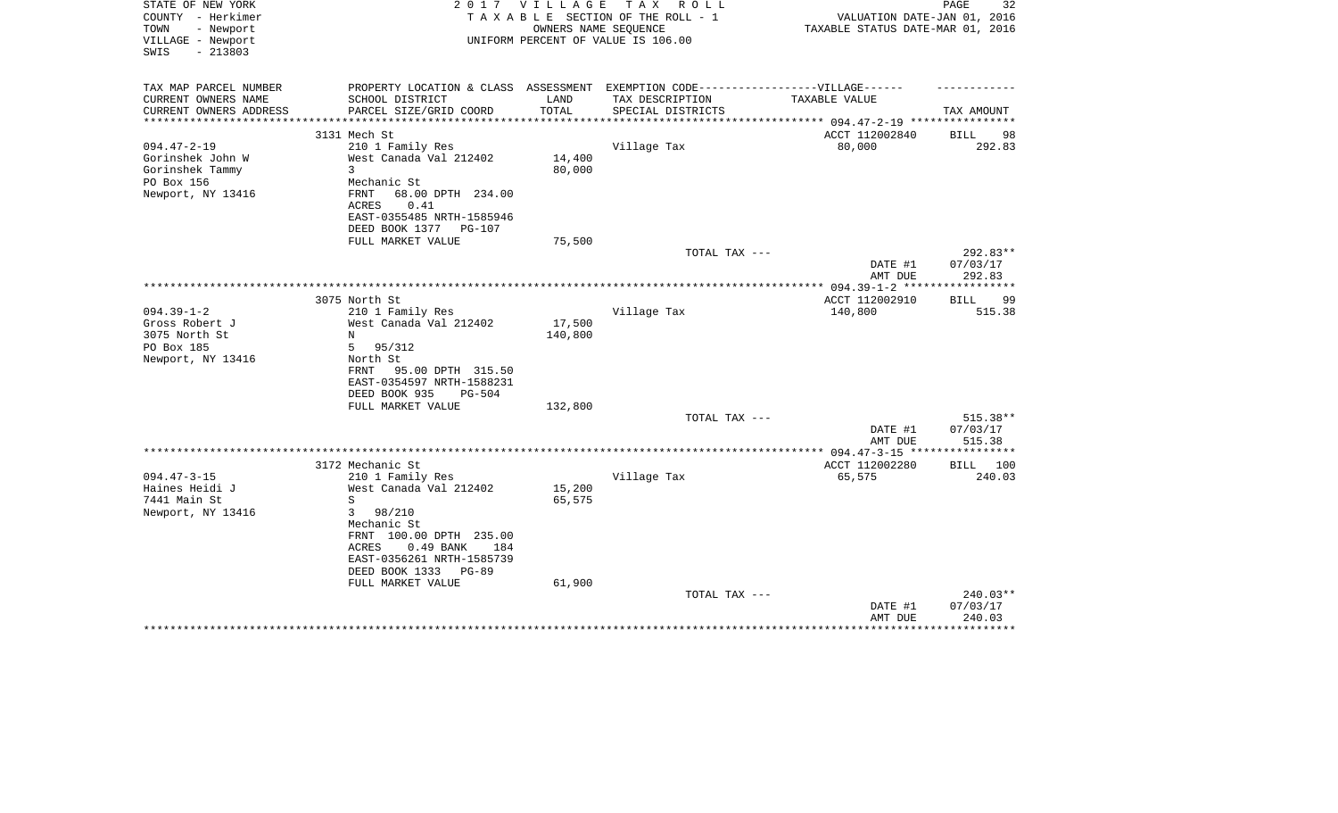| STATE OF NEW YORK<br>COUNTY - Herkimer<br>TOWN      | 2 0 1 7                                                                           | V I L L A G E          | TAX ROLL<br>TAXABLE SECTION OF THE ROLL - 1                | VALUATION DATE-JAN 01, 2016      | 32<br>PAGE                     |
|-----------------------------------------------------|-----------------------------------------------------------------------------------|------------------------|------------------------------------------------------------|----------------------------------|--------------------------------|
| - Newport<br>VILLAGE - Newport<br>$-213803$<br>SWIS |                                                                                   |                        | OWNERS NAME SEQUENCE<br>UNIFORM PERCENT OF VALUE IS 106.00 | TAXABLE STATUS DATE-MAR 01, 2016 |                                |
| TAX MAP PARCEL NUMBER                               | PROPERTY LOCATION & CLASS ASSESSMENT EXEMPTION CODE-----------------VILLAGE------ |                        |                                                            |                                  |                                |
| CURRENT OWNERS NAME                                 | SCHOOL DISTRICT                                                                   | LAND                   | TAX DESCRIPTION                                            | TAXABLE VALUE                    |                                |
| CURRENT OWNERS ADDRESS<br>*******************       | PARCEL SIZE/GRID COORD                                                            | TOTAL<br>************* | SPECIAL DISTRICTS                                          |                                  | TAX AMOUNT                     |
|                                                     | 3131 Mech St                                                                      |                        |                                                            | ACCT 112002840                   | <b>BILL</b><br>98              |
| $094.47 - 2 - 19$                                   | 210 1 Family Res                                                                  |                        | Village Tax                                                | 80,000                           | 292.83                         |
| Gorinshek John W                                    | West Canada Val 212402                                                            | 14,400                 |                                                            |                                  |                                |
| Gorinshek Tammy                                     | 3                                                                                 | 80,000                 |                                                            |                                  |                                |
| PO Box 156                                          | Mechanic St                                                                       |                        |                                                            |                                  |                                |
| Newport, NY 13416                                   | 68.00 DPTH 234.00<br>FRNT<br>ACRES<br>0.41                                        |                        |                                                            |                                  |                                |
|                                                     | EAST-0355485 NRTH-1585946                                                         |                        |                                                            |                                  |                                |
|                                                     | DEED BOOK 1377<br>PG-107                                                          |                        |                                                            |                                  |                                |
|                                                     | FULL MARKET VALUE                                                                 | 75,500                 |                                                            |                                  |                                |
|                                                     |                                                                                   |                        | TOTAL TAX ---                                              | DATE #1<br>AMT DUE               | 292.83**<br>07/03/17<br>292.83 |
|                                                     |                                                                                   |                        |                                                            |                                  | * * * * * * * * * * *          |
|                                                     | 3075 North St                                                                     |                        |                                                            | ACCT 112002910                   | 99<br>BILL                     |
| $094.39 - 1 - 2$                                    | 210 1 Family Res                                                                  |                        | Village Tax                                                | 140,800                          | 515.38                         |
| Gross Robert J                                      | West Canada Val 212402                                                            | 17,500                 |                                                            |                                  |                                |
| 3075 North St                                       | N                                                                                 | 140,800                |                                                            |                                  |                                |
| PO Box 185                                          | 5<br>95/312<br>North St                                                           |                        |                                                            |                                  |                                |
| Newport, NY 13416                                   | 95.00 DPTH 315.50<br>FRNT                                                         |                        |                                                            |                                  |                                |
|                                                     | EAST-0354597 NRTH-1588231                                                         |                        |                                                            |                                  |                                |
|                                                     | DEED BOOK 935<br><b>PG-504</b>                                                    |                        |                                                            |                                  |                                |
|                                                     | FULL MARKET VALUE                                                                 | 132,800                |                                                            |                                  |                                |
|                                                     |                                                                                   |                        | TOTAL TAX ---                                              |                                  | $515.38**$                     |
|                                                     |                                                                                   |                        |                                                            | DATE #1                          | 07/03/17                       |
|                                                     |                                                                                   |                        |                                                            | AMT DUE                          | 515.38                         |
|                                                     |                                                                                   |                        |                                                            |                                  |                                |
|                                                     | 3172 Mechanic St                                                                  |                        |                                                            | ACCT 112002280                   | <b>BILL</b><br>100             |
| $094.47 - 3 - 15$                                   | 210 1 Family Res                                                                  |                        | Village Tax                                                | 65,575                           | 240.03                         |
| Haines Heidi J<br>7441 Main St                      | West Canada Val 212402<br>S                                                       | 15,200<br>65,575       |                                                            |                                  |                                |
| Newport, NY 13416                                   | 3<br>98/210                                                                       |                        |                                                            |                                  |                                |
|                                                     | Mechanic St                                                                       |                        |                                                            |                                  |                                |
|                                                     | FRNT 100.00 DPTH 235.00                                                           |                        |                                                            |                                  |                                |
|                                                     | $0.49$ BANK<br>184<br>ACRES                                                       |                        |                                                            |                                  |                                |
|                                                     | EAST-0356261 NRTH-1585739                                                         |                        |                                                            |                                  |                                |
|                                                     | DEED BOOK 1333<br>PG-89                                                           |                        |                                                            |                                  |                                |
|                                                     | FULL MARKET VALUE                                                                 | 61,900                 |                                                            |                                  |                                |
|                                                     |                                                                                   |                        | TOTAL TAX ---                                              |                                  | 240.03**                       |
|                                                     |                                                                                   |                        |                                                            | DATE #1<br>AMT DUE               | 07/03/17<br>240.03             |
|                                                     |                                                                                   |                        |                                                            |                                  |                                |
|                                                     |                                                                                   |                        |                                                            |                                  |                                |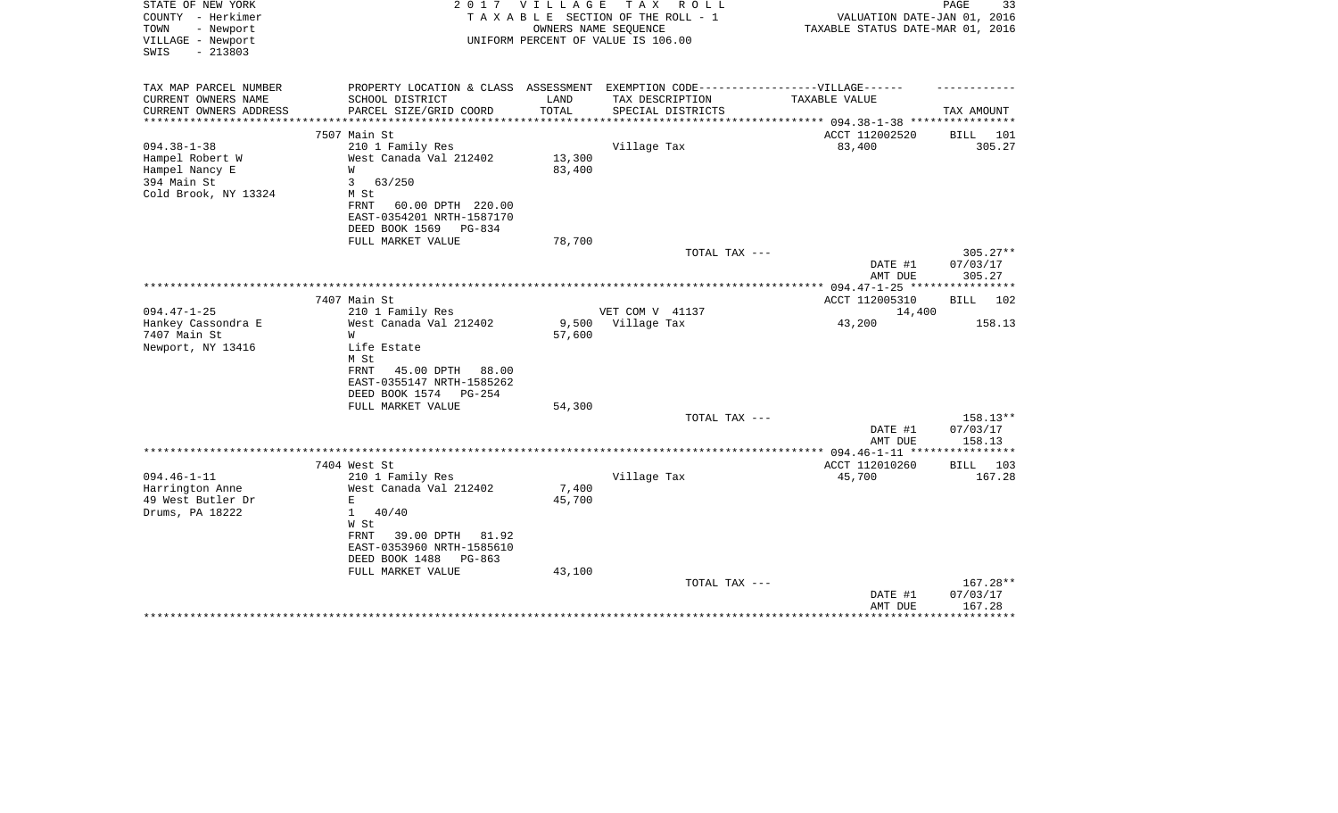| STATE OF NEW YORK<br>COUNTY - Herkimer<br>TOWN<br>- Newport<br>VILLAGE - Newport<br>$-213803$<br>SWIS |                                                       | 2017 VILLAGE         | TAX ROLL<br>TAXABLE SECTION OF THE ROLL - 1<br>OWNERS NAME SEQUENCE<br>UNIFORM PERCENT OF VALUE IS 106.00 | VALUATION DATE-JAN 01, 2016<br>TAXABLE STATUS DATE-MAR 01, 2016 | PAGE<br>33         |
|-------------------------------------------------------------------------------------------------------|-------------------------------------------------------|----------------------|-----------------------------------------------------------------------------------------------------------|-----------------------------------------------------------------|--------------------|
| TAX MAP PARCEL NUMBER                                                                                 |                                                       |                      | PROPERTY LOCATION & CLASS ASSESSMENT EXEMPTION CODE-----------------VILLAGE------                         |                                                                 |                    |
| CURRENT OWNERS NAME<br>CURRENT OWNERS ADDRESS                                                         | SCHOOL DISTRICT<br>PARCEL SIZE/GRID COORD             | LAND<br><b>TOTAL</b> | TAX DESCRIPTION<br>SPECIAL DISTRICTS                                                                      | TAXABLE VALUE                                                   | TAX AMOUNT         |
| ************                                                                                          |                                                       | ************         |                                                                                                           | ************ 094.38-1-38 ****************                       |                    |
|                                                                                                       | 7507 Main St                                          |                      |                                                                                                           | ACCT 112002520                                                  | BILL 101           |
| $094.38 - 1 - 38$                                                                                     | 210 1 Family Res                                      |                      | Village Tax                                                                                               | 83,400                                                          | 305.27             |
| Hampel Robert W                                                                                       | West Canada Val 212402                                | 13,300               |                                                                                                           |                                                                 |                    |
| Hampel Nancy E<br>394 Main St                                                                         | W<br>$\mathbf{3}$<br>63/250                           | 83,400               |                                                                                                           |                                                                 |                    |
| Cold Brook, NY 13324                                                                                  | M St                                                  |                      |                                                                                                           |                                                                 |                    |
|                                                                                                       | FRNT<br>60.00 DPTH 220.00                             |                      |                                                                                                           |                                                                 |                    |
|                                                                                                       | EAST-0354201 NRTH-1587170                             |                      |                                                                                                           |                                                                 |                    |
|                                                                                                       | DEED BOOK 1569<br>PG-834                              |                      |                                                                                                           |                                                                 |                    |
|                                                                                                       | FULL MARKET VALUE                                     | 78,700               | TOTAL TAX ---                                                                                             |                                                                 | $305.27**$         |
|                                                                                                       |                                                       |                      |                                                                                                           | DATE #1                                                         | 07/03/17           |
|                                                                                                       |                                                       |                      |                                                                                                           | AMT DUE                                                         | 305.27             |
|                                                                                                       |                                                       |                      |                                                                                                           | *************** 094.47-1-25 *****************                   |                    |
| $094.47 - 1 - 25$                                                                                     | 7407 Main St                                          |                      |                                                                                                           | ACCT 112005310                                                  | BILL 102           |
| Hankey Cassondra E                                                                                    | 210 1 Family Res<br>West Canada Val 212402            | 9,500                | VET COM V 41137<br>Village Tax                                                                            | 14,400<br>43,200                                                | 158.13             |
| 7407 Main St                                                                                          | W                                                     | 57,600               |                                                                                                           |                                                                 |                    |
| Newport, NY 13416                                                                                     | Life Estate                                           |                      |                                                                                                           |                                                                 |                    |
|                                                                                                       | M St                                                  |                      |                                                                                                           |                                                                 |                    |
|                                                                                                       | FRNT<br>45.00 DPTH 88.00<br>EAST-0355147 NRTH-1585262 |                      |                                                                                                           |                                                                 |                    |
|                                                                                                       | DEED BOOK 1574<br>PG-254                              |                      |                                                                                                           |                                                                 |                    |
|                                                                                                       | FULL MARKET VALUE                                     | 54,300               |                                                                                                           |                                                                 |                    |
|                                                                                                       |                                                       |                      | TOTAL TAX ---                                                                                             |                                                                 | 158.13**           |
|                                                                                                       |                                                       |                      |                                                                                                           | DATE #1                                                         | 07/03/17           |
|                                                                                                       |                                                       |                      |                                                                                                           | AMT DUE                                                         | 158.13             |
|                                                                                                       | 7404 West St                                          |                      |                                                                                                           | ACCT 112010260                                                  | <b>BILL</b> 103    |
| $094.46 - 1 - 11$                                                                                     | 210 1 Family Res                                      |                      | Village Tax                                                                                               | 45,700                                                          | 167.28             |
| Harrington Anne                                                                                       | West Canada Val 212402                                | 7,400                |                                                                                                           |                                                                 |                    |
| 49 West Butler Dr                                                                                     | $\mathbf E$                                           | 45,700               |                                                                                                           |                                                                 |                    |
| Drums, PA 18222                                                                                       | $\mathbf{1}$<br>40/40<br>W St                         |                      |                                                                                                           |                                                                 |                    |
|                                                                                                       | FRNT<br>39.00 DPTH<br>81.92                           |                      |                                                                                                           |                                                                 |                    |
|                                                                                                       | EAST-0353960 NRTH-1585610                             |                      |                                                                                                           |                                                                 |                    |
|                                                                                                       | DEED BOOK 1488<br>PG-863                              |                      |                                                                                                           |                                                                 |                    |
|                                                                                                       | FULL MARKET VALUE                                     | 43,100               |                                                                                                           |                                                                 |                    |
|                                                                                                       |                                                       |                      | TOTAL TAX ---                                                                                             |                                                                 | 167.28**           |
|                                                                                                       |                                                       |                      |                                                                                                           | DATE #1<br>AMT DUE                                              | 07/03/17<br>167.28 |
|                                                                                                       |                                                       |                      |                                                                                                           |                                                                 | ********           |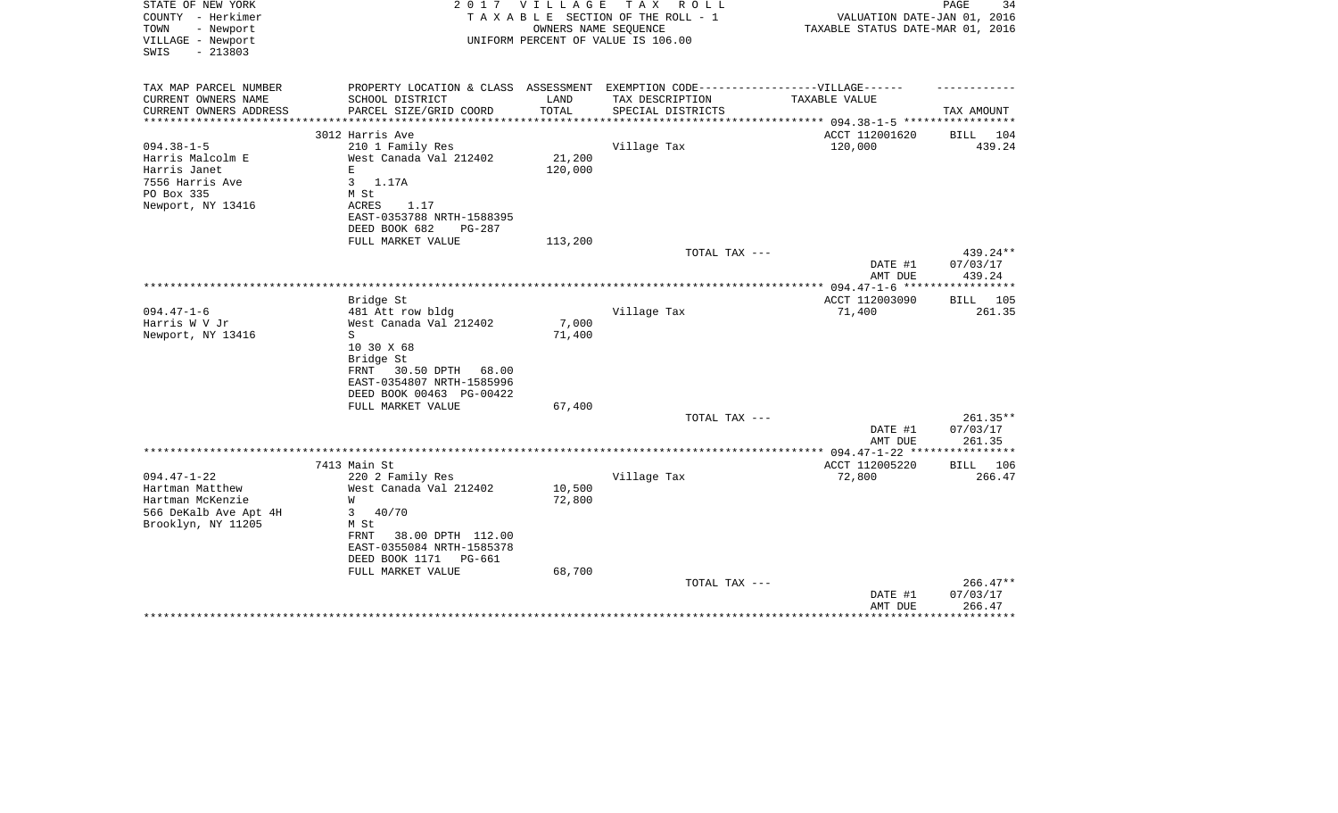| STATE OF NEW YORK<br>COUNTY - Herkimer<br>TOWN<br>- Newport | 2017                                                                              | VILLAGE | T A X<br>R O L L<br>TAXABLE SECTION OF THE ROLL - 1<br>OWNERS NAME SEQUENCE | VALUATION DATE-JAN 01, 2016<br>TAXABLE STATUS DATE-MAR 01, 2016 | PAGE<br>34         |
|-------------------------------------------------------------|-----------------------------------------------------------------------------------|---------|-----------------------------------------------------------------------------|-----------------------------------------------------------------|--------------------|
| VILLAGE - Newport<br>$-213803$<br>SWIS                      |                                                                                   |         | UNIFORM PERCENT OF VALUE IS 106.00                                          |                                                                 |                    |
| TAX MAP PARCEL NUMBER                                       | PROPERTY LOCATION & CLASS ASSESSMENT EXEMPTION CODE-----------------VILLAGE------ |         |                                                                             |                                                                 |                    |
| CURRENT OWNERS NAME                                         | SCHOOL DISTRICT                                                                   | LAND    | TAX DESCRIPTION                                                             | <b>TAXABLE VALUE</b>                                            |                    |
| CURRENT OWNERS ADDRESS<br>**********************            | PARCEL SIZE/GRID COORD<br>**************************                              | TOTAL   | SPECIAL DISTRICTS                                                           |                                                                 | TAX AMOUNT         |
|                                                             | 3012 Harris Ave                                                                   |         |                                                                             | ACCT 112001620                                                  | BILL 104           |
| $094.38 - 1 - 5$                                            | 210 1 Family Res                                                                  |         | Village Tax                                                                 | 120,000                                                         | 439.24             |
| Harris Malcolm E                                            | West Canada Val 212402                                                            | 21,200  |                                                                             |                                                                 |                    |
| Harris Janet                                                | E                                                                                 | 120,000 |                                                                             |                                                                 |                    |
| 7556 Harris Ave                                             | 3<br>1.17A                                                                        |         |                                                                             |                                                                 |                    |
| PO Box 335<br>Newport, NY 13416                             | M St<br>1.17<br>ACRES                                                             |         |                                                                             |                                                                 |                    |
|                                                             | EAST-0353788 NRTH-1588395                                                         |         |                                                                             |                                                                 |                    |
|                                                             | DEED BOOK 682<br>$PG-287$                                                         |         |                                                                             |                                                                 |                    |
|                                                             | FULL MARKET VALUE                                                                 | 113,200 |                                                                             |                                                                 |                    |
|                                                             |                                                                                   |         | TOTAL TAX ---                                                               |                                                                 | $439.24**$         |
|                                                             |                                                                                   |         |                                                                             | DATE #1<br>AMT DUE                                              | 07/03/17<br>439.24 |
|                                                             |                                                                                   |         |                                                                             |                                                                 |                    |
| $094.47 - 1 - 6$                                            | Bridge St<br>481 Att row bldg                                                     |         | Village Tax                                                                 | ACCT 112003090<br>71,400                                        | BILL 105<br>261.35 |
| Harris W V Jr                                               | West Canada Val 212402                                                            | 7,000   |                                                                             |                                                                 |                    |
| Newport, NY 13416                                           | S                                                                                 | 71,400  |                                                                             |                                                                 |                    |
|                                                             | 10 30 X 68                                                                        |         |                                                                             |                                                                 |                    |
|                                                             | Bridge St                                                                         |         |                                                                             |                                                                 |                    |
|                                                             | 30.50 DPTH<br>68.00<br>FRNT                                                       |         |                                                                             |                                                                 |                    |
|                                                             | EAST-0354807 NRTH-1585996<br>DEED BOOK 00463 PG-00422                             |         |                                                                             |                                                                 |                    |
|                                                             | FULL MARKET VALUE                                                                 | 67,400  |                                                                             |                                                                 |                    |
|                                                             |                                                                                   |         | TOTAL TAX ---                                                               |                                                                 | 261.35**           |
|                                                             |                                                                                   |         |                                                                             | DATE #1                                                         | 07/03/17           |
|                                                             |                                                                                   |         |                                                                             | AMT DUE                                                         | 261.35             |
|                                                             | 7413 Main St                                                                      |         |                                                                             | ***************** 094.47-1-22 *****************                 |                    |
| $094.47 - 1 - 22$                                           | 220 2 Family Res                                                                  |         | Village Tax                                                                 | ACCT 112005220<br>72,800                                        | BILL 106<br>266.47 |
| Hartman Matthew                                             | West Canada Val 212402                                                            | 10,500  |                                                                             |                                                                 |                    |
| Hartman McKenzie                                            | W                                                                                 | 72,800  |                                                                             |                                                                 |                    |
| 566 DeKalb Ave Apt 4H                                       | 3<br>40/70                                                                        |         |                                                                             |                                                                 |                    |
| Brooklyn, NY 11205                                          | M St                                                                              |         |                                                                             |                                                                 |                    |
|                                                             | FRNT<br>38.00 DPTH 112.00                                                         |         |                                                                             |                                                                 |                    |
|                                                             | EAST-0355084 NRTH-1585378<br>DEED BOOK 1171<br>PG-661                             |         |                                                                             |                                                                 |                    |
|                                                             | FULL MARKET VALUE                                                                 | 68,700  |                                                                             |                                                                 |                    |
|                                                             |                                                                                   |         | TOTAL TAX ---                                                               |                                                                 | 266.47**           |
|                                                             |                                                                                   |         |                                                                             | DATE #1                                                         | 07/03/17           |
|                                                             |                                                                                   |         |                                                                             | AMT DUE                                                         | 266.47             |
|                                                             |                                                                                   |         |                                                                             |                                                                 |                    |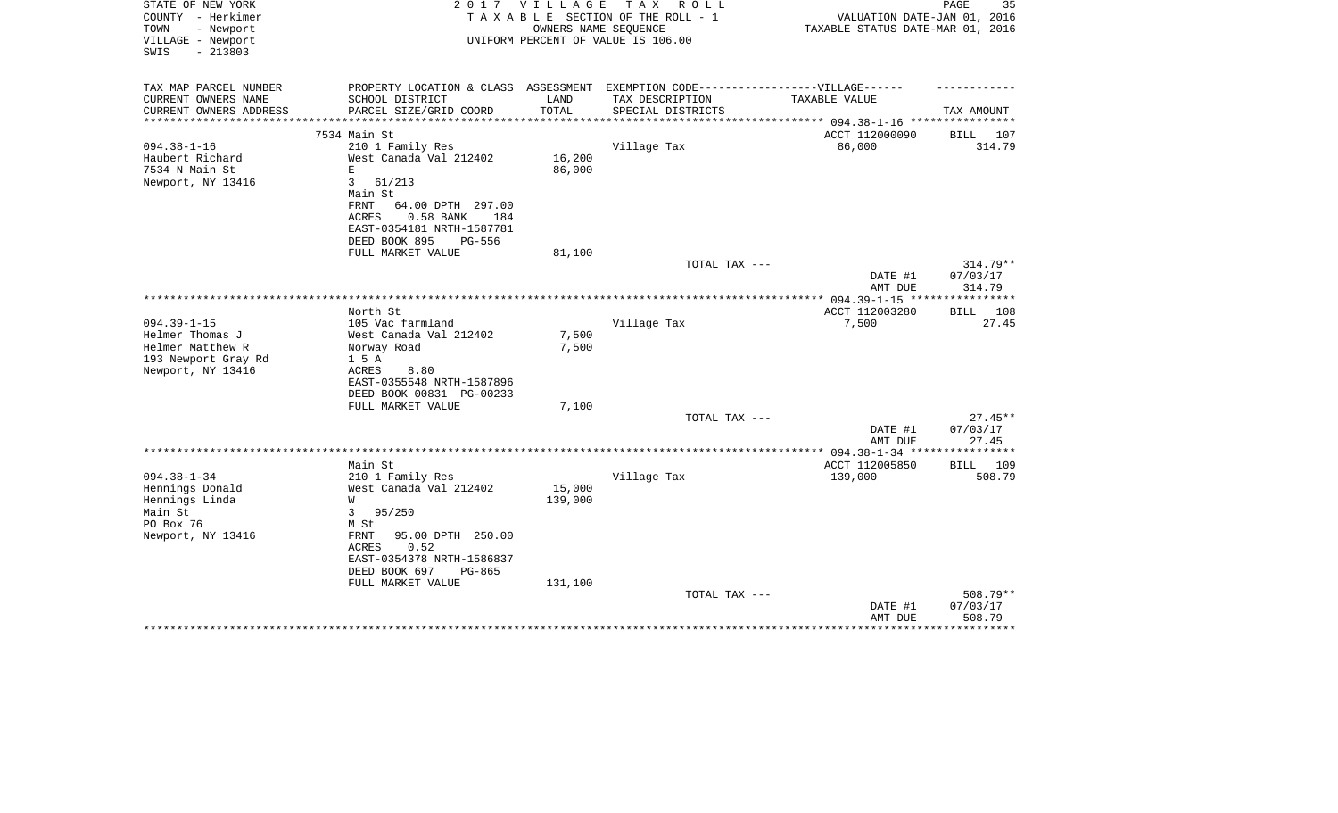| STATE OF NEW YORK<br>COUNTY - Herkimer<br>TOWN<br>- Newport<br>VILLAGE - Newport<br>SWIS<br>$-213803$ | 2 0 1 7                                                                           | V I L L A G E<br>OWNERS NAME SEQUENCE | T A X<br>R O L L<br>TAXABLE SECTION OF THE ROLL - 1<br>UNIFORM PERCENT OF VALUE IS 106.00 | VALUATION DATE-JAN 01, 2016<br>TAXABLE STATUS DATE-MAR 01, 2016 | PAGE<br>35            |
|-------------------------------------------------------------------------------------------------------|-----------------------------------------------------------------------------------|---------------------------------------|-------------------------------------------------------------------------------------------|-----------------------------------------------------------------|-----------------------|
| TAX MAP PARCEL NUMBER                                                                                 | PROPERTY LOCATION & CLASS ASSESSMENT EXEMPTION CODE-----------------VILLAGE------ |                                       |                                                                                           |                                                                 |                       |
| CURRENT OWNERS NAME                                                                                   | SCHOOL DISTRICT                                                                   | LAND                                  | TAX DESCRIPTION                                                                           | TAXABLE VALUE                                                   |                       |
| CURRENT OWNERS ADDRESS                                                                                | PARCEL SIZE/GRID COORD                                                            | TOTAL<br>********                     | SPECIAL DISTRICTS                                                                         | ********** 094.38-1-16 ***                                      | TAX AMOUNT            |
|                                                                                                       | 7534 Main St                                                                      |                                       |                                                                                           | ACCT 112000090                                                  | BILL<br>107           |
| $094.38 - 1 - 16$                                                                                     | 210 1 Family Res                                                                  |                                       | Village Tax                                                                               | 86,000                                                          | 314.79                |
| Haubert Richard                                                                                       | West Canada Val 212402                                                            | 16,200                                |                                                                                           |                                                                 |                       |
| 7534 N Main St                                                                                        | Е                                                                                 | 86,000                                |                                                                                           |                                                                 |                       |
| Newport, NY 13416                                                                                     | 3<br>61/213<br>Main St                                                            |                                       |                                                                                           |                                                                 |                       |
|                                                                                                       | FRNT<br>64.00 DPTH 297.00                                                         |                                       |                                                                                           |                                                                 |                       |
|                                                                                                       | 0.58 BANK<br>ACRES<br>184                                                         |                                       |                                                                                           |                                                                 |                       |
|                                                                                                       | EAST-0354181 NRTH-1587781                                                         |                                       |                                                                                           |                                                                 |                       |
|                                                                                                       | DEED BOOK 895<br>PG-556                                                           |                                       |                                                                                           |                                                                 |                       |
|                                                                                                       | FULL MARKET VALUE                                                                 | 81,100                                |                                                                                           |                                                                 | $314.79**$            |
|                                                                                                       |                                                                                   |                                       | TOTAL TAX ---                                                                             | DATE #1                                                         | 07/03/17              |
|                                                                                                       |                                                                                   |                                       |                                                                                           | AMT DUE                                                         | 314.79                |
|                                                                                                       |                                                                                   |                                       |                                                                                           |                                                                 | **********            |
|                                                                                                       | North St                                                                          |                                       |                                                                                           | ACCT 112003280                                                  | <b>BILL</b><br>108    |
| $094.39 - 1 - 15$<br>Helmer Thomas J                                                                  | 105 Vac farmland<br>West Canada Val 212402                                        | 7,500                                 | Village Tax                                                                               | 7,500                                                           | 27.45                 |
| Helmer Matthew R                                                                                      | Norway Road                                                                       | 7,500                                 |                                                                                           |                                                                 |                       |
| 193 Newport Gray Rd                                                                                   | 1 5 A                                                                             |                                       |                                                                                           |                                                                 |                       |
| Newport, NY 13416                                                                                     | 8.80<br>ACRES                                                                     |                                       |                                                                                           |                                                                 |                       |
|                                                                                                       | EAST-0355548 NRTH-1587896                                                         |                                       |                                                                                           |                                                                 |                       |
|                                                                                                       | DEED BOOK 00831 PG-00233<br>FULL MARKET VALUE                                     | 7,100                                 |                                                                                           |                                                                 |                       |
|                                                                                                       |                                                                                   |                                       | TOTAL TAX ---                                                                             |                                                                 | $27.45**$             |
|                                                                                                       |                                                                                   |                                       |                                                                                           | DATE #1                                                         | 07/03/17              |
|                                                                                                       |                                                                                   |                                       |                                                                                           | AMT DUE                                                         | 27.45                 |
|                                                                                                       | Main St                                                                           |                                       |                                                                                           | $* 094.38 - 1 - 34$ **                                          | *******               |
| $094.38 - 1 - 34$                                                                                     | 210 1 Family Res                                                                  |                                       | Village Tax                                                                               | ACCT 112005850<br>139,000                                       | BILL<br>109<br>508.79 |
| Hennings Donald                                                                                       | West Canada Val 212402                                                            | 15,000                                |                                                                                           |                                                                 |                       |
| Hennings Linda                                                                                        | W                                                                                 | 139,000                               |                                                                                           |                                                                 |                       |
| Main St                                                                                               | 3<br>95/250                                                                       |                                       |                                                                                           |                                                                 |                       |
| PO Box 76                                                                                             | M St                                                                              |                                       |                                                                                           |                                                                 |                       |
| Newport, NY 13416                                                                                     | 95.00 DPTH 250.00<br>FRNT<br>ACRES<br>0.52                                        |                                       |                                                                                           |                                                                 |                       |
|                                                                                                       | EAST-0354378 NRTH-1586837                                                         |                                       |                                                                                           |                                                                 |                       |
|                                                                                                       | DEED BOOK 697<br>PG-865                                                           |                                       |                                                                                           |                                                                 |                       |
|                                                                                                       | FULL MARKET VALUE                                                                 | 131,100                               |                                                                                           |                                                                 |                       |
|                                                                                                       |                                                                                   |                                       | TOTAL TAX ---                                                                             |                                                                 | 508.79**              |
|                                                                                                       |                                                                                   |                                       |                                                                                           | DATE #1<br>AMT DUE                                              | 07/03/17<br>508.79    |
|                                                                                                       |                                                                                   |                                       |                                                                                           |                                                                 |                       |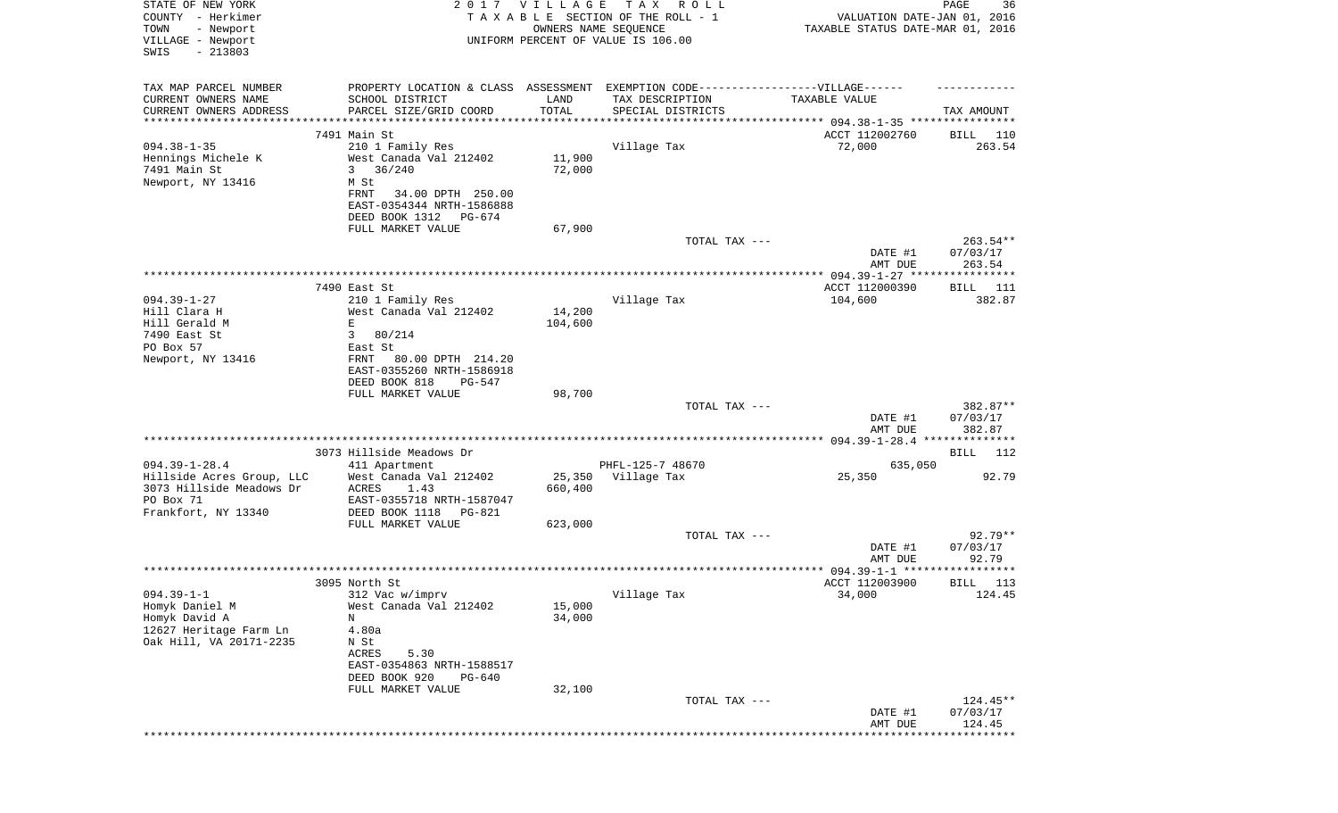| STATE OF NEW YORK<br>COUNTY - Herkimer<br>- Newport<br>TOWN<br>VILLAGE - Newport<br>SWIS<br>$-213803$ | 2017                                                                                                                                                    | <b>VILLAGE</b><br>OWNERS NAME SEQUENCE | TAX ROLL<br>TAXABLE SECTION OF THE ROLL - 1<br>UNIFORM PERCENT OF VALUE IS 106.00 | VALUATION DATE-JAN 01, 2016<br>TAXABLE STATUS DATE-MAR 01, 2016 | 36<br>PAGE                      |
|-------------------------------------------------------------------------------------------------------|---------------------------------------------------------------------------------------------------------------------------------------------------------|----------------------------------------|-----------------------------------------------------------------------------------|-----------------------------------------------------------------|---------------------------------|
| TAX MAP PARCEL NUMBER<br>CURRENT OWNERS NAME<br>CURRENT OWNERS ADDRESS                                | PROPERTY LOCATION & CLASS ASSESSMENT EXEMPTION CODE-----------------VILLAGE------<br>SCHOOL DISTRICT<br>PARCEL SIZE/GRID COORD                          | LAND<br>TOTAL                          | TAX DESCRIPTION<br>SPECIAL DISTRICTS                                              | TAXABLE VALUE                                                   | TAX AMOUNT                      |
| ************************                                                                              | **********************                                                                                                                                  |                                        |                                                                                   |                                                                 |                                 |
|                                                                                                       | 7491 Main St                                                                                                                                            |                                        |                                                                                   | ACCT 112002760                                                  | BILL<br>110                     |
| $094.38 - 1 - 35$<br>Hennings Michele K<br>7491 Main St<br>Newport, NY 13416                          | 210 1 Family Res<br>West Canada Val 212402<br>3<br>36/240<br>M St<br>34.00 DPTH 250.00<br>FRNT<br>EAST-0354344 NRTH-1586888<br>DEED BOOK 1312<br>PG-674 | 11,900<br>72,000                       | Village Tax                                                                       | 72,000                                                          | 263.54                          |
|                                                                                                       | FULL MARKET VALUE                                                                                                                                       | 67,900                                 |                                                                                   |                                                                 |                                 |
|                                                                                                       |                                                                                                                                                         |                                        | TOTAL TAX ---                                                                     | DATE #1<br>AMT DUE                                              | 263.54**<br>07/03/17<br>263.54  |
|                                                                                                       |                                                                                                                                                         |                                        |                                                                                   |                                                                 |                                 |
|                                                                                                       | 7490 East St                                                                                                                                            |                                        |                                                                                   | ACCT 112000390                                                  | BILL 111                        |
| $094.39 - 1 - 27$<br>Hill Clara H<br>Hill Gerald M<br>7490 East St                                    | 210 1 Family Res<br>West Canada Val 212402<br>Е<br>80/214<br>3                                                                                          | 14,200<br>104,600                      | Village Tax                                                                       | 104,600                                                         | 382.87                          |
| PO Box 57<br>Newport, NY 13416                                                                        | East St<br>FRNT<br>80.00 DPTH 214.20                                                                                                                    |                                        |                                                                                   |                                                                 |                                 |
|                                                                                                       | EAST-0355260 NRTH-1586918<br>DEED BOOK 818<br>PG-547                                                                                                    |                                        |                                                                                   |                                                                 |                                 |
|                                                                                                       | FULL MARKET VALUE                                                                                                                                       | 98,700                                 | TOTAL TAX ---                                                                     |                                                                 | 382.87**                        |
|                                                                                                       |                                                                                                                                                         |                                        |                                                                                   | DATE #1<br>AMT DUE                                              | 07/03/17<br>382.87              |
|                                                                                                       | 3073 Hillside Meadows Dr                                                                                                                                |                                        |                                                                                   |                                                                 | BILL<br>112                     |
| $094.39 - 1 - 28.4$                                                                                   | 411 Apartment                                                                                                                                           |                                        | PHFL-125-7 48670                                                                  | 635,050                                                         |                                 |
| Hillside Acres Group, LLC<br>3073 Hillside Meadows Dr<br>PO Box 71<br>Frankfort, NY 13340             | West Canada Val 212402<br>ACRES<br>1.43<br>EAST-0355718 NRTH-1587047<br>DEED BOOK 1118<br>PG-821                                                        | 25,350<br>660,400                      | Village Tax                                                                       | 25,350                                                          | 92.79                           |
|                                                                                                       | FULL MARKET VALUE                                                                                                                                       | 623,000                                |                                                                                   |                                                                 |                                 |
|                                                                                                       |                                                                                                                                                         |                                        | TOTAL TAX ---                                                                     | DATE #1                                                         | $92.79**$<br>07/03/17           |
|                                                                                                       |                                                                                                                                                         |                                        |                                                                                   | AMT DUE                                                         | 92.79                           |
|                                                                                                       |                                                                                                                                                         |                                        |                                                                                   |                                                                 |                                 |
| $094.39 - 1 - 1$<br>Homyk Daniel M                                                                    | 3095 North St<br>312 Vac w/imprv<br>West Canada Val 212402                                                                                              | 15,000                                 | Village Tax                                                                       | ACCT 112003900<br>34,000                                        | BILL<br>113<br>124.45           |
| Homyk David A<br>12627 Heritage Farm Ln<br>Oak Hill, VA 20171-2235                                    | N<br>4.80a<br>N St<br>ACRES<br>5.30<br>EAST-0354863 NRTH-1588517<br>DEED BOOK 920<br>PG-640                                                             | 34,000                                 |                                                                                   |                                                                 |                                 |
|                                                                                                       | FULL MARKET VALUE                                                                                                                                       | 32,100                                 | TOTAL TAX ---                                                                     | DATE #1                                                         | 124.45**<br>07/03/17            |
|                                                                                                       |                                                                                                                                                         |                                        |                                                                                   | AMT DUE                                                         | 124.45<br>* * * * * * * * * * * |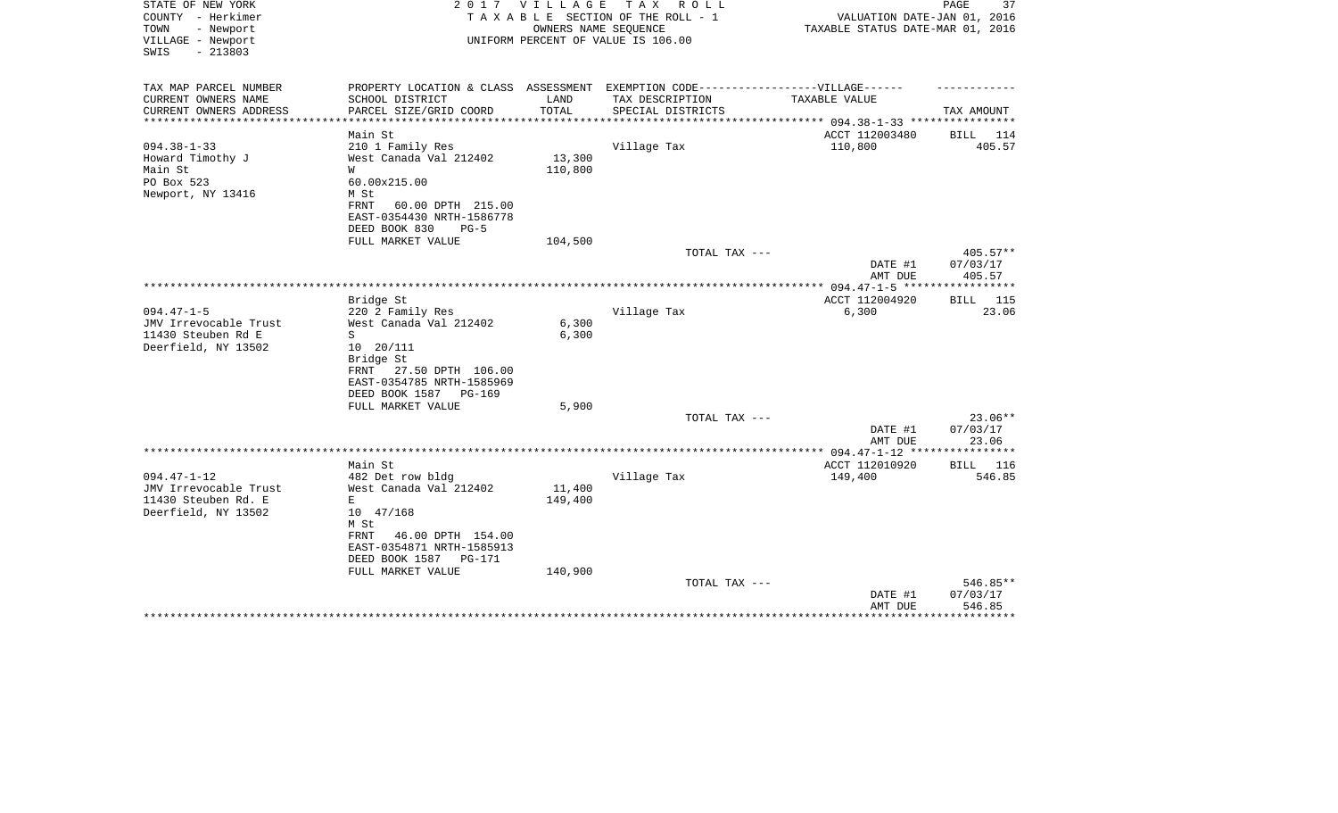| STATE OF NEW YORK<br>COUNTY - Herkimer                      | 2017                                                                              | V I L L A G E       | T A X<br>R O L L<br>TAXABLE SECTION OF THE ROLL - 1        | VALUATION DATE-JAN 01, 2016                    | 37<br>PAGE         |
|-------------------------------------------------------------|-----------------------------------------------------------------------------------|---------------------|------------------------------------------------------------|------------------------------------------------|--------------------|
| - Newport<br>TOWN<br>VILLAGE - Newport<br>$-213803$<br>SWIS |                                                                                   |                     | OWNERS NAME SEQUENCE<br>UNIFORM PERCENT OF VALUE IS 106.00 | TAXABLE STATUS DATE-MAR 01, 2016               |                    |
| TAX MAP PARCEL NUMBER                                       | PROPERTY LOCATION & CLASS ASSESSMENT EXEMPTION CODE-----------------VILLAGE------ |                     |                                                            |                                                |                    |
| CURRENT OWNERS NAME                                         | SCHOOL DISTRICT                                                                   | LAND                | TAX DESCRIPTION                                            | TAXABLE VALUE                                  |                    |
| CURRENT OWNERS ADDRESS                                      | PARCEL SIZE/GRID COORD                                                            | TOTAL<br>********** | SPECIAL DISTRICTS                                          | **************** 094.38-1-33 ***************** | TAX AMOUNT         |
|                                                             | Main St                                                                           |                     |                                                            | ACCT 112003480                                 | BILL 114           |
| $094.38 - 1 - 33$                                           | 210 1 Family Res                                                                  |                     | Village Tax                                                | 110,800                                        | 405.57             |
| Howard Timothy J                                            | West Canada Val 212402                                                            | 13,300              |                                                            |                                                |                    |
| Main St                                                     | W                                                                                 | 110,800             |                                                            |                                                |                    |
| PO Box 523                                                  | 60.00x215.00                                                                      |                     |                                                            |                                                |                    |
| Newport, NY 13416                                           | M St                                                                              |                     |                                                            |                                                |                    |
|                                                             | 60.00 DPTH 215.00<br>FRNT                                                         |                     |                                                            |                                                |                    |
|                                                             | EAST-0354430 NRTH-1586778                                                         |                     |                                                            |                                                |                    |
|                                                             | DEED BOOK 830<br>$PG-5$                                                           |                     |                                                            |                                                |                    |
|                                                             | FULL MARKET VALUE                                                                 | 104,500             |                                                            |                                                |                    |
|                                                             |                                                                                   |                     | TOTAL TAX ---                                              |                                                | $405.57**$         |
|                                                             |                                                                                   |                     |                                                            | DATE #1                                        | 07/03/17           |
|                                                             |                                                                                   |                     |                                                            | AMT DUE                                        | 405.57             |
|                                                             |                                                                                   |                     |                                                            |                                                |                    |
|                                                             | Bridge St                                                                         |                     |                                                            | ACCT 112004920                                 | <b>BILL</b> 115    |
| $094.47 - 1 - 5$                                            | 220 2 Family Res                                                                  |                     | Village Tax                                                | 6,300                                          | 23.06              |
| JMV Irrevocable Trust                                       | West Canada Val 212402                                                            | 6,300               |                                                            |                                                |                    |
| 11430 Steuben Rd E                                          | S                                                                                 | 6,300               |                                                            |                                                |                    |
| Deerfield, NY 13502                                         | $10 \t 20/111$                                                                    |                     |                                                            |                                                |                    |
|                                                             | Bridge St<br>27.50 DPTH 106.00<br>FRNT                                            |                     |                                                            |                                                |                    |
|                                                             | EAST-0354785 NRTH-1585969                                                         |                     |                                                            |                                                |                    |
|                                                             | DEED BOOK 1587<br>PG-169                                                          |                     |                                                            |                                                |                    |
|                                                             | FULL MARKET VALUE                                                                 | 5,900               |                                                            |                                                |                    |
|                                                             |                                                                                   |                     | TOTAL TAX ---                                              |                                                | $23.06**$          |
|                                                             |                                                                                   |                     |                                                            | DATE #1                                        | 07/03/17           |
|                                                             |                                                                                   |                     |                                                            | AMT DUE                                        | 23.06              |
|                                                             |                                                                                   |                     |                                                            |                                                |                    |
|                                                             | Main St                                                                           |                     |                                                            | ACCT 112010920                                 | 116<br>BILL        |
| $094.47 - 1 - 12$                                           | 482 Det row bldg                                                                  |                     | Village Tax                                                | 149,400                                        | 546.85             |
| JMV Irrevocable Trust                                       | West Canada Val 212402                                                            | 11,400              |                                                            |                                                |                    |
| 11430 Steuben Rd. E                                         | E                                                                                 | 149,400             |                                                            |                                                |                    |
| Deerfield, NY 13502                                         | 10 47/168                                                                         |                     |                                                            |                                                |                    |
|                                                             | M St                                                                              |                     |                                                            |                                                |                    |
|                                                             | FRNT<br>46.00 DPTH 154.00                                                         |                     |                                                            |                                                |                    |
|                                                             | EAST-0354871 NRTH-1585913                                                         |                     |                                                            |                                                |                    |
|                                                             | DEED BOOK 1587<br>PG-171                                                          |                     |                                                            |                                                |                    |
|                                                             | FULL MARKET VALUE                                                                 | 140,900             |                                                            |                                                |                    |
|                                                             |                                                                                   |                     | TOTAL TAX ---                                              |                                                | 546.85**           |
|                                                             |                                                                                   |                     |                                                            | DATE #1<br>AMT DUE                             | 07/03/17<br>546.85 |
|                                                             |                                                                                   |                     |                                                            |                                                | **********         |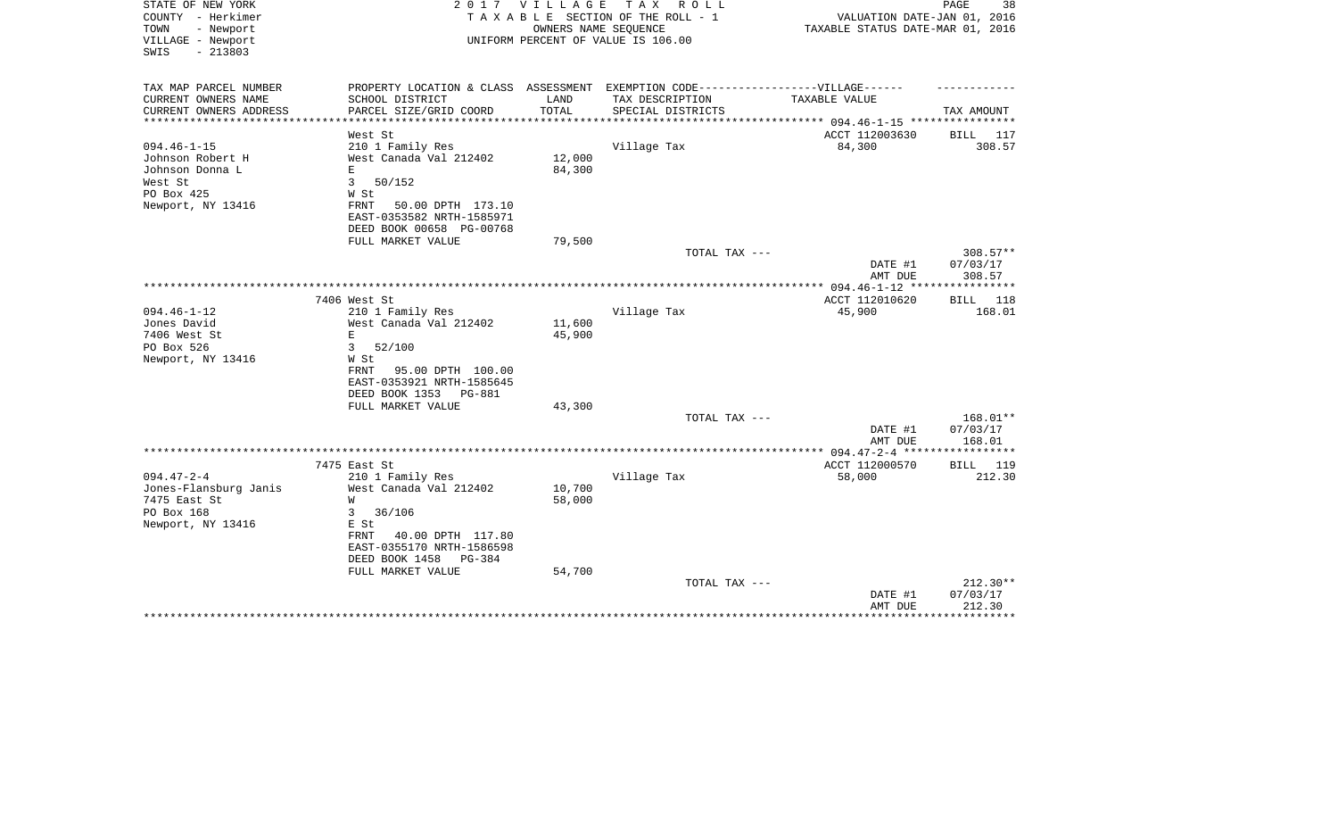| STATE OF NEW YORK<br>COUNTY - Herkimer<br>TOWN<br>- Newport<br>VILLAGE - Newport | 2017                                                                              | VILLAGE | T A X<br>R O L L<br>TAXABLE SECTION OF THE ROLL - 1<br>OWNERS NAME SEQUENCE<br>UNIFORM PERCENT OF VALUE IS 106.00 | VALUATION DATE-JAN 01, 2016<br>TAXABLE STATUS DATE-MAR 01, 2016 | PAGE<br>38         |
|----------------------------------------------------------------------------------|-----------------------------------------------------------------------------------|---------|-------------------------------------------------------------------------------------------------------------------|-----------------------------------------------------------------|--------------------|
| $-213803$<br>SWIS                                                                |                                                                                   |         |                                                                                                                   |                                                                 |                    |
| TAX MAP PARCEL NUMBER                                                            | PROPERTY LOCATION & CLASS ASSESSMENT EXEMPTION CODE-----------------VILLAGE------ |         |                                                                                                                   |                                                                 |                    |
| CURRENT OWNERS NAME                                                              | SCHOOL DISTRICT                                                                   | LAND    | TAX DESCRIPTION                                                                                                   | <b>TAXABLE VALUE</b>                                            |                    |
| CURRENT OWNERS ADDRESS<br>**********************                                 | PARCEL SIZE/GRID COORD<br>*************************                               | TOTAL   | SPECIAL DISTRICTS                                                                                                 |                                                                 | TAX AMOUNT         |
|                                                                                  | West St                                                                           |         |                                                                                                                   | ACCT 112003630                                                  | BILL 117           |
| $094.46 - 1 - 15$                                                                | 210 1 Family Res                                                                  |         | Village Tax                                                                                                       | 84,300                                                          | 308.57             |
| Johnson Robert H                                                                 | West Canada Val 212402                                                            | 12,000  |                                                                                                                   |                                                                 |                    |
| Johnson Donna L                                                                  | E.                                                                                | 84,300  |                                                                                                                   |                                                                 |                    |
| West St                                                                          | 3<br>50/152                                                                       |         |                                                                                                                   |                                                                 |                    |
| PO Box 425                                                                       | W St                                                                              |         |                                                                                                                   |                                                                 |                    |
| Newport, NY 13416                                                                | FRNT<br>50.00 DPTH 173.10                                                         |         |                                                                                                                   |                                                                 |                    |
|                                                                                  | EAST-0353582 NRTH-1585971<br>DEED BOOK 00658 PG-00768                             |         |                                                                                                                   |                                                                 |                    |
|                                                                                  | FULL MARKET VALUE                                                                 | 79,500  |                                                                                                                   |                                                                 |                    |
|                                                                                  |                                                                                   |         | TOTAL TAX ---                                                                                                     |                                                                 | $308.57**$         |
|                                                                                  |                                                                                   |         |                                                                                                                   | DATE #1<br>AMT DUE                                              | 07/03/17<br>308.57 |
|                                                                                  |                                                                                   |         |                                                                                                                   |                                                                 |                    |
|                                                                                  | 7406 West St                                                                      |         |                                                                                                                   | ACCT 112010620                                                  | BILL 118           |
| $094.46 - 1 - 12$                                                                | 210 1 Family Res                                                                  |         | Village Tax                                                                                                       | 45,900                                                          | 168.01             |
| Jones David                                                                      | West Canada Val 212402                                                            | 11,600  |                                                                                                                   |                                                                 |                    |
| 7406 West St                                                                     | E                                                                                 | 45,900  |                                                                                                                   |                                                                 |                    |
| PO Box 526                                                                       | 3<br>52/100                                                                       |         |                                                                                                                   |                                                                 |                    |
| Newport, NY 13416                                                                | W St                                                                              |         |                                                                                                                   |                                                                 |                    |
|                                                                                  | 95.00 DPTH 100.00<br>FRNT                                                         |         |                                                                                                                   |                                                                 |                    |
|                                                                                  | EAST-0353921 NRTH-1585645<br>DEED BOOK 1353<br>PG-881                             |         |                                                                                                                   |                                                                 |                    |
|                                                                                  | FULL MARKET VALUE                                                                 | 43,300  |                                                                                                                   |                                                                 |                    |
|                                                                                  |                                                                                   |         | TOTAL TAX ---                                                                                                     |                                                                 | 168.01**           |
|                                                                                  |                                                                                   |         |                                                                                                                   | DATE #1                                                         | 07/03/17           |
|                                                                                  |                                                                                   |         |                                                                                                                   | AMT DUE                                                         | 168.01             |
|                                                                                  |                                                                                   |         |                                                                                                                   | ***************** 094.47-2-4 ******************                 |                    |
|                                                                                  | 7475 East St                                                                      |         |                                                                                                                   | ACCT 112000570                                                  | BILL 119           |
| $094.47 - 2 - 4$                                                                 | 210 1 Family Res                                                                  |         | Village Tax                                                                                                       | 58,000                                                          | 212.30             |
| Jones-Flansburg Janis<br>7475 East St                                            | West Canada Val 212402<br>W                                                       | 10,700  |                                                                                                                   |                                                                 |                    |
| PO Box 168                                                                       | 3<br>36/106                                                                       | 58,000  |                                                                                                                   |                                                                 |                    |
| Newport, NY 13416                                                                | E St                                                                              |         |                                                                                                                   |                                                                 |                    |
|                                                                                  | FRNT<br>40.00 DPTH 117.80                                                         |         |                                                                                                                   |                                                                 |                    |
|                                                                                  | EAST-0355170 NRTH-1586598                                                         |         |                                                                                                                   |                                                                 |                    |
|                                                                                  | DEED BOOK 1458<br>PG-384                                                          |         |                                                                                                                   |                                                                 |                    |
|                                                                                  | FULL MARKET VALUE                                                                 | 54,700  |                                                                                                                   |                                                                 |                    |
|                                                                                  |                                                                                   |         | TOTAL TAX ---                                                                                                     |                                                                 | $212.30**$         |
|                                                                                  |                                                                                   |         |                                                                                                                   | DATE #1                                                         | 07/03/17           |
|                                                                                  |                                                                                   |         |                                                                                                                   | AMT DUE                                                         | 212.30             |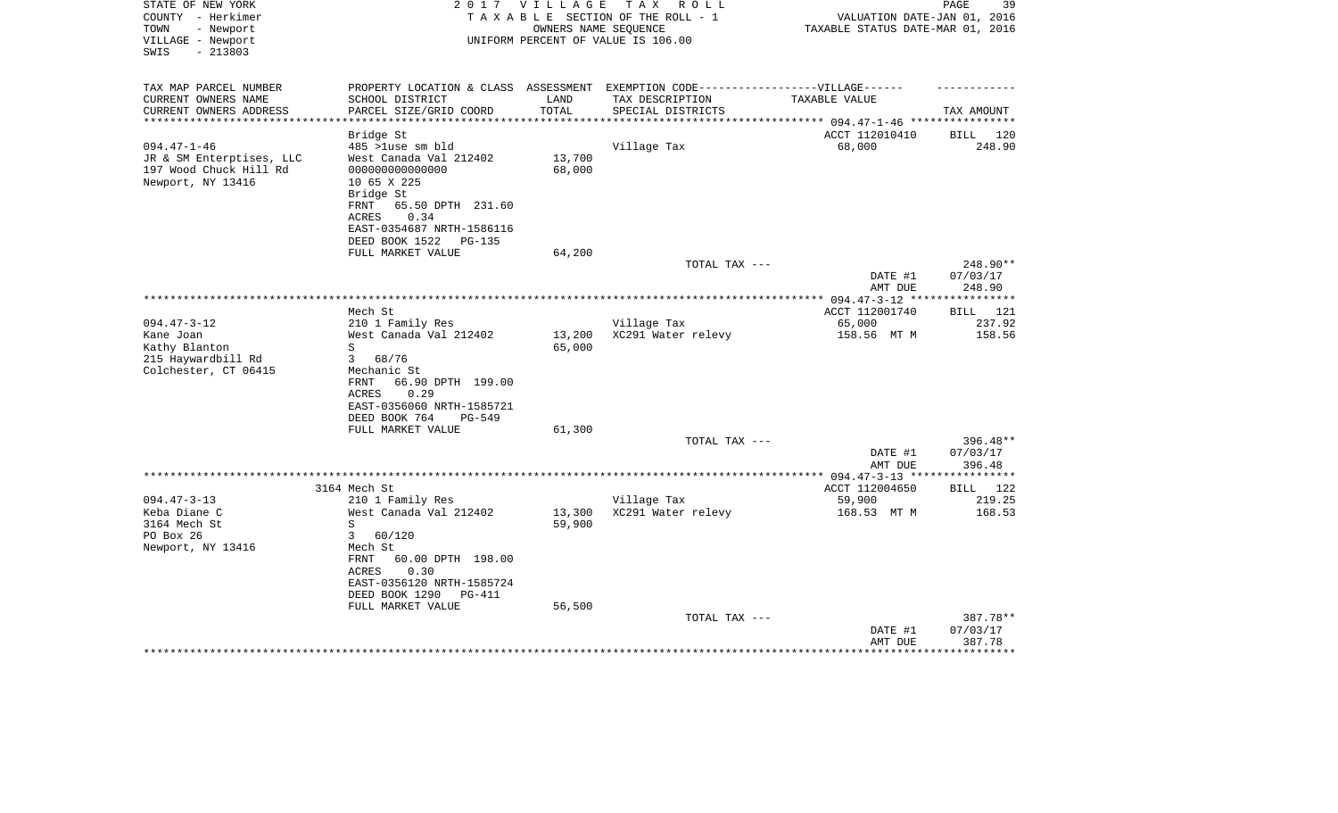| TAX AMOUNT<br>****** 094.47-1-46 ************<br>120<br>BILL<br>248.90 |
|------------------------------------------------------------------------|
|                                                                        |
|                                                                        |
|                                                                        |
|                                                                        |
| $248.90**$<br>07/03/17<br>248.90                                       |
|                                                                        |
| 121<br>BILL                                                            |
| 237.92<br>158.56                                                       |
|                                                                        |
|                                                                        |
| 396.48**<br>07/03/17<br>396.48                                         |
| ********                                                               |
| BILL<br>122                                                            |
| 219.25<br>168.53                                                       |
|                                                                        |
|                                                                        |
|                                                                        |
| 387.78**<br>07/03/17<br>387.78                                         |
|                                                                        |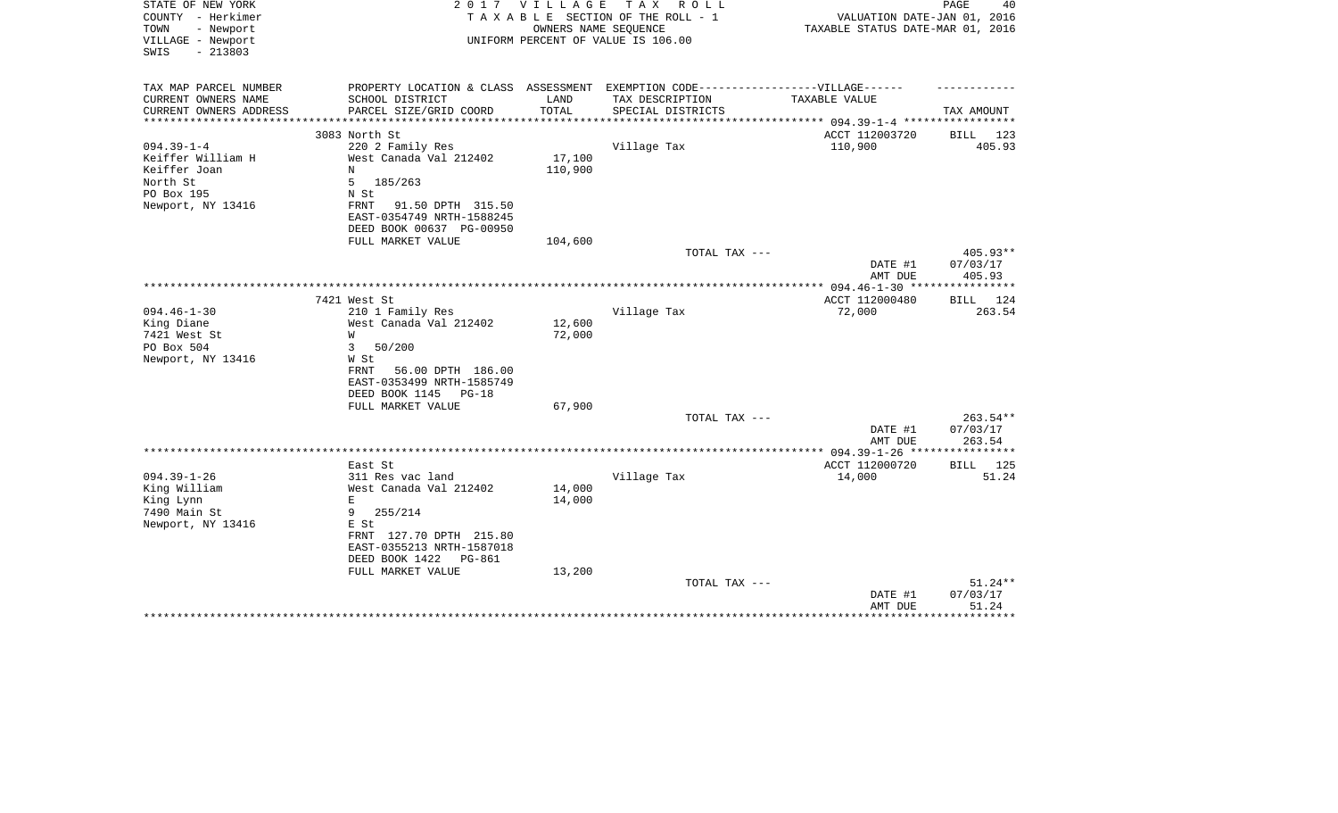| STATE OF NEW YORK<br>COUNTY - Herkimer<br>- Newport<br>TOWN<br>VILLAGE - Newport<br>$-213803$<br>SWIS | 2 0 1 7                                                                           | <b>VILLAGE</b> | T A X<br>R O L L<br>TAXABLE SECTION OF THE ROLL - 1<br>OWNERS NAME SEQUENCE<br>UNIFORM PERCENT OF VALUE IS 106.00 | VALUATION DATE-JAN 01, 2016<br>TAXABLE STATUS DATE-MAR 01, 2016 | PAGE<br>40         |
|-------------------------------------------------------------------------------------------------------|-----------------------------------------------------------------------------------|----------------|-------------------------------------------------------------------------------------------------------------------|-----------------------------------------------------------------|--------------------|
|                                                                                                       |                                                                                   |                |                                                                                                                   |                                                                 |                    |
| TAX MAP PARCEL NUMBER                                                                                 | PROPERTY LOCATION & CLASS ASSESSMENT EXEMPTION CODE-----------------VILLAGE------ |                |                                                                                                                   |                                                                 |                    |
| CURRENT OWNERS NAME                                                                                   | SCHOOL DISTRICT                                                                   | LAND           | TAX DESCRIPTION                                                                                                   | <b>TAXABLE VALUE</b>                                            |                    |
| CURRENT OWNERS ADDRESS<br>**********************                                                      | PARCEL SIZE/GRID COORD                                                            | TOTAL          | SPECIAL DISTRICTS                                                                                                 |                                                                 | TAX AMOUNT         |
|                                                                                                       | 3083 North St                                                                     |                |                                                                                                                   | ACCT 112003720                                                  | BILL 123           |
| $094.39 - 1 - 4$                                                                                      | 220 2 Family Res                                                                  |                | Village Tax                                                                                                       | 110,900                                                         | 405.93             |
| Keiffer William H                                                                                     | West Canada Val 212402                                                            | 17,100         |                                                                                                                   |                                                                 |                    |
| Keiffer Joan                                                                                          | N                                                                                 | 110,900        |                                                                                                                   |                                                                 |                    |
| North St                                                                                              | 5<br>185/263                                                                      |                |                                                                                                                   |                                                                 |                    |
| PO Box 195                                                                                            | N St                                                                              |                |                                                                                                                   |                                                                 |                    |
| Newport, NY 13416                                                                                     | 91.50 DPTH 315.50<br>FRNT                                                         |                |                                                                                                                   |                                                                 |                    |
|                                                                                                       | EAST-0354749 NRTH-1588245                                                         |                |                                                                                                                   |                                                                 |                    |
|                                                                                                       | DEED BOOK 00637 PG-00950                                                          |                |                                                                                                                   |                                                                 |                    |
|                                                                                                       | FULL MARKET VALUE                                                                 | 104,600        | TOTAL TAX ---                                                                                                     |                                                                 | 405.93**           |
|                                                                                                       |                                                                                   |                |                                                                                                                   | DATE #1                                                         | 07/03/17           |
|                                                                                                       |                                                                                   |                |                                                                                                                   | AMT DUE                                                         | 405.93             |
|                                                                                                       |                                                                                   |                |                                                                                                                   |                                                                 |                    |
|                                                                                                       | 7421 West St                                                                      |                |                                                                                                                   | ACCT 112000480                                                  | BILL 124           |
| $094.46 - 1 - 30$                                                                                     | 210 1 Family Res                                                                  |                | Village Tax                                                                                                       | 72,000                                                          | 263.54             |
| King Diane                                                                                            | West Canada Val 212402                                                            | 12,600         |                                                                                                                   |                                                                 |                    |
| 7421 West St                                                                                          | W                                                                                 | 72,000         |                                                                                                                   |                                                                 |                    |
| PO Box 504                                                                                            | 3<br>50/200                                                                       |                |                                                                                                                   |                                                                 |                    |
| Newport, NY 13416                                                                                     | W St                                                                              |                |                                                                                                                   |                                                                 |                    |
|                                                                                                       | 56.00 DPTH 186.00<br>FRNT<br>EAST-0353499 NRTH-1585749                            |                |                                                                                                                   |                                                                 |                    |
|                                                                                                       | DEED BOOK 1145<br>$PG-18$                                                         |                |                                                                                                                   |                                                                 |                    |
|                                                                                                       | FULL MARKET VALUE                                                                 | 67,900         |                                                                                                                   |                                                                 |                    |
|                                                                                                       |                                                                                   |                | TOTAL TAX ---                                                                                                     |                                                                 | $263.54**$         |
|                                                                                                       |                                                                                   |                |                                                                                                                   | DATE #1                                                         | 07/03/17           |
|                                                                                                       |                                                                                   |                |                                                                                                                   | AMT DUE                                                         | 263.54             |
|                                                                                                       |                                                                                   |                |                                                                                                                   | ************ 094.39-1-26 ****                                   | ******             |
|                                                                                                       | East St                                                                           |                |                                                                                                                   | ACCT 112000720                                                  | 125<br><b>BILL</b> |
| $094.39 - 1 - 26$                                                                                     | 311 Res vac land                                                                  |                | Village Tax                                                                                                       | 14,000                                                          | 51.24              |
| King William                                                                                          | West Canada Val 212402                                                            | 14,000         |                                                                                                                   |                                                                 |                    |
| King Lynn                                                                                             | Е                                                                                 | 14,000         |                                                                                                                   |                                                                 |                    |
| 7490 Main St                                                                                          | 9<br>255/214<br>E St                                                              |                |                                                                                                                   |                                                                 |                    |
| Newport, NY 13416                                                                                     | FRNT 127.70 DPTH 215.80                                                           |                |                                                                                                                   |                                                                 |                    |
|                                                                                                       | EAST-0355213 NRTH-1587018                                                         |                |                                                                                                                   |                                                                 |                    |
|                                                                                                       | DEED BOOK 1422<br>PG-861                                                          |                |                                                                                                                   |                                                                 |                    |
|                                                                                                       | FULL MARKET VALUE                                                                 | 13,200         |                                                                                                                   |                                                                 |                    |
|                                                                                                       |                                                                                   |                | TOTAL TAX ---                                                                                                     |                                                                 | 51.24**            |
|                                                                                                       |                                                                                   |                |                                                                                                                   | DATE #1                                                         | 07/03/17           |
|                                                                                                       |                                                                                   |                |                                                                                                                   | AMT DUE                                                         | 51.24              |
|                                                                                                       |                                                                                   |                |                                                                                                                   |                                                                 |                    |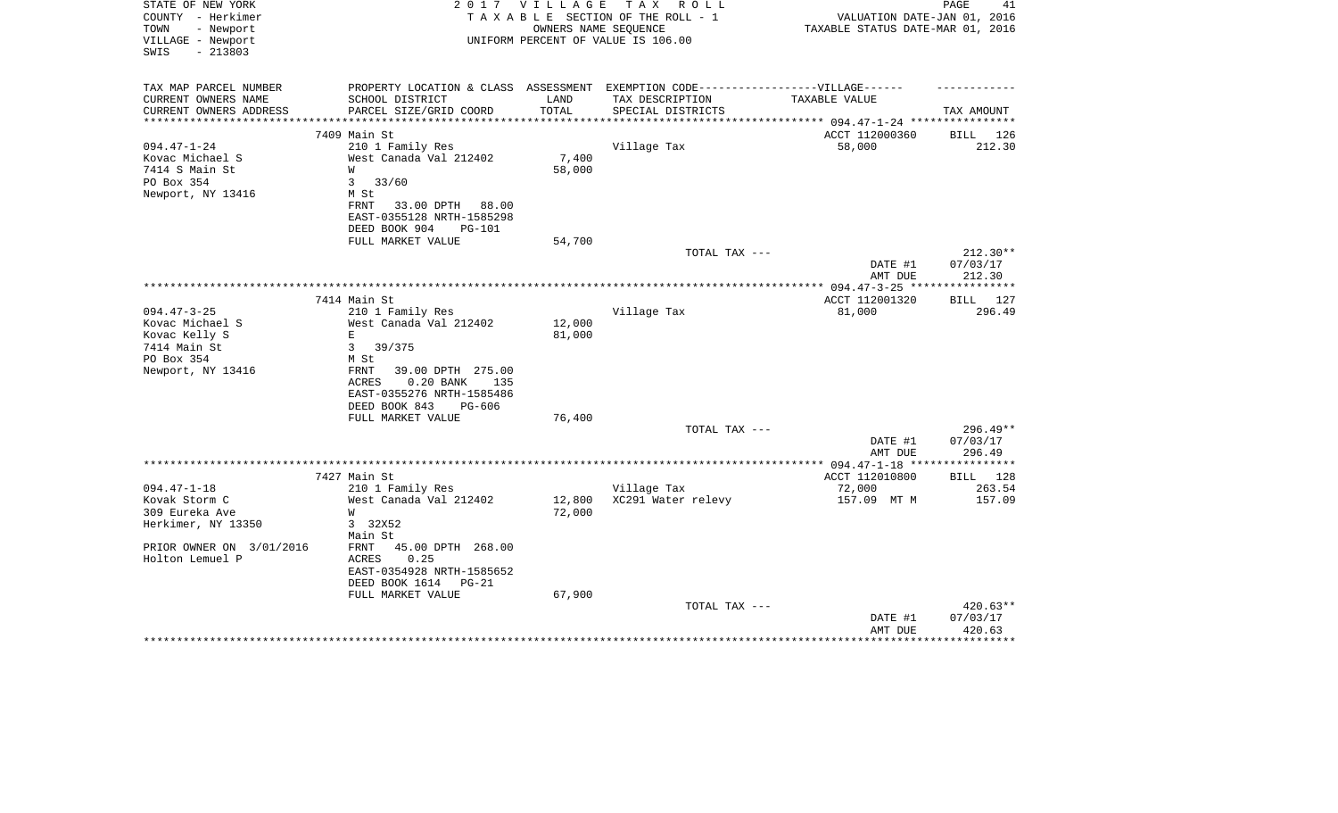| STATE OF NEW YORK                                | 2 0 1 7                                                                           | VILLAGE                 | T A X<br>R O L L                   |                                  | 41<br>PAGE         |
|--------------------------------------------------|-----------------------------------------------------------------------------------|-------------------------|------------------------------------|----------------------------------|--------------------|
| COUNTY - Herkimer                                |                                                                                   |                         | TAXABLE SECTION OF THE ROLL - 1    | VALUATION DATE-JAN 01, 2016      |                    |
| TOWN<br>- Newport<br>VILLAGE - Newport           |                                                                                   | OWNERS NAME SEQUENCE    | UNIFORM PERCENT OF VALUE IS 106.00 | TAXABLE STATUS DATE-MAR 01, 2016 |                    |
| $-213803$<br>SWIS                                |                                                                                   |                         |                                    |                                  |                    |
|                                                  |                                                                                   |                         |                                    |                                  |                    |
|                                                  |                                                                                   |                         |                                    |                                  |                    |
| TAX MAP PARCEL NUMBER                            | PROPERTY LOCATION & CLASS ASSESSMENT EXEMPTION CODE-----------------VILLAGE------ |                         |                                    |                                  |                    |
| CURRENT OWNERS NAME                              | SCHOOL DISTRICT                                                                   | LAND                    | TAX DESCRIPTION                    | TAXABLE VALUE                    |                    |
| CURRENT OWNERS ADDRESS<br>********************** | PARCEL SIZE/GRID COORD<br>***************************                             | TOTAL<br>************** | SPECIAL DISTRICTS                  |                                  | TAX AMOUNT         |
|                                                  |                                                                                   |                         |                                    |                                  |                    |
| $094.47 - 1 - 24$                                | 7409 Main St                                                                      |                         |                                    | ACCT 112000360                   | BILL 126<br>212.30 |
|                                                  | 210 1 Family Res                                                                  |                         | Village Tax                        | 58,000                           |                    |
| Kovac Michael S                                  | West Canada Val 212402                                                            | 7,400                   |                                    |                                  |                    |
| 7414 S Main St                                   | W                                                                                 | 58,000                  |                                    |                                  |                    |
| PO Box 354<br>Newport, NY 13416                  | 3<br>33/60<br>M St                                                                |                         |                                    |                                  |                    |
|                                                  | FRNT<br>33.00 DPTH<br>88.00                                                       |                         |                                    |                                  |                    |
|                                                  | EAST-0355128 NRTH-1585298                                                         |                         |                                    |                                  |                    |
|                                                  |                                                                                   |                         |                                    |                                  |                    |
|                                                  | DEED BOOK 904<br><b>PG-101</b>                                                    | 54,700                  |                                    |                                  |                    |
|                                                  | FULL MARKET VALUE                                                                 |                         | TOTAL TAX ---                      |                                  | $212.30**$         |
|                                                  |                                                                                   |                         |                                    | DATE #1                          | 07/03/17           |
|                                                  |                                                                                   |                         |                                    | AMT DUE                          | 212.30             |
|                                                  |                                                                                   |                         |                                    | ** $094.47 - 3 - 25$ **          | **********         |
|                                                  | 7414 Main St                                                                      |                         |                                    | ACCT 112001320                   | 127<br>BILL        |
| $094.47 - 3 - 25$                                | 210 1 Family Res                                                                  |                         | Village Tax                        | 81,000                           | 296.49             |
| Kovac Michael S                                  | West Canada Val 212402                                                            | 12,000                  |                                    |                                  |                    |
| Kovac Kelly S                                    | Ε                                                                                 | 81,000                  |                                    |                                  |                    |
| 7414 Main St                                     | $\mathbf{3}$<br>39/375                                                            |                         |                                    |                                  |                    |
| PO Box 354                                       | M St                                                                              |                         |                                    |                                  |                    |
| Newport, NY 13416                                | 39.00 DPTH 275.00<br>FRNT                                                         |                         |                                    |                                  |                    |
|                                                  | <b>ACRES</b><br>$0.20$ BANK<br>135                                                |                         |                                    |                                  |                    |
|                                                  | EAST-0355276 NRTH-1585486                                                         |                         |                                    |                                  |                    |
|                                                  | DEED BOOK 843<br>PG-606                                                           |                         |                                    |                                  |                    |
|                                                  | FULL MARKET VALUE                                                                 | 76,400                  |                                    |                                  |                    |
|                                                  |                                                                                   |                         | TOTAL TAX ---                      |                                  | $296.49**$         |
|                                                  |                                                                                   |                         |                                    | DATE #1                          | 07/03/17           |
|                                                  |                                                                                   |                         |                                    | AMT DUE                          | 296.49             |
|                                                  |                                                                                   | ********                | *************                      | ** $094.47 - 1 - 18$ **          | *********          |
|                                                  | 7427 Main St                                                                      |                         |                                    | ACCT 112010800                   | BILL 128           |
| $094.47 - 1 - 18$                                | 210 1 Family Res                                                                  |                         | Village Tax                        | 72,000                           | 263.54             |
| Kovak Storm C                                    | West Canada Val 212402                                                            | 12,800                  | XC291 Water relevy                 | 157.09 MT M                      | 157.09             |
| 309 Eureka Ave                                   | W                                                                                 | 72,000                  |                                    |                                  |                    |
| Herkimer, NY 13350                               | 3 32X52                                                                           |                         |                                    |                                  |                    |
|                                                  | Main St                                                                           |                         |                                    |                                  |                    |
| PRIOR OWNER ON 3/01/2016                         | 45.00 DPTH 268.00<br>FRNT                                                         |                         |                                    |                                  |                    |
| Holton Lemuel P                                  | 0.25<br>ACRES                                                                     |                         |                                    |                                  |                    |
|                                                  | EAST-0354928 NRTH-1585652                                                         |                         |                                    |                                  |                    |
|                                                  | DEED BOOK 1614<br>$PG-21$                                                         |                         |                                    |                                  |                    |
|                                                  | FULL MARKET VALUE                                                                 | 67,900                  |                                    |                                  |                    |
|                                                  |                                                                                   |                         | TOTAL TAX ---                      |                                  | 420.63**           |
|                                                  |                                                                                   |                         |                                    | DATE #1                          | 07/03/17           |
|                                                  |                                                                                   |                         |                                    | AMT DUE                          | 420.63             |
|                                                  |                                                                                   |                         |                                    |                                  |                    |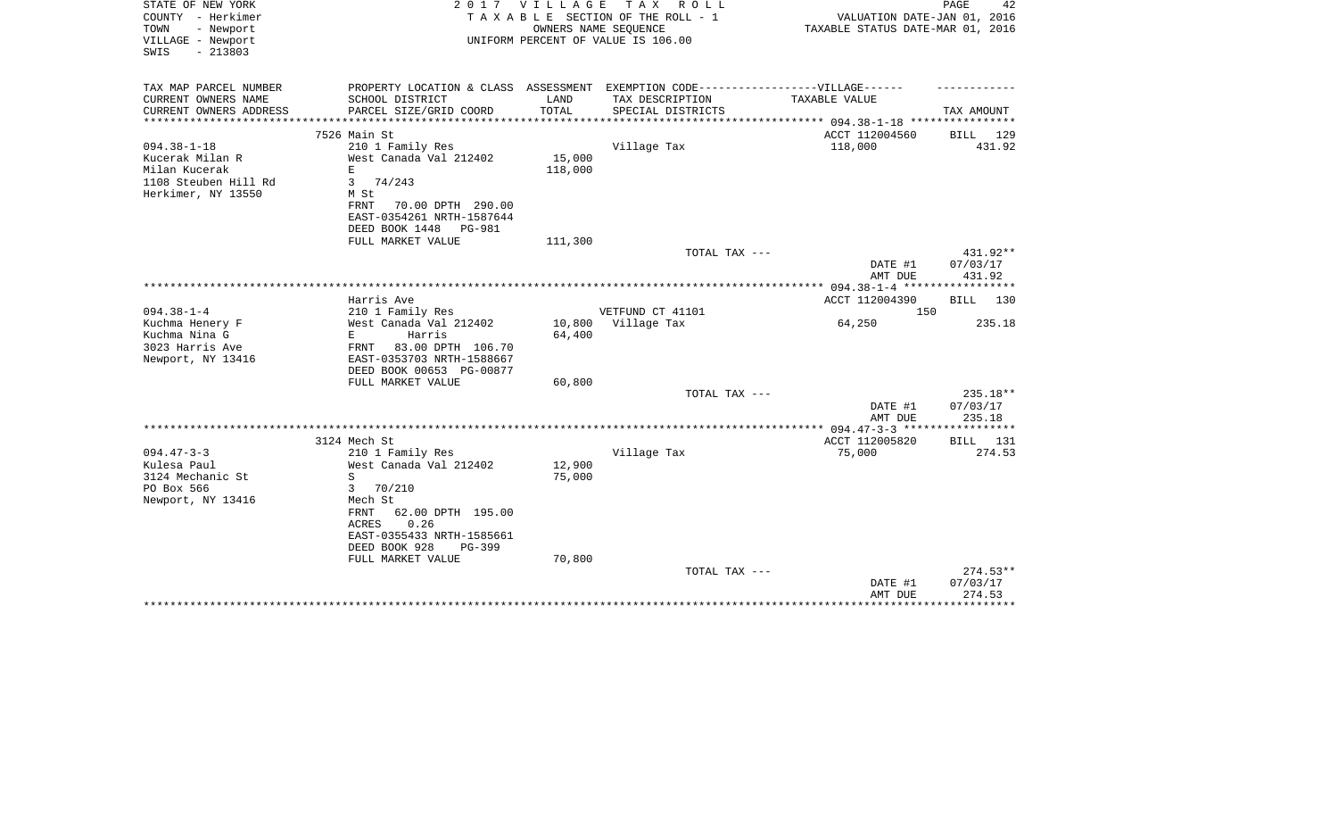| STATE OF NEW YORK<br>COUNTY - Herkimer<br>TOWN<br>- Newport<br>VILLAGE - Newport<br>$-213803$<br>SWIS | 2017                                       | VILLAGE       | TAX ROLL<br>TAXABLE SECTION OF THE ROLL - 1<br>OWNERS NAME SEQUENCE<br>UNIFORM PERCENT OF VALUE IS 106.00 | VALUATION DATE-JAN 01, 2016<br>TAXABLE STATUS DATE-MAR 01, 2016 | PAGE<br>42                     |
|-------------------------------------------------------------------------------------------------------|--------------------------------------------|---------------|-----------------------------------------------------------------------------------------------------------|-----------------------------------------------------------------|--------------------------------|
| TAX MAP PARCEL NUMBER                                                                                 |                                            |               | PROPERTY LOCATION & CLASS ASSESSMENT EXEMPTION CODE-----------------VILLAGE------                         |                                                                 |                                |
| CURRENT OWNERS NAME<br>CURRENT OWNERS ADDRESS                                                         | SCHOOL DISTRICT<br>PARCEL SIZE/GRID COORD  | LAND<br>TOTAL | TAX DESCRIPTION<br>SPECIAL DISTRICTS                                                                      | TAXABLE VALUE                                                   | TAX AMOUNT                     |
| **********************                                                                                |                                            |               |                                                                                                           |                                                                 |                                |
|                                                                                                       | 7526 Main St                               |               |                                                                                                           | ACCT 112004560                                                  | <b>BILL</b><br>129             |
| $094.38 - 1 - 18$                                                                                     | 210 1 Family Res                           |               | Village Tax                                                                                               | 118,000                                                         | 431.92                         |
| Kucerak Milan R                                                                                       | West Canada Val 212402                     | 15,000        |                                                                                                           |                                                                 |                                |
| Milan Kucerak                                                                                         | E.                                         | 118,000       |                                                                                                           |                                                                 |                                |
| 1108 Steuben Hill Rd<br>Herkimer, NY 13550                                                            | 3<br>74/243<br>M St                        |               |                                                                                                           |                                                                 |                                |
|                                                                                                       | ${\tt FRNT}$<br>70.00 DPTH 290.00          |               |                                                                                                           |                                                                 |                                |
|                                                                                                       | EAST-0354261 NRTH-1587644                  |               |                                                                                                           |                                                                 |                                |
|                                                                                                       | DEED BOOK 1448<br><b>PG-981</b>            |               |                                                                                                           |                                                                 |                                |
|                                                                                                       | FULL MARKET VALUE                          | 111,300       |                                                                                                           |                                                                 |                                |
|                                                                                                       |                                            |               | TOTAL TAX ---                                                                                             | DATE #1                                                         | 431.92**<br>07/03/17           |
|                                                                                                       | *************************************      |               |                                                                                                           | AMT DUE<br>******* 094.38-1-4 *****                             | 431.92<br>* * * * * * * * *    |
|                                                                                                       | Harris Ave                                 |               |                                                                                                           | ACCT 112004390                                                  | <b>BILL</b><br>130             |
| $094.38 - 1 - 4$                                                                                      | 210 1 Family Res                           |               | VETFUND CT 41101                                                                                          | 150                                                             |                                |
| Kuchma Henery F                                                                                       | West Canada Val 212402                     | 10,800        | Village Tax                                                                                               | 64,250                                                          | 235.18                         |
| Kuchma Nina G                                                                                         | E.<br>Harris                               | 64,400        |                                                                                                           |                                                                 |                                |
| 3023 Harris Ave                                                                                       | 83.00 DPTH 106.70<br>FRNT                  |               |                                                                                                           |                                                                 |                                |
| Newport, NY 13416                                                                                     | EAST-0353703 NRTH-1588667                  |               |                                                                                                           |                                                                 |                                |
|                                                                                                       | DEED BOOK 00653 PG-00877                   |               |                                                                                                           |                                                                 |                                |
|                                                                                                       | FULL MARKET VALUE                          | 60,800        |                                                                                                           |                                                                 |                                |
|                                                                                                       |                                            |               | TOTAL TAX ---                                                                                             | DATE #1<br>AMT DUE                                              | 235.18**<br>07/03/17<br>235.18 |
|                                                                                                       |                                            |               |                                                                                                           |                                                                 |                                |
|                                                                                                       | 3124 Mech St                               |               |                                                                                                           | ACCT 112005820                                                  | BILL 131                       |
| $094.47 - 3 - 3$                                                                                      | 210 1 Family Res                           |               | Village Tax                                                                                               | 75,000                                                          | 274.53                         |
| Kulesa Paul                                                                                           | West Canada Val 212402                     | 12,900        |                                                                                                           |                                                                 |                                |
| 3124 Mechanic St                                                                                      | S                                          | 75,000        |                                                                                                           |                                                                 |                                |
| PO Box 566                                                                                            | 3<br>70/210                                |               |                                                                                                           |                                                                 |                                |
| Newport, NY 13416                                                                                     | Mech St                                    |               |                                                                                                           |                                                                 |                                |
|                                                                                                       | 62.00 DPTH 195.00<br>FRNT<br>ACRES<br>0.26 |               |                                                                                                           |                                                                 |                                |
|                                                                                                       | EAST-0355433 NRTH-1585661                  |               |                                                                                                           |                                                                 |                                |
|                                                                                                       | DEED BOOK 928<br>PG-399                    |               |                                                                                                           |                                                                 |                                |
|                                                                                                       | FULL MARKET VALUE                          | 70,800        |                                                                                                           |                                                                 |                                |
|                                                                                                       |                                            |               | TOTAL TAX ---                                                                                             |                                                                 | $274.53**$                     |
|                                                                                                       |                                            |               |                                                                                                           | DATE #1                                                         | 07/03/17                       |
|                                                                                                       |                                            |               |                                                                                                           | AMT DUE                                                         | 274.53                         |
|                                                                                                       |                                            |               |                                                                                                           |                                                                 |                                |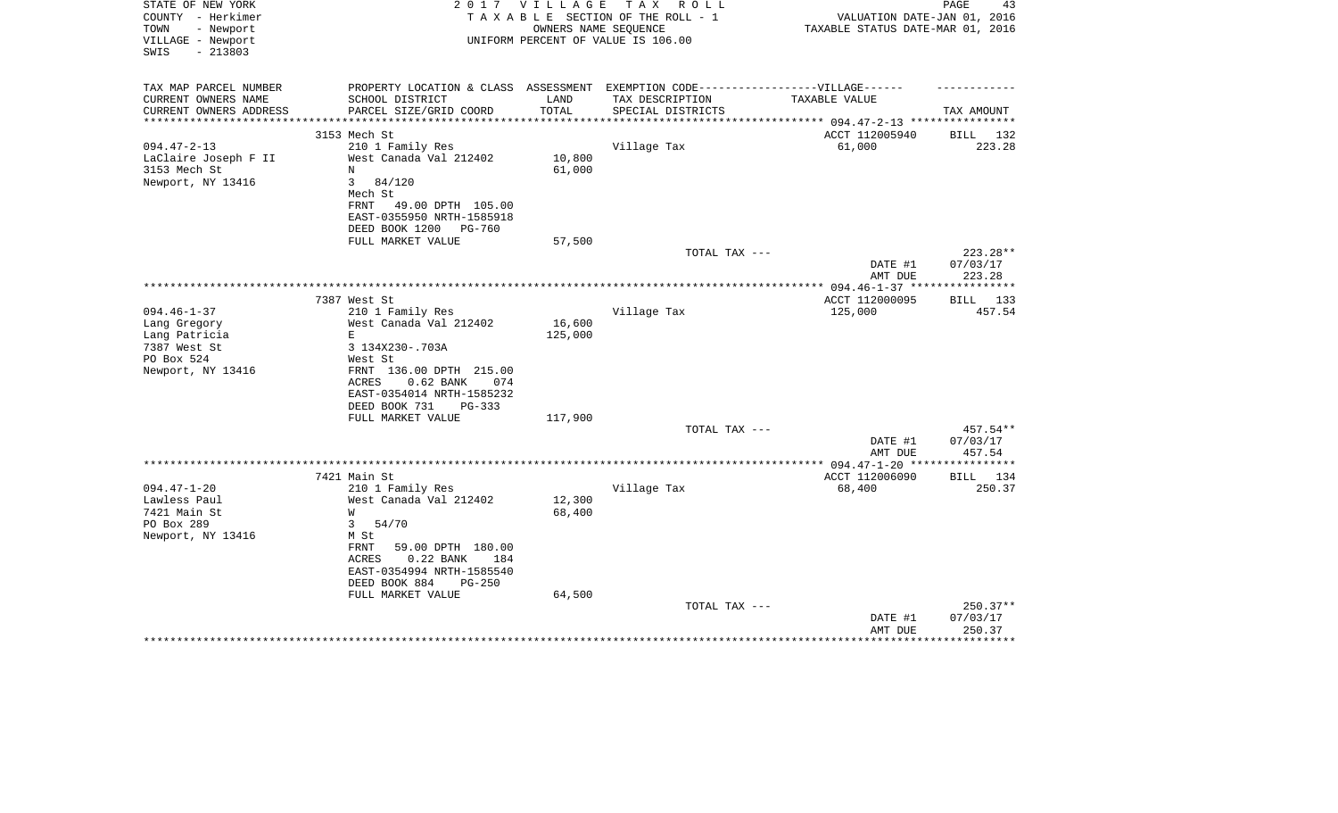| STATE OF NEW YORK<br>COUNTY - Herkimer<br>TOWN<br>- Newport | 2 0 1 7                                                                           | T A X<br>V I L L A G E<br>R O L L<br>TAXABLE SECTION OF THE ROLL - 1<br>OWNERS NAME SEQUENCE |                                    |                          | PAGE<br>43<br>VALUATION DATE-JAN 01, 2016<br>TAXABLE STATUS DATE-MAR 01, 2016 |  |  |
|-------------------------------------------------------------|-----------------------------------------------------------------------------------|----------------------------------------------------------------------------------------------|------------------------------------|--------------------------|-------------------------------------------------------------------------------|--|--|
| VILLAGE - Newport<br>SWIS<br>$-213803$                      |                                                                                   |                                                                                              | UNIFORM PERCENT OF VALUE IS 106.00 |                          |                                                                               |  |  |
| TAX MAP PARCEL NUMBER                                       | PROPERTY LOCATION & CLASS ASSESSMENT EXEMPTION CODE-----------------VILLAGE------ |                                                                                              |                                    |                          |                                                                               |  |  |
| CURRENT OWNERS NAME                                         | SCHOOL DISTRICT                                                                   | LAND                                                                                         | TAX DESCRIPTION                    | <b>TAXABLE VALUE</b>     |                                                                               |  |  |
| CURRENT OWNERS ADDRESS<br>**********************            | PARCEL SIZE/GRID COORD                                                            | TOTAL                                                                                        | SPECIAL DISTRICTS                  |                          | TAX AMOUNT                                                                    |  |  |
|                                                             | 3153 Mech St                                                                      |                                                                                              |                                    | ACCT 112005940           | BILL 132                                                                      |  |  |
| $094.47 - 2 - 13$                                           | 210 1 Family Res                                                                  |                                                                                              | Village Tax                        | 61,000                   | 223.28                                                                        |  |  |
| LaClaire Joseph F II                                        | West Canada Val 212402                                                            | 10,800                                                                                       |                                    |                          |                                                                               |  |  |
| 3153 Mech St                                                | N                                                                                 | 61,000                                                                                       |                                    |                          |                                                                               |  |  |
| Newport, NY 13416                                           | $\mathbf{3}$<br>84/120                                                            |                                                                                              |                                    |                          |                                                                               |  |  |
|                                                             | Mech St                                                                           |                                                                                              |                                    |                          |                                                                               |  |  |
|                                                             | FRNT<br>49.00 DPTH 105.00                                                         |                                                                                              |                                    |                          |                                                                               |  |  |
|                                                             | EAST-0355950 NRTH-1585918                                                         |                                                                                              |                                    |                          |                                                                               |  |  |
|                                                             | DEED BOOK 1200<br>PG-760                                                          |                                                                                              |                                    |                          |                                                                               |  |  |
|                                                             | FULL MARKET VALUE                                                                 | 57,500                                                                                       |                                    |                          |                                                                               |  |  |
|                                                             |                                                                                   |                                                                                              | TOTAL TAX ---                      |                          | 223.28**                                                                      |  |  |
|                                                             |                                                                                   |                                                                                              |                                    | DATE #1<br>AMT DUE       | 07/03/17<br>223.28                                                            |  |  |
|                                                             |                                                                                   |                                                                                              |                                    | ** $094.46 - 1 - 37$ **  | *********                                                                     |  |  |
|                                                             | 7387 West St                                                                      |                                                                                              |                                    | ACCT 112000095           | <b>BILL</b><br>133                                                            |  |  |
| $094.46 - 1 - 37$                                           | 210 1 Family Res                                                                  |                                                                                              | Village Tax                        | 125,000                  | 457.54                                                                        |  |  |
| Lang Gregory                                                | West Canada Val 212402                                                            | 16,600                                                                                       |                                    |                          |                                                                               |  |  |
| Lang Patricia                                               | E                                                                                 | 125,000                                                                                      |                                    |                          |                                                                               |  |  |
| 7387 West St                                                | 3 134X230-.703A                                                                   |                                                                                              |                                    |                          |                                                                               |  |  |
| PO Box 524                                                  | West St                                                                           |                                                                                              |                                    |                          |                                                                               |  |  |
| Newport, NY 13416                                           | FRNT 136.00 DPTH 215.00                                                           |                                                                                              |                                    |                          |                                                                               |  |  |
|                                                             | ACRES<br>$0.62$ BANK<br>074                                                       |                                                                                              |                                    |                          |                                                                               |  |  |
|                                                             | EAST-0354014 NRTH-1585232<br>DEED BOOK 731<br>PG-333                              |                                                                                              |                                    |                          |                                                                               |  |  |
|                                                             | FULL MARKET VALUE                                                                 | 117,900                                                                                      |                                    |                          |                                                                               |  |  |
|                                                             |                                                                                   |                                                                                              | TOTAL TAX ---                      |                          | 457.54**                                                                      |  |  |
|                                                             |                                                                                   |                                                                                              |                                    | DATE #1                  | 07/03/17                                                                      |  |  |
|                                                             |                                                                                   |                                                                                              |                                    | AMT DUE                  | 457.54                                                                        |  |  |
|                                                             |                                                                                   |                                                                                              |                                    | ** $094.47 - 1 - 20$ *** | **********                                                                    |  |  |
|                                                             | 7421 Main St                                                                      |                                                                                              |                                    | ACCT 112006090           | BILL 134                                                                      |  |  |
| $094.47 - 1 - 20$                                           | 210 1 Family Res                                                                  |                                                                                              | Village Tax                        | 68,400                   | 250.37                                                                        |  |  |
| Lawless Paul                                                | West Canada Val 212402                                                            | 12,300                                                                                       |                                    |                          |                                                                               |  |  |
| 7421 Main St<br>PO Box 289                                  | W<br>3                                                                            | 68,400                                                                                       |                                    |                          |                                                                               |  |  |
| Newport, NY 13416                                           | 54/70<br>M St                                                                     |                                                                                              |                                    |                          |                                                                               |  |  |
|                                                             | FRNT<br>59.00 DPTH 180.00                                                         |                                                                                              |                                    |                          |                                                                               |  |  |
|                                                             | $0.22$ BANK<br>ACRES<br>184                                                       |                                                                                              |                                    |                          |                                                                               |  |  |
|                                                             | EAST-0354994 NRTH-1585540                                                         |                                                                                              |                                    |                          |                                                                               |  |  |
|                                                             | DEED BOOK 884<br>$PG-250$                                                         |                                                                                              |                                    |                          |                                                                               |  |  |
|                                                             | FULL MARKET VALUE                                                                 | 64,500                                                                                       |                                    |                          |                                                                               |  |  |
|                                                             |                                                                                   |                                                                                              | TOTAL TAX ---                      |                          | 250.37**                                                                      |  |  |
|                                                             |                                                                                   |                                                                                              |                                    | DATE #1                  | 07/03/17                                                                      |  |  |
|                                                             |                                                                                   |                                                                                              |                                    | AMT DUE                  | 250.37                                                                        |  |  |
|                                                             |                                                                                   |                                                                                              |                                    |                          |                                                                               |  |  |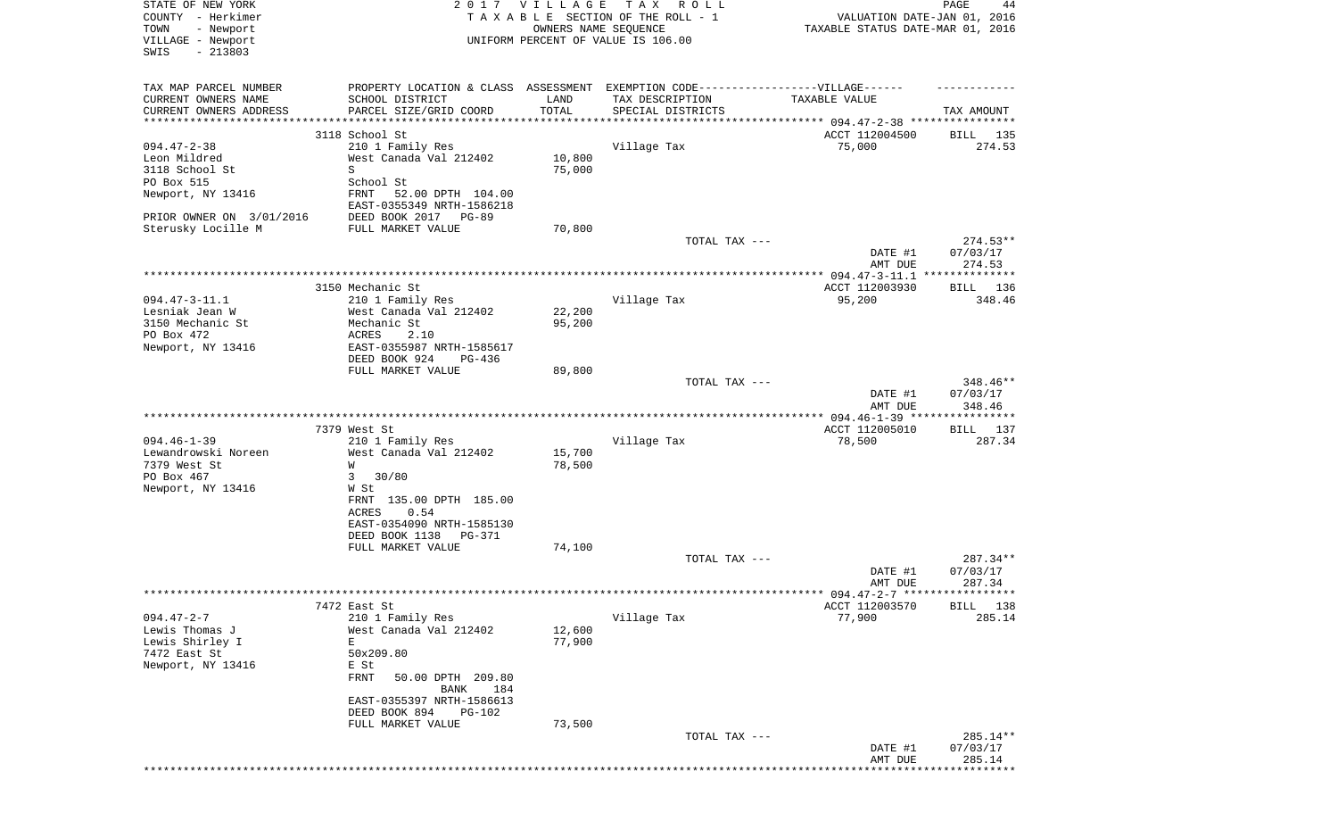| STATE OF NEW YORK<br>2017 VILLAGE<br>COUNTY - Herkimer |                                                                                  |        | T A X<br>R O L L<br>TAXABLE SECTION OF THE ROLL - 1 | PAGE<br>44<br>VALUATION DATE-JAN 01, 2016 |                       |  |
|--------------------------------------------------------|----------------------------------------------------------------------------------|--------|-----------------------------------------------------|-------------------------------------------|-----------------------|--|
| TOWN<br>- Newport                                      |                                                                                  |        | OWNERS NAME SEQUENCE                                | TAXABLE STATUS DATE-MAR 01, 2016          |                       |  |
| VILLAGE - Newport<br>$-213803$<br>SWIS                 |                                                                                  |        | UNIFORM PERCENT OF VALUE IS 106.00                  |                                           |                       |  |
| TAX MAP PARCEL NUMBER                                  | PROPERTY LOCATION & CLASS ASSESSMENT EXEMPTION CODE----------------VILLAGE------ |        |                                                     |                                           |                       |  |
| CURRENT OWNERS NAME                                    | SCHOOL DISTRICT                                                                  | LAND   | TAX DESCRIPTION                                     | TAXABLE VALUE                             |                       |  |
| CURRENT OWNERS ADDRESS                                 | PARCEL SIZE/GRID COORD                                                           | TOTAL  | SPECIAL DISTRICTS                                   |                                           | TAX AMOUNT            |  |
| *******************                                    | 3118 School St                                                                   |        |                                                     |                                           |                       |  |
| $094.47 - 2 - 38$                                      | 210 1 Family Res                                                                 |        | Village Tax                                         | ACCT 112004500<br>75,000                  | BILL<br>135<br>274.53 |  |
| Leon Mildred                                           | West Canada Val 212402                                                           | 10,800 |                                                     |                                           |                       |  |
| 3118 School St                                         | S                                                                                | 75,000 |                                                     |                                           |                       |  |
| PO Box 515                                             | School St                                                                        |        |                                                     |                                           |                       |  |
| Newport, NY 13416                                      | FRNT<br>52.00 DPTH 104.00                                                        |        |                                                     |                                           |                       |  |
|                                                        | EAST-0355349 NRTH-1586218                                                        |        |                                                     |                                           |                       |  |
| PRIOR OWNER ON 3/01/2016                               | DEED BOOK 2017<br>PG-89                                                          |        |                                                     |                                           |                       |  |
| Sterusky Locille M                                     | FULL MARKET VALUE                                                                | 70,800 | TOTAL TAX ---                                       |                                           | $274.53**$            |  |
|                                                        |                                                                                  |        |                                                     | DATE #1                                   | 07/03/17              |  |
|                                                        |                                                                                  |        |                                                     | AMT DUE                                   | 274.53                |  |
|                                                        |                                                                                  |        |                                                     |                                           |                       |  |
|                                                        | 3150 Mechanic St                                                                 |        |                                                     | ACCT 112003930                            | <b>BILL</b> 136       |  |
| $094.47 - 3 - 11.1$                                    | 210 1 Family Res                                                                 |        | Village Tax                                         | 95,200                                    | 348.46                |  |
| Lesniak Jean W                                         | West Canada Val 212402                                                           | 22,200 |                                                     |                                           |                       |  |
| 3150 Mechanic St<br>PO Box 472                         | Mechanic St<br>ACRES                                                             | 95,200 |                                                     |                                           |                       |  |
| Newport, NY 13416                                      | 2.10<br>EAST-0355987 NRTH-1585617                                                |        |                                                     |                                           |                       |  |
|                                                        | DEED BOOK 924<br>PG-436                                                          |        |                                                     |                                           |                       |  |
|                                                        | FULL MARKET VALUE                                                                | 89,800 |                                                     |                                           |                       |  |
|                                                        |                                                                                  |        | TOTAL TAX ---                                       |                                           | 348.46**              |  |
|                                                        |                                                                                  |        |                                                     | DATE #1                                   | 07/03/17              |  |
|                                                        |                                                                                  |        |                                                     | AMT DUE                                   | 348.46                |  |
|                                                        |                                                                                  |        |                                                     | ************** 094.46-1-39 ***            | *************         |  |
| $094.46 - 1 - 39$                                      | 7379 West St<br>210 1 Family Res                                                 |        | Village Tax                                         | ACCT 112005010<br>78,500                  | 137<br>BILL<br>287.34 |  |
| Lewandrowski Noreen                                    | West Canada Val 212402                                                           | 15,700 |                                                     |                                           |                       |  |
| 7379 West St                                           | W                                                                                | 78,500 |                                                     |                                           |                       |  |
| PO Box 467                                             | 3<br>30/80                                                                       |        |                                                     |                                           |                       |  |
| Newport, NY 13416                                      | W St                                                                             |        |                                                     |                                           |                       |  |
|                                                        | FRNT 135.00 DPTH 185.00                                                          |        |                                                     |                                           |                       |  |
|                                                        | ACRES<br>0.54<br>EAST-0354090 NRTH-1585130                                       |        |                                                     |                                           |                       |  |
|                                                        | DEED BOOK 1138<br>PG-371                                                         |        |                                                     |                                           |                       |  |
|                                                        | FULL MARKET VALUE                                                                | 74,100 |                                                     |                                           |                       |  |
|                                                        |                                                                                  |        | TOTAL TAX ---                                       |                                           | 287.34**              |  |
|                                                        |                                                                                  |        |                                                     | DATE #1                                   | 07/03/17              |  |
|                                                        |                                                                                  |        |                                                     | AMT DUE                                   | 287.34                |  |
|                                                        |                                                                                  |        |                                                     | ****** 094.47-2-7 ******************      |                       |  |
| $094.47 - 2 - 7$                                       | 7472 East St<br>210 1 Family Res                                                 |        | Village Tax                                         | ACCT 112003570<br>77,900                  | BILL 138<br>285.14    |  |
| Lewis Thomas J                                         | West Canada Val 212402                                                           | 12,600 |                                                     |                                           |                       |  |
| Lewis Shirley I                                        | Е                                                                                | 77,900 |                                                     |                                           |                       |  |
| 7472 East St                                           | 50x209.80                                                                        |        |                                                     |                                           |                       |  |
| Newport, NY 13416                                      | E St                                                                             |        |                                                     |                                           |                       |  |
|                                                        | FRNT<br>50.00 DPTH 209.80                                                        |        |                                                     |                                           |                       |  |
|                                                        | 184<br>BANK                                                                      |        |                                                     |                                           |                       |  |
|                                                        | EAST-0355397 NRTH-1586613<br>DEED BOOK 894<br>PG-102                             |        |                                                     |                                           |                       |  |
|                                                        | FULL MARKET VALUE                                                                | 73,500 |                                                     |                                           |                       |  |
|                                                        |                                                                                  |        | TOTAL TAX ---                                       |                                           | 285.14**              |  |
|                                                        |                                                                                  |        |                                                     | DATE #1                                   | 07/03/17              |  |
|                                                        |                                                                                  |        |                                                     | AMT DUE                                   | 285.14                |  |
|                                                        |                                                                                  |        |                                                     |                                           |                       |  |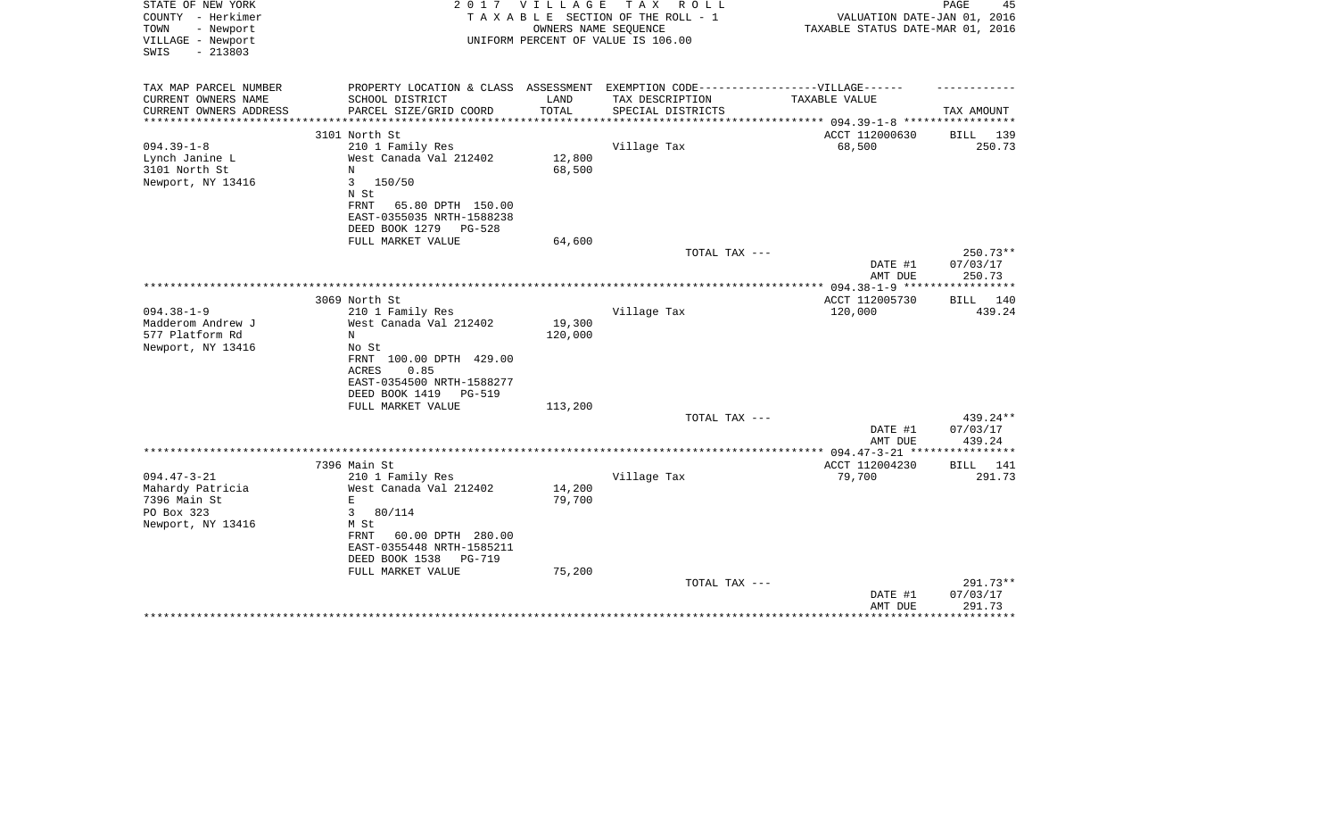| STATE OF NEW YORK<br>COUNTY - Herkimer<br>TOWN<br>- Newport<br>VILLAGE - Newport | 2017                                                                              | VILLAGE           | T A X<br>R O L L<br>TAXABLE SECTION OF THE ROLL - 1<br>OWNERS NAME SEQUENCE<br>UNIFORM PERCENT OF VALUE IS 106.00 | VALUATION DATE-JAN 01, 2016<br>TAXABLE STATUS DATE-MAR 01, 2016 | PAGE<br>45             |
|----------------------------------------------------------------------------------|-----------------------------------------------------------------------------------|-------------------|-------------------------------------------------------------------------------------------------------------------|-----------------------------------------------------------------|------------------------|
| $-213803$<br>SWIS                                                                |                                                                                   |                   |                                                                                                                   |                                                                 |                        |
| TAX MAP PARCEL NUMBER                                                            | PROPERTY LOCATION & CLASS ASSESSMENT EXEMPTION CODE-----------------VILLAGE------ |                   |                                                                                                                   |                                                                 |                        |
| CURRENT OWNERS NAME                                                              | SCHOOL DISTRICT                                                                   | LAND              | TAX DESCRIPTION                                                                                                   | TAXABLE VALUE                                                   |                        |
| CURRENT OWNERS ADDRESS                                                           | PARCEL SIZE/GRID COORD                                                            | TOTAL             | SPECIAL DISTRICTS                                                                                                 |                                                                 | TAX AMOUNT             |
|                                                                                  | 3101 North St                                                                     |                   |                                                                                                                   | ACCT 112000630                                                  | BILL 139               |
| $094.39 - 1 - 8$                                                                 | 210 1 Family Res                                                                  |                   | Village Tax                                                                                                       | 68,500                                                          | 250.73                 |
| Lynch Janine L                                                                   | West Canada Val 212402                                                            | 12,800            |                                                                                                                   |                                                                 |                        |
| 3101 North St                                                                    | N                                                                                 | 68,500            |                                                                                                                   |                                                                 |                        |
| Newport, NY 13416                                                                | 150/50<br>3<br>N St                                                               |                   |                                                                                                                   |                                                                 |                        |
|                                                                                  | FRNT<br>65.80 DPTH 150.00                                                         |                   |                                                                                                                   |                                                                 |                        |
|                                                                                  | EAST-0355035 NRTH-1588238                                                         |                   |                                                                                                                   |                                                                 |                        |
|                                                                                  | DEED BOOK 1279<br>$PG-528$                                                        |                   |                                                                                                                   |                                                                 |                        |
|                                                                                  | FULL MARKET VALUE                                                                 | 64,600            |                                                                                                                   |                                                                 |                        |
|                                                                                  |                                                                                   |                   | TOTAL TAX ---                                                                                                     | DATE #1                                                         | $250.73**$<br>07/03/17 |
|                                                                                  |                                                                                   |                   |                                                                                                                   | AMT DUE                                                         | 250.73                 |
|                                                                                  |                                                                                   |                   |                                                                                                                   |                                                                 |                        |
|                                                                                  | 3069 North St                                                                     |                   |                                                                                                                   | ACCT 112005730                                                  | BILL 140               |
| $094.38 - 1 - 9$                                                                 | 210 1 Family Res                                                                  |                   | Village Tax                                                                                                       | 120,000                                                         | 439.24                 |
| Madderom Andrew J<br>577 Platform Rd                                             | West Canada Val 212402<br>N                                                       | 19,300<br>120,000 |                                                                                                                   |                                                                 |                        |
| Newport, NY 13416                                                                | No St                                                                             |                   |                                                                                                                   |                                                                 |                        |
|                                                                                  | FRNT 100.00 DPTH 429.00                                                           |                   |                                                                                                                   |                                                                 |                        |
|                                                                                  | 0.85<br>ACRES                                                                     |                   |                                                                                                                   |                                                                 |                        |
|                                                                                  | EAST-0354500 NRTH-1588277                                                         |                   |                                                                                                                   |                                                                 |                        |
|                                                                                  | DEED BOOK 1419<br><b>PG-519</b><br>FULL MARKET VALUE                              | 113,200           |                                                                                                                   |                                                                 |                        |
|                                                                                  |                                                                                   |                   | TOTAL TAX ---                                                                                                     |                                                                 | $439.24**$             |
|                                                                                  |                                                                                   |                   |                                                                                                                   | DATE #1                                                         | 07/03/17               |
|                                                                                  |                                                                                   |                   |                                                                                                                   | AMT DUE                                                         | 439.24                 |
|                                                                                  |                                                                                   |                   |                                                                                                                   |                                                                 |                        |
| $094.47 - 3 - 21$                                                                | 7396 Main St<br>210 1 Family Res                                                  |                   | Village Tax                                                                                                       | ACCT 112004230<br>79,700                                        | BILL 141<br>291.73     |
| Mahardy Patricia                                                                 | West Canada Val 212402                                                            | 14,200            |                                                                                                                   |                                                                 |                        |
| 7396 Main St                                                                     | $\mathbf E$                                                                       | 79,700            |                                                                                                                   |                                                                 |                        |
| PO Box 323                                                                       | 3<br>80/114                                                                       |                   |                                                                                                                   |                                                                 |                        |
| Newport, NY 13416                                                                | M St                                                                              |                   |                                                                                                                   |                                                                 |                        |
|                                                                                  | 60.00 DPTH 280.00<br>FRNT<br>EAST-0355448 NRTH-1585211                            |                   |                                                                                                                   |                                                                 |                        |
|                                                                                  | DEED BOOK 1538<br>$PG-719$                                                        |                   |                                                                                                                   |                                                                 |                        |
|                                                                                  | FULL MARKET VALUE                                                                 | 75,200            |                                                                                                                   |                                                                 |                        |
|                                                                                  |                                                                                   |                   | TOTAL TAX ---                                                                                                     |                                                                 | $291.73**$             |
|                                                                                  |                                                                                   |                   |                                                                                                                   | DATE #1                                                         | 07/03/17               |
|                                                                                  |                                                                                   |                   |                                                                                                                   | AMT DUE                                                         | 291.73<br>***********  |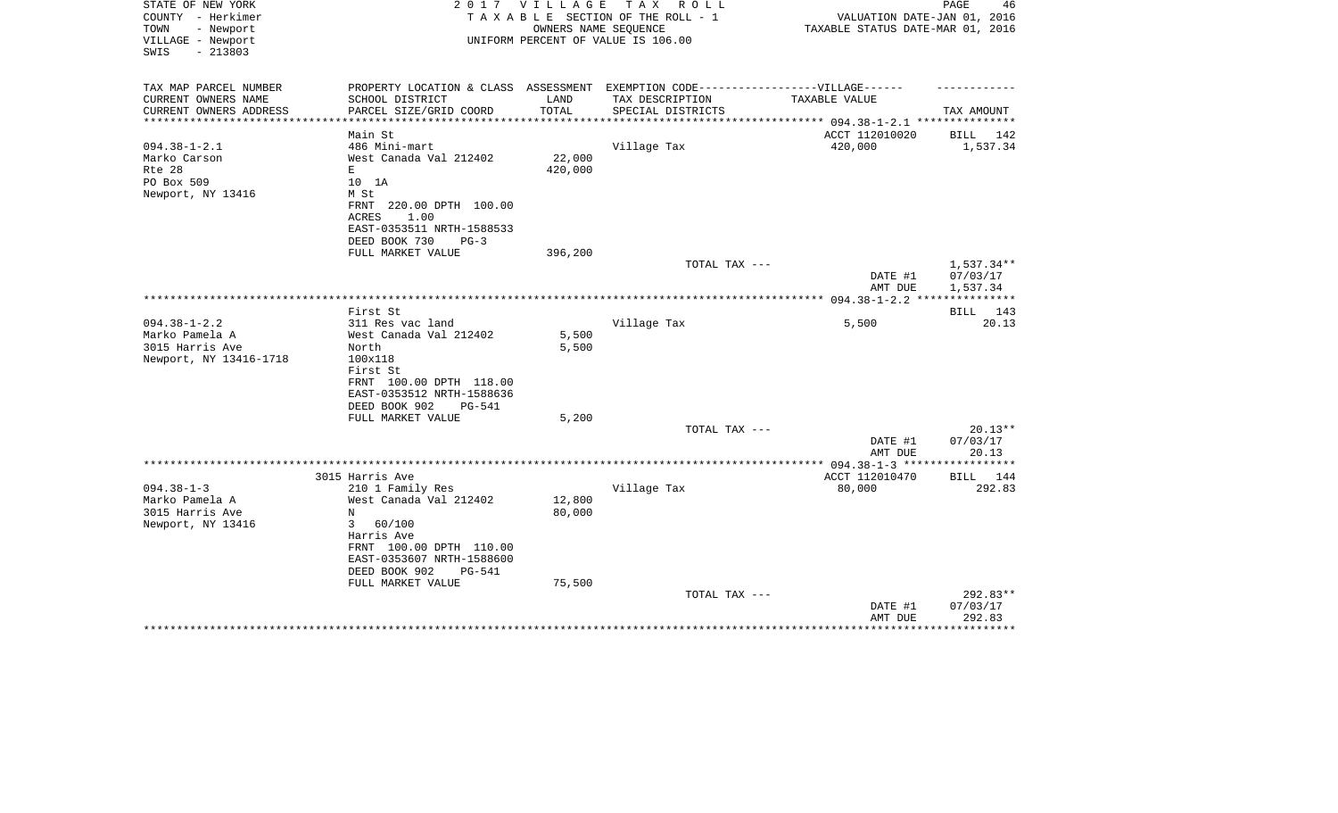| STATE OF NEW YORK<br>COUNTY - Herkimer<br>- Newport<br>TOWN<br>VILLAGE - Newport<br>SWIS<br>$-213803$ | 2 0 1 7                                                                           | V I L L A G E                | TAX ROLL<br>TAXABLE SECTION OF THE ROLL - 1<br>OWNERS NAME SEQUENCE<br>UNIFORM PERCENT OF VALUE IS 106.00 | VALUATION DATE-JAN 01, 2016<br>TAXABLE STATUS DATE-MAR 01, 2016 | PAGE<br>46             |
|-------------------------------------------------------------------------------------------------------|-----------------------------------------------------------------------------------|------------------------------|-----------------------------------------------------------------------------------------------------------|-----------------------------------------------------------------|------------------------|
| TAX MAP PARCEL NUMBER                                                                                 | PROPERTY LOCATION & CLASS ASSESSMENT EXEMPTION CODE-----------------VILLAGE------ |                              |                                                                                                           |                                                                 |                        |
| CURRENT OWNERS NAME<br>CURRENT OWNERS ADDRESS<br>****************                                     | SCHOOL DISTRICT<br>PARCEL SIZE/GRID COORD                                         | LAND<br>TOTAL<br>*********** | TAX DESCRIPTION<br>SPECIAL DISTRICTS                                                                      | TAXABLE VALUE                                                   | TAX AMOUNT             |
|                                                                                                       | Main St                                                                           |                              |                                                                                                           | ******************** 094.38-1-2.1 **********<br>ACCT 112010020  | 142<br>BILL            |
| $094.38 - 1 - 2.1$                                                                                    | 486 Mini-mart                                                                     |                              | Village Tax                                                                                               | 420,000                                                         | 1,537.34               |
| Marko Carson                                                                                          | West Canada Val 212402                                                            | 22,000                       |                                                                                                           |                                                                 |                        |
| Rte 28                                                                                                | E                                                                                 | 420,000                      |                                                                                                           |                                                                 |                        |
| PO Box 509                                                                                            | 10 1A                                                                             |                              |                                                                                                           |                                                                 |                        |
| Newport, NY 13416                                                                                     | M St                                                                              |                              |                                                                                                           |                                                                 |                        |
|                                                                                                       | FRNT 220.00 DPTH 100.00                                                           |                              |                                                                                                           |                                                                 |                        |
|                                                                                                       | 1.00<br>ACRES                                                                     |                              |                                                                                                           |                                                                 |                        |
|                                                                                                       | EAST-0353511 NRTH-1588533                                                         |                              |                                                                                                           |                                                                 |                        |
|                                                                                                       | DEED BOOK 730<br>$PG-3$                                                           |                              |                                                                                                           |                                                                 |                        |
|                                                                                                       | FULL MARKET VALUE                                                                 | 396,200                      |                                                                                                           |                                                                 |                        |
|                                                                                                       |                                                                                   |                              | TOTAL TAX ---                                                                                             | DATE #1                                                         | 1,537.34**<br>07/03/17 |
|                                                                                                       |                                                                                   |                              |                                                                                                           | AMT DUE                                                         | 1,537.34               |
|                                                                                                       |                                                                                   |                              |                                                                                                           |                                                                 |                        |
|                                                                                                       | First St                                                                          |                              |                                                                                                           |                                                                 | <b>BILL</b><br>143     |
| $094.38 - 1 - 2.2$                                                                                    | 311 Res vac land                                                                  |                              | Village Tax                                                                                               | 5,500                                                           | 20.13                  |
| Marko Pamela A                                                                                        | West Canada Val 212402                                                            | 5,500                        |                                                                                                           |                                                                 |                        |
| 3015 Harris Ave                                                                                       | North                                                                             | 5,500                        |                                                                                                           |                                                                 |                        |
| Newport, NY 13416-1718                                                                                | 100x118                                                                           |                              |                                                                                                           |                                                                 |                        |
|                                                                                                       | First St<br>FRNT 100.00 DPTH 118.00                                               |                              |                                                                                                           |                                                                 |                        |
|                                                                                                       | EAST-0353512 NRTH-1588636                                                         |                              |                                                                                                           |                                                                 |                        |
|                                                                                                       | DEED BOOK 902<br><b>PG-541</b>                                                    |                              |                                                                                                           |                                                                 |                        |
|                                                                                                       | FULL MARKET VALUE                                                                 | 5,200                        |                                                                                                           |                                                                 |                        |
|                                                                                                       |                                                                                   |                              | TOTAL TAX ---                                                                                             |                                                                 | $20.13**$              |
|                                                                                                       |                                                                                   |                              |                                                                                                           | DATE #1                                                         | 07/03/17               |
|                                                                                                       |                                                                                   |                              |                                                                                                           | AMT DUE                                                         | 20.13                  |
|                                                                                                       |                                                                                   |                              |                                                                                                           |                                                                 |                        |
|                                                                                                       | 3015 Harris Ave                                                                   |                              |                                                                                                           | ACCT 112010470                                                  | BILL 144               |
| $094.38 - 1 - 3$                                                                                      | 210 1 Family Res                                                                  |                              | Village Tax                                                                                               | 80,000                                                          | 292.83                 |
| Marko Pamela A                                                                                        | West Canada Val 212402                                                            | 12,800                       |                                                                                                           |                                                                 |                        |
| 3015 Harris Ave                                                                                       | N                                                                                 | 80,000                       |                                                                                                           |                                                                 |                        |
| Newport, NY 13416                                                                                     | 3<br>60/100                                                                       |                              |                                                                                                           |                                                                 |                        |
|                                                                                                       | Harris Ave                                                                        |                              |                                                                                                           |                                                                 |                        |
|                                                                                                       | FRNT 100.00 DPTH 110.00                                                           |                              |                                                                                                           |                                                                 |                        |
|                                                                                                       | EAST-0353607 NRTH-1588600                                                         |                              |                                                                                                           |                                                                 |                        |
|                                                                                                       | DEED BOOK 902<br>PG-541<br>FULL MARKET VALUE                                      | 75,500                       |                                                                                                           |                                                                 |                        |
|                                                                                                       |                                                                                   |                              | TOTAL TAX ---                                                                                             |                                                                 | 292.83**               |
|                                                                                                       |                                                                                   |                              |                                                                                                           | DATE #1                                                         | 07/03/17               |
|                                                                                                       |                                                                                   |                              |                                                                                                           | AMT DUE                                                         | 292.83                 |
|                                                                                                       |                                                                                   |                              |                                                                                                           |                                                                 | ************           |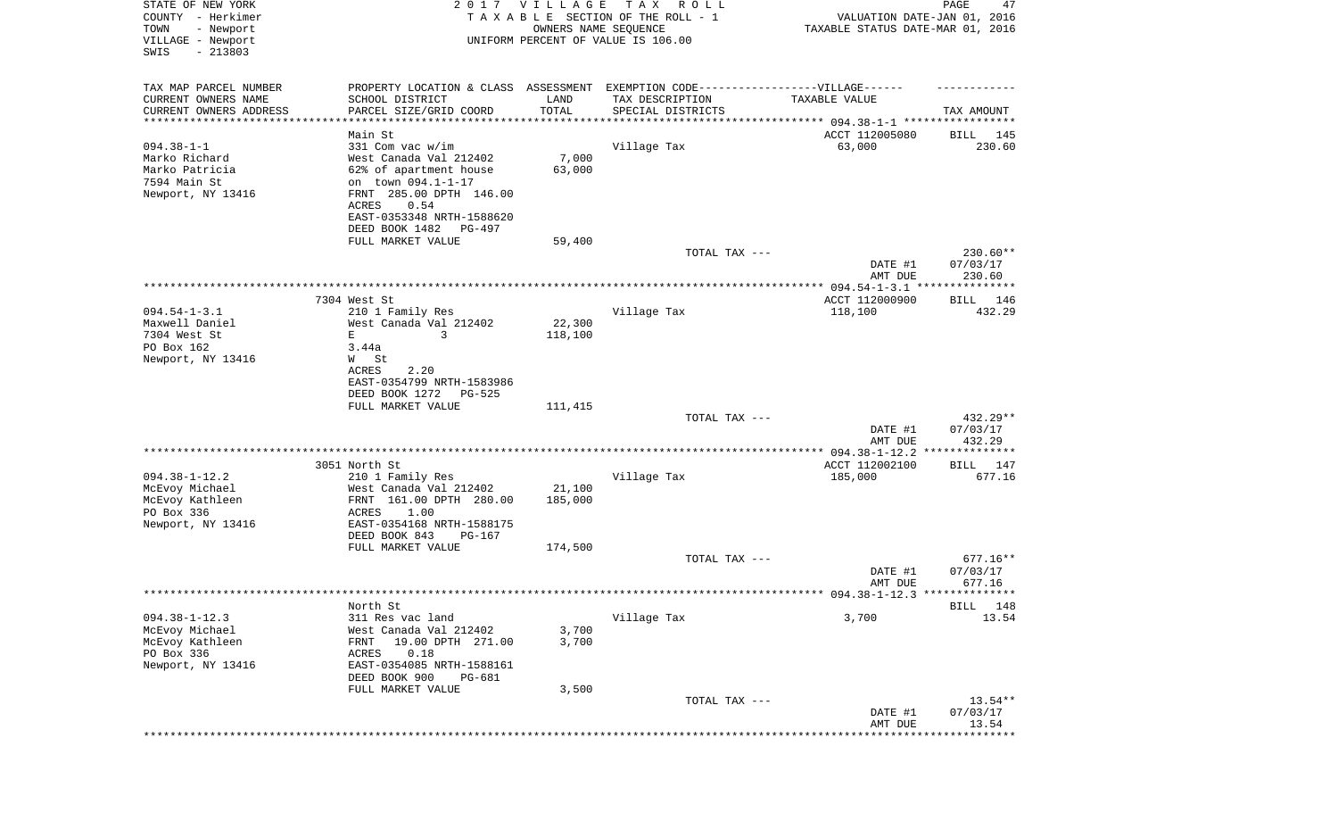| STATE OF NEW YORK<br>COUNTY - Herkimer<br>- Newport<br>TOWN<br>VILLAGE - Newport<br>$-213803$<br>SWIS | 2017                                                                                       | VILLAGE<br>OWNERS NAME SEQUENCE | T A X<br>R O L L<br>TAXABLE SECTION OF THE ROLL - 1<br>UNIFORM PERCENT OF VALUE IS 106.00 | VALUATION DATE-JAN 01, 2016<br>TAXABLE STATUS DATE-MAR 01, 2016 | PAGE<br>47                       |
|-------------------------------------------------------------------------------------------------------|--------------------------------------------------------------------------------------------|---------------------------------|-------------------------------------------------------------------------------------------|-----------------------------------------------------------------|----------------------------------|
| TAX MAP PARCEL NUMBER<br>CURRENT OWNERS NAME                                                          | PROPERTY LOCATION & CLASS ASSESSMENT<br>SCHOOL DISTRICT                                    | LAND                            | EXEMPTION CODE------------------VILLAGE------<br>TAX DESCRIPTION                          | TAXABLE VALUE                                                   |                                  |
| CURRENT OWNERS ADDRESS<br>********************                                                        | PARCEL SIZE/GRID COORD                                                                     | TOTAL                           | SPECIAL DISTRICTS                                                                         | **************************** 094.38-1-1 *****************       | TAX AMOUNT                       |
|                                                                                                       | Main St                                                                                    |                                 |                                                                                           | ACCT 112005080                                                  | BILL<br>145                      |
| $094.38 - 1 - 1$<br>Marko Richard<br>Marko Patricia<br>7594 Main St                                   | 331 Com vac w/im<br>West Canada Val 212402<br>62% of apartment house<br>on town 094.1-1-17 | 7,000<br>63,000                 | Village Tax                                                                               | 63,000                                                          | 230.60                           |
| Newport, NY 13416                                                                                     | FRNT 285.00 DPTH 146.00<br>ACRES<br>0.54<br>EAST-0353348 NRTH-1588620                      |                                 |                                                                                           |                                                                 |                                  |
|                                                                                                       | DEED BOOK 1482<br>PG-497<br>FULL MARKET VALUE                                              | 59,400                          |                                                                                           |                                                                 |                                  |
|                                                                                                       |                                                                                            |                                 | TOTAL TAX ---                                                                             | DATE #1                                                         | 230.60**<br>07/03/17             |
|                                                                                                       |                                                                                            |                                 |                                                                                           | AMT DUE                                                         | 230.60                           |
|                                                                                                       | 7304 West St                                                                               |                                 |                                                                                           | ACCT 112000900                                                  | BILL<br>146                      |
| $094.54 - 1 - 3.1$                                                                                    | 210 1 Family Res                                                                           |                                 | Village Tax                                                                               | 118,100                                                         | 432.29                           |
| Maxwell Daniel                                                                                        | West Canada Val 212402                                                                     | 22,300                          |                                                                                           |                                                                 |                                  |
| 7304 West St                                                                                          | 3<br>Е                                                                                     | 118,100                         |                                                                                           |                                                                 |                                  |
| PO Box 162                                                                                            | 3.44a                                                                                      |                                 |                                                                                           |                                                                 |                                  |
| Newport, NY 13416                                                                                     | W St<br>ACRES<br>2.20                                                                      |                                 |                                                                                           |                                                                 |                                  |
|                                                                                                       | EAST-0354799 NRTH-1583986<br>DEED BOOK 1272<br>PG-525                                      |                                 |                                                                                           |                                                                 |                                  |
|                                                                                                       | FULL MARKET VALUE                                                                          | 111,415                         |                                                                                           |                                                                 |                                  |
|                                                                                                       |                                                                                            |                                 | TOTAL TAX ---                                                                             | DATE #1                                                         | 432.29**<br>07/03/17             |
|                                                                                                       |                                                                                            |                                 |                                                                                           | AMT DUE<br>**** $094.38 - 1 - 12.2$ **                          | 432.29<br>***********            |
|                                                                                                       | 3051 North St                                                                              |                                 |                                                                                           | ACCT 112002100                                                  | BILL 147                         |
| $094.38 - 1 - 12.2$                                                                                   | 210 1 Family Res                                                                           |                                 | Village Tax                                                                               | 185,000                                                         | 677.16                           |
| McEvoy Michael                                                                                        | West Canada Val 212402                                                                     | 21,100                          |                                                                                           |                                                                 |                                  |
| McEvoy Kathleen<br>PO Box 336                                                                         | FRNT 161.00 DPTH 280.00<br>ACRES<br>1.00                                                   | 185,000                         |                                                                                           |                                                                 |                                  |
| Newport, NY 13416                                                                                     | EAST-0354168 NRTH-1588175<br>DEED BOOK 843<br>PG-167                                       |                                 |                                                                                           |                                                                 |                                  |
|                                                                                                       | FULL MARKET VALUE                                                                          | 174,500                         |                                                                                           |                                                                 |                                  |
|                                                                                                       |                                                                                            |                                 | TOTAL TAX ---                                                                             | DATE #1                                                         | $677.16**$<br>07/03/17<br>677.16 |
|                                                                                                       |                                                                                            |                                 |                                                                                           | AMT DUE<br>********** 094.38-1-12.3 **************              |                                  |
|                                                                                                       | North St                                                                                   |                                 |                                                                                           |                                                                 | <b>BILL</b><br>148               |
| $094.38 - 1 - 12.3$                                                                                   | 311 Res vac land                                                                           |                                 | Village Tax                                                                               | 3,700                                                           | 13.54                            |
| McEvoy Michael                                                                                        | West Canada Val 212402                                                                     | 3,700                           |                                                                                           |                                                                 |                                  |
| McEvoy Kathleen<br>PO Box 336                                                                         | 19.00 DPTH 271.00<br>FRNT<br>ACRES<br>0.18                                                 | 3,700                           |                                                                                           |                                                                 |                                  |
| Newport, NY 13416                                                                                     | EAST-0354085 NRTH-1588161<br>DEED BOOK 900<br><b>PG-681</b>                                |                                 |                                                                                           |                                                                 |                                  |
|                                                                                                       | FULL MARKET VALUE                                                                          | 3,500                           |                                                                                           |                                                                 |                                  |
|                                                                                                       |                                                                                            |                                 | TOTAL TAX ---                                                                             | DATE #1                                                         | 13.54**<br>07/03/17              |
|                                                                                                       |                                                                                            |                                 |                                                                                           | AMT DUE                                                         | 13.54<br>**********              |
|                                                                                                       |                                                                                            |                                 |                                                                                           |                                                                 |                                  |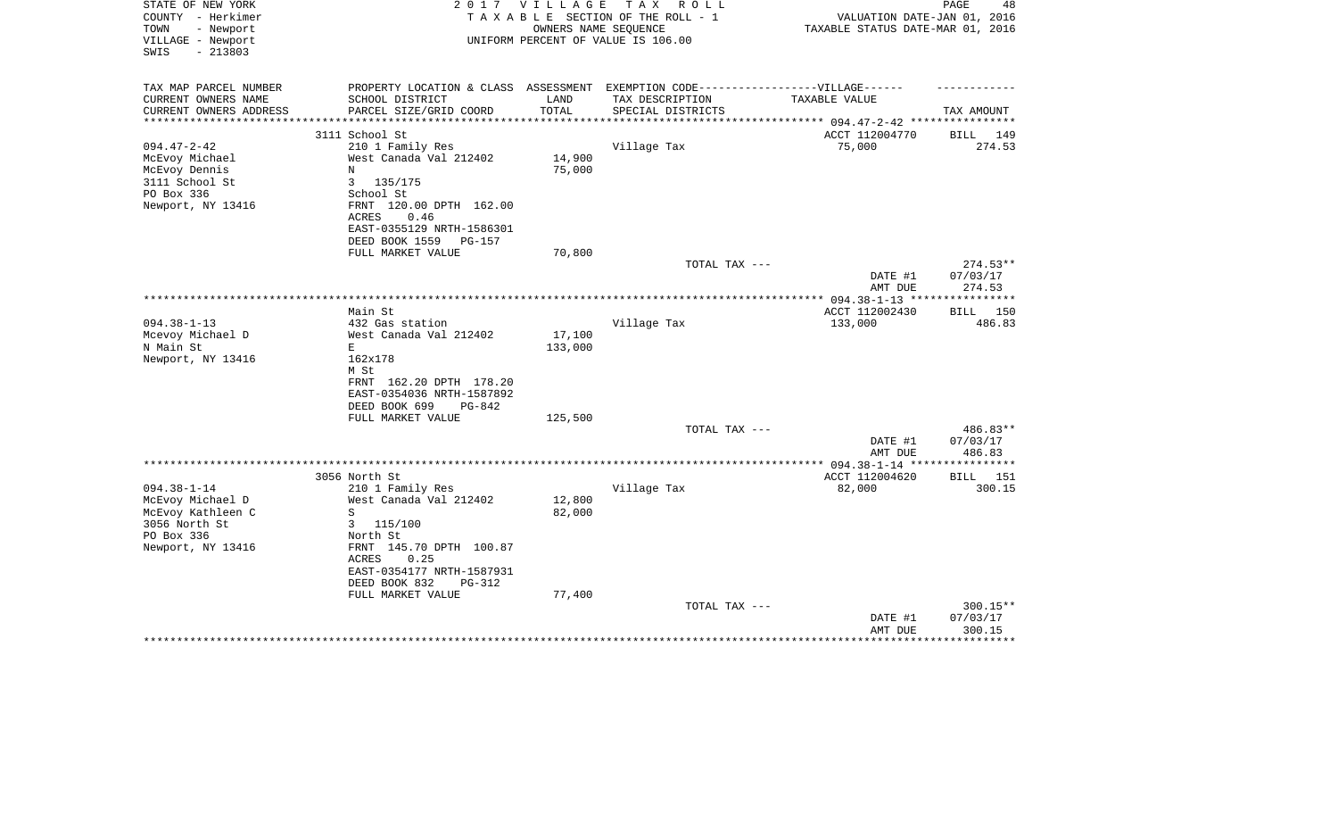| TAXABLE SECTION OF THE ROLL - 1<br>VALUATION DATE-JAN 01, 2016<br>OWNERS NAME SEQUENCE<br>TAXABLE STATUS DATE-MAR 01, 2016<br>TOWN<br>- Newport<br>VILLAGE - Newport<br>UNIFORM PERCENT OF VALUE IS 106.00<br>$-213803$<br>EXEMPTION CODE------------------VILLAGE------<br>PROPERTY LOCATION & CLASS ASSESSMENT<br>CURRENT OWNERS NAME<br>SCHOOL DISTRICT<br>LAND<br>TAX DESCRIPTION<br>TAXABLE VALUE<br>TOTAL<br>CURRENT OWNERS ADDRESS<br>PARCEL SIZE/GRID COORD<br>SPECIAL DISTRICTS<br>TAX AMOUNT<br>**********************<br>3111 School St<br>ACCT 112004770<br>BILL 149<br>75,000<br>$094.47 - 2 - 42$<br>210 1 Family Res<br>Village Tax<br>274.53<br>14,900<br>McEvoy Michael<br>West Canada Val 212402<br>75,000<br>McEvoy Dennis<br>N<br>3<br>135/175<br>School St<br>FRNT 120.00 DPTH 162.00<br>0.46<br>ACRES<br>EAST-0355129 NRTH-1586301<br>DEED BOOK 1559<br>PG-157<br>FULL MARKET VALUE<br>70,800<br>$274.53**$<br>TOTAL TAX ---<br>DATE #1<br>07/03/17<br>274.53<br>AMT DUE<br>** $094.38 - 1 - 13$ **<br>**********<br>Main St<br>ACCT 112002430<br>BILL 150<br>$094.38 - 1 - 13$<br>432 Gas station<br>Village Tax<br>133,000<br>486.83<br>17,100<br>Mcevoy Michael D<br>West Canada Val 212402<br>133,000<br>N Main St<br>E.<br>162x178<br>Newport, NY 13416<br>M St<br>FRNT 162.20 DPTH 178.20<br>EAST-0354036 NRTH-1587892<br>DEED BOOK 699<br>$PG-842$<br>FULL MARKET VALUE<br>125,500<br>TOTAL TAX ---<br>486.83**<br>DATE #1<br>07/03/17<br>486.83<br>AMT DUE<br>************* 094.38-1-14 **<br>* * * * * * * * *<br>3056 North St<br>ACCT 112004620<br>BILL<br>151<br>$094.38 - 1 - 14$<br>82,000<br>300.15<br>210 1 Family Res<br>Village Tax<br>12,800<br>McEvoy Michael D<br>West Canada Val 212402<br>McEvoy Kathleen C<br>S<br>82,000<br>115/100<br>3<br>North St<br>FRNT 145.70 DPTH 100.87<br>0.25<br>ACRES<br>EAST-0354177 NRTH-1587931<br>DEED BOOK 832<br><b>PG-312</b><br>77,400<br>FULL MARKET VALUE<br>300.15**<br>TOTAL TAX ---<br>07/03/17<br>DATE #1<br>300.15<br>AMT DUE | STATE OF NEW YORK<br>COUNTY - Herkimer | 2 0 1 7 | VILLAGE | TAX ROLL | PAGE<br>48 |
|------------------------------------------------------------------------------------------------------------------------------------------------------------------------------------------------------------------------------------------------------------------------------------------------------------------------------------------------------------------------------------------------------------------------------------------------------------------------------------------------------------------------------------------------------------------------------------------------------------------------------------------------------------------------------------------------------------------------------------------------------------------------------------------------------------------------------------------------------------------------------------------------------------------------------------------------------------------------------------------------------------------------------------------------------------------------------------------------------------------------------------------------------------------------------------------------------------------------------------------------------------------------------------------------------------------------------------------------------------------------------------------------------------------------------------------------------------------------------------------------------------------------------------------------------------------------------------------------------------------------------------------------------------------------------------------------------------------------------------------------------------------------------------------------------------------------------------------------------------------------------------------------------------------------------------------------------------------------------------------------------------------------|----------------------------------------|---------|---------|----------|------------|
|                                                                                                                                                                                                                                                                                                                                                                                                                                                                                                                                                                                                                                                                                                                                                                                                                                                                                                                                                                                                                                                                                                                                                                                                                                                                                                                                                                                                                                                                                                                                                                                                                                                                                                                                                                                                                                                                                                                                                                                                                        |                                        |         |         |          |            |
|                                                                                                                                                                                                                                                                                                                                                                                                                                                                                                                                                                                                                                                                                                                                                                                                                                                                                                                                                                                                                                                                                                                                                                                                                                                                                                                                                                                                                                                                                                                                                                                                                                                                                                                                                                                                                                                                                                                                                                                                                        |                                        |         |         |          |            |
|                                                                                                                                                                                                                                                                                                                                                                                                                                                                                                                                                                                                                                                                                                                                                                                                                                                                                                                                                                                                                                                                                                                                                                                                                                                                                                                                                                                                                                                                                                                                                                                                                                                                                                                                                                                                                                                                                                                                                                                                                        | SWIS                                   |         |         |          |            |
|                                                                                                                                                                                                                                                                                                                                                                                                                                                                                                                                                                                                                                                                                                                                                                                                                                                                                                                                                                                                                                                                                                                                                                                                                                                                                                                                                                                                                                                                                                                                                                                                                                                                                                                                                                                                                                                                                                                                                                                                                        |                                        |         |         |          |            |
|                                                                                                                                                                                                                                                                                                                                                                                                                                                                                                                                                                                                                                                                                                                                                                                                                                                                                                                                                                                                                                                                                                                                                                                                                                                                                                                                                                                                                                                                                                                                                                                                                                                                                                                                                                                                                                                                                                                                                                                                                        | TAX MAP PARCEL NUMBER                  |         |         |          |            |
|                                                                                                                                                                                                                                                                                                                                                                                                                                                                                                                                                                                                                                                                                                                                                                                                                                                                                                                                                                                                                                                                                                                                                                                                                                                                                                                                                                                                                                                                                                                                                                                                                                                                                                                                                                                                                                                                                                                                                                                                                        |                                        |         |         |          |            |
|                                                                                                                                                                                                                                                                                                                                                                                                                                                                                                                                                                                                                                                                                                                                                                                                                                                                                                                                                                                                                                                                                                                                                                                                                                                                                                                                                                                                                                                                                                                                                                                                                                                                                                                                                                                                                                                                                                                                                                                                                        |                                        |         |         |          |            |
|                                                                                                                                                                                                                                                                                                                                                                                                                                                                                                                                                                                                                                                                                                                                                                                                                                                                                                                                                                                                                                                                                                                                                                                                                                                                                                                                                                                                                                                                                                                                                                                                                                                                                                                                                                                                                                                                                                                                                                                                                        |                                        |         |         |          |            |
|                                                                                                                                                                                                                                                                                                                                                                                                                                                                                                                                                                                                                                                                                                                                                                                                                                                                                                                                                                                                                                                                                                                                                                                                                                                                                                                                                                                                                                                                                                                                                                                                                                                                                                                                                                                                                                                                                                                                                                                                                        |                                        |         |         |          |            |
|                                                                                                                                                                                                                                                                                                                                                                                                                                                                                                                                                                                                                                                                                                                                                                                                                                                                                                                                                                                                                                                                                                                                                                                                                                                                                                                                                                                                                                                                                                                                                                                                                                                                                                                                                                                                                                                                                                                                                                                                                        |                                        |         |         |          |            |
|                                                                                                                                                                                                                                                                                                                                                                                                                                                                                                                                                                                                                                                                                                                                                                                                                                                                                                                                                                                                                                                                                                                                                                                                                                                                                                                                                                                                                                                                                                                                                                                                                                                                                                                                                                                                                                                                                                                                                                                                                        |                                        |         |         |          |            |
|                                                                                                                                                                                                                                                                                                                                                                                                                                                                                                                                                                                                                                                                                                                                                                                                                                                                                                                                                                                                                                                                                                                                                                                                                                                                                                                                                                                                                                                                                                                                                                                                                                                                                                                                                                                                                                                                                                                                                                                                                        | 3111 School St                         |         |         |          |            |
|                                                                                                                                                                                                                                                                                                                                                                                                                                                                                                                                                                                                                                                                                                                                                                                                                                                                                                                                                                                                                                                                                                                                                                                                                                                                                                                                                                                                                                                                                                                                                                                                                                                                                                                                                                                                                                                                                                                                                                                                                        | PO Box 336                             |         |         |          |            |
|                                                                                                                                                                                                                                                                                                                                                                                                                                                                                                                                                                                                                                                                                                                                                                                                                                                                                                                                                                                                                                                                                                                                                                                                                                                                                                                                                                                                                                                                                                                                                                                                                                                                                                                                                                                                                                                                                                                                                                                                                        | Newport, NY 13416                      |         |         |          |            |
|                                                                                                                                                                                                                                                                                                                                                                                                                                                                                                                                                                                                                                                                                                                                                                                                                                                                                                                                                                                                                                                                                                                                                                                                                                                                                                                                                                                                                                                                                                                                                                                                                                                                                                                                                                                                                                                                                                                                                                                                                        |                                        |         |         |          |            |
|                                                                                                                                                                                                                                                                                                                                                                                                                                                                                                                                                                                                                                                                                                                                                                                                                                                                                                                                                                                                                                                                                                                                                                                                                                                                                                                                                                                                                                                                                                                                                                                                                                                                                                                                                                                                                                                                                                                                                                                                                        |                                        |         |         |          |            |
|                                                                                                                                                                                                                                                                                                                                                                                                                                                                                                                                                                                                                                                                                                                                                                                                                                                                                                                                                                                                                                                                                                                                                                                                                                                                                                                                                                                                                                                                                                                                                                                                                                                                                                                                                                                                                                                                                                                                                                                                                        |                                        |         |         |          |            |
|                                                                                                                                                                                                                                                                                                                                                                                                                                                                                                                                                                                                                                                                                                                                                                                                                                                                                                                                                                                                                                                                                                                                                                                                                                                                                                                                                                                                                                                                                                                                                                                                                                                                                                                                                                                                                                                                                                                                                                                                                        |                                        |         |         |          |            |
|                                                                                                                                                                                                                                                                                                                                                                                                                                                                                                                                                                                                                                                                                                                                                                                                                                                                                                                                                                                                                                                                                                                                                                                                                                                                                                                                                                                                                                                                                                                                                                                                                                                                                                                                                                                                                                                                                                                                                                                                                        |                                        |         |         |          |            |
|                                                                                                                                                                                                                                                                                                                                                                                                                                                                                                                                                                                                                                                                                                                                                                                                                                                                                                                                                                                                                                                                                                                                                                                                                                                                                                                                                                                                                                                                                                                                                                                                                                                                                                                                                                                                                                                                                                                                                                                                                        |                                        |         |         |          |            |
|                                                                                                                                                                                                                                                                                                                                                                                                                                                                                                                                                                                                                                                                                                                                                                                                                                                                                                                                                                                                                                                                                                                                                                                                                                                                                                                                                                                                                                                                                                                                                                                                                                                                                                                                                                                                                                                                                                                                                                                                                        |                                        |         |         |          |            |
|                                                                                                                                                                                                                                                                                                                                                                                                                                                                                                                                                                                                                                                                                                                                                                                                                                                                                                                                                                                                                                                                                                                                                                                                                                                                                                                                                                                                                                                                                                                                                                                                                                                                                                                                                                                                                                                                                                                                                                                                                        |                                        |         |         |          |            |
|                                                                                                                                                                                                                                                                                                                                                                                                                                                                                                                                                                                                                                                                                                                                                                                                                                                                                                                                                                                                                                                                                                                                                                                                                                                                                                                                                                                                                                                                                                                                                                                                                                                                                                                                                                                                                                                                                                                                                                                                                        |                                        |         |         |          |            |
|                                                                                                                                                                                                                                                                                                                                                                                                                                                                                                                                                                                                                                                                                                                                                                                                                                                                                                                                                                                                                                                                                                                                                                                                                                                                                                                                                                                                                                                                                                                                                                                                                                                                                                                                                                                                                                                                                                                                                                                                                        |                                        |         |         |          |            |
|                                                                                                                                                                                                                                                                                                                                                                                                                                                                                                                                                                                                                                                                                                                                                                                                                                                                                                                                                                                                                                                                                                                                                                                                                                                                                                                                                                                                                                                                                                                                                                                                                                                                                                                                                                                                                                                                                                                                                                                                                        |                                        |         |         |          |            |
|                                                                                                                                                                                                                                                                                                                                                                                                                                                                                                                                                                                                                                                                                                                                                                                                                                                                                                                                                                                                                                                                                                                                                                                                                                                                                                                                                                                                                                                                                                                                                                                                                                                                                                                                                                                                                                                                                                                                                                                                                        |                                        |         |         |          |            |
|                                                                                                                                                                                                                                                                                                                                                                                                                                                                                                                                                                                                                                                                                                                                                                                                                                                                                                                                                                                                                                                                                                                                                                                                                                                                                                                                                                                                                                                                                                                                                                                                                                                                                                                                                                                                                                                                                                                                                                                                                        |                                        |         |         |          |            |
|                                                                                                                                                                                                                                                                                                                                                                                                                                                                                                                                                                                                                                                                                                                                                                                                                                                                                                                                                                                                                                                                                                                                                                                                                                                                                                                                                                                                                                                                                                                                                                                                                                                                                                                                                                                                                                                                                                                                                                                                                        |                                        |         |         |          |            |
|                                                                                                                                                                                                                                                                                                                                                                                                                                                                                                                                                                                                                                                                                                                                                                                                                                                                                                                                                                                                                                                                                                                                                                                                                                                                                                                                                                                                                                                                                                                                                                                                                                                                                                                                                                                                                                                                                                                                                                                                                        |                                        |         |         |          |            |
|                                                                                                                                                                                                                                                                                                                                                                                                                                                                                                                                                                                                                                                                                                                                                                                                                                                                                                                                                                                                                                                                                                                                                                                                                                                                                                                                                                                                                                                                                                                                                                                                                                                                                                                                                                                                                                                                                                                                                                                                                        |                                        |         |         |          |            |
|                                                                                                                                                                                                                                                                                                                                                                                                                                                                                                                                                                                                                                                                                                                                                                                                                                                                                                                                                                                                                                                                                                                                                                                                                                                                                                                                                                                                                                                                                                                                                                                                                                                                                                                                                                                                                                                                                                                                                                                                                        |                                        |         |         |          |            |
|                                                                                                                                                                                                                                                                                                                                                                                                                                                                                                                                                                                                                                                                                                                                                                                                                                                                                                                                                                                                                                                                                                                                                                                                                                                                                                                                                                                                                                                                                                                                                                                                                                                                                                                                                                                                                                                                                                                                                                                                                        |                                        |         |         |          |            |
|                                                                                                                                                                                                                                                                                                                                                                                                                                                                                                                                                                                                                                                                                                                                                                                                                                                                                                                                                                                                                                                                                                                                                                                                                                                                                                                                                                                                                                                                                                                                                                                                                                                                                                                                                                                                                                                                                                                                                                                                                        |                                        |         |         |          |            |
|                                                                                                                                                                                                                                                                                                                                                                                                                                                                                                                                                                                                                                                                                                                                                                                                                                                                                                                                                                                                                                                                                                                                                                                                                                                                                                                                                                                                                                                                                                                                                                                                                                                                                                                                                                                                                                                                                                                                                                                                                        |                                        |         |         |          |            |
|                                                                                                                                                                                                                                                                                                                                                                                                                                                                                                                                                                                                                                                                                                                                                                                                                                                                                                                                                                                                                                                                                                                                                                                                                                                                                                                                                                                                                                                                                                                                                                                                                                                                                                                                                                                                                                                                                                                                                                                                                        |                                        |         |         |          |            |
|                                                                                                                                                                                                                                                                                                                                                                                                                                                                                                                                                                                                                                                                                                                                                                                                                                                                                                                                                                                                                                                                                                                                                                                                                                                                                                                                                                                                                                                                                                                                                                                                                                                                                                                                                                                                                                                                                                                                                                                                                        |                                        |         |         |          |            |
|                                                                                                                                                                                                                                                                                                                                                                                                                                                                                                                                                                                                                                                                                                                                                                                                                                                                                                                                                                                                                                                                                                                                                                                                                                                                                                                                                                                                                                                                                                                                                                                                                                                                                                                                                                                                                                                                                                                                                                                                                        |                                        |         |         |          |            |
|                                                                                                                                                                                                                                                                                                                                                                                                                                                                                                                                                                                                                                                                                                                                                                                                                                                                                                                                                                                                                                                                                                                                                                                                                                                                                                                                                                                                                                                                                                                                                                                                                                                                                                                                                                                                                                                                                                                                                                                                                        |                                        |         |         |          |            |
|                                                                                                                                                                                                                                                                                                                                                                                                                                                                                                                                                                                                                                                                                                                                                                                                                                                                                                                                                                                                                                                                                                                                                                                                                                                                                                                                                                                                                                                                                                                                                                                                                                                                                                                                                                                                                                                                                                                                                                                                                        | 3056 North St                          |         |         |          |            |
|                                                                                                                                                                                                                                                                                                                                                                                                                                                                                                                                                                                                                                                                                                                                                                                                                                                                                                                                                                                                                                                                                                                                                                                                                                                                                                                                                                                                                                                                                                                                                                                                                                                                                                                                                                                                                                                                                                                                                                                                                        | PO Box 336                             |         |         |          |            |
|                                                                                                                                                                                                                                                                                                                                                                                                                                                                                                                                                                                                                                                                                                                                                                                                                                                                                                                                                                                                                                                                                                                                                                                                                                                                                                                                                                                                                                                                                                                                                                                                                                                                                                                                                                                                                                                                                                                                                                                                                        | Newport, NY 13416                      |         |         |          |            |
|                                                                                                                                                                                                                                                                                                                                                                                                                                                                                                                                                                                                                                                                                                                                                                                                                                                                                                                                                                                                                                                                                                                                                                                                                                                                                                                                                                                                                                                                                                                                                                                                                                                                                                                                                                                                                                                                                                                                                                                                                        |                                        |         |         |          |            |
|                                                                                                                                                                                                                                                                                                                                                                                                                                                                                                                                                                                                                                                                                                                                                                                                                                                                                                                                                                                                                                                                                                                                                                                                                                                                                                                                                                                                                                                                                                                                                                                                                                                                                                                                                                                                                                                                                                                                                                                                                        |                                        |         |         |          |            |
|                                                                                                                                                                                                                                                                                                                                                                                                                                                                                                                                                                                                                                                                                                                                                                                                                                                                                                                                                                                                                                                                                                                                                                                                                                                                                                                                                                                                                                                                                                                                                                                                                                                                                                                                                                                                                                                                                                                                                                                                                        |                                        |         |         |          |            |
|                                                                                                                                                                                                                                                                                                                                                                                                                                                                                                                                                                                                                                                                                                                                                                                                                                                                                                                                                                                                                                                                                                                                                                                                                                                                                                                                                                                                                                                                                                                                                                                                                                                                                                                                                                                                                                                                                                                                                                                                                        |                                        |         |         |          |            |
|                                                                                                                                                                                                                                                                                                                                                                                                                                                                                                                                                                                                                                                                                                                                                                                                                                                                                                                                                                                                                                                                                                                                                                                                                                                                                                                                                                                                                                                                                                                                                                                                                                                                                                                                                                                                                                                                                                                                                                                                                        |                                        |         |         |          |            |
|                                                                                                                                                                                                                                                                                                                                                                                                                                                                                                                                                                                                                                                                                                                                                                                                                                                                                                                                                                                                                                                                                                                                                                                                                                                                                                                                                                                                                                                                                                                                                                                                                                                                                                                                                                                                                                                                                                                                                                                                                        |                                        |         |         |          |            |
|                                                                                                                                                                                                                                                                                                                                                                                                                                                                                                                                                                                                                                                                                                                                                                                                                                                                                                                                                                                                                                                                                                                                                                                                                                                                                                                                                                                                                                                                                                                                                                                                                                                                                                                                                                                                                                                                                                                                                                                                                        |                                        |         |         |          |            |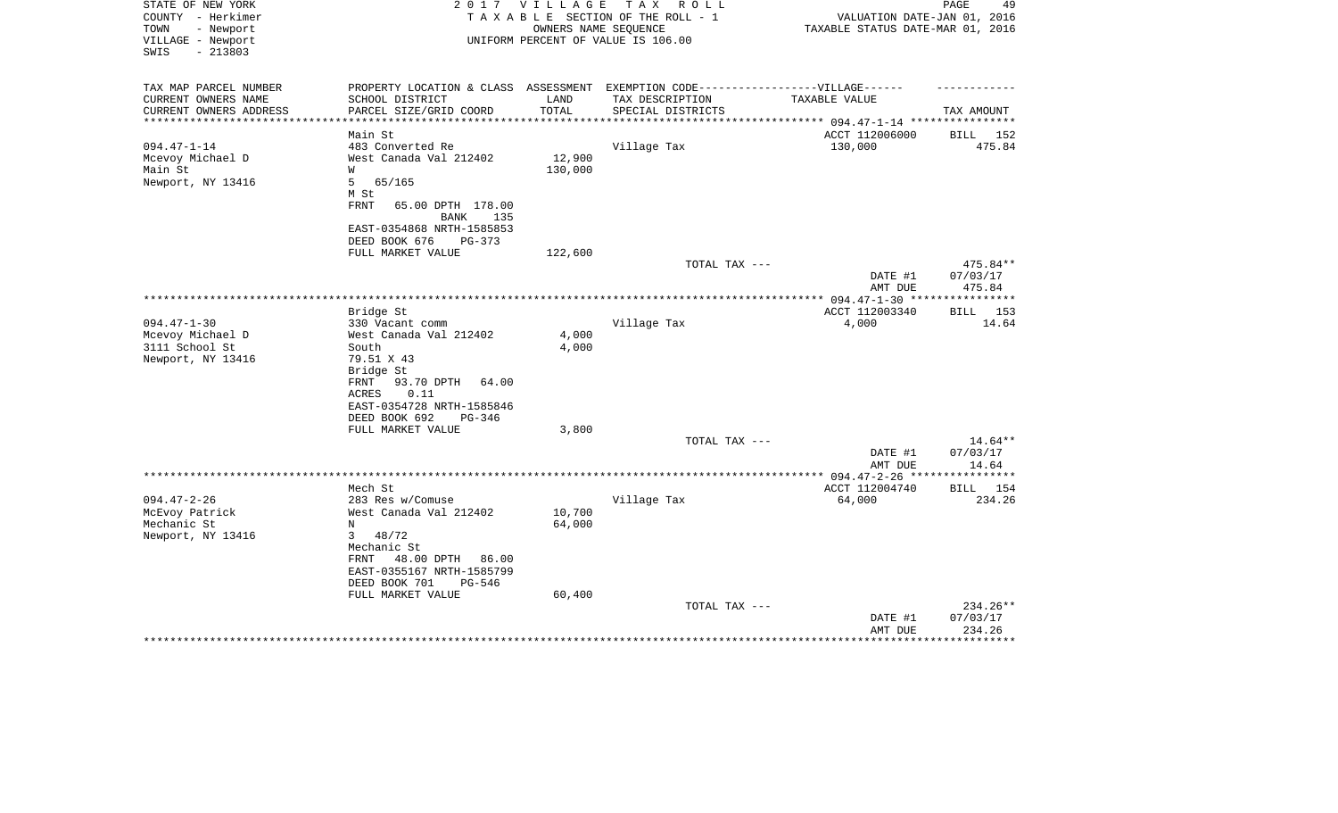| STATE OF NEW YORK<br>COUNTY - Herkimer<br>TOWN<br>- Newport<br>VILLAGE - Newport<br>$-213803$<br>SWIS | 2017                                                                              | V I L L A G E | тах<br>R O L L<br>TAXABLE SECTION OF THE ROLL - 1<br>OWNERS NAME SEOUENCE<br>UNIFORM PERCENT OF VALUE IS 106.00 | VALUATION DATE-JAN 01, 2016<br>TAXABLE STATUS DATE-MAR 01, 2016 | 49<br>PAGE           |
|-------------------------------------------------------------------------------------------------------|-----------------------------------------------------------------------------------|---------------|-----------------------------------------------------------------------------------------------------------------|-----------------------------------------------------------------|----------------------|
| TAX MAP PARCEL NUMBER                                                                                 | PROPERTY LOCATION & CLASS ASSESSMENT EXEMPTION CODE-----------------VILLAGE------ |               |                                                                                                                 |                                                                 |                      |
| CURRENT OWNERS NAME                                                                                   | SCHOOL DISTRICT                                                                   | LAND          | TAX DESCRIPTION                                                                                                 | TAXABLE VALUE                                                   |                      |
| CURRENT OWNERS ADDRESS<br>************************                                                    | PARCEL SIZE/GRID COORD                                                            | TOTAL         | SPECIAL DISTRICTS                                                                                               |                                                                 | TAX AMOUNT           |
|                                                                                                       | Main St                                                                           |               |                                                                                                                 | ACCT 112006000                                                  | BILL 152             |
| $094.47 - 1 - 14$                                                                                     | 483 Converted Re                                                                  |               | Village Tax                                                                                                     | 130,000                                                         | 475.84               |
| Mcevoy Michael D                                                                                      | West Canada Val 212402                                                            | 12,900        |                                                                                                                 |                                                                 |                      |
| Main St                                                                                               | W                                                                                 | 130,000       |                                                                                                                 |                                                                 |                      |
| Newport, NY 13416                                                                                     | 5<br>65/165                                                                       |               |                                                                                                                 |                                                                 |                      |
|                                                                                                       | M St                                                                              |               |                                                                                                                 |                                                                 |                      |
|                                                                                                       | <b>FRNT</b><br>65.00 DPTH 178.00                                                  |               |                                                                                                                 |                                                                 |                      |
|                                                                                                       | <b>BANK</b><br>135                                                                |               |                                                                                                                 |                                                                 |                      |
|                                                                                                       | EAST-0354868 NRTH-1585853                                                         |               |                                                                                                                 |                                                                 |                      |
|                                                                                                       | DEED BOOK 676<br>$PG-373$                                                         |               |                                                                                                                 |                                                                 |                      |
|                                                                                                       | FULL MARKET VALUE                                                                 | 122,600       |                                                                                                                 |                                                                 |                      |
|                                                                                                       |                                                                                   |               | TOTAL TAX ---                                                                                                   |                                                                 | 475.84**             |
|                                                                                                       |                                                                                   |               |                                                                                                                 | DATE #1                                                         | 07/03/17             |
|                                                                                                       |                                                                                   |               |                                                                                                                 | AMT DUE                                                         | 475.84               |
|                                                                                                       | Bridge St                                                                         |               |                                                                                                                 | ACCT 112003340                                                  | 153<br>BILL          |
| $094.47 - 1 - 30$                                                                                     | 330 Vacant comm                                                                   |               | Village Tax                                                                                                     | 4,000                                                           | 14.64                |
| Mcevoy Michael D                                                                                      | West Canada Val 212402                                                            | 4,000         |                                                                                                                 |                                                                 |                      |
| 3111 School St                                                                                        | South                                                                             | $4\,,\,000$   |                                                                                                                 |                                                                 |                      |
| Newport, NY 13416                                                                                     | 79.51 X 43                                                                        |               |                                                                                                                 |                                                                 |                      |
|                                                                                                       | Bridge St                                                                         |               |                                                                                                                 |                                                                 |                      |
|                                                                                                       | FRNT<br>93.70 DPTH<br>64.00                                                       |               |                                                                                                                 |                                                                 |                      |
|                                                                                                       | 0.11<br>ACRES                                                                     |               |                                                                                                                 |                                                                 |                      |
|                                                                                                       | EAST-0354728 NRTH-1585846                                                         |               |                                                                                                                 |                                                                 |                      |
|                                                                                                       | DEED BOOK 692<br>$PG-346$                                                         |               |                                                                                                                 |                                                                 |                      |
|                                                                                                       | FULL MARKET VALUE                                                                 | 3,800         |                                                                                                                 |                                                                 |                      |
|                                                                                                       |                                                                                   |               | TOTAL TAX ---                                                                                                   |                                                                 | $14.64**$            |
|                                                                                                       |                                                                                   |               |                                                                                                                 | DATE #1                                                         | 07/03/17             |
|                                                                                                       |                                                                                   |               |                                                                                                                 | AMT DUE                                                         | 14.64<br>*********** |
|                                                                                                       | Mech St                                                                           |               |                                                                                                                 | ACCT 112004740                                                  | BILL 154             |
| $094.47 - 2 - 26$                                                                                     | 283 Res w/Comuse                                                                  |               | Village Tax                                                                                                     | 64,000                                                          | 234.26               |
| McEvoy Patrick                                                                                        | West Canada Val 212402                                                            | 10,700        |                                                                                                                 |                                                                 |                      |
| Mechanic St                                                                                           | N                                                                                 | 64,000        |                                                                                                                 |                                                                 |                      |
| Newport, NY 13416                                                                                     | 48/72<br>$\mathbf{3}$                                                             |               |                                                                                                                 |                                                                 |                      |
|                                                                                                       | Mechanic St                                                                       |               |                                                                                                                 |                                                                 |                      |
|                                                                                                       | 48.00 DPTH<br>86.00<br>FRNT                                                       |               |                                                                                                                 |                                                                 |                      |
|                                                                                                       | EAST-0355167 NRTH-1585799                                                         |               |                                                                                                                 |                                                                 |                      |
|                                                                                                       | DEED BOOK 701<br>PG-546                                                           |               |                                                                                                                 |                                                                 |                      |
|                                                                                                       | FULL MARKET VALUE                                                                 | 60,400        |                                                                                                                 |                                                                 |                      |
|                                                                                                       |                                                                                   |               | TOTAL TAX ---                                                                                                   |                                                                 | 234.26**             |
|                                                                                                       |                                                                                   |               |                                                                                                                 | DATE #1                                                         | 07/03/17             |
|                                                                                                       |                                                                                   |               |                                                                                                                 | AMT DUE                                                         | 234.26               |
|                                                                                                       |                                                                                   |               |                                                                                                                 |                                                                 |                      |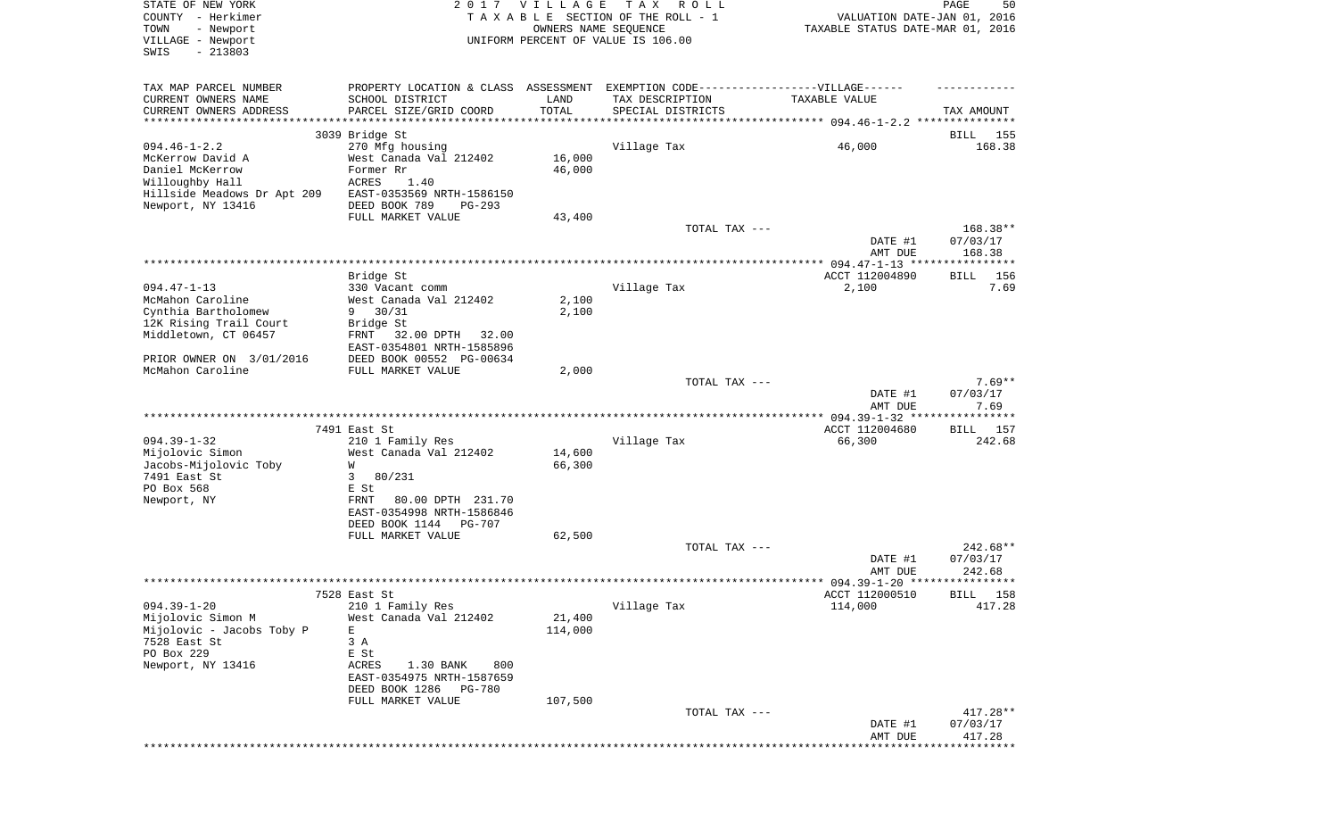| STATE OF NEW YORK<br>COUNTY - Herkimer<br>- Newport<br>TOWN<br>VILLAGE - Newport | 2 0 1 7                                                                          | <b>VILLAGE</b><br>OWNERS NAME SEQUENCE | T A X<br>R O L L<br>TAXABLE SECTION OF THE ROLL - 1<br>UNIFORM PERCENT OF VALUE IS 106.00 | VALUATION DATE-JAN 01, 2016<br>TAXABLE STATUS DATE-MAR 01, 2016 | PAGE<br>50           |
|----------------------------------------------------------------------------------|----------------------------------------------------------------------------------|----------------------------------------|-------------------------------------------------------------------------------------------|-----------------------------------------------------------------|----------------------|
| SWIS<br>$-213803$                                                                |                                                                                  |                                        |                                                                                           |                                                                 |                      |
| TAX MAP PARCEL NUMBER                                                            | PROPERTY LOCATION & CLASS ASSESSMENT EXEMPTION CODE----------------VILLAGE------ |                                        |                                                                                           |                                                                 |                      |
| CURRENT OWNERS NAME                                                              | SCHOOL DISTRICT                                                                  | LAND                                   | TAX DESCRIPTION                                                                           | TAXABLE VALUE                                                   |                      |
| CURRENT OWNERS ADDRESS<br>************************                               | PARCEL SIZE/GRID COORD                                                           | TOTAL                                  | SPECIAL DISTRICTS                                                                         |                                                                 | TAX AMOUNT           |
|                                                                                  | 3039 Bridge St                                                                   |                                        |                                                                                           |                                                                 | 155<br>BILL          |
| $094.46 - 1 - 2.2$                                                               | 270 Mfg housing                                                                  |                                        | Village Tax                                                                               | 46,000                                                          | 168.38               |
| McKerrow David A                                                                 | West Canada Val 212402                                                           | 16,000                                 |                                                                                           |                                                                 |                      |
| Daniel McKerrow                                                                  | Former Rr                                                                        | 46,000                                 |                                                                                           |                                                                 |                      |
| Willoughby Hall<br>Hillside Meadows Dr Apt 209                                   | ACRES<br>1.40<br>EAST-0353569 NRTH-1586150                                       |                                        |                                                                                           |                                                                 |                      |
| Newport, NY 13416                                                                | DEED BOOK 789<br>PG-293                                                          |                                        |                                                                                           |                                                                 |                      |
|                                                                                  | FULL MARKET VALUE                                                                | 43,400                                 |                                                                                           |                                                                 |                      |
|                                                                                  |                                                                                  |                                        | TOTAL TAX ---                                                                             |                                                                 | 168.38**             |
|                                                                                  |                                                                                  |                                        |                                                                                           | DATE #1<br>AMT DUE                                              | 07/03/17<br>168.38   |
|                                                                                  |                                                                                  |                                        |                                                                                           |                                                                 |                      |
|                                                                                  | Bridge St                                                                        |                                        |                                                                                           | ACCT 112004890                                                  | 156<br>BILL          |
| $094.47 - 1 - 13$                                                                | 330 Vacant comm                                                                  |                                        | Village Tax                                                                               | 2,100                                                           | 7.69                 |
| McMahon Caroline<br>Cynthia Bartholomew                                          | West Canada Val 212402<br>$9 \t30/31$                                            | 2,100<br>2,100                         |                                                                                           |                                                                 |                      |
| 12K Rising Trail Court                                                           | Bridge St                                                                        |                                        |                                                                                           |                                                                 |                      |
| Middletown, CT 06457                                                             | 32.00 DPTH<br>FRNT<br>32.00                                                      |                                        |                                                                                           |                                                                 |                      |
|                                                                                  | EAST-0354801 NRTH-1585896                                                        |                                        |                                                                                           |                                                                 |                      |
| PRIOR OWNER ON 3/01/2016<br>McMahon Caroline                                     | DEED BOOK 00552 PG-00634<br>FULL MARKET VALUE                                    | 2,000                                  |                                                                                           |                                                                 |                      |
|                                                                                  |                                                                                  |                                        | TOTAL TAX ---                                                                             |                                                                 | $7.69**$             |
|                                                                                  |                                                                                  |                                        |                                                                                           | DATE #1                                                         | 07/03/17             |
|                                                                                  |                                                                                  |                                        |                                                                                           | AMT DUE                                                         | 7.69                 |
|                                                                                  | 7491 East St                                                                     |                                        |                                                                                           | ************ 094.39-1-32 ****************<br>ACCT 112004680     | <b>BILL</b> 157      |
| $094.39 - 1 - 32$                                                                | 210 1 Family Res                                                                 |                                        | Village Tax                                                                               | 66,300                                                          | 242.68               |
| Mijolovic Simon                                                                  | West Canada Val 212402                                                           | 14,600                                 |                                                                                           |                                                                 |                      |
| Jacobs-Mijolovic Toby                                                            | W                                                                                | 66,300                                 |                                                                                           |                                                                 |                      |
| 7491 East St                                                                     | 3<br>80/231                                                                      |                                        |                                                                                           |                                                                 |                      |
| PO Box 568<br>Newport, NY                                                        | E St<br>80.00 DPTH 231.70<br>FRNT                                                |                                        |                                                                                           |                                                                 |                      |
|                                                                                  | EAST-0354998 NRTH-1586846                                                        |                                        |                                                                                           |                                                                 |                      |
|                                                                                  | DEED BOOK 1144<br>PG-707                                                         |                                        |                                                                                           |                                                                 |                      |
|                                                                                  | FULL MARKET VALUE                                                                | 62,500                                 |                                                                                           |                                                                 |                      |
|                                                                                  |                                                                                  |                                        | TOTAL TAX ---                                                                             | DATE #1                                                         | 242.68**<br>07/03/17 |
|                                                                                  |                                                                                  |                                        |                                                                                           | AMT DUE                                                         | 242.68               |
|                                                                                  |                                                                                  |                                        |                                                                                           |                                                                 |                      |
| $094.39 - 1 - 20$                                                                | 7528 East St<br>210 1 Family Res                                                 |                                        |                                                                                           | ACCT 112000510<br>114,000                                       | BILL 158             |
| Mijolovic Simon M                                                                | West Canada Val 212402                                                           | 21,400                                 | Village Tax                                                                               |                                                                 | 417.28               |
| Mijolovic - Jacobs Toby P                                                        | E                                                                                | 114,000                                |                                                                                           |                                                                 |                      |
| 7528 East St                                                                     | 3 A                                                                              |                                        |                                                                                           |                                                                 |                      |
| PO Box 229                                                                       | E St<br>800                                                                      |                                        |                                                                                           |                                                                 |                      |
| Newport, NY 13416                                                                | ACRES<br>1.30 BANK<br>EAST-0354975 NRTH-1587659                                  |                                        |                                                                                           |                                                                 |                      |
|                                                                                  | DEED BOOK 1286 PG-780                                                            |                                        |                                                                                           |                                                                 |                      |
|                                                                                  | FULL MARKET VALUE                                                                | 107,500                                |                                                                                           |                                                                 |                      |
|                                                                                  |                                                                                  |                                        | TOTAL TAX ---                                                                             |                                                                 | 417.28**             |
|                                                                                  |                                                                                  |                                        |                                                                                           | DATE #1<br>AMT DUE                                              | 07/03/17<br>417.28   |
|                                                                                  |                                                                                  |                                        |                                                                                           |                                                                 |                      |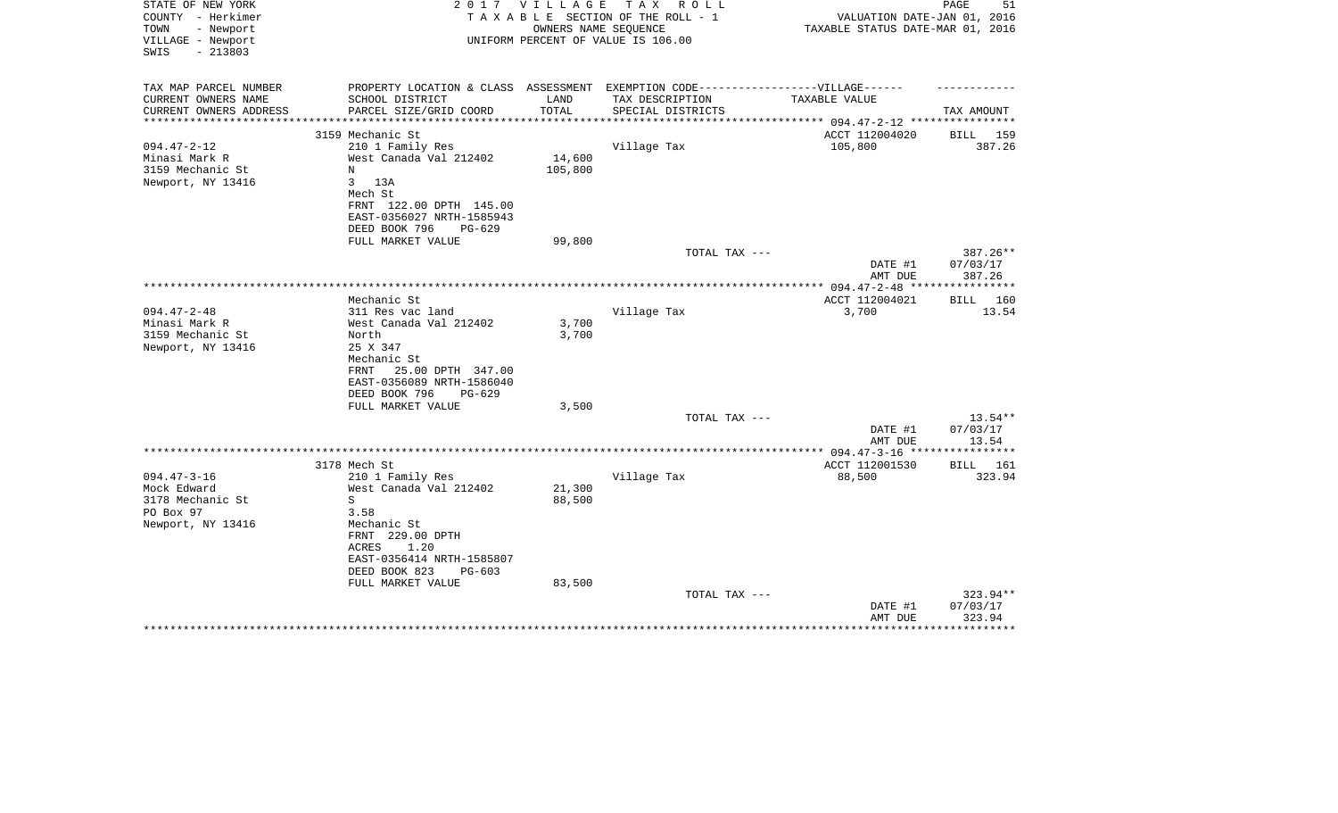| STATE OF NEW YORK<br>COUNTY - Herkimer<br>TOWN<br>- Newport<br>VILLAGE - Newport<br>SWIS<br>$-213803$ | 2017                                                                             | V I L L A G E         | T A X<br>R O L L<br>TAXABLE SECTION OF THE ROLL - 1<br>OWNERS NAME SEQUENCE<br>UNIFORM PERCENT OF VALUE IS 106.00 | VALUATION DATE-JAN 01, 2016<br>TAXABLE STATUS DATE-MAR 01, 2016 | PAGE<br>51                     |
|-------------------------------------------------------------------------------------------------------|----------------------------------------------------------------------------------|-----------------------|-------------------------------------------------------------------------------------------------------------------|-----------------------------------------------------------------|--------------------------------|
| TAX MAP PARCEL NUMBER                                                                                 | PROPERTY LOCATION & CLASS ASSESSMENT EXEMPTION CODE----------------VILLAGE------ |                       |                                                                                                                   |                                                                 |                                |
| CURRENT OWNERS NAME                                                                                   | SCHOOL DISTRICT                                                                  | LAND                  | TAX DESCRIPTION                                                                                                   | TAXABLE VALUE                                                   |                                |
| CURRENT OWNERS ADDRESS<br>*******************                                                         | PARCEL SIZE/GRID COORD                                                           | TOTAL<br>************ | SPECIAL DISTRICTS                                                                                                 |                                                                 | TAX AMOUNT                     |
|                                                                                                       | 3159 Mechanic St                                                                 |                       |                                                                                                                   | ACCT 112004020                                                  | BILL 159                       |
| $094.47 - 2 - 12$                                                                                     | 210 1 Family Res                                                                 |                       | Village Tax                                                                                                       | 105,800                                                         | 387.26                         |
| Minasi Mark R                                                                                         | West Canada Val 212402                                                           | 14,600                |                                                                                                                   |                                                                 |                                |
| 3159 Mechanic St                                                                                      | N                                                                                | 105,800               |                                                                                                                   |                                                                 |                                |
| Newport, NY 13416                                                                                     | $\mathbf{3}$<br>13A<br>Mech St                                                   |                       |                                                                                                                   |                                                                 |                                |
|                                                                                                       | FRNT 122.00 DPTH 145.00                                                          |                       |                                                                                                                   |                                                                 |                                |
|                                                                                                       | EAST-0356027 NRTH-1585943                                                        |                       |                                                                                                                   |                                                                 |                                |
|                                                                                                       | DEED BOOK 796<br>PG-629                                                          |                       |                                                                                                                   |                                                                 |                                |
|                                                                                                       | FULL MARKET VALUE                                                                | 99,800                |                                                                                                                   |                                                                 |                                |
|                                                                                                       |                                                                                  |                       | TOTAL TAX ---                                                                                                     | DATE #1<br>AMT DUE                                              | 387.26**<br>07/03/17<br>387.26 |
|                                                                                                       |                                                                                  |                       |                                                                                                                   | ************ 094.47-2-48 ***                                    | ***********                    |
|                                                                                                       | Mechanic St                                                                      |                       |                                                                                                                   | ACCT 112004021                                                  | BILL 160                       |
| $094.47 - 2 - 48$                                                                                     | 311 Res vac land                                                                 |                       | Village Tax                                                                                                       | 3,700                                                           | 13.54                          |
| Minasi Mark R<br>3159 Mechanic St                                                                     | West Canada Val 212402<br>North                                                  | 3,700                 |                                                                                                                   |                                                                 |                                |
| Newport, NY 13416                                                                                     | 25 X 347                                                                         | 3,700                 |                                                                                                                   |                                                                 |                                |
|                                                                                                       | Mechanic St                                                                      |                       |                                                                                                                   |                                                                 |                                |
|                                                                                                       | 25.00 DPTH 347.00<br>FRNT                                                        |                       |                                                                                                                   |                                                                 |                                |
|                                                                                                       | EAST-0356089 NRTH-1586040                                                        |                       |                                                                                                                   |                                                                 |                                |
|                                                                                                       | DEED BOOK 796<br>$PG-629$                                                        | 3,500                 |                                                                                                                   |                                                                 |                                |
|                                                                                                       | FULL MARKET VALUE                                                                |                       | TOTAL TAX ---                                                                                                     |                                                                 | $13.54**$                      |
|                                                                                                       |                                                                                  |                       |                                                                                                                   | DATE #1                                                         | 07/03/17                       |
|                                                                                                       |                                                                                  |                       |                                                                                                                   | AMT DUE                                                         | 13.54                          |
|                                                                                                       | **************************************                                           |                       |                                                                                                                   | ** 094.47-3-16 **                                               | * * * * * * * *                |
| $094.47 - 3 - 16$                                                                                     | 3178 Mech St                                                                     |                       |                                                                                                                   | ACCT 112001530                                                  | BILL<br>161                    |
| Mock Edward                                                                                           | 210 1 Family Res<br>West Canada Val 212402                                       | 21,300                | Village Tax                                                                                                       | 88,500                                                          | 323.94                         |
| 3178 Mechanic St                                                                                      | S                                                                                | 88,500                |                                                                                                                   |                                                                 |                                |
| PO Box 97                                                                                             | 3.58                                                                             |                       |                                                                                                                   |                                                                 |                                |
| Newport, NY 13416                                                                                     | Mechanic St                                                                      |                       |                                                                                                                   |                                                                 |                                |
|                                                                                                       | FRNT 229.00 DPTH                                                                 |                       |                                                                                                                   |                                                                 |                                |
|                                                                                                       | ACRES<br>1.20<br>EAST-0356414 NRTH-1585807                                       |                       |                                                                                                                   |                                                                 |                                |
|                                                                                                       | DEED BOOK 823<br>PG-603                                                          |                       |                                                                                                                   |                                                                 |                                |
|                                                                                                       | FULL MARKET VALUE                                                                | 83,500                |                                                                                                                   |                                                                 |                                |
|                                                                                                       |                                                                                  |                       | TOTAL TAX ---                                                                                                     |                                                                 | 323.94**                       |
|                                                                                                       |                                                                                  |                       |                                                                                                                   | DATE #1                                                         | 07/03/17                       |
|                                                                                                       |                                                                                  |                       |                                                                                                                   | AMT DUE                                                         | 323.94                         |
|                                                                                                       |                                                                                  |                       |                                                                                                                   |                                                                 |                                |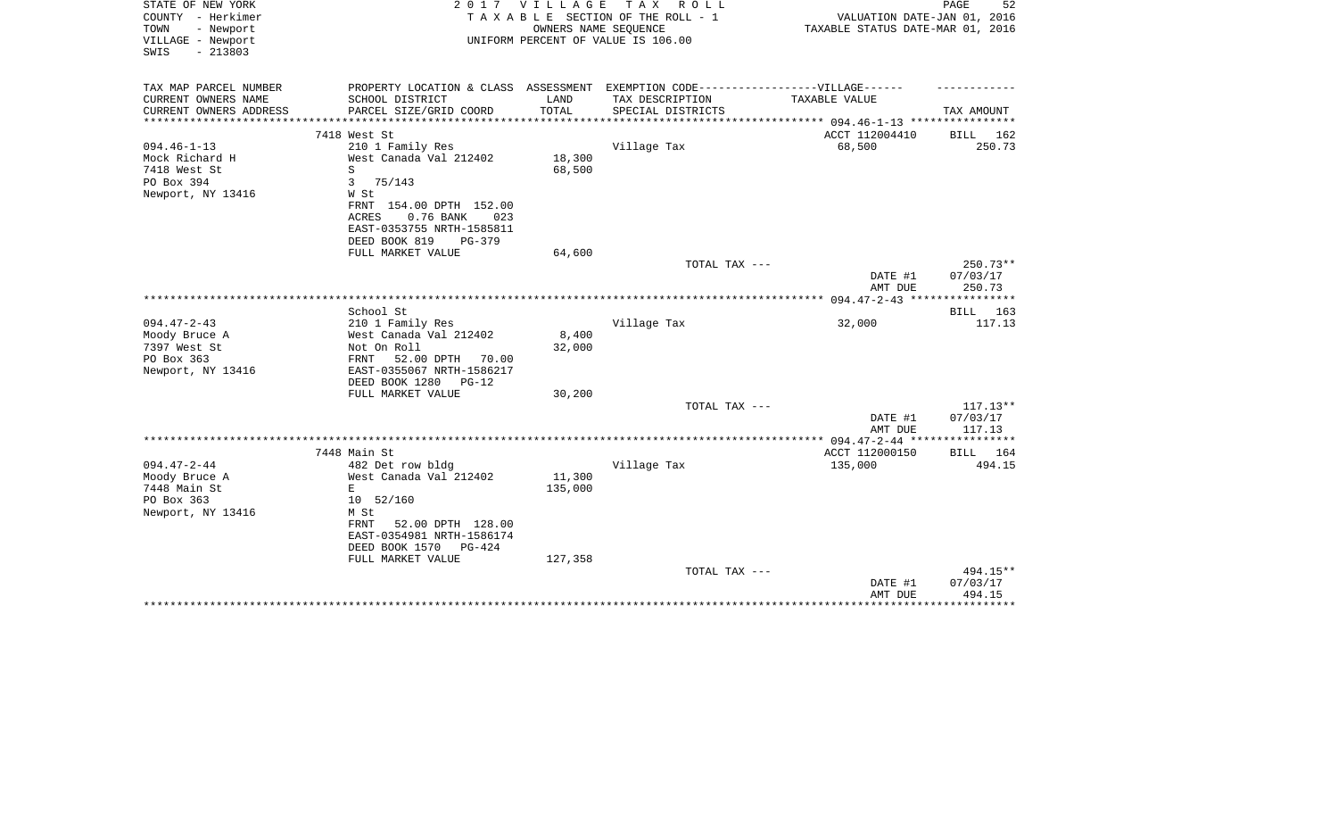| STATE OF NEW YORK<br>COUNTY - Herkimer<br>- Newport<br>TOWN<br>VILLAGE - Newport<br>$-213803$<br>SWIS | 2 0 1 7                                                                                                                            | V I L L A G E | T A X<br>R O L L<br>TAXABLE SECTION OF THE ROLL - 1<br>OWNERS NAME SEQUENCE<br>UNIFORM PERCENT OF VALUE IS 106.00 | VALUATION DATE-JAN 01, 2016<br>TAXABLE STATUS DATE-MAR 01, 2016 | 52<br>PAGE                     |
|-------------------------------------------------------------------------------------------------------|------------------------------------------------------------------------------------------------------------------------------------|---------------|-------------------------------------------------------------------------------------------------------------------|-----------------------------------------------------------------|--------------------------------|
| TAX MAP PARCEL NUMBER                                                                                 | PROPERTY LOCATION & CLASS ASSESSMENT EXEMPTION CODE-----------------VILLAGE------                                                  |               |                                                                                                                   |                                                                 |                                |
| CURRENT OWNERS NAME                                                                                   | SCHOOL DISTRICT                                                                                                                    | LAND          | TAX DESCRIPTION                                                                                                   | TAXABLE VALUE                                                   |                                |
| CURRENT OWNERS ADDRESS<br>*********************                                                       | PARCEL SIZE/GRID COORD<br>****************************                                                                             | TOTAL         | SPECIAL DISTRICTS                                                                                                 |                                                                 | TAX AMOUNT                     |
|                                                                                                       | 7418 West St                                                                                                                       |               |                                                                                                                   | ACCT 112004410                                                  | BILL<br>162                    |
| $094.46 - 1 - 13$                                                                                     | 210 1 Family Res                                                                                                                   |               | Village Tax                                                                                                       | 68,500                                                          | 250.73                         |
| Mock Richard H                                                                                        | West Canada Val 212402                                                                                                             | 18,300        |                                                                                                                   |                                                                 |                                |
| 7418 West St                                                                                          | S                                                                                                                                  | 68,500        |                                                                                                                   |                                                                 |                                |
| PO Box 394                                                                                            | 3<br>75/143                                                                                                                        |               |                                                                                                                   |                                                                 |                                |
| Newport, NY 13416                                                                                     | W St<br>FRNT 154.00 DPTH 152.00<br><b>ACRES</b><br>0.76 BANK<br>023<br>EAST-0353755 NRTH-1585811<br>DEED BOOK 819<br><b>PG-379</b> |               |                                                                                                                   |                                                                 |                                |
|                                                                                                       | FULL MARKET VALUE                                                                                                                  | 64,600        |                                                                                                                   |                                                                 |                                |
|                                                                                                       |                                                                                                                                    |               | TOTAL TAX ---                                                                                                     | DATE #1<br>AMT DUE                                              | 250.73**<br>07/03/17<br>250.73 |
|                                                                                                       |                                                                                                                                    |               |                                                                                                                   |                                                                 |                                |
|                                                                                                       | School St                                                                                                                          |               |                                                                                                                   |                                                                 | BILL 163                       |
| $094.47 - 2 - 43$                                                                                     | 210 1 Family Res                                                                                                                   |               | Village Tax                                                                                                       | 32,000                                                          | 117.13                         |
| Moody Bruce A                                                                                         | West Canada Val 212402                                                                                                             | 8,400         |                                                                                                                   |                                                                 |                                |
| 7397 West St                                                                                          | Not On Roll                                                                                                                        | 32,000        |                                                                                                                   |                                                                 |                                |
| PO Box 363                                                                                            | FRNT<br>52.00 DPTH<br>70.00                                                                                                        |               |                                                                                                                   |                                                                 |                                |
| Newport, NY 13416                                                                                     | EAST-0355067 NRTH-1586217<br>DEED BOOK 1280<br>$PG-12$                                                                             |               |                                                                                                                   |                                                                 |                                |
|                                                                                                       | FULL MARKET VALUE                                                                                                                  | 30,200        |                                                                                                                   |                                                                 |                                |
|                                                                                                       |                                                                                                                                    |               | TOTAL TAX ---                                                                                                     |                                                                 | $117.13**$                     |
|                                                                                                       |                                                                                                                                    |               |                                                                                                                   | DATE #1<br>AMT DUE                                              | 07/03/17<br>117.13             |
|                                                                                                       |                                                                                                                                    |               |                                                                                                                   |                                                                 |                                |
|                                                                                                       | 7448 Main St                                                                                                                       |               |                                                                                                                   | ACCT 112000150                                                  | BILL 164                       |
| $094.47 - 2 - 44$                                                                                     | 482 Det row bldg                                                                                                                   | 11,300        | Village Tax                                                                                                       | 135,000                                                         | 494.15                         |
| Moody Bruce A<br>7448 Main St                                                                         | West Canada Val 212402<br>E                                                                                                        | 135,000       |                                                                                                                   |                                                                 |                                |
| PO Box 363                                                                                            | 10 52/160                                                                                                                          |               |                                                                                                                   |                                                                 |                                |
| Newport, NY 13416                                                                                     | M St                                                                                                                               |               |                                                                                                                   |                                                                 |                                |
|                                                                                                       | 52.00 DPTH 128.00<br>FRNT<br>EAST-0354981 NRTH-1586174                                                                             |               |                                                                                                                   |                                                                 |                                |
|                                                                                                       | DEED BOOK 1570<br>PG-424                                                                                                           |               |                                                                                                                   |                                                                 |                                |
|                                                                                                       | FULL MARKET VALUE                                                                                                                  | 127,358       |                                                                                                                   |                                                                 |                                |
|                                                                                                       |                                                                                                                                    |               | TOTAL TAX ---                                                                                                     |                                                                 | 494.15**                       |
|                                                                                                       |                                                                                                                                    |               |                                                                                                                   | DATE #1                                                         | 07/03/17                       |
|                                                                                                       |                                                                                                                                    |               |                                                                                                                   | AMT DUE                                                         | 494.15<br>* * * * * * * * *    |
|                                                                                                       |                                                                                                                                    |               |                                                                                                                   |                                                                 |                                |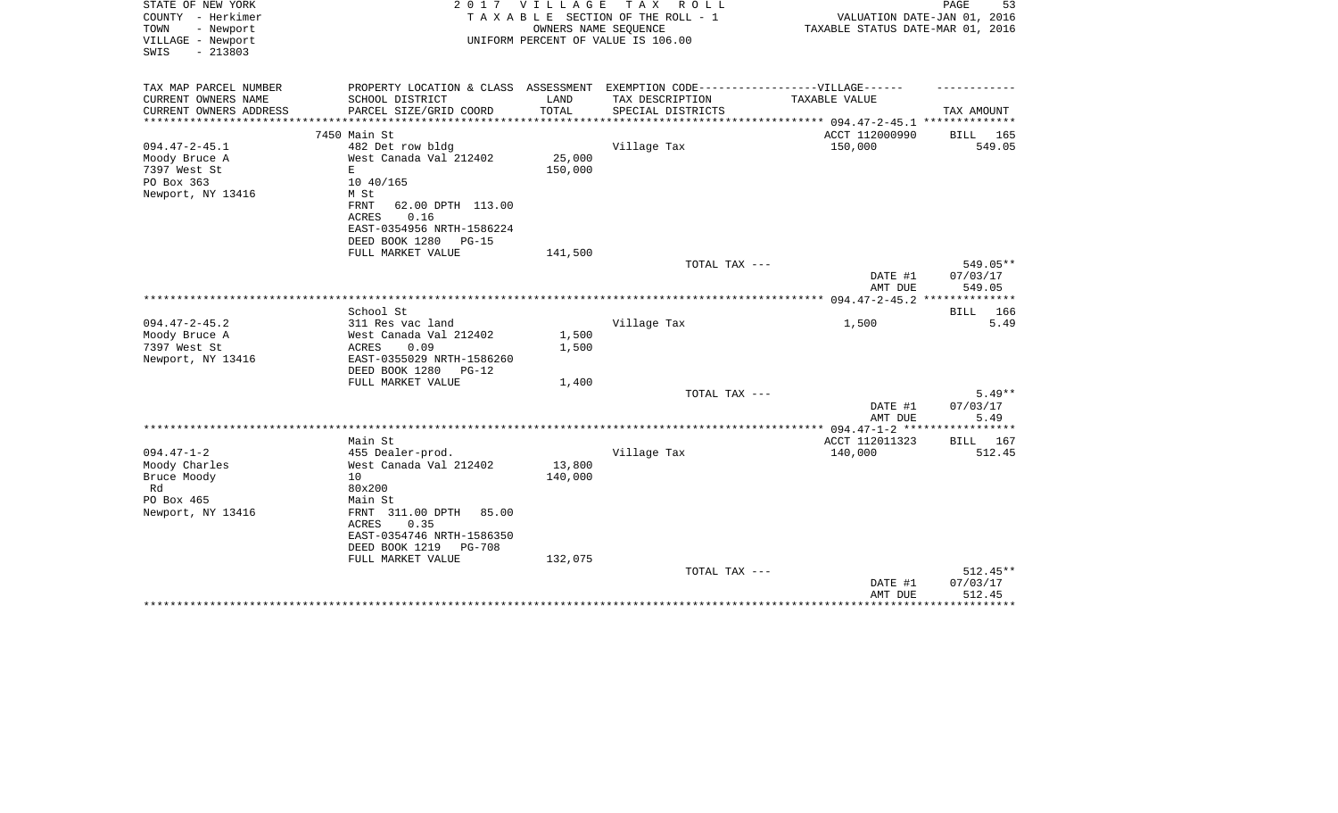| PROPERTY LOCATION & CLASS ASSESSMENT EXEMPTION CODE-----------------VILLAGE------<br>TAX MAP PARCEL NUMBER<br>CURRENT OWNERS NAME<br>TAX DESCRIPTION<br>SCHOOL DISTRICT<br>LAND<br>TAXABLE VALUE<br>TOTAL<br>CURRENT OWNERS ADDRESS<br>PARCEL SIZE/GRID COORD<br>SPECIAL DISTRICTS<br>TAX AMOUNT<br>**********************<br>ACCT 112000990<br>7450 Main St<br>BILL 165<br>$094.47 - 2 - 45.1$<br>482 Det row bldg<br>Village Tax<br>150,000<br>549.05<br>25,000<br>Moody Bruce A<br>West Canada Val 212402<br>7397 West St<br>E.<br>150,000<br>PO Box 363<br>10 40/165<br>Newport, NY 13416<br>M St<br>62.00 DPTH 113.00<br>FRNT<br>0.16<br><b>ACRES</b><br>EAST-0354956 NRTH-1586224<br>DEED BOOK 1280<br><b>PG-15</b><br>FULL MARKET VALUE<br>141,500<br>549.05**<br>TOTAL TAX ---<br>DATE #1<br>07/03/17<br>AMT DUE<br>549.05<br>**************<br>School St<br>166<br>BILL<br>$094.47 - 2 - 45.2$<br>311 Res vac land<br>Village Tax<br>5.49<br>1,500<br>West Canada Val 212402<br>Moody Bruce A<br>1,500<br>7397 West St<br>0.09<br>1,500<br>ACRES<br>Newport, NY 13416<br>EAST-0355029 NRTH-1586260<br>DEED BOOK 1280<br>$PG-12$<br>FULL MARKET VALUE<br>1,400<br>$5.49**$<br>TOTAL TAX ---<br>DATE #1<br>07/03/17<br>AMT DUE<br>5.49<br>ACCT 112011323<br>Main St<br>BILL 167<br>$094.47 - 1 - 2$<br>455 Dealer-prod.<br>Village Tax<br>140,000<br>512.45<br>Moody Charles<br>West Canada Val 212402<br>13,800<br>Bruce Moody<br>10<br>140,000<br>Rd<br>80x200<br>PO Box 465<br>Main St<br>Newport, NY 13416<br>FRNT 311.00 DPTH<br>85.00<br><b>ACRES</b><br>0.35<br>EAST-0354746 NRTH-1586350<br>DEED BOOK 1219<br><b>PG-708</b><br>FULL MARKET VALUE<br>132,075<br>$512.45**$<br>TOTAL TAX ---<br>07/03/17<br>DATE #1<br>AMT DUE<br>512.45<br>******** | STATE OF NEW YORK<br>COUNTY - Herkimer<br>TOWN<br>- Newport<br>VILLAGE - Newport<br>$-213803$<br>SWIS | 2017 | VILLAGE<br>OWNERS NAME SEQUENCE | TAX ROLL<br>TAXABLE SECTION OF THE ROLL - 1<br>UNIFORM PERCENT OF VALUE IS 106.00 | VALUATION DATE-JAN 01, 2016<br>TAXABLE STATUS DATE-MAR 01, 2016 | PAGE<br>53 |
|-------------------------------------------------------------------------------------------------------------------------------------------------------------------------------------------------------------------------------------------------------------------------------------------------------------------------------------------------------------------------------------------------------------------------------------------------------------------------------------------------------------------------------------------------------------------------------------------------------------------------------------------------------------------------------------------------------------------------------------------------------------------------------------------------------------------------------------------------------------------------------------------------------------------------------------------------------------------------------------------------------------------------------------------------------------------------------------------------------------------------------------------------------------------------------------------------------------------------------------------------------------------------------------------------------------------------------------------------------------------------------------------------------------------------------------------------------------------------------------------------------------------------------------------------------------------------------------------------------------------------------------------------------------------------------------------------------------------------------------------------------------------|-------------------------------------------------------------------------------------------------------|------|---------------------------------|-----------------------------------------------------------------------------------|-----------------------------------------------------------------|------------|
|                                                                                                                                                                                                                                                                                                                                                                                                                                                                                                                                                                                                                                                                                                                                                                                                                                                                                                                                                                                                                                                                                                                                                                                                                                                                                                                                                                                                                                                                                                                                                                                                                                                                                                                                                                   |                                                                                                       |      |                                 |                                                                                   |                                                                 |            |
|                                                                                                                                                                                                                                                                                                                                                                                                                                                                                                                                                                                                                                                                                                                                                                                                                                                                                                                                                                                                                                                                                                                                                                                                                                                                                                                                                                                                                                                                                                                                                                                                                                                                                                                                                                   |                                                                                                       |      |                                 |                                                                                   |                                                                 |            |
|                                                                                                                                                                                                                                                                                                                                                                                                                                                                                                                                                                                                                                                                                                                                                                                                                                                                                                                                                                                                                                                                                                                                                                                                                                                                                                                                                                                                                                                                                                                                                                                                                                                                                                                                                                   |                                                                                                       |      |                                 |                                                                                   |                                                                 |            |
|                                                                                                                                                                                                                                                                                                                                                                                                                                                                                                                                                                                                                                                                                                                                                                                                                                                                                                                                                                                                                                                                                                                                                                                                                                                                                                                                                                                                                                                                                                                                                                                                                                                                                                                                                                   |                                                                                                       |      |                                 |                                                                                   |                                                                 |            |
|                                                                                                                                                                                                                                                                                                                                                                                                                                                                                                                                                                                                                                                                                                                                                                                                                                                                                                                                                                                                                                                                                                                                                                                                                                                                                                                                                                                                                                                                                                                                                                                                                                                                                                                                                                   |                                                                                                       |      |                                 |                                                                                   |                                                                 |            |
|                                                                                                                                                                                                                                                                                                                                                                                                                                                                                                                                                                                                                                                                                                                                                                                                                                                                                                                                                                                                                                                                                                                                                                                                                                                                                                                                                                                                                                                                                                                                                                                                                                                                                                                                                                   |                                                                                                       |      |                                 |                                                                                   |                                                                 |            |
|                                                                                                                                                                                                                                                                                                                                                                                                                                                                                                                                                                                                                                                                                                                                                                                                                                                                                                                                                                                                                                                                                                                                                                                                                                                                                                                                                                                                                                                                                                                                                                                                                                                                                                                                                                   |                                                                                                       |      |                                 |                                                                                   |                                                                 |            |
|                                                                                                                                                                                                                                                                                                                                                                                                                                                                                                                                                                                                                                                                                                                                                                                                                                                                                                                                                                                                                                                                                                                                                                                                                                                                                                                                                                                                                                                                                                                                                                                                                                                                                                                                                                   |                                                                                                       |      |                                 |                                                                                   |                                                                 |            |
|                                                                                                                                                                                                                                                                                                                                                                                                                                                                                                                                                                                                                                                                                                                                                                                                                                                                                                                                                                                                                                                                                                                                                                                                                                                                                                                                                                                                                                                                                                                                                                                                                                                                                                                                                                   |                                                                                                       |      |                                 |                                                                                   |                                                                 |            |
|                                                                                                                                                                                                                                                                                                                                                                                                                                                                                                                                                                                                                                                                                                                                                                                                                                                                                                                                                                                                                                                                                                                                                                                                                                                                                                                                                                                                                                                                                                                                                                                                                                                                                                                                                                   |                                                                                                       |      |                                 |                                                                                   |                                                                 |            |
|                                                                                                                                                                                                                                                                                                                                                                                                                                                                                                                                                                                                                                                                                                                                                                                                                                                                                                                                                                                                                                                                                                                                                                                                                                                                                                                                                                                                                                                                                                                                                                                                                                                                                                                                                                   |                                                                                                       |      |                                 |                                                                                   |                                                                 |            |
|                                                                                                                                                                                                                                                                                                                                                                                                                                                                                                                                                                                                                                                                                                                                                                                                                                                                                                                                                                                                                                                                                                                                                                                                                                                                                                                                                                                                                                                                                                                                                                                                                                                                                                                                                                   |                                                                                                       |      |                                 |                                                                                   |                                                                 |            |
|                                                                                                                                                                                                                                                                                                                                                                                                                                                                                                                                                                                                                                                                                                                                                                                                                                                                                                                                                                                                                                                                                                                                                                                                                                                                                                                                                                                                                                                                                                                                                                                                                                                                                                                                                                   |                                                                                                       |      |                                 |                                                                                   |                                                                 |            |
|                                                                                                                                                                                                                                                                                                                                                                                                                                                                                                                                                                                                                                                                                                                                                                                                                                                                                                                                                                                                                                                                                                                                                                                                                                                                                                                                                                                                                                                                                                                                                                                                                                                                                                                                                                   |                                                                                                       |      |                                 |                                                                                   |                                                                 |            |
|                                                                                                                                                                                                                                                                                                                                                                                                                                                                                                                                                                                                                                                                                                                                                                                                                                                                                                                                                                                                                                                                                                                                                                                                                                                                                                                                                                                                                                                                                                                                                                                                                                                                                                                                                                   |                                                                                                       |      |                                 |                                                                                   |                                                                 |            |
|                                                                                                                                                                                                                                                                                                                                                                                                                                                                                                                                                                                                                                                                                                                                                                                                                                                                                                                                                                                                                                                                                                                                                                                                                                                                                                                                                                                                                                                                                                                                                                                                                                                                                                                                                                   |                                                                                                       |      |                                 |                                                                                   |                                                                 |            |
|                                                                                                                                                                                                                                                                                                                                                                                                                                                                                                                                                                                                                                                                                                                                                                                                                                                                                                                                                                                                                                                                                                                                                                                                                                                                                                                                                                                                                                                                                                                                                                                                                                                                                                                                                                   |                                                                                                       |      |                                 |                                                                                   |                                                                 |            |
|                                                                                                                                                                                                                                                                                                                                                                                                                                                                                                                                                                                                                                                                                                                                                                                                                                                                                                                                                                                                                                                                                                                                                                                                                                                                                                                                                                                                                                                                                                                                                                                                                                                                                                                                                                   |                                                                                                       |      |                                 |                                                                                   |                                                                 |            |
|                                                                                                                                                                                                                                                                                                                                                                                                                                                                                                                                                                                                                                                                                                                                                                                                                                                                                                                                                                                                                                                                                                                                                                                                                                                                                                                                                                                                                                                                                                                                                                                                                                                                                                                                                                   |                                                                                                       |      |                                 |                                                                                   |                                                                 |            |
|                                                                                                                                                                                                                                                                                                                                                                                                                                                                                                                                                                                                                                                                                                                                                                                                                                                                                                                                                                                                                                                                                                                                                                                                                                                                                                                                                                                                                                                                                                                                                                                                                                                                                                                                                                   |                                                                                                       |      |                                 |                                                                                   |                                                                 |            |
|                                                                                                                                                                                                                                                                                                                                                                                                                                                                                                                                                                                                                                                                                                                                                                                                                                                                                                                                                                                                                                                                                                                                                                                                                                                                                                                                                                                                                                                                                                                                                                                                                                                                                                                                                                   |                                                                                                       |      |                                 |                                                                                   |                                                                 |            |
|                                                                                                                                                                                                                                                                                                                                                                                                                                                                                                                                                                                                                                                                                                                                                                                                                                                                                                                                                                                                                                                                                                                                                                                                                                                                                                                                                                                                                                                                                                                                                                                                                                                                                                                                                                   |                                                                                                       |      |                                 |                                                                                   |                                                                 |            |
|                                                                                                                                                                                                                                                                                                                                                                                                                                                                                                                                                                                                                                                                                                                                                                                                                                                                                                                                                                                                                                                                                                                                                                                                                                                                                                                                                                                                                                                                                                                                                                                                                                                                                                                                                                   |                                                                                                       |      |                                 |                                                                                   |                                                                 |            |
|                                                                                                                                                                                                                                                                                                                                                                                                                                                                                                                                                                                                                                                                                                                                                                                                                                                                                                                                                                                                                                                                                                                                                                                                                                                                                                                                                                                                                                                                                                                                                                                                                                                                                                                                                                   |                                                                                                       |      |                                 |                                                                                   |                                                                 |            |
|                                                                                                                                                                                                                                                                                                                                                                                                                                                                                                                                                                                                                                                                                                                                                                                                                                                                                                                                                                                                                                                                                                                                                                                                                                                                                                                                                                                                                                                                                                                                                                                                                                                                                                                                                                   |                                                                                                       |      |                                 |                                                                                   |                                                                 |            |
|                                                                                                                                                                                                                                                                                                                                                                                                                                                                                                                                                                                                                                                                                                                                                                                                                                                                                                                                                                                                                                                                                                                                                                                                                                                                                                                                                                                                                                                                                                                                                                                                                                                                                                                                                                   |                                                                                                       |      |                                 |                                                                                   |                                                                 |            |
|                                                                                                                                                                                                                                                                                                                                                                                                                                                                                                                                                                                                                                                                                                                                                                                                                                                                                                                                                                                                                                                                                                                                                                                                                                                                                                                                                                                                                                                                                                                                                                                                                                                                                                                                                                   |                                                                                                       |      |                                 |                                                                                   |                                                                 |            |
|                                                                                                                                                                                                                                                                                                                                                                                                                                                                                                                                                                                                                                                                                                                                                                                                                                                                                                                                                                                                                                                                                                                                                                                                                                                                                                                                                                                                                                                                                                                                                                                                                                                                                                                                                                   |                                                                                                       |      |                                 |                                                                                   |                                                                 |            |
|                                                                                                                                                                                                                                                                                                                                                                                                                                                                                                                                                                                                                                                                                                                                                                                                                                                                                                                                                                                                                                                                                                                                                                                                                                                                                                                                                                                                                                                                                                                                                                                                                                                                                                                                                                   |                                                                                                       |      |                                 |                                                                                   |                                                                 |            |
|                                                                                                                                                                                                                                                                                                                                                                                                                                                                                                                                                                                                                                                                                                                                                                                                                                                                                                                                                                                                                                                                                                                                                                                                                                                                                                                                                                                                                                                                                                                                                                                                                                                                                                                                                                   |                                                                                                       |      |                                 |                                                                                   |                                                                 |            |
|                                                                                                                                                                                                                                                                                                                                                                                                                                                                                                                                                                                                                                                                                                                                                                                                                                                                                                                                                                                                                                                                                                                                                                                                                                                                                                                                                                                                                                                                                                                                                                                                                                                                                                                                                                   |                                                                                                       |      |                                 |                                                                                   |                                                                 |            |
|                                                                                                                                                                                                                                                                                                                                                                                                                                                                                                                                                                                                                                                                                                                                                                                                                                                                                                                                                                                                                                                                                                                                                                                                                                                                                                                                                                                                                                                                                                                                                                                                                                                                                                                                                                   |                                                                                                       |      |                                 |                                                                                   |                                                                 |            |
|                                                                                                                                                                                                                                                                                                                                                                                                                                                                                                                                                                                                                                                                                                                                                                                                                                                                                                                                                                                                                                                                                                                                                                                                                                                                                                                                                                                                                                                                                                                                                                                                                                                                                                                                                                   |                                                                                                       |      |                                 |                                                                                   |                                                                 |            |
|                                                                                                                                                                                                                                                                                                                                                                                                                                                                                                                                                                                                                                                                                                                                                                                                                                                                                                                                                                                                                                                                                                                                                                                                                                                                                                                                                                                                                                                                                                                                                                                                                                                                                                                                                                   |                                                                                                       |      |                                 |                                                                                   |                                                                 |            |
|                                                                                                                                                                                                                                                                                                                                                                                                                                                                                                                                                                                                                                                                                                                                                                                                                                                                                                                                                                                                                                                                                                                                                                                                                                                                                                                                                                                                                                                                                                                                                                                                                                                                                                                                                                   |                                                                                                       |      |                                 |                                                                                   |                                                                 |            |
|                                                                                                                                                                                                                                                                                                                                                                                                                                                                                                                                                                                                                                                                                                                                                                                                                                                                                                                                                                                                                                                                                                                                                                                                                                                                                                                                                                                                                                                                                                                                                                                                                                                                                                                                                                   |                                                                                                       |      |                                 |                                                                                   |                                                                 |            |
|                                                                                                                                                                                                                                                                                                                                                                                                                                                                                                                                                                                                                                                                                                                                                                                                                                                                                                                                                                                                                                                                                                                                                                                                                                                                                                                                                                                                                                                                                                                                                                                                                                                                                                                                                                   |                                                                                                       |      |                                 |                                                                                   |                                                                 |            |
|                                                                                                                                                                                                                                                                                                                                                                                                                                                                                                                                                                                                                                                                                                                                                                                                                                                                                                                                                                                                                                                                                                                                                                                                                                                                                                                                                                                                                                                                                                                                                                                                                                                                                                                                                                   |                                                                                                       |      |                                 |                                                                                   |                                                                 |            |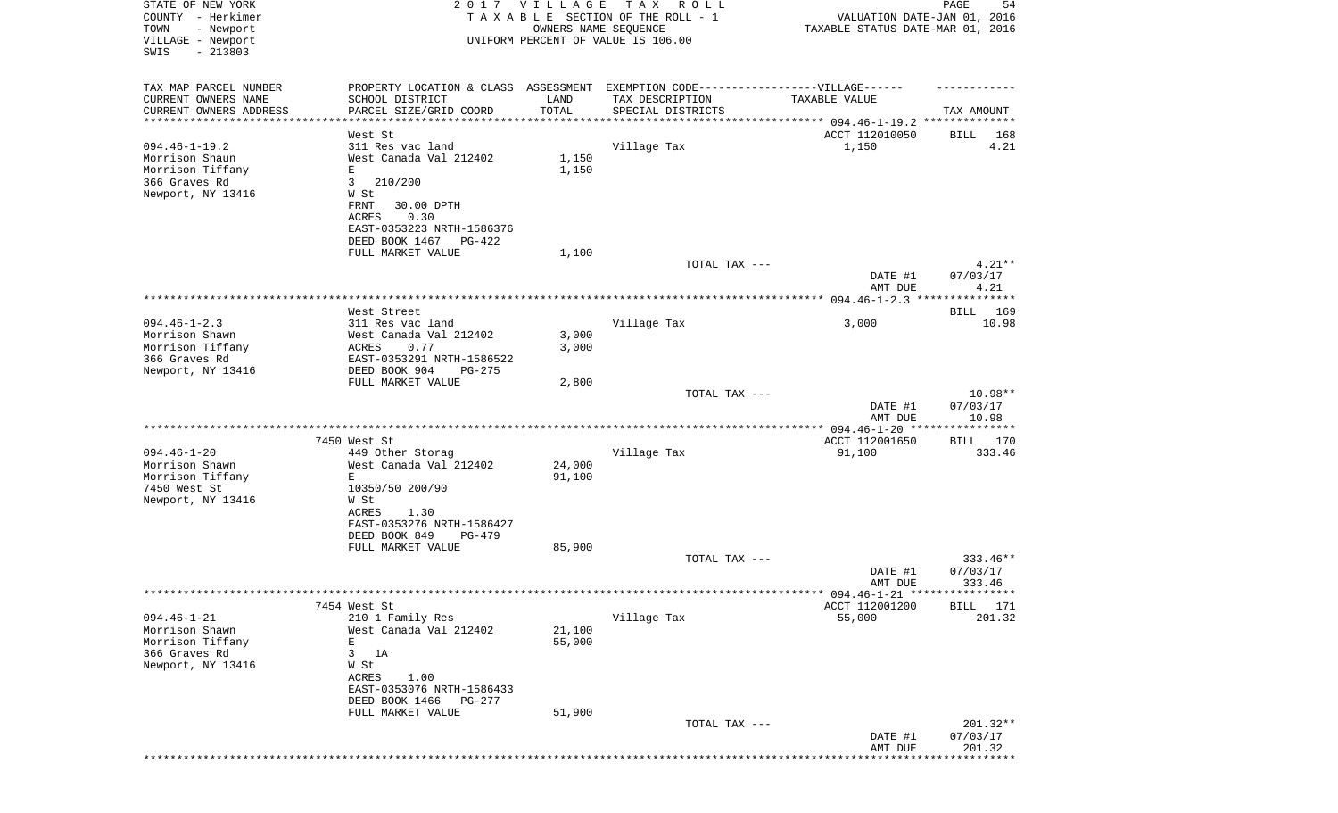| STATE OF NEW YORK<br>COUNTY - Herkimer        |                                               | 2017 VILLAGE                     | TAX ROLL<br>TAXABLE SECTION OF THE ROLL - 1<br>OWNERS NAME SEQUENCE              | VALUATION DATE-JAN 01, 2016 | 54<br>PAGE                   |
|-----------------------------------------------|-----------------------------------------------|----------------------------------|----------------------------------------------------------------------------------|-----------------------------|------------------------------|
| - Newport<br>TOWN<br>VILLAGE - Newport        | UNIFORM PERCENT OF VALUE IS 106.00            | TAXABLE STATUS DATE-MAR 01, 2016 |                                                                                  |                             |                              |
| SWIS<br>$-213803$                             |                                               |                                  |                                                                                  |                             |                              |
| TAX MAP PARCEL NUMBER                         |                                               |                                  | PROPERTY LOCATION & CLASS ASSESSMENT EXEMPTION CODE----------------VILLAGE------ |                             |                              |
| CURRENT OWNERS NAME<br>CURRENT OWNERS ADDRESS | SCHOOL DISTRICT<br>PARCEL SIZE/GRID COORD     | LAND<br>TOTAL                    | TAX DESCRIPTION<br>SPECIAL DISTRICTS                                             | TAXABLE VALUE               | TAX AMOUNT                   |
| *********************                         |                                               | * * * * * * * * * * *            |                                                                                  |                             |                              |
|                                               | West St                                       |                                  |                                                                                  | ACCT 112010050              | BILL<br>168                  |
| $094.46 - 1 - 19.2$                           | 311 Res vac land                              |                                  | Village Tax                                                                      | 1,150                       | 4.21                         |
| Morrison Shaun                                | West Canada Val 212402                        | 1,150                            |                                                                                  |                             |                              |
| Morrison Tiffany<br>366 Graves Rd             | Е<br>3<br>210/200                             | 1,150                            |                                                                                  |                             |                              |
| Newport, NY 13416                             | W St                                          |                                  |                                                                                  |                             |                              |
|                                               | 30.00 DPTH<br>FRNT                            |                                  |                                                                                  |                             |                              |
|                                               | ACRES<br>0.30                                 |                                  |                                                                                  |                             |                              |
|                                               | EAST-0353223 NRTH-1586376                     |                                  |                                                                                  |                             |                              |
|                                               | DEED BOOK 1467<br>PG-422                      |                                  |                                                                                  |                             |                              |
|                                               | FULL MARKET VALUE                             | 1,100                            | TOTAL TAX ---                                                                    |                             | $4.21**$                     |
|                                               |                                               |                                  |                                                                                  | DATE #1<br>AMT DUE          | 07/03/17<br>4.21             |
|                                               |                                               |                                  |                                                                                  |                             |                              |
|                                               | West Street                                   |                                  |                                                                                  |                             | BILL 169                     |
| $094.46 - 1 - 2.3$<br>Morrison Shawn          | 311 Res vac land<br>West Canada Val 212402    | 3,000                            | Village Tax                                                                      | 3,000                       | 10.98                        |
| Morrison Tiffany                              | 0.77<br>ACRES                                 | 3,000                            |                                                                                  |                             |                              |
| 366 Graves Rd                                 | EAST-0353291 NRTH-1586522                     |                                  |                                                                                  |                             |                              |
| Newport, NY 13416                             | DEED BOOK 904<br>$PG-275$                     |                                  |                                                                                  |                             |                              |
|                                               | FULL MARKET VALUE                             | 2,800                            |                                                                                  |                             |                              |
|                                               |                                               |                                  | TOTAL TAX ---                                                                    | DATE #1<br>AMT DUE          | 10.98**<br>07/03/17<br>10.98 |
|                                               |                                               |                                  |                                                                                  |                             | * * * * * * * * * * *        |
|                                               | 7450 West St                                  |                                  |                                                                                  | ACCT 112001650              | BILL 170                     |
| $094.46 - 1 - 20$                             | 449 Other Storag                              |                                  | Village Tax                                                                      | 91,100                      | 333.46                       |
| Morrison Shawn                                | West Canada Val 212402                        | 24,000                           |                                                                                  |                             |                              |
| Morrison Tiffany<br>7450 West St              | Е<br>10350/50 200/90                          | 91,100                           |                                                                                  |                             |                              |
| Newport, NY 13416                             | W St                                          |                                  |                                                                                  |                             |                              |
|                                               | ACRES<br>1.30                                 |                                  |                                                                                  |                             |                              |
|                                               | EAST-0353276 NRTH-1586427                     |                                  |                                                                                  |                             |                              |
|                                               | DEED BOOK 849<br>$PG-479$                     |                                  |                                                                                  |                             |                              |
|                                               | FULL MARKET VALUE                             | 85,900                           | TOTAL TAX ---                                                                    |                             | 333.46**                     |
|                                               |                                               |                                  |                                                                                  | DATE #1                     | 07/03/17                     |
|                                               |                                               |                                  |                                                                                  | AMT DUE                     | 333.46                       |
|                                               |                                               |                                  |                                                                                  |                             |                              |
|                                               | 7454 West St                                  |                                  |                                                                                  | ACCT 112001200              | <b>BILL</b><br>171           |
| $094.46 - 1 - 21$<br>Morrison Shawn           | 210 1 Family Res<br>West Canada Val 212402    |                                  | Village Tax                                                                      | 55,000                      | 201.32                       |
| Morrison Tiffany                              | Ε                                             | 21,100<br>55,000                 |                                                                                  |                             |                              |
| 366 Graves Rd                                 | 3<br>1A                                       |                                  |                                                                                  |                             |                              |
| Newport, NY 13416                             | W St                                          |                                  |                                                                                  |                             |                              |
|                                               | 1.00<br>ACRES                                 |                                  |                                                                                  |                             |                              |
|                                               | EAST-0353076 NRTH-1586433                     |                                  |                                                                                  |                             |                              |
|                                               | DEED BOOK 1466<br>PG-277<br>FULL MARKET VALUE | 51,900                           |                                                                                  |                             |                              |
|                                               |                                               |                                  | TOTAL TAX ---                                                                    |                             | 201.32**                     |
|                                               |                                               |                                  |                                                                                  | DATE #1                     | 07/03/17                     |
|                                               |                                               |                                  |                                                                                  | AMT DUE                     | 201.32                       |
|                                               |                                               |                                  |                                                                                  |                             |                              |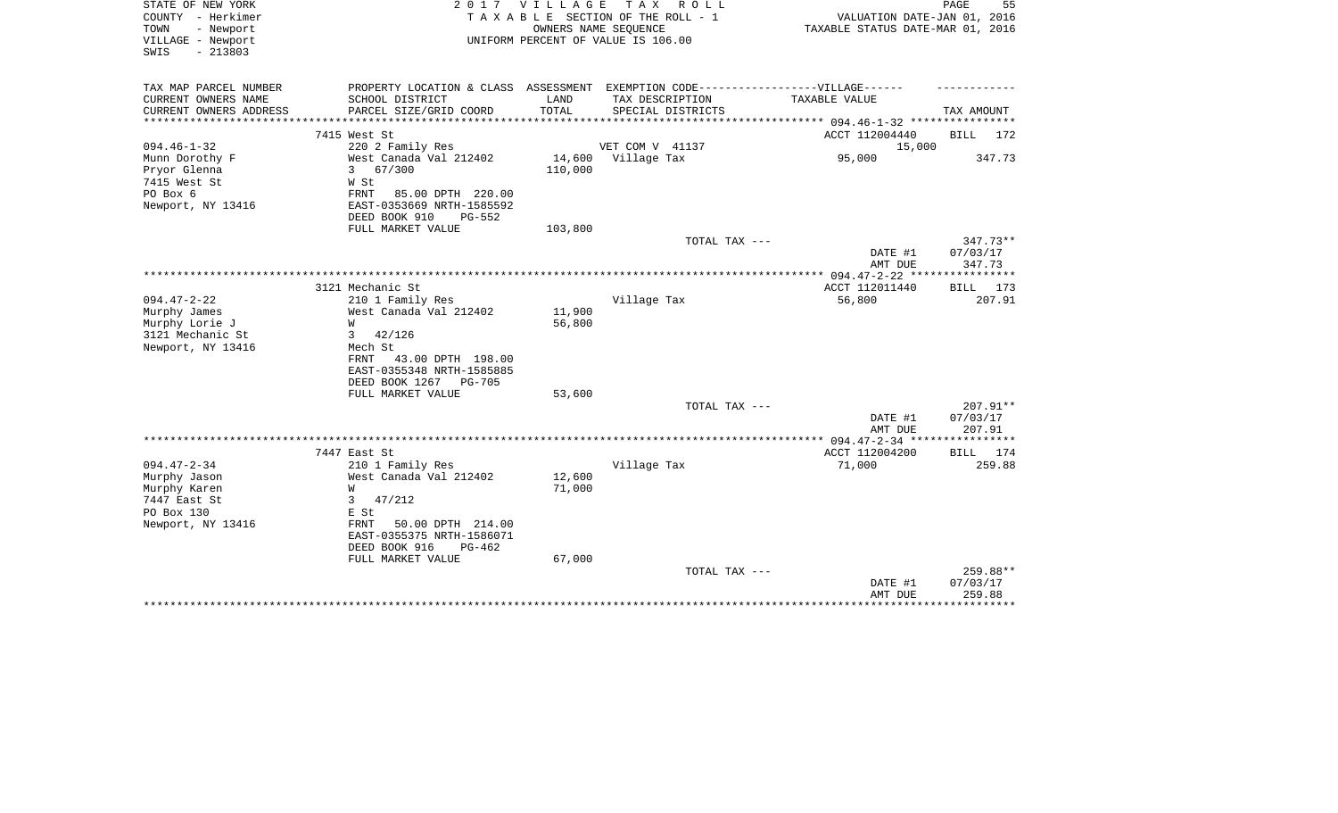| STATE OF NEW YORK<br>COUNTY - Herkimer<br>TOWN<br>- Newport<br>VILLAGE - Newport<br>$-213803$<br>SWIS | 2 0 1 7                                                                                                                                                                            | V I L L A G E              | T A X<br>R O L L<br>TAXABLE SECTION OF THE ROLL - 1<br>OWNERS NAME SEQUENCE<br>UNIFORM PERCENT OF VALUE IS 106.00 | VALUATION DATE-JAN 01, 2016<br>TAXABLE STATUS DATE-MAR 01, 2016 | PAGE<br>55                                 |
|-------------------------------------------------------------------------------------------------------|------------------------------------------------------------------------------------------------------------------------------------------------------------------------------------|----------------------------|-------------------------------------------------------------------------------------------------------------------|-----------------------------------------------------------------|--------------------------------------------|
| TAX MAP PARCEL NUMBER<br>CURRENT OWNERS NAME                                                          | PROPERTY LOCATION & CLASS ASSESSMENT EXEMPTION CODE-----------------VILLAGE------<br>SCHOOL DISTRICT                                                                               | LAND                       | TAX DESCRIPTION                                                                                                   | TAXABLE VALUE                                                   |                                            |
| CURRENT OWNERS ADDRESS                                                                                | PARCEL SIZE/GRID COORD                                                                                                                                                             | TOTAL                      | SPECIAL DISTRICTS                                                                                                 |                                                                 | TAX AMOUNT                                 |
| ********************                                                                                  |                                                                                                                                                                                    |                            |                                                                                                                   |                                                                 |                                            |
| $094.46 - 1 - 32$                                                                                     | 7415 West St<br>220 2 Family Res                                                                                                                                                   |                            | VET COM V 41137                                                                                                   | ACCT 112004440<br>15,000                                        | BILL<br>172                                |
| Munn Dorothy F<br>Pryor Glenna<br>7415 West St<br>PO Box 6<br>Newport, NY 13416                       | West Canada Val 212402<br>$\mathbf{3}$<br>67/300<br>W St<br>FRNT<br>85.00 DPTH 220.00<br>EAST-0353669 NRTH-1585592                                                                 | 14,600<br>110,000          | Village Tax                                                                                                       | 95,000                                                          | 347.73                                     |
|                                                                                                       | DEED BOOK 910<br>$PG-552$                                                                                                                                                          |                            |                                                                                                                   |                                                                 |                                            |
|                                                                                                       | FULL MARKET VALUE                                                                                                                                                                  | 103,800                    | TOTAL TAX ---                                                                                                     | DATE #1<br>AMT DUE                                              | $347.73**$<br>07/03/17<br>347.73           |
|                                                                                                       |                                                                                                                                                                                    |                            |                                                                                                                   |                                                                 |                                            |
| $094.47 - 2 - 22$                                                                                     | 3121 Mechanic St<br>210 1 Family Res                                                                                                                                               |                            | Village Tax                                                                                                       | ACCT 112011440<br>56,800                                        | BILL 173<br>207.91                         |
| Murphy James<br>Murphy Lorie J<br>3121 Mechanic St<br>Newport, NY 13416                               | West Canada Val 212402<br>W<br>42/126<br>3<br>Mech St<br>FRNT<br>43.00 DPTH 198.00<br>EAST-0355348 NRTH-1585885<br>DEED BOOK 1267<br><b>PG-705</b><br>FULL MARKET VALUE            | 11,900<br>56,800<br>53,600 |                                                                                                                   |                                                                 |                                            |
|                                                                                                       |                                                                                                                                                                                    |                            | TOTAL TAX ---                                                                                                     |                                                                 | 207.91**                                   |
|                                                                                                       |                                                                                                                                                                                    |                            |                                                                                                                   | DATE #1<br>AMT DUE                                              | 07/03/17<br>207.91                         |
|                                                                                                       |                                                                                                                                                                                    |                            |                                                                                                                   |                                                                 |                                            |
|                                                                                                       | 7447 East St                                                                                                                                                                       |                            |                                                                                                                   | ACCT 112004200                                                  | BILL 174                                   |
| $094.47 - 2 - 34$<br>Murphy Jason<br>Murphy Karen<br>7447 East St<br>PO Box 130<br>Newport, NY 13416  | 210 1 Family Res<br>West Canada Val 212402<br>W<br>47/212<br>3<br>E St<br>50.00 DPTH 214.00<br>FRNT<br>EAST-0355375 NRTH-1586071<br>DEED BOOK 916<br>$PG-462$<br>FULL MARKET VALUE | 12,600<br>71,000<br>67,000 | Village Tax                                                                                                       | 71,000                                                          | 259.88                                     |
|                                                                                                       |                                                                                                                                                                                    |                            | TOTAL TAX ---                                                                                                     | DATE #1<br>AMT DUE                                              | 259.88**<br>07/03/17<br>259.88<br>******** |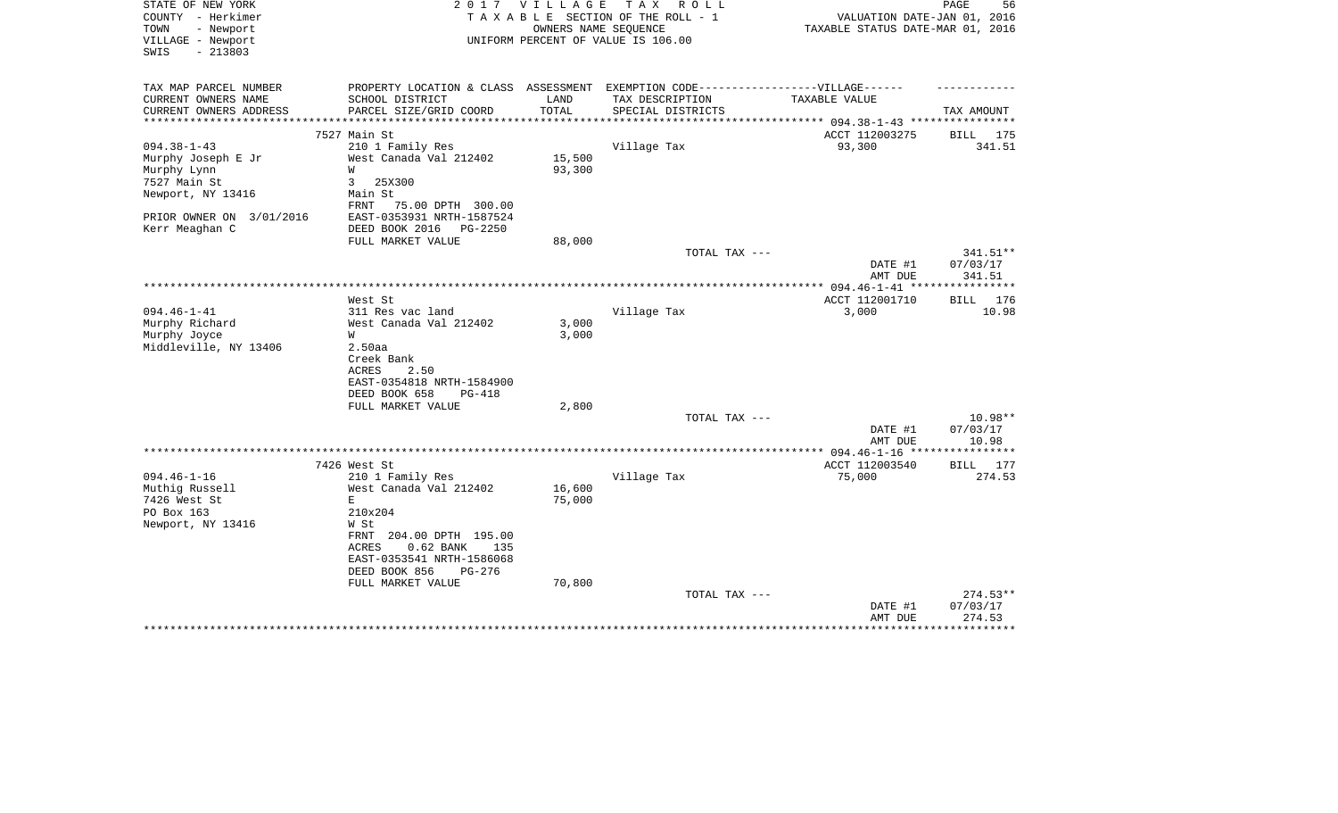| STATE OF NEW YORK<br>COUNTY - Herkimer                      | 2 0 1 7                                                                           | <b>VILLAGE</b> | T A X<br>R O L L<br>TAXABLE SECTION OF THE ROLL - 1        | VALUATION DATE-JAN 01, 2016                         | PAGE<br>56                     |
|-------------------------------------------------------------|-----------------------------------------------------------------------------------|----------------|------------------------------------------------------------|-----------------------------------------------------|--------------------------------|
| - Newport<br>TOWN<br>VILLAGE - Newport<br>$-213803$<br>SWIS |                                                                                   |                | OWNERS NAME SEQUENCE<br>UNIFORM PERCENT OF VALUE IS 106.00 | TAXABLE STATUS DATE-MAR 01, 2016                    |                                |
| TAX MAP PARCEL NUMBER                                       | PROPERTY LOCATION & CLASS ASSESSMENT EXEMPTION CODE-----------------VILLAGE------ |                |                                                            |                                                     |                                |
| CURRENT OWNERS NAME                                         | SCHOOL DISTRICT                                                                   | LAND           | TAX DESCRIPTION                                            | TAXABLE VALUE                                       |                                |
| CURRENT OWNERS ADDRESS                                      | PARCEL SIZE/GRID COORD                                                            | TOTAL          | SPECIAL DISTRICTS                                          |                                                     | TAX AMOUNT                     |
|                                                             | 7527 Main St                                                                      |                |                                                            | ********** 094.38-1-43 **********<br>ACCT 112003275 | 175<br>BILL                    |
| $094.38 - 1 - 43$                                           | 210 1 Family Res                                                                  |                | Village Tax                                                | 93,300                                              | 341.51                         |
| Murphy Joseph E Jr                                          | West Canada Val 212402                                                            | 15,500         |                                                            |                                                     |                                |
| Murphy Lynn                                                 | W                                                                                 | 93,300         |                                                            |                                                     |                                |
| 7527 Main St                                                | 3<br>25X300                                                                       |                |                                                            |                                                     |                                |
| Newport, NY 13416                                           | Main St<br>FRNT 75.00 DPTH 300.00                                                 |                |                                                            |                                                     |                                |
| PRIOR OWNER ON 3/01/2016                                    | EAST-0353931 NRTH-1587524                                                         |                |                                                            |                                                     |                                |
| Kerr Meaghan C                                              | DEED BOOK 2016<br><b>PG-2250</b>                                                  |                |                                                            |                                                     |                                |
|                                                             | FULL MARKET VALUE                                                                 | 88,000         |                                                            |                                                     |                                |
|                                                             |                                                                                   |                | TOTAL TAX ---                                              | DATE #1<br>AMT DUE                                  | 341.51**<br>07/03/17<br>341.51 |
|                                                             |                                                                                   |                |                                                            |                                                     | ***********                    |
|                                                             | West St                                                                           |                |                                                            | ACCT 112001710                                      | BILL 176                       |
| $094.46 - 1 - 41$                                           | 311 Res vac land                                                                  |                | Village Tax                                                | 3,000                                               | 10.98                          |
| Murphy Richard                                              | West Canada Val 212402                                                            | 3,000          |                                                            |                                                     |                                |
| Murphy Joyce                                                | W                                                                                 | 3,000          |                                                            |                                                     |                                |
| Middleville, NY 13406                                       | 2.50aa<br>Creek Bank                                                              |                |                                                            |                                                     |                                |
|                                                             | 2.50<br>ACRES                                                                     |                |                                                            |                                                     |                                |
|                                                             | EAST-0354818 NRTH-1584900                                                         |                |                                                            |                                                     |                                |
|                                                             | DEED BOOK 658<br>PG-418                                                           |                |                                                            |                                                     |                                |
|                                                             | FULL MARKET VALUE                                                                 | 2,800          |                                                            |                                                     |                                |
|                                                             |                                                                                   |                | TOTAL TAX ---                                              |                                                     | $10.98**$                      |
|                                                             |                                                                                   |                |                                                            | DATE #1                                             | 07/03/17                       |
|                                                             |                                                                                   |                |                                                            | AMT DUE                                             | 10.98<br>* * * * * * * *       |
|                                                             | 7426 West St                                                                      |                |                                                            | *** $094.46 - 1 - 16$ **<br>ACCT 112003540          | <b>BILL</b><br>177             |
| $094.46 - 1 - 16$                                           | 210 1 Family Res                                                                  |                | Village Tax                                                | 75,000                                              | 274.53                         |
| Muthig Russell                                              | West Canada Val 212402                                                            | 16,600         |                                                            |                                                     |                                |
| 7426 West St                                                | E                                                                                 | 75,000         |                                                            |                                                     |                                |
| PO Box 163                                                  | 210x204                                                                           |                |                                                            |                                                     |                                |
| Newport, NY 13416                                           | W St                                                                              |                |                                                            |                                                     |                                |
|                                                             | FRNT 204.00 DPTH 195.00                                                           |                |                                                            |                                                     |                                |
|                                                             | 0.62 BANK<br>ACRES<br>135                                                         |                |                                                            |                                                     |                                |
|                                                             | EAST-0353541 NRTH-1586068<br>DEED BOOK 856<br>PG-276                              |                |                                                            |                                                     |                                |
|                                                             | FULL MARKET VALUE                                                                 | 70,800         |                                                            |                                                     |                                |
|                                                             |                                                                                   |                | TOTAL TAX ---                                              |                                                     | 274.53**                       |
|                                                             |                                                                                   |                |                                                            | DATE #1                                             | 07/03/17                       |
|                                                             |                                                                                   |                |                                                            | AMT DUE                                             | 274.53                         |
|                                                             |                                                                                   |                |                                                            |                                                     |                                |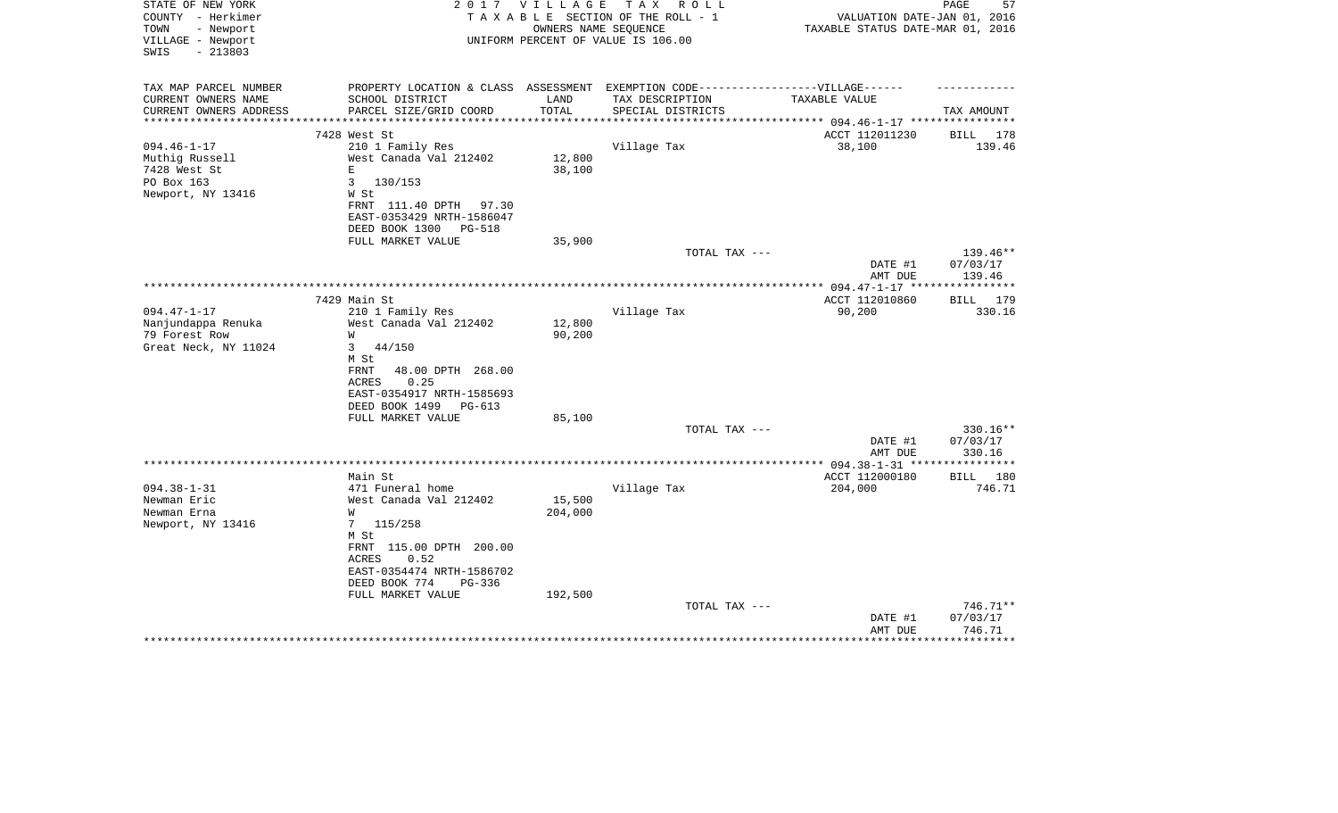| STATE OF NEW YORK                                | 2 0 1 7                                                                           | V I L L A G E | T A X<br>R O L L                   |                                  | 57<br>PAGE         |
|--------------------------------------------------|-----------------------------------------------------------------------------------|---------------|------------------------------------|----------------------------------|--------------------|
| COUNTY - Herkimer                                |                                                                                   |               | TAXABLE SECTION OF THE ROLL - 1    | VALUATION DATE-JAN 01, 2016      |                    |
| TOWN<br>- Newport                                |                                                                                   |               | OWNERS NAME SEQUENCE               | TAXABLE STATUS DATE-MAR 01, 2016 |                    |
| VILLAGE - Newport                                |                                                                                   |               | UNIFORM PERCENT OF VALUE IS 106.00 |                                  |                    |
| SWIS<br>$-213803$                                |                                                                                   |               |                                    |                                  |                    |
|                                                  |                                                                                   |               |                                    |                                  |                    |
| TAX MAP PARCEL NUMBER                            | PROPERTY LOCATION & CLASS ASSESSMENT EXEMPTION CODE-----------------VILLAGE------ |               |                                    |                                  |                    |
| CURRENT OWNERS NAME                              | SCHOOL DISTRICT                                                                   | LAND          | TAX DESCRIPTION                    | TAXABLE VALUE                    |                    |
| CURRENT OWNERS ADDRESS<br>********************** | PARCEL SIZE/GRID COORD                                                            | TOTAL         | SPECIAL DISTRICTS                  |                                  | TAX AMOUNT         |
|                                                  | 7428 West St                                                                      |               |                                    | ACCT 112011230                   | BILL 178           |
| $094.46 - 1 - 17$                                | 210 1 Family Res                                                                  |               | Village Tax                        | 38,100                           | 139.46             |
| Muthig Russell                                   | West Canada Val 212402                                                            | 12,800        |                                    |                                  |                    |
| 7428 West St                                     | Е                                                                                 | 38,100        |                                    |                                  |                    |
| PO Box 163                                       | 3<br>130/153                                                                      |               |                                    |                                  |                    |
| Newport, NY 13416                                | W St                                                                              |               |                                    |                                  |                    |
|                                                  | FRNT 111.40 DPTH 97.30                                                            |               |                                    |                                  |                    |
|                                                  | EAST-0353429 NRTH-1586047                                                         |               |                                    |                                  |                    |
|                                                  | DEED BOOK 1300<br>PG-518                                                          |               |                                    |                                  |                    |
|                                                  | FULL MARKET VALUE                                                                 | 35,900        |                                    |                                  |                    |
|                                                  |                                                                                   |               | TOTAL TAX ---                      |                                  | $139.46**$         |
|                                                  |                                                                                   |               |                                    | DATE #1                          | 07/03/17           |
|                                                  |                                                                                   |               |                                    | AMT DUE                          | 139.46             |
|                                                  |                                                                                   |               |                                    | ** 094.47-1-17 ***               | ********           |
|                                                  | 7429 Main St                                                                      |               |                                    | ACCT 112010860                   | BILL<br>179        |
| $094.47 - 1 - 17$                                | 210 1 Family Res                                                                  |               | Village Tax                        | 90,200                           | 330.16             |
| Nanjundappa Renuka                               | West Canada Val 212402                                                            | 12,800        |                                    |                                  |                    |
| 79 Forest Row                                    | W                                                                                 | 90,200        |                                    |                                  |                    |
| Great Neck, NY 11024                             | 44/150<br>3                                                                       |               |                                    |                                  |                    |
|                                                  | M St                                                                              |               |                                    |                                  |                    |
|                                                  | FRNT<br>48.00 DPTH 268.00                                                         |               |                                    |                                  |                    |
|                                                  | ACRES<br>0.25                                                                     |               |                                    |                                  |                    |
|                                                  | EAST-0354917 NRTH-1585693                                                         |               |                                    |                                  |                    |
|                                                  | DEED BOOK 1499<br>PG-613<br>FULL MARKET VALUE                                     | 85,100        |                                    |                                  |                    |
|                                                  |                                                                                   |               | TOTAL TAX ---                      |                                  | 330.16**           |
|                                                  |                                                                                   |               |                                    | DATE #1                          | 07/03/17           |
|                                                  |                                                                                   |               |                                    | AMT DUE                          | 330.16             |
|                                                  |                                                                                   |               | ************************           | $***$ 094.38-1-31 ****           | **********         |
|                                                  | Main St                                                                           |               |                                    | ACCT 112000180                   | BILL 180           |
| $094.38 - 1 - 31$                                | 471 Funeral home                                                                  |               | Village Tax                        | 204,000                          | 746.71             |
| Newman Eric                                      | West Canada Val 212402                                                            | 15,500        |                                    |                                  |                    |
| Newman Erna                                      | W                                                                                 | 204,000       |                                    |                                  |                    |
| Newport, NY 13416                                | $7\phantom{.}$<br>115/258                                                         |               |                                    |                                  |                    |
|                                                  | M St                                                                              |               |                                    |                                  |                    |
|                                                  | FRNT 115.00 DPTH 200.00                                                           |               |                                    |                                  |                    |
|                                                  | ACRES<br>0.52                                                                     |               |                                    |                                  |                    |
|                                                  | EAST-0354474 NRTH-1586702                                                         |               |                                    |                                  |                    |
|                                                  | DEED BOOK 774<br>$PG-336$                                                         |               |                                    |                                  |                    |
|                                                  | FULL MARKET VALUE                                                                 | 192,500       |                                    |                                  |                    |
|                                                  |                                                                                   |               | TOTAL TAX ---                      |                                  | 746.71**           |
|                                                  |                                                                                   |               |                                    | DATE #1<br>AMT DUE               | 07/03/17<br>746.71 |
|                                                  |                                                                                   |               |                                    |                                  |                    |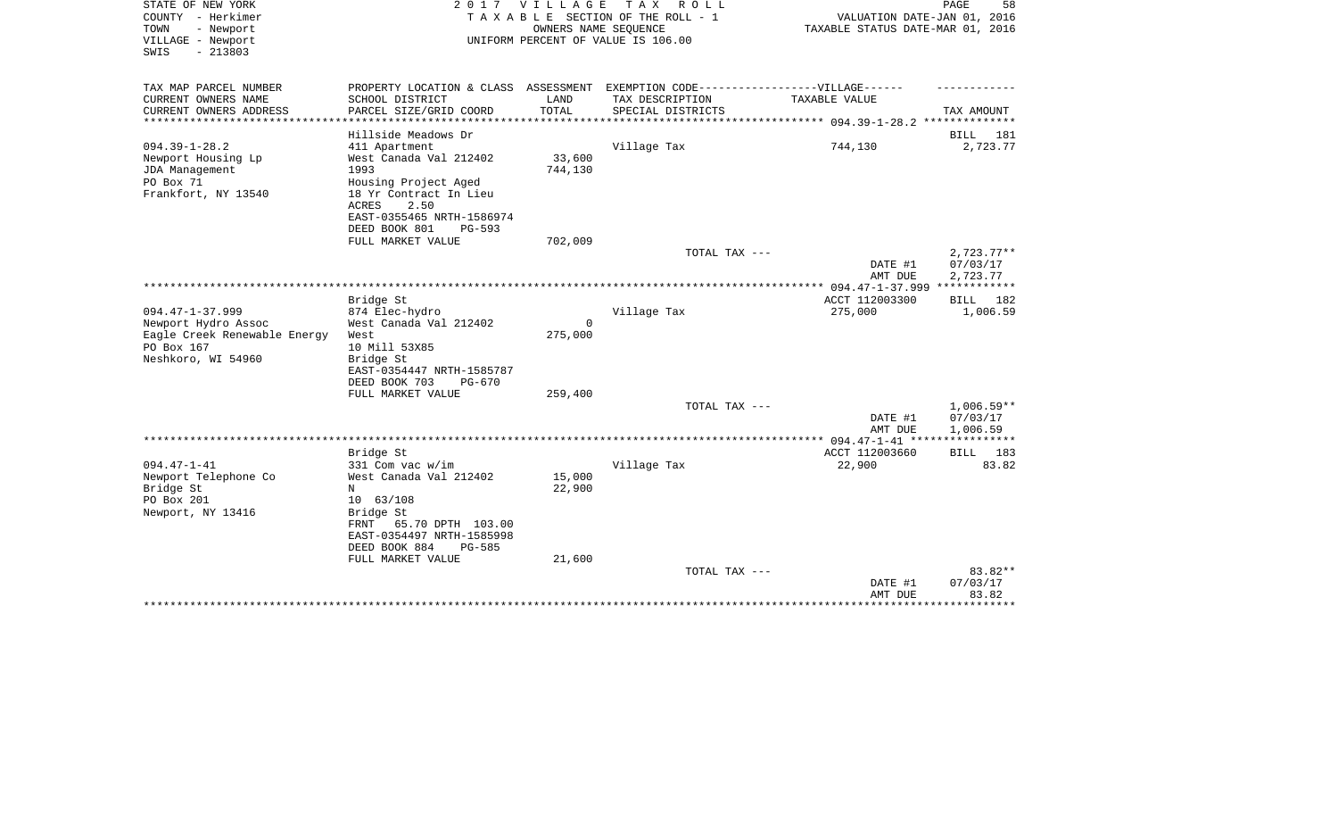| STATE OF NEW YORK<br>COUNTY - Herkimer<br>TOWN<br>- Newport<br>VILLAGE - Newport<br>$-213803$<br>SWIS            | 2017                                                                                                                                                                                | V I L L A G E<br>OWNERS NAME SEQUENCE | T A X<br>R O L L<br>TAXABLE SECTION OF THE ROLL - 1<br>UNIFORM PERCENT OF VALUE IS 106.00 | VALUATION DATE-JAN 01, 2016<br>TAXABLE STATUS DATE-MAR 01, 2016 | PAGE<br>58                           |
|------------------------------------------------------------------------------------------------------------------|-------------------------------------------------------------------------------------------------------------------------------------------------------------------------------------|---------------------------------------|-------------------------------------------------------------------------------------------|-----------------------------------------------------------------|--------------------------------------|
| TAX MAP PARCEL NUMBER<br>CURRENT OWNERS NAME                                                                     | PROPERTY LOCATION & CLASS ASSESSMENT<br>SCHOOL DISTRICT                                                                                                                             | LAND                                  | EXEMPTION CODE------------------VILLAGE------<br>TAX DESCRIPTION                          | TAXABLE VALUE                                                   |                                      |
| CURRENT OWNERS ADDRESS                                                                                           | PARCEL SIZE/GRID COORD                                                                                                                                                              | TOTAL                                 | SPECIAL DISTRICTS                                                                         |                                                                 | TAX AMOUNT                           |
| *********************                                                                                            | * * * * * * * * * * * * * * * *                                                                                                                                                     |                                       |                                                                                           |                                                                 |                                      |
|                                                                                                                  | Hillside Meadows Dr                                                                                                                                                                 |                                       |                                                                                           |                                                                 | 181<br>BILL                          |
| $094.39 - 1 - 28.2$<br>Newport Housing Lp<br>JDA Management<br>PO Box 71<br>Frankfort, NY 13540                  | 411 Apartment<br>West Canada Val 212402<br>1993<br>Housing Project Aged<br>18 Yr Contract In Lieu<br><b>ACRES</b><br>2.50<br>EAST-0355465 NRTH-1586974<br>DEED BOOK 801<br>$PG-593$ | 33,600<br>744,130                     | Village Tax                                                                               | 744,130                                                         | 2,723.77                             |
|                                                                                                                  | FULL MARKET VALUE                                                                                                                                                                   | 702,009                               |                                                                                           |                                                                 |                                      |
|                                                                                                                  |                                                                                                                                                                                     |                                       | TOTAL TAX ---                                                                             | DATE #1<br>AMT DUE                                              | $2,723.77**$<br>07/03/17<br>2,723.77 |
|                                                                                                                  |                                                                                                                                                                                     |                                       |                                                                                           | *** 094.47-1-37.999 ************                                |                                      |
|                                                                                                                  | Bridge St                                                                                                                                                                           |                                       |                                                                                           | ACCT 112003300                                                  | BILL<br>182                          |
| $094.47 - 1 - 37.999$<br>Newport Hydro Assoc<br>Eagle Creek Renewable Energy<br>PO Box 167<br>Neshkoro, WI 54960 | 874 Elec-hydro<br>West Canada Val 212402<br>West<br>10 Mill 53X85<br>Bridge St<br>EAST-0354447 NRTH-1585787<br>DEED BOOK 703<br>$PG-670$                                            | $\Omega$<br>275,000                   | Village Tax                                                                               | 275,000                                                         | 1,006.59                             |
|                                                                                                                  | FULL MARKET VALUE                                                                                                                                                                   | 259,400                               |                                                                                           |                                                                 |                                      |
|                                                                                                                  |                                                                                                                                                                                     |                                       | TOTAL TAX ---                                                                             | DATE #1<br>AMT DUE                                              | $1,006.59**$<br>07/03/17<br>1,006.59 |
|                                                                                                                  |                                                                                                                                                                                     |                                       |                                                                                           |                                                                 | ***********                          |
|                                                                                                                  | Bridge St                                                                                                                                                                           |                                       |                                                                                           | ACCT 112003660                                                  | 183<br><b>BILL</b>                   |
| $094.47 - 1 - 41$<br>Newport Telephone Co<br>Bridge St<br>PO Box 201<br>Newport, NY 13416                        | 331 Com vac w/im<br>West Canada Val 212402<br>N<br>10 63/108<br>Bridge St<br>65.70 DPTH 103.00<br>FRNT<br>EAST-0354497 NRTH-1585998<br>DEED BOOK 884<br><b>PG-585</b>               | 15,000<br>22,900                      | Village Tax                                                                               | 22,900                                                          | 83.82                                |
|                                                                                                                  | FULL MARKET VALUE                                                                                                                                                                   | 21,600                                | TOTAL TAX ---                                                                             |                                                                 | 83.82**                              |
|                                                                                                                  |                                                                                                                                                                                     |                                       |                                                                                           | DATE #1<br>AMT DUE                                              | 07/03/17<br>83.82                    |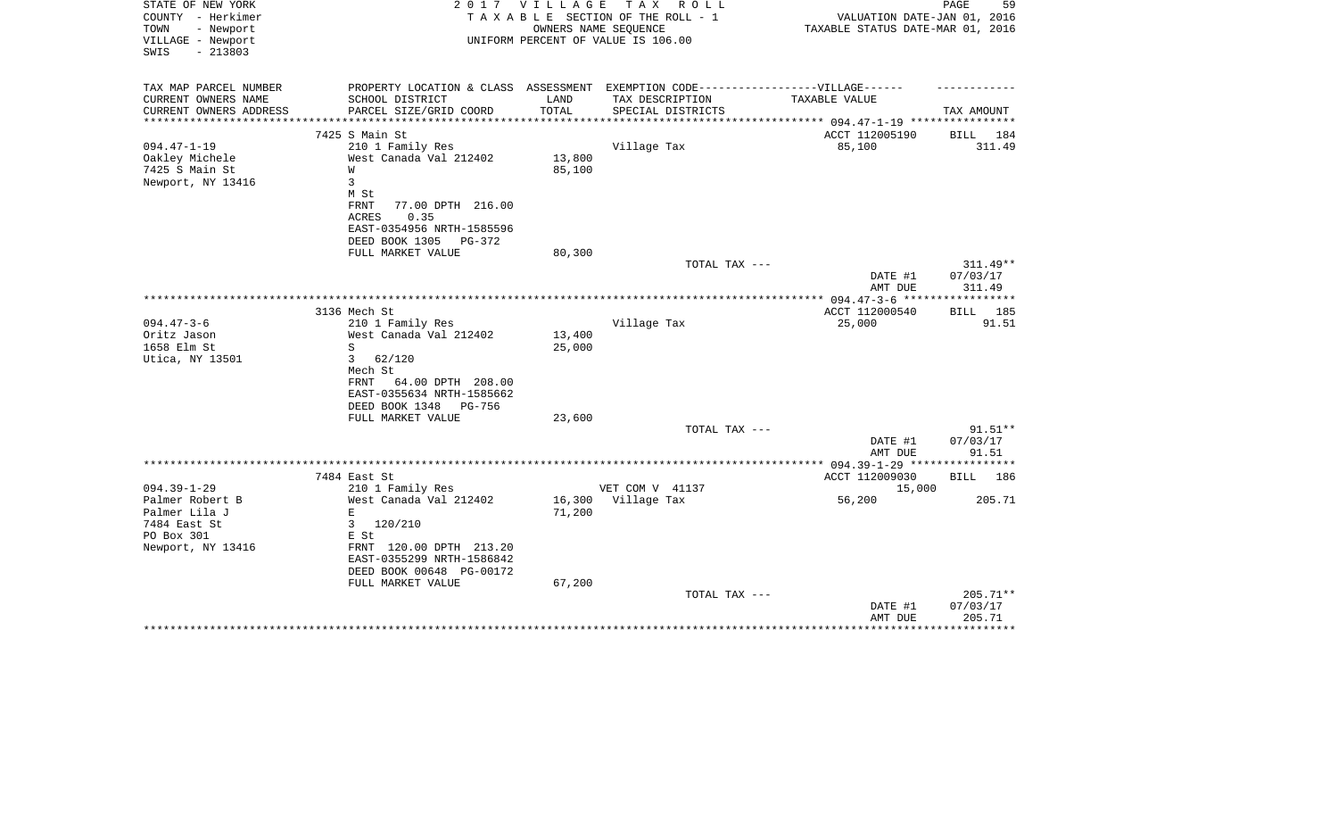| STATE OF NEW YORK<br>COUNTY - Herkimer<br>- Newport<br>TOWN | 2 0 1 7                                                                          | <b>VILLAGE</b>   | TAX ROLL<br>TAXABLE SECTION OF THE ROLL - 1<br>OWNERS NAME SEQUENCE | VALUATION DATE-JAN 01, 2016<br>TAXABLE STATUS DATE-MAR 01, 2016 | PAGE<br>59  |
|-------------------------------------------------------------|----------------------------------------------------------------------------------|------------------|---------------------------------------------------------------------|-----------------------------------------------------------------|-------------|
| VILLAGE - Newport<br>$-213803$<br>SWIS                      |                                                                                  |                  | UNIFORM PERCENT OF VALUE IS 106.00                                  |                                                                 |             |
| TAX MAP PARCEL NUMBER                                       | PROPERTY LOCATION & CLASS ASSESSMENT EXEMPTION CODE----------------VILLAGE------ |                  |                                                                     |                                                                 |             |
| CURRENT OWNERS NAME                                         | SCHOOL DISTRICT                                                                  | LAND             | TAX DESCRIPTION                                                     | TAXABLE VALUE                                                   |             |
| CURRENT OWNERS ADDRESS                                      | PARCEL SIZE/GRID COORD                                                           | TOTAL            | SPECIAL DISTRICTS                                                   | *********** 094.47-1-19 *********                               | TAX AMOUNT  |
|                                                             | 7425 S Main St                                                                   |                  |                                                                     | ACCT 112005190                                                  | 184<br>BILL |
| $094.47 - 1 - 19$                                           | 210 1 Family Res                                                                 |                  | Village Tax                                                         | 85,100                                                          | 311.49      |
| Oakley Michele                                              | West Canada Val 212402                                                           | 13,800           |                                                                     |                                                                 |             |
| 7425 S Main St                                              | W                                                                                | 85,100           |                                                                     |                                                                 |             |
| Newport, NY 13416                                           | $\overline{3}$                                                                   |                  |                                                                     |                                                                 |             |
|                                                             | M St                                                                             |                  |                                                                     |                                                                 |             |
|                                                             | <b>FRNT</b><br>77.00 DPTH 216.00                                                 |                  |                                                                     |                                                                 |             |
|                                                             | 0.35<br>ACRES                                                                    |                  |                                                                     |                                                                 |             |
|                                                             | EAST-0354956 NRTH-1585596<br>DEED BOOK 1305<br>PG-372                            |                  |                                                                     |                                                                 |             |
|                                                             | FULL MARKET VALUE                                                                | 80,300           |                                                                     |                                                                 |             |
|                                                             |                                                                                  |                  | TOTAL TAX ---                                                       |                                                                 | $311.49**$  |
|                                                             |                                                                                  |                  |                                                                     | DATE #1                                                         | 07/03/17    |
|                                                             |                                                                                  |                  |                                                                     | AMT DUE                                                         | 311.49      |
|                                                             |                                                                                  |                  |                                                                     |                                                                 |             |
|                                                             | 3136 Mech St                                                                     |                  |                                                                     | ACCT 112000540                                                  | BILL<br>185 |
| $094.47 - 3 - 6$                                            | 210 1 Family Res                                                                 |                  | Village Tax                                                         | 25,000                                                          | 91.51       |
| Oritz Jason<br>1658 Elm St                                  | West Canada Val 212402<br>S                                                      | 13,400<br>25,000 |                                                                     |                                                                 |             |
| Utica, NY 13501                                             | $\mathbf{3}$<br>62/120                                                           |                  |                                                                     |                                                                 |             |
|                                                             | Mech St                                                                          |                  |                                                                     |                                                                 |             |
|                                                             | FRNT<br>64.00 DPTH 208.00                                                        |                  |                                                                     |                                                                 |             |
|                                                             | EAST-0355634 NRTH-1585662                                                        |                  |                                                                     |                                                                 |             |
|                                                             | DEED BOOK 1348<br>PG-756                                                         |                  |                                                                     |                                                                 |             |
|                                                             | FULL MARKET VALUE                                                                | 23,600           |                                                                     |                                                                 |             |
|                                                             |                                                                                  |                  | TOTAL TAX ---                                                       |                                                                 | $91.51**$   |
|                                                             |                                                                                  |                  |                                                                     | DATE #1                                                         | 07/03/17    |
|                                                             |                                                                                  |                  |                                                                     | AMT DUE                                                         | 91.51       |
|                                                             | 7484 East St                                                                     |                  |                                                                     | ACCT 112009030                                                  | BILL 186    |
| $094.39 - 1 - 29$                                           | 210 1 Family Res                                                                 |                  | VET COM V 41137                                                     | 15,000                                                          |             |
| Palmer Robert B                                             | West Canada Val 212402                                                           | 16,300           | Village Tax                                                         | 56,200                                                          | 205.71      |
| Palmer Lila J                                               | $\mathbf{E}$                                                                     | 71,200           |                                                                     |                                                                 |             |
| 7484 East St                                                | 3<br>120/210                                                                     |                  |                                                                     |                                                                 |             |
| PO Box 301                                                  | E St                                                                             |                  |                                                                     |                                                                 |             |
| Newport, NY 13416                                           | FRNT 120.00 DPTH 213.20                                                          |                  |                                                                     |                                                                 |             |
|                                                             | EAST-0355299 NRTH-1586842                                                        |                  |                                                                     |                                                                 |             |
|                                                             | DEED BOOK 00648 PG-00172<br>FULL MARKET VALUE                                    | 67,200           |                                                                     |                                                                 |             |
|                                                             |                                                                                  |                  | TOTAL TAX ---                                                       |                                                                 | $205.71**$  |
|                                                             |                                                                                  |                  |                                                                     | DATE #1                                                         | 07/03/17    |
|                                                             |                                                                                  |                  |                                                                     | AMT DUE                                                         | 205.71      |
|                                                             |                                                                                  |                  |                                                                     |                                                                 |             |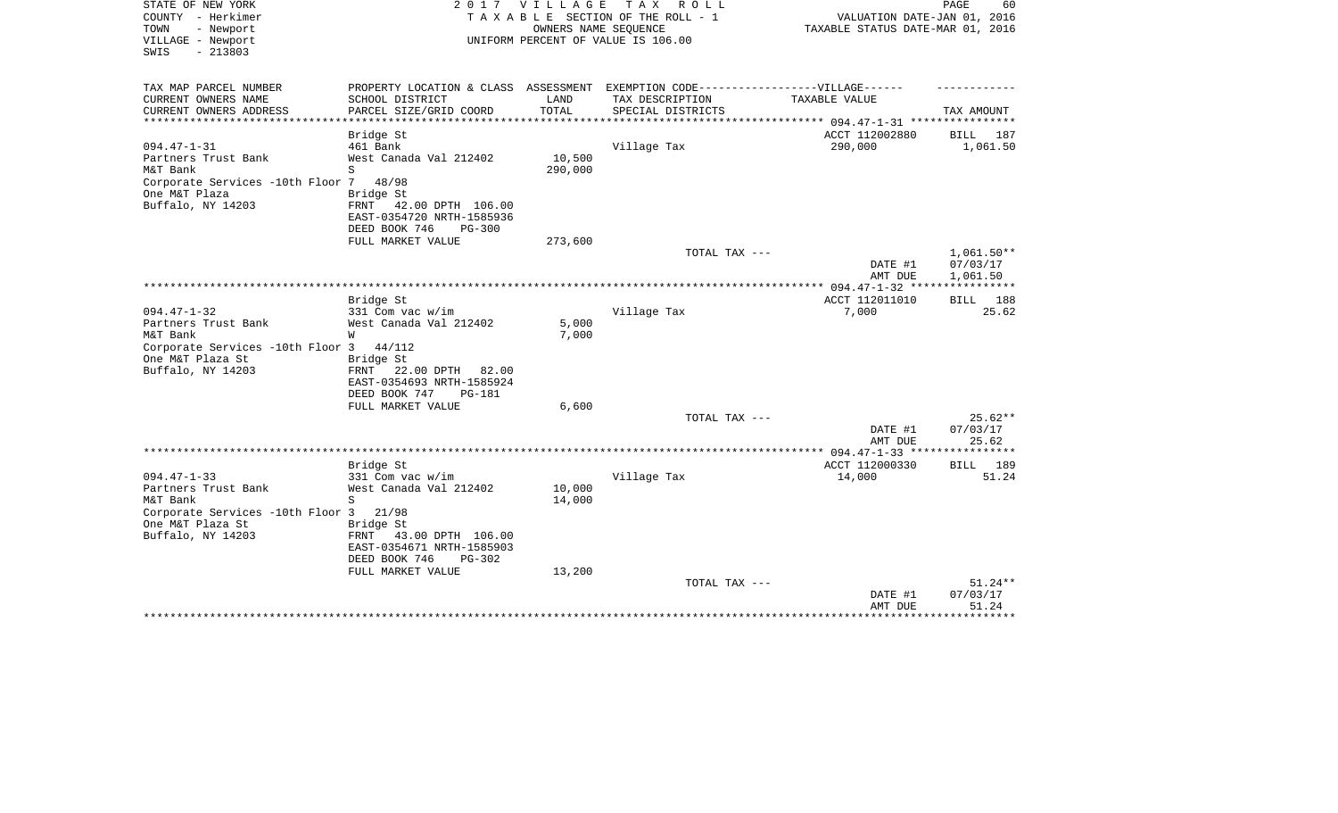| STATE OF NEW YORK<br>COUNTY - Herkimer<br>TOWN<br>- Newport | 2017                                                     | <b>VILLAGE</b>    | T A X<br>R O L L<br>TAXABLE SECTION OF THE ROLL - 1<br>OWNERS NAME SEQUENCE       | VALUATION DATE-JAN 01, 2016<br>TAXABLE STATUS DATE-MAR 01, 2016 | PAGE<br>60              |
|-------------------------------------------------------------|----------------------------------------------------------|-------------------|-----------------------------------------------------------------------------------|-----------------------------------------------------------------|-------------------------|
| VILLAGE - Newport<br>$-213803$<br>SWIS                      |                                                          |                   | UNIFORM PERCENT OF VALUE IS 106.00                                                |                                                                 |                         |
| TAX MAP PARCEL NUMBER                                       |                                                          |                   | PROPERTY LOCATION & CLASS ASSESSMENT EXEMPTION CODE-----------------VILLAGE------ |                                                                 |                         |
| CURRENT OWNERS NAME                                         | SCHOOL DISTRICT                                          | LAND              | TAX DESCRIPTION                                                                   | TAXABLE VALUE                                                   |                         |
| CURRENT OWNERS ADDRESS<br>********************              | PARCEL SIZE/GRID COORD                                   | TOTAL             | SPECIAL DISTRICTS                                                                 |                                                                 | TAX AMOUNT              |
|                                                             | Bridge St                                                |                   |                                                                                   | ACCT 112002880                                                  | BILL<br>187             |
| $094.47 - 1 - 31$                                           | 461 Bank                                                 |                   | Village Tax                                                                       | 290,000                                                         | 1,061.50                |
| Partners Trust Bank<br>M&T Bank                             | West Canada Val 212402<br>S                              | 10,500<br>290,000 |                                                                                   |                                                                 |                         |
| Corporate Services -10th Floor 7                            | 48/98                                                    |                   |                                                                                   |                                                                 |                         |
| One M&T Plaza                                               | Bridge St                                                |                   |                                                                                   |                                                                 |                         |
| Buffalo, NY 14203                                           | FRNT<br>42.00 DPTH 106.00                                |                   |                                                                                   |                                                                 |                         |
|                                                             | EAST-0354720 NRTH-1585936<br>DEED BOOK 746               |                   |                                                                                   |                                                                 |                         |
|                                                             | $PG-300$<br>FULL MARKET VALUE                            | 273,600           |                                                                                   |                                                                 |                         |
|                                                             |                                                          |                   | TOTAL TAX ---                                                                     |                                                                 | $1,061.50**$            |
|                                                             |                                                          |                   |                                                                                   | DATE #1                                                         | 07/03/17                |
|                                                             |                                                          |                   |                                                                                   | AMT DUE                                                         | 1,061.50                |
|                                                             |                                                          |                   |                                                                                   |                                                                 |                         |
|                                                             | Bridge St                                                |                   |                                                                                   | ACCT 112011010                                                  | BILL<br>188             |
| $094.47 - 1 - 32$                                           | 331 Com vac w/im                                         |                   | Village Tax                                                                       | 7,000                                                           | 25.62                   |
| Partners Trust Bank                                         | West Canada Val 212402                                   | 5,000             |                                                                                   |                                                                 |                         |
| M&T Bank                                                    | W                                                        | 7,000             |                                                                                   |                                                                 |                         |
| Corporate Services -10th Floor 3                            | 44/112                                                   |                   |                                                                                   |                                                                 |                         |
| One M&T Plaza St                                            | Bridge St                                                |                   |                                                                                   |                                                                 |                         |
| Buffalo, NY 14203                                           | 22.00 DPTH<br>FRNT<br>82.00<br>EAST-0354693 NRTH-1585924 |                   |                                                                                   |                                                                 |                         |
|                                                             | DEED BOOK 747<br><b>PG-181</b>                           |                   |                                                                                   |                                                                 |                         |
|                                                             | FULL MARKET VALUE                                        | 6,600             |                                                                                   |                                                                 |                         |
|                                                             |                                                          |                   | TOTAL TAX ---                                                                     |                                                                 | 25.62**                 |
|                                                             |                                                          |                   |                                                                                   | DATE #1                                                         | 07/03/17                |
|                                                             |                                                          |                   |                                                                                   | AMT DUE                                                         | 25.62                   |
|                                                             |                                                          |                   |                                                                                   | ********* 094.47-1-33 ***                                       | * * * * * * * * * * * * |
|                                                             | Bridge St                                                |                   |                                                                                   | ACCT 112000330                                                  | 189<br>BILL             |
| $094.47 - 1 - 33$                                           | 331 Com vac w/im                                         |                   | Village Tax                                                                       | 14,000                                                          | 51.24                   |
| Partners Trust Bank                                         | West Canada Val 212402                                   | 10,000            |                                                                                   |                                                                 |                         |
| M&T Bank<br>Corporate Services -10th Floor 3                | S<br>21/98                                               | 14,000            |                                                                                   |                                                                 |                         |
| One M&T Plaza St                                            | Bridge St                                                |                   |                                                                                   |                                                                 |                         |
| Buffalo, NY 14203                                           | 43.00 DPTH 106.00<br>FRNT                                |                   |                                                                                   |                                                                 |                         |
|                                                             | EAST-0354671 NRTH-1585903                                |                   |                                                                                   |                                                                 |                         |
|                                                             | DEED BOOK 746<br>$PG-302$                                |                   |                                                                                   |                                                                 |                         |
|                                                             | FULL MARKET VALUE                                        | 13,200            |                                                                                   |                                                                 |                         |
|                                                             |                                                          |                   | TOTAL TAX ---                                                                     |                                                                 | 51.24**                 |
|                                                             |                                                          |                   |                                                                                   | DATE #1                                                         | 07/03/17                |
|                                                             |                                                          |                   |                                                                                   | AMT DUE                                                         | 51.24                   |
|                                                             |                                                          |                   |                                                                                   |                                                                 |                         |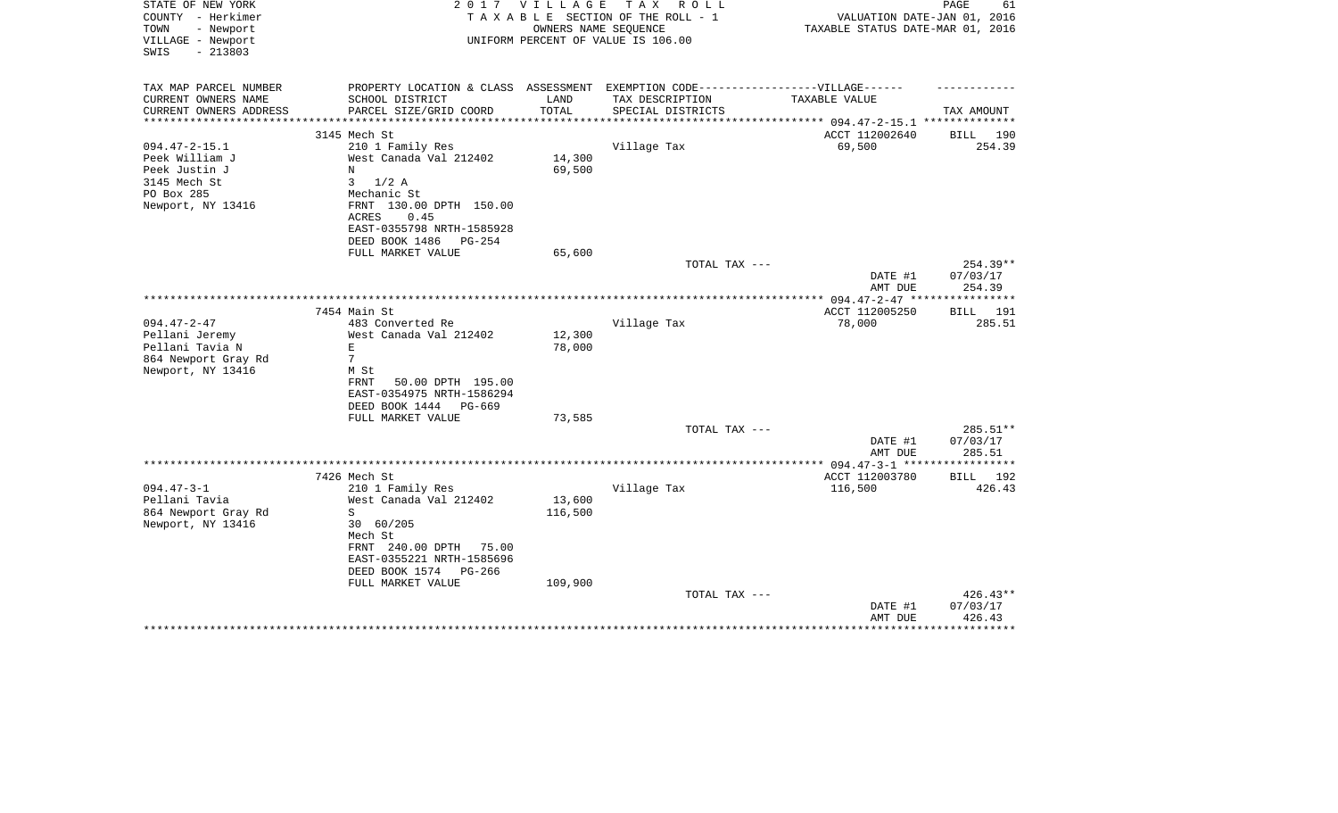| STATE OF NEW YORK<br>COUNTY - Herkimer<br>TOWN<br>- Newport | 2 0 1 7                                                                           | VILLAGE | TAX ROLL<br>TAXABLE SECTION OF THE ROLL - 1<br>OWNERS NAME SEQUENCE | VALUATION DATE-JAN 01, 2016<br>TAXABLE STATUS DATE-MAR 01, 2016 | PAGE<br>61         |
|-------------------------------------------------------------|-----------------------------------------------------------------------------------|---------|---------------------------------------------------------------------|-----------------------------------------------------------------|--------------------|
| VILLAGE - Newport<br>$-213803$<br>SWIS                      |                                                                                   |         | UNIFORM PERCENT OF VALUE IS 106.00                                  |                                                                 |                    |
| TAX MAP PARCEL NUMBER                                       | PROPERTY LOCATION & CLASS ASSESSMENT EXEMPTION CODE-----------------VILLAGE------ |         |                                                                     |                                                                 |                    |
| CURRENT OWNERS NAME                                         | SCHOOL DISTRICT                                                                   | LAND    | TAX DESCRIPTION                                                     | TAXABLE VALUE                                                   |                    |
| CURRENT OWNERS ADDRESS                                      | PARCEL SIZE/GRID COORD                                                            | TOTAL   | SPECIAL DISTRICTS                                                   |                                                                 | TAX AMOUNT         |
|                                                             |                                                                                   |         |                                                                     | ******************* 094.47-2-15.1 ***************               |                    |
|                                                             | 3145 Mech St                                                                      |         |                                                                     | ACCT 112002640                                                  | BILL 190           |
| $094.47 - 2 - 15.1$<br>Peek William J                       | 210 1 Family Res<br>West Canada Val 212402                                        | 14,300  | Village Tax                                                         | 69,500                                                          | 254.39             |
| Peek Justin J                                               | N                                                                                 | 69,500  |                                                                     |                                                                 |                    |
| 3145 Mech St                                                | 3<br>$1/2$ A                                                                      |         |                                                                     |                                                                 |                    |
| PO Box 285                                                  | Mechanic St                                                                       |         |                                                                     |                                                                 |                    |
| Newport, NY 13416                                           | FRNT 130.00 DPTH 150.00                                                           |         |                                                                     |                                                                 |                    |
|                                                             | ACRES<br>0.45                                                                     |         |                                                                     |                                                                 |                    |
|                                                             | EAST-0355798 NRTH-1585928                                                         |         |                                                                     |                                                                 |                    |
|                                                             | DEED BOOK 1486<br>PG-254                                                          |         |                                                                     |                                                                 |                    |
|                                                             | FULL MARKET VALUE                                                                 | 65,600  |                                                                     |                                                                 |                    |
|                                                             |                                                                                   |         | TOTAL TAX ---                                                       |                                                                 | $254.39**$         |
|                                                             |                                                                                   |         |                                                                     | DATE #1<br>AMT DUE                                              | 07/03/17<br>254.39 |
|                                                             |                                                                                   |         |                                                                     |                                                                 |                    |
|                                                             | 7454 Main St                                                                      |         |                                                                     | ACCT 112005250                                                  | BILL<br>191        |
| $094.47 - 2 - 47$                                           | 483 Converted Re                                                                  |         | Village Tax                                                         | 78,000                                                          | 285.51             |
| Pellani Jeremy                                              | West Canada Val 212402                                                            | 12,300  |                                                                     |                                                                 |                    |
| Pellani Tavia N                                             | Ε                                                                                 | 78,000  |                                                                     |                                                                 |                    |
| 864 Newport Gray Rd                                         | $7\phantom{.0}$                                                                   |         |                                                                     |                                                                 |                    |
| Newport, NY 13416                                           | M St                                                                              |         |                                                                     |                                                                 |                    |
|                                                             | FRNT<br>50.00 DPTH 195.00                                                         |         |                                                                     |                                                                 |                    |
|                                                             | EAST-0354975 NRTH-1586294                                                         |         |                                                                     |                                                                 |                    |
|                                                             | DEED BOOK 1444<br>$PG-669$<br>FULL MARKET VALUE                                   | 73,585  |                                                                     |                                                                 |                    |
|                                                             |                                                                                   |         | TOTAL TAX ---                                                       |                                                                 | 285.51**           |
|                                                             |                                                                                   |         |                                                                     | DATE #1                                                         | 07/03/17           |
|                                                             |                                                                                   |         |                                                                     | AMT DUE                                                         | 285.51             |
|                                                             |                                                                                   |         |                                                                     |                                                                 |                    |
|                                                             | 7426 Mech St                                                                      |         |                                                                     | ACCT 112003780                                                  | BILL 192           |
| $094.47 - 3 - 1$                                            | 210 1 Family Res                                                                  |         | Village Tax                                                         | 116,500                                                         | 426.43             |
| Pellani Tavia                                               | West Canada Val 212402                                                            | 13,600  |                                                                     |                                                                 |                    |
| 864 Newport Gray Rd                                         | S                                                                                 | 116,500 |                                                                     |                                                                 |                    |
| Newport, NY 13416                                           | 30 60/205                                                                         |         |                                                                     |                                                                 |                    |
|                                                             | Mech St<br>FRNT 240.00 DPTH<br>75.00                                              |         |                                                                     |                                                                 |                    |
|                                                             | EAST-0355221 NRTH-1585696                                                         |         |                                                                     |                                                                 |                    |
|                                                             | DEED BOOK 1574<br>PG-266                                                          |         |                                                                     |                                                                 |                    |
|                                                             | FULL MARKET VALUE                                                                 | 109,900 |                                                                     |                                                                 |                    |
|                                                             |                                                                                   |         | TOTAL TAX ---                                                       |                                                                 | $426.43**$         |
|                                                             |                                                                                   |         |                                                                     | DATE #1                                                         | 07/03/17           |
|                                                             |                                                                                   |         |                                                                     | AMT DUE                                                         | 426.43             |
|                                                             |                                                                                   |         |                                                                     |                                                                 |                    |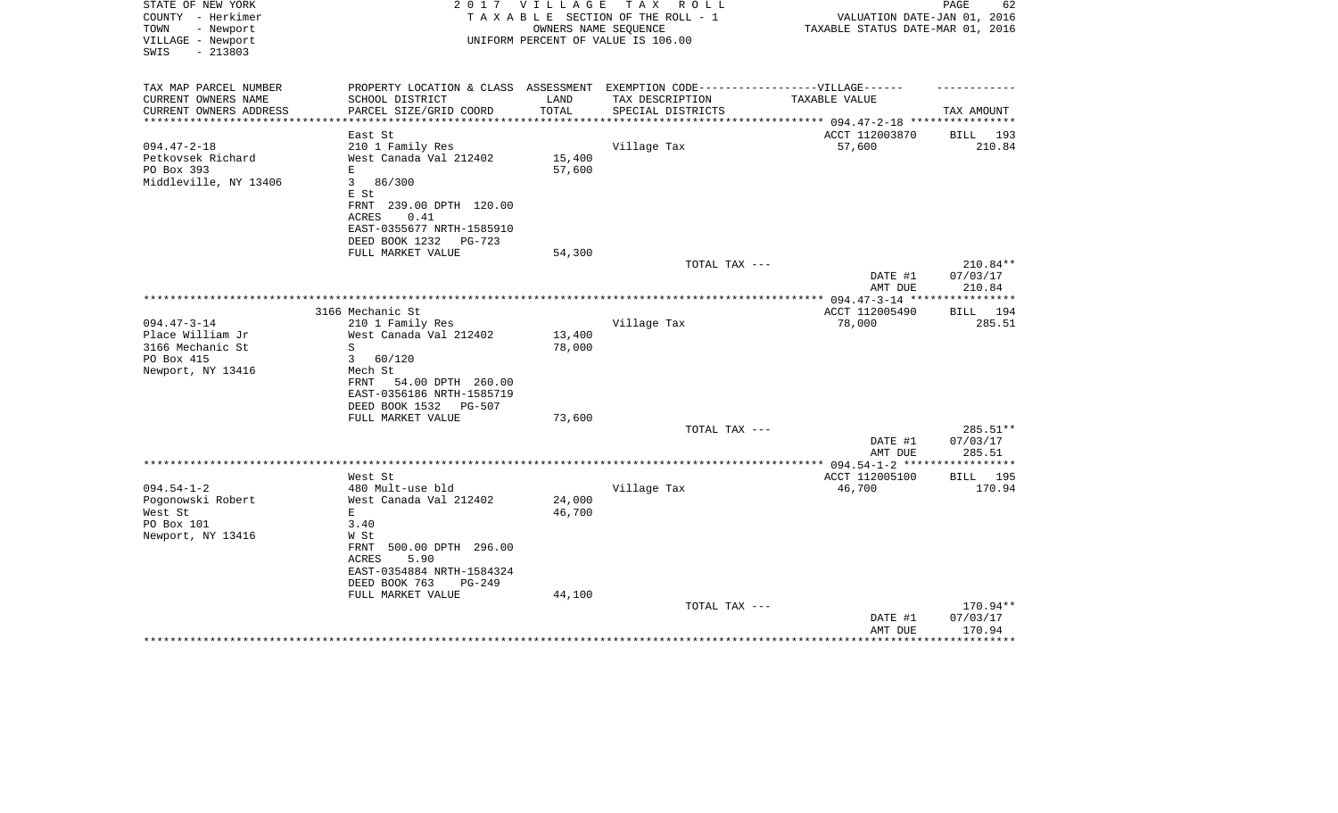| STATE OF NEW YORK<br>COUNTY - Herkimer<br>TOWN<br>- Newport<br>VILLAGE - Newport<br>$-213803$<br>SWIS | 2 0 1 7                                                                           | VILLAGE                | T A X<br>R O L L<br>TAXABLE SECTION OF THE ROLL - 1<br>OWNERS NAME SEQUENCE<br>UNIFORM PERCENT OF VALUE IS 106.00 | VALUATION DATE-JAN 01, 2016<br>TAXABLE STATUS DATE-MAR 01, 2016 | PAGE<br>62           |
|-------------------------------------------------------------------------------------------------------|-----------------------------------------------------------------------------------|------------------------|-------------------------------------------------------------------------------------------------------------------|-----------------------------------------------------------------|----------------------|
| TAX MAP PARCEL NUMBER                                                                                 | PROPERTY LOCATION & CLASS ASSESSMENT EXEMPTION CODE-----------------VILLAGE------ |                        |                                                                                                                   |                                                                 |                      |
| CURRENT OWNERS NAME                                                                                   | SCHOOL DISTRICT                                                                   | LAND                   | TAX DESCRIPTION                                                                                                   | TAXABLE VALUE                                                   |                      |
| CURRENT OWNERS ADDRESS<br>**********************                                                      | PARCEL SIZE/GRID COORD<br>***********************                                 | TOTAL<br>************* | SPECIAL DISTRICTS                                                                                                 |                                                                 | TAX AMOUNT           |
|                                                                                                       | East St                                                                           |                        |                                                                                                                   | ACCT 112003870                                                  | BILL 193             |
| $094.47 - 2 - 18$                                                                                     | 210 1 Family Res                                                                  |                        | Village Tax                                                                                                       | 57,600                                                          | 210.84               |
| Petkovsek Richard                                                                                     | West Canada Val 212402                                                            | 15,400                 |                                                                                                                   |                                                                 |                      |
| PO Box 393                                                                                            | E                                                                                 | 57,600                 |                                                                                                                   |                                                                 |                      |
| Middleville, NY 13406                                                                                 | 86/300<br>3                                                                       |                        |                                                                                                                   |                                                                 |                      |
|                                                                                                       | E St                                                                              |                        |                                                                                                                   |                                                                 |                      |
|                                                                                                       | FRNT 239.00 DPTH 120.00                                                           |                        |                                                                                                                   |                                                                 |                      |
|                                                                                                       | <b>ACRES</b><br>0.41                                                              |                        |                                                                                                                   |                                                                 |                      |
|                                                                                                       | EAST-0355677 NRTH-1585910                                                         |                        |                                                                                                                   |                                                                 |                      |
|                                                                                                       | DEED BOOK 1232<br>PG-723                                                          |                        |                                                                                                                   |                                                                 |                      |
|                                                                                                       | FULL MARKET VALUE                                                                 | 54,300                 |                                                                                                                   |                                                                 |                      |
|                                                                                                       |                                                                                   |                        | TOTAL TAX ---                                                                                                     |                                                                 | 210.84**             |
|                                                                                                       |                                                                                   |                        |                                                                                                                   | DATE #1                                                         | 07/03/17             |
|                                                                                                       |                                                                                   |                        |                                                                                                                   | AMT DUE                                                         | 210.84               |
|                                                                                                       | 3166 Mechanic St                                                                  |                        |                                                                                                                   | ACCT 112005490                                                  | 194<br>BILL          |
| $094.47 - 3 - 14$                                                                                     | 210 1 Family Res                                                                  |                        | Village Tax                                                                                                       | 78,000                                                          | 285.51               |
| Place William Jr                                                                                      | West Canada Val 212402                                                            | 13,400                 |                                                                                                                   |                                                                 |                      |
| 3166 Mechanic St                                                                                      | S                                                                                 | 78,000                 |                                                                                                                   |                                                                 |                      |
| PO Box 415                                                                                            | 3<br>60/120                                                                       |                        |                                                                                                                   |                                                                 |                      |
| Newport, NY 13416                                                                                     | Mech St                                                                           |                        |                                                                                                                   |                                                                 |                      |
|                                                                                                       | FRNT<br>54.00 DPTH 260.00                                                         |                        |                                                                                                                   |                                                                 |                      |
|                                                                                                       | EAST-0356186 NRTH-1585719                                                         |                        |                                                                                                                   |                                                                 |                      |
|                                                                                                       | DEED BOOK 1532<br>PG-507                                                          |                        |                                                                                                                   |                                                                 |                      |
|                                                                                                       | FULL MARKET VALUE                                                                 | 73,600                 |                                                                                                                   |                                                                 |                      |
|                                                                                                       |                                                                                   |                        | TOTAL TAX ---                                                                                                     | DATE #1                                                         | 285.51**<br>07/03/17 |
|                                                                                                       |                                                                                   |                        |                                                                                                                   | AMT DUE                                                         | 285.51               |
|                                                                                                       |                                                                                   |                        | *********************                                                                                             | ** $094.54 - 1 - 2$ ***                                         | **********           |
|                                                                                                       | West St                                                                           |                        |                                                                                                                   | ACCT 112005100                                                  | <b>BILL</b> 195      |
| $094.54 - 1 - 2$                                                                                      | 480 Mult-use bld                                                                  |                        | Village Tax                                                                                                       | 46,700                                                          | 170.94               |
| Pogonowski Robert                                                                                     | West Canada Val 212402                                                            | 24,000                 |                                                                                                                   |                                                                 |                      |
| West St                                                                                               | E                                                                                 | 46,700                 |                                                                                                                   |                                                                 |                      |
| PO Box 101                                                                                            | 3.40                                                                              |                        |                                                                                                                   |                                                                 |                      |
| Newport, NY 13416                                                                                     | W St                                                                              |                        |                                                                                                                   |                                                                 |                      |
|                                                                                                       | FRNT 500.00 DPTH 296.00                                                           |                        |                                                                                                                   |                                                                 |                      |
|                                                                                                       | ACRES<br>5.90                                                                     |                        |                                                                                                                   |                                                                 |                      |
|                                                                                                       | EAST-0354884 NRTH-1584324                                                         |                        |                                                                                                                   |                                                                 |                      |
|                                                                                                       | DEED BOOK 763<br>$PG-249$                                                         |                        |                                                                                                                   |                                                                 |                      |
|                                                                                                       | FULL MARKET VALUE                                                                 | 44,100                 | TOTAL TAX ---                                                                                                     |                                                                 | 170.94**             |
|                                                                                                       |                                                                                   |                        |                                                                                                                   | DATE #1                                                         | 07/03/17             |
|                                                                                                       |                                                                                   |                        |                                                                                                                   | AMT DUE                                                         | 170.94               |
|                                                                                                       |                                                                                   |                        |                                                                                                                   |                                                                 |                      |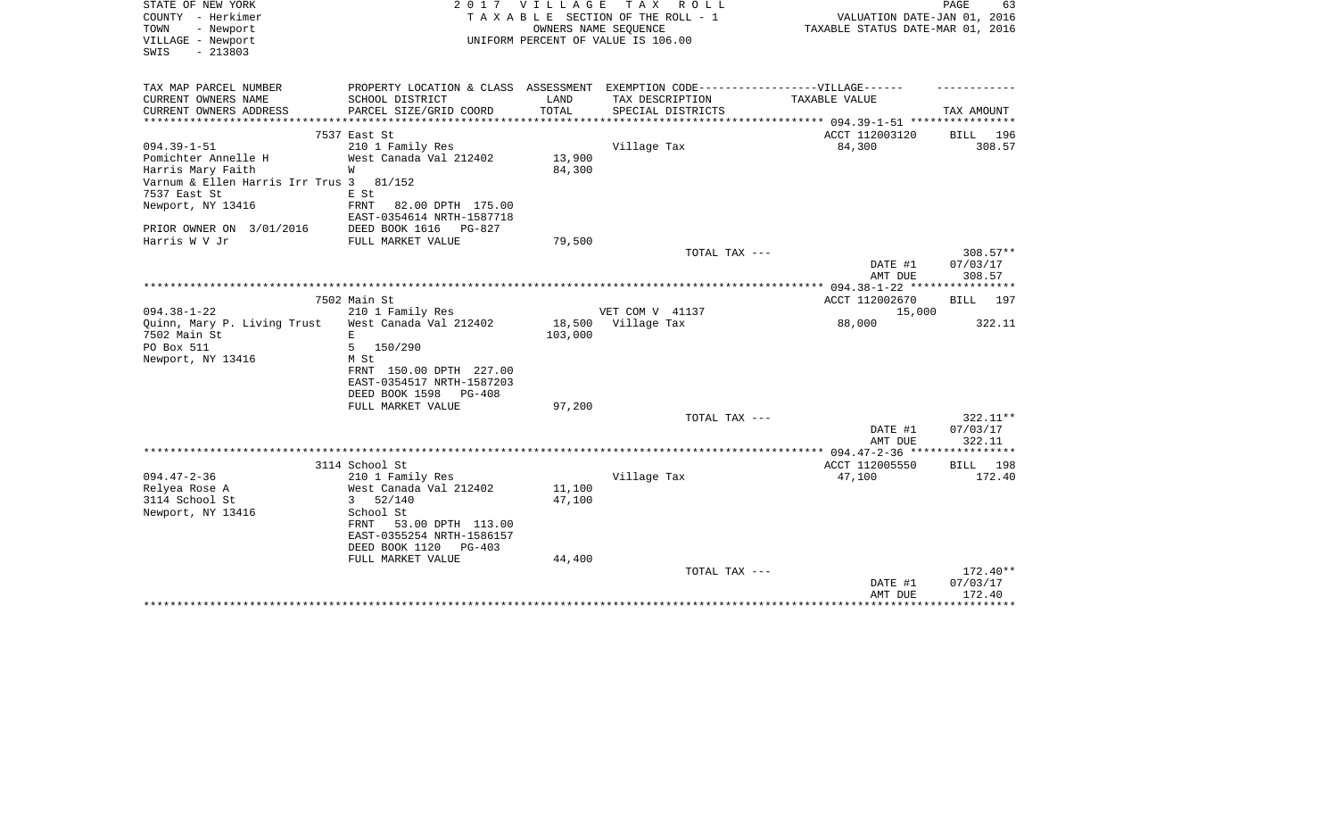| STATE OF NEW YORK<br>COUNTY - Herkimer<br>TOWN<br>- Newport<br>VILLAGE - Newport<br>$-213803$<br>SWIS |                                                               | 2017 VILLAGE<br>OWNERS NAME SEQUENCE | TAX ROLL<br>TAXABLE SECTION OF THE ROLL - 1<br>UNIFORM PERCENT OF VALUE IS 106.00 | VALUATION DATE-JAN 01, 2016<br>TAXABLE STATUS DATE-MAR 01, 2016 | PAGE<br>63                       |
|-------------------------------------------------------------------------------------------------------|---------------------------------------------------------------|--------------------------------------|-----------------------------------------------------------------------------------|-----------------------------------------------------------------|----------------------------------|
| TAX MAP PARCEL NUMBER                                                                                 |                                                               | LAND                                 | PROPERTY LOCATION & CLASS ASSESSMENT EXEMPTION CODE-----------------VILLAGE------ |                                                                 |                                  |
| CURRENT OWNERS NAME<br>CURRENT OWNERS ADDRESS                                                         | SCHOOL DISTRICT<br>PARCEL SIZE/GRID COORD                     | <b>TOTAL</b>                         | TAX DESCRIPTION<br>SPECIAL DISTRICTS                                              | TAXABLE VALUE                                                   | TAX AMOUNT                       |
| ***********************                                                                               | ****************************                                  |                                      |                                                                                   |                                                                 |                                  |
|                                                                                                       | 7537 East St                                                  |                                      |                                                                                   | ACCT 112003120                                                  | BILL 196                         |
| $094.39 - 1 - 51$                                                                                     | 210 1 Family Res                                              |                                      | Village Tax                                                                       | 84,300                                                          | 308.57                           |
| Pomichter Annelle H                                                                                   | West Canada Val 212402                                        | 13,900                               |                                                                                   |                                                                 |                                  |
| Harris Mary Faith                                                                                     | W                                                             | 84,300                               |                                                                                   |                                                                 |                                  |
| Varnum & Ellen Harris Irr Trus 3<br>7537 East St                                                      | 81/152<br>E St                                                |                                      |                                                                                   |                                                                 |                                  |
| Newport, NY 13416                                                                                     | <b>FRNT</b><br>82.00 DPTH 175.00<br>EAST-0354614 NRTH-1587718 |                                      |                                                                                   |                                                                 |                                  |
| PRIOR OWNER ON 3/01/2016                                                                              | DEED BOOK 1616<br>PG-827                                      |                                      |                                                                                   |                                                                 |                                  |
| Harris W V Jr                                                                                         | FULL MARKET VALUE                                             | 79,500                               |                                                                                   |                                                                 |                                  |
|                                                                                                       |                                                               |                                      | TOTAL TAX ---                                                                     | DATE #1<br>AMT DUE                                              | $308.57**$<br>07/03/17<br>308.57 |
|                                                                                                       |                                                               |                                      |                                                                                   | **************** 094.38-1-22 *****************                  |                                  |
|                                                                                                       | 7502 Main St                                                  |                                      |                                                                                   | ACCT 112002670                                                  | BILL 197                         |
| $094.38 - 1 - 22$                                                                                     | 210 1 Family Res                                              |                                      | VET COM V 41137                                                                   | 15,000                                                          |                                  |
| Ouinn, Mary P. Living Trust                                                                           | West Canada Val 212402                                        | 18,500                               | Village Tax                                                                       | 88,000                                                          | 322.11                           |
| 7502 Main St                                                                                          | E.                                                            | 103,000                              |                                                                                   |                                                                 |                                  |
| PO Box 511                                                                                            | 5<br>150/290                                                  |                                      |                                                                                   |                                                                 |                                  |
| Newport, NY 13416                                                                                     | M St                                                          |                                      |                                                                                   |                                                                 |                                  |
|                                                                                                       | FRNT 150.00 DPTH 227.00                                       |                                      |                                                                                   |                                                                 |                                  |
|                                                                                                       | EAST-0354517 NRTH-1587203                                     |                                      |                                                                                   |                                                                 |                                  |
|                                                                                                       | DEED BOOK 1598<br>PG-408                                      |                                      |                                                                                   |                                                                 |                                  |
|                                                                                                       | FULL MARKET VALUE                                             | 97,200                               |                                                                                   |                                                                 |                                  |
|                                                                                                       |                                                               |                                      | TOTAL TAX ---                                                                     |                                                                 | 322.11**                         |
|                                                                                                       |                                                               |                                      |                                                                                   | DATE #1                                                         | 07/03/17                         |
|                                                                                                       |                                                               |                                      |                                                                                   | AMT DUE                                                         | 322.11                           |
|                                                                                                       | 3114 School St                                                |                                      |                                                                                   | ACCT 112005550                                                  | BILL 198                         |
| $094.47 - 2 - 36$                                                                                     | 210 1 Family Res                                              |                                      | Village Tax                                                                       | 47,100                                                          | 172.40                           |
| Relyea Rose A                                                                                         | West Canada Val 212402                                        | 11,100                               |                                                                                   |                                                                 |                                  |
| 3114 School St                                                                                        | $3\ 52/140$                                                   | 47,100                               |                                                                                   |                                                                 |                                  |
| Newport, NY 13416                                                                                     | School St                                                     |                                      |                                                                                   |                                                                 |                                  |
|                                                                                                       | 53.00 DPTH 113.00<br>FRNT                                     |                                      |                                                                                   |                                                                 |                                  |
|                                                                                                       | EAST-0355254 NRTH-1586157                                     |                                      |                                                                                   |                                                                 |                                  |
|                                                                                                       | DEED BOOK 1120<br>PG-403                                      |                                      |                                                                                   |                                                                 |                                  |
|                                                                                                       | FULL MARKET VALUE                                             | 44,400                               |                                                                                   |                                                                 |                                  |
|                                                                                                       |                                                               |                                      | TOTAL TAX ---                                                                     |                                                                 | $172.40**$                       |
|                                                                                                       |                                                               |                                      |                                                                                   | DATE #1                                                         | 07/03/17                         |
|                                                                                                       |                                                               |                                      |                                                                                   | AMT DUE                                                         | 172.40<br>**********             |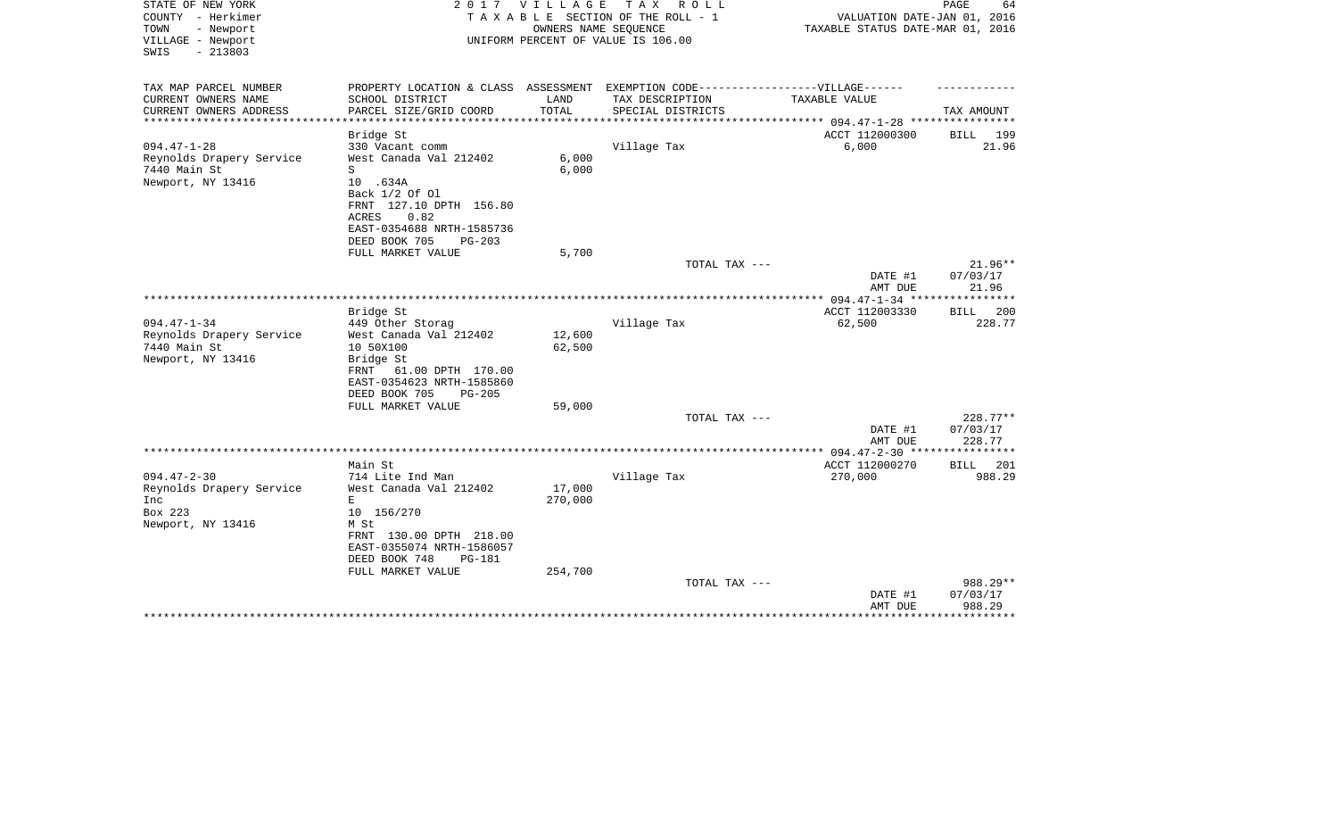| STATE OF NEW YORK<br>COUNTY - Herkimer                      | 2 0 1 7                                          | V I L L A G E           | T A X<br>R O L L<br>TAXABLE SECTION OF THE ROLL - 1        | VALUATION DATE-JAN 01, 2016               | PAGE<br>64               |
|-------------------------------------------------------------|--------------------------------------------------|-------------------------|------------------------------------------------------------|-------------------------------------------|--------------------------|
| - Newport<br>TOWN<br>VILLAGE - Newport<br>$-213803$<br>SWIS |                                                  |                         | OWNERS NAME SEQUENCE<br>UNIFORM PERCENT OF VALUE IS 106.00 | TAXABLE STATUS DATE-MAR 01, 2016          |                          |
| TAX MAP PARCEL NUMBER                                       | PROPERTY LOCATION & CLASS ASSESSMENT             |                         | EXEMPTION CODE------------------VILLAGE------              |                                           |                          |
| CURRENT OWNERS NAME                                         | SCHOOL DISTRICT                                  | LAND                    | TAX DESCRIPTION                                            | TAXABLE VALUE                             |                          |
| CURRENT OWNERS ADDRESS<br>*********************             | PARCEL SIZE/GRID COORD<br>********************** | TOTAL<br>************** | SPECIAL DISTRICTS                                          |                                           | TAX AMOUNT               |
|                                                             | Bridge St                                        |                         |                                                            | ACCT 112000300                            | BILL<br>199              |
| $094.47 - 1 - 28$                                           | 330 Vacant comm                                  |                         | Village Tax                                                | 6,000                                     | 21.96                    |
| Reynolds Drapery Service                                    | West Canada Val 212402                           | 6,000                   |                                                            |                                           |                          |
| 7440 Main St                                                | S                                                | 6,000                   |                                                            |                                           |                          |
| Newport, NY 13416                                           | 10 .634A                                         |                         |                                                            |                                           |                          |
|                                                             | Back 1/2 Of 01                                   |                         |                                                            |                                           |                          |
|                                                             | FRNT 127.10 DPTH 156.80                          |                         |                                                            |                                           |                          |
|                                                             | 0.82<br>ACRES                                    |                         |                                                            |                                           |                          |
|                                                             | EAST-0354688 NRTH-1585736                        |                         |                                                            |                                           |                          |
|                                                             | DEED BOOK 705<br>$PG-203$                        |                         |                                                            |                                           |                          |
|                                                             | FULL MARKET VALUE                                | 5,700                   |                                                            |                                           |                          |
|                                                             |                                                  |                         | TOTAL TAX ---                                              |                                           | 21.96**                  |
|                                                             |                                                  |                         |                                                            | DATE #1                                   | 07/03/17                 |
|                                                             |                                                  |                         |                                                            | AMT DUE                                   | 21.96<br>* * * * * * * * |
|                                                             |                                                  |                         |                                                            | *** $094.47 - 1 - 34$ ***                 |                          |
| $094.47 - 1 - 34$                                           | Bridge St                                        |                         |                                                            | ACCT 112003330                            | 200<br>BILL              |
|                                                             | 449 Other Storag<br>West Canada Val 212402       | 12,600                  | Village Tax                                                | 62,500                                    | 228.77                   |
| Reynolds Drapery Service<br>7440 Main St                    |                                                  | 62,500                  |                                                            |                                           |                          |
| Newport, NY 13416                                           | 10 50X100<br>Bridge St                           |                         |                                                            |                                           |                          |
|                                                             | 61.00 DPTH 170.00<br>FRNT                        |                         |                                                            |                                           |                          |
|                                                             | EAST-0354623 NRTH-1585860                        |                         |                                                            |                                           |                          |
|                                                             | DEED BOOK 705<br>$PG-205$                        |                         |                                                            |                                           |                          |
|                                                             | FULL MARKET VALUE                                | 59,000                  |                                                            |                                           |                          |
|                                                             |                                                  |                         | TOTAL TAX ---                                              |                                           | 228.77**                 |
|                                                             |                                                  |                         |                                                            | DATE #1                                   | 07/03/17                 |
|                                                             |                                                  |                         |                                                            | AMT DUE                                   | 228.77                   |
|                                                             |                                                  |                         |                                                            | *********** 094.47-2-30 ***************** |                          |
|                                                             | Main St                                          |                         |                                                            | ACCT 112000270                            | 201<br><b>BILL</b>       |
| $094.47 - 2 - 30$                                           | 714 Lite Ind Man                                 |                         | Village Tax                                                | 270,000                                   | 988.29                   |
| Reynolds Drapery Service                                    | West Canada Val 212402                           | 17,000                  |                                                            |                                           |                          |
| Inc                                                         | E                                                | 270,000                 |                                                            |                                           |                          |
| Box 223                                                     | 10 156/270                                       |                         |                                                            |                                           |                          |
| Newport, NY 13416                                           | M St                                             |                         |                                                            |                                           |                          |
|                                                             | FRNT 130.00 DPTH 218.00                          |                         |                                                            |                                           |                          |
|                                                             | EAST-0355074 NRTH-1586057                        |                         |                                                            |                                           |                          |
|                                                             | DEED BOOK 748<br><b>PG-181</b>                   |                         |                                                            |                                           |                          |
|                                                             | FULL MARKET VALUE                                | 254,700                 |                                                            |                                           |                          |
|                                                             |                                                  |                         | TOTAL TAX ---                                              |                                           | 988.29**                 |
|                                                             |                                                  |                         |                                                            | DATE #1                                   | 07/03/17                 |
|                                                             |                                                  |                         |                                                            | AMT DUE                                   | 988.29<br>*******        |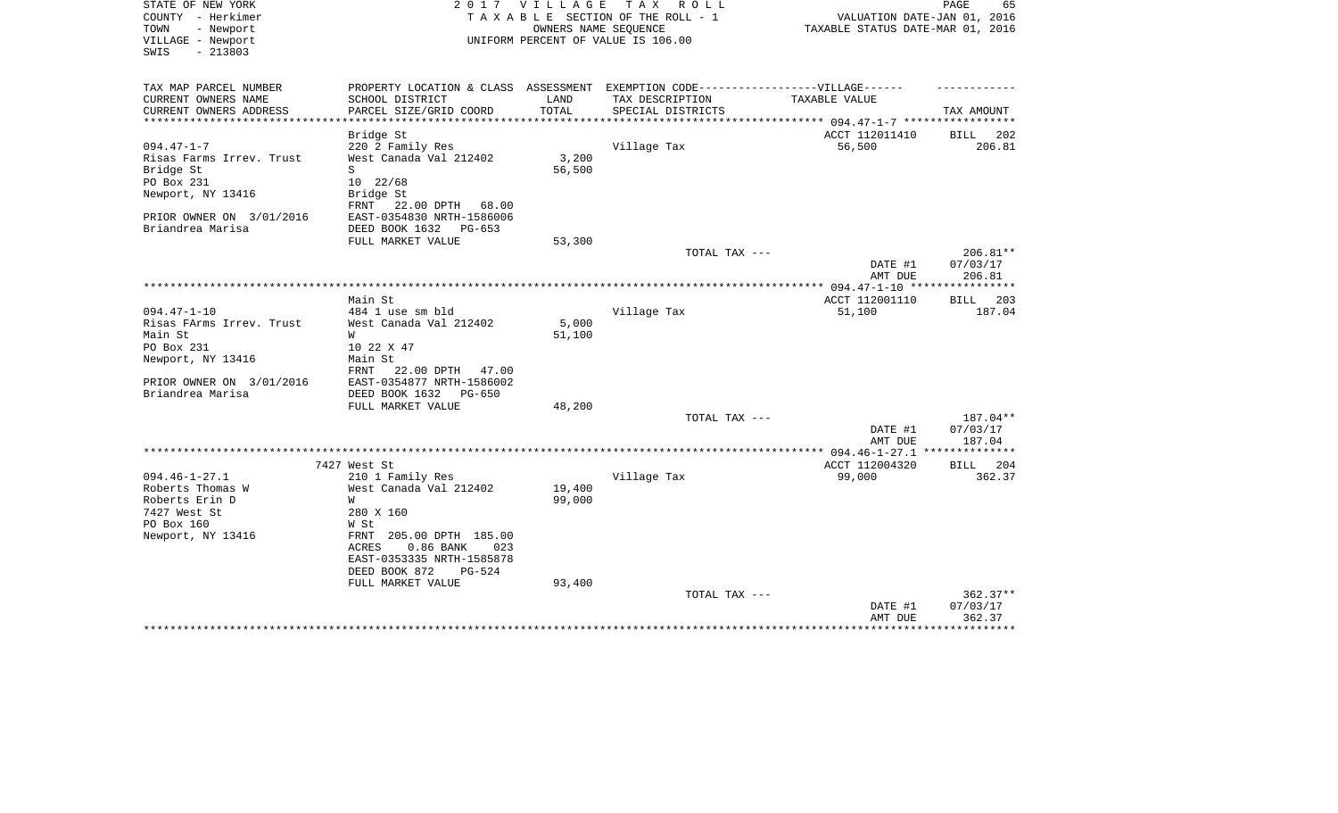| STATE OF NEW YORK<br>COUNTY - Herkimer<br>TOWN<br>- Newport<br>VILLAGE - Newport<br>SWIS<br>$-213803$ | 2017                                  | V I L L A G E         | T A X<br>R O L L<br>TAXABLE SECTION OF THE ROLL - 1<br>OWNERS NAME SEQUENCE<br>UNIFORM PERCENT OF VALUE IS 106.00 | VALUATION DATE-JAN 01, 2016<br>TAXABLE STATUS DATE-MAR 01, 2016 | PAGE<br>65                     |
|-------------------------------------------------------------------------------------------------------|---------------------------------------|-----------------------|-------------------------------------------------------------------------------------------------------------------|-----------------------------------------------------------------|--------------------------------|
| TAX MAP PARCEL NUMBER                                                                                 | PROPERTY LOCATION & CLASS ASSESSMENT  |                       | EXEMPTION CODE------------------VILLAGE------                                                                     |                                                                 |                                |
| CURRENT OWNERS NAME                                                                                   | SCHOOL DISTRICT                       | LAND                  | TAX DESCRIPTION                                                                                                   | TAXABLE VALUE                                                   |                                |
| CURRENT OWNERS ADDRESS<br>*********************                                                       | PARCEL SIZE/GRID COORD                | TOTAL<br>************ | SPECIAL DISTRICTS                                                                                                 |                                                                 | TAX AMOUNT                     |
|                                                                                                       | Bridge St                             |                       |                                                                                                                   | ACCT 112011410                                                  | 202<br>BILL                    |
| $094.47 - 1 - 7$                                                                                      | 220 2 Family Res                      |                       | Village Tax                                                                                                       | 56,500                                                          | 206.81                         |
| Risas Farms Irrev. Trust                                                                              | West Canada Val 212402                | 3,200                 |                                                                                                                   |                                                                 |                                |
| Bridge St                                                                                             | S                                     | 56,500                |                                                                                                                   |                                                                 |                                |
| PO Box 231                                                                                            | 10 22/68                              |                       |                                                                                                                   |                                                                 |                                |
| Newport, NY 13416                                                                                     | Bridge St<br>FRNT 22.00 DPTH<br>68.00 |                       |                                                                                                                   |                                                                 |                                |
| PRIOR OWNER ON 3/01/2016                                                                              | EAST-0354830 NRTH-1586006             |                       |                                                                                                                   |                                                                 |                                |
| Briandrea Marisa                                                                                      | DEED BOOK 1632<br>PG-653              |                       |                                                                                                                   |                                                                 |                                |
|                                                                                                       | FULL MARKET VALUE                     | 53,300                |                                                                                                                   |                                                                 |                                |
|                                                                                                       |                                       |                       | TOTAL TAX ---                                                                                                     | DATE #1<br>AMT DUE                                              | 206.81**<br>07/03/17<br>206.81 |
|                                                                                                       |                                       |                       |                                                                                                                   |                                                                 | * * * * * * * * * * *          |
|                                                                                                       | Main St                               |                       |                                                                                                                   | ACCT 112001110                                                  | 203<br>BILL                    |
| $094.47 - 1 - 10$                                                                                     | 484 1 use sm bld                      |                       | Village Tax                                                                                                       | 51,100                                                          | 187.04                         |
| Risas FArms Irrev. Trust                                                                              | West Canada Val 212402                | 5,000                 |                                                                                                                   |                                                                 |                                |
| Main St<br>PO Box 231                                                                                 | W<br>10 22 X 47                       | 51,100                |                                                                                                                   |                                                                 |                                |
| Newport, NY 13416                                                                                     | Main St                               |                       |                                                                                                                   |                                                                 |                                |
|                                                                                                       | 22.00 DPTH<br>FRNT<br>47.00           |                       |                                                                                                                   |                                                                 |                                |
| PRIOR OWNER ON 3/01/2016                                                                              | EAST-0354877 NRTH-1586002             |                       |                                                                                                                   |                                                                 |                                |
| Briandrea Marisa                                                                                      | DEED BOOK 1632<br>PG-650              |                       |                                                                                                                   |                                                                 |                                |
|                                                                                                       | FULL MARKET VALUE                     | 48,200                |                                                                                                                   |                                                                 |                                |
|                                                                                                       |                                       |                       | TOTAL TAX ---                                                                                                     |                                                                 | 187.04**                       |
|                                                                                                       |                                       |                       |                                                                                                                   | DATE #1<br>AMT DUE                                              | 07/03/17<br>187.04             |
|                                                                                                       |                                       |                       |                                                                                                                   | *** $094.46 - 1 - 27.1$                                         | **************                 |
|                                                                                                       | 7427 West St                          |                       |                                                                                                                   | ACCT 112004320                                                  | 204<br>BILL                    |
| $094.46 - 1 - 27.1$                                                                                   | 210 1 Family Res                      |                       | Village Tax                                                                                                       | 99,000                                                          | 362.37                         |
| Roberts Thomas W                                                                                      | West Canada Val 212402                | 19,400                |                                                                                                                   |                                                                 |                                |
| Roberts Erin D                                                                                        | W                                     | 99,000                |                                                                                                                   |                                                                 |                                |
| 7427 West St<br>PO Box 160                                                                            | 280 X 160<br>W St                     |                       |                                                                                                                   |                                                                 |                                |
| Newport, NY 13416                                                                                     | 205.00 DPTH 185.00<br>FRNT            |                       |                                                                                                                   |                                                                 |                                |
|                                                                                                       | ACRES<br>$0.86$ BANK<br>023           |                       |                                                                                                                   |                                                                 |                                |
|                                                                                                       | EAST-0353335 NRTH-1585878             |                       |                                                                                                                   |                                                                 |                                |
|                                                                                                       | DEED BOOK 872<br>PG-524               |                       |                                                                                                                   |                                                                 |                                |
|                                                                                                       | FULL MARKET VALUE                     | 93,400                | TOTAL TAX ---                                                                                                     |                                                                 | 362.37**                       |
|                                                                                                       |                                       |                       |                                                                                                                   | DATE #1                                                         | 07/03/17                       |
|                                                                                                       |                                       |                       |                                                                                                                   | AMT DUE                                                         | 362.37                         |
|                                                                                                       |                                       |                       |                                                                                                                   |                                                                 | ********                       |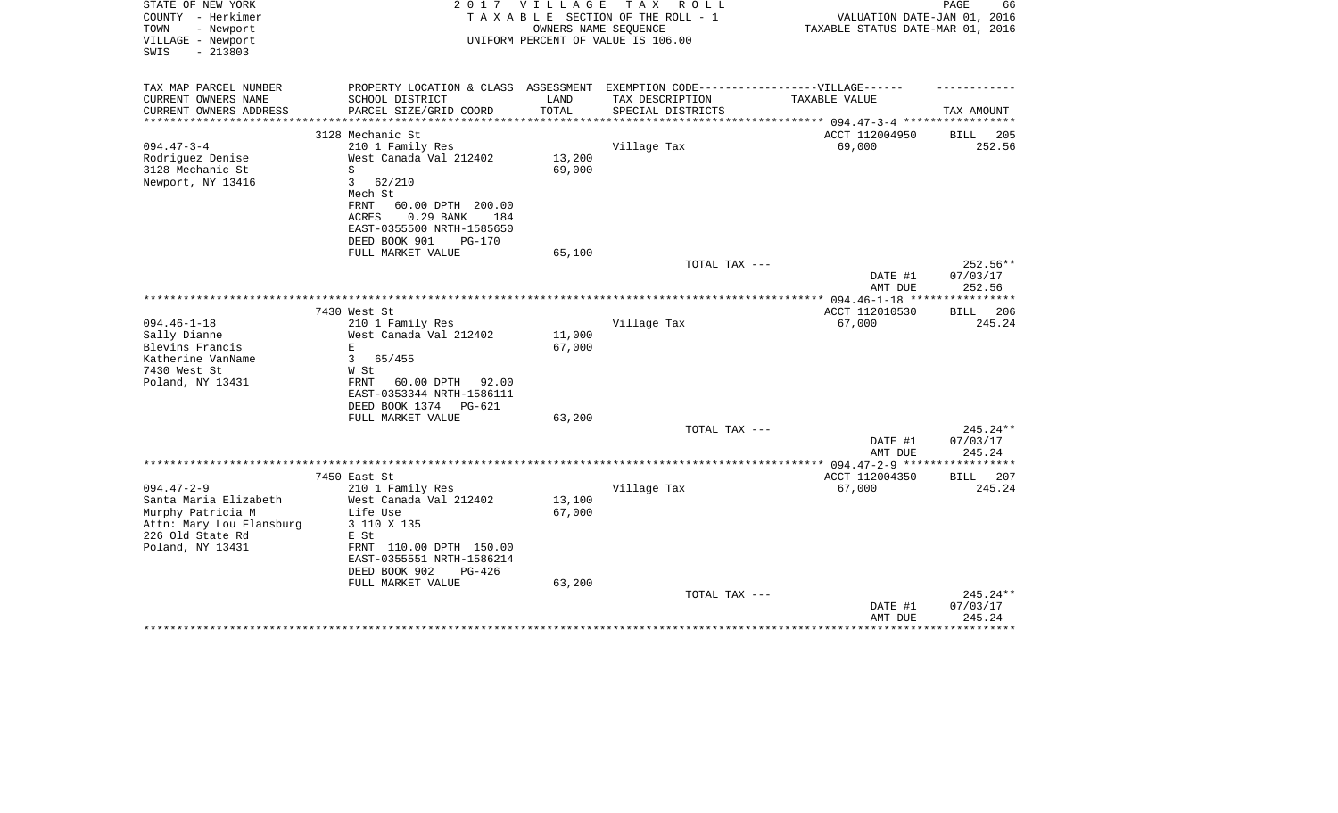| STATE OF NEW YORK<br>COUNTY - Herkimer<br>TOWN<br>- Newport<br>VILLAGE - Newport<br>$-213803$<br>SWIS | 2017                                                                             | <b>VILLAGE</b> | T A X<br>R O L L<br>TAXABLE SECTION OF THE ROLL - 1<br>OWNERS NAME SEOUENCE<br>UNIFORM PERCENT OF VALUE IS 106.00 | VALUATION DATE-JAN 01, 2016<br>TAXABLE STATUS DATE-MAR 01, 2016 | PAGE<br>66                     |
|-------------------------------------------------------------------------------------------------------|----------------------------------------------------------------------------------|----------------|-------------------------------------------------------------------------------------------------------------------|-----------------------------------------------------------------|--------------------------------|
| TAX MAP PARCEL NUMBER                                                                                 | PROPERTY LOCATION & CLASS ASSESSMENT EXEMPTION CODE----------------VILLAGE------ |                |                                                                                                                   |                                                                 |                                |
| CURRENT OWNERS NAME<br>CURRENT OWNERS ADDRESS                                                         | SCHOOL DISTRICT<br>PARCEL SIZE/GRID COORD                                        | LAND<br>TOTAL  | TAX DESCRIPTION<br>SPECIAL DISTRICTS                                                                              | TAXABLE VALUE                                                   | TAX AMOUNT                     |
| **********************                                                                                |                                                                                  |                |                                                                                                                   |                                                                 |                                |
|                                                                                                       | 3128 Mechanic St                                                                 |                |                                                                                                                   | ACCT 112004950                                                  | 205<br>BILL                    |
| $094.47 - 3 - 4$                                                                                      | 210 1 Family Res                                                                 |                | Village Tax                                                                                                       | 69,000                                                          | 252.56                         |
| Rodriguez Denise                                                                                      | West Canada Val 212402                                                           | 13,200         |                                                                                                                   |                                                                 |                                |
| 3128 Mechanic St                                                                                      | S                                                                                | 69,000         |                                                                                                                   |                                                                 |                                |
| Newport, NY 13416                                                                                     | 3<br>62/210<br>Mech St                                                           |                |                                                                                                                   |                                                                 |                                |
|                                                                                                       | FRNT<br>60.00 DPTH 200.00                                                        |                |                                                                                                                   |                                                                 |                                |
|                                                                                                       | 0.29 BANK<br>ACRES<br>184                                                        |                |                                                                                                                   |                                                                 |                                |
|                                                                                                       | EAST-0355500 NRTH-1585650                                                        |                |                                                                                                                   |                                                                 |                                |
|                                                                                                       | DEED BOOK 901<br><b>PG-170</b>                                                   |                |                                                                                                                   |                                                                 |                                |
|                                                                                                       | FULL MARKET VALUE                                                                | 65,100         |                                                                                                                   |                                                                 |                                |
|                                                                                                       |                                                                                  |                | TOTAL TAX ---                                                                                                     | DATE #1<br>AMT DUE                                              | 252.56**<br>07/03/17<br>252.56 |
|                                                                                                       |                                                                                  |                |                                                                                                                   |                                                                 |                                |
|                                                                                                       | 7430 West St                                                                     |                |                                                                                                                   | ACCT 112010530                                                  | <b>BILL</b><br>206             |
| $094.46 - 1 - 18$                                                                                     | 210 1 Family Res                                                                 |                | Village Tax                                                                                                       | 67,000                                                          | 245.24                         |
| Sally Dianne                                                                                          | West Canada Val 212402                                                           | 11,000         |                                                                                                                   |                                                                 |                                |
| Blevins Francis                                                                                       | $\mathbf E$                                                                      | 67,000         |                                                                                                                   |                                                                 |                                |
| Katherine VanName                                                                                     | $\mathbf{3}$<br>65/455                                                           |                |                                                                                                                   |                                                                 |                                |
| 7430 West St                                                                                          | W St                                                                             |                |                                                                                                                   |                                                                 |                                |
| Poland, NY 13431                                                                                      | 60.00 DPTH 92.00<br>FRNT                                                         |                |                                                                                                                   |                                                                 |                                |
|                                                                                                       | EAST-0353344 NRTH-1586111                                                        |                |                                                                                                                   |                                                                 |                                |
|                                                                                                       | DEED BOOK 1374<br>PG-621<br>FULL MARKET VALUE                                    | 63,200         |                                                                                                                   |                                                                 |                                |
|                                                                                                       |                                                                                  |                | TOTAL TAX ---                                                                                                     |                                                                 | $245.24**$                     |
|                                                                                                       |                                                                                  |                |                                                                                                                   | DATE #1                                                         | 07/03/17                       |
|                                                                                                       |                                                                                  |                |                                                                                                                   | AMT DUE                                                         | 245.24                         |
|                                                                                                       |                                                                                  |                |                                                                                                                   | *************** 094.47-2-9 ******************                   |                                |
|                                                                                                       | 7450 East St                                                                     |                |                                                                                                                   | ACCT 112004350                                                  | BILL<br>207                    |
| $094.47 - 2 - 9$                                                                                      | 210 1 Family Res                                                                 |                | Village Tax                                                                                                       | 67,000                                                          | 245.24                         |
| Santa Maria Elizabeth                                                                                 | West Canada Val 212402                                                           | 13,100         |                                                                                                                   |                                                                 |                                |
| Murphy Patricia M                                                                                     | Life Use                                                                         | 67,000         |                                                                                                                   |                                                                 |                                |
| Attn: Mary Lou Flansburg                                                                              | 3 110 X 135                                                                      |                |                                                                                                                   |                                                                 |                                |
| 226 Old State Rd<br>Poland, NY 13431                                                                  | E St                                                                             |                |                                                                                                                   |                                                                 |                                |
|                                                                                                       | FRNT 110.00 DPTH 150.00<br>EAST-0355551 NRTH-1586214                             |                |                                                                                                                   |                                                                 |                                |
|                                                                                                       | DEED BOOK 902<br>PG-426                                                          |                |                                                                                                                   |                                                                 |                                |
|                                                                                                       | FULL MARKET VALUE                                                                | 63,200         |                                                                                                                   |                                                                 |                                |
|                                                                                                       |                                                                                  |                | TOTAL TAX ---                                                                                                     |                                                                 | $245.24**$                     |
|                                                                                                       |                                                                                  |                |                                                                                                                   | DATE #1                                                         | 07/03/17                       |
|                                                                                                       |                                                                                  |                |                                                                                                                   | AMT DUE                                                         | 245.24                         |
|                                                                                                       |                                                                                  |                |                                                                                                                   |                                                                 |                                |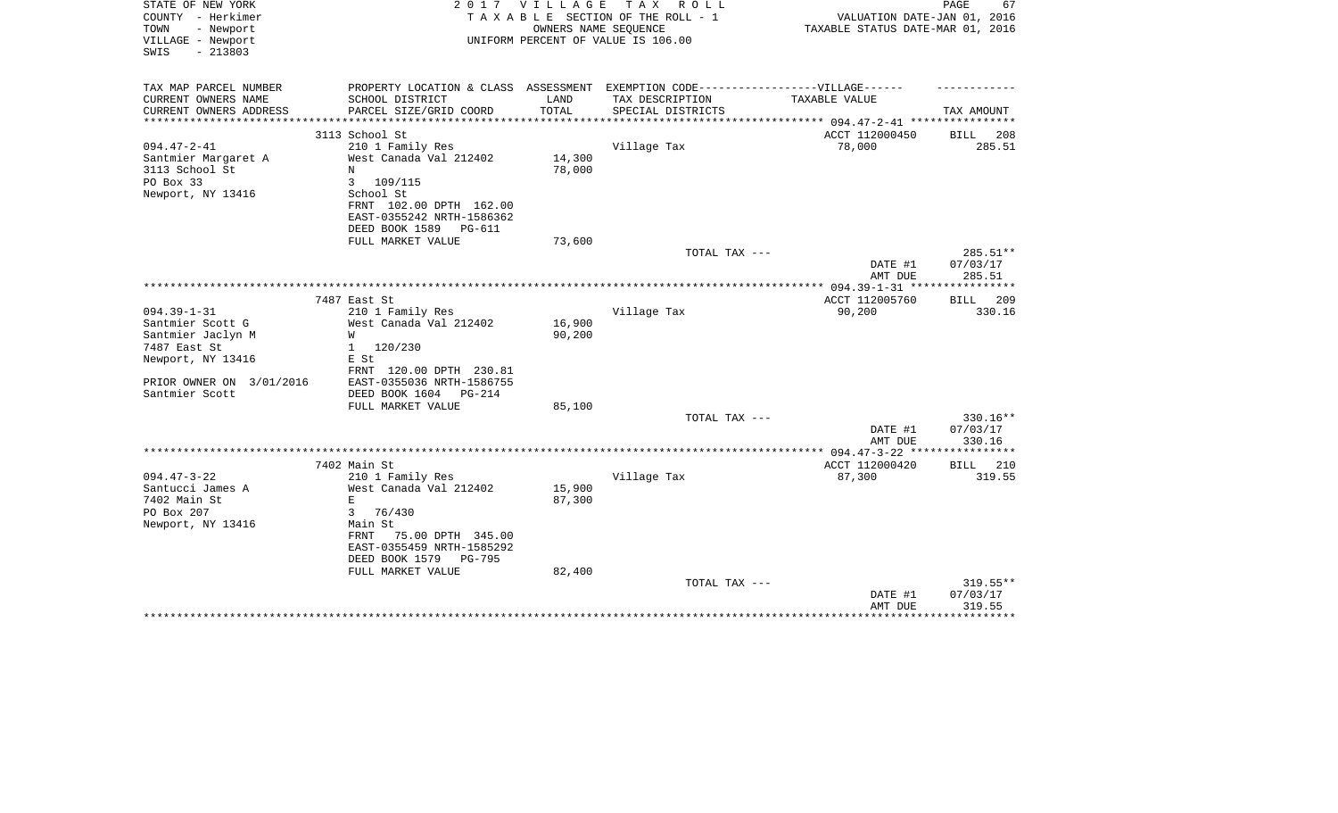| STATE OF NEW YORK<br>COUNTY - Herkimer<br>- Newport<br>TOWN<br>VILLAGE - Newport<br>$-213803$<br>SWIS | 2017                                                                                                 | <b>VILLAGE</b>   | T A X<br>R O L L<br>TAXABLE SECTION OF THE ROLL - 1<br>OWNERS NAME SEQUENCE<br>UNIFORM PERCENT OF VALUE IS 106.00 | VALUATION DATE-JAN 01, 2016<br>TAXABLE STATUS DATE-MAR 01, 2016 | PAGE<br>67                   |
|-------------------------------------------------------------------------------------------------------|------------------------------------------------------------------------------------------------------|------------------|-------------------------------------------------------------------------------------------------------------------|-----------------------------------------------------------------|------------------------------|
| TAX MAP PARCEL NUMBER                                                                                 | PROPERTY LOCATION & CLASS ASSESSMENT EXEMPTION CODE-----------------VILLAGE------                    |                  |                                                                                                                   |                                                                 |                              |
| CURRENT OWNERS NAME<br>CURRENT OWNERS ADDRESS<br>**********************                               | SCHOOL DISTRICT<br>PARCEL SIZE/GRID COORD                                                            | LAND<br>TOTAL    | TAX DESCRIPTION<br>SPECIAL DISTRICTS                                                                              | TAXABLE VALUE                                                   | TAX AMOUNT                   |
|                                                                                                       | 3113 School St                                                                                       |                  |                                                                                                                   | ACCT 112000450                                                  | BILL<br>208                  |
| $094.47 - 2 - 41$                                                                                     | 210 1 Family Res                                                                                     |                  | Village Tax                                                                                                       | 78,000                                                          | 285.51                       |
| Santmier Margaret A<br>3113 School St<br>PO Box 33                                                    | West Canada Val 212402<br>N<br>3<br>109/115                                                          | 14,300<br>78,000 |                                                                                                                   |                                                                 |                              |
| Newport, NY 13416                                                                                     | School St<br>FRNT 102.00 DPTH 162.00<br>EAST-0355242 NRTH-1586362<br>DEED BOOK 1589<br><b>PG-611</b> |                  |                                                                                                                   |                                                                 |                              |
|                                                                                                       | FULL MARKET VALUE                                                                                    | 73,600           |                                                                                                                   |                                                                 |                              |
|                                                                                                       |                                                                                                      |                  | TOTAL TAX ---                                                                                                     | DATE #1                                                         | 285.51**<br>07/03/17         |
|                                                                                                       |                                                                                                      |                  |                                                                                                                   | AMT DUE                                                         | 285.51                       |
|                                                                                                       |                                                                                                      |                  |                                                                                                                   |                                                                 |                              |
| $094.39 - 1 - 31$                                                                                     | 7487 East St<br>210 1 Family Res                                                                     |                  | Village Tax                                                                                                       | ACCT 112005760<br>90,200                                        | 209<br><b>BILL</b><br>330.16 |
| Santmier Scott G                                                                                      | West Canada Val 212402                                                                               | 16,900           |                                                                                                                   |                                                                 |                              |
| Santmier Jaclyn M                                                                                     | W                                                                                                    | 90,200           |                                                                                                                   |                                                                 |                              |
| 7487 East St                                                                                          | 120/230<br>1                                                                                         |                  |                                                                                                                   |                                                                 |                              |
| Newport, NY 13416                                                                                     | E St                                                                                                 |                  |                                                                                                                   |                                                                 |                              |
|                                                                                                       | FRNT 120.00 DPTH 230.81                                                                              |                  |                                                                                                                   |                                                                 |                              |
| PRIOR OWNER ON 3/01/2016                                                                              | EAST-0355036 NRTH-1586755                                                                            |                  |                                                                                                                   |                                                                 |                              |
| Santmier Scott                                                                                        | DEED BOOK 1604<br>PG-214                                                                             |                  |                                                                                                                   |                                                                 |                              |
|                                                                                                       | FULL MARKET VALUE                                                                                    | 85,100           |                                                                                                                   |                                                                 |                              |
|                                                                                                       |                                                                                                      |                  | TOTAL TAX ---                                                                                                     |                                                                 | 330.16**                     |
|                                                                                                       |                                                                                                      |                  |                                                                                                                   | DATE #1                                                         | 07/03/17                     |
|                                                                                                       |                                                                                                      |                  |                                                                                                                   | AMT DUE                                                         | 330.16                       |
|                                                                                                       | 7402 Main St                                                                                         |                  |                                                                                                                   | ACCT 112000420                                                  | BILL 210                     |
| $094.47 - 3 - 22$                                                                                     | 210 1 Family Res                                                                                     |                  | Village Tax                                                                                                       | 87,300                                                          | 319.55                       |
| Santucci James A                                                                                      | West Canada Val 212402                                                                               | 15,900           |                                                                                                                   |                                                                 |                              |
| 7402 Main St                                                                                          | Е                                                                                                    | 87,300           |                                                                                                                   |                                                                 |                              |
| PO Box 207                                                                                            | 3<br>76/430                                                                                          |                  |                                                                                                                   |                                                                 |                              |
| Newport, NY 13416                                                                                     | Main St                                                                                              |                  |                                                                                                                   |                                                                 |                              |
|                                                                                                       | 75.00 DPTH 345.00<br>FRNT                                                                            |                  |                                                                                                                   |                                                                 |                              |
|                                                                                                       | EAST-0355459 NRTH-1585292                                                                            |                  |                                                                                                                   |                                                                 |                              |
|                                                                                                       | DEED BOOK 1579<br><b>PG-795</b>                                                                      |                  |                                                                                                                   |                                                                 |                              |
|                                                                                                       | FULL MARKET VALUE                                                                                    | 82,400           |                                                                                                                   |                                                                 |                              |
|                                                                                                       |                                                                                                      |                  | TOTAL TAX ---                                                                                                     |                                                                 | $319.55**$                   |
|                                                                                                       |                                                                                                      |                  |                                                                                                                   | DATE #1<br>AMT DUE                                              | 07/03/17<br>319.55           |
|                                                                                                       |                                                                                                      |                  |                                                                                                                   |                                                                 |                              |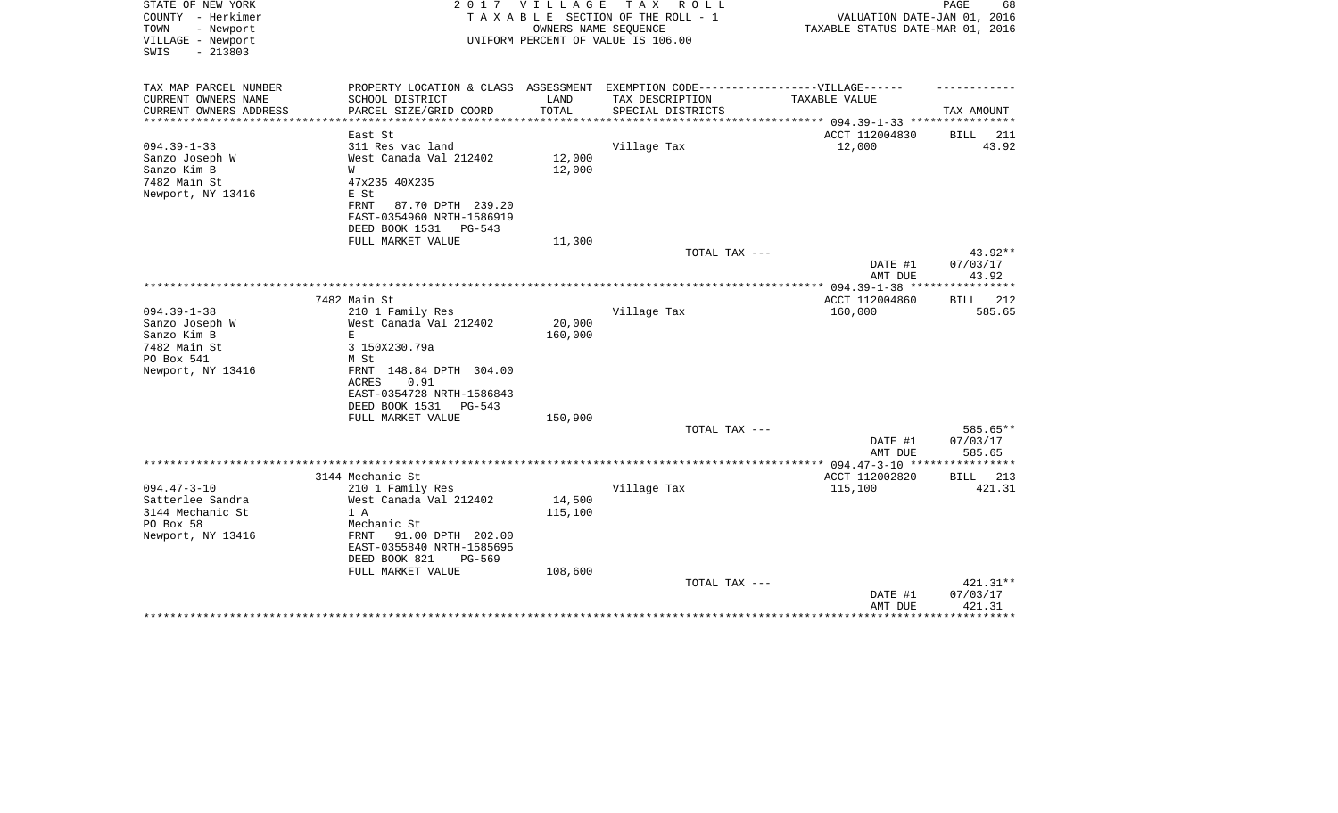| STATE OF NEW YORK<br>COUNTY - Herkimer<br>TOWN<br>- Newport | 2 0 1 7                                  | V I L L A G E        | T A X<br>R O L L<br>TAXABLE SECTION OF THE ROLL - 1<br>OWNERS NAME SEQUENCE | VALUATION DATE-JAN 01, 2016<br>TAXABLE STATUS DATE-MAR 01, 2016 | 68<br>PAGE                     |
|-------------------------------------------------------------|------------------------------------------|----------------------|-----------------------------------------------------------------------------|-----------------------------------------------------------------|--------------------------------|
| VILLAGE - Newport<br>$-213803$<br>SWIS                      |                                          |                      | UNIFORM PERCENT OF VALUE IS 106.00                                          |                                                                 |                                |
| TAX MAP PARCEL NUMBER                                       | PROPERTY LOCATION & CLASS ASSESSMENT     |                      | EXEMPTION CODE------------------VILLAGE------                               |                                                                 |                                |
| CURRENT OWNERS NAME                                         | SCHOOL DISTRICT                          | LAND                 | TAX DESCRIPTION                                                             | TAXABLE VALUE                                                   |                                |
| CURRENT OWNERS ADDRESS<br>**************                    | PARCEL SIZE/GRID COORD                   | TOTAL<br>*********** | SPECIAL DISTRICTS                                                           | ************************** 094.39-1-33 *****************        | TAX AMOUNT                     |
|                                                             | East St                                  |                      |                                                                             | ACCT 112004830                                                  | BILL 211                       |
| $094.39 - 1 - 33$                                           | 311 Res vac land                         |                      | Village Tax                                                                 | 12,000                                                          | 43.92                          |
| Sanzo Joseph W                                              | West Canada Val 212402                   | 12,000               |                                                                             |                                                                 |                                |
| Sanzo Kim B                                                 | W                                        | 12,000               |                                                                             |                                                                 |                                |
| 7482 Main St                                                | 47x235 40X235                            |                      |                                                                             |                                                                 |                                |
| Newport, NY 13416                                           | E St                                     |                      |                                                                             |                                                                 |                                |
|                                                             | FRNT<br>87.70 DPTH 239.20                |                      |                                                                             |                                                                 |                                |
|                                                             | EAST-0354960 NRTH-1586919                |                      |                                                                             |                                                                 |                                |
|                                                             | DEED BOOK 1531<br>PG-543                 |                      |                                                                             |                                                                 |                                |
|                                                             | FULL MARKET VALUE                        | 11,300               |                                                                             |                                                                 |                                |
|                                                             |                                          |                      | TOTAL TAX ---                                                               | DATE #1                                                         | 43.92**<br>07/03/17            |
|                                                             |                                          |                      |                                                                             | AMT DUE                                                         | 43.92                          |
|                                                             |                                          |                      |                                                                             |                                                                 |                                |
|                                                             | 7482 Main St                             |                      |                                                                             | ACCT 112004860                                                  | 212<br>BILL                    |
| $094.39 - 1 - 38$                                           | 210 1 Family Res                         |                      | Village Tax                                                                 | 160,000                                                         | 585.65                         |
| Sanzo Joseph W                                              | West Canada Val 212402                   | 20,000               |                                                                             |                                                                 |                                |
| Sanzo Kim B                                                 | E                                        | 160,000              |                                                                             |                                                                 |                                |
| 7482 Main St                                                | 3 150X230.79a                            |                      |                                                                             |                                                                 |                                |
| PO Box 541                                                  | M St                                     |                      |                                                                             |                                                                 |                                |
| Newport, NY 13416                                           | FRNT 148.84 DPTH 304.00<br>0.91<br>ACRES |                      |                                                                             |                                                                 |                                |
|                                                             | EAST-0354728 NRTH-1586843                |                      |                                                                             |                                                                 |                                |
|                                                             | DEED BOOK 1531<br>PG-543                 |                      |                                                                             |                                                                 |                                |
|                                                             | FULL MARKET VALUE                        | 150,900              |                                                                             |                                                                 |                                |
|                                                             |                                          |                      | TOTAL TAX ---                                                               | DATE #1<br>AMT DUE                                              | 585.65**<br>07/03/17<br>585.65 |
|                                                             |                                          |                      |                                                                             |                                                                 | * * * * * * * * * * * *        |
|                                                             | 3144 Mechanic St                         |                      |                                                                             | ACCT 112002820                                                  | BILL 213                       |
| $094.47 - 3 - 10$                                           | 210 1 Family Res                         |                      | Village Tax                                                                 | 115,100                                                         | 421.31                         |
| Satterlee Sandra                                            | West Canada Val 212402                   | 14,500               |                                                                             |                                                                 |                                |
| 3144 Mechanic St                                            | 1 A                                      | 115,100              |                                                                             |                                                                 |                                |
| PO Box 58                                                   | Mechanic St                              |                      |                                                                             |                                                                 |                                |
| Newport, NY 13416                                           | 91.00 DPTH 202.00<br>FRNT                |                      |                                                                             |                                                                 |                                |
|                                                             | EAST-0355840 NRTH-1585695                |                      |                                                                             |                                                                 |                                |
|                                                             | DEED BOOK 821<br>PG-569                  |                      |                                                                             |                                                                 |                                |
|                                                             | FULL MARKET VALUE                        | 108,600              |                                                                             |                                                                 |                                |
|                                                             |                                          |                      | TOTAL TAX ---                                                               |                                                                 | $421.31**$<br>07/03/17         |
|                                                             |                                          |                      |                                                                             | DATE #1<br>AMT DUE                                              | 421.31                         |
|                                                             |                                          |                      |                                                                             |                                                                 | * * * * * * * * *              |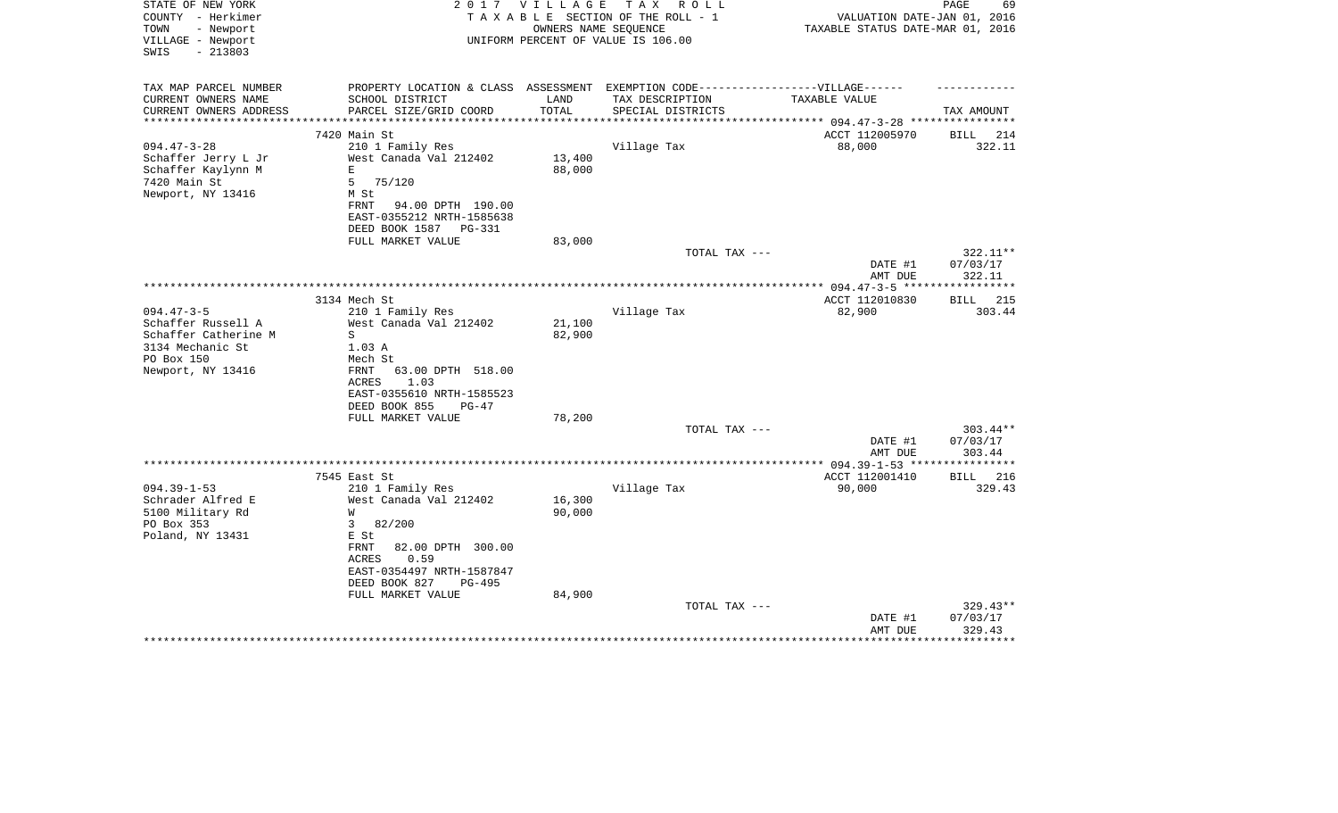| STATE OF NEW YORK<br>COUNTY - Herkimer<br>TOWN<br>- Newport<br>VILLAGE - Newport<br>$-213803$<br>SWIS | 2017                                       | V I L L A G E | T A X<br>R O L L<br>TAXABLE SECTION OF THE ROLL - 1<br>OWNERS NAME SEQUENCE<br>UNIFORM PERCENT OF VALUE IS 106.00 | VALUATION DATE-JAN 01, 2016<br>TAXABLE STATUS DATE-MAR 01, 2016 | PAGE<br>69                   |
|-------------------------------------------------------------------------------------------------------|--------------------------------------------|---------------|-------------------------------------------------------------------------------------------------------------------|-----------------------------------------------------------------|------------------------------|
| TAX MAP PARCEL NUMBER                                                                                 | PROPERTY LOCATION & CLASS ASSESSMENT       |               | EXEMPTION CODE------------------VILLAGE------                                                                     |                                                                 |                              |
| CURRENT OWNERS NAME                                                                                   | SCHOOL DISTRICT                            | LAND          | TAX DESCRIPTION                                                                                                   | TAXABLE VALUE                                                   |                              |
| CURRENT OWNERS ADDRESS                                                                                | PARCEL SIZE/GRID COORD                     | TOTAL         | SPECIAL DISTRICTS                                                                                                 |                                                                 | TAX AMOUNT                   |
| **********************                                                                                | ***************************                |               |                                                                                                                   |                                                                 |                              |
|                                                                                                       | 7420 Main St                               |               |                                                                                                                   | ACCT 112005970                                                  | BILL<br>214                  |
| $094.47 - 3 - 28$                                                                                     | 210 1 Family Res                           | 13,400        | Village Tax                                                                                                       | 88,000                                                          | 322.11                       |
| Schaffer Jerry L Jr<br>Schaffer Kaylynn M                                                             | West Canada Val 212402<br>$\mathbf E$      | 88,000        |                                                                                                                   |                                                                 |                              |
| 7420 Main St                                                                                          | 75/120<br>5                                |               |                                                                                                                   |                                                                 |                              |
| Newport, NY 13416                                                                                     | M St                                       |               |                                                                                                                   |                                                                 |                              |
|                                                                                                       | 94.00 DPTH 190.00<br>FRNT                  |               |                                                                                                                   |                                                                 |                              |
|                                                                                                       | EAST-0355212 NRTH-1585638                  |               |                                                                                                                   |                                                                 |                              |
|                                                                                                       | DEED BOOK 1587 PG-331                      |               |                                                                                                                   |                                                                 |                              |
|                                                                                                       | FULL MARKET VALUE                          | 83,000        |                                                                                                                   |                                                                 |                              |
|                                                                                                       |                                            |               | TOTAL TAX ---                                                                                                     |                                                                 | 322.11**                     |
|                                                                                                       |                                            |               |                                                                                                                   | DATE #1                                                         | 07/03/17                     |
|                                                                                                       |                                            |               |                                                                                                                   | AMT DUE                                                         | 322.11                       |
|                                                                                                       |                                            |               |                                                                                                                   |                                                                 | ***********                  |
| $094.47 - 3 - 5$                                                                                      | 3134 Mech St<br>210 1 Family Res           |               | Village Tax                                                                                                       | ACCT 112010830<br>82,900                                        | <b>BILL</b><br>215<br>303.44 |
| Schaffer Russell A                                                                                    | West Canada Val 212402                     | 21,100        |                                                                                                                   |                                                                 |                              |
| Schaffer Catherine M                                                                                  | S                                          | 82,900        |                                                                                                                   |                                                                 |                              |
| 3134 Mechanic St                                                                                      | 1.03 A                                     |               |                                                                                                                   |                                                                 |                              |
| PO Box 150                                                                                            | Mech St                                    |               |                                                                                                                   |                                                                 |                              |
| Newport, NY 13416                                                                                     | FRNT<br>63.00 DPTH 518.00                  |               |                                                                                                                   |                                                                 |                              |
|                                                                                                       | 1.03<br>ACRES                              |               |                                                                                                                   |                                                                 |                              |
|                                                                                                       | EAST-0355610 NRTH-1585523                  |               |                                                                                                                   |                                                                 |                              |
|                                                                                                       | DEED BOOK 855<br>$PG-47$                   |               |                                                                                                                   |                                                                 |                              |
|                                                                                                       | FULL MARKET VALUE                          | 78,200        |                                                                                                                   |                                                                 |                              |
|                                                                                                       |                                            |               | TOTAL TAX ---                                                                                                     | DATE #1                                                         | $303.44**$<br>07/03/17       |
|                                                                                                       |                                            |               |                                                                                                                   | AMT DUE                                                         | 303.44                       |
|                                                                                                       |                                            |               |                                                                                                                   | ****** 094.39-1-53 ****                                         | * * * * * * * * * * *        |
|                                                                                                       | 7545 East St                               |               |                                                                                                                   | ACCT 112001410                                                  | BILL 216                     |
| $094.39 - 1 - 53$                                                                                     | 210 1 Family Res                           |               | Village Tax                                                                                                       | 90,000                                                          | 329.43                       |
| Schrader Alfred E                                                                                     | West Canada Val 212402                     | 16,300        |                                                                                                                   |                                                                 |                              |
| 5100 Military Rd                                                                                      | W                                          | 90,000        |                                                                                                                   |                                                                 |                              |
| PO Box 353                                                                                            | 3<br>82/200                                |               |                                                                                                                   |                                                                 |                              |
| Poland, NY 13431                                                                                      | E St                                       |               |                                                                                                                   |                                                                 |                              |
|                                                                                                       | <b>FRNT</b><br>82.00 DPTH 300.00           |               |                                                                                                                   |                                                                 |                              |
|                                                                                                       | 0.59<br>ACRES<br>EAST-0354497 NRTH-1587847 |               |                                                                                                                   |                                                                 |                              |
|                                                                                                       | DEED BOOK 827<br>PG-495                    |               |                                                                                                                   |                                                                 |                              |
|                                                                                                       | FULL MARKET VALUE                          | 84,900        |                                                                                                                   |                                                                 |                              |
|                                                                                                       |                                            |               | TOTAL TAX ---                                                                                                     |                                                                 | 329.43**                     |
|                                                                                                       |                                            |               |                                                                                                                   | DATE #1                                                         | 07/03/17                     |
|                                                                                                       |                                            |               |                                                                                                                   | AMT DUE                                                         | 329.43                       |
|                                                                                                       |                                            |               |                                                                                                                   |                                                                 |                              |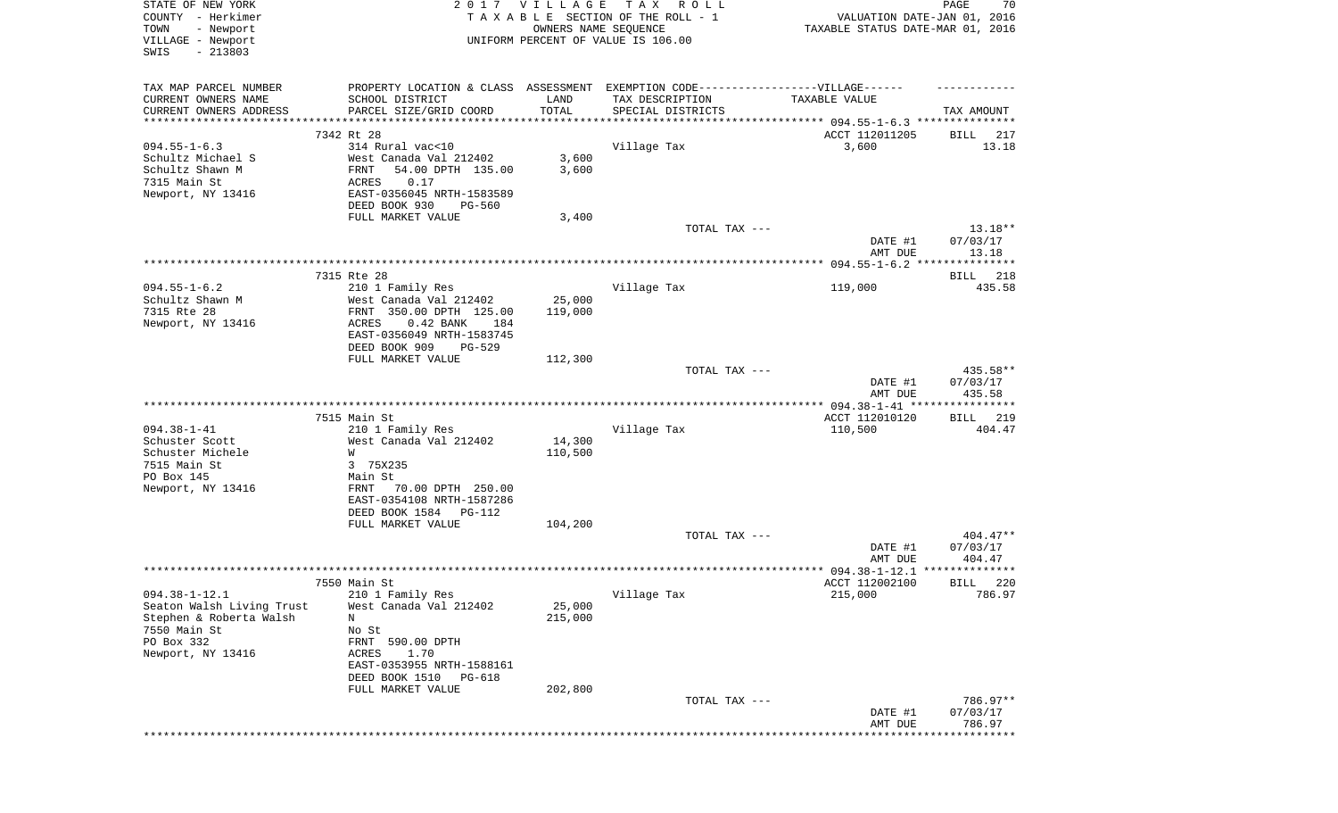| STATE OF NEW YORK<br>COUNTY - Herkimer<br>- Newport<br>TOWN<br>VILLAGE - Newport<br>SWIS<br>$-213803$                          |                                                                                                                                                                             | 2017 VILLAGE                 | T A X<br>R O L L<br>TAXABLE SECTION OF THE ROLL - 1<br>OWNERS NAME SEQUENCE<br>UNIFORM PERCENT OF VALUE IS 106.00 | VALUATION DATE-JAN 01, 2016<br>TAXABLE STATUS DATE-MAR 01, 2016 | PAGE<br>70                       |
|--------------------------------------------------------------------------------------------------------------------------------|-----------------------------------------------------------------------------------------------------------------------------------------------------------------------------|------------------------------|-------------------------------------------------------------------------------------------------------------------|-----------------------------------------------------------------|----------------------------------|
| TAX MAP PARCEL NUMBER<br>CURRENT OWNERS NAME<br>CURRENT OWNERS ADDRESS<br>***********************                              | PROPERTY LOCATION & CLASS ASSESSMENT EXEMPTION CODE----------------VILLAGE------<br>SCHOOL DISTRICT<br>PARCEL SIZE/GRID COORD                                               | LAND<br>TOTAL                | TAX DESCRIPTION<br>SPECIAL DISTRICTS                                                                              | TAXABLE VALUE                                                   | TAX AMOUNT                       |
|                                                                                                                                | 7342 Rt 28                                                                                                                                                                  |                              |                                                                                                                   | ACCT 112011205                                                  | BILL<br>217                      |
| $094.55 - 1 - 6.3$<br>Schultz Michael S<br>Schultz Shawn M<br>7315 Main St<br>Newport, NY 13416                                | 314 Rural vac<10<br>West Canada Val 212402<br>54.00 DPTH 135.00<br>FRNT<br>ACRES<br>0.17<br>EAST-0356045 NRTH-1583589<br>DEED BOOK 930<br><b>PG-560</b>                     | 3,600<br>3,600               | Village Tax                                                                                                       | 3,600                                                           | 13.18                            |
|                                                                                                                                | FULL MARKET VALUE                                                                                                                                                           | 3,400                        |                                                                                                                   |                                                                 |                                  |
|                                                                                                                                |                                                                                                                                                                             |                              | TOTAL TAX ---                                                                                                     | DATE #1<br>AMT DUE                                              | $13.18**$<br>07/03/17<br>13.18   |
|                                                                                                                                |                                                                                                                                                                             |                              |                                                                                                                   |                                                                 |                                  |
|                                                                                                                                | 7315 Rte 28                                                                                                                                                                 |                              |                                                                                                                   |                                                                 | 218<br>BILL                      |
| $094.55 - 1 - 6.2$<br>Schultz Shawn M<br>7315 Rte 28<br>Newport, NY 13416                                                      | 210 1 Family Res<br>West Canada Val 212402<br>FRNT 350.00 DPTH 125.00<br>$0.42$ BANK<br>184<br>ACRES<br>EAST-0356049 NRTH-1583745<br>DEED BOOK 909<br>$PG-529$              | 25,000<br>119,000            | Village Tax                                                                                                       | 119,000                                                         | 435.58                           |
|                                                                                                                                | FULL MARKET VALUE                                                                                                                                                           | 112,300                      |                                                                                                                   |                                                                 |                                  |
|                                                                                                                                |                                                                                                                                                                             |                              | TOTAL TAX ---                                                                                                     | DATE #1<br>AMT DUE                                              | 435.58**<br>07/03/17<br>435.58   |
|                                                                                                                                |                                                                                                                                                                             |                              |                                                                                                                   |                                                                 |                                  |
|                                                                                                                                | 7515 Main St                                                                                                                                                                |                              |                                                                                                                   | ACCT 112010120                                                  | 219<br>BILL                      |
| $094.38 - 1 - 41$<br>Schuster Scott<br>Schuster Michele<br>7515 Main St<br>PO Box 145<br>Newport, NY 13416                     | 210 1 Family Res<br>West Canada Val 212402<br>W<br>3 75X235<br>Main St<br>FRNT<br>70.00 DPTH 250.00<br>EAST-0354108 NRTH-1587286<br>DEED BOOK 1584<br>PG-112                | 14,300<br>110,500            | Village Tax                                                                                                       | 110,500                                                         | 404.47                           |
|                                                                                                                                | FULL MARKET VALUE                                                                                                                                                           | 104,200                      |                                                                                                                   |                                                                 |                                  |
|                                                                                                                                |                                                                                                                                                                             |                              | TOTAL TAX ---                                                                                                     | DATE #1<br>AMT DUE                                              | $404.47**$<br>07/03/17<br>404.47 |
|                                                                                                                                |                                                                                                                                                                             |                              |                                                                                                                   |                                                                 |                                  |
|                                                                                                                                | 7550 Main St                                                                                                                                                                |                              |                                                                                                                   | ACCT 112002100                                                  | 220<br>BILL                      |
| $094.38 - 1 - 12.1$<br>Seaton Walsh Living Trust<br>Stephen & Roberta Walsh<br>7550 Main St<br>PO Box 332<br>Newport, NY 13416 | 210 1 Family Res<br>West Canada Val 212402<br>N<br>No St<br>FRNT 590.00 DPTH<br>1.70<br>ACRES<br>EAST-0353955 NRTH-1588161<br>DEED BOOK 1510<br>PG-618<br>FULL MARKET VALUE | 25,000<br>215,000<br>202,800 | Village Tax                                                                                                       | 215,000                                                         | 786.97                           |
|                                                                                                                                |                                                                                                                                                                             |                              | TOTAL TAX ---                                                                                                     | DATE #1                                                         | 786.97**<br>07/03/17             |
|                                                                                                                                |                                                                                                                                                                             |                              |                                                                                                                   | AMT DUE                                                         | 786.97<br>**********             |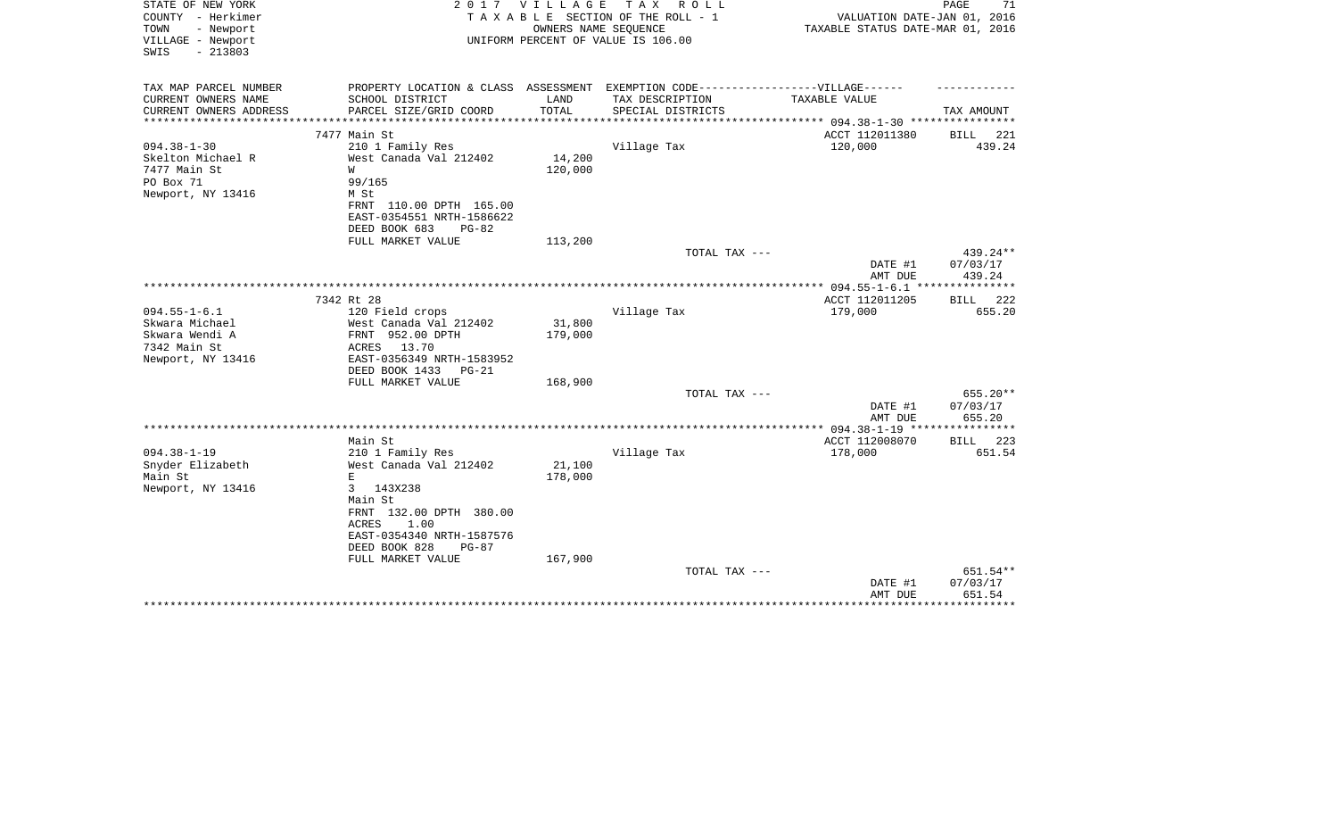| STATE OF NEW YORK<br>COUNTY - Herkimer<br>TOWN<br>- Newport<br>VILLAGE - Newport<br>$-213803$<br>SWIS | 2017                                                                                                | VILLAGE<br>OWNERS NAME SEQUENCE | TAX ROLL<br>TAXABLE SECTION OF THE ROLL - 1<br>UNIFORM PERCENT OF VALUE IS 106.00 | VALUATION DATE-JAN 01, 2016<br>TAXABLE STATUS DATE-MAR 01, 2016 | PAGE<br>71         |
|-------------------------------------------------------------------------------------------------------|-----------------------------------------------------------------------------------------------------|---------------------------------|-----------------------------------------------------------------------------------|-----------------------------------------------------------------|--------------------|
| TAX MAP PARCEL NUMBER<br>CURRENT OWNERS NAME                                                          | PROPERTY LOCATION & CLASS ASSESSMENT EXEMPTION CODE----------------VILLAGE------<br>SCHOOL DISTRICT | LAND                            | TAX DESCRIPTION                                                                   | TAXABLE VALUE                                                   |                    |
| CURRENT OWNERS ADDRESS                                                                                | PARCEL SIZE/GRID COORD                                                                              | TOTAL                           | SPECIAL DISTRICTS                                                                 |                                                                 | TAX AMOUNT         |
| **************                                                                                        | **************                                                                                      | * * * * * * * * * * * * *       | * * * * * * * * * * * * * * * * * * *                                             | *********** 094.38-1-30 ****************                        |                    |
|                                                                                                       | 7477 Main St                                                                                        |                                 |                                                                                   | ACCT 112011380                                                  | 221<br>BILL        |
| $094.38 - 1 - 30$                                                                                     | 210 1 Family Res                                                                                    |                                 | Village Tax                                                                       | 120,000                                                         | 439.24             |
| Skelton Michael R                                                                                     | West Canada Val 212402                                                                              | 14,200                          |                                                                                   |                                                                 |                    |
| 7477 Main St                                                                                          | W                                                                                                   | 120,000                         |                                                                                   |                                                                 |                    |
| PO Box 71<br>Newport, NY 13416                                                                        | 99/165<br>M St                                                                                      |                                 |                                                                                   |                                                                 |                    |
|                                                                                                       | FRNT 110.00 DPTH 165.00                                                                             |                                 |                                                                                   |                                                                 |                    |
|                                                                                                       | EAST-0354551 NRTH-1586622                                                                           |                                 |                                                                                   |                                                                 |                    |
|                                                                                                       | DEED BOOK 683<br>$PG-82$                                                                            |                                 |                                                                                   |                                                                 |                    |
|                                                                                                       | FULL MARKET VALUE                                                                                   | 113,200                         |                                                                                   |                                                                 |                    |
|                                                                                                       |                                                                                                     |                                 | TOTAL TAX ---                                                                     |                                                                 | 439.24**           |
|                                                                                                       |                                                                                                     |                                 |                                                                                   | DATE #1                                                         | 07/03/17           |
|                                                                                                       |                                                                                                     |                                 |                                                                                   | AMT DUE<br>$* 094.55 - 1 - 6.1$                                 | 439.24<br>******** |
|                                                                                                       | 7342 Rt 28                                                                                          |                                 |                                                                                   | ACCT 112011205                                                  | 222<br>BILL        |
| $094.55 - 1 - 6.1$                                                                                    | 120 Field crops                                                                                     |                                 | Village Tax                                                                       | 179,000                                                         | 655.20             |
| Skwara Michael                                                                                        | West Canada Val 212402                                                                              | 31,800                          |                                                                                   |                                                                 |                    |
| Skwara Wendi A                                                                                        | FRNT 952.00 DPTH                                                                                    | 179,000                         |                                                                                   |                                                                 |                    |
| 7342 Main St                                                                                          | ACRES<br>13.70                                                                                      |                                 |                                                                                   |                                                                 |                    |
| Newport, NY 13416                                                                                     | EAST-0356349 NRTH-1583952                                                                           |                                 |                                                                                   |                                                                 |                    |
|                                                                                                       | DEED BOOK 1433<br>$PG-21$<br>FULL MARKET VALUE                                                      | 168,900                         |                                                                                   |                                                                 |                    |
|                                                                                                       |                                                                                                     |                                 | TOTAL TAX ---                                                                     |                                                                 | 655.20**           |
|                                                                                                       |                                                                                                     |                                 |                                                                                   | DATE #1                                                         | 07/03/17           |
|                                                                                                       |                                                                                                     |                                 |                                                                                   | AMT DUE                                                         | 655.20             |
|                                                                                                       |                                                                                                     |                                 |                                                                                   | **************** 094.38-1-19 ****************                   |                    |
|                                                                                                       | Main St                                                                                             |                                 |                                                                                   | ACCT 112008070                                                  | 223<br>BILL        |
| $094.38 - 1 - 19$<br>Snyder Elizabeth                                                                 | 210 1 Family Res<br>West Canada Val 212402                                                          | 21,100                          | Village Tax                                                                       | 178,000                                                         | 651.54             |
| Main St                                                                                               | E.                                                                                                  | 178,000                         |                                                                                   |                                                                 |                    |
| Newport, NY 13416                                                                                     | 143X238<br>3                                                                                        |                                 |                                                                                   |                                                                 |                    |
|                                                                                                       | Main St                                                                                             |                                 |                                                                                   |                                                                 |                    |
|                                                                                                       | FRNT 132.00 DPTH 380.00                                                                             |                                 |                                                                                   |                                                                 |                    |
|                                                                                                       | ACRES<br>1.00                                                                                       |                                 |                                                                                   |                                                                 |                    |
|                                                                                                       | EAST-0354340 NRTH-1587576                                                                           |                                 |                                                                                   |                                                                 |                    |
|                                                                                                       | DEED BOOK 828<br>$PG-87$<br>FULL MARKET VALUE                                                       | 167,900                         |                                                                                   |                                                                 |                    |
|                                                                                                       |                                                                                                     |                                 | TOTAL TAX ---                                                                     |                                                                 | 651.54**           |
|                                                                                                       |                                                                                                     |                                 |                                                                                   | DATE #1                                                         | 07/03/17           |
|                                                                                                       |                                                                                                     |                                 |                                                                                   | AMT DUE                                                         | 651.54             |
|                                                                                                       |                                                                                                     |                                 |                                                                                   |                                                                 | ********           |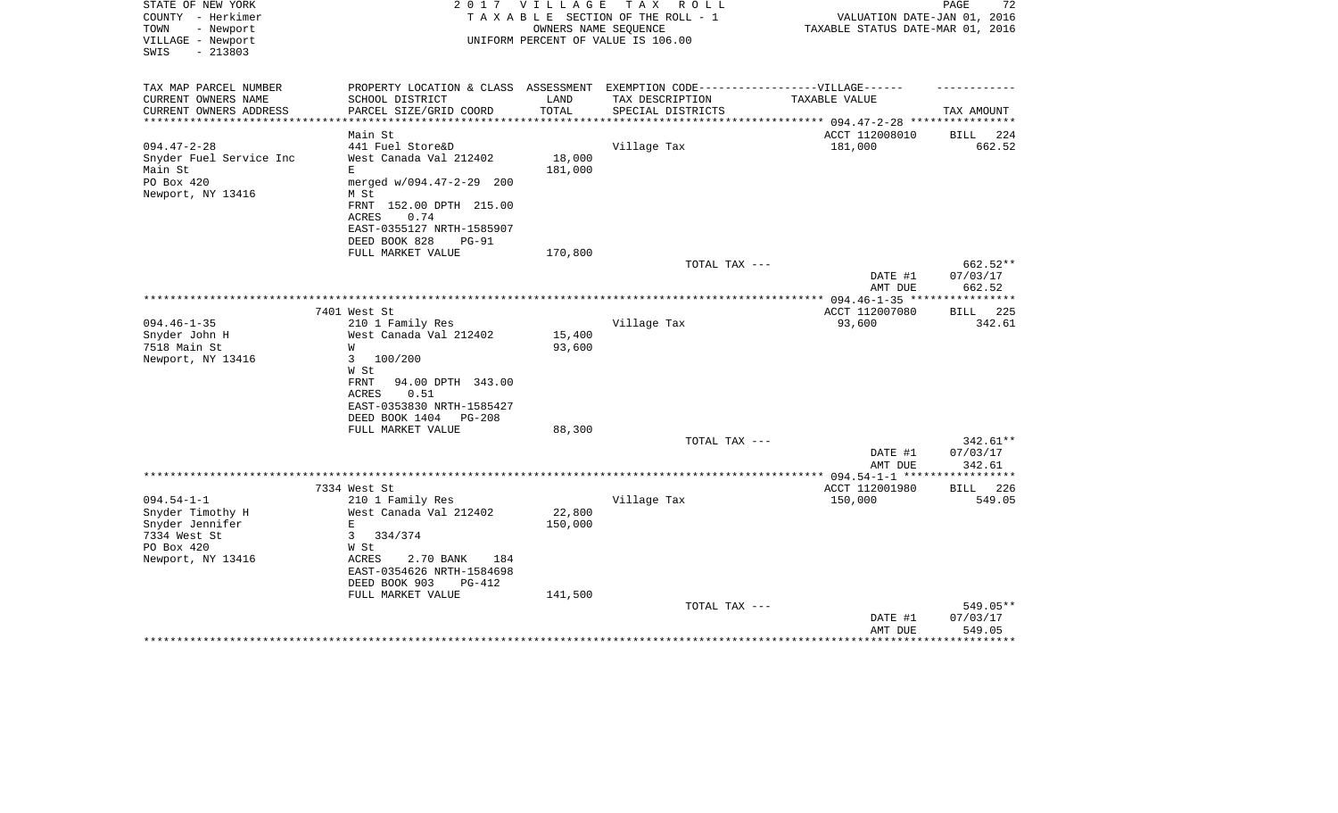| STATE OF NEW YORK<br>COUNTY - Herkimer<br>- Newport<br>TOWN<br>VILLAGE - Newport<br>$-213803$<br>SWIS |                                                                                   | 2017 VILLAGE      | T A X<br>R O L L<br>TAXABLE SECTION OF THE ROLL - 1<br>OWNERS NAME SEQUENCE<br>UNIFORM PERCENT OF VALUE IS 106.00 | TAXABLE STATUS DATE-MAR 01, 2016 | PAGE<br>72<br>VALUATION DATE-JAN 01, 2016 |
|-------------------------------------------------------------------------------------------------------|-----------------------------------------------------------------------------------|-------------------|-------------------------------------------------------------------------------------------------------------------|----------------------------------|-------------------------------------------|
|                                                                                                       |                                                                                   |                   |                                                                                                                   |                                  |                                           |
| TAX MAP PARCEL NUMBER                                                                                 | PROPERTY LOCATION & CLASS ASSESSMENT EXEMPTION CODE-----------------VILLAGE------ |                   |                                                                                                                   |                                  |                                           |
| CURRENT OWNERS NAME                                                                                   | SCHOOL DISTRICT                                                                   | LAND              | TAX DESCRIPTION                                                                                                   | TAXABLE VALUE                    |                                           |
| CURRENT OWNERS ADDRESS                                                                                | PARCEL SIZE/GRID COORD                                                            | TOTAL             | SPECIAL DISTRICTS                                                                                                 |                                  | TAX AMOUNT                                |
| *************************                                                                             |                                                                                   |                   |                                                                                                                   |                                  |                                           |
|                                                                                                       | Main St                                                                           |                   |                                                                                                                   | ACCT 112008010                   | 224<br>BILL                               |
| $094.47 - 2 - 28$                                                                                     | 441 Fuel Store&D<br>West Canada Val 212402                                        |                   | Village Tax                                                                                                       | 181,000                          | 662.52                                    |
| Snyder Fuel Service Inc<br>Main St                                                                    | E                                                                                 | 18,000<br>181,000 |                                                                                                                   |                                  |                                           |
| PO Box 420                                                                                            | merged w/094.47-2-29 200                                                          |                   |                                                                                                                   |                                  |                                           |
| Newport, NY 13416                                                                                     | M St                                                                              |                   |                                                                                                                   |                                  |                                           |
|                                                                                                       | FRNT 152.00 DPTH 215.00                                                           |                   |                                                                                                                   |                                  |                                           |
|                                                                                                       | <b>ACRES</b><br>0.74                                                              |                   |                                                                                                                   |                                  |                                           |
|                                                                                                       | EAST-0355127 NRTH-1585907                                                         |                   |                                                                                                                   |                                  |                                           |
|                                                                                                       | DEED BOOK 828<br>$PG-91$                                                          |                   |                                                                                                                   |                                  |                                           |
|                                                                                                       | FULL MARKET VALUE                                                                 | 170,800           |                                                                                                                   |                                  |                                           |
|                                                                                                       |                                                                                   |                   | TOTAL TAX ---                                                                                                     |                                  | 662.52**                                  |
|                                                                                                       |                                                                                   |                   |                                                                                                                   | DATE #1                          | 07/03/17                                  |
|                                                                                                       |                                                                                   |                   |                                                                                                                   | AMT DUE                          | 662.52                                    |
|                                                                                                       | 7401 West St                                                                      |                   |                                                                                                                   | ACCT 112007080                   | 225                                       |
| $094.46 - 1 - 35$                                                                                     | 210 1 Family Res                                                                  |                   | Village Tax                                                                                                       | 93,600                           | BILL<br>342.61                            |
| Snyder John H                                                                                         | West Canada Val 212402                                                            | 15,400            |                                                                                                                   |                                  |                                           |
| 7518 Main St                                                                                          | W                                                                                 | 93,600            |                                                                                                                   |                                  |                                           |
| Newport, NY 13416                                                                                     | 100/200<br>3                                                                      |                   |                                                                                                                   |                                  |                                           |
|                                                                                                       | W St                                                                              |                   |                                                                                                                   |                                  |                                           |
|                                                                                                       | 94.00 DPTH 343.00<br><b>FRNT</b>                                                  |                   |                                                                                                                   |                                  |                                           |
|                                                                                                       | 0.51<br>ACRES                                                                     |                   |                                                                                                                   |                                  |                                           |
|                                                                                                       | EAST-0353830 NRTH-1585427                                                         |                   |                                                                                                                   |                                  |                                           |
|                                                                                                       | DEED BOOK 1404<br>PG-208                                                          |                   |                                                                                                                   |                                  |                                           |
|                                                                                                       | FULL MARKET VALUE                                                                 | 88,300            |                                                                                                                   |                                  |                                           |
|                                                                                                       |                                                                                   |                   | TOTAL TAX ---                                                                                                     |                                  | 342.61**                                  |
|                                                                                                       |                                                                                   |                   |                                                                                                                   | DATE #1<br>AMT DUE               | 07/03/17<br>342.61                        |
|                                                                                                       |                                                                                   |                   |                                                                                                                   |                                  |                                           |
|                                                                                                       | 7334 West St                                                                      |                   |                                                                                                                   | ACCT 112001980                   | 226<br><b>BILL</b>                        |
| $094.54 - 1 - 1$                                                                                      | 210 1 Family Res                                                                  |                   | Village Tax                                                                                                       | 150,000                          | 549.05                                    |
| Snyder Timothy H                                                                                      | West Canada Val 212402                                                            | 22,800            |                                                                                                                   |                                  |                                           |
| Snyder Jennifer                                                                                       | E                                                                                 | 150,000           |                                                                                                                   |                                  |                                           |
| 7334 West St                                                                                          | 334/374<br>3                                                                      |                   |                                                                                                                   |                                  |                                           |
| PO Box 420                                                                                            | W St                                                                              |                   |                                                                                                                   |                                  |                                           |
| Newport, NY 13416                                                                                     | ACRES<br>2.70 BANK<br>184                                                         |                   |                                                                                                                   |                                  |                                           |
|                                                                                                       | EAST-0354626 NRTH-1584698                                                         |                   |                                                                                                                   |                                  |                                           |
|                                                                                                       | DEED BOOK 903<br>$PG-412$                                                         |                   |                                                                                                                   |                                  |                                           |
|                                                                                                       | FULL MARKET VALUE                                                                 | 141,500           |                                                                                                                   |                                  |                                           |
|                                                                                                       |                                                                                   |                   | TOTAL TAX ---                                                                                                     |                                  | 549.05**                                  |
|                                                                                                       |                                                                                   |                   |                                                                                                                   | DATE #1<br>AMT DUE               | 07/03/17<br>549.05                        |
|                                                                                                       |                                                                                   |                   |                                                                                                                   |                                  | ************                              |
|                                                                                                       |                                                                                   |                   |                                                                                                                   |                                  |                                           |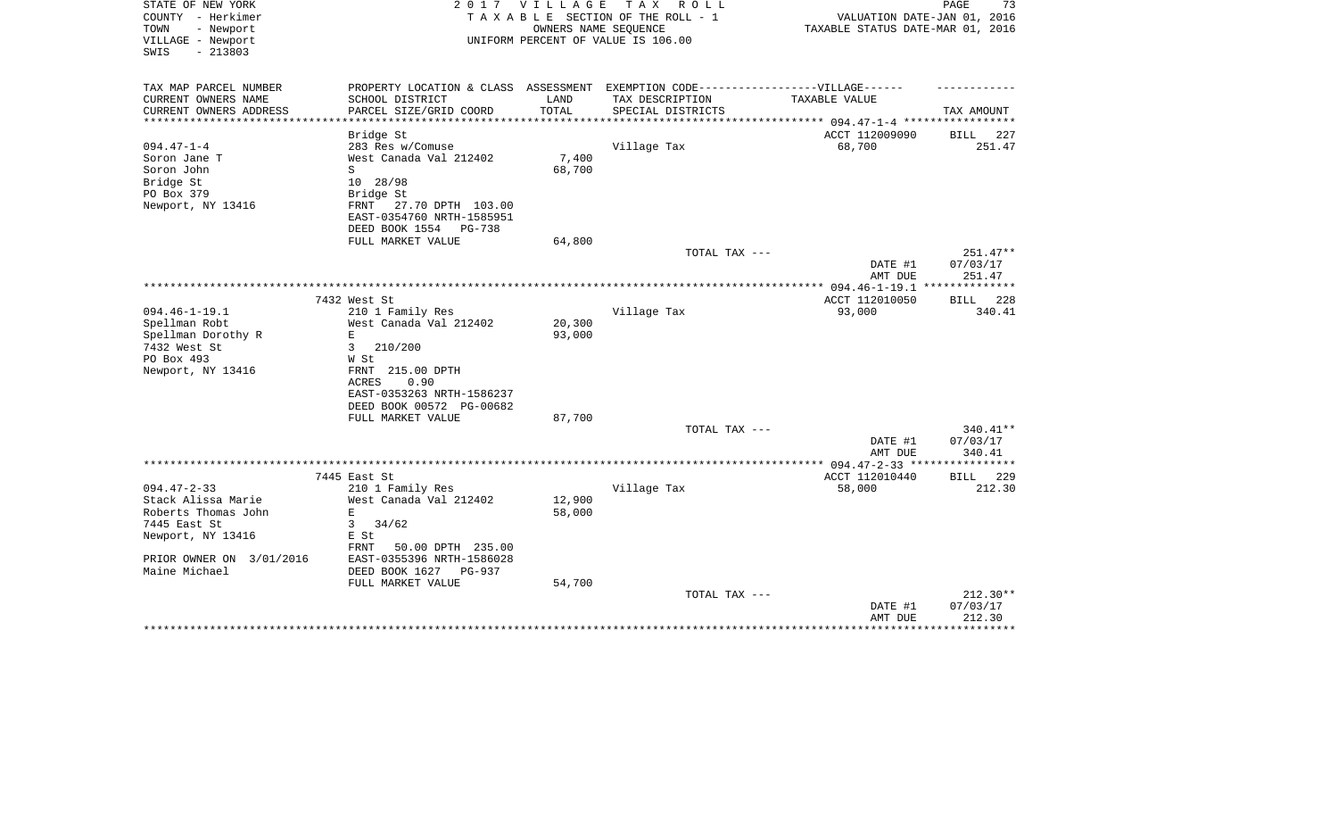| STATE OF NEW YORK<br>COUNTY - Herkimer<br>TOWN<br>- Newport<br>VILLAGE - Newport<br>$-213803$<br>SWIS | 2017                                                                              | <b>VILLAGE</b>   | T A X<br>R O L L<br>TAXABLE SECTION OF THE ROLL - 1<br>OWNERS NAME SEQUENCE<br>UNIFORM PERCENT OF VALUE IS 106.00 | VALUATION DATE-JAN 01, 2016<br>TAXABLE STATUS DATE-MAR 01, 2016 | PAGE<br>73              |
|-------------------------------------------------------------------------------------------------------|-----------------------------------------------------------------------------------|------------------|-------------------------------------------------------------------------------------------------------------------|-----------------------------------------------------------------|-------------------------|
| TAX MAP PARCEL NUMBER                                                                                 | PROPERTY LOCATION & CLASS ASSESSMENT EXEMPTION CODE-----------------VILLAGE------ |                  |                                                                                                                   |                                                                 |                         |
| CURRENT OWNERS NAME                                                                                   | SCHOOL DISTRICT                                                                   | LAND             | TAX DESCRIPTION                                                                                                   | TAXABLE VALUE                                                   |                         |
| CURRENT OWNERS ADDRESS<br>**********************                                                      | PARCEL SIZE/GRID COORD                                                            | TOTAL            | SPECIAL DISTRICTS                                                                                                 |                                                                 | TAX AMOUNT              |
|                                                                                                       | Bridge St                                                                         |                  |                                                                                                                   | ACCT 112009090                                                  | 227<br>BILL             |
| $094.47 - 1 - 4$                                                                                      | 283 Res w/Comuse                                                                  |                  | Village Tax                                                                                                       | 68,700                                                          | 251.47                  |
| Soron Jane T                                                                                          | West Canada Val 212402                                                            | 7,400            |                                                                                                                   |                                                                 |                         |
| Soron John                                                                                            | S                                                                                 | 68,700           |                                                                                                                   |                                                                 |                         |
| Bridge St                                                                                             | 10 28/98                                                                          |                  |                                                                                                                   |                                                                 |                         |
| PO Box 379                                                                                            | Bridge St                                                                         |                  |                                                                                                                   |                                                                 |                         |
| Newport, NY 13416                                                                                     | FRNT<br>27.70 DPTH 103.00                                                         |                  |                                                                                                                   |                                                                 |                         |
|                                                                                                       | EAST-0354760 NRTH-1585951                                                         |                  |                                                                                                                   |                                                                 |                         |
|                                                                                                       | DEED BOOK 1554<br>PG-738                                                          |                  |                                                                                                                   |                                                                 |                         |
|                                                                                                       | FULL MARKET VALUE                                                                 | 64,800           |                                                                                                                   |                                                                 |                         |
|                                                                                                       |                                                                                   |                  | TOTAL TAX ---                                                                                                     |                                                                 | 251.47**                |
|                                                                                                       |                                                                                   |                  |                                                                                                                   | DATE #1                                                         | 07/03/17                |
|                                                                                                       |                                                                                   |                  |                                                                                                                   | AMT DUE                                                         | 251.47                  |
|                                                                                                       |                                                                                   |                  |                                                                                                                   |                                                                 |                         |
|                                                                                                       | 7432 West St                                                                      |                  |                                                                                                                   | ACCT 112010050                                                  | <b>BILL</b> 228         |
| $094.46 - 1 - 19.1$                                                                                   | 210 1 Family Res                                                                  |                  | Village Tax                                                                                                       | 93,000                                                          | 340.41                  |
| Spellman Robt<br>Spellman Dorothy R                                                                   | West Canada Val 212402<br>$\mathbf E$                                             | 20,300<br>93,000 |                                                                                                                   |                                                                 |                         |
| 7432 West St                                                                                          | 210/200<br>3                                                                      |                  |                                                                                                                   |                                                                 |                         |
| PO Box 493                                                                                            | W St                                                                              |                  |                                                                                                                   |                                                                 |                         |
| Newport, NY 13416                                                                                     | FRNT 215.00 DPTH                                                                  |                  |                                                                                                                   |                                                                 |                         |
|                                                                                                       | <b>ACRES</b><br>0.90                                                              |                  |                                                                                                                   |                                                                 |                         |
|                                                                                                       | EAST-0353263 NRTH-1586237                                                         |                  |                                                                                                                   |                                                                 |                         |
|                                                                                                       | DEED BOOK 00572 PG-00682                                                          |                  |                                                                                                                   |                                                                 |                         |
|                                                                                                       | FULL MARKET VALUE                                                                 | 87,700           |                                                                                                                   |                                                                 |                         |
|                                                                                                       |                                                                                   |                  | TOTAL TAX ---                                                                                                     |                                                                 | 340.41**                |
|                                                                                                       |                                                                                   |                  |                                                                                                                   | DATE #1                                                         | 07/03/17                |
|                                                                                                       |                                                                                   |                  |                                                                                                                   | AMT DUE                                                         | 340.41                  |
|                                                                                                       |                                                                                   |                  | **********************                                                                                            | *********** 094.47-2-33 ***                                     | * * * * * * * * * * * * |
|                                                                                                       | 7445 East St                                                                      |                  |                                                                                                                   | ACCT 112010440                                                  | <b>BILL</b><br>229      |
| $094.47 - 2 - 33$<br>Stack Alissa Marie                                                               | 210 1 Family Res<br>West Canada Val 212402                                        |                  | Village Tax                                                                                                       | 58,000                                                          | 212.30                  |
| Roberts Thomas John                                                                                   | E                                                                                 | 12,900<br>58,000 |                                                                                                                   |                                                                 |                         |
| 7445 East St                                                                                          | 3<br>34/62                                                                        |                  |                                                                                                                   |                                                                 |                         |
| Newport, NY 13416                                                                                     | E St                                                                              |                  |                                                                                                                   |                                                                 |                         |
|                                                                                                       | 50.00 DPTH 235.00<br>FRNT                                                         |                  |                                                                                                                   |                                                                 |                         |
| PRIOR OWNER ON<br>3/01/2016                                                                           | EAST-0355396 NRTH-1586028                                                         |                  |                                                                                                                   |                                                                 |                         |
| Maine Michael                                                                                         | DEED BOOK 1627<br><b>PG-937</b>                                                   |                  |                                                                                                                   |                                                                 |                         |
|                                                                                                       | FULL MARKET VALUE                                                                 | 54,700           |                                                                                                                   |                                                                 |                         |
|                                                                                                       |                                                                                   |                  | TOTAL TAX ---                                                                                                     |                                                                 | $212.30**$              |
|                                                                                                       |                                                                                   |                  |                                                                                                                   | DATE #1                                                         | 07/03/17                |
|                                                                                                       |                                                                                   |                  |                                                                                                                   | AMT DUE                                                         | 212.30                  |
|                                                                                                       |                                                                                   |                  |                                                                                                                   |                                                                 |                         |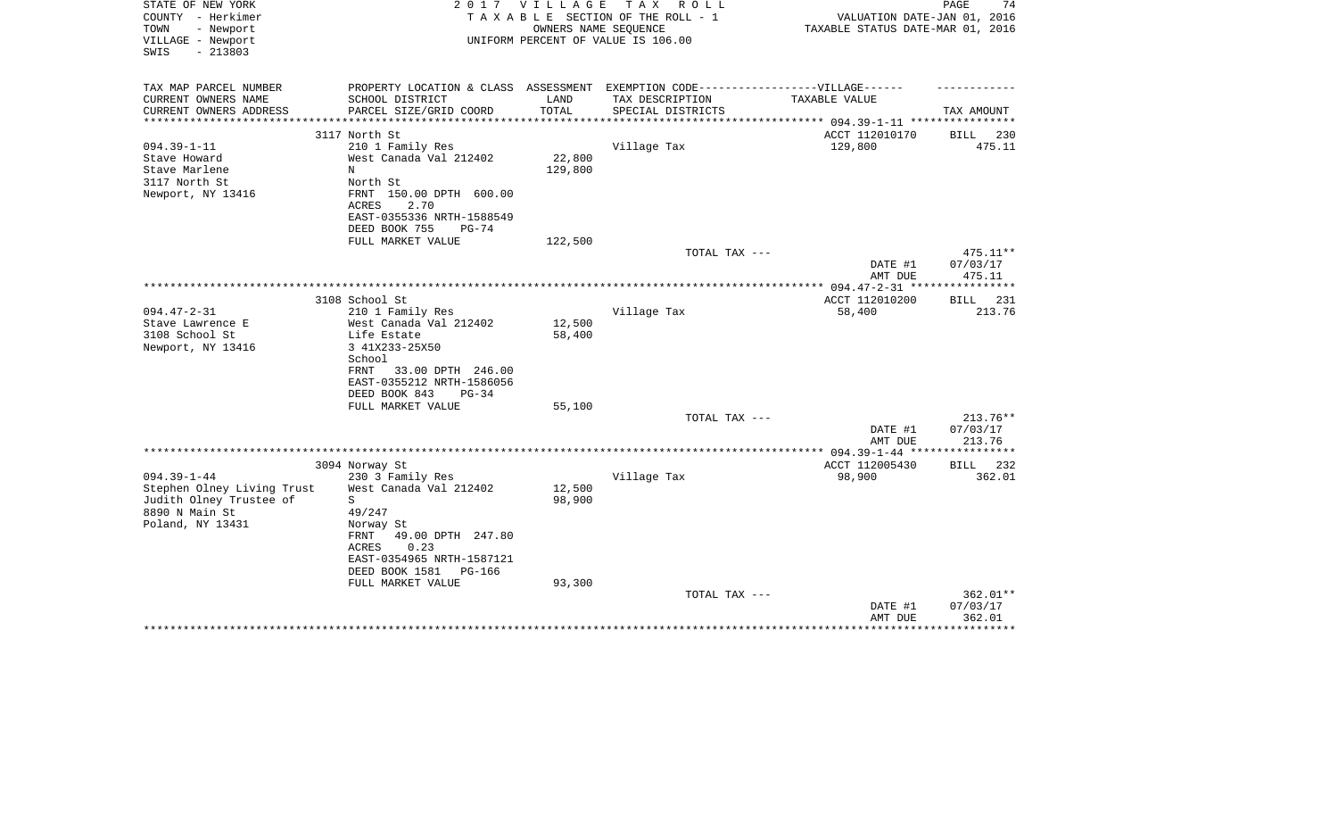| STATE OF NEW YORK                      | 2 0 1 7                                                                           | V I L L A G E       | TAX ROLL                                                   |                                    | 74<br>PAGE           |
|----------------------------------------|-----------------------------------------------------------------------------------|---------------------|------------------------------------------------------------|------------------------------------|----------------------|
| COUNTY - Herkimer<br>- Newport<br>TOWN |                                                                                   |                     | TAXABLE SECTION OF THE ROLL - 1                            | VALUATION DATE-JAN 01, 2016        |                      |
| VILLAGE - Newport                      |                                                                                   |                     | OWNERS NAME SEQUENCE<br>UNIFORM PERCENT OF VALUE IS 106.00 | TAXABLE STATUS DATE-MAR 01, 2016   |                      |
| SWIS<br>$-213803$                      |                                                                                   |                     |                                                            |                                    |                      |
|                                        |                                                                                   |                     |                                                            |                                    |                      |
|                                        |                                                                                   |                     |                                                            |                                    |                      |
| TAX MAP PARCEL NUMBER                  | PROPERTY LOCATION & CLASS ASSESSMENT EXEMPTION CODE-----------------VILLAGE------ |                     |                                                            |                                    |                      |
| CURRENT OWNERS NAME                    | SCHOOL DISTRICT                                                                   | LAND                | TAX DESCRIPTION                                            | TAXABLE VALUE                      |                      |
| CURRENT OWNERS ADDRESS                 | PARCEL SIZE/GRID COORD                                                            | TOTAL<br>********** | SPECIAL DISTRICTS                                          | ************ 094.39-1-11 ********* | TAX AMOUNT           |
|                                        | 3117 North St                                                                     |                     |                                                            | ACCT 112010170                     | 230<br>BILL          |
| $094.39 - 1 - 11$                      | 210 1 Family Res                                                                  |                     | Village Tax                                                | 129,800                            | 475.11               |
| Stave Howard                           | West Canada Val 212402                                                            | 22,800              |                                                            |                                    |                      |
| Stave Marlene                          | N                                                                                 | 129,800             |                                                            |                                    |                      |
| 3117 North St                          | North St                                                                          |                     |                                                            |                                    |                      |
| Newport, NY 13416                      | 150.00 DPTH 600.00<br>FRNT                                                        |                     |                                                            |                                    |                      |
|                                        | 2.70<br>ACRES                                                                     |                     |                                                            |                                    |                      |
|                                        | EAST-0355336 NRTH-1588549                                                         |                     |                                                            |                                    |                      |
|                                        | DEED BOOK 755<br>$PG-74$                                                          |                     |                                                            |                                    |                      |
|                                        | FULL MARKET VALUE                                                                 | 122,500             |                                                            |                                    |                      |
|                                        |                                                                                   |                     | TOTAL TAX ---                                              |                                    | $475.11**$           |
|                                        |                                                                                   |                     |                                                            | DATE #1                            | 07/03/17             |
|                                        |                                                                                   |                     |                                                            | AMT DUE                            | 475.11               |
|                                        |                                                                                   |                     |                                                            |                                    |                      |
|                                        | 3108 School St                                                                    |                     |                                                            | ACCT 112010200                     | <b>BILL</b><br>231   |
| $094.47 - 2 - 31$                      | 210 1 Family Res                                                                  |                     | Village Tax                                                | 58,400                             | 213.76               |
| Stave Lawrence E                       | West Canada Val 212402                                                            | 12,500              |                                                            |                                    |                      |
| 3108 School St                         | Life Estate                                                                       | 58,400              |                                                            |                                    |                      |
| Newport, NY 13416                      | 3 41X233-25X50                                                                    |                     |                                                            |                                    |                      |
|                                        | School                                                                            |                     |                                                            |                                    |                      |
|                                        | 33.00 DPTH 246.00<br>FRNT<br>EAST-0355212 NRTH-1586056                            |                     |                                                            |                                    |                      |
|                                        | DEED BOOK 843<br>$PG-34$                                                          |                     |                                                            |                                    |                      |
|                                        | FULL MARKET VALUE                                                                 | 55,100              |                                                            |                                    |                      |
|                                        |                                                                                   |                     | TOTAL TAX ---                                              |                                    | 213.76**             |
|                                        |                                                                                   |                     |                                                            | DATE #1                            | 07/03/17             |
|                                        |                                                                                   |                     |                                                            | AMT DUE                            | 213.76               |
|                                        |                                                                                   |                     |                                                            | *** 094.39-1-44 **                 | * * * * * * * * *    |
|                                        | 3094 Norway St                                                                    |                     |                                                            | ACCT 112005430                     | 232<br><b>BILL</b>   |
| $094.39 - 1 - 44$                      | 230 3 Family Res                                                                  |                     | Village Tax                                                | 98,900                             | 362.01               |
| Stephen Olney Living Trust             | West Canada Val 212402                                                            | 12,500              |                                                            |                                    |                      |
| Judith Olney Trustee of                | S                                                                                 | 98,900              |                                                            |                                    |                      |
| 8890 N Main St                         | 49/247                                                                            |                     |                                                            |                                    |                      |
| Poland, NY 13431                       | Norway St                                                                         |                     |                                                            |                                    |                      |
|                                        | 49.00 DPTH 247.80<br>FRNT                                                         |                     |                                                            |                                    |                      |
|                                        | 0.23<br>ACRES                                                                     |                     |                                                            |                                    |                      |
|                                        | EAST-0354965 NRTH-1587121                                                         |                     |                                                            |                                    |                      |
|                                        | DEED BOOK 1581<br>PG-166                                                          |                     |                                                            |                                    |                      |
|                                        | FULL MARKET VALUE                                                                 | 93,300              |                                                            |                                    |                      |
|                                        |                                                                                   |                     | TOTAL TAX ---                                              | DATE #1                            | 362.01**<br>07/03/17 |
|                                        |                                                                                   |                     |                                                            | AMT DUE                            | 362.01               |
|                                        |                                                                                   |                     |                                                            |                                    |                      |
|                                        |                                                                                   |                     |                                                            |                                    |                      |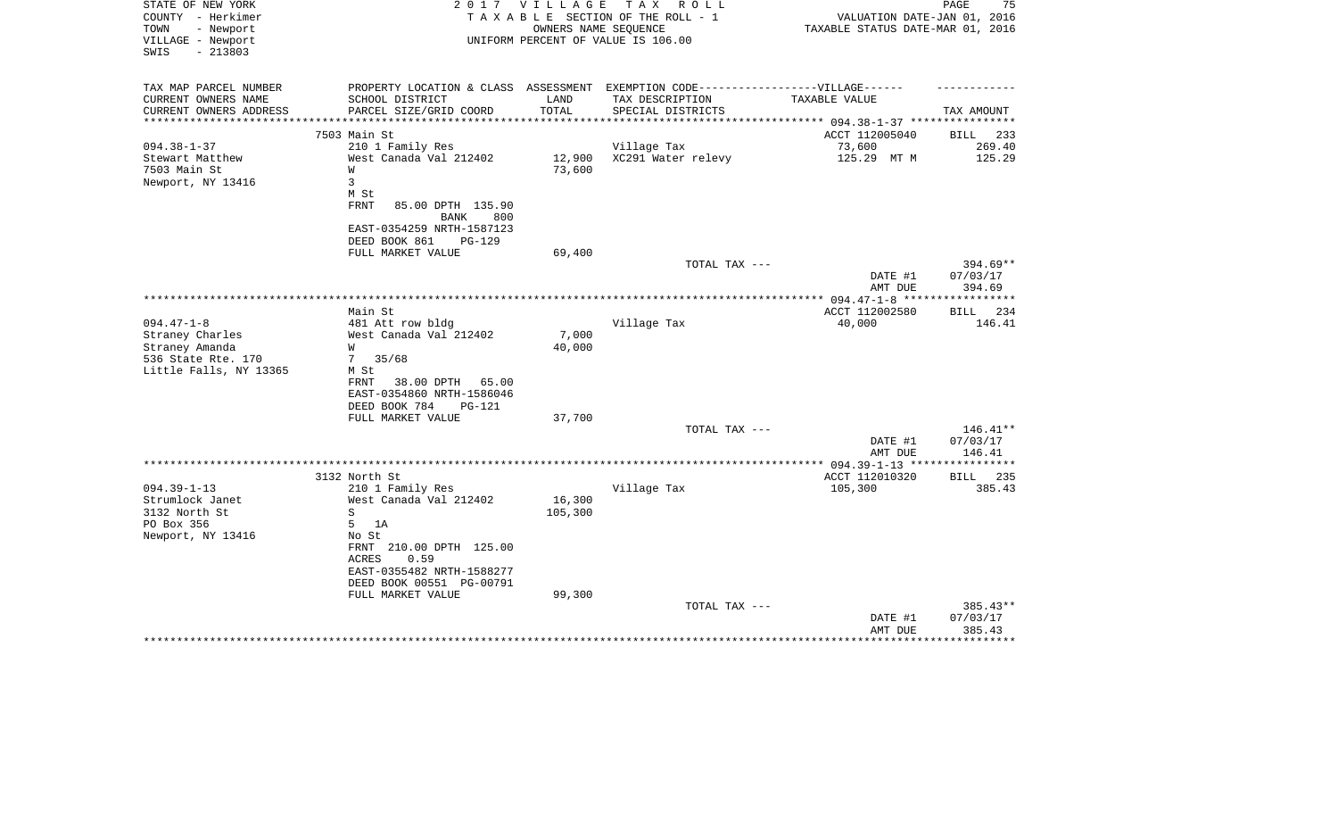| STATE OF NEW YORK<br>COUNTY - Herkimer<br>TOWN<br>- Newport<br>VILLAGE - Newport | 2 0 1 7<br>V I L L A G E<br>T A X<br>R O L L<br>TAXABLE SECTION OF THE ROLL - 1<br>OWNERS NAME SEOUENCE<br>UNIFORM PERCENT OF VALUE IS 106.00 |         | PAGE<br>75<br>VALUATION DATE-JAN 01, 2016<br>TAXABLE STATUS DATE-MAR 01, 2016 |                |             |
|----------------------------------------------------------------------------------|-----------------------------------------------------------------------------------------------------------------------------------------------|---------|-------------------------------------------------------------------------------|----------------|-------------|
| $-213803$<br>SWIS                                                                |                                                                                                                                               |         |                                                                               |                |             |
| TAX MAP PARCEL NUMBER                                                            | PROPERTY LOCATION & CLASS ASSESSMENT EXEMPTION CODE-----------------VILLAGE------                                                             |         |                                                                               |                |             |
| CURRENT OWNERS NAME                                                              | SCHOOL DISTRICT                                                                                                                               | LAND    | TAX DESCRIPTION                                                               | TAXABLE VALUE  |             |
| CURRENT OWNERS ADDRESS                                                           | PARCEL SIZE/GRID COORD                                                                                                                        | TOTAL   | SPECIAL DISTRICTS                                                             |                | TAX AMOUNT  |
| **********************                                                           |                                                                                                                                               |         |                                                                               |                |             |
|                                                                                  | 7503 Main St                                                                                                                                  |         |                                                                               | ACCT 112005040 | BILL<br>233 |
| $094.38 - 1 - 37$                                                                | 210 1 Family Res                                                                                                                              |         | Village Tax                                                                   | 73,600         | 269.40      |
| Stewart Matthew                                                                  | West Canada Val 212402                                                                                                                        | 12,900  | XC291 Water relevy                                                            | 125.29 MT M    | 125.29      |
| 7503 Main St                                                                     | W                                                                                                                                             | 73,600  |                                                                               |                |             |
| Newport, NY 13416                                                                | 3<br>M St                                                                                                                                     |         |                                                                               |                |             |
|                                                                                  | FRNT<br>85.00 DPTH 135.90<br><b>BANK</b><br>800                                                                                               |         |                                                                               |                |             |
|                                                                                  | EAST-0354259 NRTH-1587123<br>DEED BOOK 861<br>PG-129                                                                                          |         |                                                                               |                |             |
|                                                                                  | FULL MARKET VALUE                                                                                                                             | 69,400  |                                                                               |                |             |
|                                                                                  |                                                                                                                                               |         | TOTAL TAX ---                                                                 |                | 394.69**    |
|                                                                                  |                                                                                                                                               |         |                                                                               | DATE #1        | 07/03/17    |
|                                                                                  |                                                                                                                                               |         |                                                                               | AMT DUE        | 394.69      |
|                                                                                  |                                                                                                                                               |         |                                                                               |                |             |
|                                                                                  | Main St                                                                                                                                       |         |                                                                               | ACCT 112002580 | 234<br>BILL |
| $094.47 - 1 - 8$                                                                 | 481 Att row bldg                                                                                                                              |         | Village Tax                                                                   | 40,000         | 146.41      |
| Straney Charles                                                                  | West Canada Val 212402                                                                                                                        | 7,000   |                                                                               |                |             |
| Straney Amanda                                                                   | W                                                                                                                                             | 40,000  |                                                                               |                |             |
| 536 State Rte. 170                                                               | 35/68<br>7                                                                                                                                    |         |                                                                               |                |             |
| Little Falls, NY 13365                                                           | M St                                                                                                                                          |         |                                                                               |                |             |
|                                                                                  | FRNT<br>38.00 DPTH<br>65.00                                                                                                                   |         |                                                                               |                |             |
|                                                                                  | EAST-0354860 NRTH-1586046                                                                                                                     |         |                                                                               |                |             |
|                                                                                  | DEED BOOK 784<br>PG-121                                                                                                                       |         |                                                                               |                |             |
|                                                                                  | FULL MARKET VALUE                                                                                                                             | 37,700  |                                                                               |                |             |
|                                                                                  |                                                                                                                                               |         | TOTAL TAX ---                                                                 |                | 146.41**    |
|                                                                                  |                                                                                                                                               |         |                                                                               | DATE #1        | 07/03/17    |
|                                                                                  |                                                                                                                                               |         |                                                                               | AMT DUE        | 146.41      |
|                                                                                  | 3132 North St                                                                                                                                 |         |                                                                               | ACCT 112010320 | BILL 235    |
| $094.39 - 1 - 13$                                                                | 210 1 Family Res                                                                                                                              |         | Village Tax                                                                   | 105,300        | 385.43      |
| Strumlock Janet                                                                  | West Canada Val 212402                                                                                                                        | 16,300  |                                                                               |                |             |
| 3132 North St                                                                    | S                                                                                                                                             | 105,300 |                                                                               |                |             |
| PO Box 356                                                                       | 5<br>1A                                                                                                                                       |         |                                                                               |                |             |
| Newport, NY 13416                                                                | No St                                                                                                                                         |         |                                                                               |                |             |
|                                                                                  | FRNT 210.00 DPTH 125.00                                                                                                                       |         |                                                                               |                |             |
|                                                                                  | 0.59<br>ACRES                                                                                                                                 |         |                                                                               |                |             |
|                                                                                  | EAST-0355482 NRTH-1588277                                                                                                                     |         |                                                                               |                |             |
|                                                                                  | DEED BOOK 00551 PG-00791                                                                                                                      |         |                                                                               |                |             |
|                                                                                  | FULL MARKET VALUE                                                                                                                             | 99,300  |                                                                               |                |             |
|                                                                                  |                                                                                                                                               |         | TOTAL TAX ---                                                                 |                | 385.43**    |
|                                                                                  |                                                                                                                                               |         |                                                                               | DATE #1        | 07/03/17    |
|                                                                                  |                                                                                                                                               |         |                                                                               | AMT DUE        | 385.43      |
|                                                                                  |                                                                                                                                               |         |                                                                               |                | ********    |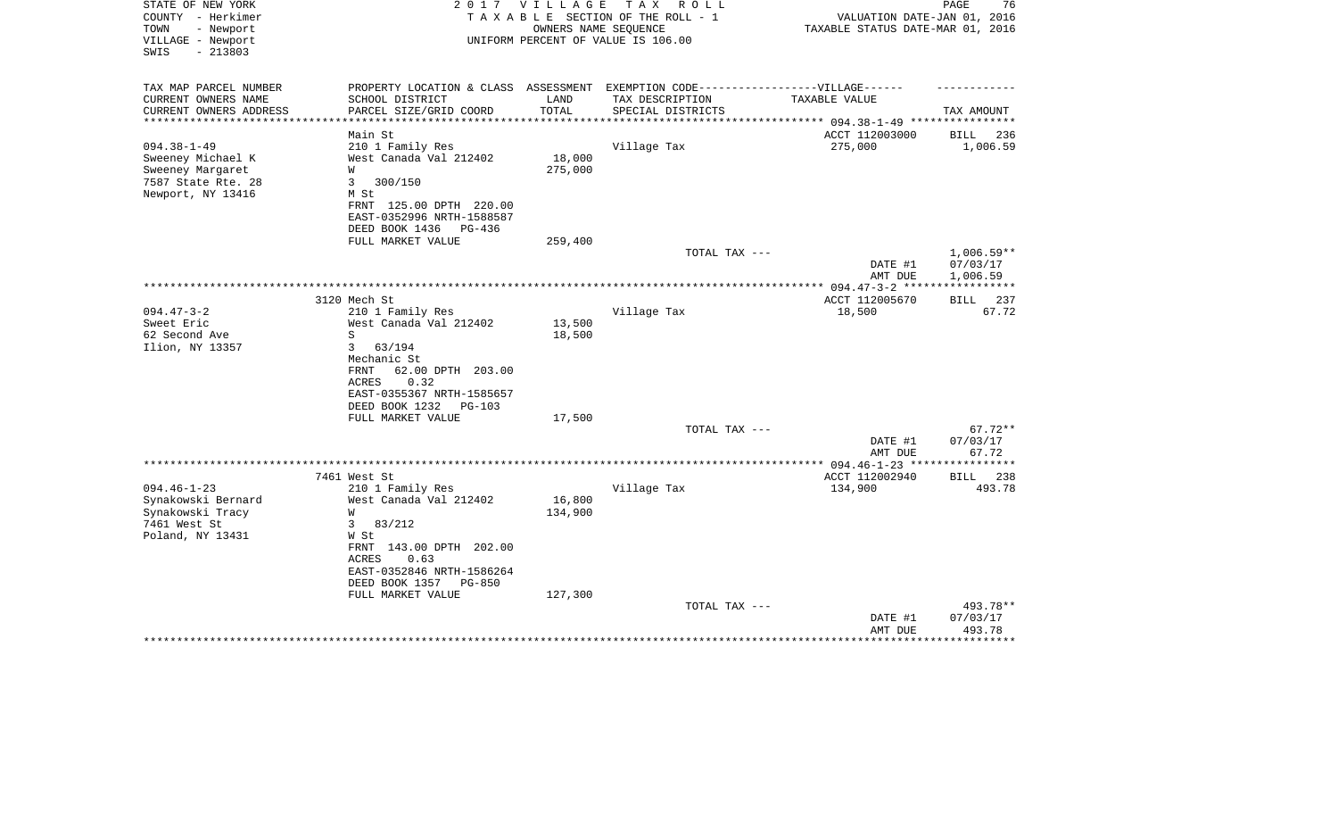| TAX AMOUNT<br>********** 094.38-1-49 ****************<br>BILL<br>236<br>1,006.59 |
|----------------------------------------------------------------------------------|
|                                                                                  |
|                                                                                  |
|                                                                                  |
| $1,006.59**$                                                                     |
| 07/03/17<br>1,006.59                                                             |
|                                                                                  |
| 237<br>BILL                                                                      |
| 67.72                                                                            |
| $67.72**$                                                                        |
| 07/03/17<br>67.72                                                                |
| BILL 238<br>493.78                                                               |
| 493.78**<br>07/03/17<br>493.78<br>* * * * * * * * * * * *                        |
|                                                                                  |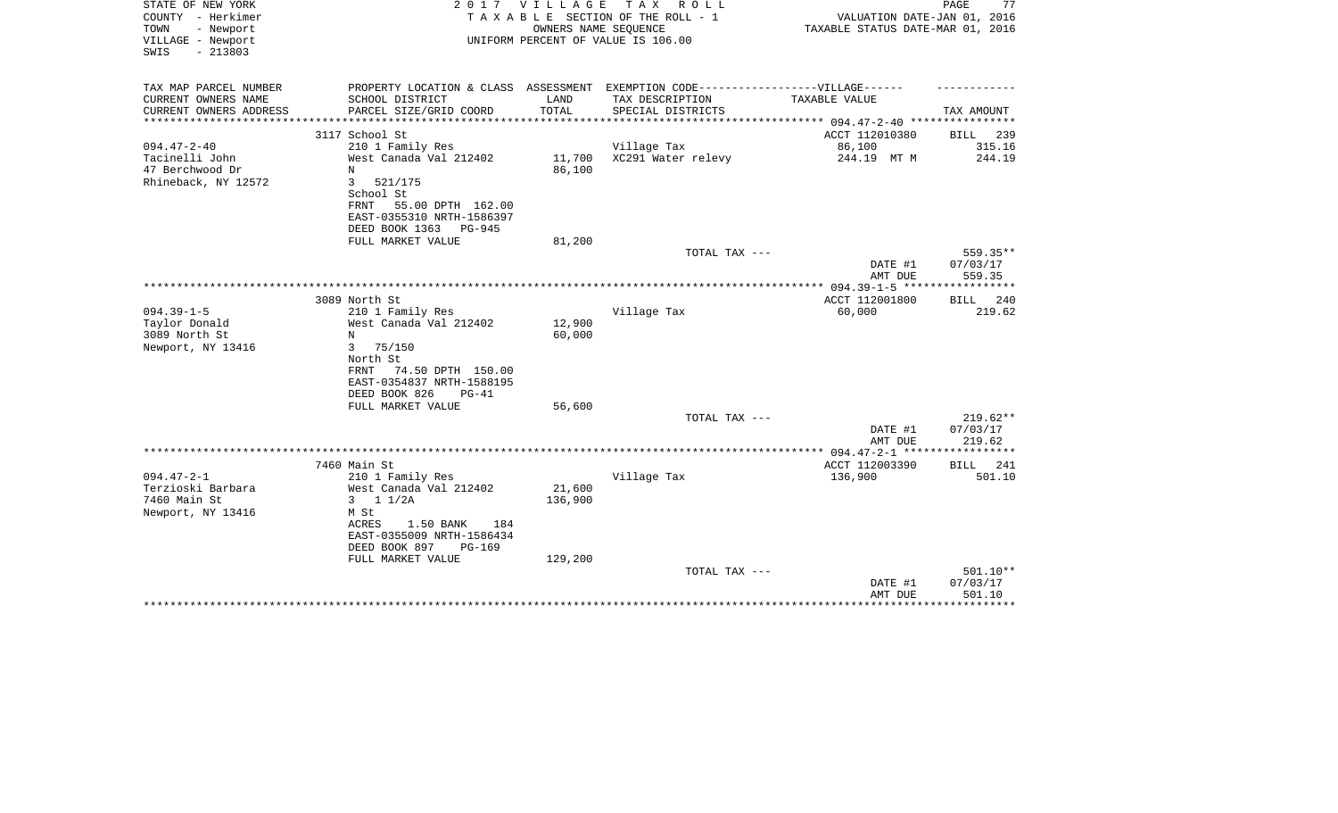| STATE OF NEW YORK<br>COUNTY - Herkimer<br>TOWN<br>- Newport<br>VILLAGE - Newport<br>$-213803$<br>SWIS |                                                                                                                             | 2017 VILLAGE<br>OWNERS NAME SEQUENCE | TAX ROLL<br>TAXABLE SECTION OF THE ROLL - 1<br>UNIFORM PERCENT OF VALUE IS 106.00                    | VALUATION DATE-JAN 01, 2016<br>TAXABLE STATUS DATE-MAR 01, 2016 | PAGE<br>77                     |
|-------------------------------------------------------------------------------------------------------|-----------------------------------------------------------------------------------------------------------------------------|--------------------------------------|------------------------------------------------------------------------------------------------------|-----------------------------------------------------------------|--------------------------------|
| TAX MAP PARCEL NUMBER<br>CURRENT OWNERS NAME                                                          | SCHOOL DISTRICT                                                                                                             | LAND                                 | PROPERTY LOCATION & CLASS ASSESSMENT EXEMPTION CODE-----------------VILLAGE------<br>TAX DESCRIPTION | TAXABLE VALUE                                                   |                                |
| CURRENT OWNERS ADDRESS                                                                                | PARCEL SIZE/GRID COORD                                                                                                      | TOTAL                                | SPECIAL DISTRICTS                                                                                    |                                                                 | TAX AMOUNT                     |
| ********************                                                                                  |                                                                                                                             | ***********                          |                                                                                                      |                                                                 |                                |
| $094.47 - 2 - 40$                                                                                     | 3117 School St<br>210 1 Family Res                                                                                          |                                      | Village Tax                                                                                          | ACCT 112010380<br>86,100                                        | BILL<br>239<br>315.16          |
| Tacinelli John<br>47 Berchwood Dr<br>Rhineback, NY 12572                                              | West Canada Val 212402<br>$_{\rm N}$<br>3<br>521/175<br>School St<br>55.00 DPTH 162.00<br>FRNT<br>EAST-0355310 NRTH-1586397 | 11,700<br>86,100                     | XC291 Water relevy                                                                                   | 244.19 MT M                                                     | 244.19                         |
|                                                                                                       | DEED BOOK 1363<br>PG-945                                                                                                    |                                      |                                                                                                      |                                                                 |                                |
|                                                                                                       | FULL MARKET VALUE                                                                                                           | 81,200                               | TOTAL TAX ---                                                                                        |                                                                 | 559.35**                       |
|                                                                                                       |                                                                                                                             |                                      |                                                                                                      | DATE #1<br>AMT DUE                                              | 07/03/17<br>559.35             |
|                                                                                                       |                                                                                                                             |                                      |                                                                                                      | ** 094.39-1-5 ***                                               | ********                       |
|                                                                                                       | 3089 North St                                                                                                               |                                      |                                                                                                      | ACCT 112001800                                                  | <b>BILL</b><br>240             |
| $094.39 - 1 - 5$<br>Taylor Donald                                                                     | 210 1 Family Res<br>West Canada Val 212402                                                                                  | 12,900                               | Village Tax                                                                                          | 60,000                                                          | 219.62                         |
| 3089 North St                                                                                         | N                                                                                                                           | 60,000                               |                                                                                                      |                                                                 |                                |
| Newport, NY 13416                                                                                     | 3<br>75/150                                                                                                                 |                                      |                                                                                                      |                                                                 |                                |
|                                                                                                       | North St                                                                                                                    |                                      |                                                                                                      |                                                                 |                                |
|                                                                                                       | 74.50 DPTH 150.00<br>FRNT<br>EAST-0354837 NRTH-1588195                                                                      |                                      |                                                                                                      |                                                                 |                                |
|                                                                                                       | DEED BOOK 826<br>$PG-41$                                                                                                    |                                      |                                                                                                      |                                                                 |                                |
|                                                                                                       | FULL MARKET VALUE                                                                                                           | 56,600                               | TOTAL TAX ---                                                                                        |                                                                 | $219.62**$                     |
|                                                                                                       |                                                                                                                             |                                      |                                                                                                      | DATE #1                                                         | 07/03/17                       |
|                                                                                                       |                                                                                                                             |                                      |                                                                                                      | AMT DUE                                                         | 219.62                         |
|                                                                                                       |                                                                                                                             |                                      |                                                                                                      |                                                                 |                                |
|                                                                                                       | 7460 Main St                                                                                                                |                                      |                                                                                                      | ACCT 112003390                                                  | <b>BILL</b><br>241<br>501.10   |
| $094.47 - 2 - 1$<br>Terzioski Barbara                                                                 | 210 1 Family Res<br>West Canada Val 212402                                                                                  | 21,600                               | Village Tax                                                                                          | 136,900                                                         |                                |
| 7460 Main St                                                                                          | $3 \t11/2A$                                                                                                                 | 136,900                              |                                                                                                      |                                                                 |                                |
| Newport, NY 13416                                                                                     | M St                                                                                                                        |                                      |                                                                                                      |                                                                 |                                |
|                                                                                                       | 1.50 BANK<br>ACRES<br>184<br>EAST-0355009 NRTH-1586434<br>DEED BOOK 897<br><b>PG-169</b>                                    |                                      |                                                                                                      |                                                                 |                                |
|                                                                                                       | FULL MARKET VALUE                                                                                                           | 129,200                              |                                                                                                      |                                                                 |                                |
|                                                                                                       |                                                                                                                             |                                      | TOTAL TAX ---                                                                                        |                                                                 | 501.10**                       |
|                                                                                                       |                                                                                                                             |                                      |                                                                                                      | DATE #1<br>AMT DUE                                              | 07/03/17<br>501.10<br>******** |
|                                                                                                       |                                                                                                                             |                                      |                                                                                                      |                                                                 |                                |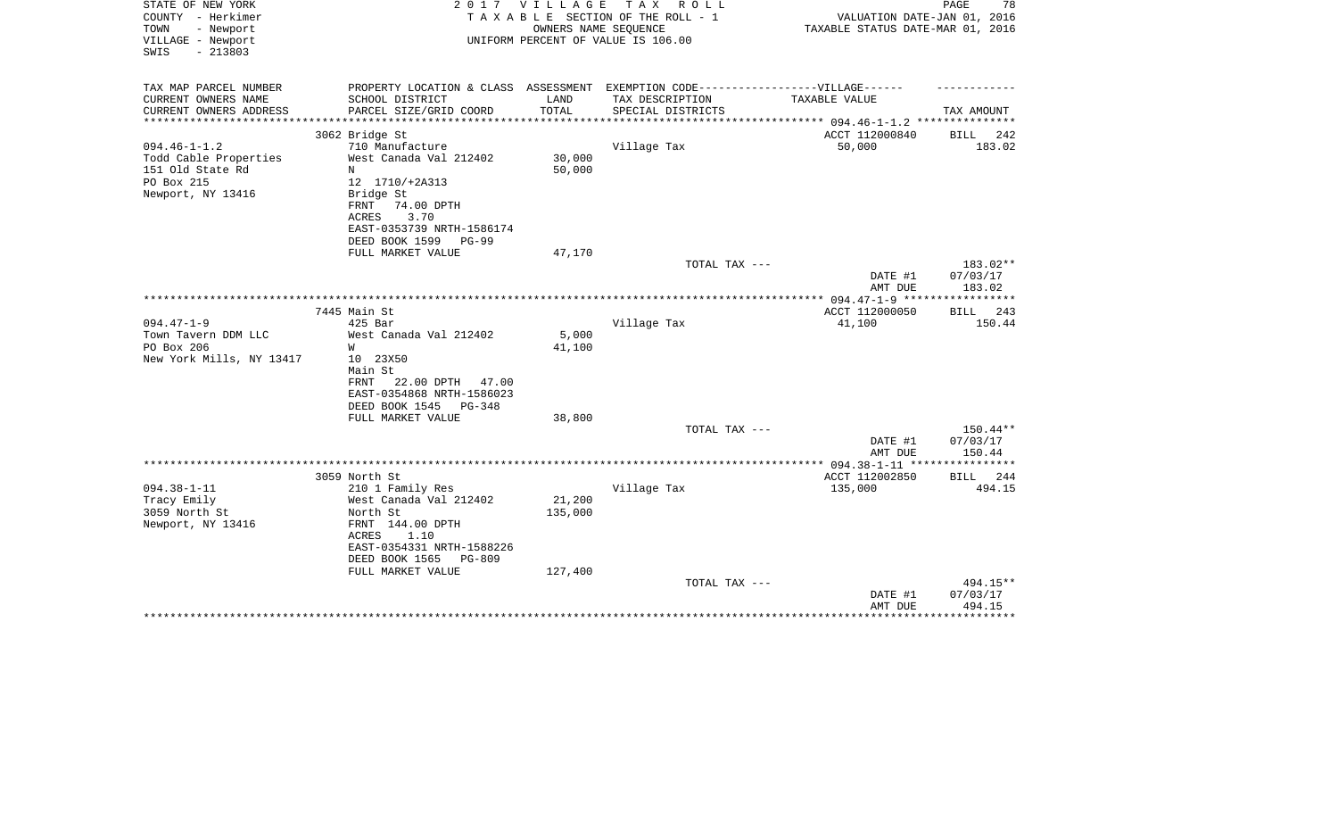| STATE OF NEW YORK<br>COUNTY - Herkimer<br>- Newport<br>TOWN | 2 0 1 7                                                     | V I L L A G E | TAX ROLL<br>TAXABLE SECTION OF THE ROLL - 1<br>OWNERS NAME SEQUENCE               | VALUATION DATE-JAN 01, 2016<br>TAXABLE STATUS DATE-MAR 01, 2016 | PAGE<br>78           |
|-------------------------------------------------------------|-------------------------------------------------------------|---------------|-----------------------------------------------------------------------------------|-----------------------------------------------------------------|----------------------|
| VILLAGE - Newport<br>$-213803$<br>SWIS                      |                                                             |               | UNIFORM PERCENT OF VALUE IS 106.00                                                |                                                                 |                      |
| TAX MAP PARCEL NUMBER                                       |                                                             |               | PROPERTY LOCATION & CLASS ASSESSMENT EXEMPTION CODE-----------------VILLAGE------ |                                                                 |                      |
| CURRENT OWNERS NAME                                         | SCHOOL DISTRICT                                             | LAND          | TAX DESCRIPTION                                                                   | TAXABLE VALUE                                                   |                      |
| CURRENT OWNERS ADDRESS<br>**********************            | PARCEL SIZE/GRID COORD                                      | TOTAL         | SPECIAL DISTRICTS                                                                 |                                                                 | TAX AMOUNT           |
| 3062 Bridge St                                              |                                                             |               |                                                                                   | ACCT 112000840                                                  | <b>BILL</b><br>242   |
| $094.46 - 1 - 1.2$                                          | 710 Manufacture                                             |               | Village Tax                                                                       | 50,000                                                          | 183.02               |
| Todd Cable Properties                                       | West Canada Val 212402                                      | 30,000        |                                                                                   |                                                                 |                      |
| 151 Old State Rd<br>N                                       |                                                             | 50,000        |                                                                                   |                                                                 |                      |
| PO Box 215                                                  | 12 1710/+2A313                                              |               |                                                                                   |                                                                 |                      |
| Newport, NY 13416<br>Bridge St                              |                                                             |               |                                                                                   |                                                                 |                      |
| FRNT                                                        | 74.00 DPTH                                                  |               |                                                                                   |                                                                 |                      |
| ACRES                                                       | 3.70                                                        |               |                                                                                   |                                                                 |                      |
|                                                             | EAST-0353739 NRTH-1586174<br>DEED BOOK 1599<br><b>PG-99</b> |               |                                                                                   |                                                                 |                      |
|                                                             | FULL MARKET VALUE                                           | 47,170        |                                                                                   |                                                                 |                      |
|                                                             |                                                             |               | TOTAL TAX ---                                                                     |                                                                 | 183.02**             |
|                                                             |                                                             |               |                                                                                   | DATE #1                                                         | 07/03/17             |
|                                                             |                                                             |               |                                                                                   | AMT DUE                                                         | 183.02               |
|                                                             |                                                             |               |                                                                                   |                                                                 |                      |
| 7445 Main St                                                |                                                             |               |                                                                                   | ACCT 112000050                                                  | BILL 243             |
| $094.47 - 1 - 9$<br>$425$ Bar                               |                                                             |               | Village Tax                                                                       | 41,100                                                          | 150.44               |
| Town Tavern DDM LLC                                         | West Canada Val 212402                                      | 5,000         |                                                                                   |                                                                 |                      |
| PO Box 206<br>W                                             |                                                             | 41,100        |                                                                                   |                                                                 |                      |
| New York Mills, NY 13417<br>10 23X50<br>Main St             |                                                             |               |                                                                                   |                                                                 |                      |
| FRNT                                                        | 22.00 DPTH 47.00                                            |               |                                                                                   |                                                                 |                      |
|                                                             | EAST-0354868 NRTH-1586023                                   |               |                                                                                   |                                                                 |                      |
|                                                             | DEED BOOK 1545<br>$PG-348$                                  |               |                                                                                   |                                                                 |                      |
|                                                             | FULL MARKET VALUE                                           | 38,800        |                                                                                   |                                                                 |                      |
|                                                             |                                                             |               | TOTAL TAX ---                                                                     |                                                                 | 150.44**             |
|                                                             |                                                             |               |                                                                                   | DATE #1                                                         | 07/03/17             |
|                                                             |                                                             |               |                                                                                   | AMT DUE                                                         | 150.44               |
|                                                             |                                                             |               |                                                                                   |                                                                 |                      |
| 3059 North St<br>$094.38 - 1 - 11$                          |                                                             |               |                                                                                   | ACCT 112002850                                                  | BILL 244<br>494.15   |
| Tracy Emily                                                 | 210 1 Family Res<br>West Canada Val 212402                  | 21,200        | Village Tax                                                                       | 135,000                                                         |                      |
| 3059 North St<br>North St                                   |                                                             | 135,000       |                                                                                   |                                                                 |                      |
| Newport, NY 13416                                           | FRNT 144.00 DPTH                                            |               |                                                                                   |                                                                 |                      |
| ACRES                                                       | 1.10                                                        |               |                                                                                   |                                                                 |                      |
|                                                             | EAST-0354331 NRTH-1588226                                   |               |                                                                                   |                                                                 |                      |
|                                                             | DEED BOOK 1565<br><b>PG-809</b>                             |               |                                                                                   |                                                                 |                      |
|                                                             | FULL MARKET VALUE                                           | 127,400       |                                                                                   |                                                                 |                      |
|                                                             |                                                             |               | TOTAL TAX ---                                                                     |                                                                 | 494.15**             |
|                                                             |                                                             |               |                                                                                   | DATE #1                                                         | 07/03/17             |
|                                                             |                                                             |               |                                                                                   | AMT DUE                                                         | 494.15<br>********** |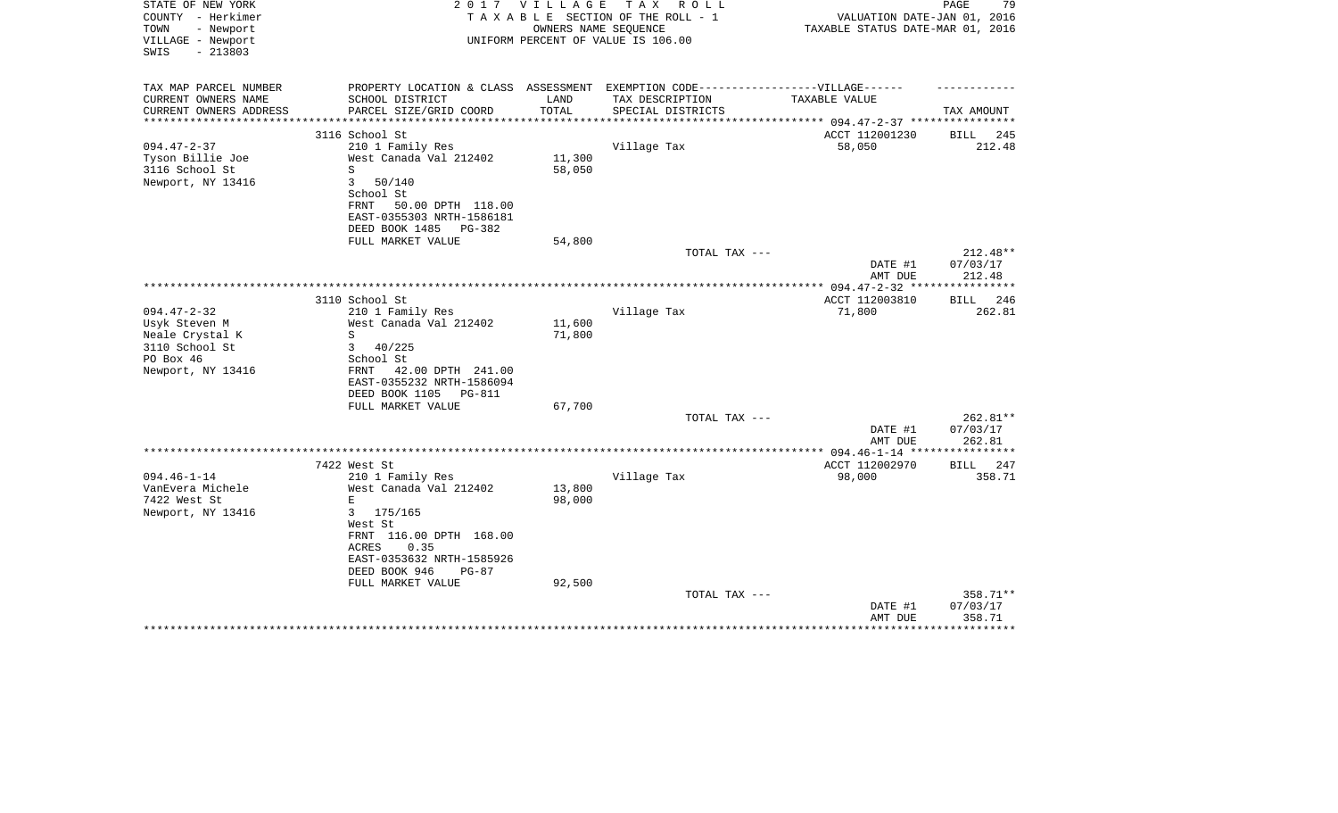| STATE OF NEW YORK<br>COUNTY - Herkimer                      | 2 0 1 7                                                                           | V I L L A G E        | TAX ROLL<br>TAXABLE SECTION OF THE ROLL - 1                | VALUATION DATE-JAN 01, 2016                                     | 79<br>PAGE          |
|-------------------------------------------------------------|-----------------------------------------------------------------------------------|----------------------|------------------------------------------------------------|-----------------------------------------------------------------|---------------------|
| - Newport<br>TOWN<br>VILLAGE - Newport<br>$-213803$<br>SWIS |                                                                                   |                      | OWNERS NAME SEQUENCE<br>UNIFORM PERCENT OF VALUE IS 106.00 | TAXABLE STATUS DATE-MAR 01, 2016                                |                     |
| TAX MAP PARCEL NUMBER                                       | PROPERTY LOCATION & CLASS ASSESSMENT EXEMPTION CODE-----------------VILLAGE------ |                      |                                                            |                                                                 |                     |
| CURRENT OWNERS NAME                                         | SCHOOL DISTRICT                                                                   | LAND                 | TAX DESCRIPTION                                            | TAXABLE VALUE                                                   |                     |
| CURRENT OWNERS ADDRESS<br>****************                  | PARCEL SIZE/GRID COORD                                                            | TOTAL<br>*********** | SPECIAL DISTRICTS                                          |                                                                 | TAX AMOUNT          |
|                                                             | 3116 School St                                                                    |                      |                                                            | ********************* 094.47-2-37 ***********<br>ACCT 112001230 | 245<br><b>BILL</b>  |
| $094.47 - 2 - 37$                                           | 210 1 Family Res                                                                  |                      | Village Tax                                                | 58,050                                                          | 212.48              |
| Tyson Billie Joe                                            | West Canada Val 212402                                                            | 11,300               |                                                            |                                                                 |                     |
| 3116 School St<br>Newport, NY 13416                         | S<br>3<br>50/140                                                                  | 58,050               |                                                            |                                                                 |                     |
|                                                             | School St                                                                         |                      |                                                            |                                                                 |                     |
|                                                             | FRNT<br>50.00 DPTH 118.00                                                         |                      |                                                            |                                                                 |                     |
|                                                             | EAST-0355303 NRTH-1586181                                                         |                      |                                                            |                                                                 |                     |
|                                                             | DEED BOOK 1485<br>PG-382                                                          |                      |                                                            |                                                                 |                     |
|                                                             | FULL MARKET VALUE                                                                 | 54,800               | TOTAL TAX ---                                              |                                                                 | 212.48**            |
|                                                             |                                                                                   |                      |                                                            | DATE #1<br>AMT DUE                                              | 07/03/17<br>212.48  |
|                                                             |                                                                                   |                      |                                                            |                                                                 | * * * * * * * * * * |
|                                                             | 3110 School St                                                                    |                      |                                                            | ACCT 112003810                                                  | 246<br>BILL         |
| $094.47 - 2 - 32$<br>Usyk Steven M                          | 210 1 Family Res<br>West Canada Val 212402                                        | 11,600               | Village Tax                                                | 71,800                                                          | 262.81              |
| Neale Crystal K                                             | S                                                                                 | 71,800               |                                                            |                                                                 |                     |
| 3110 School St                                              | 3<br>40/225                                                                       |                      |                                                            |                                                                 |                     |
| PO Box 46                                                   | School St                                                                         |                      |                                                            |                                                                 |                     |
| Newport, NY 13416                                           | <b>FRNT</b><br>42.00 DPTH 241.00                                                  |                      |                                                            |                                                                 |                     |
|                                                             | EAST-0355232 NRTH-1586094<br>DEED BOOK 1105 PG-811                                |                      |                                                            |                                                                 |                     |
|                                                             | FULL MARKET VALUE                                                                 | 67,700               |                                                            |                                                                 |                     |
|                                                             |                                                                                   |                      | TOTAL TAX ---                                              |                                                                 | 262.81**            |
|                                                             |                                                                                   |                      |                                                            | DATE #1                                                         | 07/03/17            |
|                                                             |                                                                                   |                      |                                                            | AMT DUE                                                         | 262.81              |
|                                                             | 7422 West St                                                                      |                      |                                                            | ACCT 112002970                                                  | <b>BILL</b><br>247  |
| $094.46 - 1 - 14$                                           | 210 1 Family Res                                                                  |                      | Village Tax                                                | 98,000                                                          | 358.71              |
| VanEvera Michele                                            | West Canada Val 212402                                                            | 13,800               |                                                            |                                                                 |                     |
| 7422 West St                                                | E                                                                                 | 98,000               |                                                            |                                                                 |                     |
| Newport, NY 13416                                           | 3<br>175/165<br>West St                                                           |                      |                                                            |                                                                 |                     |
|                                                             | FRNT 116.00 DPTH 168.00                                                           |                      |                                                            |                                                                 |                     |
|                                                             | 0.35<br>ACRES                                                                     |                      |                                                            |                                                                 |                     |
|                                                             | EAST-0353632 NRTH-1585926                                                         |                      |                                                            |                                                                 |                     |
|                                                             | DEED BOOK 946<br>$PG-87$                                                          |                      |                                                            |                                                                 |                     |
|                                                             | FULL MARKET VALUE                                                                 | 92,500               | TOTAL TAX ---                                              |                                                                 | 358.71**            |
|                                                             |                                                                                   |                      |                                                            | DATE #1                                                         | 07/03/17            |
|                                                             |                                                                                   |                      |                                                            | AMT DUE                                                         | 358.71              |
|                                                             |                                                                                   |                      |                                                            |                                                                 |                     |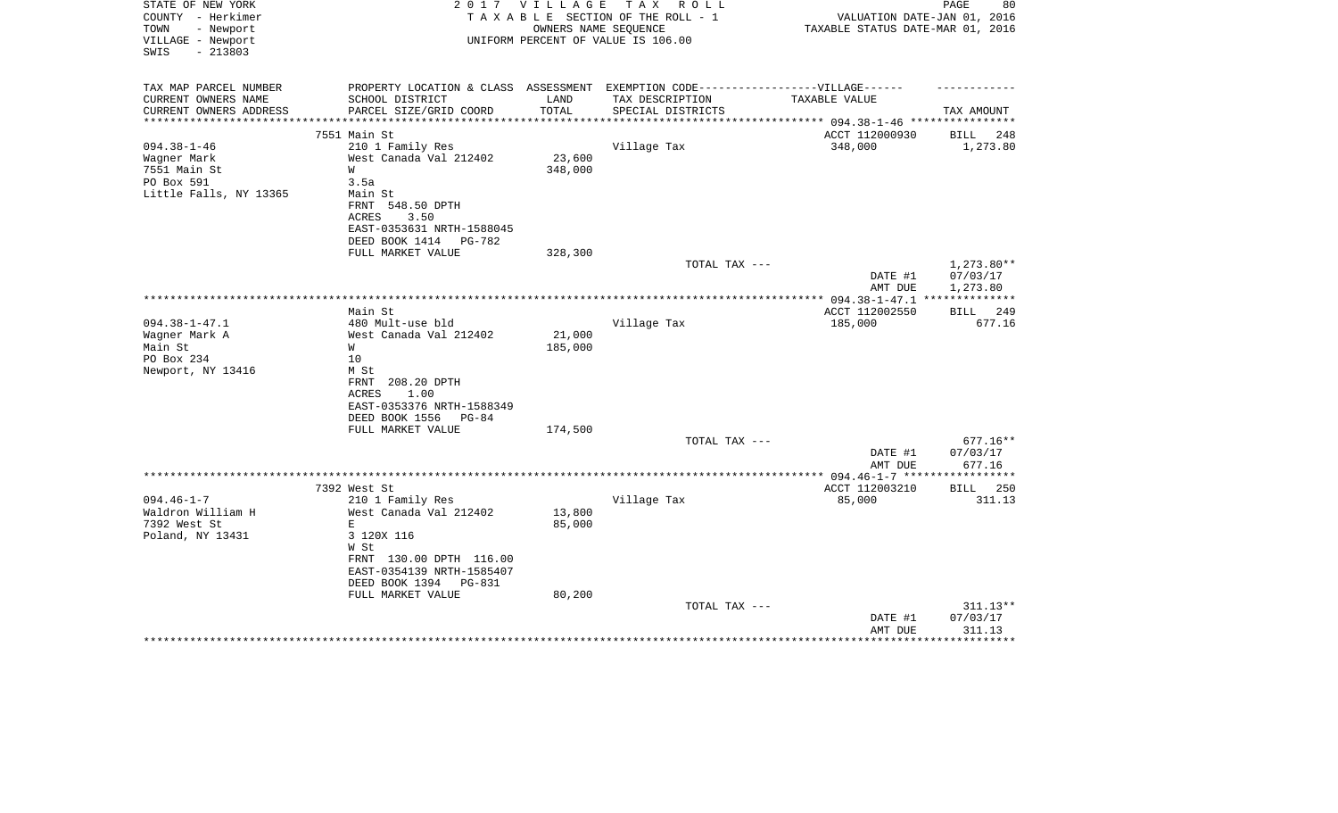| STATE OF NEW YORK<br>COUNTY - Herkimer<br>TOWN<br>- Newport<br>VILLAGE - Newport<br>$-213803$<br>SWIS | 2 0 1 7                                                                                             | VILLAGE        | T A X<br>R O L L<br>TAXABLE SECTION OF THE ROLL - 1<br>OWNERS NAME SEQUENCE<br>UNIFORM PERCENT OF VALUE IS 106.00 | VALUATION DATE-JAN 01, 2016<br>TAXABLE STATUS DATE-MAR 01, 2016 | 80<br>PAGE            |
|-------------------------------------------------------------------------------------------------------|-----------------------------------------------------------------------------------------------------|----------------|-------------------------------------------------------------------------------------------------------------------|-----------------------------------------------------------------|-----------------------|
| TAX MAP PARCEL NUMBER<br>CURRENT OWNERS NAME                                                          | PROPERTY LOCATION & CLASS ASSESSMENT EXEMPTION CODE----------------VILLAGE------<br>SCHOOL DISTRICT | LAND           | TAX DESCRIPTION                                                                                                   | TAXABLE VALUE                                                   |                       |
| CURRENT OWNERS ADDRESS                                                                                | PARCEL SIZE/GRID COORD                                                                              | TOTAL          | SPECIAL DISTRICTS                                                                                                 |                                                                 | TAX AMOUNT            |
| **********************                                                                                | ******************************                                                                      | ************** |                                                                                                                   |                                                                 |                       |
|                                                                                                       | 7551 Main St                                                                                        |                |                                                                                                                   | ACCT 112000930                                                  | BILL<br>248           |
| $094.38 - 1 - 46$                                                                                     | 210 1 Family Res                                                                                    |                | Village Tax                                                                                                       | 348,000                                                         | 1,273.80              |
| Wagner Mark                                                                                           | West Canada Val 212402                                                                              | 23,600         |                                                                                                                   |                                                                 |                       |
| 7551 Main St                                                                                          | W                                                                                                   | 348,000        |                                                                                                                   |                                                                 |                       |
| PO Box 591                                                                                            | 3.5a                                                                                                |                |                                                                                                                   |                                                                 |                       |
| Little Falls, NY 13365                                                                                | Main St                                                                                             |                |                                                                                                                   |                                                                 |                       |
|                                                                                                       | FRNT<br>548.50 DPTH<br><b>ACRES</b><br>3.50                                                         |                |                                                                                                                   |                                                                 |                       |
|                                                                                                       | EAST-0353631 NRTH-1588045                                                                           |                |                                                                                                                   |                                                                 |                       |
|                                                                                                       | DEED BOOK 1414<br>PG-782                                                                            |                |                                                                                                                   |                                                                 |                       |
|                                                                                                       | FULL MARKET VALUE                                                                                   | 328,300        |                                                                                                                   |                                                                 |                       |
|                                                                                                       |                                                                                                     |                | TOTAL TAX ---                                                                                                     |                                                                 | 1,273.80**            |
|                                                                                                       |                                                                                                     |                |                                                                                                                   | DATE #1                                                         | 07/03/17              |
|                                                                                                       |                                                                                                     |                |                                                                                                                   | AMT DUE                                                         | 1,273.80              |
|                                                                                                       |                                                                                                     |                |                                                                                                                   | *************** 094.38-1-47.1 ***************                   |                       |
| $094.38 - 1 - 47.1$                                                                                   | Main St<br>480 Mult-use bld                                                                         |                | Village Tax                                                                                                       | ACCT 112002550                                                  | 249<br>BILL<br>677.16 |
| Wagner Mark A                                                                                         | West Canada Val 212402                                                                              | 21,000         |                                                                                                                   | 185,000                                                         |                       |
| Main St                                                                                               | W                                                                                                   | 185,000        |                                                                                                                   |                                                                 |                       |
| PO Box 234                                                                                            | 10                                                                                                  |                |                                                                                                                   |                                                                 |                       |
| Newport, NY 13416                                                                                     | M St                                                                                                |                |                                                                                                                   |                                                                 |                       |
|                                                                                                       | FRNT<br>208.20 DPTH                                                                                 |                |                                                                                                                   |                                                                 |                       |
|                                                                                                       | ACRES<br>1.00                                                                                       |                |                                                                                                                   |                                                                 |                       |
|                                                                                                       | EAST-0353376 NRTH-1588349                                                                           |                |                                                                                                                   |                                                                 |                       |
|                                                                                                       | DEED BOOK 1556<br>PG-84                                                                             |                |                                                                                                                   |                                                                 |                       |
|                                                                                                       | FULL MARKET VALUE                                                                                   | 174,500        | TOTAL TAX ---                                                                                                     |                                                                 | $677.16**$            |
|                                                                                                       |                                                                                                     |                |                                                                                                                   | DATE #1                                                         | 07/03/17              |
|                                                                                                       |                                                                                                     |                |                                                                                                                   | AMT DUE                                                         | 677.16                |
|                                                                                                       |                                                                                                     |                |                                                                                                                   |                                                                 | ************          |
|                                                                                                       | 7392 West St                                                                                        |                |                                                                                                                   | ACCT 112003210                                                  | <b>BILL</b><br>250    |
| $094.46 - 1 - 7$                                                                                      | 210 1 Family Res                                                                                    |                | Village Tax                                                                                                       | 85,000                                                          | 311.13                |
| Waldron William H                                                                                     | West Canada Val 212402                                                                              | 13,800         |                                                                                                                   |                                                                 |                       |
| 7392 West St                                                                                          | $\mathbf E$                                                                                         | 85,000         |                                                                                                                   |                                                                 |                       |
| Poland, NY 13431                                                                                      | 3 120X 116                                                                                          |                |                                                                                                                   |                                                                 |                       |
|                                                                                                       | W St<br>FRNT 130.00 DPTH 116.00                                                                     |                |                                                                                                                   |                                                                 |                       |
|                                                                                                       | EAST-0354139 NRTH-1585407                                                                           |                |                                                                                                                   |                                                                 |                       |
|                                                                                                       | DEED BOOK 1394<br>PG-831                                                                            |                |                                                                                                                   |                                                                 |                       |
|                                                                                                       | FULL MARKET VALUE                                                                                   | 80,200         |                                                                                                                   |                                                                 |                       |
|                                                                                                       |                                                                                                     |                | TOTAL TAX ---                                                                                                     |                                                                 | 311.13**              |
|                                                                                                       |                                                                                                     |                |                                                                                                                   | DATE #1                                                         | 07/03/17              |
|                                                                                                       |                                                                                                     |                |                                                                                                                   | AMT DUE                                                         | 311.13                |
|                                                                                                       |                                                                                                     |                |                                                                                                                   |                                                                 |                       |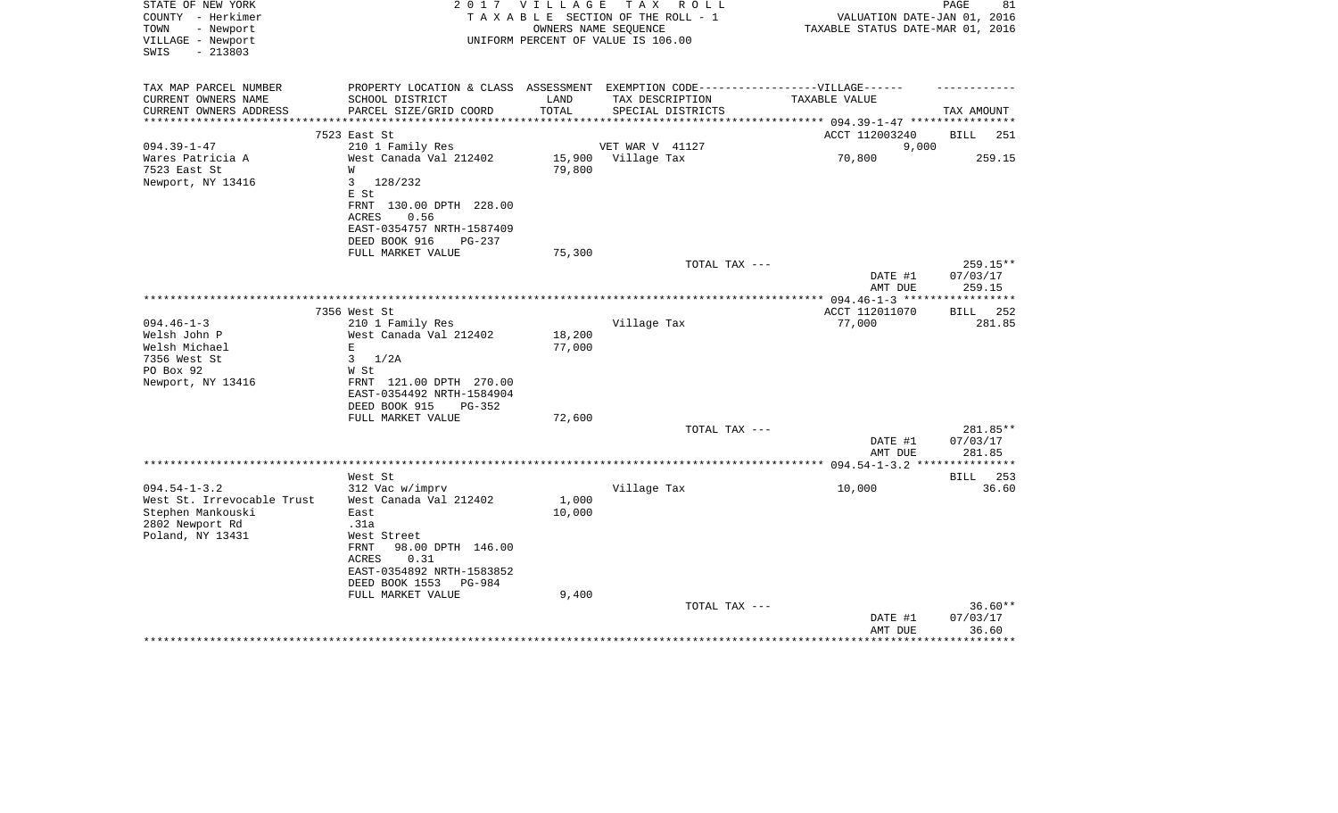| STATE OF NEW YORK<br>COUNTY - Herkimer<br>TOWN<br>- Newport<br>VILLAGE - Newport<br>$-213803$<br>SWIS | 2 0 1 7                                                                                             | V I L L A G E<br>OWNERS NAME SEQUENCE | T A X<br>R O L L<br>TAXABLE SECTION OF THE ROLL - 1<br>UNIFORM PERCENT OF VALUE IS 106.00 | VALUATION DATE-JAN 01, 2016<br>TAXABLE STATUS DATE-MAR 01, 2016 | PAGE<br>81         |
|-------------------------------------------------------------------------------------------------------|-----------------------------------------------------------------------------------------------------|---------------------------------------|-------------------------------------------------------------------------------------------|-----------------------------------------------------------------|--------------------|
| TAX MAP PARCEL NUMBER<br>CURRENT OWNERS NAME                                                          | PROPERTY LOCATION & CLASS ASSESSMENT EXEMPTION CODE----------------VILLAGE------<br>SCHOOL DISTRICT | LAND                                  | TAX DESCRIPTION                                                                           | TAXABLE VALUE                                                   |                    |
| CURRENT OWNERS ADDRESS                                                                                | PARCEL SIZE/GRID COORD                                                                              | TOTAL                                 | SPECIAL DISTRICTS                                                                         |                                                                 | TAX AMOUNT         |
| ********************                                                                                  | ************************                                                                            | **********                            | ********************                                                                      | *********** 094.39-1-47 ************                            |                    |
|                                                                                                       | 7523 East St                                                                                        |                                       |                                                                                           | ACCT 112003240                                                  | <b>BILL</b><br>251 |
| $094.39 - 1 - 47$                                                                                     | 210 1 Family Res                                                                                    |                                       | VET WAR V 41127                                                                           | 9,000                                                           |                    |
| Wares Patricia A                                                                                      | West Canada Val 212402                                                                              | 15,900                                | Village Tax                                                                               | 70,800                                                          | 259.15             |
| 7523 East St                                                                                          | W                                                                                                   | 79,800                                |                                                                                           |                                                                 |                    |
| Newport, NY 13416                                                                                     | 3<br>128/232                                                                                        |                                       |                                                                                           |                                                                 |                    |
|                                                                                                       | E St                                                                                                |                                       |                                                                                           |                                                                 |                    |
|                                                                                                       | FRNT 130.00 DPTH 228.00<br><b>ACRES</b>                                                             |                                       |                                                                                           |                                                                 |                    |
|                                                                                                       | 0.56<br>EAST-0354757 NRTH-1587409                                                                   |                                       |                                                                                           |                                                                 |                    |
|                                                                                                       | DEED BOOK 916<br>PG-237                                                                             |                                       |                                                                                           |                                                                 |                    |
|                                                                                                       | FULL MARKET VALUE                                                                                   | 75,300                                |                                                                                           |                                                                 |                    |
|                                                                                                       |                                                                                                     |                                       | TOTAL TAX ---                                                                             |                                                                 | $259.15**$         |
|                                                                                                       |                                                                                                     |                                       |                                                                                           | DATE #1                                                         | 07/03/17           |
|                                                                                                       |                                                                                                     |                                       |                                                                                           | AMT DUE                                                         | 259.15             |
|                                                                                                       |                                                                                                     |                                       |                                                                                           |                                                                 |                    |
|                                                                                                       | 7356 West St                                                                                        |                                       |                                                                                           | ACCT 112011070                                                  | BILL<br>252        |
| $094.46 - 1 - 3$                                                                                      | 210 1 Family Res                                                                                    |                                       | Village Tax                                                                               | 77,000                                                          | 281.85             |
| Welsh John P                                                                                          | West Canada Val 212402                                                                              | 18,200                                |                                                                                           |                                                                 |                    |
| Welsh Michael                                                                                         | Е                                                                                                   | 77,000                                |                                                                                           |                                                                 |                    |
| 7356 West St                                                                                          | 3<br>1/2A                                                                                           |                                       |                                                                                           |                                                                 |                    |
| PO Box 92                                                                                             | W St                                                                                                |                                       |                                                                                           |                                                                 |                    |
| Newport, NY 13416                                                                                     | FRNT 121.00 DPTH 270.00<br>EAST-0354492 NRTH-1584904                                                |                                       |                                                                                           |                                                                 |                    |
|                                                                                                       | DEED BOOK 915<br>$PG-352$                                                                           |                                       |                                                                                           |                                                                 |                    |
|                                                                                                       | FULL MARKET VALUE                                                                                   | 72,600                                |                                                                                           |                                                                 |                    |
|                                                                                                       |                                                                                                     |                                       | TOTAL TAX ---                                                                             |                                                                 | 281.85**           |
|                                                                                                       |                                                                                                     |                                       |                                                                                           | DATE #1                                                         | 07/03/17           |
|                                                                                                       |                                                                                                     |                                       |                                                                                           | AMT DUE                                                         | 281.85             |
|                                                                                                       |                                                                                                     |                                       |                                                                                           |                                                                 |                    |
|                                                                                                       | West St                                                                                             |                                       |                                                                                           |                                                                 | 253<br>BILL        |
| $094.54 - 1 - 3.2$                                                                                    | 312 Vac w/imprv                                                                                     |                                       | Village Tax                                                                               | 10,000                                                          | 36.60              |
| West St. Irrevocable Trust                                                                            | West Canada Val 212402                                                                              | 1,000                                 |                                                                                           |                                                                 |                    |
| Stephen Mankouski<br>2802 Newport Rd                                                                  | East<br>.31a                                                                                        | 10,000                                |                                                                                           |                                                                 |                    |
| Poland, NY 13431                                                                                      | West Street                                                                                         |                                       |                                                                                           |                                                                 |                    |
|                                                                                                       | FRNT<br>98.00 DPTH 146.00                                                                           |                                       |                                                                                           |                                                                 |                    |
|                                                                                                       | <b>ACRES</b><br>0.31                                                                                |                                       |                                                                                           |                                                                 |                    |
|                                                                                                       | EAST-0354892 NRTH-1583852                                                                           |                                       |                                                                                           |                                                                 |                    |
|                                                                                                       | DEED BOOK 1553<br>$PG-984$                                                                          |                                       |                                                                                           |                                                                 |                    |
|                                                                                                       | FULL MARKET VALUE                                                                                   | 9,400                                 |                                                                                           |                                                                 |                    |
|                                                                                                       |                                                                                                     |                                       | TOTAL TAX ---                                                                             |                                                                 | $36.60**$          |
|                                                                                                       |                                                                                                     |                                       |                                                                                           | DATE #1                                                         | 07/03/17           |
|                                                                                                       |                                                                                                     |                                       |                                                                                           | AMT DUE                                                         | 36.60              |
|                                                                                                       |                                                                                                     |                                       |                                                                                           |                                                                 |                    |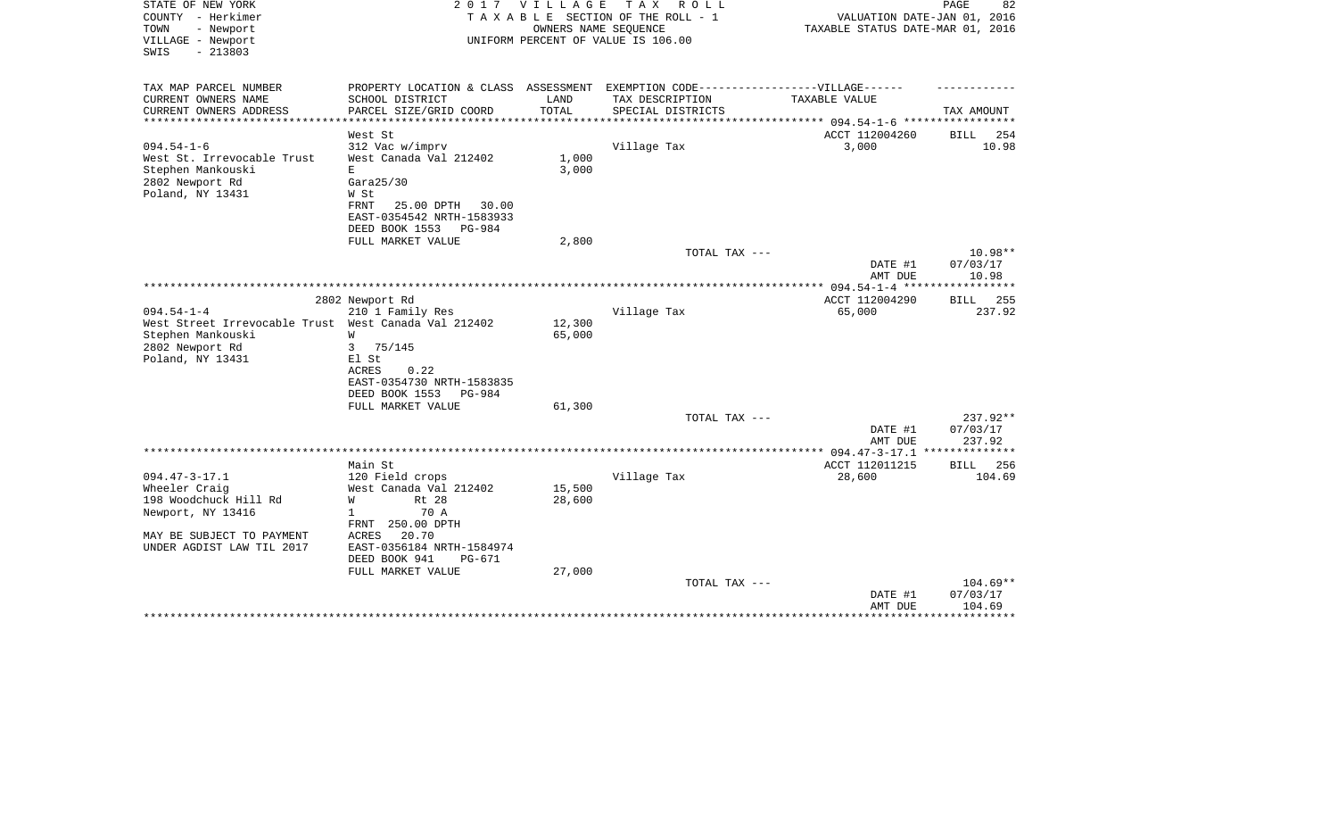| STATE OF NEW YORK<br>COUNTY - Herkimer<br>- Newport<br>TOWN | 2017                                                  | V I L L A G E      | T A X<br>R O L L<br>TAXABLE SECTION OF THE ROLL - 1<br>OWNERS NAME SEQUENCE | VALUATION DATE-JAN 01, 2016<br>TAXABLE STATUS DATE-MAR 01, 2016 | PAGE<br>82            |
|-------------------------------------------------------------|-------------------------------------------------------|--------------------|-----------------------------------------------------------------------------|-----------------------------------------------------------------|-----------------------|
| VILLAGE - Newport<br>$-213803$<br>SWIS                      |                                                       |                    | UNIFORM PERCENT OF VALUE IS 106.00                                          |                                                                 |                       |
| TAX MAP PARCEL NUMBER                                       | PROPERTY LOCATION & CLASS ASSESSMENT                  |                    | EXEMPTION CODE------------------VILLAGE------                               |                                                                 |                       |
| CURRENT OWNERS NAME                                         | SCHOOL DISTRICT                                       | LAND               | TAX DESCRIPTION                                                             | TAXABLE VALUE                                                   |                       |
| CURRENT OWNERS ADDRESS<br>*********************             | PARCEL SIZE/GRID COORD                                | TOTAL<br>********* | SPECIAL DISTRICTS                                                           | ***************** 094.54-1-6 ******************                 | TAX AMOUNT            |
|                                                             | West St                                               |                    |                                                                             | ACCT 112004260                                                  | 254<br>BILL           |
| $094.54 - 1 - 6$                                            | 312 Vac w/imprv                                       |                    | Village Tax                                                                 | 3,000                                                           | 10.98                 |
| West St. Irrevocable Trust                                  | West Canada Val 212402                                | 1,000              |                                                                             |                                                                 |                       |
| Stephen Mankouski                                           | E                                                     | 3,000              |                                                                             |                                                                 |                       |
| 2802 Newport Rd                                             | Gara25/30                                             |                    |                                                                             |                                                                 |                       |
| Poland, NY 13431                                            | W St                                                  |                    |                                                                             |                                                                 |                       |
|                                                             | 25.00 DPTH<br>FRNT<br>30.00                           |                    |                                                                             |                                                                 |                       |
|                                                             | EAST-0354542 NRTH-1583933<br>DEED BOOK 1553<br>PG-984 |                    |                                                                             |                                                                 |                       |
|                                                             | FULL MARKET VALUE                                     | 2,800              |                                                                             |                                                                 |                       |
|                                                             |                                                       |                    | TOTAL TAX ---                                                               |                                                                 | 10.98**               |
|                                                             |                                                       |                    |                                                                             | DATE #1                                                         | 07/03/17              |
|                                                             |                                                       |                    |                                                                             | AMT DUE                                                         | 10.98                 |
|                                                             |                                                       |                    |                                                                             | *************** 094.54-1-4 *****                                | ***********           |
| $094.54 - 1 - 4$                                            | 2802 Newport Rd<br>210 1 Family Res                   |                    | Village Tax                                                                 | ACCT 112004290<br>65,000                                        | BILL<br>255<br>237.92 |
| West Street Irrevocable Trust West Canada Val 212402        |                                                       | 12,300             |                                                                             |                                                                 |                       |
| Stephen Mankouski                                           | W                                                     | 65,000             |                                                                             |                                                                 |                       |
| 2802 Newport Rd                                             | 3<br>75/145                                           |                    |                                                                             |                                                                 |                       |
| Poland, NY 13431                                            | El St                                                 |                    |                                                                             |                                                                 |                       |
|                                                             | <b>ACRES</b><br>0.22                                  |                    |                                                                             |                                                                 |                       |
|                                                             | EAST-0354730 NRTH-1583835                             |                    |                                                                             |                                                                 |                       |
|                                                             | DEED BOOK 1553<br>PG-984                              |                    |                                                                             |                                                                 |                       |
|                                                             | FULL MARKET VALUE                                     | 61,300             |                                                                             |                                                                 |                       |
|                                                             |                                                       |                    | TOTAL TAX ---                                                               | DATE #1                                                         | 237.92**<br>07/03/17  |
|                                                             |                                                       |                    |                                                                             | AMT DUE                                                         | 237.92                |
|                                                             |                                                       |                    |                                                                             | $*************094.47-3-17.1$                                    | **************        |
|                                                             | Main St                                               |                    |                                                                             | ACCT 112011215                                                  | <b>BILL</b><br>256    |
| $094.47 - 3 - 17.1$                                         | 120 Field crops                                       |                    | Village Tax                                                                 | 28,600                                                          | 104.69                |
| Wheeler Craig                                               | West Canada Val 212402                                | 15,500             |                                                                             |                                                                 |                       |
| 198 Woodchuck Hill Rd                                       | W<br>Rt 28                                            | 28,600             |                                                                             |                                                                 |                       |
| Newport, NY 13416                                           | 70 A<br>1                                             |                    |                                                                             |                                                                 |                       |
| MAY BE SUBJECT TO PAYMENT                                   | FRNT 250.00 DPTH<br>20.70<br>ACRES                    |                    |                                                                             |                                                                 |                       |
| UNDER AGDIST LAW TIL 2017                                   | EAST-0356184 NRTH-1584974                             |                    |                                                                             |                                                                 |                       |
|                                                             | DEED BOOK 941<br>$PG-671$                             |                    |                                                                             |                                                                 |                       |
|                                                             | FULL MARKET VALUE                                     | 27,000             |                                                                             |                                                                 |                       |
|                                                             |                                                       |                    | TOTAL TAX ---                                                               |                                                                 | $104.69**$            |
|                                                             |                                                       |                    |                                                                             | DATE #1                                                         | 07/03/17              |
|                                                             |                                                       |                    |                                                                             | AMT DUE                                                         | 104.69                |
|                                                             |                                                       |                    |                                                                             |                                                                 |                       |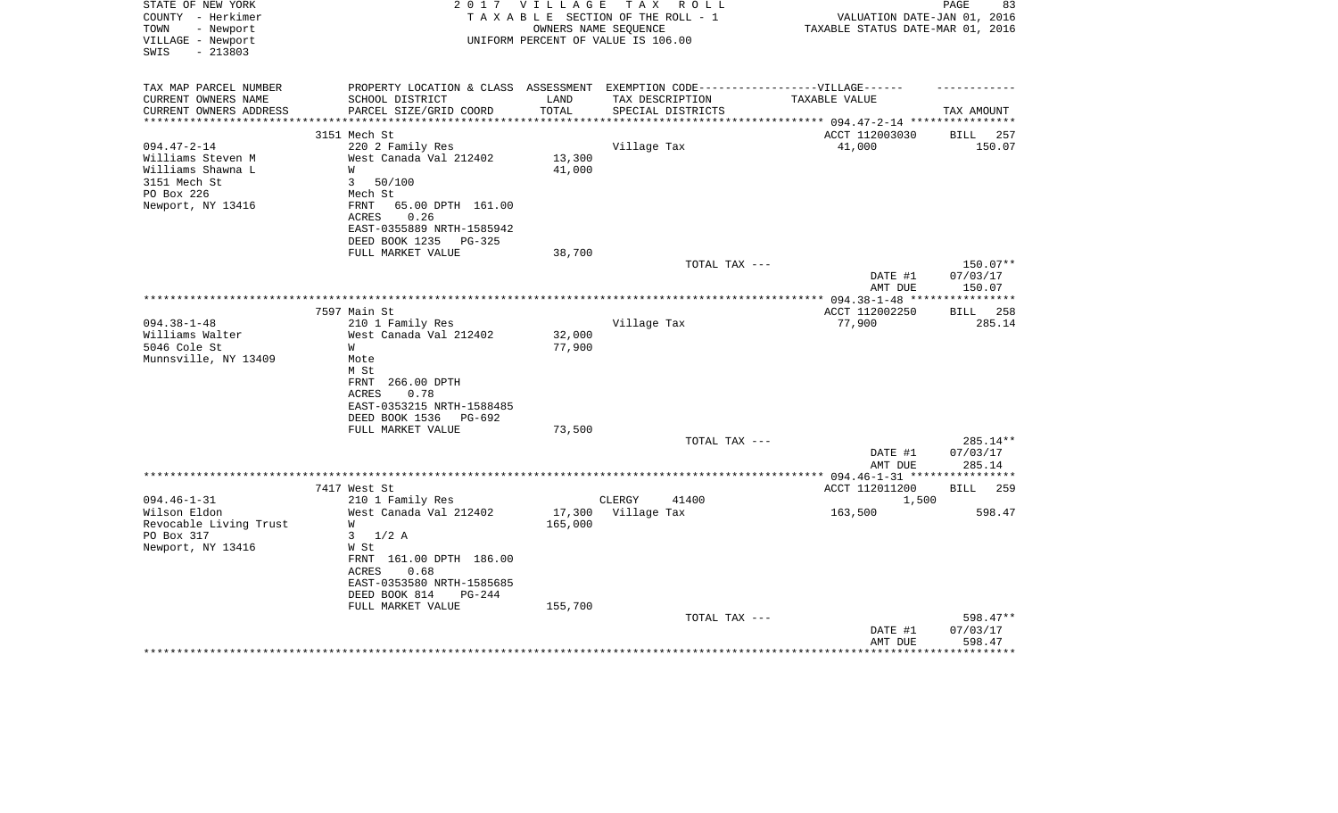| STATE OF NEW YORK<br>COUNTY - Herkimer<br>TOWN<br>- Newport<br>VILLAGE - Newport<br>$-213803$<br>SWIS | 2 0 1 7                                                                                                                                                                                            | V I L L A G E                | T A X<br>R O L L<br>TAXABLE SECTION OF THE ROLL - 1<br>OWNERS NAME SEOUENCE<br>UNIFORM PERCENT OF VALUE IS 106.00 | VALUATION DATE-JAN 01, 2016<br>TAXABLE STATUS DATE-MAR 01, 2016 | 83<br>PAGE                     |
|-------------------------------------------------------------------------------------------------------|----------------------------------------------------------------------------------------------------------------------------------------------------------------------------------------------------|------------------------------|-------------------------------------------------------------------------------------------------------------------|-----------------------------------------------------------------|--------------------------------|
| TAX MAP PARCEL NUMBER<br>CURRENT OWNERS NAME<br>CURRENT OWNERS ADDRESS                                | PROPERTY LOCATION & CLASS ASSESSMENT EXEMPTION CODE-----------------VILLAGE------<br>SCHOOL DISTRICT<br>PARCEL SIZE/GRID COORD                                                                     | LAND<br>TOTAL                | TAX DESCRIPTION<br>SPECIAL DISTRICTS                                                                              | TAXABLE VALUE                                                   | TAX AMOUNT                     |
|                                                                                                       |                                                                                                                                                                                                    |                              |                                                                                                                   | ******* 094.47-2-14 *****************                           |                                |
| $094.47 - 2 - 14$                                                                                     | 3151 Mech St<br>220 2 Family Res                                                                                                                                                                   |                              | Village Tax                                                                                                       | ACCT 112003030<br>41,000                                        | 257<br>BILL<br>150.07          |
| Williams Steven M<br>Williams Shawna L<br>3151 Mech St<br>PO Box 226                                  | West Canada Val 212402<br>W<br>50/100<br>3<br>Mech St                                                                                                                                              | 13,300<br>41,000             |                                                                                                                   |                                                                 |                                |
| Newport, NY 13416                                                                                     | 65.00 DPTH 161.00<br>FRNT<br>0.26<br><b>ACRES</b><br>EAST-0355889 NRTH-1585942<br>DEED BOOK 1235<br>$PG-325$<br>FULL MARKET VALUE                                                                  | 38,700                       |                                                                                                                   |                                                                 |                                |
|                                                                                                       |                                                                                                                                                                                                    |                              | TOTAL TAX ---                                                                                                     | DATE #1<br>AMT DUE                                              | 150.07**<br>07/03/17<br>150.07 |
|                                                                                                       |                                                                                                                                                                                                    |                              |                                                                                                                   |                                                                 |                                |
|                                                                                                       | 7597 Main St                                                                                                                                                                                       |                              |                                                                                                                   | ACCT 112002250                                                  | 258<br><b>BILL</b>             |
| $094.38 - 1 - 48$<br>Williams Walter<br>5046 Cole St<br>Munnsville, NY 13409                          | 210 1 Family Res<br>West Canada Val 212402<br>W<br>Mote<br>M St<br>FRNT<br>266.00 DPTH<br>0.78<br>ACRES<br>EAST-0353215 NRTH-1588485<br>DEED BOOK 1536<br>PG-692                                   | 32,000<br>77,900             | Village Tax                                                                                                       | 77,900                                                          | 285.14                         |
|                                                                                                       | FULL MARKET VALUE                                                                                                                                                                                  | 73,500                       |                                                                                                                   |                                                                 |                                |
|                                                                                                       |                                                                                                                                                                                                    |                              | TOTAL TAX ---                                                                                                     | DATE #1<br>AMT DUE                                              | 285.14**<br>07/03/17<br>285.14 |
|                                                                                                       |                                                                                                                                                                                                    |                              |                                                                                                                   |                                                                 |                                |
|                                                                                                       | 7417 West St                                                                                                                                                                                       |                              |                                                                                                                   | ACCT 112011200                                                  | 259<br>BILL                    |
| $094.46 - 1 - 31$<br>Wilson Eldon<br>Revocable Living Trust<br>PO Box 317<br>Newport, NY 13416        | 210 1 Family Res<br>West Canada Val 212402<br>W<br>3<br>$1/2$ A<br>W St<br>FRNT 161.00 DPTH 186.00<br>0.68<br>ACRES<br>EAST-0353580 NRTH-1585685<br>DEED BOOK 814<br>$PG-244$<br>FULL MARKET VALUE | 17,300<br>165,000<br>155,700 | CLERGY<br>41400<br>Village Tax                                                                                    | 1,500<br>163,500                                                | 598.47                         |
|                                                                                                       |                                                                                                                                                                                                    |                              | TOTAL TAX ---                                                                                                     | DATE #1<br>AMT DUE                                              | 598.47**<br>07/03/17<br>598.47 |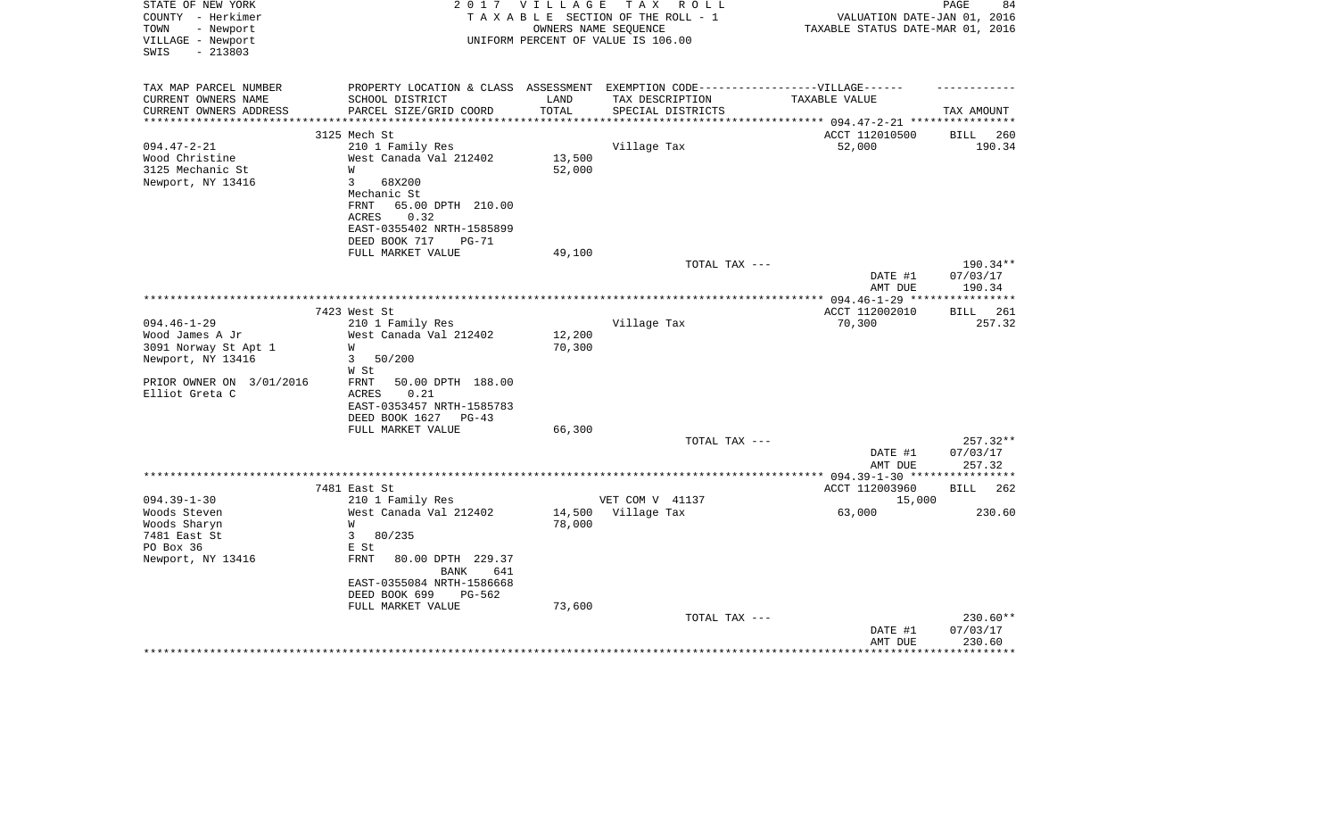| STATE OF NEW YORK<br>COUNTY - Herkimer<br>- Newport<br>TOWN<br>VILLAGE - Newport | 2 0 1 7                                                | V I L L A G E             | T A X<br>R O L L<br>TAXABLE SECTION OF THE ROLL - 1<br>OWNERS NAME SEQUENCE<br>UNIFORM PERCENT OF VALUE IS 106.00 | VALUATION DATE-JAN 01,<br>TAXABLE STATUS DATE-MAR 01, 2016 | PAGE<br>84<br>2016   |
|----------------------------------------------------------------------------------|--------------------------------------------------------|---------------------------|-------------------------------------------------------------------------------------------------------------------|------------------------------------------------------------|----------------------|
| $-213803$<br>SWIS                                                                |                                                        |                           |                                                                                                                   |                                                            |                      |
| TAX MAP PARCEL NUMBER                                                            |                                                        |                           | PROPERTY LOCATION & CLASS ASSESSMENT EXEMPTION CODE-----------------VILLAGE------                                 |                                                            |                      |
| CURRENT OWNERS NAME                                                              | SCHOOL DISTRICT                                        | LAND                      | TAX DESCRIPTION                                                                                                   | TAXABLE VALUE                                              |                      |
| CURRENT OWNERS ADDRESS                                                           | PARCEL SIZE/GRID COORD                                 | TOTAL                     | SPECIAL DISTRICTS                                                                                                 |                                                            | TAX AMOUNT           |
| *********************                                                            | ****************************                           | * * * * * * * * * * * * * |                                                                                                                   |                                                            |                      |
|                                                                                  | 3125 Mech St                                           |                           |                                                                                                                   | ACCT 112010500                                             | BILL<br>260          |
| $094.47 - 2 - 21$                                                                | 210 1 Family Res                                       |                           | Village Tax                                                                                                       | 52,000                                                     | 190.34               |
| Wood Christine                                                                   | West Canada Val 212402                                 | 13,500                    |                                                                                                                   |                                                            |                      |
| 3125 Mechanic St                                                                 | W<br>3<br>68X200                                       | 52,000                    |                                                                                                                   |                                                            |                      |
| Newport, NY 13416                                                                | Mechanic St                                            |                           |                                                                                                                   |                                                            |                      |
|                                                                                  | FRNT<br>65.00 DPTH 210.00                              |                           |                                                                                                                   |                                                            |                      |
|                                                                                  | 0.32<br>ACRES                                          |                           |                                                                                                                   |                                                            |                      |
|                                                                                  | EAST-0355402 NRTH-1585899                              |                           |                                                                                                                   |                                                            |                      |
|                                                                                  | DEED BOOK 717<br>PG-71                                 |                           |                                                                                                                   |                                                            |                      |
|                                                                                  | FULL MARKET VALUE                                      | 49,100                    |                                                                                                                   |                                                            |                      |
|                                                                                  |                                                        |                           | TOTAL TAX ---                                                                                                     |                                                            | 190.34**             |
|                                                                                  |                                                        |                           |                                                                                                                   | DATE #1<br>AMT DUE                                         | 07/03/17<br>190.34   |
|                                                                                  |                                                        |                           |                                                                                                                   |                                                            |                      |
|                                                                                  | 7423 West St                                           |                           |                                                                                                                   | ACCT 112002010                                             | 261<br>BILL          |
| $094.46 - 1 - 29$                                                                | 210 1 Family Res                                       |                           | Village Tax                                                                                                       | 70,300                                                     | 257.32               |
| Wood James A Jr                                                                  | West Canada Val 212402                                 | 12,200                    |                                                                                                                   |                                                            |                      |
| 3091 Norway St Apt 1                                                             | W                                                      | 70,300                    |                                                                                                                   |                                                            |                      |
| Newport, NY 13416                                                                | 3<br>50/200                                            |                           |                                                                                                                   |                                                            |                      |
|                                                                                  | W St                                                   |                           |                                                                                                                   |                                                            |                      |
| PRIOR OWNER ON 3/01/2016<br>Elliot Greta C                                       | FRNT<br>50.00 DPTH 188.00<br>0.21<br>ACRES             |                           |                                                                                                                   |                                                            |                      |
|                                                                                  | EAST-0353457 NRTH-1585783                              |                           |                                                                                                                   |                                                            |                      |
|                                                                                  | DEED BOOK 1627<br>PG-43                                |                           |                                                                                                                   |                                                            |                      |
|                                                                                  | FULL MARKET VALUE                                      | 66,300                    |                                                                                                                   |                                                            |                      |
|                                                                                  |                                                        |                           | TOTAL TAX ---                                                                                                     |                                                            | 257.32**             |
|                                                                                  |                                                        |                           |                                                                                                                   | DATE #1                                                    | 07/03/17             |
|                                                                                  |                                                        |                           |                                                                                                                   | AMT DUE                                                    | 257.32               |
|                                                                                  | 7481 East St                                           |                           |                                                                                                                   | ****** 094.39-1-30 ****************<br>ACCT 112003960      | 262<br>BILL          |
| $094.39 - 1 - 30$                                                                | 210 1 Family Res                                       |                           | VET COM V 41137                                                                                                   | 15,000                                                     |                      |
| Woods Steven                                                                     | West Canada Val 212402                                 | 14,500                    | Village Tax                                                                                                       | 63,000                                                     | 230.60               |
| Woods Sharyn                                                                     | W                                                      | 78,000                    |                                                                                                                   |                                                            |                      |
| 7481 East St                                                                     | 3<br>80/235                                            |                           |                                                                                                                   |                                                            |                      |
| PO Box 36                                                                        | E St                                                   |                           |                                                                                                                   |                                                            |                      |
| Newport, NY 13416                                                                | <b>FRNT</b><br>80.00 DPTH 229.37<br><b>BANK</b><br>641 |                           |                                                                                                                   |                                                            |                      |
|                                                                                  | EAST-0355084 NRTH-1586668                              |                           |                                                                                                                   |                                                            |                      |
|                                                                                  | DEED BOOK 699<br>$PG-562$                              |                           |                                                                                                                   |                                                            |                      |
|                                                                                  | FULL MARKET VALUE                                      | 73,600                    |                                                                                                                   |                                                            |                      |
|                                                                                  |                                                        |                           | TOTAL TAX ---                                                                                                     | DATE #1                                                    | 230.60**<br>07/03/17 |
|                                                                                  |                                                        |                           |                                                                                                                   | AMT DUE                                                    | 230.60               |
|                                                                                  |                                                        |                           |                                                                                                                   |                                                            |                      |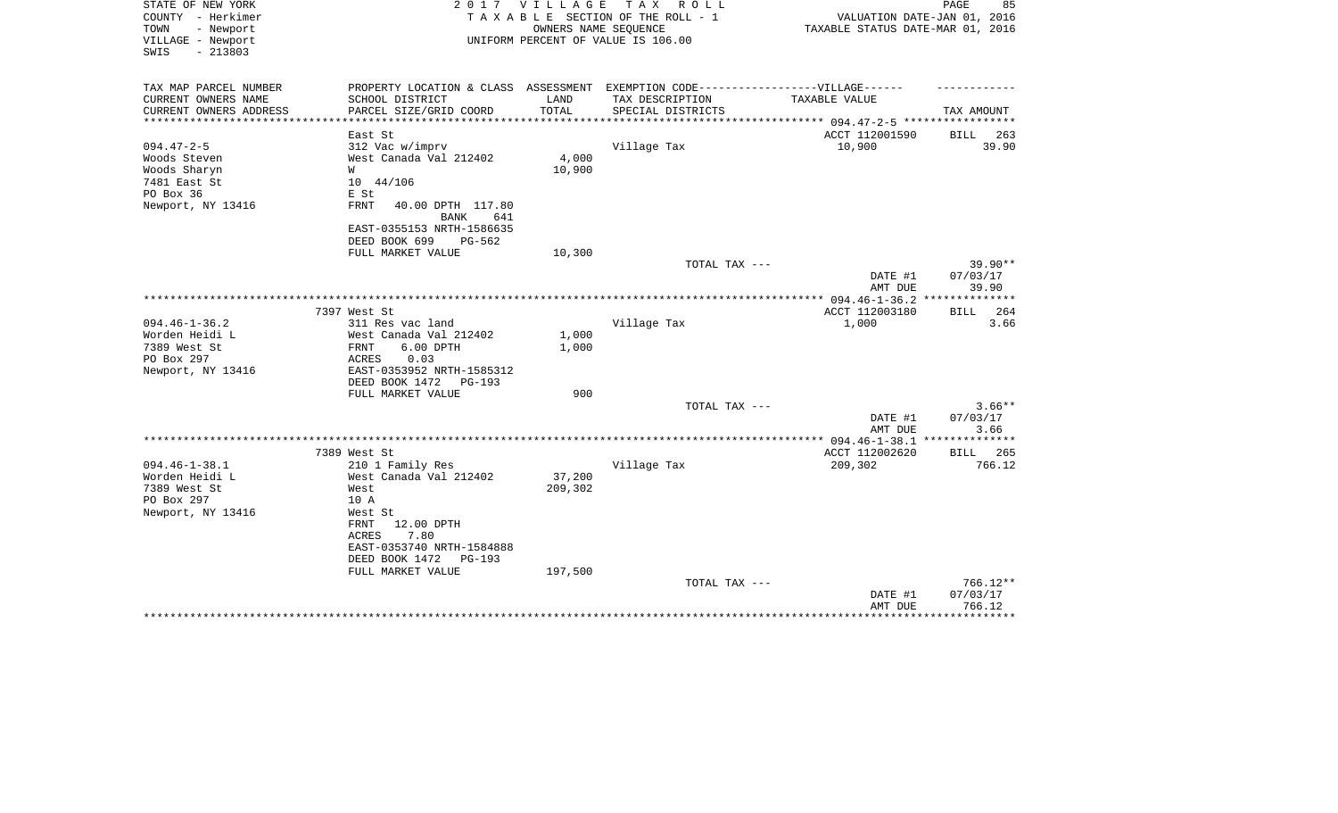| STATE OF NEW YORK<br>COUNTY - Herkimer<br>TOWN<br>- Newport<br>VILLAGE - Newport | 2017                                            | <b>VILLAGE</b> | T A X<br>R O L L<br>TAXABLE SECTION OF THE ROLL - 1<br>OWNERS NAME SEQUENCE<br>UNIFORM PERCENT OF VALUE IS 106.00 | VALUATION DATE-JAN 01, 2016<br>TAXABLE STATUS DATE-MAR 01, 2016 | PAGE<br>85         |
|----------------------------------------------------------------------------------|-------------------------------------------------|----------------|-------------------------------------------------------------------------------------------------------------------|-----------------------------------------------------------------|--------------------|
| $-213803$<br>SWIS                                                                |                                                 |                |                                                                                                                   |                                                                 |                    |
| TAX MAP PARCEL NUMBER                                                            |                                                 |                | PROPERTY LOCATION & CLASS ASSESSMENT EXEMPTION CODE-----------------VILLAGE------                                 |                                                                 |                    |
| CURRENT OWNERS NAME                                                              | SCHOOL DISTRICT                                 | LAND           | TAX DESCRIPTION                                                                                                   | <b>TAXABLE VALUE</b>                                            |                    |
| CURRENT OWNERS ADDRESS                                                           | PARCEL SIZE/GRID COORD                          | TOTAL          | SPECIAL DISTRICTS                                                                                                 |                                                                 | TAX AMOUNT         |
|                                                                                  | East St                                         |                |                                                                                                                   | ACCT 112001590                                                  | BILL<br>263        |
| $094.47 - 2 - 5$                                                                 | 312 Vac w/imprv                                 |                | Village Tax                                                                                                       | 10,900                                                          | 39.90              |
| Woods Steven                                                                     | West Canada Val 212402                          | 4,000          |                                                                                                                   |                                                                 |                    |
| Woods Sharyn                                                                     | W                                               | 10,900         |                                                                                                                   |                                                                 |                    |
| 7481 East St                                                                     | $10 \quad 44/106$                               |                |                                                                                                                   |                                                                 |                    |
| PO Box 36                                                                        | E St                                            |                |                                                                                                                   |                                                                 |                    |
| Newport, NY 13416                                                                | FRNT<br>40.00 DPTH 117.80<br>641<br><b>BANK</b> |                |                                                                                                                   |                                                                 |                    |
|                                                                                  | EAST-0355153 NRTH-1586635                       |                |                                                                                                                   |                                                                 |                    |
|                                                                                  | DEED BOOK 699<br>$PG-562$                       |                |                                                                                                                   |                                                                 |                    |
|                                                                                  | FULL MARKET VALUE                               | 10,300         |                                                                                                                   |                                                                 |                    |
|                                                                                  |                                                 |                | TOTAL TAX ---                                                                                                     |                                                                 | 39.90**            |
|                                                                                  |                                                 |                |                                                                                                                   | DATE #1                                                         | 07/03/17           |
|                                                                                  |                                                 |                |                                                                                                                   | AMT DUE                                                         | 39.90              |
|                                                                                  | 7397 West St                                    |                |                                                                                                                   | ACCT 112003180                                                  | <b>BILL</b><br>264 |
| $094.46 - 1 - 36.2$                                                              | 311 Res vac land                                |                | Village Tax                                                                                                       | 1,000                                                           | 3.66               |
| Worden Heidi L                                                                   | West Canada Val 212402                          | 1,000          |                                                                                                                   |                                                                 |                    |
| 7389 West St                                                                     | 6.00 DPTH<br>FRNT                               | 1,000          |                                                                                                                   |                                                                 |                    |
| PO Box 297                                                                       | ACRES<br>0.03                                   |                |                                                                                                                   |                                                                 |                    |
| Newport, NY 13416                                                                | EAST-0353952 NRTH-1585312                       |                |                                                                                                                   |                                                                 |                    |
|                                                                                  | DEED BOOK 1472<br>PG-193<br>FULL MARKET VALUE   | 900            |                                                                                                                   |                                                                 |                    |
|                                                                                  |                                                 |                | TOTAL TAX ---                                                                                                     |                                                                 | $3.66**$           |
|                                                                                  |                                                 |                |                                                                                                                   | DATE #1                                                         | 07/03/17           |
|                                                                                  |                                                 |                |                                                                                                                   | AMT DUE                                                         | 3.66               |
|                                                                                  |                                                 |                |                                                                                                                   |                                                                 |                    |
|                                                                                  | 7389 West St                                    |                |                                                                                                                   | ACCT 112002620                                                  | 265<br><b>BILL</b> |
| $094.46 - 1 - 38.1$                                                              | 210 1 Family Res                                |                | Village Tax                                                                                                       | 209,302                                                         | 766.12             |
| Worden Heidi L                                                                   | West Canada Val 212402                          | 37,200         |                                                                                                                   |                                                                 |                    |
| 7389 West St                                                                     | West                                            | 209,302        |                                                                                                                   |                                                                 |                    |
| PO Box 297                                                                       | 10 A                                            |                |                                                                                                                   |                                                                 |                    |
| Newport, NY 13416                                                                | West St                                         |                |                                                                                                                   |                                                                 |                    |
|                                                                                  | FRNT<br>12.00 DPTH                              |                |                                                                                                                   |                                                                 |                    |
|                                                                                  | 7.80<br>ACRES                                   |                |                                                                                                                   |                                                                 |                    |
|                                                                                  | EAST-0353740 NRTH-1584888                       |                |                                                                                                                   |                                                                 |                    |
|                                                                                  | DEED BOOK 1472<br>$PG-193$                      |                |                                                                                                                   |                                                                 |                    |
|                                                                                  | FULL MARKET VALUE                               | 197,500        |                                                                                                                   |                                                                 |                    |
|                                                                                  |                                                 |                | TOTAL TAX ---                                                                                                     |                                                                 | 766.12**           |
|                                                                                  |                                                 |                |                                                                                                                   | DATE #1<br>AMT DUE                                              | 07/03/17<br>766.12 |
|                                                                                  |                                                 |                |                                                                                                                   |                                                                 | * * * * * * * * *  |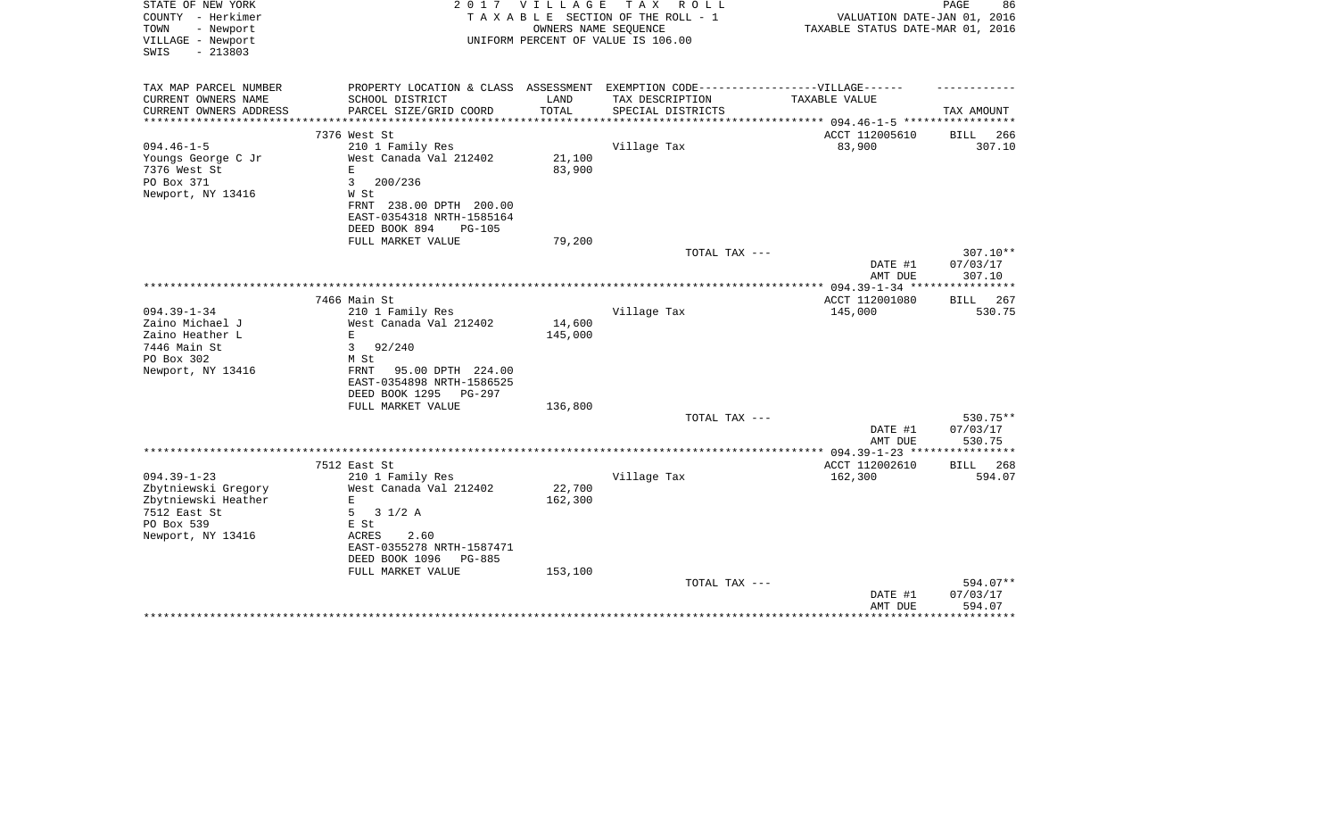| STATE OF NEW YORK<br>COUNTY - Herkimer<br>- Newport<br>TOWN | 2017                                                                              | VILLAGE | T A X<br>R O L L<br>TAXABLE SECTION OF THE ROLL - 1<br>OWNERS NAME SEQUENCE | VALUATION DATE-JAN 01, 2016<br>TAXABLE STATUS DATE-MAR 01, 2016 | PAGE<br>86           |
|-------------------------------------------------------------|-----------------------------------------------------------------------------------|---------|-----------------------------------------------------------------------------|-----------------------------------------------------------------|----------------------|
| VILLAGE - Newport<br>$-213803$<br>SWIS                      |                                                                                   |         | UNIFORM PERCENT OF VALUE IS 106.00                                          |                                                                 |                      |
| TAX MAP PARCEL NUMBER                                       | PROPERTY LOCATION & CLASS ASSESSMENT EXEMPTION CODE-----------------VILLAGE------ |         |                                                                             |                                                                 |                      |
| CURRENT OWNERS NAME                                         | SCHOOL DISTRICT                                                                   | LAND    | TAX DESCRIPTION                                                             | TAXABLE VALUE                                                   |                      |
| CURRENT OWNERS ADDRESS                                      | PARCEL SIZE/GRID COORD                                                            | TOTAL   | SPECIAL DISTRICTS                                                           |                                                                 | TAX AMOUNT           |
|                                                             | 7376 West St                                                                      |         |                                                                             | ACCT 112005610                                                  | 266<br>BILL          |
| $094.46 - 1 - 5$                                            | 210 1 Family Res                                                                  |         | Village Tax                                                                 | 83,900                                                          | 307.10               |
| Youngs George C Jr                                          | West Canada Val 212402                                                            | 21,100  |                                                                             |                                                                 |                      |
| 7376 West St                                                | E.                                                                                | 83,900  |                                                                             |                                                                 |                      |
| PO Box 371<br>Newport, NY 13416                             | 3<br>200/236<br>W St                                                              |         |                                                                             |                                                                 |                      |
|                                                             | FRNT 238.00 DPTH 200.00                                                           |         |                                                                             |                                                                 |                      |
|                                                             | EAST-0354318 NRTH-1585164                                                         |         |                                                                             |                                                                 |                      |
|                                                             | DEED BOOK 894<br><b>PG-105</b>                                                    |         |                                                                             |                                                                 |                      |
|                                                             | FULL MARKET VALUE                                                                 | 79,200  |                                                                             |                                                                 |                      |
|                                                             |                                                                                   |         | TOTAL TAX ---                                                               |                                                                 | $307.10**$           |
|                                                             |                                                                                   |         |                                                                             | DATE #1<br>AMT DUE                                              | 07/03/17<br>307.10   |
|                                                             |                                                                                   |         |                                                                             |                                                                 |                      |
|                                                             | 7466 Main St                                                                      |         |                                                                             | ACCT 112001080                                                  | 267<br><b>BILL</b>   |
| $094.39 - 1 - 34$                                           | 210 1 Family Res                                                                  |         | Village Tax                                                                 | 145,000                                                         | 530.75               |
| Zaino Michael J                                             | West Canada Val 212402                                                            | 14,600  |                                                                             |                                                                 |                      |
| Zaino Heather L                                             | E                                                                                 | 145,000 |                                                                             |                                                                 |                      |
| 7446 Main St<br>PO Box 302                                  | 3<br>92/240<br>M St                                                               |         |                                                                             |                                                                 |                      |
| Newport, NY 13416                                           | FRNT<br>95.00 DPTH 224.00                                                         |         |                                                                             |                                                                 |                      |
|                                                             | EAST-0354898 NRTH-1586525                                                         |         |                                                                             |                                                                 |                      |
|                                                             | DEED BOOK 1295<br>PG-297                                                          |         |                                                                             |                                                                 |                      |
|                                                             | FULL MARKET VALUE                                                                 | 136,800 |                                                                             |                                                                 |                      |
|                                                             |                                                                                   |         | TOTAL TAX ---                                                               |                                                                 | 530.75**             |
|                                                             |                                                                                   |         |                                                                             | DATE #1<br>AMT DUE                                              | 07/03/17<br>530.75   |
|                                                             |                                                                                   |         |                                                                             | ************** 094.39-1-23 ****************                     |                      |
|                                                             | 7512 East St                                                                      |         |                                                                             | ACCT 112002610                                                  | BILL<br>268          |
| $094.39 - 1 - 23$                                           | 210 1 Family Res                                                                  |         | Village Tax                                                                 | 162,300                                                         | 594.07               |
| Zbytniewski Gregory                                         | West Canada Val 212402                                                            | 22,700  |                                                                             |                                                                 |                      |
| Zbytniewski Heather<br>7512 East St                         | E<br>5<br>$3 \frac{1}{2}$ A                                                       | 162,300 |                                                                             |                                                                 |                      |
| PO Box 539                                                  | E St                                                                              |         |                                                                             |                                                                 |                      |
| Newport, NY 13416                                           | 2.60<br>ACRES                                                                     |         |                                                                             |                                                                 |                      |
|                                                             | EAST-0355278 NRTH-1587471                                                         |         |                                                                             |                                                                 |                      |
|                                                             | DEED BOOK 1096<br><b>PG-885</b>                                                   |         |                                                                             |                                                                 |                      |
|                                                             | FULL MARKET VALUE                                                                 | 153,100 |                                                                             |                                                                 |                      |
|                                                             |                                                                                   |         | TOTAL TAX ---                                                               | DATE #1                                                         | 594.07**<br>07/03/17 |
|                                                             |                                                                                   |         |                                                                             | AMT DUE                                                         | 594.07               |
|                                                             |                                                                                   |         |                                                                             |                                                                 | **********           |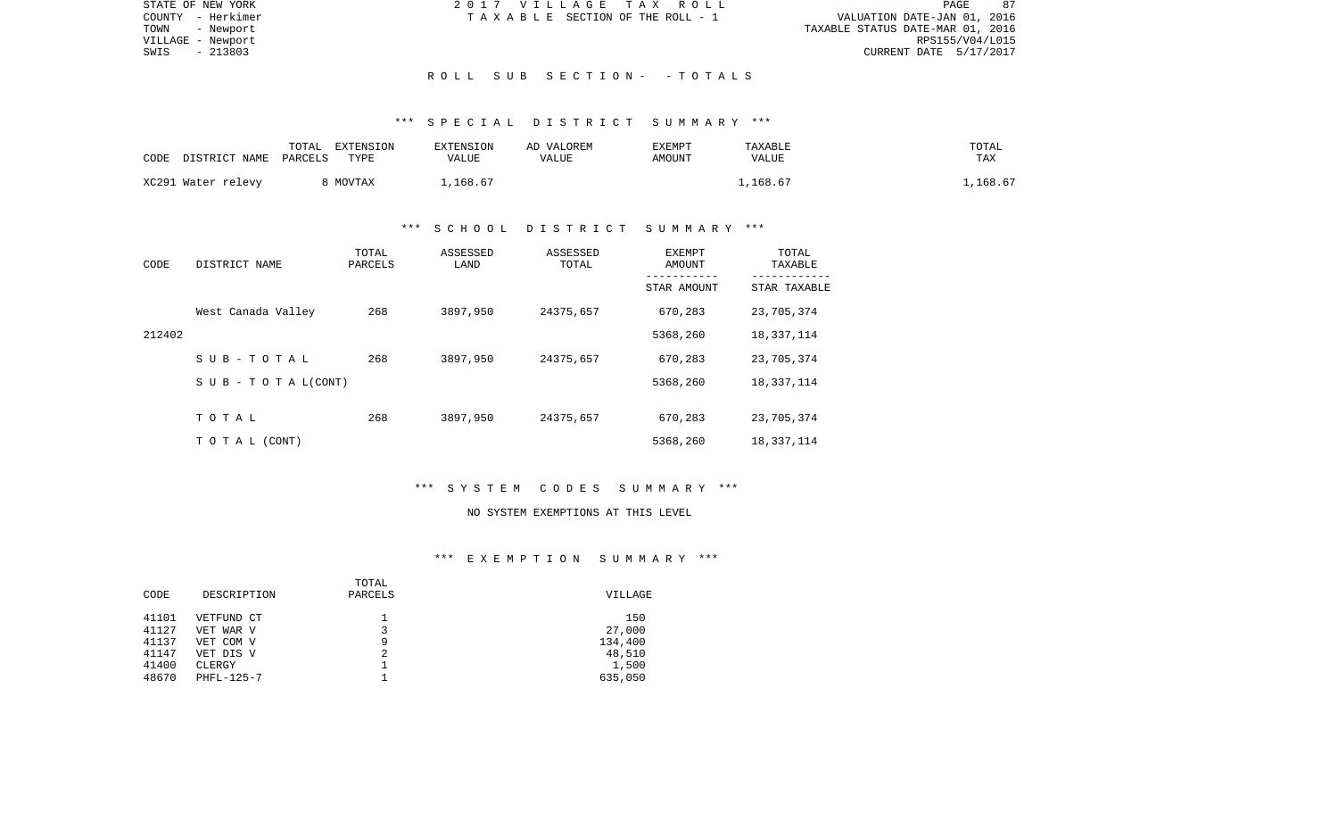| STATE OF NEW YORK | 2017 VILLAGE TAX ROLL                 | 87<br>PAGE                       |
|-------------------|---------------------------------------|----------------------------------|
| COUNTY - Herkimer | T A X A B L E SECTION OF THE ROLL - 1 | VALUATION DATE-JAN 01, 2016      |
| TOWN<br>- Newport |                                       | TAXABLE STATUS DATE-MAR 01, 2016 |
| VILLAGE - Newport |                                       | RPS155/V04/L015                  |
| - 213803<br>SWIS  |                                       | CURRENT DATE 5/17/2017           |
|                   |                                       |                                  |
|                   | ROLL SUB SECTION- - TOTALS            |                                  |

## \*\*\* S P E C I A L D I S T R I C T S U M M A R Y \*\*\*

| CODE | DISTRICT NAME      | TOTAL<br>PARCELS | EXTENSION<br>TYPE | EXTENSION<br>VALUE | AD VALOREM<br>VALUE | EXEMPT<br>AMOUNT | TAXABLE<br>VALUE | TOTAL<br>TAX |
|------|--------------------|------------------|-------------------|--------------------|---------------------|------------------|------------------|--------------|
|      | XC291 Water relevy |                  | 8 MOVTAX          | .,168.67           |                     |                  | .,168.67         | ,168.67      |

## \*\*\* S C H O O L D I S T R I C T S U M M A R Y \*\*\*

| CODE   | DISTRICT NAME       | TOTAL<br>PARCELS | ASSESSED<br>LAND | ASSESSED<br>TOTAL | EXEMPT<br>AMOUNT | TOTAL<br>TAXABLE |
|--------|---------------------|------------------|------------------|-------------------|------------------|------------------|
|        |                     |                  |                  |                   | STAR AMOUNT      | STAR TAXABLE     |
|        | West Canada Valley  | 268              | 3897,950         | 24375,657         | 670,283          | 23,705,374       |
| 212402 |                     |                  |                  |                   | 5368,260         | 18,337,114       |
|        | $S$ U B - T O T A L | 268              | 3897,950         | 24375,657         | 670,283          | 23,705,374       |
|        | SUB - TO TAL(CONT)  |                  |                  |                   | 5368,260         | 18,337,114       |
|        |                     |                  |                  |                   |                  |                  |
|        | TOTAL               | 268              | 3897,950         | 24375,657         | 670,283          | 23,705,374       |
|        | T O T A L (CONT)    |                  |                  |                   | 5368,260         | 18,337,114       |

## \*\*\* S Y S T E M C O D E S S U M M A R Y \*\*\*

#### NO SYSTEM EXEMPTIONS AT THIS LEVEL

|       |             | TOTAL   |         |
|-------|-------------|---------|---------|
| CODE  | DESCRIPTION | PARCELS | VILLAGE |
| 41101 | VETFUND CT  |         | 150     |
| 41127 | VET WAR V   |         | 27,000  |
| 41137 | VET COM V   | 9       | 134,400 |
| 41147 | VET DIS V   | 2       | 48,510  |
| 41400 | CLERGY      |         | 1,500   |
| 48670 | PHFL-125-7  |         | 635,050 |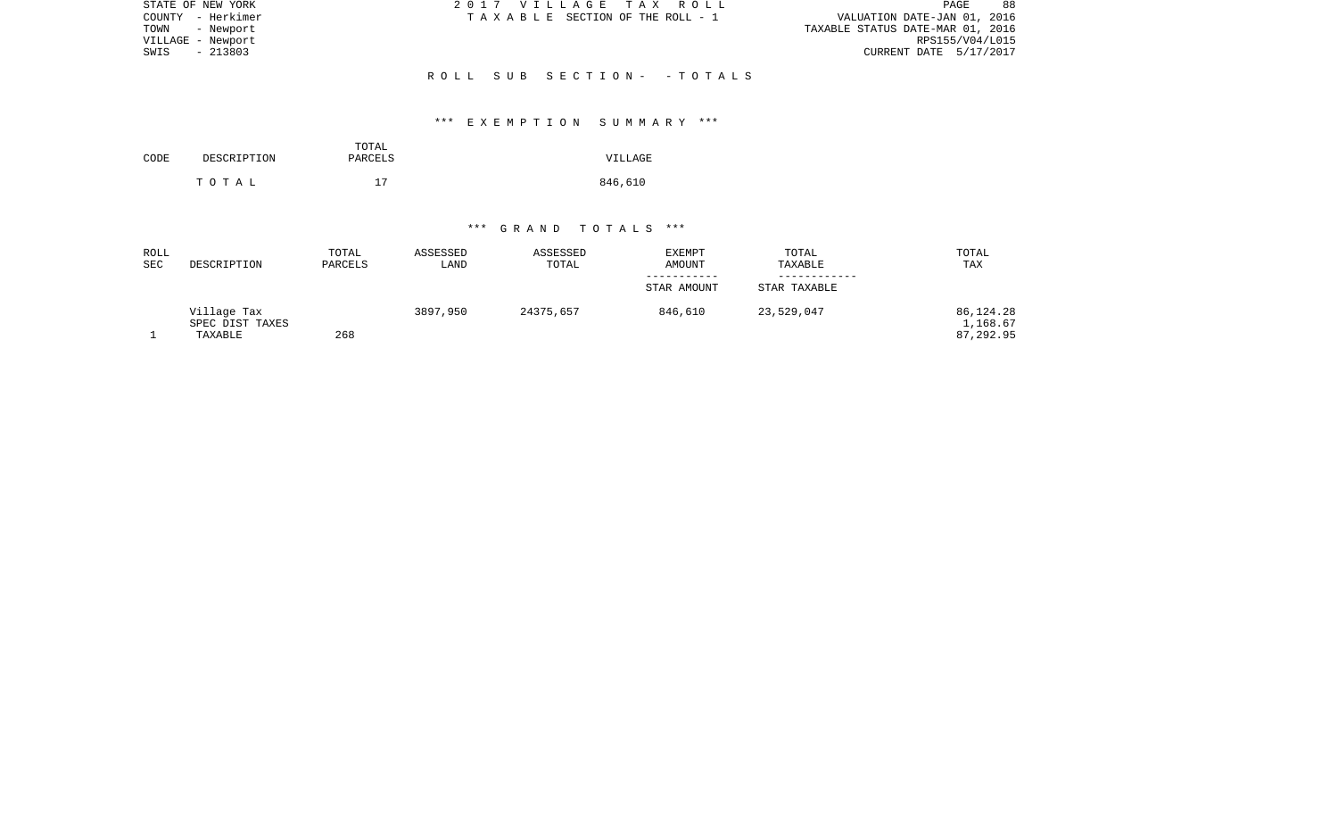| STATE OF NEW YORK | 2017 VILLAGE TAX ROLL           | 88<br>PAGE                       |
|-------------------|---------------------------------|----------------------------------|
| COUNTY - Herkimer | TAXABLE SECTION OF THE ROLL - 1 | VALUATION DATE-JAN 01, 2016      |
| TOWN<br>- Newport |                                 | TAXABLE STATUS DATE-MAR 01, 2016 |
| VILLAGE - Newport |                                 | RPS155/V04/L015                  |
| $-213803$<br>SWIS |                                 | CURRENT DATE 5/17/2017           |
|                   |                                 |                                  |
|                   | ROLL SUB SECTION- -TOTALS       |                                  |

# \*\*\* E X E M P T I O N S U M M A R Y \*\*\*

|      |             | TOTAL   |         |
|------|-------------|---------|---------|
| CODE | DESCRIPTION | PARCELS | VILLAGE |
|      |             |         |         |
|      | тотаь       | 17      | 846,610 |

| ROLL<br><b>SEC</b> | DESCRIPTION                               | TOTAL<br>PARCELS | ASSESSED<br>LAND | ASSESSED<br>TOTAL | <b>EXEMPT</b><br>AMOUNT | TOTAL<br>TAXABLE | TOTAL<br>TAX                       |
|--------------------|-------------------------------------------|------------------|------------------|-------------------|-------------------------|------------------|------------------------------------|
|                    |                                           |                  |                  |                   | STAR AMOUNT             | STAR TAXABLE     |                                    |
|                    | Village Tax<br>SPEC DIST TAXES<br>TAXABLE | 268              | 3897,950         | 24375,657         | 846,610                 | 23,529,047       | 86,124.28<br>1,168.67<br>87,292.95 |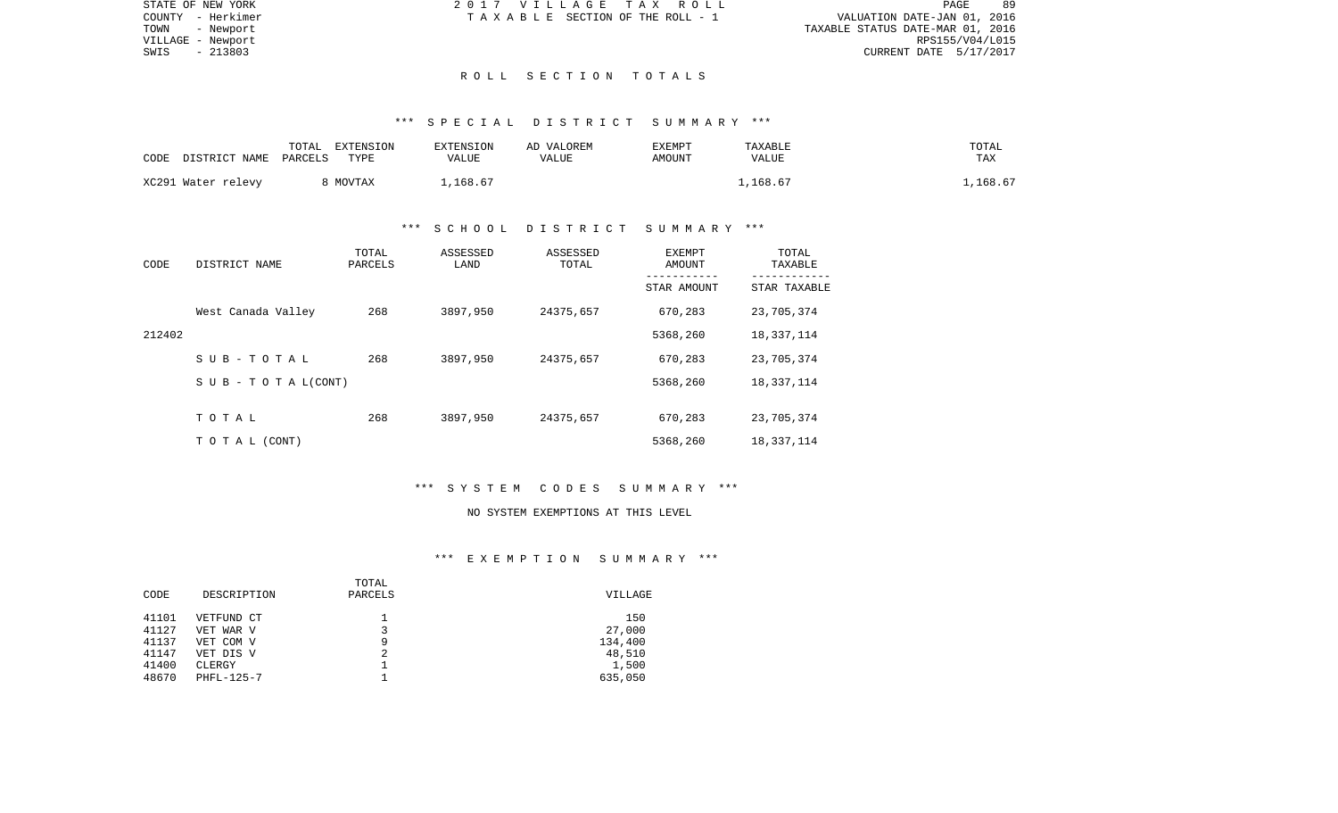| STATE OF NEW YORK | 2017 VILLAGE TAX ROLL           | -89<br>PAGE                      |
|-------------------|---------------------------------|----------------------------------|
| COUNTY - Herkimer | TAXABLE SECTION OF THE ROLL - 1 | VALUATION DATE-JAN 01, 2016      |
| TOWN<br>- Newport |                                 | TAXABLE STATUS DATE-MAR 01, 2016 |
| VILLAGE - Newport |                                 | RPS155/V04/L015                  |
| $-213803$<br>SWIS |                                 | CURRENT DATE 5/17/2017           |
|                   |                                 |                                  |

#### R O L L S E C T I O N T O T A L S

#### \*\*\* S P E C I A L D I S T R I C T S U M M A R Y \*\*\*

| CODE | DISTRICT NAME      | TOTAL<br>PARCELS | EXTENSION<br>TYPE | <b>EXTENSION</b><br>VALUE | AD VALOREM<br>VALUE | EXEMPT<br>AMOUNT | TAXABLE<br><b>VALUE</b> | TOTAL<br><b>TAX</b> |
|------|--------------------|------------------|-------------------|---------------------------|---------------------|------------------|-------------------------|---------------------|
|      | XC291 Water relevy |                  | MOVTAX            | ⊥,168.67                  |                     |                  | .168.67                 | ,168.67             |

## \*\*\* S C H O O L D I S T R I C T S U M M A R Y \*\*\*

| CODE   | DISTRICT NAME                    | TOTAL<br>PARCELS | ASSESSED<br>LAND | ASSESSED<br>TOTAL | EXEMPT<br>AMOUNT | TOTAL<br>TAXABLE |
|--------|----------------------------------|------------------|------------------|-------------------|------------------|------------------|
|        |                                  |                  |                  |                   | STAR AMOUNT      | STAR TAXABLE     |
|        | West Canada Valley               | 268              | 3897,950         | 24375,657         | 670,283          | 23,705,374       |
| 212402 |                                  |                  |                  |                   | 5368,260         | 18, 337, 114     |
|        | SUB-TOTAL                        | 268              | 3897,950         | 24375,657         | 670,283          | 23,705,374       |
|        | $S \cup B - T \cup T A L (CONT)$ |                  |                  |                   | 5368,260         | 18,337,114       |
|        |                                  |                  |                  |                   |                  |                  |
|        | TOTAL                            | 268              | 3897,950         | 24375,657         | 670,283          | 23,705,374       |
|        | T O T A L (CONT)                 |                  |                  |                   | 5368,260         | 18,337,114       |

# \*\*\* S Y S T E M C O D E S S U M M A R Y \*\*\*

#### NO SYSTEM EXEMPTIONS AT THIS LEVEL

|       |             | TOTAL   |         |
|-------|-------------|---------|---------|
| CODE  | DESCRIPTION | PARCELS | VILLAGE |
| 41101 | VETFUND CT  |         | 150     |
| 41127 | VET WAR V   |         | 27,000  |
| 41137 | VET COM V   | 9       | 134,400 |
| 41147 | VET DIS V   | 2       | 48,510  |
| 41400 | CLERGY      |         | 1,500   |
| 48670 | PHFL-125-7  |         | 635,050 |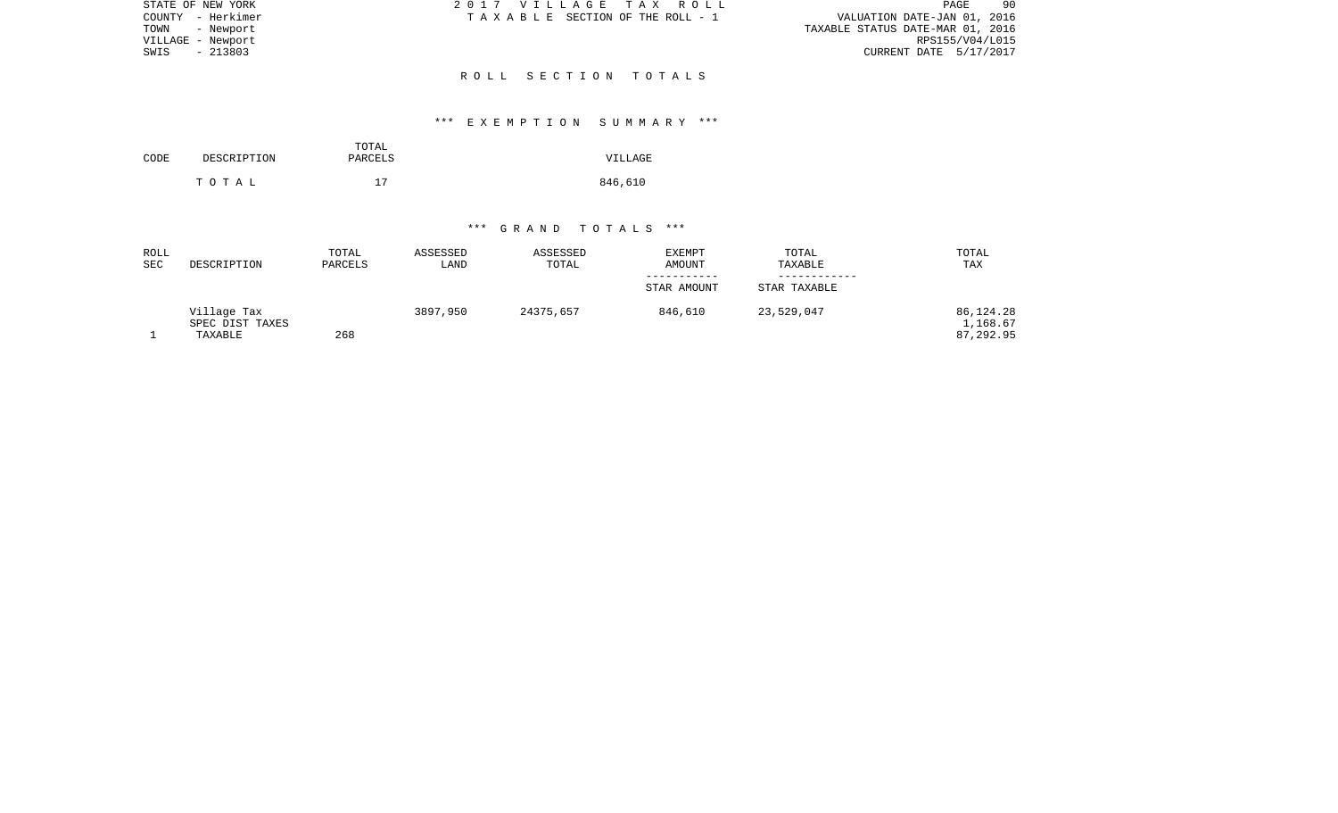| STATE OF NEW YORK | 2017 VILLAGE TAX ROLL           | 90<br>PAGE                       |
|-------------------|---------------------------------|----------------------------------|
| COUNTY - Herkimer | TAXABLE SECTION OF THE ROLL - 1 | VALUATION DATE-JAN 01, 2016      |
| TOWN<br>- Newport |                                 | TAXABLE STATUS DATE-MAR 01, 2016 |
| VILLAGE - Newport |                                 | RPS155/V04/L015                  |
| - 213803<br>SWIS  |                                 | CURRENT DATE 5/17/2017           |
|                   |                                 |                                  |
|                   | ROLL SECTION TOTALS             |                                  |

## \*\*\* E X E M P T I O N S U M M A R Y \*\*\*

| CODE | DESCRIPTION | TOTAL<br>PARCELS | VILLAGE |
|------|-------------|------------------|---------|
|      | тотаь       | 17               | 846,610 |

| ROLL<br><b>SEC</b> | DESCRIPTION                               | TOTAL<br>PARCELS | ASSESSED<br>LAND | ASSESSED<br>TOTAL | EXEMPT<br><b>AMOUNT</b> | TOTAL<br>TAXABLE | TOTAL<br><b>TAX</b>                |
|--------------------|-------------------------------------------|------------------|------------------|-------------------|-------------------------|------------------|------------------------------------|
|                    |                                           |                  |                  |                   | STAR AMOUNT             | STAR TAXABLE     |                                    |
|                    | Village Tax<br>SPEC DIST TAXES<br>TAXABLE | 268              | 3897,950         | 24375,657         | 846,610                 | 23,529,047       | 86,124.28<br>1,168.67<br>87,292.95 |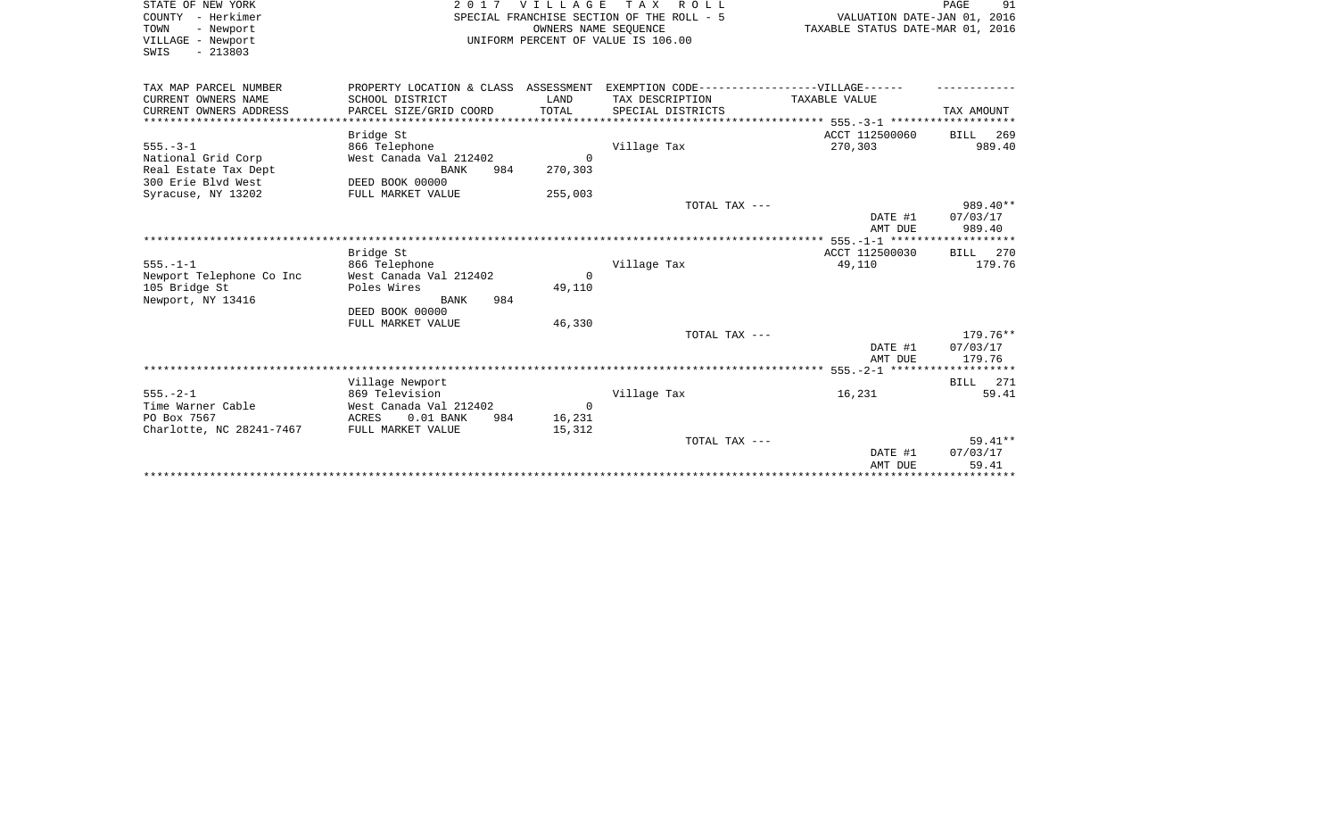| STATE OF NEW YORK<br>COUNTY - Herkimer<br>TOWN<br>- Newport<br>VILLAGE - Newport<br>$-213803$<br>SWIS    |                                                                                                                            | 2017 VILLAGE<br>OWNERS NAME SEQUENCE | TAX ROLL<br>SPECIAL FRANCHISE SECTION OF THE ROLL - 5<br>UNIFORM PERCENT OF VALUE IS 106.00                              | VALUATION DATE-JAN 01, 2016<br>TAXABLE STATUS DATE-MAR 01, 2016 | PAGE<br>91                       |
|----------------------------------------------------------------------------------------------------------|----------------------------------------------------------------------------------------------------------------------------|--------------------------------------|--------------------------------------------------------------------------------------------------------------------------|-----------------------------------------------------------------|----------------------------------|
| TAX MAP PARCEL NUMBER<br>CURRENT OWNERS NAME<br>CURRENT OWNERS ADDRESS                                   | SCHOOL DISTRICT<br>PARCEL SIZE/GRID COORD                                                                                  | LAND<br>TOTAL                        | PROPERTY LOCATION & CLASS ASSESSMENT EXEMPTION CODE----------------VILLAGE------<br>TAX DESCRIPTION<br>SPECIAL DISTRICTS | TAXABLE VALUE                                                   | TAX AMOUNT                       |
| $555. - 3 - 1$<br>National Grid Corp<br>Real Estate Tax Dept<br>300 Erie Blvd West<br>Syracuse, NY 13202 | Bridge St<br>866 Telephone<br>West Canada Val 212402<br>984<br>BANK<br>DEED BOOK 00000<br>FULL MARKET VALUE                | $\Omega$<br>270,303<br>255,003       | Village Tax                                                                                                              | ACCT 112500060<br>270,303                                       | BILL 269<br>989.40               |
|                                                                                                          |                                                                                                                            |                                      | TOTAL TAX ---                                                                                                            | DATE #1<br>AMT DUE                                              | 989.40**<br>07/03/17<br>989.40   |
| $555. - 1 - 1$<br>Newport Telephone Co Inc<br>105 Bridge St<br>Newport, NY 13416                         | Bridge St<br>866 Telephone<br>West Canada Val 212402<br>Poles Wires<br>984<br>BANK<br>DEED BOOK 00000<br>FULL MARKET VALUE | $\Omega$<br>49,110<br>46,330         | Village Tax                                                                                                              | ACCT 112500030<br>49,110                                        | BILL 270<br>179.76               |
|                                                                                                          |                                                                                                                            |                                      | TOTAL TAX ---                                                                                                            | DATE #1<br>AMT DUE                                              | $179.76**$<br>07/03/17<br>179.76 |
|                                                                                                          | Village Newport                                                                                                            |                                      |                                                                                                                          |                                                                 | BILL 271                         |
| $555. - 2 - 1$<br>Time Warner Cable<br>PO Box 7567<br>Charlotte, NC 28241-7467                           | 869 Television<br>West Canada Val 212402<br>$0.01$ BANK<br>984<br>ACRES<br>FULL MARKET VALUE                               | $\overline{0}$<br>16,231<br>15,312   | Village Tax                                                                                                              | 16,231                                                          | 59.41                            |
|                                                                                                          |                                                                                                                            |                                      | TOTAL TAX ---                                                                                                            | DATE #1<br>AMT DUE                                              | $59.41**$<br>07/03/17<br>59.41   |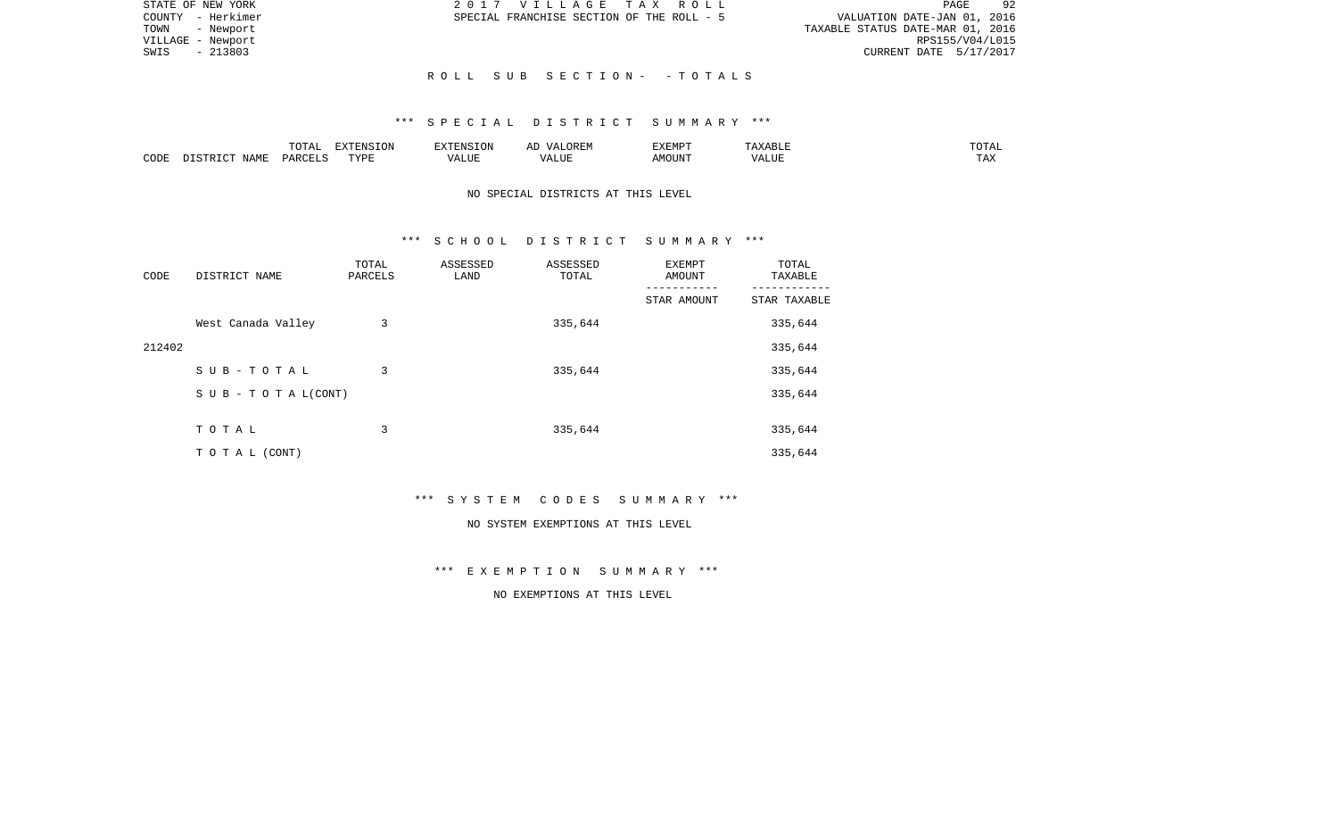| STATE OF NEW YORK | 2017 VILLAGE TAX ROLL                     | 92<br>PAGE                       |
|-------------------|-------------------------------------------|----------------------------------|
| COUNTY - Herkimer | SPECIAL FRANCHISE SECTION OF THE ROLL - 5 | VALUATION DATE-JAN 01, 2016      |
| TOWN - Newport    |                                           | TAXABLE STATUS DATE-MAR 01, 2016 |
| VILLAGE - Newport |                                           | RPS155/V04/L015                  |
| SWIS - 213803     |                                           | CURRENT DATE 5/17/2017           |
|                   |                                           |                                  |
|                   | ROLL SUB SECTION- -TOTALS                 |                                  |

### \*\*\* S P E C I A L D I S T R I C T S U M M A R Y \*\*\*

|      |                            | .∪⊥⊓⊥         | $\blacksquare$<br>11 L<br>LUIN |               |            | EXEMPT       | ABL.                  | $m \wedge m$<br>. |
|------|----------------------------|---------------|--------------------------------|---------------|------------|--------------|-----------------------|-------------------|
| CODE | <b>ABST</b><br>. .<br>NAMP | <b>DARCFT</b> | TVDT                           | $\mathcal{L}$ | ,,,<br>שחד | OUN".<br>۱M۲ | $- - - - - -$<br>ALUI | $- - -$<br>. Ал   |

# NO SPECIAL DISTRICTS AT THIS LEVEL

#### \*\*\* S C H O O L D I S T R I C T S U M M A R Y \*\*\*

| CODE   | DISTRICT NAME                    | TOTAL<br>PARCELS | ASSESSED<br>LAND | ASSESSED<br>TOTAL | EXEMPT<br>AMOUNT | TOTAL<br>TAXABLE |
|--------|----------------------------------|------------------|------------------|-------------------|------------------|------------------|
|        |                                  |                  |                  |                   | STAR AMOUNT      | STAR TAXABLE     |
|        | West Canada Valley               | 3                |                  | 335,644           |                  | 335,644          |
| 212402 |                                  |                  |                  |                   |                  | 335,644          |
|        | SUB-TOTAL                        | 3                |                  | 335,644           |                  | 335,644          |
|        | $S \cup B - T \cup T A L (CONT)$ |                  |                  |                   |                  | 335,644          |
|        |                                  |                  |                  |                   |                  |                  |
|        | TOTAL                            | 3                |                  | 335,644           |                  | 335,644          |
|        | T O T A L (CONT)                 |                  |                  |                   |                  | 335,644          |

\*\*\* S Y S T E M C O D E S S U M M A R Y \*\*\*

#### NO SYSTEM EXEMPTIONS AT THIS LEVEL

\*\*\* E X E M P T I O N S U M M A R Y \*\*\*

NO EXEMPTIONS AT THIS LEVEL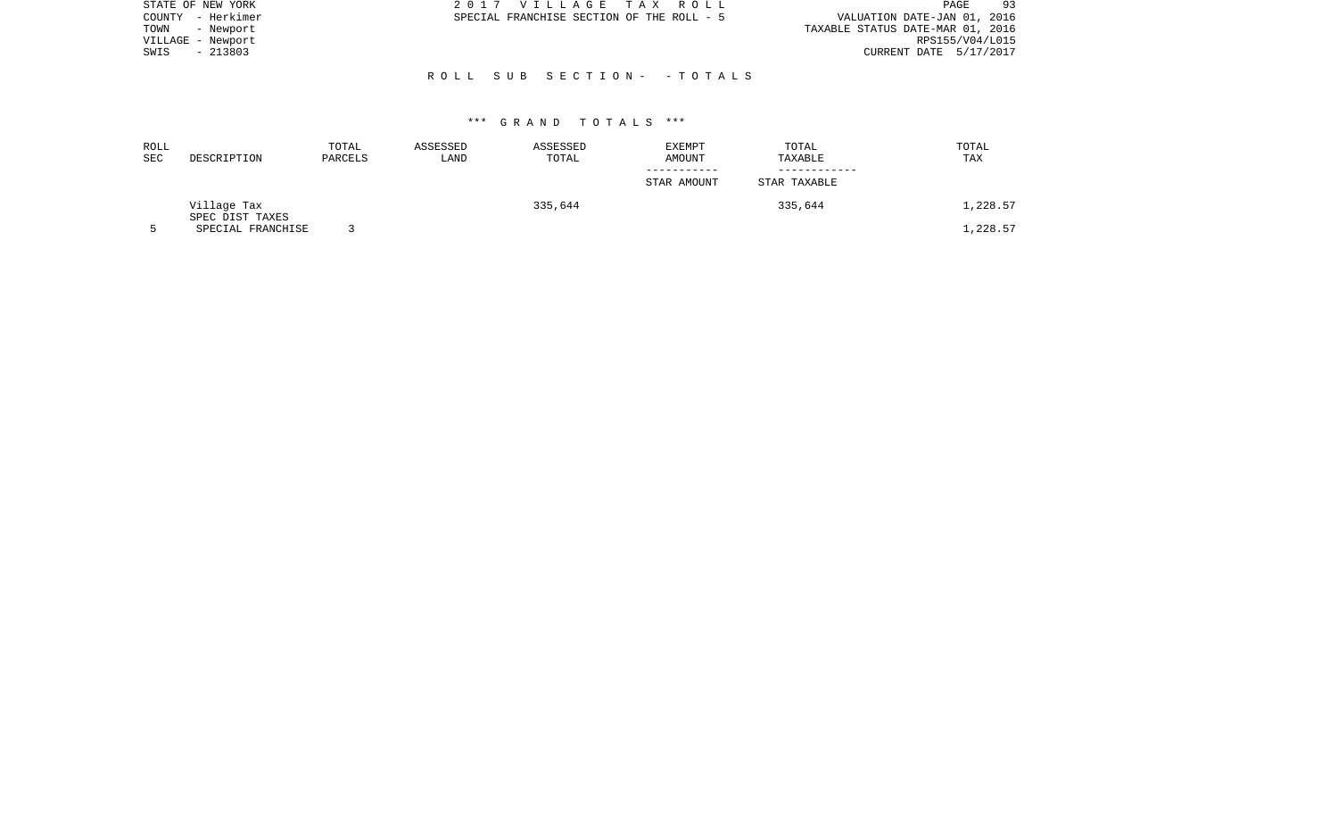| STATE OF NEW YORK | 2017 VILLAGE TAX ROLL                     | PAGE<br>93                       |
|-------------------|-------------------------------------------|----------------------------------|
| COUNTY - Herkimer | SPECIAL FRANCHISE SECTION OF THE ROLL - 5 | VALUATION DATE-JAN 01, 2016      |
| TOWN<br>- Newport |                                           | TAXABLE STATUS DATE-MAR 01, 2016 |
| VILLAGE - Newport |                                           | RPS155/V04/L015                  |
| $-213803$<br>SWIS |                                           | CURRENT DATE 5/17/2017           |
|                   |                                           |                                  |
|                   | ROLL SUB SECTION- -TOTALS                 |                                  |

| ROLL<br><b>SEC</b> | DESCRIPTION                    | TOTAL<br>PARCELS | ASSESSED<br>LAND | ASSESSED<br>TOTAL | <b>EXEMPT</b><br>AMOUNT | TOTAL<br>TAXABLE | TOTAL<br>TAX |
|--------------------|--------------------------------|------------------|------------------|-------------------|-------------------------|------------------|--------------|
|                    |                                |                  |                  |                   | STAR AMOUNT             | STAR TAXABLE     |              |
|                    | Village Tax<br>SPEC DIST TAXES |                  |                  | 335,644           |                         | 335,644          | 1,228.57     |
|                    | SPECIAL FRANCHISE              |                  |                  |                   |                         |                  | 1,228.57     |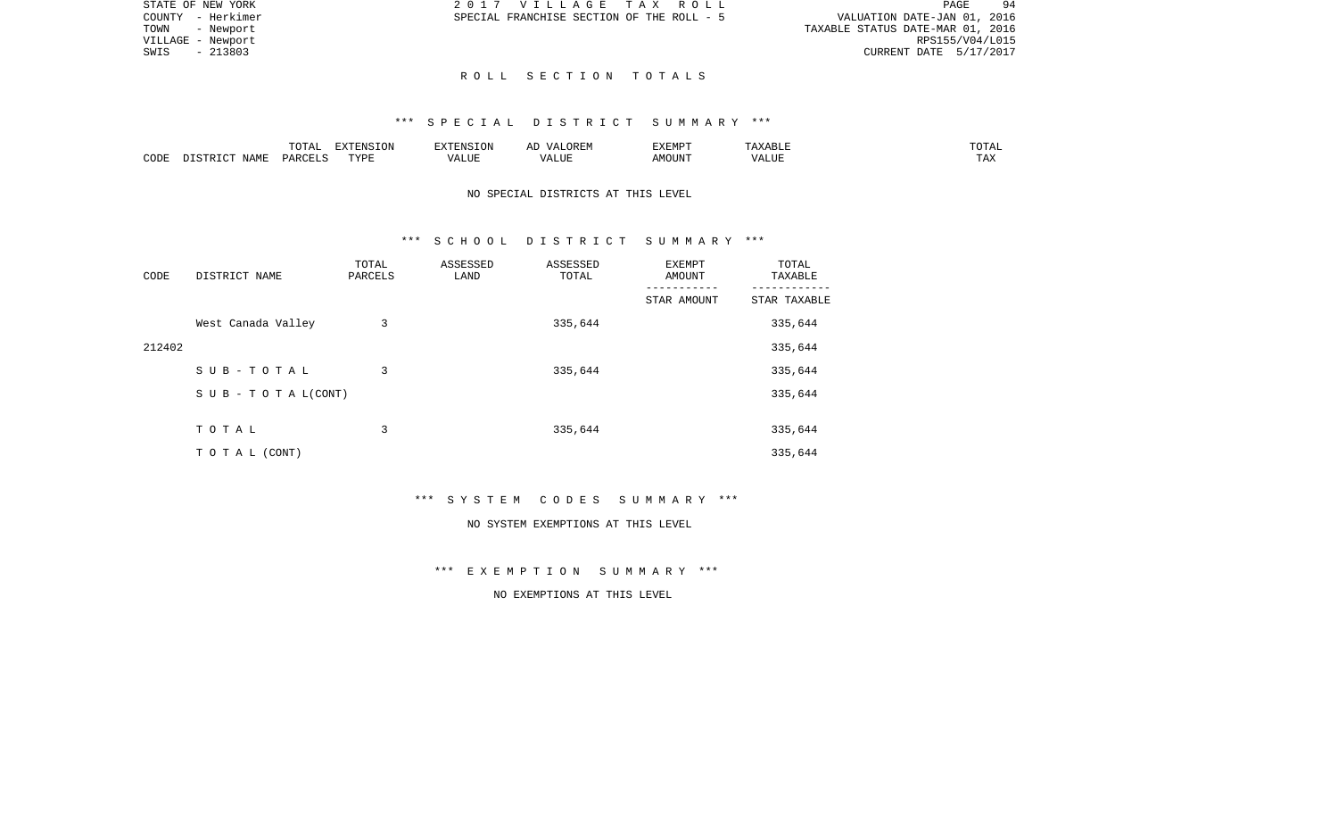| STATE OF NEW YORK | 2017 VILLAGE TAX ROLL                     |  | 94<br>PAGE                       |
|-------------------|-------------------------------------------|--|----------------------------------|
| COUNTY - Herkimer | SPECIAL FRANCHISE SECTION OF THE ROLL - 5 |  | VALUATION DATE-JAN 01, 2016      |
| TOWN<br>- Newport |                                           |  | TAXABLE STATUS DATE-MAR 01, 2016 |
| VILLAGE - Newport |                                           |  | RPS155/V04/L015                  |
| SWIS<br>- 213803  |                                           |  | CURRENT DATE 5/17/2017           |
|                   |                                           |  |                                  |

# R O L L S E C T I O N T O T A L S

#### \*\*\* S P E C I A L D I S T R I C T S U M M A R Y \*\*\*

|      |                                 | $T$ $\cap$ $T$ $\cap$ $\cap$ $\cap$<br>$\cdot$<br>- ∪ + ⊥ + + | EXTENSION   |       | OREM<br>$\sqrt{4}$ | <b>EXEMPT</b> |                    | ------<br>"UTAL      |
|------|---------------------------------|---------------------------------------------------------------|-------------|-------|--------------------|---------------|--------------------|----------------------|
| CODE | $\Lambda \Delta M$ <sup>T</sup> | D A D C                                                       | TVDF<br>--- | т ттт | $\sqrt{ }$<br>பப   | MOUN'         | $\sqrt{ }$<br>ALUF | <b>TIA 32</b><br>IΑΛ |

# NO SPECIAL DISTRICTS AT THIS LEVEL

#### \*\*\* S C H O O L D I S T R I C T S U M M A R Y \*\*\*

| CODE   | DISTRICT NAME                    | TOTAL<br>PARCELS | ASSESSED<br>LAND | ASSESSED<br>TOTAL | <b>EXEMPT</b><br>AMOUNT | TOTAL<br>TAXABLE |
|--------|----------------------------------|------------------|------------------|-------------------|-------------------------|------------------|
|        |                                  |                  |                  |                   | STAR AMOUNT             | STAR TAXABLE     |
|        | West Canada Valley               | 3                |                  | 335,644           |                         | 335,644          |
| 212402 |                                  |                  |                  |                   |                         | 335,644          |
|        | SUB-TOTAL                        | 3                |                  | 335,644           |                         | 335,644          |
|        | $S \cup B - T \cup T A L (CONT)$ |                  |                  |                   |                         | 335,644          |
|        |                                  |                  |                  |                   |                         |                  |
|        | TOTAL                            | 3                |                  | 335,644           |                         | 335,644          |
|        | T O T A L (CONT)                 |                  |                  |                   |                         | 335,644          |

\*\*\* S Y S T E M C O D E S S U M M A R Y \*\*\*

#### NO SYSTEM EXEMPTIONS AT THIS LEVEL

# \*\*\* E X E M P T I O N S U M M A R Y \*\*\*

# NO EXEMPTIONS AT THIS LEVEL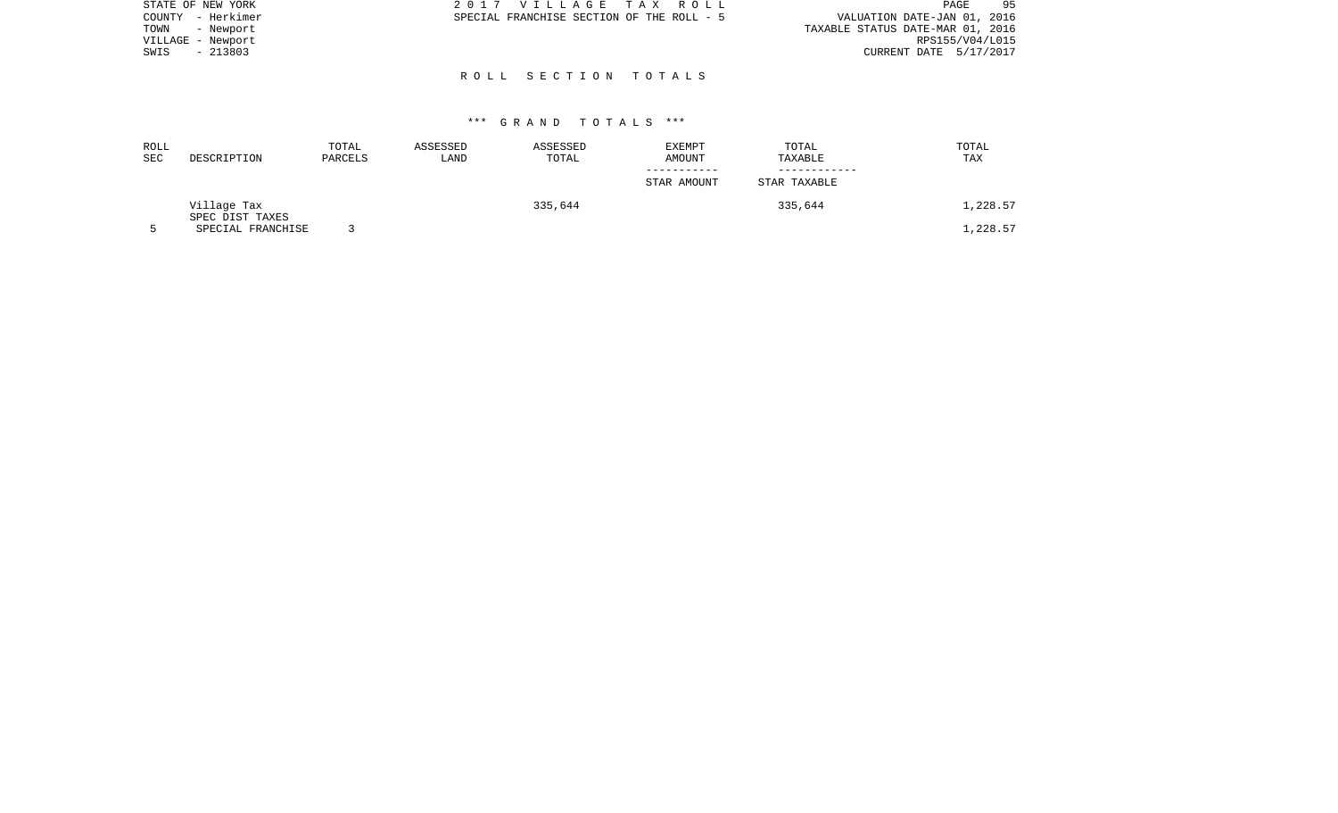| STATE OF NEW YORK | 2017 VILLAGE TAX ROLL                     | 95<br>PAGE                       |
|-------------------|-------------------------------------------|----------------------------------|
| COUNTY - Herkimer | SPECIAL FRANCHISE SECTION OF THE ROLL - 5 | VALUATION DATE-JAN 01, 2016      |
| TOWN<br>- Newport |                                           | TAXABLE STATUS DATE-MAR 01, 2016 |
| VILLAGE - Newport |                                           | RPS155/V04/L015                  |
| - 213803<br>SWIS  |                                           | CURRENT DATE 5/17/2017           |
|                   |                                           |                                  |

R O L L S E C T I O N T O T A L S

| ROLL<br><b>SEC</b> | DESCRIPTION                          | TOTAL<br>PARCELS | ASSESSED<br>LAND | ASSESSED<br>TOTAL | <b>EXEMPT</b><br>AMOUNT | TOTAL<br>TAXABLE | TOTAL<br>TAX |
|--------------------|--------------------------------------|------------------|------------------|-------------------|-------------------------|------------------|--------------|
|                    |                                      |                  |                  |                   | STAR AMOUNT             | STAR TAXABLE     |              |
|                    | Village Tax                          |                  |                  | 335,644           |                         | 335,644          | 1,228.57     |
|                    | SPEC DIST TAXES<br>SPECIAL FRANCHISE |                  |                  |                   |                         |                  | .,228.57     |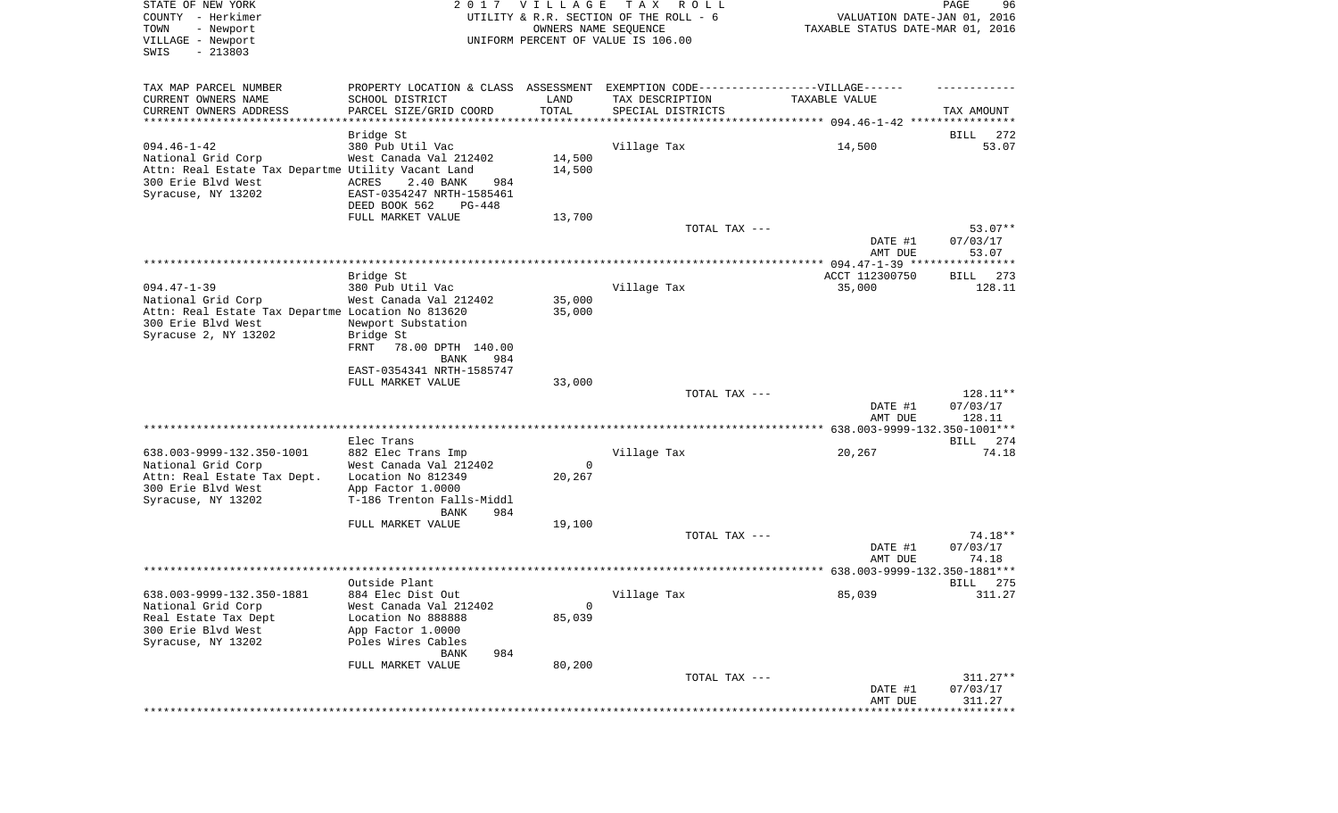| STATE OF NEW YORK<br>COUNTY - Herkimer<br>- Newport<br>TOWN<br>VILLAGE - Newport<br>SWIS<br>$-213803$ |                                                                                  | 2017 VILLAGE<br>OWNERS NAME SEQUENCE | TAX ROLL<br>UTILITY & R.R. SECTION OF THE ROLL - 6<br>UNIFORM PERCENT OF VALUE IS 106.00 | VALUATION DATE-JAN 01, 2016<br>TAXABLE STATUS DATE-MAR 01, 2016 | PAGE<br>96     |
|-------------------------------------------------------------------------------------------------------|----------------------------------------------------------------------------------|--------------------------------------|------------------------------------------------------------------------------------------|-----------------------------------------------------------------|----------------|
| TAX MAP PARCEL NUMBER                                                                                 | PROPERTY LOCATION & CLASS ASSESSMENT EXEMPTION CODE----------------VILLAGE------ |                                      |                                                                                          |                                                                 |                |
| CURRENT OWNERS NAME<br>CURRENT OWNERS ADDRESS                                                         | SCHOOL DISTRICT<br>PARCEL SIZE/GRID COORD                                        | LAND<br>TOTAL                        | TAX DESCRIPTION<br>SPECIAL DISTRICTS                                                     | TAXABLE VALUE                                                   | TAX AMOUNT     |
| *************************                                                                             |                                                                                  |                                      |                                                                                          |                                                                 |                |
|                                                                                                       | Bridge St                                                                        |                                      |                                                                                          |                                                                 | BILL<br>272    |
| $094.46 - 1 - 42$                                                                                     | 380 Pub Util Vac                                                                 |                                      | Village Tax                                                                              | 14,500                                                          | 53.07          |
| National Grid Corp                                                                                    | West Canada Val 212402                                                           | 14,500                               |                                                                                          |                                                                 |                |
| Attn: Real Estate Tax Departme Utility Vacant Land                                                    |                                                                                  | 14,500                               |                                                                                          |                                                                 |                |
| 300 Erie Blvd West<br>Syracuse, NY 13202                                                              | ACRES<br>2.40 BANK<br>984<br>EAST-0354247 NRTH-1585461                           |                                      |                                                                                          |                                                                 |                |
|                                                                                                       | DEED BOOK 562<br>PG-448                                                          |                                      |                                                                                          |                                                                 |                |
|                                                                                                       | FULL MARKET VALUE                                                                | 13,700                               |                                                                                          |                                                                 |                |
|                                                                                                       |                                                                                  |                                      | TOTAL TAX ---                                                                            |                                                                 | $53.07**$      |
|                                                                                                       |                                                                                  |                                      |                                                                                          | DATE #1                                                         | 07/03/17       |
|                                                                                                       |                                                                                  |                                      |                                                                                          | AMT DUE                                                         | 53.07          |
|                                                                                                       |                                                                                  |                                      |                                                                                          | ACCT 112300750                                                  | 273<br>BILL    |
| $094.47 - 1 - 39$                                                                                     | Bridge St<br>380 Pub Util Vac                                                    |                                      | Village Tax                                                                              | 35,000                                                          | 128.11         |
| National Grid Corp                                                                                    | West Canada Val 212402                                                           | 35,000                               |                                                                                          |                                                                 |                |
| Attn: Real Estate Tax Departme Location No 813620                                                     |                                                                                  | 35,000                               |                                                                                          |                                                                 |                |
| 300 Erie Blvd West                                                                                    | Newport Substation                                                               |                                      |                                                                                          |                                                                 |                |
| Syracuse 2, NY 13202                                                                                  | Bridge St                                                                        |                                      |                                                                                          |                                                                 |                |
|                                                                                                       | FRNT<br>78.00 DPTH 140.00<br>BANK<br>984                                         |                                      |                                                                                          |                                                                 |                |
|                                                                                                       | EAST-0354341 NRTH-1585747                                                        |                                      |                                                                                          |                                                                 |                |
|                                                                                                       | FULL MARKET VALUE                                                                | 33,000                               |                                                                                          |                                                                 |                |
|                                                                                                       |                                                                                  |                                      | TOTAL TAX ---                                                                            |                                                                 | 128.11**       |
|                                                                                                       |                                                                                  |                                      |                                                                                          | DATE #1                                                         | 07/03/17       |
|                                                                                                       |                                                                                  |                                      |                                                                                          | AMT DUE                                                         | 128.11         |
|                                                                                                       | Elec Trans                                                                       |                                      |                                                                                          |                                                                 | BILL 274       |
| 638.003-9999-132.350-1001                                                                             | 882 Elec Trans Imp                                                               |                                      | Village Tax                                                                              | 20,267                                                          | 74.18          |
| National Grid Corp                                                                                    | West Canada Val 212402                                                           | $\mathbf 0$                          |                                                                                          |                                                                 |                |
| Attn: Real Estate Tax Dept.                                                                           | Location No 812349                                                               | 20,267                               |                                                                                          |                                                                 |                |
| 300 Erie Blvd West                                                                                    | App Factor 1.0000                                                                |                                      |                                                                                          |                                                                 |                |
| Syracuse, NY 13202                                                                                    | T-186 Trenton Falls-Middl<br>984                                                 |                                      |                                                                                          |                                                                 |                |
|                                                                                                       | BANK<br>FULL MARKET VALUE                                                        | 19,100                               |                                                                                          |                                                                 |                |
|                                                                                                       |                                                                                  |                                      | TOTAL TAX ---                                                                            |                                                                 | 74.18**        |
|                                                                                                       |                                                                                  |                                      |                                                                                          | DATE #1                                                         | 07/03/17       |
|                                                                                                       |                                                                                  |                                      |                                                                                          | AMT DUE                                                         | 74.18          |
|                                                                                                       |                                                                                  |                                      |                                                                                          |                                                                 |                |
| 638.003-9999-132.350-1881                                                                             | Outside Plant                                                                    |                                      |                                                                                          | 85,039                                                          | BILL<br>275    |
| National Grid Corp                                                                                    | 884 Elec Dist Out<br>West Canada Val 212402                                      | 0                                    | Village Tax                                                                              |                                                                 | 311.27         |
| Real Estate Tax Dept                                                                                  | Location No 888888                                                               | 85,039                               |                                                                                          |                                                                 |                |
| 300 Erie Blvd West                                                                                    | App Factor 1.0000                                                                |                                      |                                                                                          |                                                                 |                |
| Syracuse, NY 13202                                                                                    | Poles Wires Cables                                                               |                                      |                                                                                          |                                                                 |                |
|                                                                                                       | 984<br>BANK                                                                      |                                      |                                                                                          |                                                                 |                |
|                                                                                                       | FULL MARKET VALUE                                                                | 80,200                               | TOTAL TAX ---                                                                            |                                                                 | $311.27**$     |
|                                                                                                       |                                                                                  |                                      |                                                                                          | DATE #1                                                         | 07/03/17       |
|                                                                                                       |                                                                                  |                                      |                                                                                          | AMT DUE                                                         | 311.27         |
|                                                                                                       |                                                                                  |                                      |                                                                                          |                                                                 | ************** |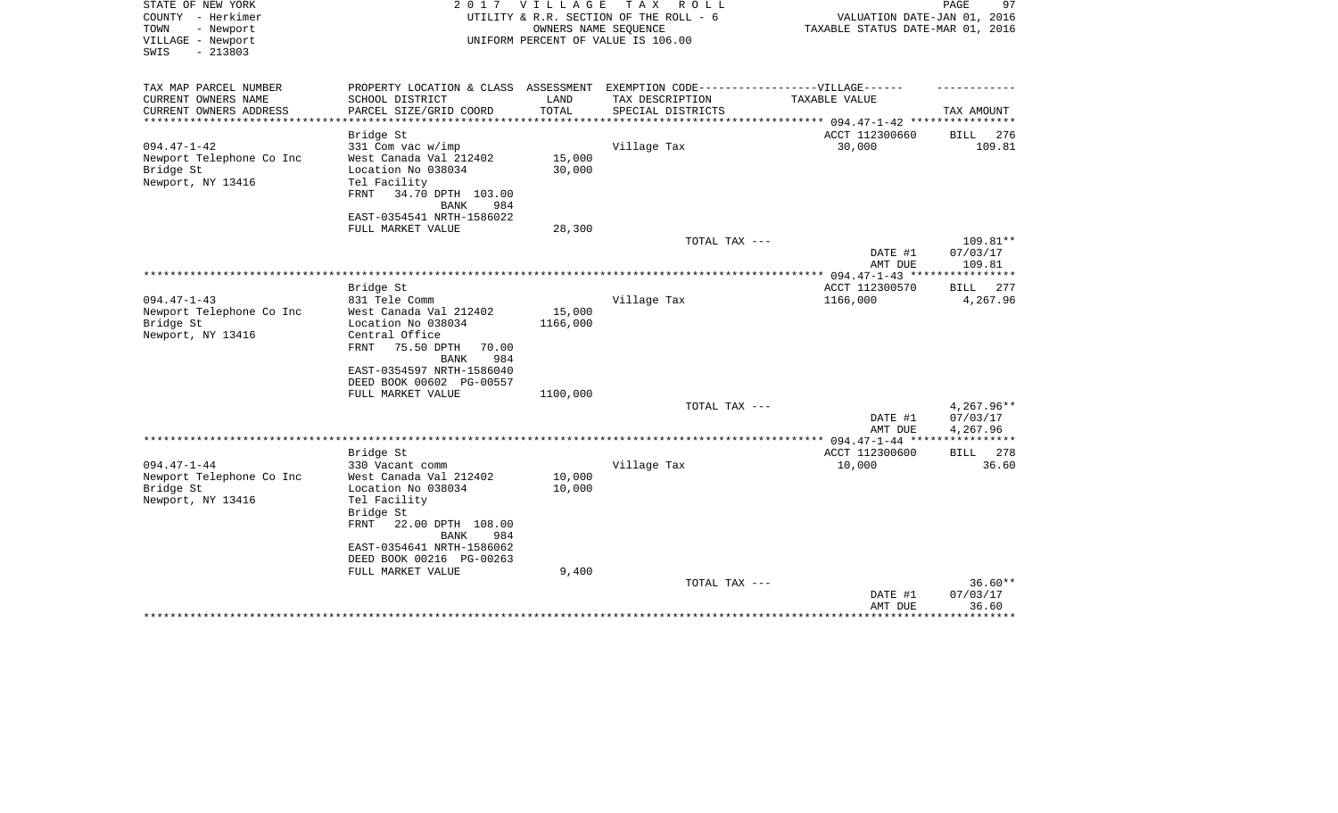| STATE OF NEW YORK<br>COUNTY - Herkimer<br>- Newport<br>TOWN<br>VILLAGE - Newport<br>$-213803$<br>SWIS | 2017                                                                                                                                             | <b>VILLAGE</b>        | TAX ROLL<br>UTILITY & R.R. SECTION OF THE ROLL - 6<br>OWNERS NAME SEQUENCE<br>UNIFORM PERCENT OF VALUE IS 106.00 | VALUATION DATE-JAN 01, 2016<br>TAXABLE STATUS DATE-MAR 01, 2016 | 97<br>PAGE                         |
|-------------------------------------------------------------------------------------------------------|--------------------------------------------------------------------------------------------------------------------------------------------------|-----------------------|------------------------------------------------------------------------------------------------------------------|-----------------------------------------------------------------|------------------------------------|
| TAX MAP PARCEL NUMBER<br>CURRENT OWNERS NAME                                                          | PROPERTY LOCATION & CLASS ASSESSMENT EXEMPTION CODE-----------------VILLAGE------<br>SCHOOL DISTRICT                                             | LAND                  | TAX DESCRIPTION                                                                                                  | TAXABLE VALUE                                                   |                                    |
| CURRENT OWNERS ADDRESS                                                                                | PARCEL SIZE/GRID COORD                                                                                                                           | TOTAL                 | SPECIAL DISTRICTS                                                                                                |                                                                 | TAX AMOUNT                         |
|                                                                                                       |                                                                                                                                                  | * * * * * * * * * * * |                                                                                                                  | ********** 094.47-1-42 *****************                        |                                    |
|                                                                                                       | Bridge St                                                                                                                                        |                       |                                                                                                                  | ACCT 112300660                                                  | 276<br>BILL                        |
| $094.47 - 1 - 42$<br>Newport Telephone Co Inc<br>Bridge St<br>Newport, NY 13416                       | $331$ Com vac w/imp<br>West Canada Val 212402<br>Location No 038034<br>Tel Facility<br>34.70 DPTH 103.00<br>FRNT<br><b>BANK</b><br>984           | 15,000<br>30,000      | Village Tax                                                                                                      | 30,000                                                          | 109.81                             |
|                                                                                                       | EAST-0354541 NRTH-1586022                                                                                                                        |                       |                                                                                                                  |                                                                 |                                    |
|                                                                                                       | FULL MARKET VALUE                                                                                                                                | 28,300                | TOTAL TAX ---                                                                                                    |                                                                 | 109.81**                           |
|                                                                                                       |                                                                                                                                                  |                       |                                                                                                                  | DATE #1<br>AMT DUE                                              | 07/03/17<br>109.81                 |
|                                                                                                       | Bridge St                                                                                                                                        |                       |                                                                                                                  | ** 094.47-1-43 ***<br>ACCT 112300570                            | ********<br>BILL<br>277            |
| $094.47 - 1 - 43$                                                                                     | 831 Tele Comm                                                                                                                                    |                       | Village Tax                                                                                                      | 1166,000                                                        | 4,267.96                           |
| Newport Telephone Co Inc<br>Bridge St<br>Newport, NY 13416                                            | West Canada Val 212402<br>Location No 038034<br>Central Office<br>75.50 DPTH<br>FRNT<br>70.00<br><b>BANK</b><br>984<br>EAST-0354597 NRTH-1586040 | 15,000<br>1166,000    |                                                                                                                  |                                                                 |                                    |
|                                                                                                       | DEED BOOK 00602 PG-00557                                                                                                                         |                       |                                                                                                                  |                                                                 |                                    |
|                                                                                                       | FULL MARKET VALUE                                                                                                                                | 1100,000              |                                                                                                                  |                                                                 |                                    |
|                                                                                                       |                                                                                                                                                  |                       | TOTAL TAX ---                                                                                                    | DATE #1<br>AMT DUE                                              | 4,267.96**<br>07/03/17<br>4,267.96 |
|                                                                                                       |                                                                                                                                                  |                       |                                                                                                                  |                                                                 |                                    |
|                                                                                                       | Bridge St                                                                                                                                        |                       |                                                                                                                  | ACCT 112300600                                                  | 278<br><b>BILL</b>                 |
| $094.47 - 1 - 44$<br>Newport Telephone Co Inc<br>Bridge St                                            | 330 Vacant comm<br>West Canada Val 212402<br>Location No 038034                                                                                  | 10,000<br>10,000      | Village Tax                                                                                                      | 10,000                                                          | 36.60                              |
| Newport, NY 13416                                                                                     | Tel Facility<br>Bridge St<br>FRNT<br>22.00 DPTH 108.00<br><b>BANK</b><br>984<br>EAST-0354641 NRTH-1586062<br>DEED BOOK 00216 PG-00263            |                       |                                                                                                                  |                                                                 |                                    |
|                                                                                                       | FULL MARKET VALUE                                                                                                                                | 9,400                 | TOTAL TAX ---                                                                                                    | DATE #1<br>AMT DUE                                              | $36.60**$<br>07/03/17<br>36.60     |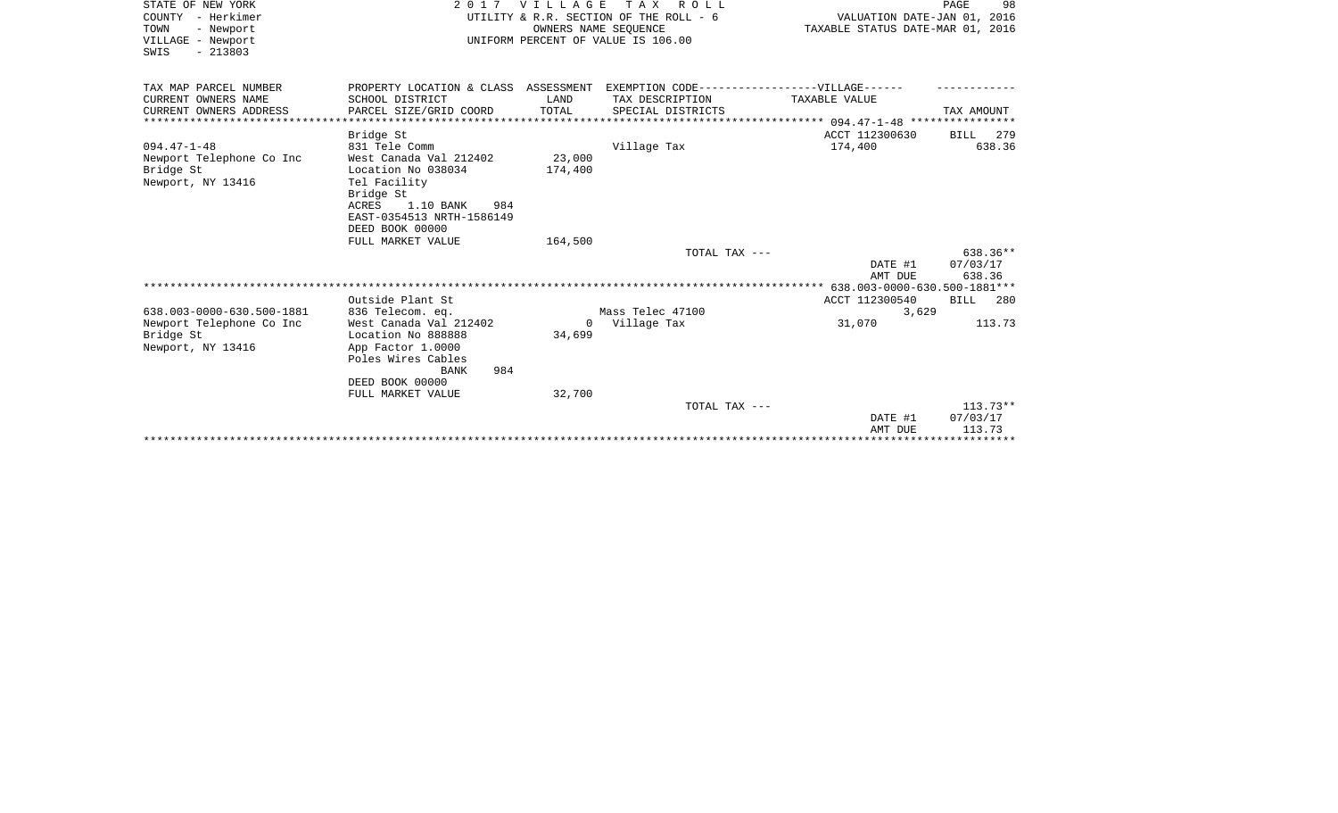| STATE OF NEW YORK         | 2017                                                                              | V I L L A G E | T A X<br>R O L L                   |                                    | PAGE<br>98 |
|---------------------------|-----------------------------------------------------------------------------------|---------------|------------------------------------|------------------------------------|------------|
| COUNTY - Herkimer         | UTILITY & R.R. SECTION OF THE ROLL - 6                                            |               |                                    | VALUATION DATE-JAN 01, 2016        |            |
| TOWN<br>- Newport         |                                                                                   |               | OWNERS NAME SEQUENCE               | TAXABLE STATUS DATE-MAR 01, 2016   |            |
| VILLAGE - Newport         |                                                                                   |               | UNIFORM PERCENT OF VALUE IS 106.00 |                                    |            |
| $-213803$<br>SWIS         |                                                                                   |               |                                    |                                    |            |
|                           |                                                                                   |               |                                    |                                    |            |
| TAX MAP PARCEL NUMBER     | PROPERTY LOCATION & CLASS ASSESSMENT EXEMPTION CODE-----------------VILLAGE------ |               |                                    |                                    |            |
| CURRENT OWNERS NAME       | SCHOOL DISTRICT                                                                   | LAND          | TAX DESCRIPTION                    | TAXABLE VALUE                      |            |
| CURRENT OWNERS ADDRESS    | PARCEL SIZE/GRID COORD                                                            | TOTAL         | SPECIAL DISTRICTS                  |                                    | TAX AMOUNT |
|                           |                                                                                   |               |                                    |                                    |            |
|                           | Bridge St                                                                         |               |                                    | ACCT 112300630                     | BILL 279   |
| $094.47 - 1 - 48$         | 831 Tele Comm                                                                     |               | Village Tax                        | 174,400                            | 638.36     |
| Newport Telephone Co Inc  | West Canada Val 212402                                                            | 23,000        |                                    |                                    |            |
| Bridge St                 | Location No 038034                                                                | 174,400       |                                    |                                    |            |
| Newport, NY 13416         | Tel Facility                                                                      |               |                                    |                                    |            |
|                           | Bridge St                                                                         |               |                                    |                                    |            |
|                           | ACRES<br>1.10 BANK<br>984                                                         |               |                                    |                                    |            |
|                           | EAST-0354513 NRTH-1586149                                                         |               |                                    |                                    |            |
|                           | DEED BOOK 00000                                                                   |               |                                    |                                    |            |
|                           | FULL MARKET VALUE                                                                 | 164,500       |                                    |                                    |            |
|                           |                                                                                   |               | TOTAL TAX ---                      |                                    | 638.36**   |
|                           |                                                                                   |               |                                    | DATE #1                            | 07/03/17   |
|                           |                                                                                   |               |                                    | AMT DUE                            | 638.36     |
|                           |                                                                                   |               |                                    | 638.003-0000-630.500-1881***       |            |
|                           | Outside Plant St                                                                  |               |                                    | ACCT 112300540                     | BILL 280   |
| 638.003-0000-630.500-1881 | 836 Telecom. eq.                                                                  |               | Mass Telec 47100                   | 3,629                              |            |
| Newport Telephone Co Inc  | West Canada Val 212402                                                            | $\Omega$      | Village Tax                        | 31,070                             | 113.73     |
| Bridge St                 | Location No 888888                                                                | 34,699        |                                    |                                    |            |
| Newport, NY 13416         | App Factor 1.0000                                                                 |               |                                    |                                    |            |
|                           | Poles Wires Cables                                                                |               |                                    |                                    |            |
|                           | 984<br>BANK                                                                       |               |                                    |                                    |            |
|                           | DEED BOOK 00000                                                                   |               |                                    |                                    |            |
|                           | FULL MARKET VALUE                                                                 | 32,700        |                                    |                                    |            |
|                           |                                                                                   |               | TOTAL TAX ---                      |                                    | $113.73**$ |
|                           |                                                                                   |               |                                    | DATE #1                            | 07/03/17   |
|                           |                                                                                   |               |                                    | AMT DUE                            | 113.73     |
|                           |                                                                                   |               |                                    | ********************************** |            |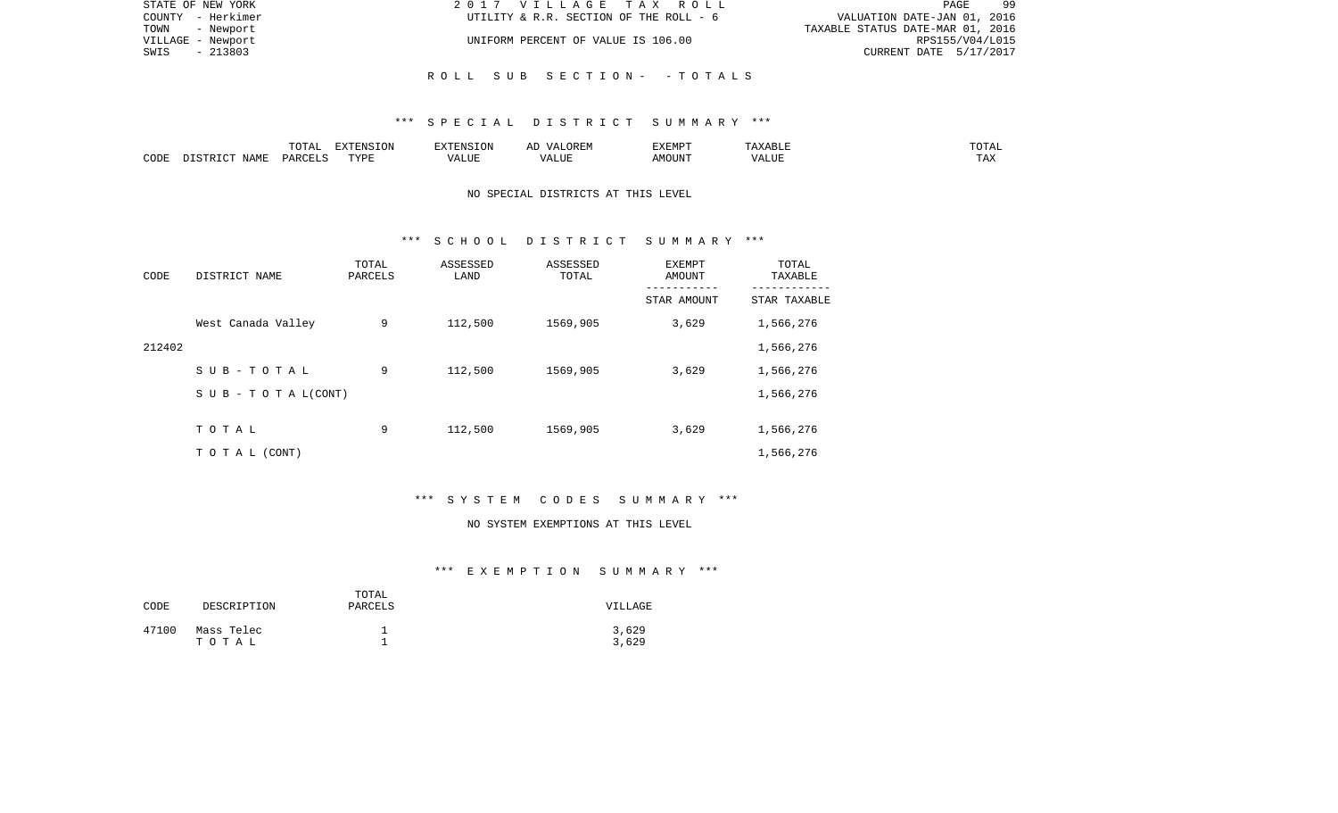| STATE OF NEW YORK | 2017 VILLAGE TAX ROLL                  | 99<br>PAGE                       |
|-------------------|----------------------------------------|----------------------------------|
| COUNTY - Herkimer | UTILITY & R.R. SECTION OF THE ROLL - 6 | VALUATION DATE-JAN 01, 2016      |
| TOWN - Newport    |                                        | TAXABLE STATUS DATE-MAR 01, 2016 |
| VILLAGE - Newport | UNIFORM PERCENT OF VALUE IS 106.00     | RPS155/V04/L015                  |
| - 213803<br>SWIS  |                                        | CURRENT DATE 5/17/2017           |
|                   |                                        |                                  |
|                   | ROLL SUB SECTION- -TOTALS              |                                  |

### \*\*\* S P E C I A L D I S T R I C T S U M M A R Y \*\*\*

|      |      | $m \wedge m \wedge n$<br>- 777 | $\blacksquare$ $\blacksquare$ $\blacksquare$ $\blacksquare$ $\blacksquare$ $\blacksquare$ $\blacksquare$ $\blacksquare$<br>- UN | a : INTE                | 17 D<br>▵ | <b>EXEMPT</b> |                    | ◡⊥▱                   |
|------|------|--------------------------------|---------------------------------------------------------------------------------------------------------------------------------|-------------------------|-----------|---------------|--------------------|-----------------------|
| CODE | NAME | ∩ ¤ ∆ ∪                        | TVDI<br>.                                                                                                                       | $- - - - -$<br>الليليان | 1 U J .   | ACOTTAT'      | $- - - - - -$<br>. | $m \times$<br>- - - - |

# NO SPECIAL DISTRICTS AT THIS LEVEL

#### \*\*\* S C H O O L D I S T R I C T S U M M A R Y \*\*\*

| CODE   | DISTRICT NAME             | TOTAL<br>PARCELS | ASSESSED<br>LAND | ASSESSED<br>TOTAL | <b>EXEMPT</b><br>AMOUNT<br>--------- | TOTAL<br>TAXABLE |
|--------|---------------------------|------------------|------------------|-------------------|--------------------------------------|------------------|
|        |                           |                  |                  |                   | STAR AMOUNT                          | STAR TAXABLE     |
|        | West Canada Valley        | 9                | 112,500          | 1569,905          | 3,629                                | 1,566,276        |
| 212402 |                           |                  |                  |                   |                                      | 1,566,276        |
|        | SUB-TOTAL                 | 9                | 112,500          | 1569,905          | 3,629                                | 1,566,276        |
|        | S U B - T O T A $L(CONT)$ |                  |                  |                   |                                      | 1,566,276        |
|        |                           |                  |                  |                   |                                      |                  |
|        | TOTAL                     | 9                | 112,500          | 1569,905          | 3,629                                | 1,566,276        |
|        | T O T A L (CONT)          |                  |                  |                   |                                      | 1,566,276        |

# \*\*\* S Y S T E M C O D E S S U M M A R Y \*\*\*

#### NO SYSTEM EXEMPTIONS AT THIS LEVEL

| CODE  | DESCRIPTION | TOTAL<br>PARCELS | VILLAGE |
|-------|-------------|------------------|---------|
| 47100 | Mass Telec  | ᅩ                | 3,629   |
|       | тотаь       | ᅩ                | 3,629   |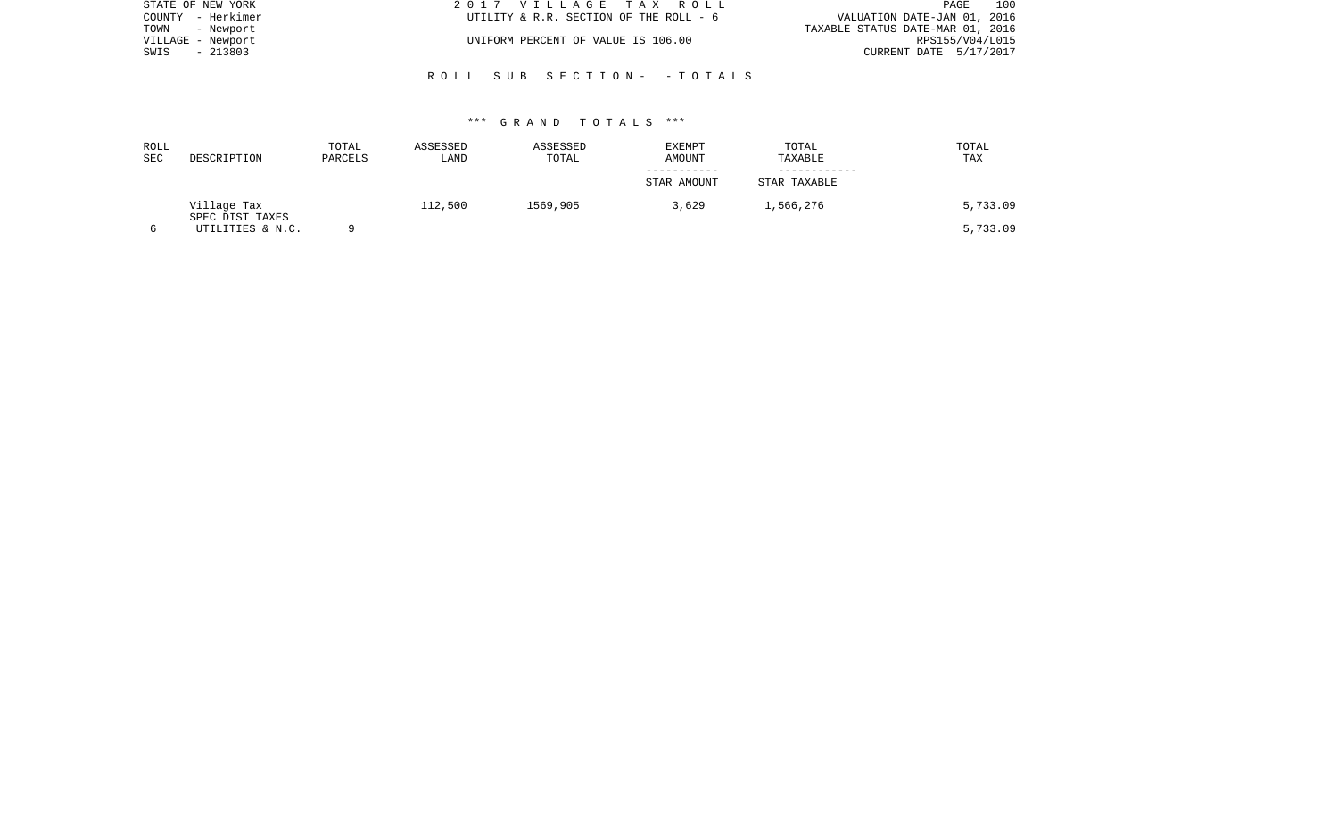| STATE OF NEW YORK | 2017 VILLAGE TAX ROLL                  | 100<br>PAGE                      |
|-------------------|----------------------------------------|----------------------------------|
| COUNTY - Herkimer | UTILITY & R.R. SECTION OF THE ROLL - 6 | VALUATION DATE-JAN 01, 2016      |
| TOWN<br>- Newport |                                        | TAXABLE STATUS DATE-MAR 01, 2016 |
| VILLAGE - Newport | UNIFORM PERCENT OF VALUE IS 106.00     | RPS155/V04/L015                  |
| - 213803<br>SWIS  |                                        | CURRENT DATE 5/17/2017           |
|                   |                                        |                                  |
|                   | ROLL SUB SECTION- -TOTALS              |                                  |

| ROLL |                                | TOTAL   | ASSESSED | ASSESSED | <b>EXEMPT</b> | TOTAL        | TOTAL    |
|------|--------------------------------|---------|----------|----------|---------------|--------------|----------|
| SEC  | DESCRIPTION                    | PARCELS | LAND     | TOTAL    | AMOUNT        | TAXABLE      | TAX      |
|      |                                |         |          |          |               |              |          |
|      |                                |         |          |          | STAR AMOUNT   | STAR TAXABLE |          |
|      | Village Tax<br>SPEC DIST TAXES |         | 112,500  | 1569,905 | 3,629         | 1,566,276    | 5,733.09 |
|      | UTILITIES & N.C.               |         |          |          |               |              | 5,733.09 |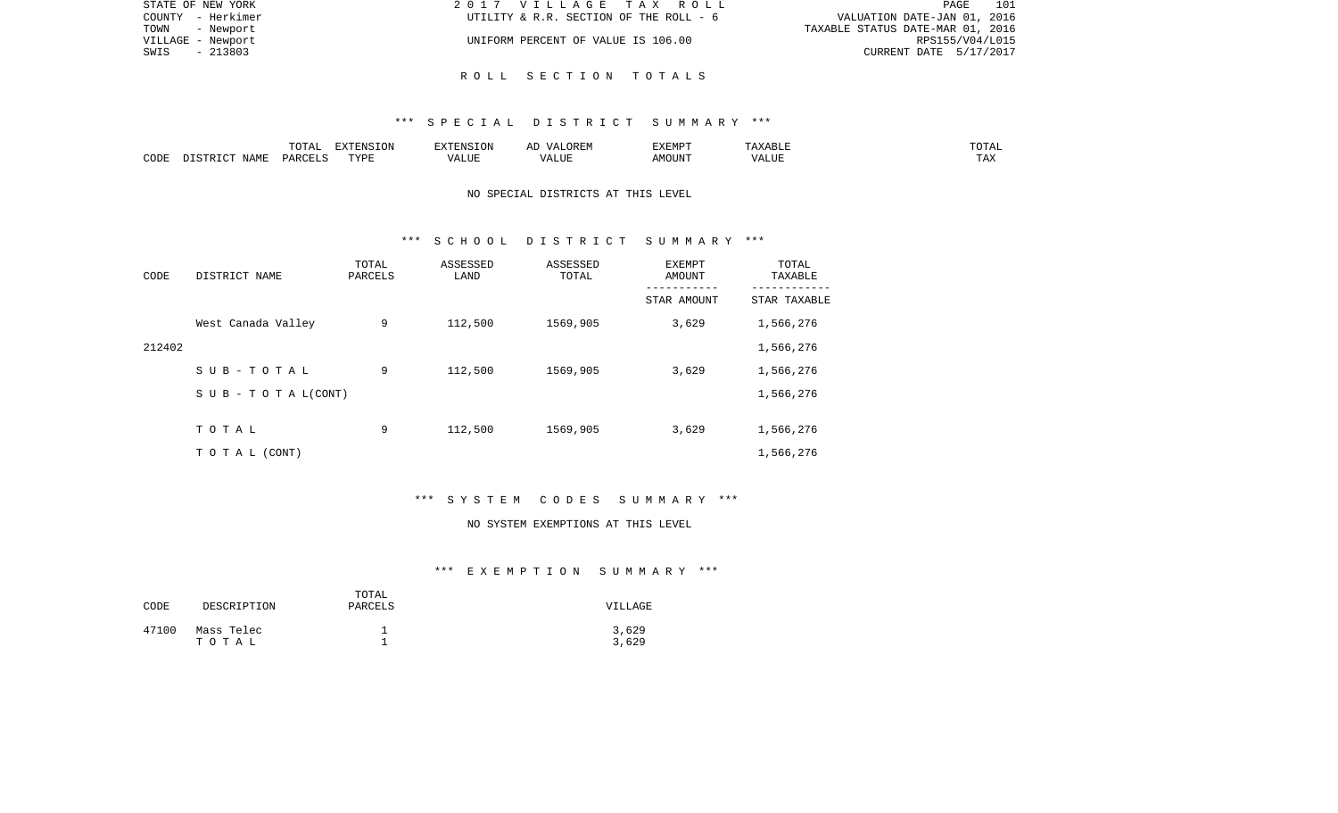| STATE OF NEW YORK | 2017 VILLAGE TAX ROLL                  | 101<br>PAGE                      |
|-------------------|----------------------------------------|----------------------------------|
| COUNTY - Herkimer | UTILITY & R.R. SECTION OF THE ROLL - 6 | VALUATION DATE-JAN 01, 2016      |
| TOWN - Newport    |                                        | TAXABLE STATUS DATE-MAR 01, 2016 |
| VILLAGE - Newport | UNIFORM PERCENT OF VALUE IS 106.00     | RPS155/V04/L015                  |
| SWIS<br>- 213803  |                                        | CURRENT DATE 5/17/2017           |
|                   |                                        |                                  |

# R O L L S E C T I O N T O T A L S

#### \*\*\* S P E C I A L D I S T R I C T S U M M A R Y \*\*\*

|      |                                 | $T$ $\cap$ $T$ $\cap$ $\cap$ $\cap$<br>$\cdot$<br>- ∪ + ⊥ + + | EXTENSION   |       | OREM<br>$\sqrt{4}$ | <b>EXEMPT</b> |                    | ------<br>"UTAL      |
|------|---------------------------------|---------------------------------------------------------------|-------------|-------|--------------------|---------------|--------------------|----------------------|
| CODE | $\Lambda \Delta M$ <sup>T</sup> | D A D C                                                       | TVDF<br>--- | т ттт | $\sqrt{ }$<br>பப   | MOUN'         | $\sqrt{ }$<br>ALUF | <b>TIA 32</b><br>IΑΛ |

# NO SPECIAL DISTRICTS AT THIS LEVEL

#### \*\*\* S C H O O L D I S T R I C T S U M M A R Y \*\*\*

| CODE   | DISTRICT NAME             | TOTAL<br>PARCELS | ASSESSED<br>LAND | ASSESSED<br>TOTAL | EXEMPT<br>AMOUNT<br>-------- | TOTAL<br>TAXABLE |
|--------|---------------------------|------------------|------------------|-------------------|------------------------------|------------------|
|        |                           |                  |                  |                   | STAR AMOUNT                  | STAR TAXABLE     |
|        | West Canada Valley        | 9                | 112,500          | 1569,905          | 3,629                        | 1,566,276        |
| 212402 |                           |                  |                  |                   |                              | 1,566,276        |
|        | SUB-TOTAL                 | 9                | 112,500          | 1569,905          | 3,629                        | 1,566,276        |
|        | S U B - T O T A $L(CONT)$ |                  |                  |                   |                              | 1,566,276        |
|        |                           |                  |                  |                   |                              |                  |
|        | TOTAL                     | 9                | 112,500          | 1569,905          | 3,629                        | 1,566,276        |
|        | TO TAL (CONT)             |                  |                  |                   |                              | 1,566,276        |

# \*\*\* S Y S T E M C O D E S S U M M A R Y \*\*\*

#### NO SYSTEM EXEMPTIONS AT THIS LEVEL

| CODE  | DESCRIPTION         | TOTAL<br>PARCELS | VILLAGE        |
|-------|---------------------|------------------|----------------|
| 47100 | Mass Telec<br>тотаь |                  | 3,629<br>3,629 |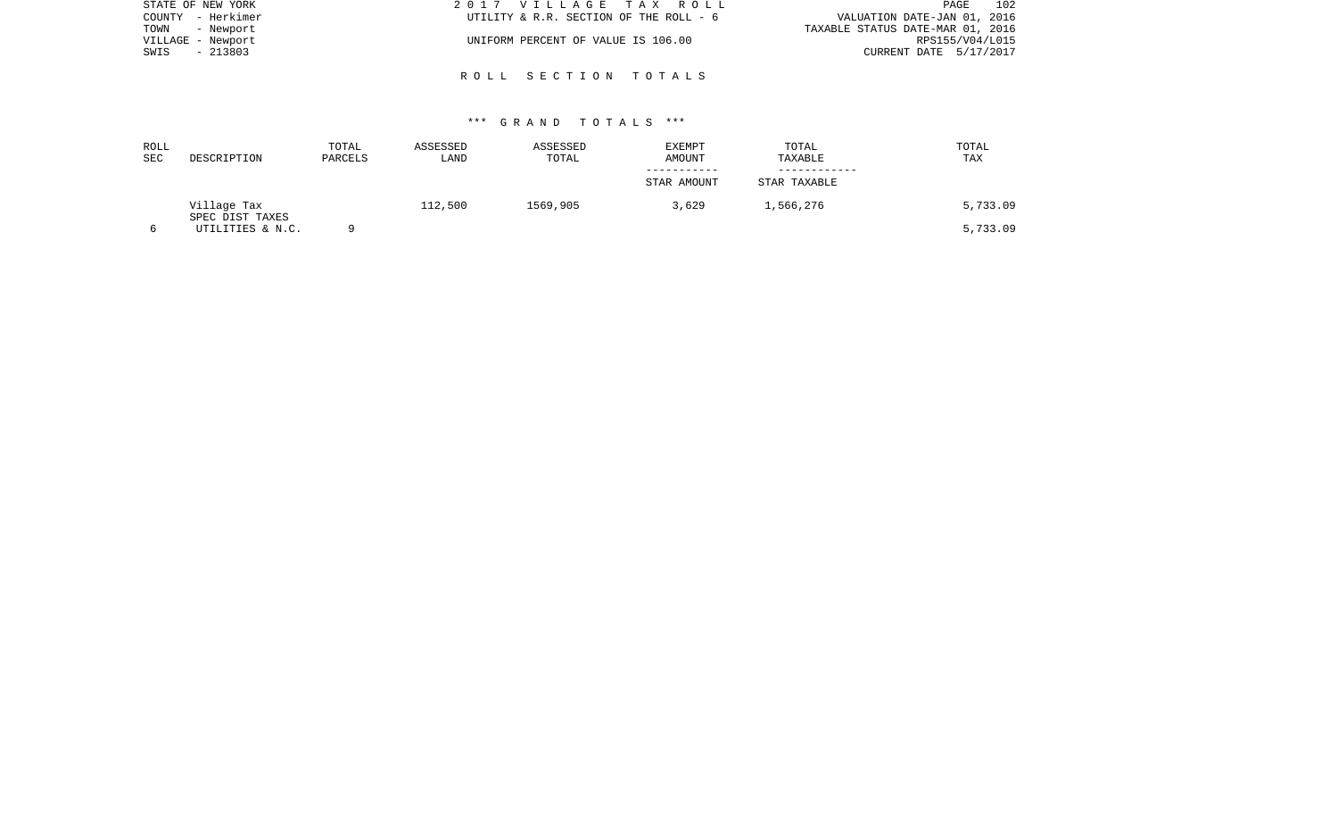| STATE OF NEW YORK | 2017 VILLAGE TAX ROLL                  | 102<br>PAGE                      |
|-------------------|----------------------------------------|----------------------------------|
| COUNTY - Herkimer | UTILITY & R.R. SECTION OF THE ROLL - 6 | VALUATION DATE-JAN 01, 2016      |
| TOWN - Newport    |                                        | TAXABLE STATUS DATE-MAR 01, 2016 |
| VILLAGE - Newport | UNIFORM PERCENT OF VALUE IS 106.00     | RPS155/V04/L015                  |
| - 213803<br>SWIS  |                                        | CURRENT DATE 5/17/2017           |
|                   |                                        |                                  |
|                   | ROLL SECTION TOTALS                    |                                  |

| ROLL<br>SEC | DESCRIPTION                    | TOTAL<br>PARCELS | ASSESSED<br>LAND | ASSESSED<br>TOTAL | <b>EXEMPT</b><br><b>AMOUNT</b> | TOTAL<br>TAXABLE | TOTAL<br>TAX |
|-------------|--------------------------------|------------------|------------------|-------------------|--------------------------------|------------------|--------------|
|             |                                |                  |                  |                   | STAR AMOUNT                    | STAR TAXABLE     |              |
|             | Village Tax<br>SPEC DIST TAXES |                  | 112,500          | 1569,905          | 3,629                          | 1,566,276        | 5,733.09     |
|             | UTILITIES & N.C.               |                  |                  |                   |                                |                  | 5,733.09     |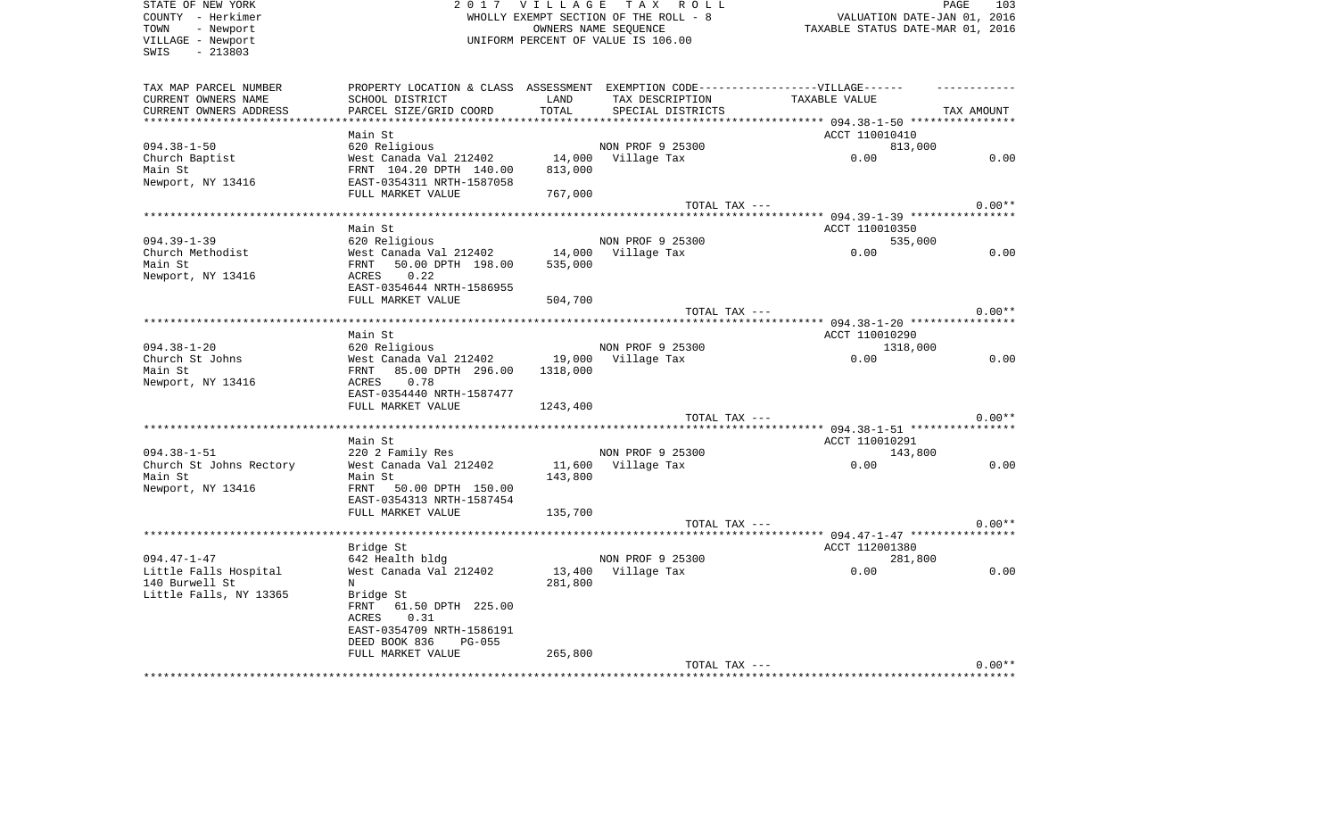| STATE OF NEW YORK       | 2017                                                                             | V I L L A G E | TAX ROLL                              |                                                           | PAGE<br>103 |
|-------------------------|----------------------------------------------------------------------------------|---------------|---------------------------------------|-----------------------------------------------------------|-------------|
| COUNTY - Herkimer       |                                                                                  |               | WHOLLY EXEMPT SECTION OF THE ROLL - 8 | VALUATION DATE-JAN 01, 2016                               |             |
| - Newport<br>TOWN       |                                                                                  |               | OWNERS NAME SEOUENCE                  | TAXABLE STATUS DATE-MAR 01, 2016                          |             |
| VILLAGE - Newport       |                                                                                  |               | UNIFORM PERCENT OF VALUE IS 106.00    |                                                           |             |
| $-213803$<br>SWIS       |                                                                                  |               |                                       |                                                           |             |
|                         |                                                                                  |               |                                       |                                                           |             |
| TAX MAP PARCEL NUMBER   | PROPERTY LOCATION & CLASS ASSESSMENT EXEMPTION CODE----------------VILLAGE------ |               |                                       |                                                           |             |
| CURRENT OWNERS NAME     | SCHOOL DISTRICT                                                                  | LAND          | TAX DESCRIPTION                       | TAXABLE VALUE                                             |             |
| CURRENT OWNERS ADDRESS  | PARCEL SIZE/GRID COORD                                                           | TOTAL         | SPECIAL DISTRICTS                     |                                                           | TAX AMOUNT  |
|                         |                                                                                  |               |                                       | ******* 094.38-1-50 *****************                     |             |
|                         | Main St                                                                          |               |                                       | ACCT 110010410                                            |             |
| $094.38 - 1 - 50$       | 620 Religious                                                                    |               | NON PROF 9 25300                      | 813,000                                                   |             |
| Church Baptist          | West Canada Val 212402                                                           | 14,000        | Village Tax                           | 0.00                                                      | 0.00        |
| Main St                 | FRNT 104.20 DPTH 140.00                                                          | 813,000       |                                       |                                                           |             |
| Newport, NY 13416       | EAST-0354311 NRTH-1587058                                                        |               |                                       |                                                           |             |
|                         | FULL MARKET VALUE                                                                | 767,000       |                                       |                                                           |             |
|                         |                                                                                  |               | TOTAL TAX ---                         |                                                           | $0.00**$    |
|                         |                                                                                  |               |                                       |                                                           |             |
|                         | Main St                                                                          |               |                                       | ACCT 110010350                                            |             |
| $094.39 - 1 - 39$       | 620 Religious                                                                    |               | NON PROF 9 25300                      | 535,000                                                   |             |
| Church Methodist        | West Canada Val 212402                                                           | 14,000        | Village Tax                           | 0.00                                                      | 0.00        |
| Main St                 | FRNT<br>50.00 DPTH 198.00                                                        | 535,000       |                                       |                                                           |             |
| Newport, NY 13416       | ACRES<br>0.22                                                                    |               |                                       |                                                           |             |
|                         | EAST-0354644 NRTH-1586955                                                        |               |                                       |                                                           |             |
|                         | FULL MARKET VALUE                                                                | 504,700       |                                       |                                                           |             |
|                         |                                                                                  |               | TOTAL TAX ---                         |                                                           | $0.00**$    |
|                         |                                                                                  |               |                                       | ******************* 094.38-1-20 ***************           |             |
|                         | Main St                                                                          |               |                                       | ACCT 110010290                                            |             |
| $094.38 - 1 - 20$       | 620 Religious                                                                    |               | NON PROF 9 25300                      | 1318,000                                                  |             |
| Church St Johns         | West Canada Val 212402                                                           | 19,000        | Village Tax                           | 0.00                                                      | 0.00        |
| Main St                 | 85.00 DPTH 296.00<br>FRNT                                                        | 1318,000      |                                       |                                                           |             |
| Newport, NY 13416       | 0.78<br>ACRES                                                                    |               |                                       |                                                           |             |
|                         | EAST-0354440 NRTH-1587477                                                        |               |                                       |                                                           |             |
|                         | FULL MARKET VALUE                                                                | 1243,400      |                                       |                                                           |             |
|                         |                                                                                  |               | TOTAL TAX ---                         |                                                           | $0.00**$    |
|                         |                                                                                  |               |                                       | **************************** 094.38-1-51 **************** |             |
|                         | Main St                                                                          |               |                                       | ACCT 110010291                                            |             |
| $094.38 - 1 - 51$       | 220 2 Family Res                                                                 |               | NON PROF 9 25300                      | 143,800                                                   |             |
| Church St Johns Rectory | West Canada Val 212402                                                           | 11,600        | Village Tax                           | 0.00                                                      | 0.00        |
| Main St                 | Main St                                                                          | 143,800       |                                       |                                                           |             |
|                         | FRNT                                                                             |               |                                       |                                                           |             |
| Newport, NY 13416       | 50.00 DPTH 150.00<br>EAST-0354313 NRTH-1587454                                   |               |                                       |                                                           |             |
|                         |                                                                                  |               |                                       |                                                           |             |
|                         | FULL MARKET VALUE                                                                | 135,700       |                                       |                                                           |             |
|                         |                                                                                  |               | TOTAL TAX ---                         |                                                           | $0.00**$    |
|                         |                                                                                  |               |                                       |                                                           |             |
|                         | Bridge St                                                                        |               |                                       | ACCT 112001380                                            |             |
| $094.47 - 1 - 47$       | 642 Health bldg                                                                  |               | NON PROF 9 25300                      | 281,800                                                   |             |
| Little Falls Hospital   | West Canada Val 212402                                                           | 13,400        | Village Tax                           | 0.00                                                      | 0.00        |
| 140 Burwell St          | Ν                                                                                | 281,800       |                                       |                                                           |             |
| Little Falls, NY 13365  | Bridge St                                                                        |               |                                       |                                                           |             |
|                         | 61.50 DPTH 225.00<br>FRNT                                                        |               |                                       |                                                           |             |
|                         | ACRES<br>0.31                                                                    |               |                                       |                                                           |             |
|                         | EAST-0354709 NRTH-1586191                                                        |               |                                       |                                                           |             |
|                         | DEED BOOK 836<br>PG-055                                                          |               |                                       |                                                           |             |
|                         | FULL MARKET VALUE                                                                | 265,800       |                                       |                                                           |             |
|                         |                                                                                  |               | TOTAL TAX ---                         |                                                           | $0.00**$    |
|                         |                                                                                  |               |                                       |                                                           |             |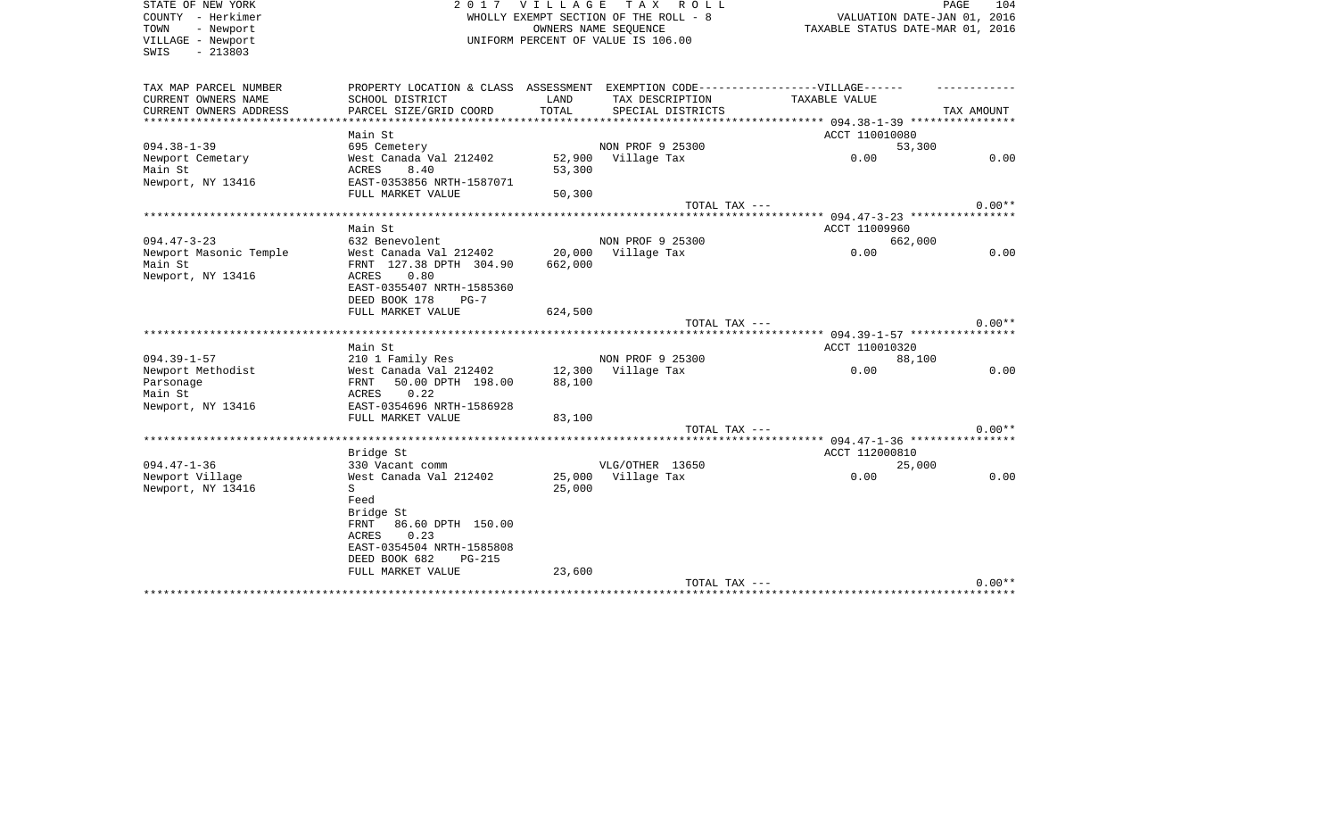| STATE OF NEW YORK<br>COUNTY - Herkimer<br>TOWN<br>- Newport<br>VILLAGE - Newport<br>$-213803$<br>SWIS | 2 0 1 7                                                                           | <b>VILLAGE</b> | TAX ROLL<br>WHOLLY EXEMPT SECTION OF THE ROLL - 8<br>OWNERS NAME SEOUENCE<br>UNIFORM PERCENT OF VALUE IS 106.00 | VALUATION DATE-JAN 01, 2016<br>TAXABLE STATUS DATE-MAR 01, 2016 | PAGE<br>104 |
|-------------------------------------------------------------------------------------------------------|-----------------------------------------------------------------------------------|----------------|-----------------------------------------------------------------------------------------------------------------|-----------------------------------------------------------------|-------------|
| TAX MAP PARCEL NUMBER                                                                                 | PROPERTY LOCATION & CLASS ASSESSMENT EXEMPTION CODE-----------------VILLAGE------ |                |                                                                                                                 |                                                                 |             |
| CURRENT OWNERS NAME<br>CURRENT OWNERS ADDRESS                                                         | SCHOOL DISTRICT<br>PARCEL SIZE/GRID COORD                                         | LAND<br>TOTAL  | TAX DESCRIPTION<br>SPECIAL DISTRICTS                                                                            | <b>TAXABLE VALUE</b>                                            | TAX AMOUNT  |
| *************************                                                                             |                                                                                   |                |                                                                                                                 |                                                                 |             |
| $094.38 - 1 - 39$                                                                                     | Main St<br>695 Cemetery                                                           |                | NON PROF 9 25300                                                                                                | ACCT 110010080<br>53,300                                        |             |
| Newport Cemetary                                                                                      | West Canada Val 212402                                                            |                | 52,900 Village Tax                                                                                              | 0.00                                                            | 0.00        |
| Main St                                                                                               | 8.40<br>ACRES                                                                     | 53,300         |                                                                                                                 |                                                                 |             |
| Newport, NY 13416                                                                                     | EAST-0353856 NRTH-1587071<br>FULL MARKET VALUE                                    | 50,300         |                                                                                                                 |                                                                 |             |
|                                                                                                       |                                                                                   |                | TOTAL TAX ---                                                                                                   |                                                                 | $0.00**$    |
|                                                                                                       |                                                                                   |                |                                                                                                                 | ********************** 094.47-3-23 ****************             |             |
|                                                                                                       | Main St                                                                           |                |                                                                                                                 | ACCT 11009960                                                   |             |
| $094.47 - 3 - 23$                                                                                     | 632 Benevolent                                                                    |                | NON PROF 9 25300                                                                                                | 662,000                                                         |             |
| Newport Masonic Temple                                                                                | West Canada Val 212402                                                            | 20,000         | Village Tax                                                                                                     | 0.00                                                            | 0.00        |
| Main St                                                                                               | FRNT 127.38 DPTH 304.90                                                           | 662,000        |                                                                                                                 |                                                                 |             |
| Newport, NY 13416                                                                                     | ACRES<br>0.80                                                                     |                |                                                                                                                 |                                                                 |             |
|                                                                                                       | EAST-0355407 NRTH-1585360                                                         |                |                                                                                                                 |                                                                 |             |
|                                                                                                       | DEED BOOK 178<br>$PG-7$                                                           |                |                                                                                                                 |                                                                 |             |
|                                                                                                       | FULL MARKET VALUE                                                                 | 624,500        |                                                                                                                 |                                                                 |             |
|                                                                                                       |                                                                                   |                | TOTAL TAX ---                                                                                                   |                                                                 | $0.00**$    |
|                                                                                                       | Main St                                                                           |                |                                                                                                                 | ACCT 110010320                                                  |             |
| $094.39 - 1 - 57$                                                                                     | 210 1 Family Res                                                                  |                | NON PROF 9 25300                                                                                                | 88,100                                                          |             |
| Newport Methodist                                                                                     | West Canada Val 212402                                                            | 12,300         | Village Tax                                                                                                     | 0.00                                                            | 0.00        |
| Parsonage                                                                                             | 50.00 DPTH 198.00<br>FRNT                                                         | 88,100         |                                                                                                                 |                                                                 |             |
| Main St                                                                                               | 0.22<br>ACRES                                                                     |                |                                                                                                                 |                                                                 |             |
| Newport, NY 13416                                                                                     | EAST-0354696 NRTH-1586928                                                         |                |                                                                                                                 |                                                                 |             |
|                                                                                                       | FULL MARKET VALUE                                                                 | 83,100         |                                                                                                                 |                                                                 |             |
|                                                                                                       |                                                                                   |                | TOTAL TAX ---                                                                                                   |                                                                 | $0.00**$    |
|                                                                                                       |                                                                                   |                |                                                                                                                 |                                                                 |             |
|                                                                                                       | Bridge St                                                                         |                |                                                                                                                 | ACCT 112000810                                                  |             |
| $094.47 - 1 - 36$                                                                                     | 330 Vacant comm                                                                   |                | VLG/OTHER 13650                                                                                                 | 25,000                                                          |             |
| Newport Village                                                                                       | West Canada Val 212402                                                            | 25,000         | Village Tax                                                                                                     | 0.00                                                            | 0.00        |
| Newport, NY 13416                                                                                     | S                                                                                 | 25,000         |                                                                                                                 |                                                                 |             |
|                                                                                                       | Feed                                                                              |                |                                                                                                                 |                                                                 |             |
|                                                                                                       | Bridge St                                                                         |                |                                                                                                                 |                                                                 |             |
|                                                                                                       | 86.60 DPTH 150.00<br>FRNT                                                         |                |                                                                                                                 |                                                                 |             |
|                                                                                                       | 0.23<br>ACRES<br>EAST-0354504 NRTH-1585808                                        |                |                                                                                                                 |                                                                 |             |
|                                                                                                       | DEED BOOK 682<br><b>PG-215</b>                                                    |                |                                                                                                                 |                                                                 |             |
|                                                                                                       | FULL MARKET VALUE                                                                 | 23,600         |                                                                                                                 |                                                                 |             |
|                                                                                                       |                                                                                   |                | TOTAL TAX ---                                                                                                   |                                                                 | $0.00**$    |
|                                                                                                       |                                                                                   |                |                                                                                                                 |                                                                 |             |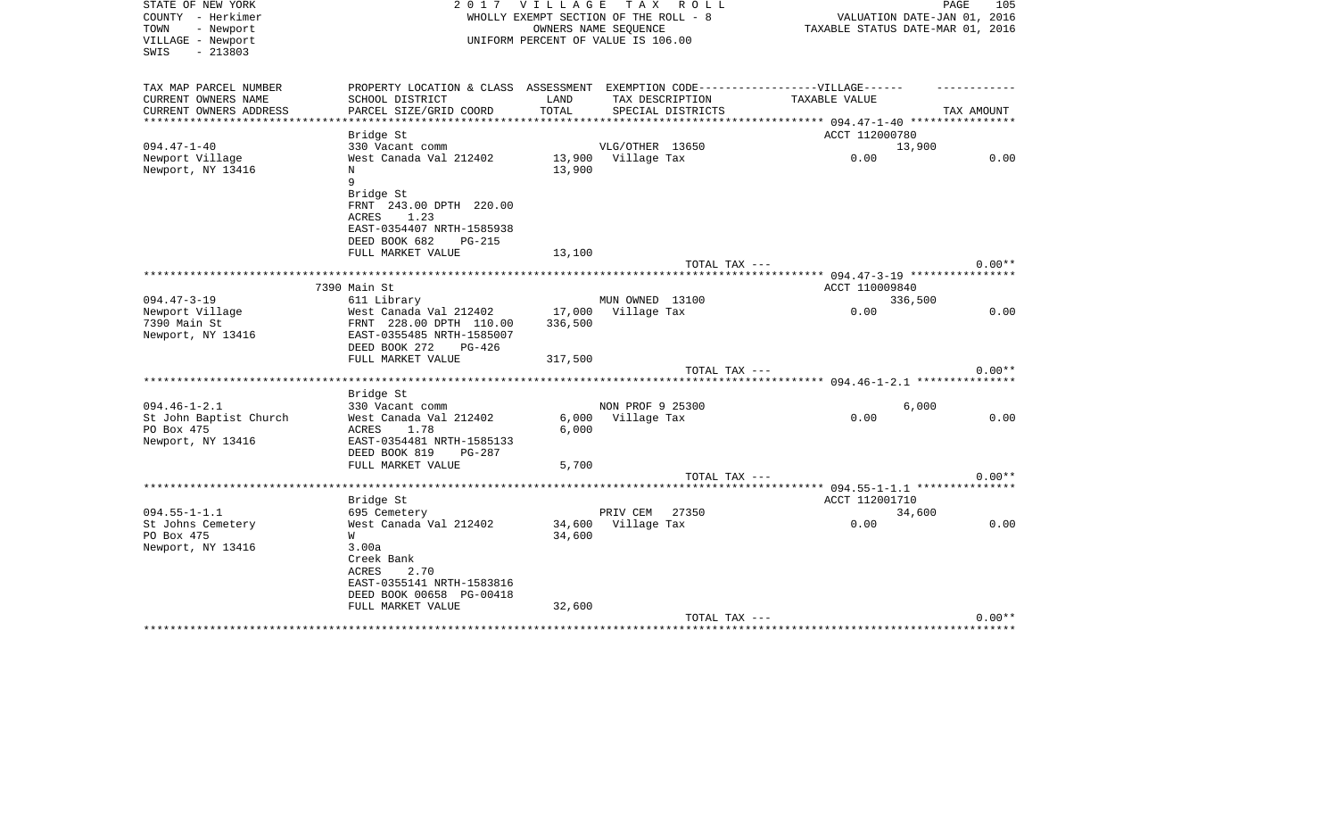| STATE OF NEW YORK<br>COUNTY - Herkimer<br>TOWN<br>- Newport<br>VILLAGE - Newport<br>$-213803$<br>SWIS |                                                   |                | 2017 VILLAGE TAX ROLL<br>WHOLLY EXEMPT SECTION OF THE ROLL - 8<br>OWNERS NAME SEOUENCE<br>UNIFORM PERCENT OF VALUE IS 106.00 | VALUATION DATE-JAN 01, 2016<br>TAXABLE STATUS DATE-MAR 01, 2016 | PAGE<br>105 |
|-------------------------------------------------------------------------------------------------------|---------------------------------------------------|----------------|------------------------------------------------------------------------------------------------------------------------------|-----------------------------------------------------------------|-------------|
| TAX MAP PARCEL NUMBER                                                                                 | PROPERTY LOCATION & CLASS ASSESSMENT              |                | EXEMPTION CODE------------------VILLAGE------                                                                                |                                                                 |             |
| CURRENT OWNERS NAME                                                                                   | SCHOOL DISTRICT                                   | LAND           | TAX DESCRIPTION                                                                                                              | TAXABLE VALUE                                                   |             |
| CURRENT OWNERS ADDRESS<br>**************                                                              | PARCEL SIZE/GRID COORD                            | TOTAL          | SPECIAL DISTRICTS                                                                                                            | **************** 094.47-1-40 *****************                  | TAX AMOUNT  |
|                                                                                                       | Bridge St                                         |                |                                                                                                                              | ACCT 112000780                                                  |             |
| $094.47 - 1 - 40$                                                                                     | 330 Vacant comm                                   |                | VLG/OTHER 13650                                                                                                              | 13,900                                                          |             |
| Newport Village                                                                                       | West Canada Val 212402                            |                | 13,900 Village Tax                                                                                                           | 0.00                                                            | 0.00        |
| Newport, NY 13416                                                                                     | $_{\rm N}$                                        | 13,900         |                                                                                                                              |                                                                 |             |
|                                                                                                       | 9                                                 |                |                                                                                                                              |                                                                 |             |
|                                                                                                       | Bridge St                                         |                |                                                                                                                              |                                                                 |             |
|                                                                                                       | FRNT 243.00 DPTH 220.00<br>ACRES<br>1.23          |                |                                                                                                                              |                                                                 |             |
|                                                                                                       | EAST-0354407 NRTH-1585938                         |                |                                                                                                                              |                                                                 |             |
|                                                                                                       | DEED BOOK 682<br>PG-215                           |                |                                                                                                                              |                                                                 |             |
|                                                                                                       | FULL MARKET VALUE                                 | 13,100         |                                                                                                                              |                                                                 |             |
|                                                                                                       |                                                   |                | TOTAL TAX ---                                                                                                                |                                                                 | $0.00**$    |
|                                                                                                       |                                                   |                |                                                                                                                              |                                                                 |             |
|                                                                                                       | 7390 Main St                                      |                |                                                                                                                              | ACCT 110009840                                                  |             |
| $094.47 - 3 - 19$                                                                                     | 611 Library                                       |                | MUN OWNED 13100<br>17,000 Village Tax                                                                                        | 336,500<br>0.00                                                 | 0.00        |
| Newport Village<br>7390 Main St                                                                       | West Canada Val 212402<br>FRNT 228.00 DPTH 110.00 | 336,500        |                                                                                                                              |                                                                 |             |
| Newport, NY 13416                                                                                     | EAST-0355485 NRTH-1585007                         |                |                                                                                                                              |                                                                 |             |
|                                                                                                       | DEED BOOK 272<br>$PG-426$                         |                |                                                                                                                              |                                                                 |             |
|                                                                                                       | FULL MARKET VALUE                                 | 317,500        |                                                                                                                              |                                                                 |             |
|                                                                                                       |                                                   |                | TOTAL TAX ---                                                                                                                |                                                                 | $0.00**$    |
|                                                                                                       |                                                   |                |                                                                                                                              |                                                                 |             |
|                                                                                                       | Bridge St                                         |                |                                                                                                                              |                                                                 |             |
| $094.46 - 1 - 2.1$                                                                                    | 330 Vacant comm                                   |                | NON PROF 9 25300                                                                                                             | 6,000<br>0.00                                                   | 0.00        |
| St John Baptist Church<br>PO Box 475                                                                  | West Canada Val 212402<br>ACRES<br>1.78           | 6,000<br>6,000 | Village Tax                                                                                                                  |                                                                 |             |
| Newport, NY 13416                                                                                     | EAST-0354481 NRTH-1585133                         |                |                                                                                                                              |                                                                 |             |
|                                                                                                       | DEED BOOK 819<br>PG-287                           |                |                                                                                                                              |                                                                 |             |
|                                                                                                       | FULL MARKET VALUE                                 | 5,700          |                                                                                                                              |                                                                 |             |
|                                                                                                       |                                                   |                | TOTAL TAX ---                                                                                                                |                                                                 | $0.00**$    |
|                                                                                                       |                                                   |                |                                                                                                                              |                                                                 |             |
|                                                                                                       | Bridge St                                         |                |                                                                                                                              | ACCT 112001710                                                  |             |
| $094.55 - 1 - 1.1$                                                                                    | 695 Cemetery                                      |                | PRIV CEM 27350                                                                                                               | 34,600                                                          |             |
| St Johns Cemetery<br>PO Box 475                                                                       | West Canada Val 212402<br>W                       | 34,600         | 34,600 Village Tax                                                                                                           | 0.00                                                            | 0.00        |
| Newport, NY 13416                                                                                     | 3.00a                                             |                |                                                                                                                              |                                                                 |             |
|                                                                                                       | Creek Bank                                        |                |                                                                                                                              |                                                                 |             |
|                                                                                                       | 2.70<br>ACRES                                     |                |                                                                                                                              |                                                                 |             |
|                                                                                                       | EAST-0355141 NRTH-1583816                         |                |                                                                                                                              |                                                                 |             |
|                                                                                                       | DEED BOOK 00658 PG-00418                          |                |                                                                                                                              |                                                                 |             |
|                                                                                                       | FULL MARKET VALUE                                 | 32,600         |                                                                                                                              |                                                                 |             |
|                                                                                                       |                                                   |                | TOTAL TAX ---                                                                                                                | ********************************                                | $0.00**$    |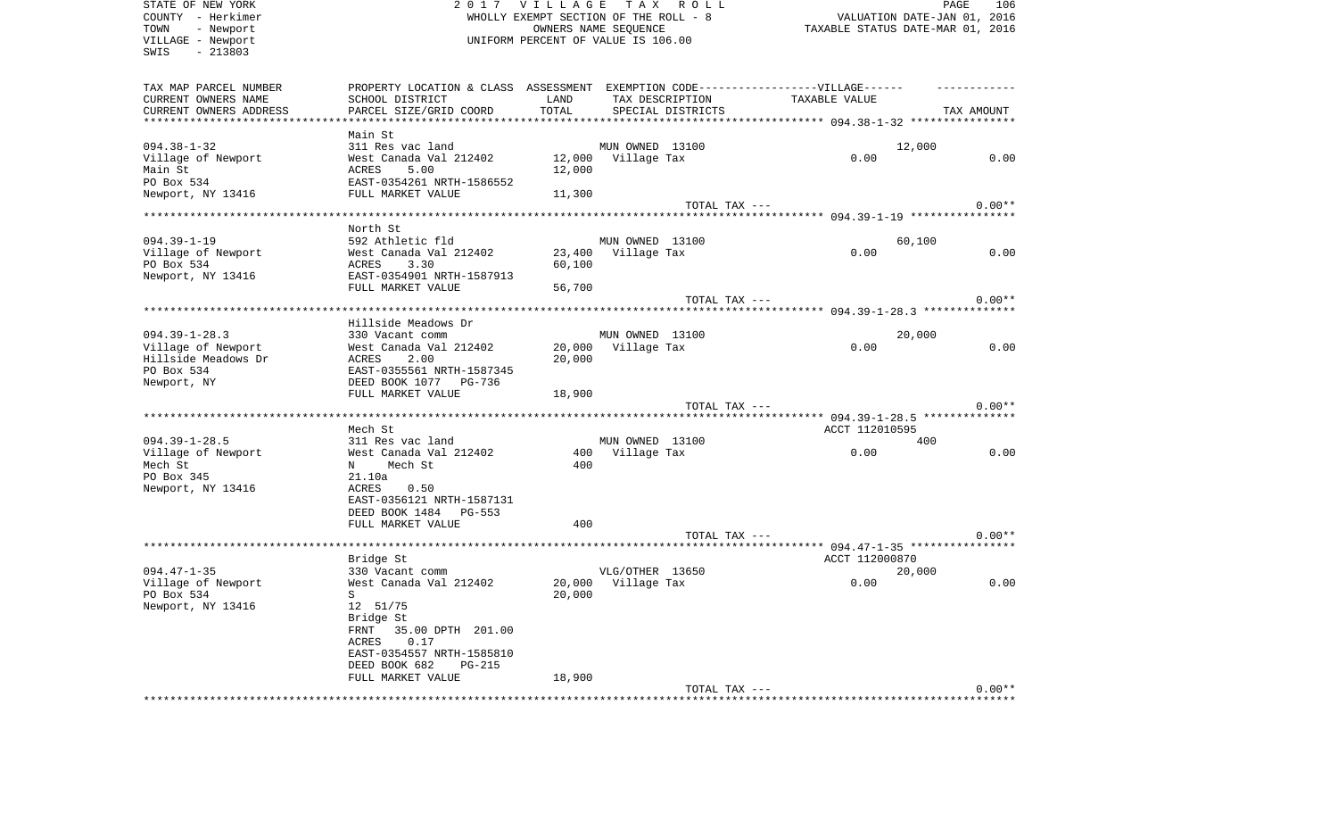| STATE OF NEW YORK<br>COUNTY - Herkimer<br>TOWN<br>- Newport<br>VILLAGE - Newport<br>$-213803$<br>SWIS | 2017                                                                              | <b>VILLAGE</b><br>WHOLLY EXEMPT SECTION OF THE ROLL - 8<br>UNIFORM PERCENT OF VALUE IS 106.00 | OWNERS NAME SEQUENCE           | TAX ROLL          | TAXABLE STATUS DATE-MAR 01, 2016 | VALUATION DATE-JAN 01, 2016 | PAGE       | 106      |
|-------------------------------------------------------------------------------------------------------|-----------------------------------------------------------------------------------|-----------------------------------------------------------------------------------------------|--------------------------------|-------------------|----------------------------------|-----------------------------|------------|----------|
| TAX MAP PARCEL NUMBER                                                                                 | PROPERTY LOCATION & CLASS ASSESSMENT EXEMPTION CODE-----------------VILLAGE------ |                                                                                               |                                |                   |                                  |                             |            |          |
| CURRENT OWNERS NAME                                                                                   | SCHOOL DISTRICT                                                                   | LAND                                                                                          | TAX DESCRIPTION                |                   | TAXABLE VALUE                    |                             |            |          |
| CURRENT OWNERS ADDRESS                                                                                | PARCEL SIZE/GRID COORD                                                            | TOTAL                                                                                         |                                | SPECIAL DISTRICTS |                                  |                             | TAX AMOUNT |          |
| *************************                                                                             | Main St                                                                           |                                                                                               |                                |                   |                                  |                             |            |          |
| $094.38 - 1 - 32$                                                                                     | 311 Res vac land                                                                  |                                                                                               | MUN OWNED 13100                |                   |                                  | 12,000                      |            |          |
| Village of Newport                                                                                    | West Canada Val 212402                                                            |                                                                                               | 12,000 Village Tax             |                   | 0.00                             |                             |            | 0.00     |
| Main St                                                                                               | 5.00<br>ACRES                                                                     | 12,000                                                                                        |                                |                   |                                  |                             |            |          |
| PO Box 534                                                                                            | EAST-0354261 NRTH-1586552                                                         |                                                                                               |                                |                   |                                  |                             |            |          |
| Newport, NY 13416                                                                                     | FULL MARKET VALUE                                                                 | 11,300                                                                                        |                                |                   |                                  |                             |            |          |
|                                                                                                       |                                                                                   |                                                                                               |                                | TOTAL TAX ---     |                                  |                             |            | $0.00**$ |
|                                                                                                       |                                                                                   |                                                                                               |                                |                   |                                  |                             |            |          |
| $094.39 - 1 - 19$                                                                                     | North St<br>592 Athletic fld                                                      |                                                                                               | MUN OWNED 13100                |                   |                                  | 60,100                      |            |          |
| Village of Newport                                                                                    | West Canada Val 212402                                                            | 23,400                                                                                        | Village Tax                    |                   | 0.00                             |                             |            | 0.00     |
| PO Box 534                                                                                            | ACRES<br>3.30                                                                     | 60,100                                                                                        |                                |                   |                                  |                             |            |          |
| Newport, NY 13416                                                                                     | EAST-0354901 NRTH-1587913                                                         |                                                                                               |                                |                   |                                  |                             |            |          |
|                                                                                                       | FULL MARKET VALUE                                                                 | 56,700                                                                                        |                                |                   |                                  |                             |            |          |
|                                                                                                       |                                                                                   |                                                                                               |                                | TOTAL TAX ---     |                                  |                             |            | $0.00**$ |
|                                                                                                       |                                                                                   |                                                                                               |                                |                   |                                  |                             |            |          |
|                                                                                                       | Hillside Meadows Dr<br>330 Vacant comm                                            |                                                                                               |                                |                   |                                  |                             |            |          |
| $094.39 - 1 - 28.3$<br>Village of Newport                                                             | West Canada Val 212402                                                            | 20,000                                                                                        | MUN OWNED 13100<br>Village Tax |                   | 0.00                             | 20,000                      |            | 0.00     |
| Hillside Meadows Dr                                                                                   | ACRES<br>2.00                                                                     | 20,000                                                                                        |                                |                   |                                  |                             |            |          |
| PO Box 534                                                                                            | EAST-0355561 NRTH-1587345                                                         |                                                                                               |                                |                   |                                  |                             |            |          |
| Newport, NY                                                                                           | DEED BOOK 1077 PG-736                                                             |                                                                                               |                                |                   |                                  |                             |            |          |
|                                                                                                       | FULL MARKET VALUE                                                                 | 18,900                                                                                        |                                |                   |                                  |                             |            |          |
|                                                                                                       |                                                                                   |                                                                                               |                                | TOTAL TAX ---     |                                  |                             |            | $0.00**$ |
|                                                                                                       |                                                                                   |                                                                                               |                                |                   |                                  |                             |            |          |
| $094.39 - 1 - 28.5$                                                                                   | Mech St<br>311 Res vac land                                                       |                                                                                               | MUN OWNED 13100                |                   | ACCT 112010595                   | 400                         |            |          |
| Village of Newport                                                                                    | West Canada Val 212402                                                            |                                                                                               | 400 Village Tax                |                   | 0.00                             |                             |            | 0.00     |
| Mech St                                                                                               | Mech St<br>N                                                                      | 400                                                                                           |                                |                   |                                  |                             |            |          |
| PO Box 345                                                                                            | 21.10a                                                                            |                                                                                               |                                |                   |                                  |                             |            |          |
| Newport, NY 13416                                                                                     | <b>ACRES</b><br>0.50                                                              |                                                                                               |                                |                   |                                  |                             |            |          |
|                                                                                                       | EAST-0356121 NRTH-1587131                                                         |                                                                                               |                                |                   |                                  |                             |            |          |
|                                                                                                       | DEED BOOK 1484 PG-553                                                             |                                                                                               |                                |                   |                                  |                             |            |          |
|                                                                                                       | FULL MARKET VALUE                                                                 | 400                                                                                           |                                |                   |                                  |                             |            | $0.00**$ |
|                                                                                                       |                                                                                   |                                                                                               |                                | TOTAL TAX ---     |                                  |                             |            |          |
|                                                                                                       | Bridge St                                                                         |                                                                                               |                                |                   | ACCT 112000870                   |                             |            |          |
| $094.47 - 1 - 35$                                                                                     | 330 Vacant comm                                                                   |                                                                                               | VLG/OTHER 13650                |                   |                                  | 20,000                      |            |          |
| Village of Newport                                                                                    | West Canada Val 212402                                                            | 20,000                                                                                        | Village Tax                    |                   | 0.00                             |                             |            | 0.00     |
| PO Box 534                                                                                            | $S^{\dagger}$                                                                     |                                                                                               | 20,000                         |                   |                                  |                             |            |          |
| Newport, NY 13416                                                                                     | 12 51/75                                                                          |                                                                                               |                                |                   |                                  |                             |            |          |
|                                                                                                       | Bridge St                                                                         |                                                                                               |                                |                   |                                  |                             |            |          |
|                                                                                                       | FRNT 35.00 DPTH 201.00                                                            |                                                                                               |                                |                   |                                  |                             |            |          |
|                                                                                                       | 0.17<br>ACRES<br>EAST-0354557 NRTH-1585810                                        |                                                                                               |                                |                   |                                  |                             |            |          |
|                                                                                                       | DEED BOOK 682<br>$PG-215$                                                         |                                                                                               |                                |                   |                                  |                             |            |          |
|                                                                                                       | FULL MARKET VALUE                                                                 | 18,900                                                                                        |                                |                   |                                  |                             |            |          |
|                                                                                                       |                                                                                   |                                                                                               |                                | TOTAL TAX ---     |                                  |                             |            | $0.00**$ |
|                                                                                                       |                                                                                   |                                                                                               |                                |                   |                                  |                             |            |          |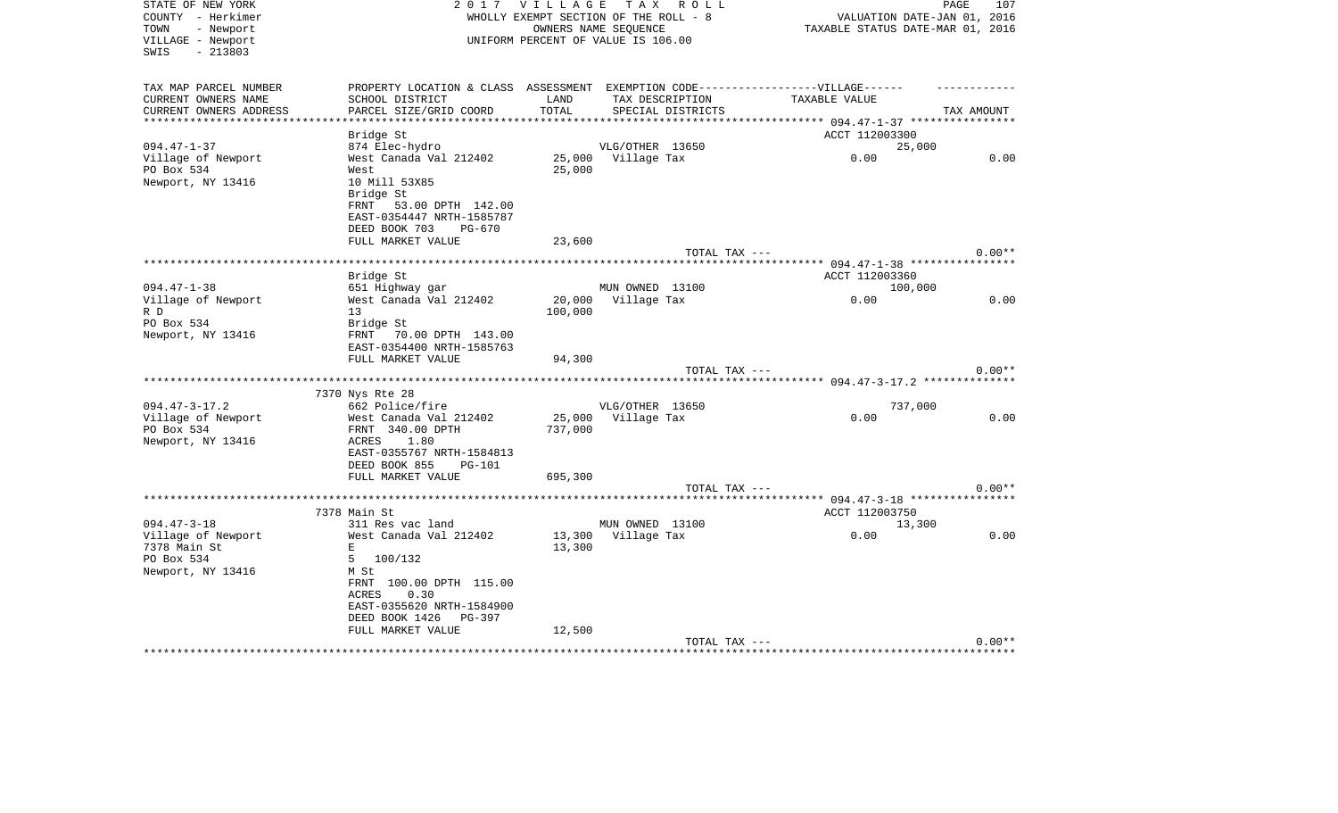| STATE OF NEW YORK<br>COUNTY - Herkimer<br>- Newport<br>TOWN<br>VILLAGE - Newport | 2 0 1 7                                                                                                                   | <b>VILLAGE</b>    | TAX ROLL<br>WHOLLY EXEMPT SECTION OF THE ROLL - 8<br>OWNERS NAME SEQUENCE<br>UNIFORM PERCENT OF VALUE IS 106.00 |                                                                                                    | PAGE<br>107<br>VALUATION DATE-JAN 01, 2016<br>TAXABLE STATUS DATE-MAR 01, 2016 |
|----------------------------------------------------------------------------------|---------------------------------------------------------------------------------------------------------------------------|-------------------|-----------------------------------------------------------------------------------------------------------------|----------------------------------------------------------------------------------------------------|--------------------------------------------------------------------------------|
| $-213803$<br>SWIS                                                                |                                                                                                                           |                   |                                                                                                                 |                                                                                                    |                                                                                |
| TAX MAP PARCEL NUMBER<br>CURRENT OWNERS NAME<br>CURRENT OWNERS ADDRESS           | SCHOOL DISTRICT<br>PARCEL SIZE/GRID COORD                                                                                 | LAND<br>TOTAL     | TAX DESCRIPTION<br>SPECIAL DISTRICTS                                                                            | PROPERTY LOCATION & CLASS ASSESSMENT EXEMPTION CODE-----------------VILLAGE------<br>TAXABLE VALUE | TAX AMOUNT                                                                     |
| ************************                                                         | Bridge St                                                                                                                 |                   |                                                                                                                 | ACCT 112003300                                                                                     |                                                                                |
| $094.47 - 1 - 37$                                                                | 874 Elec-hydro                                                                                                            |                   | VLG/OTHER 13650                                                                                                 |                                                                                                    | 25,000                                                                         |
| Village of Newport                                                               | West Canada Val 212402                                                                                                    |                   | 25,000 Village Tax                                                                                              | 0.00                                                                                               | 0.00                                                                           |
| PO Box 534<br>Newport, NY 13416                                                  | West<br>10 Mill 53X85<br>Bridge St<br>FRNT<br>53.00 DPTH 142.00<br>EAST-0354447 NRTH-1585787<br>DEED BOOK 703<br>$PG-670$ | 25,000            |                                                                                                                 |                                                                                                    |                                                                                |
|                                                                                  | FULL MARKET VALUE                                                                                                         | 23,600            |                                                                                                                 |                                                                                                    |                                                                                |
|                                                                                  |                                                                                                                           |                   |                                                                                                                 | TOTAL TAX ---                                                                                      | $0.00**$                                                                       |
|                                                                                  |                                                                                                                           |                   |                                                                                                                 |                                                                                                    |                                                                                |
|                                                                                  | Bridge St                                                                                                                 |                   |                                                                                                                 | ACCT 112003360                                                                                     |                                                                                |
| $094.47 - 1 - 38$                                                                | 651 Highway gar                                                                                                           |                   | MUN OWNED 13100                                                                                                 |                                                                                                    | 100,000                                                                        |
| Village of Newport                                                               | West Canada Val 212402                                                                                                    | 20,000            | Village Tax                                                                                                     | 0.00                                                                                               | 0.00                                                                           |
| R D                                                                              | 13                                                                                                                        | 100,000           |                                                                                                                 |                                                                                                    |                                                                                |
| PO Box 534<br>Newport, NY 13416                                                  | Bridge St<br>FRNT 70.00 DPTH 143.00<br>EAST-0354400 NRTH-1585763<br>FULL MARKET VALUE                                     | 94,300            |                                                                                                                 |                                                                                                    |                                                                                |
|                                                                                  |                                                                                                                           |                   |                                                                                                                 | TOTAL TAX ---                                                                                      | $0.00**$                                                                       |
|                                                                                  |                                                                                                                           |                   |                                                                                                                 |                                                                                                    |                                                                                |
|                                                                                  | 7370 Nys Rte 28                                                                                                           |                   |                                                                                                                 |                                                                                                    |                                                                                |
| $094.47 - 3 - 17.2$                                                              | 662 Police/fire                                                                                                           |                   | VLG/OTHER 13650                                                                                                 |                                                                                                    | 737,000                                                                        |
| Village of Newport<br>PO Box 534                                                 | West Canada Val 212402<br>FRNT 340.00 DPTH                                                                                | 25,000<br>737,000 | Village Tax                                                                                                     | 0.00                                                                                               | 0.00                                                                           |
| Newport, NY 13416                                                                | ACRES<br>1.80                                                                                                             |                   |                                                                                                                 |                                                                                                    |                                                                                |
|                                                                                  | EAST-0355767 NRTH-1584813                                                                                                 |                   |                                                                                                                 |                                                                                                    |                                                                                |
|                                                                                  | DEED BOOK 855<br>PG-101                                                                                                   |                   |                                                                                                                 |                                                                                                    |                                                                                |
|                                                                                  | FULL MARKET VALUE                                                                                                         | 695,300           |                                                                                                                 |                                                                                                    |                                                                                |
|                                                                                  |                                                                                                                           |                   |                                                                                                                 | TOTAL TAX ---                                                                                      | $0.00**$                                                                       |
|                                                                                  |                                                                                                                           |                   |                                                                                                                 |                                                                                                    |                                                                                |
|                                                                                  | 7378 Main St                                                                                                              |                   |                                                                                                                 | ACCT 112003750                                                                                     |                                                                                |
| $094.47 - 3 - 18$<br>Village of Newport                                          | 311 Res vac land<br>West Canada Val 212402                                                                                |                   | MUN OWNED 13100<br>13,300 Village Tax                                                                           | 0.00                                                                                               | 13,300<br>0.00                                                                 |
| 7378 Main St                                                                     | $\mathbf E$                                                                                                               | 13,300            |                                                                                                                 |                                                                                                    |                                                                                |
| PO Box 534                                                                       | 5<br>100/132                                                                                                              |                   |                                                                                                                 |                                                                                                    |                                                                                |
| Newport, NY 13416                                                                | M St                                                                                                                      |                   |                                                                                                                 |                                                                                                    |                                                                                |
|                                                                                  | FRNT 100.00 DPTH 115.00                                                                                                   |                   |                                                                                                                 |                                                                                                    |                                                                                |
|                                                                                  | ACRES<br>0.30                                                                                                             |                   |                                                                                                                 |                                                                                                    |                                                                                |
|                                                                                  | EAST-0355620 NRTH-1584900                                                                                                 |                   |                                                                                                                 |                                                                                                    |                                                                                |
|                                                                                  | DEED BOOK 1426<br>PG-397                                                                                                  |                   |                                                                                                                 |                                                                                                    |                                                                                |
|                                                                                  | FULL MARKET VALUE                                                                                                         | 12,500            |                                                                                                                 | TOTAL TAX ---                                                                                      | $0.00**$                                                                       |
|                                                                                  |                                                                                                                           |                   |                                                                                                                 | ***********************************                                                                |                                                                                |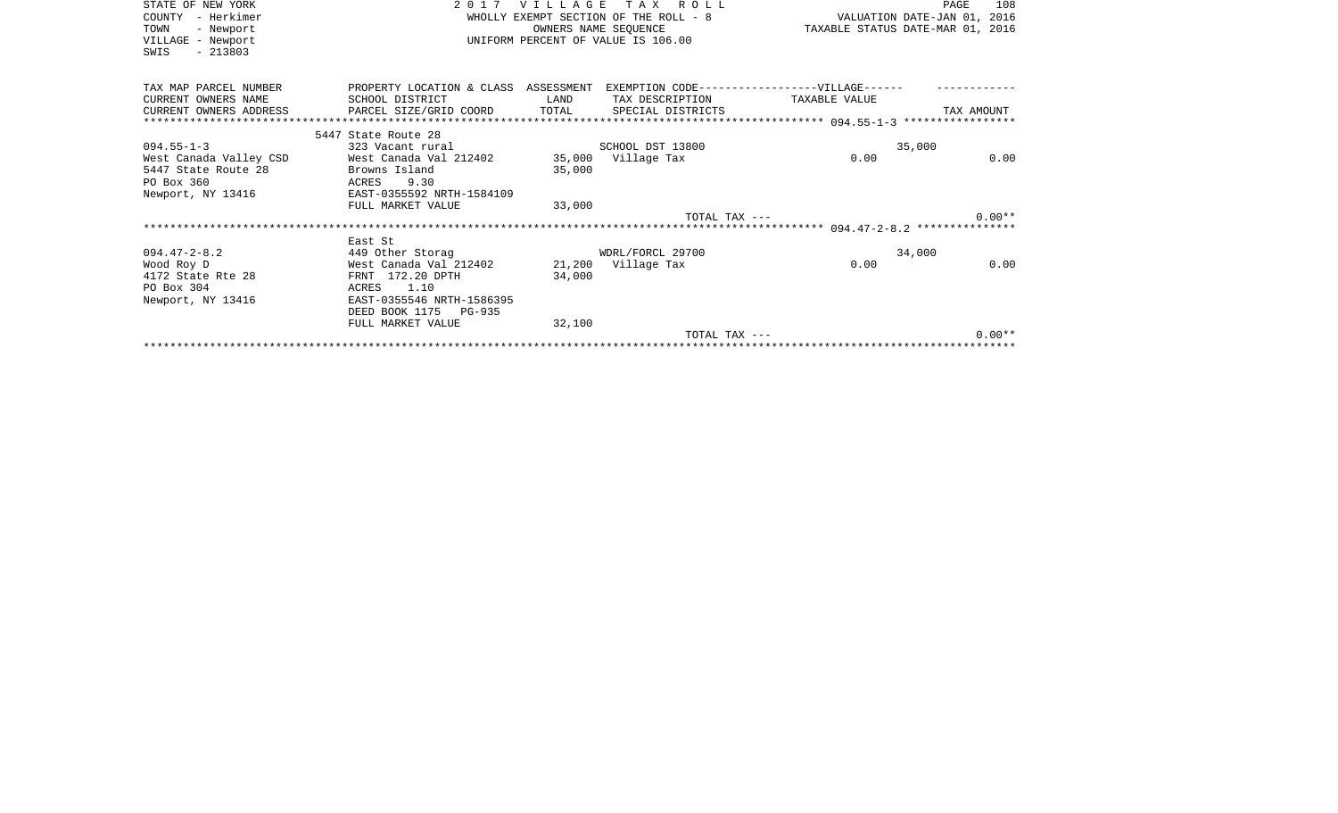| STATE OF NEW YORK<br>- Herkimer<br>COUNTY<br>TOWN<br>- Newport<br>VILLAGE - Newport<br>$-213803$<br>SWIS | 2 0 1 7                                        | VILLAGE     | TAX ROLL<br>OWNERS NAME SEOUENCE<br>UNIFORM PERCENT OF VALUE IS 106.00 | TAXABLE STATUS DATE-MAR 01, 2016              | 108<br>PAGE |
|----------------------------------------------------------------------------------------------------------|------------------------------------------------|-------------|------------------------------------------------------------------------|-----------------------------------------------|-------------|
| TAX MAP PARCEL NUMBER                                                                                    | PROPERTY LOCATION & CLASS ASSESSMENT           |             |                                                                        | EXEMPTION CODE------------------VILLAGE------ |             |
| CURRENT OWNERS NAME                                                                                      | SCHOOL DISTRICT                                | <b>LAND</b> | TAX DESCRIPTION                                                        | TAXABLE VALUE                                 |             |
| CURRENT OWNERS ADDRESS                                                                                   | PARCEL SIZE/GRID COORD TOTAL SPECIAL DISTRICTS |             |                                                                        |                                               | TAX AMOUNT  |
|                                                                                                          | 5447 State Route 28                            |             |                                                                        |                                               |             |
| $094.55 - 1 - 3$                                                                                         | 323 Vacant rural                               |             | SCHOOL DST 13800                                                       | 35,000                                        |             |
| West Canada Valley CSD                                                                                   | West Canada Val 212402                         |             | 35,000 Village Tax                                                     | 0.00                                          | 0.00        |
| 5447 State Route 28                                                                                      | Browns Island                                  | 35,000      |                                                                        |                                               |             |
| PO Box 360                                                                                               | 9.30<br>ACRES                                  |             |                                                                        |                                               |             |
| Newport, NY 13416                                                                                        | EAST-0355592 NRTH-1584109                      |             |                                                                        |                                               |             |
|                                                                                                          | FULL MARKET VALUE                              | 33,000      |                                                                        |                                               |             |
|                                                                                                          |                                                |             | TOTAL TAX ---                                                          |                                               | $0.00**$    |
|                                                                                                          |                                                |             |                                                                        |                                               |             |
|                                                                                                          | East St                                        |             |                                                                        |                                               |             |
| $094.47 - 2 - 8.2$                                                                                       | 449 Other Storag                               |             | WDRL/FORCL 29700                                                       | 34,000                                        |             |
| Wood Roy D<br>4172 State Rte 28                                                                          | West Canada Val 212402<br>FRNT 172.20 DPTH     | 34,000      | 21,200 Village Tax                                                     | 0.00                                          | 0.00        |
| PO Box 304                                                                                               | 1.10<br>ACRES                                  |             |                                                                        |                                               |             |
| Newport, NY 13416                                                                                        | EAST-0355546 NRTH-1586395                      |             |                                                                        |                                               |             |
|                                                                                                          | DEED BOOK 1175 PG-935                          |             |                                                                        |                                               |             |
|                                                                                                          | FULL MARKET VALUE                              | 32,100      |                                                                        |                                               |             |
|                                                                                                          |                                                |             | TOTAL TAX ---                                                          |                                               | $0.00**$    |
|                                                                                                          |                                                |             |                                                                        |                                               |             |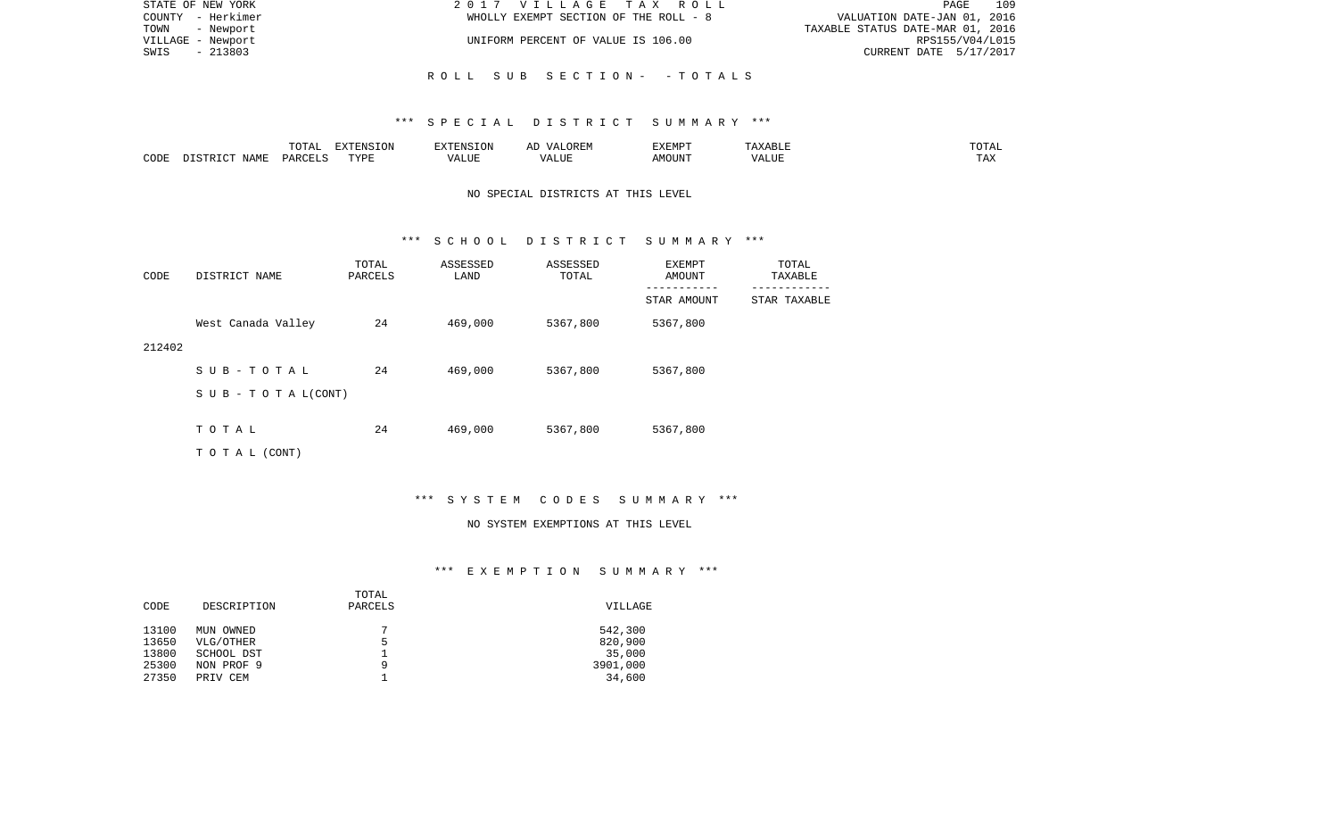| STATE OF NEW YORK | 2017 VILLAGE TAX ROLL                 | 109<br>PAGE                      |
|-------------------|---------------------------------------|----------------------------------|
| COUNTY - Herkimer | WHOLLY EXEMPT SECTION OF THE ROLL - 8 | VALUATION DATE-JAN 01, 2016      |
| TOWN - Newport    |                                       | TAXABLE STATUS DATE-MAR 01, 2016 |
| VILLAGE - Newport | UNIFORM PERCENT OF VALUE IS 106.00    | RPS155/V04/L015                  |
| - 213803<br>SWIS  |                                       | CURRENT DATE 5/17/2017           |
|                   |                                       |                                  |
|                   | ROLL SUB SECTION- -TOTALS             |                                  |

### \*\*\* S P E C I A L D I S T R I C T S U M M A R Y \*\*\*

|      |             |               | $\blacksquare$<br>11 L<br>. ON |     | EXEMPT        | ABL.           | $m \wedge m$<br>$  -$ |
|------|-------------|---------------|--------------------------------|-----|---------------|----------------|-----------------------|
| CODE | NAME<br>. . | <b>DARCET</b> | TVDI                           | ,,, | 'תוזר.<br>∆M∩ | . <del>.</del> | $- - -$<br>.AZ        |

## NO SPECIAL DISTRICTS AT THIS LEVEL

#### \*\*\* S C H O O L D I S T R I C T S U M M A R Y \*\*\*

| CODE   | DISTRICT NAME                    | TOTAL<br>PARCELS | ASSESSED<br>LAND | ASSESSED<br>TOTAL | EXEMPT<br>AMOUNT | TOTAL<br>TAXABLE |
|--------|----------------------------------|------------------|------------------|-------------------|------------------|------------------|
|        |                                  |                  |                  |                   | STAR AMOUNT      | STAR TAXABLE     |
|        | West Canada Valley               | 24               | 469,000          | 5367,800          | 5367,800         |                  |
| 212402 |                                  |                  |                  |                   |                  |                  |
|        | SUB-TOTAL                        | 24               | 469,000          | 5367,800          | 5367,800         |                  |
|        | $S \cup B - T \cup T A L (CONT)$ |                  |                  |                   |                  |                  |
|        |                                  |                  |                  |                   |                  |                  |
|        | TOTAL                            | 24               | 469,000          | 5367,800          | 5367,800         |                  |
|        | T O T A L (CONT)                 |                  |                  |                   |                  |                  |

# \*\*\* S Y S T E M C O D E S S U M M A R Y \*\*\*

#### NO SYSTEM EXEMPTIONS AT THIS LEVEL

# \*\*\* E X E M P T I O N S U M M A R Y \*\*\*

|       |             | TOTAL   |          |
|-------|-------------|---------|----------|
| CODE  | DESCRIPTION | PARCELS | VILLAGE  |
|       |             |         |          |
| 13100 | MUN OWNED   | 7       | 542,300  |
| 13650 | VLG/OTHER   | 5       | 820,900  |
| 13800 | SCHOOL DST  |         | 35,000   |
| 25300 | NON PROF 9  | 9       | 3901,000 |
| 27350 | PRIV CEM    |         | 34,600   |
|       |             |         |          |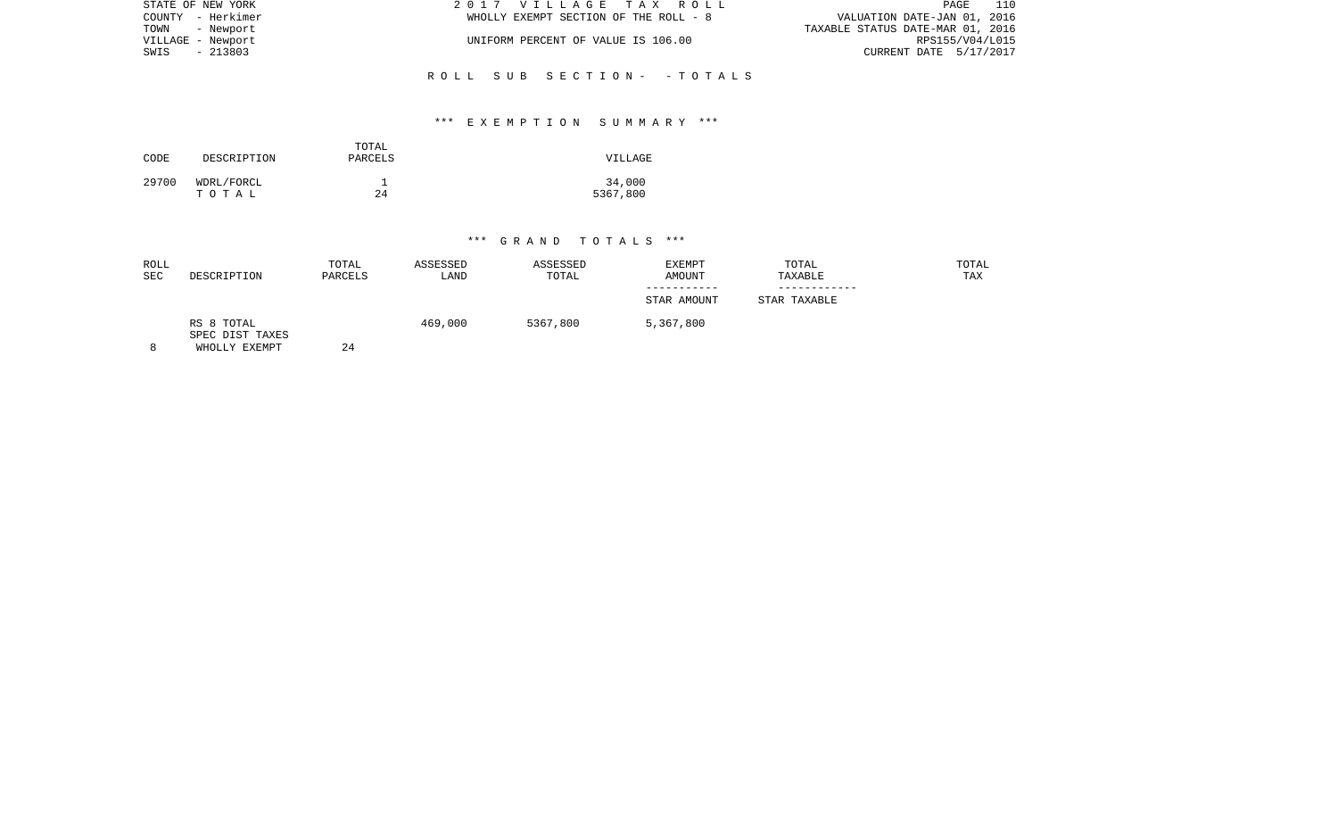| STATE OF NEW YORK | 2017 VILLAGE TAX ROLL                 | 110<br>PAGE                      |  |
|-------------------|---------------------------------------|----------------------------------|--|
| COUNTY - Herkimer | WHOLLY EXEMPT SECTION OF THE ROLL - 8 | VALUATION DATE-JAN 01, 2016      |  |
| TOWN - Newport    |                                       | TAXABLE STATUS DATE-MAR 01, 2016 |  |
| VILLAGE - Newport | UNIFORM PERCENT OF VALUE IS 106.00    | RPS155/V04/L015                  |  |
| SWIS - 213803     |                                       | CURRENT DATE 5/17/2017           |  |
|                   |                                       |                                  |  |
|                   | ROLL SUB SECTION- - TOTALS            |                                  |  |

## \*\*\* E X E M P T I O N S U M M A R Y \*\*\*

| CODE  | DESCRIPTION         | TOTAL<br>PARCELS | VILLAGE            |
|-------|---------------------|------------------|--------------------|
| 29700 | WDRL/FORCL<br>тотаь | 24               | 34,000<br>5367,800 |

| ROLL<br><b>SEC</b> | DESCRIPTION                                    | TOTAL<br>PARCELS | ASSESSED<br>LAND | ASSESSED<br>TOTAL | EXEMPT<br>AMOUNT | TOTAL<br>TAXABLE | TOTAL<br>TAX |
|--------------------|------------------------------------------------|------------------|------------------|-------------------|------------------|------------------|--------------|
|                    |                                                |                  |                  |                   | STAR AMOUNT      | STAR TAXABLE     |              |
| 8                  | RS 8 TOTAL<br>SPEC DIST TAXES<br>WHOLLY EXEMPT | 24               | 469,000          | 5367,800          | 5,367,800        |                  |              |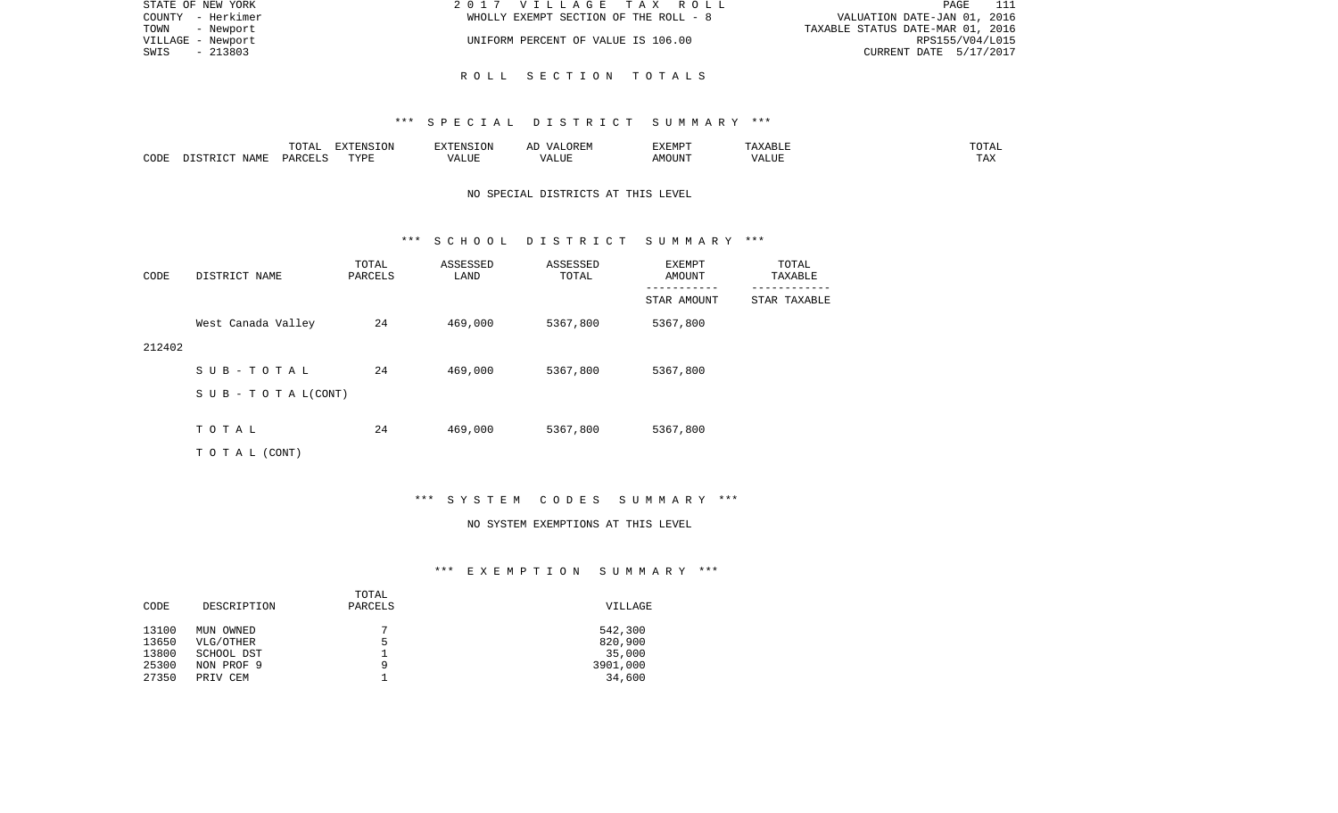| STATE OF NEW YORK | 2017 VILLAGE TAX ROLL                 | - 111<br>PAGE                    |
|-------------------|---------------------------------------|----------------------------------|
| COUNTY - Herkimer | WHOLLY EXEMPT SECTION OF THE ROLL - 8 | VALUATION DATE-JAN 01, 2016      |
| TOWN - Newport    |                                       | TAXABLE STATUS DATE-MAR 01, 2016 |
| VILLAGE - Newport | UNIFORM PERCENT OF VALUE IS 106.00    | RPS155/V04/L015                  |
| SWIS<br>$-213803$ |                                       | CURRENT DATE 5/17/2017           |
|                   |                                       |                                  |

### R O L L S E C T I O N T O T A L S

#### \*\*\* S P E C I A L D I S T R I C T S U M M A R Y \*\*\*

|      |       | $m \wedge m \wedge n$<br>⊥∪⊥⊓⊥ | $\blacksquare$<br>⊥UN |                   | "XFMP. | ---         |
|------|-------|--------------------------------|-----------------------|-------------------|--------|-------------|
| CODE | ΝТΔМπ | DAR <sub>C</sub>               | TVDI<br>.             | $\sqrt{ }$<br>பபா |        | max<br>∖ n∡ |

# NO SPECIAL DISTRICTS AT THIS LEVEL

#### \*\*\* S C H O O L D I S T R I C T S U M M A R Y \*\*\*

| CODE   | DISTRICT NAME                    | TOTAL<br>PARCELS | ASSESSED<br>LAND | ASSESSED<br>TOTAL | EXEMPT<br>AMOUNT | TOTAL<br>TAXABLE |
|--------|----------------------------------|------------------|------------------|-------------------|------------------|------------------|
|        |                                  |                  |                  |                   | STAR AMOUNT      | STAR TAXABLE     |
|        | West Canada Valley               | 24               | 469,000          | 5367,800          | 5367,800         |                  |
| 212402 |                                  |                  |                  |                   |                  |                  |
|        | SUB-TOTAL                        | 24               | 469,000          | 5367,800          | 5367,800         |                  |
|        | $S \cup B - T \cup T A L (CONT)$ |                  |                  |                   |                  |                  |
|        |                                  |                  |                  |                   |                  |                  |
|        | TOTAL                            | 24               | 469,000          | 5367,800          | 5367,800         |                  |
|        | TO TAL (CONT)                    |                  |                  |                   |                  |                  |

# \*\*\* S Y S T E M C O D E S S U M M A R Y \*\*\*

#### NO SYSTEM EXEMPTIONS AT THIS LEVEL

# \*\*\* E X E M P T I O N S U M M A R Y \*\*\*

|       |             | TOTAL   |                |
|-------|-------------|---------|----------------|
| CODE  | DESCRIPTION | PARCELS | <b>VILLAGE</b> |
|       |             |         |                |
| 13100 | MUN OWNED   | 7       | 542,300        |
| 13650 | VLG/OTHER   | 5       | 820,900        |
| 13800 | SCHOOL DST  |         | 35,000         |
| 25300 | NON PROF 9  | 9       | 3901,000       |
| 27350 | PRIV CEM    |         | 34,600         |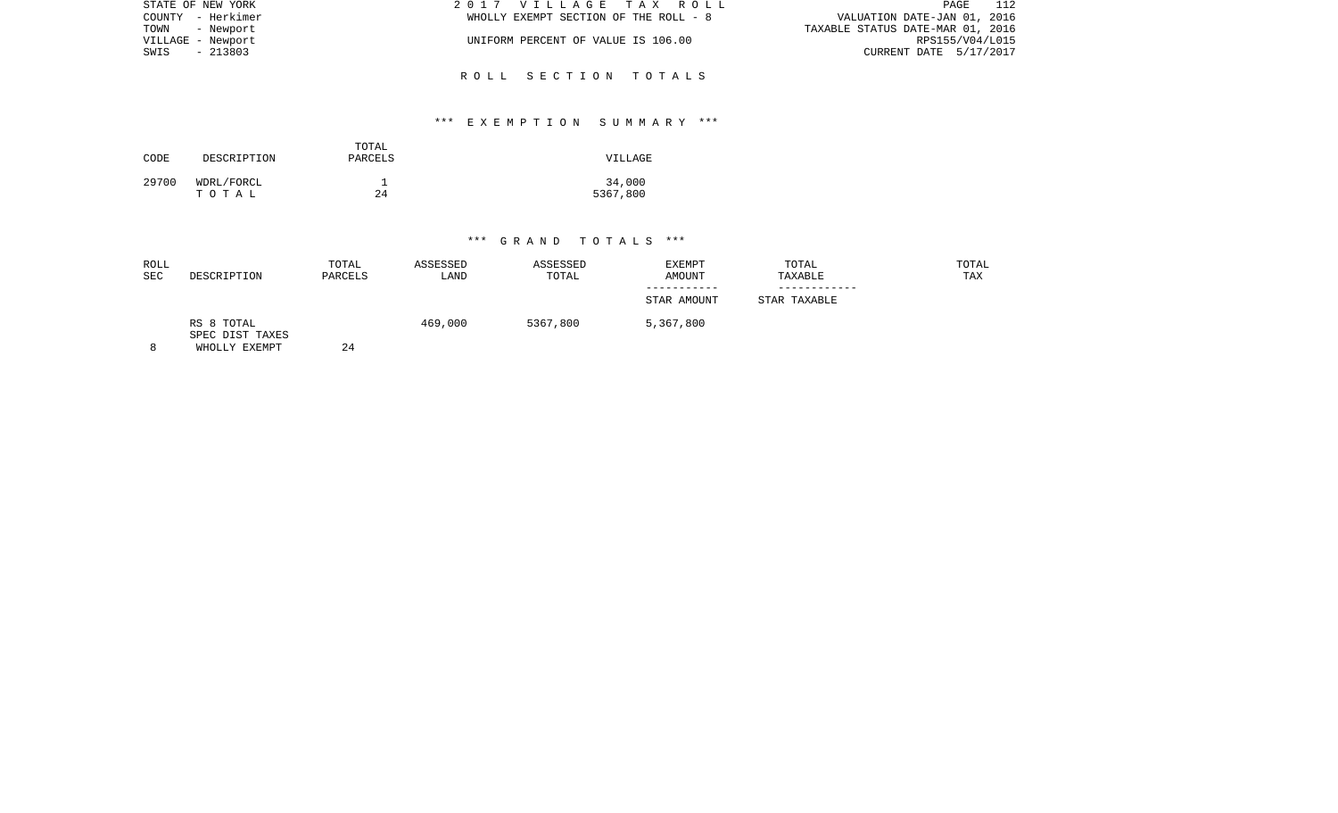| STATE OF NEW YORK | 2017 VILLAGE TAX ROLL                 | 112<br>PAGE                      |
|-------------------|---------------------------------------|----------------------------------|
| COUNTY - Herkimer | WHOLLY EXEMPT SECTION OF THE ROLL - 8 | VALUATION DATE-JAN 01, 2016      |
| TOWN - Newport    |                                       | TAXABLE STATUS DATE-MAR 01, 2016 |
| VILLAGE - Newport | UNIFORM PERCENT OF VALUE IS 106.00    | RPS155/V04/L015                  |
| SWIS<br>- 213803  |                                       | CURRENT DATE 5/17/2017           |
|                   |                                       |                                  |
|                   | ROLL SECTION TOTALS                   |                                  |

## \*\*\* E X E M P T I O N S U M M A R Y \*\*\*

| CODE  | DESCRIPTION         | TOTAL<br>PARCELS | VILLAGE            |
|-------|---------------------|------------------|--------------------|
| 29700 | WDRL/FORCL<br>тотаь | 24               | 34,000<br>5367,800 |

| ROLL<br><b>SEC</b> | DESCRIPTION                                    | TOTAL<br>PARCELS | ASSESSED<br>LAND | ASSESSED<br>TOTAL | <b>EXEMPT</b><br>AMOUNT | TOTAL<br>TAXABLE | TOTAL<br><b>TAX</b> |
|--------------------|------------------------------------------------|------------------|------------------|-------------------|-------------------------|------------------|---------------------|
|                    |                                                |                  |                  |                   | STAR AMOUNT             | STAR TAXABLE     |                     |
| 8                  | RS 8 TOTAL<br>SPEC DIST TAXES<br>WHOLLY EXEMPT | 24               | 469,000          | 5367,800          | 5,367,800               |                  |                     |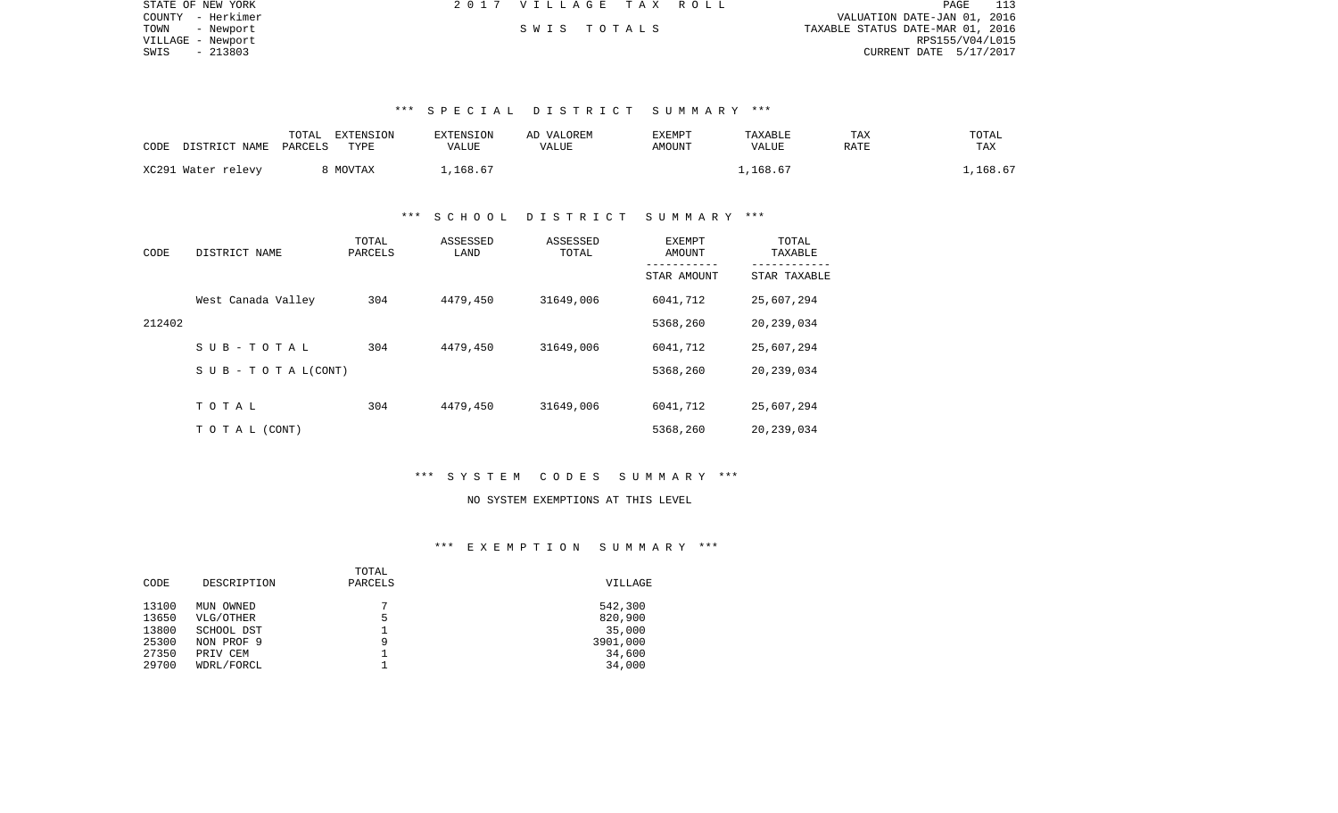| STATE OF NEW YORK | 2017 VILLAGE TAX ROLL |  |                                  | PAGE            |  |
|-------------------|-----------------------|--|----------------------------------|-----------------|--|
| COUNTY - Herkimer |                       |  | VALUATION DATE-JAN 01, 2016      |                 |  |
| TOWN<br>- Newport | SWIS TOTALS           |  | TAXABLE STATUS DATE-MAR 01, 2016 |                 |  |
| VILLAGE - Newport |                       |  |                                  | RPS155/V04/L015 |  |
| $-213803$<br>SWIS |                       |  | CURRENT DATE 5/17/2017           |                 |  |

## \*\*\* S P E C I A L D I S T R I C T S U M M A R Y \*\*\*

| CODE | DISTRICT NAME PARCELS | TOTAL | EXTENSION<br>TYPE | <b>EXTENSION</b><br>VALUE | AD VALOREM<br>VALUE | EXEMPT<br>AMOUNT | TAXABLE<br>VALUE | TAX<br>RATE | TOTAL<br>TAX |
|------|-----------------------|-------|-------------------|---------------------------|---------------------|------------------|------------------|-------------|--------------|
|      | XC291 Water relevy    |       | 8 MOVTAX          | .168.67                   |                     |                  | 1,168.67         |             | .,168.67     |

### \*\*\* S C H O O L D I S T R I C T S U M M A R Y \*\*\*

| CODE   | DISTRICT NAME                    | TOTAL<br>PARCELS | ASSESSED<br>LAND | ASSESSED<br>TOTAL | EXEMPT<br>AMOUNT | TOTAL<br>TAXABLE |
|--------|----------------------------------|------------------|------------------|-------------------|------------------|------------------|
|        |                                  |                  |                  |                   | STAR AMOUNT      | STAR TAXABLE     |
|        | West Canada Valley               | 304              | 4479,450         | 31649,006         | 6041,712         | 25,607,294       |
| 212402 |                                  |                  |                  |                   | 5368,260         | 20,239,034       |
|        | SUB-TOTAL                        | 304              | 4479,450         | 31649,006         | 6041,712         | 25,607,294       |
|        | $S \cup B - T \cup T A L (CONT)$ |                  |                  |                   | 5368,260         | 20,239,034       |
|        |                                  |                  |                  |                   |                  |                  |
|        | TOTAL                            | 304              | 4479,450         | 31649,006         | 6041,712         | 25,607,294       |
|        | TO TAL (CONT)                    |                  |                  |                   | 5368,260         | 20, 239, 034     |

### \*\*\* S Y S T E M C O D E S S U M M A R Y \*\*\*

# NO SYSTEM EXEMPTIONS AT THIS LEVEL

# \*\*\* E X E M P T I O N S U M M A R Y \*\*\*

|             | TOTAL   |          |
|-------------|---------|----------|
| DESCRIPTION | PARCELS | VILLAGE  |
| MUN OWNED   | ⇁       | 542,300  |
| VLG/OTHER   | 5       | 820,900  |
| SCHOOL DST  |         | 35,000   |
| NON PROF 9  | 9       | 3901,000 |
| PRIV CEM    |         | 34,600   |
| WDRL/FORCL  |         | 34,000   |
|             |         |          |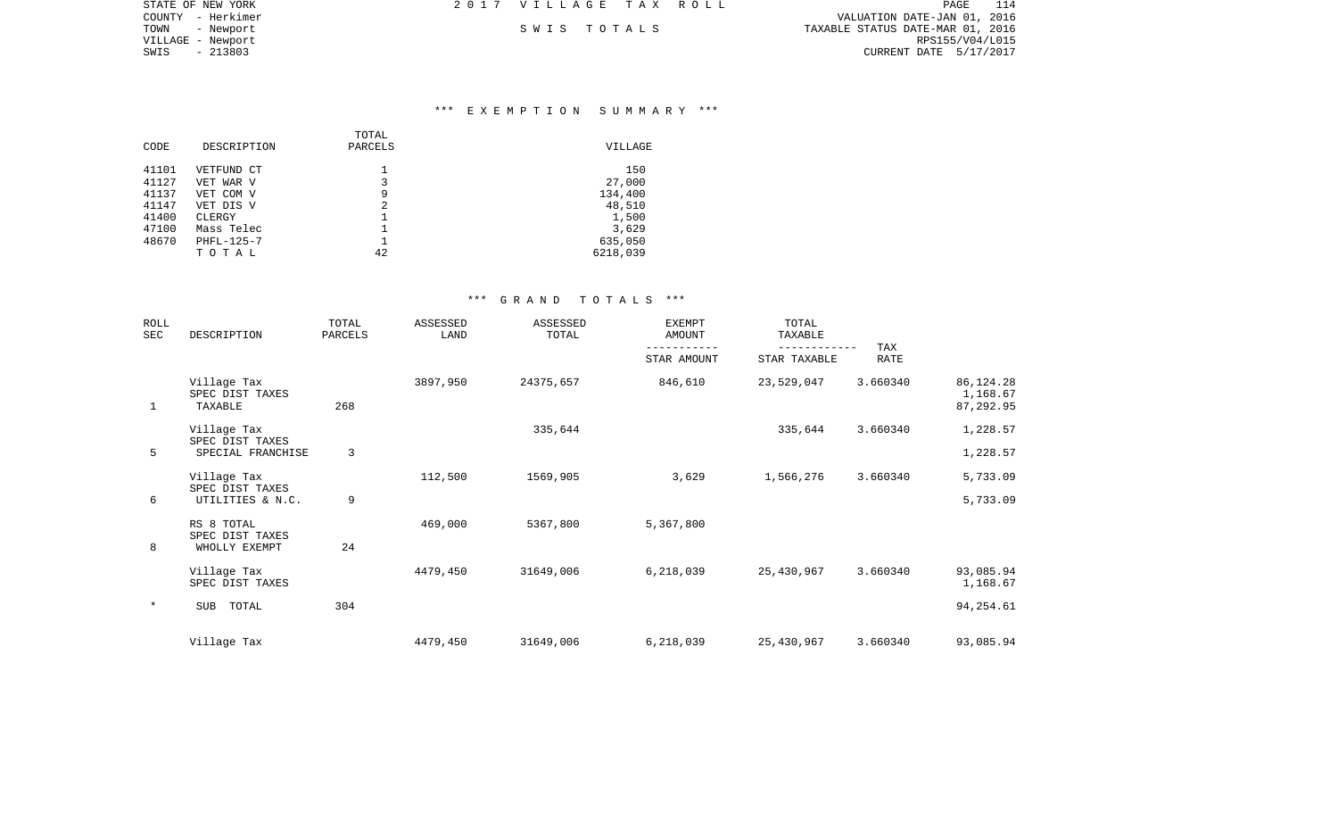| STATE OF NEW YORK | 2017 VILLAGE TAX ROLL | PAGE<br>114                      |
|-------------------|-----------------------|----------------------------------|
| COUNTY - Herkimer |                       | VALUATION DATE-JAN 01, 2016      |
| TOWN<br>- Newport | SWIS TOTALS           | TAXABLE STATUS DATE-MAR 01, 2016 |
| VILLAGE - Newport |                       | RPS155/V04/L015                  |
| SWIS<br>- 213803  |                       | CURRENT DATE 5/17/2017           |

## \*\*\* E X E M P T I O N S U M M A R Y \*\*\*

|       |             | TOTAL   |          |
|-------|-------------|---------|----------|
| CODE  | DESCRIPTION | PARCELS | VILLAGE  |
| 41101 | VETFUND CT  |         | 150      |
|       |             |         |          |
| 41127 | VET WAR V   | 3       | 27,000   |
| 41137 | VET COM V   | 9       | 134,400  |
| 41147 | VET DIS V   | 2       | 48,510   |
| 41400 | CLERGY      |         | 1,500    |
| 47100 | Mass Telec  |         | 3,629    |
| 48670 | PHFL-125-7  |         | 635,050  |
|       | TOTAL       | 42      | 6218,039 |

| ROLL<br><b>SEC</b> | DESCRIPTION                                        | TOTAL<br>PARCELS | ASSESSED<br>LAND | ASSESSED<br>TOTAL | <b>EXEMPT</b><br><b>AMOUNT</b> | TOTAL<br>TAXABLE | <b>TAX</b>  |                                      |
|--------------------|----------------------------------------------------|------------------|------------------|-------------------|--------------------------------|------------------|-------------|--------------------------------------|
|                    |                                                    |                  |                  |                   | STAR AMOUNT                    | STAR TAXABLE     | <b>RATE</b> |                                      |
| 1                  | Village Tax<br>SPEC DIST TAXES<br>TAXABLE          | 268              | 3897,950         | 24375,657         | 846,610                        | 23,529,047       | 3.660340    | 86, 124. 28<br>1,168.67<br>87,292.95 |
|                    | Village Tax                                        |                  |                  | 335,644           |                                | 335,644          | 3.660340    | 1,228.57                             |
| 5                  | SPEC DIST TAXES<br>SPECIAL FRANCHISE               | 3                |                  |                   |                                |                  |             | 1,228.57                             |
| 6                  | Village Tax<br>SPEC DIST TAXES<br>UTILITIES & N.C. | 9                | 112,500          | 1569,905          | 3,629                          | 1,566,276        | 3.660340    | 5,733.09<br>5,733.09                 |
|                    | RS 8 TOTAL                                         |                  | 469,000          | 5367,800          | 5,367,800                      |                  |             |                                      |
| 8                  | SPEC DIST TAXES<br>WHOLLY EXEMPT                   | 24               |                  |                   |                                |                  |             |                                      |
|                    | Village Tax<br>SPEC DIST TAXES                     |                  | 4479,450         | 31649,006         | 6,218,039                      | 25,430,967       | 3.660340    | 93,085.94<br>1,168.67                |
| $\ast$             | SUB<br>TOTAL                                       | 304              |                  |                   |                                |                  |             | 94, 254.61                           |
|                    | Village Tax                                        |                  | 4479,450         | 31649,006         | 6,218,039                      | 25,430,967       | 3.660340    | 93,085.94                            |